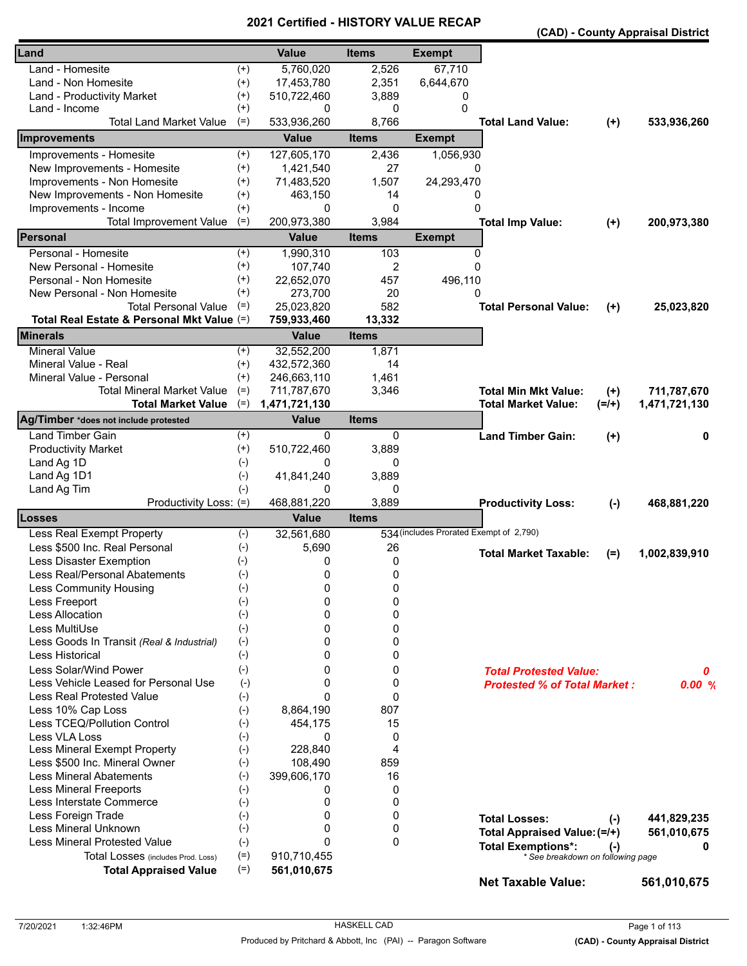|                                            |          |               |              |                                         |                                     |         | (CAD) - County Appraisal District |
|--------------------------------------------|----------|---------------|--------------|-----------------------------------------|-------------------------------------|---------|-----------------------------------|
| Land                                       |          | <b>Value</b>  | <b>Items</b> | <b>Exempt</b>                           |                                     |         |                                   |
| Land - Homesite                            | $^{(+)}$ | 5,760,020     | 2,526        | 67,710                                  |                                     |         |                                   |
| Land - Non Homesite                        | $^{(+)}$ | 17,453,780    | 2,351        | 6,644,670                               |                                     |         |                                   |
| Land - Productivity Market                 | $^{(+)}$ | 510,722,460   | 3,889        | 0                                       |                                     |         |                                   |
| Land - Income                              | $^{(+)}$ | 0             | 0            | 0                                       |                                     |         |                                   |
| <b>Total Land Market Value</b>             | $(=)$    | 533,936,260   | 8,766        |                                         | <b>Total Land Value:</b>            | $(+)$   | 533,936,260                       |
| Improvements                               |          | <b>Value</b>  | <b>Items</b> | <b>Exempt</b>                           |                                     |         |                                   |
| Improvements - Homesite                    | $(+)$    | 127,605,170   | 2,436        | 1,056,930                               |                                     |         |                                   |
| New Improvements - Homesite                | $^{(+)}$ | 1,421,540     | 27           | 0                                       |                                     |         |                                   |
| Improvements - Non Homesite                | $^{(+)}$ | 71,483,520    | 1,507        | 24,293,470                              |                                     |         |                                   |
| New Improvements - Non Homesite            | $^{(+)}$ | 463,150       | 14           | 0                                       |                                     |         |                                   |
| Improvements - Income                      | $^{(+)}$ | 0             | 0            | 0                                       |                                     |         |                                   |
| <b>Total Improvement Value</b>             | $(=)$    | 200,973,380   | 3,984        |                                         | <b>Total Imp Value:</b>             | $(+)$   | 200,973,380                       |
| Personal                                   |          | <b>Value</b>  | <b>Items</b> | <b>Exempt</b>                           |                                     |         |                                   |
| Personal - Homesite                        | $^{(+)}$ | 1,990,310     | 103          | 0                                       |                                     |         |                                   |
| New Personal - Homesite                    | $^{(+)}$ | 107,740       | 2            | $\Omega$                                |                                     |         |                                   |
| Personal - Non Homesite                    | $^{(+)}$ | 22,652,070    | 457          | 496,110                                 |                                     |         |                                   |
| New Personal - Non Homesite                | $^{(+)}$ | 273,700       | 20           | 0                                       |                                     |         |                                   |
| <b>Total Personal Value</b>                | $(=)$    | 25,023,820    | 582          |                                         | <b>Total Personal Value:</b>        | $(+)$   | 25,023,820                        |
| Total Real Estate & Personal Mkt Value (=) |          | 759,933,460   | 13,332       |                                         |                                     |         |                                   |
| <b>Minerals</b>                            |          | <b>Value</b>  | <b>Items</b> |                                         |                                     |         |                                   |
| <b>Mineral Value</b>                       | $^{(+)}$ | 32,552,200    | 1,871        |                                         |                                     |         |                                   |
| Mineral Value - Real                       | $^{(+)}$ | 432,572,360   | 14           |                                         |                                     |         |                                   |
| Mineral Value - Personal                   | $(+)$    | 246,663,110   | 1,461        |                                         |                                     |         |                                   |
| Total Mineral Market Value                 | $(=)$    | 711,787,670   | 3,346        |                                         | <b>Total Min Mkt Value:</b>         | $(+)$   | 711,787,670                       |
| <b>Total Market Value</b>                  | $(=)$    | 1,471,721,130 |              |                                         | <b>Total Market Value:</b>          | $(=/+)$ | 1,471,721,130                     |
| Ag/Timber *does not include protested      |          | <b>Value</b>  | <b>Items</b> |                                         |                                     |         |                                   |
| Land Timber Gain                           | $^{(+)}$ | 0             | 0            |                                         | <b>Land Timber Gain:</b>            | $(+)$   | 0                                 |
| <b>Productivity Market</b>                 | $^{(+)}$ | 510,722,460   | 3,889        |                                         |                                     |         |                                   |
| Land Ag 1D                                 | $(-)$    | 0             | 0            |                                         |                                     |         |                                   |
| Land Ag 1D1                                | $(-)$    | 41,841,240    | 3,889        |                                         |                                     |         |                                   |
| Land Ag Tim                                | $(-)$    | 0             | 0            |                                         |                                     |         |                                   |
| Productivity Loss: (=)                     |          | 468,881,220   | 3,889        |                                         | <b>Productivity Loss:</b>           | $(-)$   | 468,881,220                       |
| Losses                                     |          | <b>Value</b>  | <b>Items</b> |                                         |                                     |         |                                   |
| Less Real Exempt Property                  | $(-)$    | 32,561,680    |              | 534 (includes Prorated Exempt of 2,790) |                                     |         |                                   |
| Less \$500 Inc. Real Personal              | $(-)$    | 5,690         | 26           |                                         | <b>Total Market Taxable:</b>        | $(=)$   | 1,002,839,910                     |
| Less Disaster Exemption                    | $(-)$    | 0             | 0            |                                         |                                     |         |                                   |
| Less Real/Personal Abatements              | $(-)$    | 0             | 0            |                                         |                                     |         |                                   |
| Less Community Housing                     | $(-)$    | 0             | 0            |                                         |                                     |         |                                   |
| Less Freeport                              | $(-)$    | 0             | 0            |                                         |                                     |         |                                   |
| Less Allocation                            | $(-)$    | 0             | 0            |                                         |                                     |         |                                   |
| Less MultiUse                              | $(-)$    | 0             | 0            |                                         |                                     |         |                                   |
| Less Goods In Transit (Real & Industrial)  | $(-)$    | 0             | 0            |                                         |                                     |         |                                   |
| Less Historical                            | $(-)$    | 0             | 0            |                                         |                                     |         |                                   |
| Less Solar/Wind Power                      | $(-)$    | 0             | 0            |                                         | <b>Total Protested Value:</b>       |         | 0                                 |
| Less Vehicle Leased for Personal Use       | $(-)$    | $\Omega$      | 0            |                                         | <b>Protested % of Total Market:</b> |         | 0.00%                             |
| <b>Less Real Protested Value</b>           | $(-)$    | $\Omega$      | 0            |                                         |                                     |         |                                   |
| Less 10% Cap Loss                          | $(-)$    | 8,864,190     | 807          |                                         |                                     |         |                                   |
| Less TCEQ/Pollution Control                | $(-)$    | 454,175       | 15           |                                         |                                     |         |                                   |
| Less VLA Loss                              | $(-)$    | 0             | 0            |                                         |                                     |         |                                   |
| Less Mineral Exempt Property               | $(-)$    | 228,840       | 4            |                                         |                                     |         |                                   |
| Less \$500 Inc. Mineral Owner              | $(-)$    | 108,490       | 859          |                                         |                                     |         |                                   |
| <b>Less Mineral Abatements</b>             | $(-)$    | 399,606,170   | 16           |                                         |                                     |         |                                   |
| <b>Less Mineral Freeports</b>              | $(-)$    | 0             | 0            |                                         |                                     |         |                                   |
| Less Interstate Commerce                   | $(-)$    | 0             | 0            |                                         |                                     |         |                                   |
| Less Foreign Trade                         | $(-)$    | 0             | 0            |                                         | <b>Total Losses:</b>                | $(-)$   | 441,829,235                       |
| Less Mineral Unknown                       | $(-)$    | 0             | 0            |                                         | Total Appraised Value: (=/+)        |         | 561,010,675                       |
| <b>Less Mineral Protested Value</b>        | $(-)$    | $\Omega$      | 0            |                                         | <b>Total Exemptions*:</b>           | $(-)$   | 0                                 |
| Total Losses (includes Prod. Loss)         | $(=)$    | 910,710,455   |              |                                         | * See breakdown on following page   |         |                                   |
| <b>Total Appraised Value</b>               | $(=)$    | 561,010,675   |              |                                         | <b>Net Taxable Value:</b>           |         | 561,010,675                       |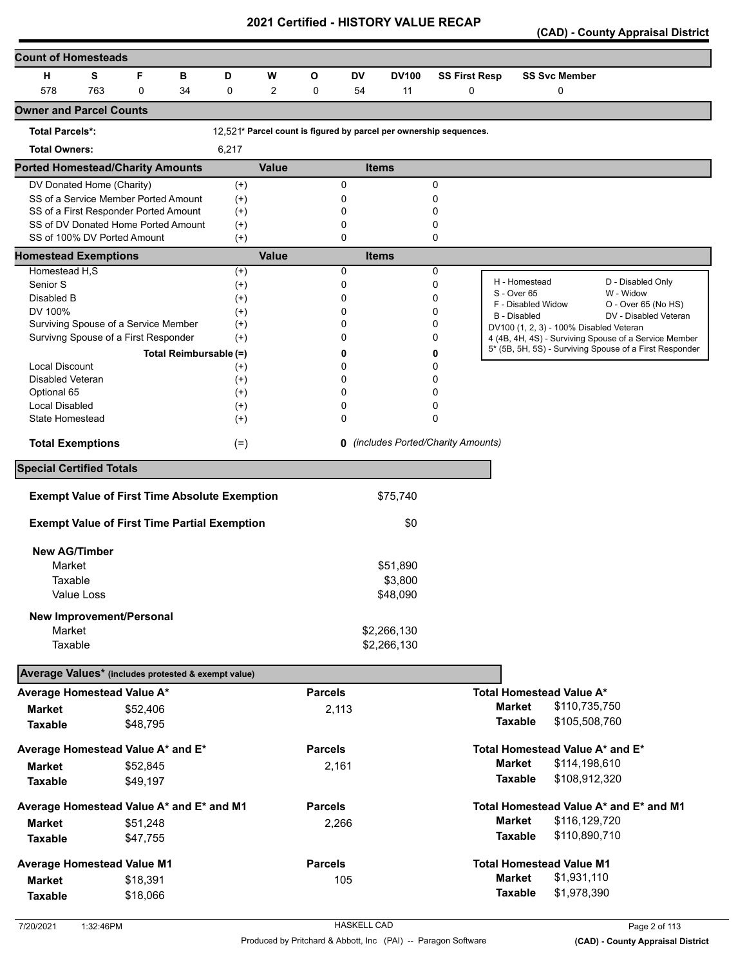**(CAD) - County Appraisal District** 

| <b>Count of Homesteads</b>                          |            |                                                      |                        |                      |                |                |           |              |                                                                    |                     |                                         |                                                         |
|-----------------------------------------------------|------------|------------------------------------------------------|------------------------|----------------------|----------------|----------------|-----------|--------------|--------------------------------------------------------------------|---------------------|-----------------------------------------|---------------------------------------------------------|
| н                                                   | S          | F                                                    | в                      | D                    | W              | $\mathbf{o}$   | <b>DV</b> | <b>DV100</b> | <b>SS First Resp</b>                                               |                     | <b>SS Svc Member</b>                    |                                                         |
| 578                                                 | 763        | 0                                                    | 34                     | 0                    | $\overline{2}$ | 0              | 54        | 11           | 0                                                                  |                     | 0                                       |                                                         |
| <b>Owner and Parcel Counts</b>                      |            |                                                      |                        |                      |                |                |           |              |                                                                    |                     |                                         |                                                         |
| <b>Total Parcels*:</b>                              |            |                                                      |                        |                      |                |                |           |              | 12,521* Parcel count is figured by parcel per ownership sequences. |                     |                                         |                                                         |
| <b>Total Owners:</b>                                |            |                                                      |                        | 6,217                |                |                |           |              |                                                                    |                     |                                         |                                                         |
| <b>Ported Homestead/Charity Amounts</b>             |            |                                                      |                        |                      | <b>Value</b>   |                |           | <b>Items</b> |                                                                    |                     |                                         |                                                         |
| DV Donated Home (Charity)                           |            |                                                      |                        | $(+)$                |                |                | 0         |              | 0                                                                  |                     |                                         |                                                         |
|                                                     |            | SS of a Service Member Ported Amount                 |                        | $(+)$                |                |                | 0         |              | 0                                                                  |                     |                                         |                                                         |
|                                                     |            | SS of a First Responder Ported Amount                |                        | $^{(+)}$             |                |                | 0         |              | 0                                                                  |                     |                                         |                                                         |
|                                                     |            | SS of DV Donated Home Ported Amount                  |                        | $^{(+)}$             |                |                | 0         |              | 0                                                                  |                     |                                         |                                                         |
|                                                     |            | SS of 100% DV Ported Amount                          |                        | $^{(+)}$             |                |                | 0         |              | 0                                                                  |                     |                                         |                                                         |
| <b>Homestead Exemptions</b>                         |            |                                                      |                        |                      | <b>Value</b>   |                | 0         | <b>Items</b> |                                                                    |                     |                                         |                                                         |
| Homestead H,S<br>Senior S                           |            |                                                      |                        | $^{(+)}$             |                |                | 0         |              | 0<br>0                                                             |                     | H - Homestead                           | D - Disabled Only                                       |
| Disabled B                                          |            |                                                      |                        | $^{(+)}$<br>$^{(+)}$ |                |                | 0         |              | 0                                                                  | S - Over 65         |                                         | W - Widow                                               |
| DV 100%                                             |            |                                                      |                        | $^{(+)}$             |                |                | 0         |              | 0                                                                  |                     | F - Disabled Widow                      | O - Over 65 (No HS)                                     |
|                                                     |            | Surviving Spouse of a Service Member                 |                        | $^{(+)}$             |                |                | 0         |              | 0                                                                  | <b>B</b> - Disabled |                                         | DV - Disabled Veteran                                   |
|                                                     |            | Survivng Spouse of a First Responder                 |                        | $^{(+)}$             |                |                | 0         |              | 0                                                                  |                     | DV100 (1, 2, 3) - 100% Disabled Veteran | 4 (4B, 4H, 4S) - Surviving Spouse of a Service Member   |
|                                                     |            |                                                      | Total Reimbursable (=) |                      |                |                | 0         |              | 0                                                                  |                     |                                         | 5* (5B, 5H, 5S) - Surviving Spouse of a First Responder |
| <b>Local Discount</b>                               |            |                                                      |                        | $^{(+)}$             |                |                | 0         |              | 0                                                                  |                     |                                         |                                                         |
| <b>Disabled Veteran</b>                             |            |                                                      |                        | $^{(+)}$             |                |                | 0         |              | 0                                                                  |                     |                                         |                                                         |
| Optional 65                                         |            |                                                      |                        | $^{(+)}$             |                |                | 0         |              | 0                                                                  |                     |                                         |                                                         |
| <b>Local Disabled</b>                               |            |                                                      |                        | $^{(+)}$             |                |                | 0         |              | 0                                                                  |                     |                                         |                                                         |
| State Homestead                                     |            |                                                      |                        | $^{(+)}$             |                |                | 0         |              | 0                                                                  |                     |                                         |                                                         |
| <b>Total Exemptions</b>                             |            |                                                      |                        | $(=)$                |                |                |           |              | <b>0</b> (includes Ported/Charity Amounts)                         |                     |                                         |                                                         |
| <b>Special Certified Totals</b>                     |            |                                                      |                        |                      |                |                |           |              |                                                                    |                     |                                         |                                                         |
|                                                     |            | <b>Exempt Value of First Time Absolute Exemption</b> |                        |                      |                |                |           | \$75,740     |                                                                    |                     |                                         |                                                         |
|                                                     |            |                                                      |                        |                      |                |                |           |              |                                                                    |                     |                                         |                                                         |
|                                                     |            | <b>Exempt Value of First Time Partial Exemption</b>  |                        |                      |                |                |           | \$0          |                                                                    |                     |                                         |                                                         |
| <b>New AG/Timber</b>                                |            |                                                      |                        |                      |                |                |           |              |                                                                    |                     |                                         |                                                         |
| Market                                              |            |                                                      |                        |                      |                |                |           | \$51,890     |                                                                    |                     |                                         |                                                         |
| Taxable                                             |            |                                                      |                        |                      |                |                |           | \$3,800      |                                                                    |                     |                                         |                                                         |
|                                                     | Value Loss |                                                      |                        |                      |                |                |           | \$48,090     |                                                                    |                     |                                         |                                                         |
|                                                     |            | <b>New Improvement/Personal</b>                      |                        |                      |                |                |           |              |                                                                    |                     |                                         |                                                         |
| Market                                              |            |                                                      |                        |                      |                |                |           | \$2,266,130  |                                                                    |                     |                                         |                                                         |
| Taxable                                             |            |                                                      |                        |                      |                |                |           | \$2,266,130  |                                                                    |                     |                                         |                                                         |
|                                                     |            |                                                      |                        |                      |                |                |           |              |                                                                    |                     |                                         |                                                         |
| Average Values* (includes protested & exempt value) |            |                                                      |                        |                      |                |                |           |              |                                                                    |                     |                                         |                                                         |
| Average Homestead Value A*                          |            |                                                      |                        |                      |                | <b>Parcels</b> |           |              |                                                                    |                     | Total Homestead Value A*                |                                                         |
| <b>Market</b>                                       |            | \$52,406                                             |                        |                      |                | 2,113          |           |              |                                                                    | <b>Market</b>       | \$110,735,750                           |                                                         |
| <b>Taxable</b>                                      |            | \$48,795                                             |                        |                      |                |                |           |              |                                                                    | <b>Taxable</b>      | \$105,508,760                           |                                                         |
| Average Homestead Value A* and E*                   |            |                                                      |                        |                      |                | <b>Parcels</b> |           |              |                                                                    |                     | Total Homestead Value A* and E*         |                                                         |
| <b>Market</b>                                       |            | \$52,845                                             |                        |                      |                | 2,161          |           |              |                                                                    | <b>Market</b>       | \$114,198,610                           |                                                         |
| <b>Taxable</b>                                      |            | \$49,197                                             |                        |                      |                |                |           |              |                                                                    | <b>Taxable</b>      | \$108,912,320                           |                                                         |
| Average Homestead Value A* and E* and M1            |            |                                                      |                        |                      |                | <b>Parcels</b> |           |              |                                                                    |                     |                                         | Total Homestead Value A* and E* and M1                  |
| Market                                              |            | \$51,248                                             |                        |                      |                | 2,266          |           |              |                                                                    | <b>Market</b>       | \$116,129,720                           |                                                         |
| <b>Taxable</b>                                      |            | \$47,755                                             |                        |                      |                |                |           |              |                                                                    | <b>Taxable</b>      | \$110,890,710                           |                                                         |
| <b>Average Homestead Value M1</b>                   |            |                                                      |                        |                      |                | <b>Parcels</b> |           |              |                                                                    |                     | <b>Total Homestead Value M1</b>         |                                                         |
| <b>Market</b>                                       |            | \$18,391                                             |                        |                      |                |                | 105       |              |                                                                    | <b>Market</b>       | \$1,931,110                             |                                                         |
|                                                     |            |                                                      |                        |                      |                |                |           |              |                                                                    | <b>Taxable</b>      | \$1,978,390                             |                                                         |
| <b>Taxable</b>                                      |            | \$18,066                                             |                        |                      |                |                |           |              |                                                                    |                     |                                         |                                                         |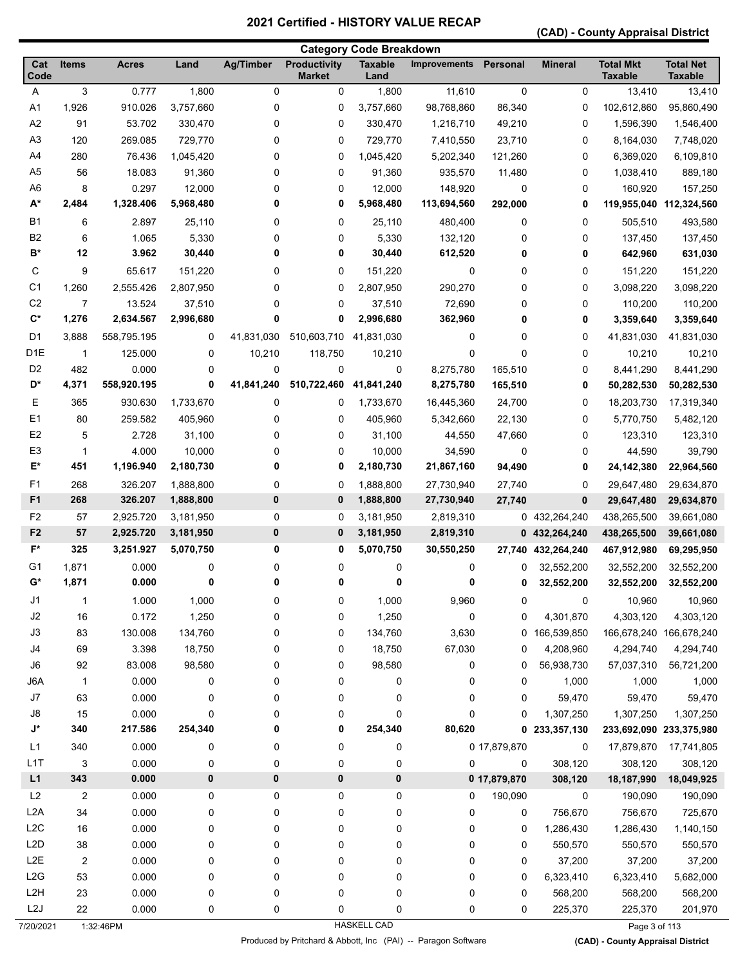**(CAD) - County Appraisal District** 

|                  |                |              |           |                  |                                      | <b>Category Code Breakdown</b> |                     |              |                |                                    |                                    |
|------------------|----------------|--------------|-----------|------------------|--------------------------------------|--------------------------------|---------------------|--------------|----------------|------------------------------------|------------------------------------|
| Cat<br>Code      | <b>Items</b>   | <b>Acres</b> | Land      | <b>Ag/Timber</b> | <b>Productivity</b><br><b>Market</b> | <b>Taxable</b><br>Land         | <b>Improvements</b> | Personal     | <b>Mineral</b> | <b>Total Mkt</b><br><b>Taxable</b> | <b>Total Net</b><br><b>Taxable</b> |
| Α                | 3              | 0.777        | 1,800     | 0                | 0                                    | 1,800                          | 11,610              | 0            | 0              | 13,410                             | 13,410                             |
| A1               | 1,926          | 910.026      | 3,757,660 | 0                | 0                                    | 3,757,660                      | 98,768,860          | 86,340       | 0              | 102,612,860                        | 95,860,490                         |
| A <sub>2</sub>   | 91             | 53.702       | 330,470   | 0                | 0                                    | 330,470                        | 1,216,710           | 49,210       | 0              | 1,596,390                          | 1,546,400                          |
| A <sub>3</sub>   | 120            | 269.085      | 729,770   | 0                | 0                                    | 729,770                        | 7,410,550           | 23,710       | 0              | 8,164,030                          | 7,748,020                          |
| A <sub>4</sub>   | 280            | 76.436       | 1,045,420 | 0                | 0                                    | 1,045,420                      | 5,202,340           | 121,260      | 0              | 6,369,020                          | 6,109,810                          |
| A <sub>5</sub>   | 56             | 18.083       | 91,360    | 0                | 0                                    | 91,360                         | 935,570             | 11,480       | 0              | 1,038,410                          | 889,180                            |
| A <sub>6</sub>   | 8              | 0.297        | 12,000    | 0                | 0                                    | 12,000                         | 148,920             | 0            | 0              | 160,920                            | 157,250                            |
| $A^*$            | 2,484          | 1,328.406    | 5,968,480 | 0                | 0                                    | 5,968,480                      | 113,694,560         | 292,000      | 0              | 119,955,040                        | 112,324,560                        |
| <b>B1</b>        | 6              | 2.897        | 25,110    | 0                | 0                                    | 25,110                         | 480,400             | 0            | 0              | 505,510                            | 493,580                            |
| B <sub>2</sub>   | 6              | 1.065        | 5,330     | 0                | 0                                    | 5,330                          | 132,120             | 0            | 0              | 137,450                            | 137,450                            |
| B*               | 12             | 3.962        | 30,440    | 0                | 0                                    | 30,440                         | 612,520             | 0            | 0              | 642,960                            | 631,030                            |
| С                | 9              | 65.617       | 151,220   | 0                | 0                                    | 151,220                        | 0                   | 0            | 0              | 151,220                            | 151,220                            |
| C <sub>1</sub>   | 1,260          | 2,555.426    | 2,807,950 | 0                | 0                                    | 2,807,950                      | 290,270             | 0            | 0              | 3,098,220                          | 3,098,220                          |
| C <sub>2</sub>   | 7              | 13.524       | 37,510    | 0                | 0                                    | 37,510                         | 72,690              | 0            | 0              | 110,200                            | 110,200                            |
| $\mathbf{C}^*$   | 1,276          | 2,634.567    | 2,996,680 | 0                | 0                                    | 2,996,680                      | 362,960             | 0            | 0              | 3,359,640                          | 3,359,640                          |
| D <sub>1</sub>   | 3,888          | 558,795.195  | 0         | 41,831,030       | 510,603,710                          | 41,831,030                     | 0                   | 0            | 0              | 41,831,030                         | 41,831,030                         |
| D <sub>1E</sub>  | $\mathbf{1}$   | 125.000      | 0         | 10,210           | 118,750                              | 10,210                         | 0                   | 0            | 0              | 10,210                             | 10,210                             |
| D <sub>2</sub>   | 482            | 0.000        | 0         | 0                | 0                                    | 0                              | 8,275,780           | 165,510      | 0              | 8,441,290                          | 8,441,290                          |
| D*               | 4,371          | 558,920.195  | 0         | 41,841,240       | 510,722,460                          | 41,841,240                     | 8,275,780           | 165,510      | 0              | 50,282,530                         | 50,282,530                         |
| Ε                | 365            | 930.630      | 1,733,670 | 0                | 0                                    | 1,733,670                      | 16,445,360          | 24,700       | 0              | 18,203,730                         | 17,319,340                         |
| E <sub>1</sub>   | 80             | 259.582      | 405,960   | 0                | 0                                    | 405,960                        | 5,342,660           | 22,130       | 0              | 5,770,750                          | 5,482,120                          |
| E <sub>2</sub>   | 5              | 2.728        | 31,100    | 0                | 0                                    | 31,100                         | 44,550              | 47,660       | 0              | 123,310                            | 123,310                            |
| E <sub>3</sub>   | 1              | 4.000        | 10,000    | 0                | 0                                    | 10,000                         | 34,590              | 0            | 0              | 44,590                             | 39,790                             |
| E*               | 451            | 1,196.940    | 2,180,730 | 0                | 0                                    | 2,180,730                      | 21,867,160          | 94,490       | 0              | 24,142,380                         | 22,964,560                         |
| F1               | 268            | 326.207      | 1,888,800 | 0                | 0                                    | 1,888,800                      | 27,730,940          | 27,740       | 0              | 29,647,480                         | 29,634,870                         |
| F <sub>1</sub>   | 268            | 326.207      | 1,888,800 | 0                | $\bf{0}$                             | 1,888,800                      | 27,730,940          | 27,740       | 0              | 29,647,480                         | 29,634,870                         |
| F <sub>2</sub>   | 57             | 2,925.720    | 3,181,950 | 0                | 0                                    | 3,181,950                      | 2,819,310           |              | 0 432,264,240  | 438,265,500                        | 39,661,080                         |
| F <sub>2</sub>   | 57             | 2,925.720    | 3,181,950 | $\bf{0}$         | $\bf{0}$                             | 3,181,950                      | 2,819,310           |              | 0 432,264,240  | 438,265,500                        | 39,661,080                         |
| F*               | 325            | 3,251.927    | 5,070,750 | 0                | 0                                    | 5,070,750                      | 30,550,250          | 27,740       | 432,264,240    | 467,912,980                        | 69,295,950                         |
| G1               | 1,871          | 0.000        | 0         | 0                | 0                                    | 0                              | 0                   | 0            | 32,552,200     | 32,552,200                         | 32,552,200                         |
| $G^*$            | 1,871          | 0.000        | 0         | 0                | 0                                    | 0                              | 0                   | 0            | 32,552,200     | 32,552,200                         | 32,552,200                         |
| J <sub>1</sub>   | 1              | 1.000        | 1,000     | 0                | $\pmb{0}$                            | 1,000                          | 9,960               | 0            | 0              | 10,960                             | 10,960                             |
| J2               | 16             | 0.172        | 1,250     | 0                | 0                                    | 1,250                          | 0                   | 0            | 4,301,870      | 4,303,120                          | 4,303,120                          |
| J3               | 83             | 130.008      | 134,760   | 0                | 0                                    | 134,760                        | 3,630               | 0            | 166,539,850    |                                    | 166,678,240 166,678,240            |
| J4               | 69             | 3.398        | 18,750    | 0                | 0                                    | 18,750                         | 67,030              | 0            | 4,208,960      | 4,294,740                          | 4,294,740                          |
| J6               | 92             | 83.008       | 98,580    | 0                | 0                                    | 98,580                         | 0                   | 0            | 56,938,730     | 57,037,310                         | 56,721,200                         |
| J6A              | $\mathbf{1}$   | 0.000        | 0         | 0                | 0                                    | 0                              | 0                   | 0            | 1,000          | 1,000                              | 1,000                              |
| J7               | 63             | 0.000        | 0         | 0                | 0                                    | 0                              | 0                   | 0            | 59,470         | 59,470                             | 59,470                             |
| J8               | 15             | 0.000        | 0         | 0                | 0                                    | 0                              | 0                   | 0            | 1,307,250      | 1,307,250                          | 1,307,250                          |
| J*               | 340            | 217.586      | 254,340   | 0                | 0                                    | 254,340                        | 80,620              | 0            | 233,357,130    | 233,692,090 233,375,980            |                                    |
| L1               | 340            | 0.000        | 0         | 0                | 0                                    | 0                              |                     | 0 17,879,870 | 0              | 17,879,870                         | 17,741,805                         |
| L1T              | 3              | 0.000        | 0         | 0                | 0                                    | 0                              | 0                   | 0            | 308,120        | 308,120                            | 308,120                            |
| L1               | 343            | 0.000        | 0         | 0                | $\pmb{0}$                            | 0                              |                     | 0 17,879,870 | 308,120        | 18,187,990                         | 18,049,925                         |
| L2               | 2              | 0.000        | 0         | 0                | 0                                    | $\pmb{0}$                      | 0                   | 190,090      | 0              | 190,090                            | 190,090                            |
| L <sub>2</sub> A | 34             | 0.000        | 0         | 0                | 0                                    | 0                              | 0                   | 0            | 756,670        | 756,670                            | 725,670                            |
| L2C              | 16             | 0.000        | 0         | 0                | 0                                    | 0                              | 0                   | 0            | 1,286,430      | 1,286,430                          | 1,140,150                          |
| L2D              | 38             | 0.000        | 0         | 0                | 0                                    | 0                              | 0                   | 0            | 550,570        | 550,570                            | 550,570                            |
| L <sub>2</sub> E | $\overline{c}$ | 0.000        | 0         | 0                | 0                                    | 0                              | 0                   | 0            | 37,200         | 37,200                             | 37,200                             |
| L2G              | 53             | 0.000        | 0         | 0                | 0                                    | $\pmb{0}$                      | 0                   | 0            | 6,323,410      | 6,323,410                          | 5,682,000                          |
| L <sub>2</sub> H | 23             | 0.000        | 0         | 0                | 0                                    | $\pmb{0}$                      | 0                   | 0            | 568,200        | 568,200                            | 568,200                            |
| L <sub>2</sub> J | 22             | 0.000        | 0         | 0                | 0                                    | 0                              | 0                   | 0            | 225,370        | 225,370                            | 201,970                            |
|                  |                |              |           |                  |                                      |                                |                     |              |                |                                    |                                    |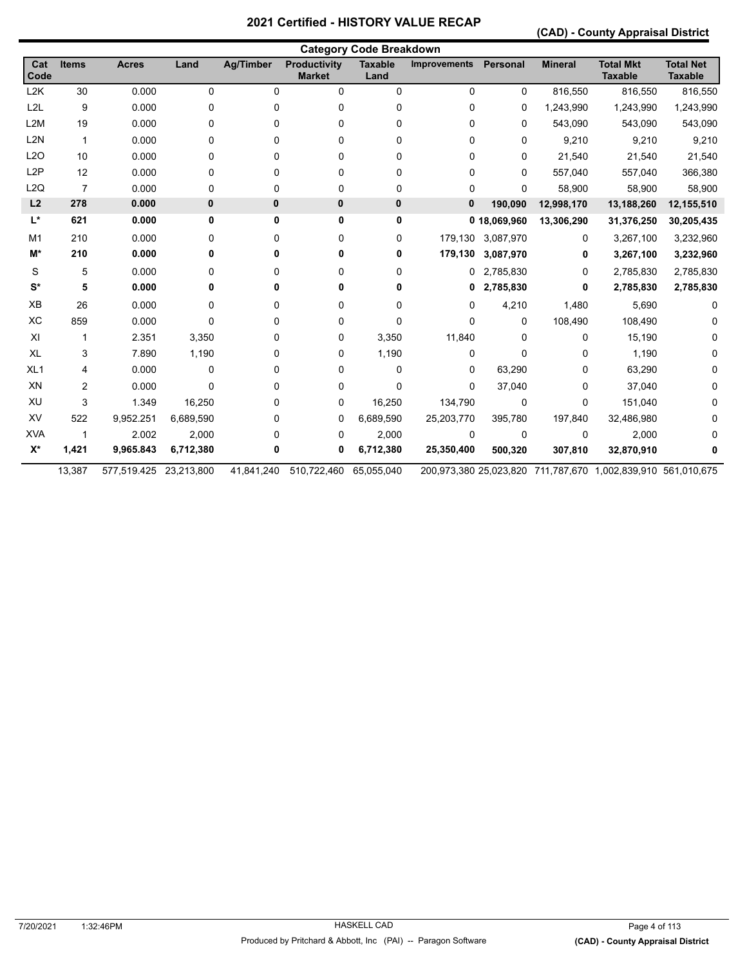**(CAD) - County Appraisal District** 

|                  | <b>Category Code Breakdown</b> |              |            |                  |                                      |                        |                     |                   |                |                                                              |                                    |
|------------------|--------------------------------|--------------|------------|------------------|--------------------------------------|------------------------|---------------------|-------------------|----------------|--------------------------------------------------------------|------------------------------------|
| Cat<br>Code      | <b>Items</b>                   | <b>Acres</b> | Land       | <b>Ag/Timber</b> | <b>Productivity</b><br><b>Market</b> | <b>Taxable</b><br>Land | <b>Improvements</b> | Personal          | <b>Mineral</b> | <b>Total Mkt</b><br><b>Taxable</b>                           | <b>Total Net</b><br><b>Taxable</b> |
| L2K              | 30                             | 0.000        | 0          | 0                | 0                                    | 0                      | 0                   | 0                 | 816,550        | 816,550                                                      | 816,550                            |
| L <sub>2</sub> L | 9                              | 0.000        | 0          | 0                | 0                                    | 0                      | 0                   | 0                 | 1,243,990      | 1,243,990                                                    | 1,243,990                          |
| L <sub>2</sub> M | 19                             | 0.000        | 0          | 0                | 0                                    | 0                      | 0                   | 0                 | 543,090        | 543,090                                                      | 543,090                            |
| L2N              | $\mathbf 1$                    | 0.000        | 0          | 0                | 0                                    | 0                      | 0                   | $\Omega$          | 9,210          | 9,210                                                        | 9,210                              |
| L2O              | 10                             | 0.000        | 0          | 0                | 0                                    | 0                      | 0                   | 0                 | 21,540         | 21,540                                                       | 21,540                             |
| L <sub>2</sub> P | 12                             | 0.000        | 0          | 0                | 0                                    | 0                      | 0                   | $\Omega$          | 557,040        | 557,040                                                      | 366,380                            |
| L2Q              | $\overline{7}$                 | 0.000        | 0          | 0                | 0                                    | 0                      | 0                   | 0                 | 58,900         | 58,900                                                       | 58,900                             |
| L2               | 278                            | 0.000        | 0          | $\mathbf{0}$     | 0                                    | $\pmb{0}$              | 0                   | 190,090           | 12,998,170     | 13,188,260                                                   | 12,155,510                         |
| $L^*$            | 621                            | 0.000        | 0          | 0                | 0                                    | 0                      |                     | 0 18,069,960      | 13,306,290     | 31,376,250                                                   | 30,205,435                         |
| M <sub>1</sub>   | 210                            | 0.000        | 0          | 0                | 0                                    | 0                      |                     | 179,130 3,087,970 | 0              | 3,267,100                                                    | 3,232,960                          |
| M*               | 210                            | 0.000        | 0          | 0                | 0                                    | 0                      | 179,130             | 3,087,970         | 0              | 3,267,100                                                    | 3,232,960                          |
| S                | 5                              | 0.000        | 0          | 0                | 0                                    | 0                      |                     | 0 2,785,830       | 0              | 2,785,830                                                    | 2,785,830                          |
| $S^*$            | 5                              | 0.000        | 0          | 0                | 0                                    | 0                      | 0                   | 2,785,830         | 0              | 2,785,830                                                    | 2,785,830                          |
| XB               | 26                             | 0.000        | 0          | 0                | 0                                    | 0                      | 0                   | 4,210             | 1,480          | 5,690                                                        |                                    |
| XC               | 859                            | 0.000        | 0          | 0                | 0                                    | 0                      | 0                   | 0                 | 108,490        | 108,490                                                      |                                    |
| XI               | 1                              | 2.351        | 3,350      | 0                | 0                                    | 3,350                  | 11,840              | 0                 | 0              | 15,190                                                       |                                    |
| <b>XL</b>        | 3                              | 7.890        | 1,190      | 0                | 0                                    | 1,190                  | 0                   | 0                 | 0              | 1,190                                                        | 0                                  |
| XL <sub>1</sub>  | 4                              | 0.000        | 0          | 0                | 0                                    | 0                      | 0                   | 63,290            | 0              | 63,290                                                       |                                    |
| XN               | 2                              | 0.000        | 0          | 0                | 0                                    | 0                      | 0                   | 37,040            | 0              | 37,040                                                       |                                    |
| XU               | 3                              | 1.349        | 16,250     | 0                | 0                                    | 16,250                 | 134,790             | 0                 | 0              | 151,040                                                      |                                    |
| XV               | 522                            | 9,952.251    | 6,689,590  | 0                | 0                                    | 6,689,590              | 25,203,770          | 395,780           | 197,840        | 32,486,980                                                   |                                    |
| <b>XVA</b>       | 1                              | 2.002        | 2,000      | 0                | 0                                    | 2,000                  | 0                   | 0                 | 0              | 2,000                                                        |                                    |
| $X^*$            | 1,421                          | 9,965.843    | 6,712,380  | 0                | 0                                    | 6,712,380              | 25,350,400          | 500,320           | 307,810        | 32,870,910                                                   |                                    |
|                  | 13,387                         | 577,519.425  | 23,213,800 | 41,841,240       | 510,722,460                          | 65,055,040             |                     |                   |                | 200,973,380 25,023,820 711,787,670 1,002,839,910 561,010,675 |                                    |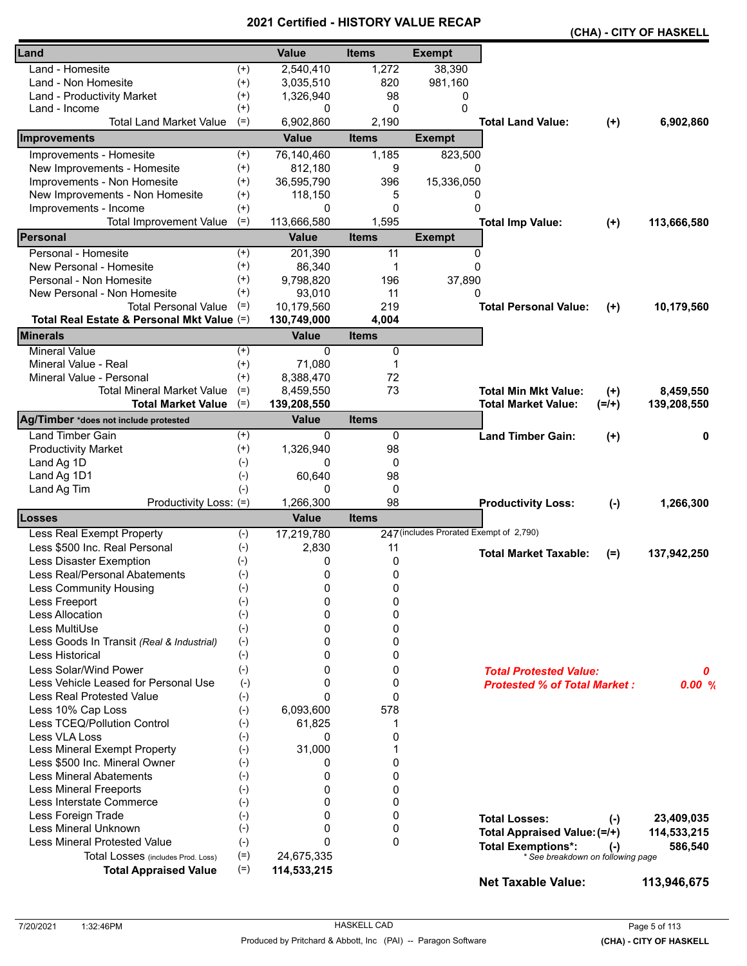|                                            |          |              |              |                                         |                                     |           | (CHA) - CITY OF HASKELL |
|--------------------------------------------|----------|--------------|--------------|-----------------------------------------|-------------------------------------|-----------|-------------------------|
| Land                                       |          | <b>Value</b> | <b>Items</b> | <b>Exempt</b>                           |                                     |           |                         |
| Land - Homesite                            | $^{(+)}$ | 2,540,410    | 1,272        | 38,390                                  |                                     |           |                         |
| Land - Non Homesite                        | $^{(+)}$ | 3,035,510    | 820          | 981,160                                 |                                     |           |                         |
| Land - Productivity Market                 | $^{(+)}$ | 1,326,940    | 98           | 0                                       |                                     |           |                         |
| Land - Income                              | $^{(+)}$ | 0            | 0            | 0                                       |                                     |           |                         |
| <b>Total Land Market Value</b>             | $(=)$    | 6,902,860    | 2,190        |                                         | <b>Total Land Value:</b>            | $(+)$     | 6,902,860               |
| <b>Improvements</b>                        |          | <b>Value</b> | <b>Items</b> | <b>Exempt</b>                           |                                     |           |                         |
| Improvements - Homesite                    | $^{(+)}$ | 76,140,460   | 1,185        | 823,500                                 |                                     |           |                         |
| New Improvements - Homesite                | $^{(+)}$ | 812,180      | 9            | 0                                       |                                     |           |                         |
| Improvements - Non Homesite                | $^{(+)}$ | 36,595,790   | 396          | 15,336,050                              |                                     |           |                         |
| New Improvements - Non Homesite            | $^{(+)}$ | 118,150      | 5            | 0                                       |                                     |           |                         |
| Improvements - Income                      | $^{(+)}$ | 0            | $\Omega$     | $\Omega$                                |                                     |           |                         |
| <b>Total Improvement Value</b>             | $(=)$    | 113,666,580  | 1,595        |                                         | <b>Total Imp Value:</b>             | $(+)$     | 113,666,580             |
| Personal                                   |          | <b>Value</b> | <b>Items</b> | <b>Exempt</b>                           |                                     |           |                         |
| Personal - Homesite                        | $^{(+)}$ | 201,390      | 11           | 0                                       |                                     |           |                         |
| New Personal - Homesite                    | $^{(+)}$ | 86,340       | $\mathbf 1$  | $\Omega$                                |                                     |           |                         |
| Personal - Non Homesite                    | $^{(+)}$ | 9,798,820    | 196          | 37,890                                  |                                     |           |                         |
| New Personal - Non Homesite                | $^{(+)}$ | 93,010       | 11           | 0                                       |                                     |           |                         |
| <b>Total Personal Value</b>                | $(=)$    | 10,179,560   | 219          |                                         | <b>Total Personal Value:</b>        | $(+)$     | 10,179,560              |
| Total Real Estate & Personal Mkt Value (=) |          | 130,749,000  | 4,004        |                                         |                                     |           |                         |
| <b>Minerals</b>                            |          | <b>Value</b> | <b>Items</b> |                                         |                                     |           |                         |
| <b>Mineral Value</b>                       | $^{(+)}$ | $\Omega$     | 0            |                                         |                                     |           |                         |
| Mineral Value - Real                       | $^{(+)}$ | 71,080       | 1            |                                         |                                     |           |                         |
| Mineral Value - Personal                   | $^{(+)}$ | 8,388,470    | 72           |                                         |                                     |           |                         |
| <b>Total Mineral Market Value</b>          | $(=)$    | 8,459,550    | 73           |                                         | <b>Total Min Mkt Value:</b>         | $(+)$     | 8,459,550               |
| <b>Total Market Value</b>                  | $(=)$    | 139,208,550  |              |                                         | <b>Total Market Value:</b>          | $(=/+)$   | 139,208,550             |
| Ag/Timber *does not include protested      |          | <b>Value</b> | <b>Items</b> |                                         |                                     |           |                         |
| <b>Land Timber Gain</b>                    | $^{(+)}$ | 0            | 0            |                                         | <b>Land Timber Gain:</b>            | $(+)$     | 0                       |
| <b>Productivity Market</b>                 | $^{(+)}$ | 1,326,940    | 98           |                                         |                                     |           |                         |
| Land Ag 1D                                 | $(-)$    | 0            | 0            |                                         |                                     |           |                         |
| Land Ag 1D1                                | $(-)$    | 60,640       | 98           |                                         |                                     |           |                         |
| Land Ag Tim                                | $(-)$    | 0            | 0            |                                         |                                     |           |                         |
| Productivity Loss: (=)                     |          | 1,266,300    | 98           |                                         | <b>Productivity Loss:</b>           | $(-)$     | 1,266,300               |
| <b>Losses</b>                              |          | <b>Value</b> | <b>Items</b> |                                         |                                     |           |                         |
| Less Real Exempt Property                  | $(-)$    | 17,219,780   |              | 247 (includes Prorated Exempt of 2,790) |                                     |           |                         |
| Less \$500 Inc. Real Personal              | $(-)$    | 2,830        | 11           |                                         | <b>Total Market Taxable:</b>        |           |                         |
| Less Disaster Exemption                    | $(-)$    | 0            | 0            |                                         |                                     | $(=)$     | 137,942,250             |
| Less Real/Personal Abatements              | $(-)$    | $\mathbf 0$  | $\pmb{0}$    |                                         |                                     |           |                         |
| <b>Less Community Housing</b>              | $(-)$    | 0            | 0            |                                         |                                     |           |                         |
| Less Freeport                              | $(-)$    | $\Omega$     | 0            |                                         |                                     |           |                         |
| <b>Less Allocation</b>                     | $(-)$    | 0            | 0            |                                         |                                     |           |                         |
| Less MultiUse                              | $(-)$    | 0            | 0            |                                         |                                     |           |                         |
| Less Goods In Transit (Real & Industrial)  | $(-)$    | 0            | 0            |                                         |                                     |           |                         |
| <b>Less Historical</b>                     | $(-)$    | 0            | 0            |                                         |                                     |           |                         |
| Less Solar/Wind Power                      | $(-)$    | 0            | 0            |                                         | <b>Total Protested Value:</b>       |           | 0                       |
| Less Vehicle Leased for Personal Use       | $(-)$    | 0            | 0            |                                         | <b>Protested % of Total Market:</b> |           | 0.00%                   |
| <b>Less Real Protested Value</b>           | $(-)$    | $\Omega$     | 0            |                                         |                                     |           |                         |
| Less 10% Cap Loss                          | $(-)$    | 6,093,600    | 578          |                                         |                                     |           |                         |
| Less TCEQ/Pollution Control                | $(-)$    | 61,825       | 1            |                                         |                                     |           |                         |
| Less VLA Loss                              | $(-)$    | 0            | 0            |                                         |                                     |           |                         |
| Less Mineral Exempt Property               | $(-)$    | 31,000       | 1            |                                         |                                     |           |                         |
| Less \$500 Inc. Mineral Owner              | $(-)$    | 0            | 0            |                                         |                                     |           |                         |
| <b>Less Mineral Abatements</b>             | $(-)$    | 0            | 0            |                                         |                                     |           |                         |
| <b>Less Mineral Freeports</b>              | $(-)$    | 0            | 0            |                                         |                                     |           |                         |
| Less Interstate Commerce                   | $(-)$    | 0            | 0            |                                         |                                     |           |                         |
| Less Foreign Trade                         | $(-)$    | 0            | 0            |                                         | <b>Total Losses:</b>                | $(-)$     | 23,409,035              |
| Less Mineral Unknown                       | $(-)$    | $\Omega$     | 0            |                                         | Total Appraised Value: (=/+)        |           | 114,533,215             |
| <b>Less Mineral Protested Value</b>        | $(-)$    | $\Omega$     | $\Omega$     |                                         | <b>Total Exemptions*:</b>           |           | 586,540                 |
| Total Losses (includes Prod. Loss)         | $(=)$    | 24,675,335   |              |                                         | * See breakdown on following page   | $(\cdot)$ |                         |
| <b>Total Appraised Value</b>               | $(=)$    | 114,533,215  |              |                                         |                                     |           |                         |
|                                            |          |              |              |                                         | <b>Net Taxable Value:</b>           |           | 113,946,675             |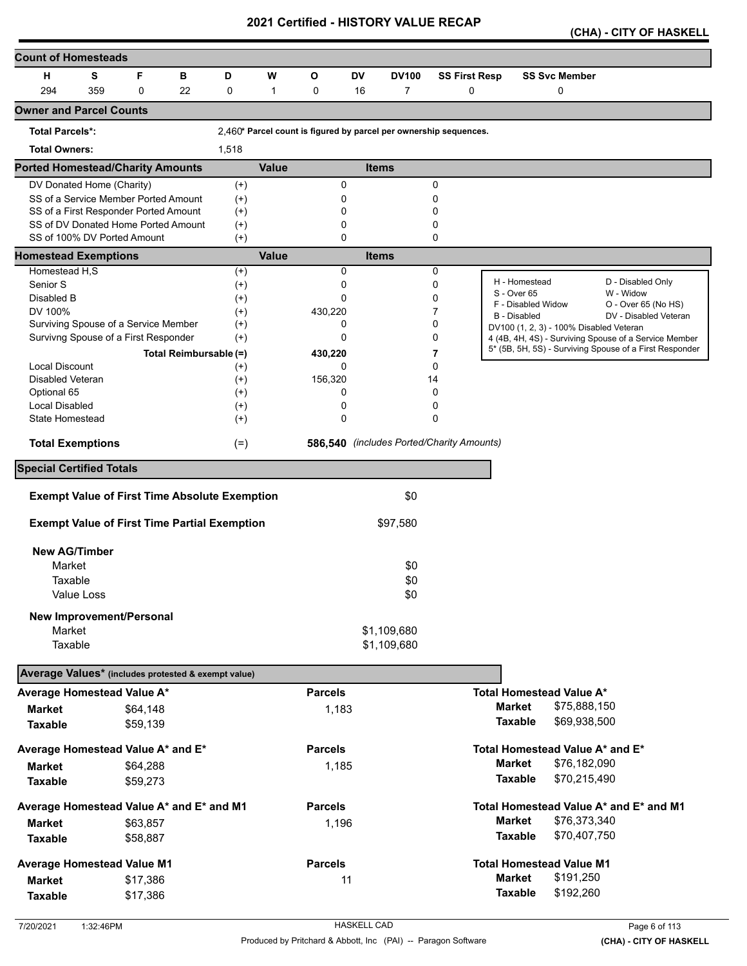|  |  |  | (CHA) - CITY OF HASKELL |
|--|--|--|-------------------------|
|--|--|--|-------------------------|

| <b>Count of Homesteads</b>                          |            |                                                      |                        |                      |              |                |           |                                                                   |                      |                                         |                                                                                                                  |
|-----------------------------------------------------|------------|------------------------------------------------------|------------------------|----------------------|--------------|----------------|-----------|-------------------------------------------------------------------|----------------------|-----------------------------------------|------------------------------------------------------------------------------------------------------------------|
| н                                                   | S          | F                                                    | в                      | D                    | W            | O              | <b>DV</b> | <b>DV100</b>                                                      | <b>SS First Resp</b> | <b>SS Svc Member</b>                    |                                                                                                                  |
| 294                                                 | 359        | 0                                                    | 22                     | 0                    | $\mathbf{1}$ | 0              | 16        | $\overline{7}$                                                    | 0                    | 0                                       |                                                                                                                  |
| <b>Owner and Parcel Counts</b>                      |            |                                                      |                        |                      |              |                |           |                                                                   |                      |                                         |                                                                                                                  |
| <b>Total Parcels*:</b>                              |            |                                                      |                        |                      |              |                |           | 2,460* Parcel count is figured by parcel per ownership sequences. |                      |                                         |                                                                                                                  |
| <b>Total Owners:</b>                                |            |                                                      |                        | 1,518                |              |                |           |                                                                   |                      |                                         |                                                                                                                  |
| <b>Ported Homestead/Charity Amounts</b>             |            |                                                      |                        |                      | <b>Value</b> |                |           | <b>Items</b>                                                      |                      |                                         |                                                                                                                  |
| DV Donated Home (Charity)                           |            |                                                      |                        | $(+)$                |              | 0              |           |                                                                   | 0                    |                                         |                                                                                                                  |
|                                                     |            | SS of a Service Member Ported Amount                 |                        | $^{(+)}$             |              | 0              |           |                                                                   | 0                    |                                         |                                                                                                                  |
|                                                     |            | SS of a First Responder Ported Amount                |                        | $^{(+)}$             |              | 0              |           |                                                                   | 0                    |                                         |                                                                                                                  |
|                                                     |            | SS of DV Donated Home Ported Amount                  |                        | $^{(+)}$             |              | 0              |           |                                                                   | 0                    |                                         |                                                                                                                  |
| SS of 100% DV Ported Amount                         |            |                                                      |                        | $(+)$                |              | 0              |           |                                                                   | 0                    |                                         |                                                                                                                  |
| <b>Homestead Exemptions</b>                         |            |                                                      |                        |                      | <b>Value</b> |                |           | <b>Items</b>                                                      |                      |                                         |                                                                                                                  |
| Homestead H,S                                       |            |                                                      |                        | $^{(+)}$             |              | 0              |           |                                                                   | 0                    | H - Homestead                           | D - Disabled Only                                                                                                |
| Senior S                                            |            |                                                      |                        | $^{(+)}$             |              | 0              |           |                                                                   | 0                    | S - Over 65                             | W - Widow                                                                                                        |
| Disabled B                                          |            |                                                      |                        | $(+)$                |              | 0              |           |                                                                   | 0                    | F - Disabled Widow                      | O - Over 65 (No HS)                                                                                              |
| DV 100%                                             |            | Surviving Spouse of a Service Member                 |                        | $^{(+)}$             |              | 430,220<br>0   |           |                                                                   | 7<br>0               | <b>B</b> - Disabled                     | DV - Disabled Veteran                                                                                            |
|                                                     |            |                                                      |                        | $^{(+)}$             |              | 0              |           |                                                                   | 0                    | DV100 (1, 2, 3) - 100% Disabled Veteran |                                                                                                                  |
|                                                     |            | Survivng Spouse of a First Responder                 |                        | $(+)$                |              |                |           |                                                                   |                      |                                         | 4 (4B, 4H, 4S) - Surviving Spouse of a Service Member<br>5* (5B, 5H, 5S) - Surviving Spouse of a First Responder |
|                                                     |            |                                                      | Total Reimbursable (=) |                      |              | 430,220        |           |                                                                   | 7                    |                                         |                                                                                                                  |
| <b>Local Discount</b>                               |            |                                                      |                        | $^{(+)}$             |              | 0              |           |                                                                   | 0                    |                                         |                                                                                                                  |
| Disabled Veteran<br>Optional 65                     |            |                                                      |                        | $^{(+)}$             |              | 156,320<br>0   |           |                                                                   | 14<br>0              |                                         |                                                                                                                  |
| <b>Local Disabled</b>                               |            |                                                      |                        | $^{(+)}$<br>$^{(+)}$ |              | 0              |           |                                                                   | 0                    |                                         |                                                                                                                  |
| State Homestead                                     |            |                                                      |                        | $(+)$                |              | 0              |           |                                                                   | 0                    |                                         |                                                                                                                  |
|                                                     |            |                                                      |                        |                      |              |                |           |                                                                   |                      |                                         |                                                                                                                  |
| <b>Total Exemptions</b>                             |            |                                                      |                        | $(=)$                |              |                |           | 586,540 (includes Ported/Charity Amounts)                         |                      |                                         |                                                                                                                  |
| <b>Special Certified Totals</b>                     |            |                                                      |                        |                      |              |                |           |                                                                   |                      |                                         |                                                                                                                  |
|                                                     |            | <b>Exempt Value of First Time Absolute Exemption</b> |                        |                      |              |                |           | \$0                                                               |                      |                                         |                                                                                                                  |
|                                                     |            | <b>Exempt Value of First Time Partial Exemption</b>  |                        |                      |              |                |           | \$97,580                                                          |                      |                                         |                                                                                                                  |
|                                                     |            |                                                      |                        |                      |              |                |           |                                                                   |                      |                                         |                                                                                                                  |
| <b>New AG/Timber</b>                                |            |                                                      |                        |                      |              |                |           |                                                                   |                      |                                         |                                                                                                                  |
| Market                                              |            |                                                      |                        |                      |              |                |           | \$0                                                               |                      |                                         |                                                                                                                  |
| Taxable                                             |            |                                                      |                        |                      |              |                |           | \$0                                                               |                      |                                         |                                                                                                                  |
|                                                     | Value Loss |                                                      |                        |                      |              |                |           | \$0                                                               |                      |                                         |                                                                                                                  |
|                                                     |            | <b>New Improvement/Personal</b>                      |                        |                      |              |                |           |                                                                   |                      |                                         |                                                                                                                  |
| Market                                              |            |                                                      |                        |                      |              |                |           | \$1,109,680                                                       |                      |                                         |                                                                                                                  |
| Taxable                                             |            |                                                      |                        |                      |              |                |           | \$1,109,680                                                       |                      |                                         |                                                                                                                  |
| Average Values* (includes protested & exempt value) |            |                                                      |                        |                      |              |                |           |                                                                   |                      |                                         |                                                                                                                  |
| Average Homestead Value A*                          |            |                                                      |                        |                      |              | <b>Parcels</b> |           |                                                                   |                      | <b>Total Homestead Value A*</b>         |                                                                                                                  |
| <b>Market</b>                                       |            | \$64,148                                             |                        |                      |              | 1,183          |           |                                                                   |                      | <b>Market</b><br>\$75,888,150           |                                                                                                                  |
| <b>Taxable</b>                                      |            | \$59,139                                             |                        |                      |              |                |           |                                                                   |                      | <b>Taxable</b><br>\$69,938,500          |                                                                                                                  |
|                                                     |            |                                                      |                        |                      |              |                |           |                                                                   |                      |                                         |                                                                                                                  |
| Average Homestead Value A* and E*                   |            |                                                      |                        |                      |              | <b>Parcels</b> |           |                                                                   |                      | Total Homestead Value A* and E*         |                                                                                                                  |
| <b>Market</b>                                       |            | \$64,288                                             |                        |                      |              | 1,185          |           |                                                                   |                      | <b>Market</b><br>\$76,182,090           |                                                                                                                  |
| <b>Taxable</b>                                      |            | \$59,273                                             |                        |                      |              |                |           |                                                                   |                      | <b>Taxable</b><br>\$70,215,490          |                                                                                                                  |
| Average Homestead Value A* and E* and M1            |            |                                                      |                        |                      |              | <b>Parcels</b> |           |                                                                   |                      |                                         | Total Homestead Value A* and E* and M1                                                                           |
| <b>Market</b>                                       |            | \$63,857                                             |                        |                      |              | 1,196          |           |                                                                   |                      | \$76,373,340<br><b>Market</b>           |                                                                                                                  |
| <b>Taxable</b>                                      |            | \$58,887                                             |                        |                      |              |                |           |                                                                   |                      | <b>Taxable</b><br>\$70,407,750          |                                                                                                                  |
|                                                     |            |                                                      |                        |                      |              |                |           |                                                                   |                      |                                         |                                                                                                                  |
| <b>Average Homestead Value M1</b>                   |            |                                                      |                        |                      |              | <b>Parcels</b> |           |                                                                   |                      | <b>Total Homestead Value M1</b>         |                                                                                                                  |
| <b>Market</b>                                       |            | \$17,386                                             |                        |                      |              | 11             |           |                                                                   |                      | <b>Market</b><br>\$191,250              |                                                                                                                  |
| <b>Taxable</b>                                      |            | \$17,386                                             |                        |                      |              |                |           |                                                                   |                      | <b>Taxable</b><br>\$192,260             |                                                                                                                  |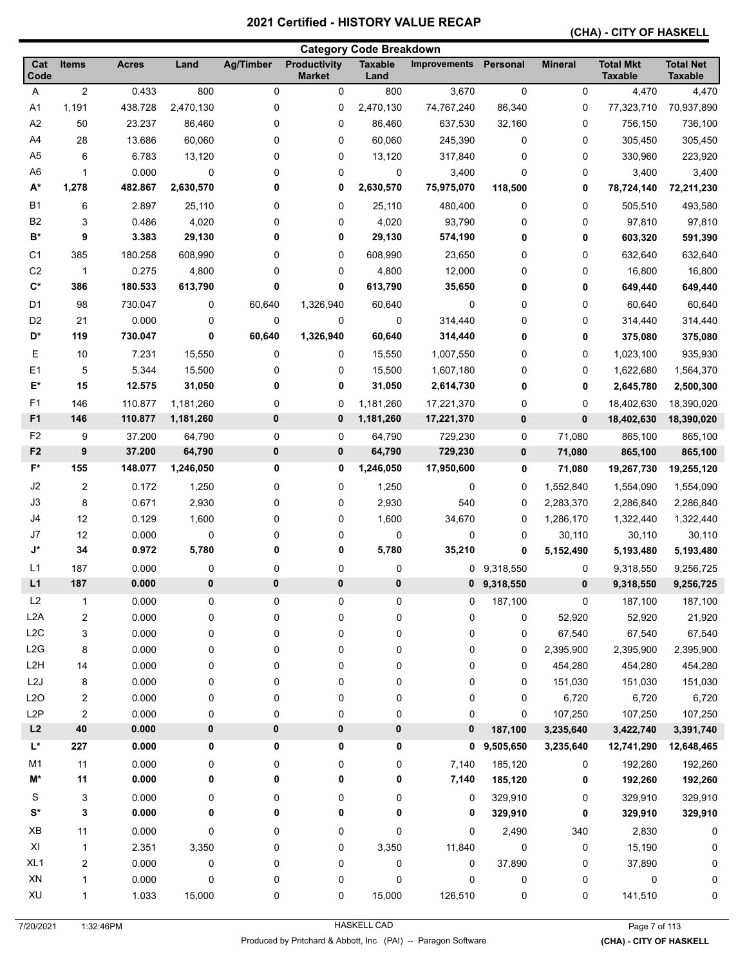#### **(CHA) - CITY OF HASKELL**

|                      |                  |              |           |                  |                                      | <b>Category Code Breakdown</b> |              |               |                |                                    |                                    |
|----------------------|------------------|--------------|-----------|------------------|--------------------------------------|--------------------------------|--------------|---------------|----------------|------------------------------------|------------------------------------|
| Cat<br>Code          | <b>Items</b>     | <b>Acres</b> | Land      | <b>Ag/Timber</b> | <b>Productivity</b><br><b>Market</b> | <b>Taxable</b><br>Land         | Improvements | Personal      | <b>Mineral</b> | <b>Total Mkt</b><br><b>Taxable</b> | <b>Total Net</b><br><b>Taxable</b> |
| Α                    | $\boldsymbol{2}$ | 0.433        | 800       | 0                | 0                                    | 800                            | 3,670        | $\mathbf 0$   | 0              | 4,470                              | 4,470                              |
| A1                   | 1,191            | 438.728      | 2,470,130 | 0                | 0                                    | 2,470,130                      | 74,767,240   | 86,340        | 0              | 77,323,710                         | 70,937,890                         |
| A2                   | 50               | 23.237       | 86,460    | 0                | 0                                    | 86,460                         | 637,530      | 32,160        | 0              | 756,150                            | 736,100                            |
| A4                   | 28               | 13.686       | 60,060    | 0                | 0                                    | 60,060                         | 245,390      | 0             | 0              | 305,450                            | 305,450                            |
| A <sub>5</sub>       | 6                | 6.783        | 13,120    | 0                | 0                                    | 13,120                         | 317,840      | $\mathbf 0$   | 0              | 330,960                            | 223,920                            |
| A <sub>6</sub>       | 1                | 0.000        | 0         | 0                | 0                                    | 0                              | 3,400        | $\mathbf 0$   | 0              | 3,400                              | 3,400                              |
| $A^*$                | 1,278            | 482.867      | 2,630,570 | 0                | 0                                    | 2,630,570                      | 75,975,070   | 118,500       | 0              | 78,724,140                         | 72,211,230                         |
| <b>B1</b>            | 6                | 2.897        | 25,110    | 0                | 0                                    | 25,110                         | 480,400      | 0             | 0              | 505,510                            | 493,580                            |
| B <sub>2</sub>       | 3                | 0.486        | 4,020     | 0                | 0                                    | 4,020                          | 93,790       | $\mathbf 0$   | 0              | 97,810                             | 97,810                             |
| B*                   | 9                | 3.383        | 29,130    | 0                | 0                                    | 29,130                         | 574,190      | 0             | 0              | 603,320                            | 591,390                            |
| C1                   | 385              | 180.258      | 608,990   | 0                | 0                                    | 608,990                        | 23,650       | 0             | 0              | 632,640                            | 632,640                            |
| C <sub>2</sub>       | $\mathbf{1}$     | 0.275        | 4,800     | 0                | 0                                    | 4,800                          | 12,000       | 0             | 0              | 16,800                             | 16,800                             |
| $C^*$                | 386              | 180.533      | 613,790   | 0                | 0                                    | 613,790                        | 35,650       | 0             | 0              | 649,440                            | 649,440                            |
| D1                   | 98               | 730.047      | 0         | 60,640           | 1,326,940                            | 60,640                         | 0            | 0             | 0              | 60,640                             | 60,640                             |
| D <sub>2</sub>       | 21               | 0.000        | 0         | 0                | 0                                    | 0                              | 314,440      | 0             | 0              | 314,440                            | 314,440                            |
| D*                   | 119              | 730.047      | 0         | 60,640           | 1,326,940                            | 60,640                         | 314,440      | 0             | 0              | 375,080                            | 375,080                            |
| Ε                    | 10               | 7.231        | 15,550    | 0                | 0                                    | 15,550                         | 1,007,550    | 0             | 0              | 1,023,100                          | 935,930                            |
| E1                   | 5                | 5.344        | 15,500    | 0                | 0                                    | 15,500                         | 1,607,180    | 0             | 0              | 1,622,680                          | 1,564,370                          |
| E*                   | 15               | 12.575       | 31,050    | 0                | 0                                    | 31,050                         | 2,614,730    | 0             | 0              | 2,645,780                          | 2,500,300                          |
| F <sub>1</sub>       | 146              | 110.877      | 1,181,260 | 0                | 0                                    | 1,181,260                      | 17,221,370   | 0             | 0              | 18,402,630                         | 18,390,020                         |
| F <sub>1</sub>       | 146              | 110.877      | 1,181,260 | 0                | $\bf{0}$                             | 1,181,260                      | 17,221,370   | $\bf{0}$      | 0              | 18,402,630                         | 18,390,020                         |
| F <sub>2</sub>       | 9                | 37.200       | 64,790    | 0                | 0                                    | 64,790                         | 729,230      | $\mathbf 0$   | 71,080         | 865,100                            | 865,100                            |
| F <sub>2</sub>       | 9                | 37.200       | 64,790    | 0                | $\bf{0}$                             | 64,790                         | 729,230      | $\bf{0}$      | 71,080         | 865,100                            | 865,100                            |
| F*                   | 155              | 148.077      | 1,246,050 | 0                | 0                                    | 1,246,050                      | 17,950,600   | 0             | 71,080         | 19,267,730                         | 19,255,120                         |
| J <sub>2</sub>       | $\overline{c}$   | 0.172        | 1,250     | 0                | 0                                    | 1,250                          | 0            | 0             | 1,552,840      | 1,554,090                          | 1,554,090                          |
| J3                   | 8                | 0.671        | 2,930     | 0                | 0                                    | 2,930                          | 540          | 0             | 2,283,370      | 2,286,840                          | 2,286,840                          |
| J4                   | 12               | 0.129        | 1,600     | 0                | 0                                    | 1,600                          | 34,670       | 0             | 1,286,170      | 1,322,440                          | 1,322,440                          |
| J7                   | 12               | 0.000        | 0         | 0                | 0                                    | $\mathbf 0$                    | 0            | 0             | 30,110         | 30,110                             | 30,110                             |
| J*                   | 34               | 0.972        | 5,780     | 0                | 0                                    | 5,780                          | 35,210       | 0             | 5,152,490      | 5,193,480                          | 5,193,480                          |
| L1                   | 187              | 0.000        | 0         | 0                | 0                                    | 0                              | 0            | 9,318,550     | 0              | 9,318,550                          | 9,256,725                          |
| L1                   | 187              | 0.000        | 0         | 0                | 0                                    | 0                              |              | $0$ 9,318,550 | 0              | 9,318,550                          | 9,256,725                          |
| L2                   | 1                | 0.000        | 0         | 0                | 0                                    | 0                              | 0            | 187,100       | 0              | 187,100                            | 187,100                            |
| L2A                  | 2                | 0.000        | 0         | 0                | 0                                    | $\pmb{0}$                      | 0            | 0             | 52,920         | 52,920                             | 21,920                             |
| L <sub>2</sub> C     | 3                | 0.000        | 0         | 0                | 0                                    | 0                              | 0            | $\pmb{0}$     | 67,540         | 67,540                             | 67,540                             |
| L2G                  | 8                | 0.000        | 0         | 0                | 0                                    | 0                              | 0            | 0             | 2,395,900      | 2,395,900                          | 2,395,900                          |
| L <sub>2</sub> H     | 14               | 0.000        | 0         | 0                | 0                                    | 0                              | 0            | 0             | 454,280        | 454,280                            | 454,280                            |
| L <sub>2</sub> J     | 8                | 0.000        | 0         | 0                | 0                                    | 0                              | 0            | 0             | 151,030        | 151,030                            | 151,030                            |
| L2O                  | 2                | 0.000        | 0         | 0                | 0                                    | $\pmb{0}$                      | 0            | 0             | 6,720          | 6,720                              | 6,720                              |
| L <sub>2</sub> P     | $\overline{c}$   | 0.000        | 0         | 0                | 0                                    | $\pmb{0}$                      | 0            | 0             | 107,250        | 107,250                            | 107,250                            |
| L2                   | 40               | 0.000        | 0         | 0                | 0                                    | 0                              | 0            | 187,100       | 3,235,640      | 3,422,740                          | 3,391,740                          |
| L*                   | 227              | 0.000        | 0         | 0                | 0                                    | 0                              | $\mathbf{0}$ | 9,505,650     | 3,235,640      | 12,741,290                         | 12,648,465                         |
| M <sub>1</sub>       | 11               | 0.000        | 0         | 0                | 0                                    | $\pmb{0}$                      | 7,140        | 185,120       | 0              | 192,260                            | 192,260                            |
| M*                   | 11               | 0.000        | 0         | 0                | 0                                    | 0                              | 7,140        | 185,120       | 0              | 192,260                            | 192,260                            |
| S                    | 3                | 0.000        | 0         | 0                | 0                                    | 0                              | 0            | 329,910       | 0              | 329,910                            | 329,910                            |
| $\mathbf{S}^{\star}$ | 3                | 0.000        | 0         | 0                | 0                                    | 0                              | 0            | 329,910       | 0              | 329,910                            | 329,910                            |
| XB                   | 11               | 0.000        | 0         | 0                | 0                                    | 0                              | 0            | 2,490         | 340            | 2,830                              | 0                                  |
| XI                   | $\mathbf{1}$     | 2.351        | 3,350     | 0                | 0                                    | 3,350                          | 11,840       | $\mathbf 0$   | 0              | 15,190                             | 0                                  |
| XL <sub>1</sub>      | 2                | 0.000        | 0         | 0                | 0                                    | $\pmb{0}$                      | 0            | 37,890        | 0              | 37,890                             | 0                                  |
| XN                   | 1                | 0.000        | 0         | 0                | 0                                    | $\pmb{0}$                      | 0            | 0             | 0              | 0                                  | 0                                  |
| XU                   | 1                | 1.033        | 15,000    | 0                | 0                                    | 15,000                         | 126,510      | 0             | 0              | 141,510                            | 0                                  |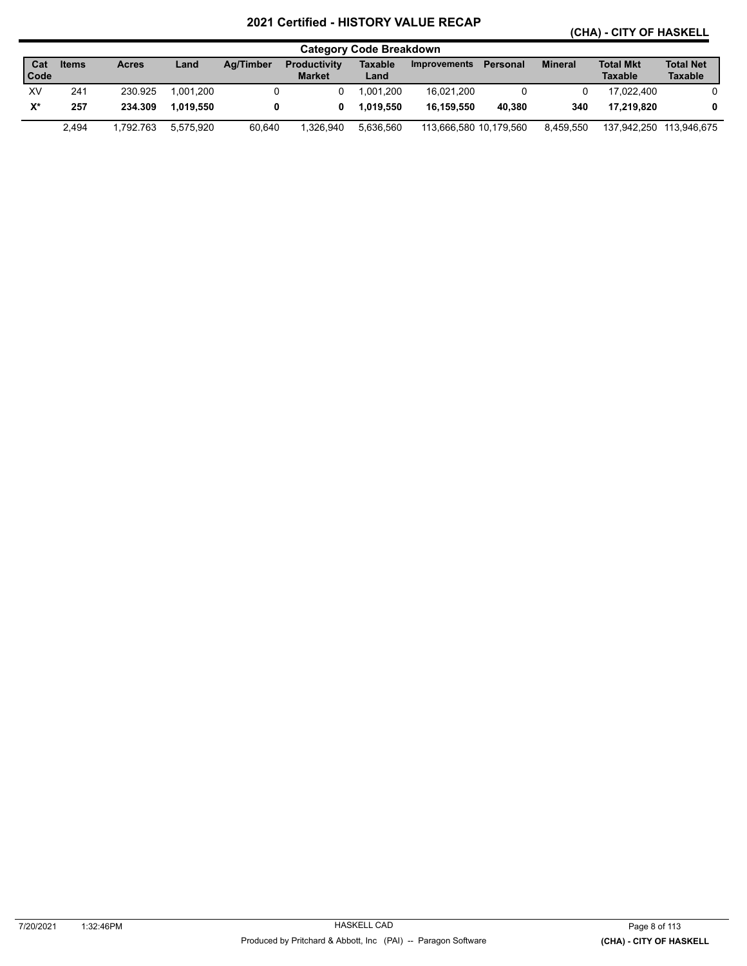**(CHA) - CITY OF HASKELL** 

|             | <b>Category Code Breakdown</b> |              |           |           |                                      |                 |                        |          |                |                                    |                                    |  |  |  |
|-------------|--------------------------------|--------------|-----------|-----------|--------------------------------------|-----------------|------------------------|----------|----------------|------------------------------------|------------------------------------|--|--|--|
| Cat<br>Code | <b>Items</b>                   | <b>Acres</b> | Land      | Ag/Timber | <b>Productivity</b><br><b>Market</b> | Taxable<br>Land | <b>Improvements</b>    | Personal | <b>Mineral</b> | <b>Total Mkt</b><br><b>Taxable</b> | <b>Total Net</b><br><b>Taxable</b> |  |  |  |
| XV          | 241                            | 230.925      | 1.001.200 |           |                                      | .001.200        | 16.021.200             |          |                | 17.022.400                         |                                    |  |  |  |
| X*          | 257                            | 234.309      | 1.019.550 |           | 0                                    | 1.019.550       | 16.159.550             | 40.380   | 340            | 17.219.820                         | 0                                  |  |  |  |
|             | 2.494                          | 1.792.763    | 5.575.920 | 60.640    | 1.326.940                            | 5.636.560       | 113,666,580 10,179,560 |          | 8.459.550      | 137.942.250                        | 113.946.675                        |  |  |  |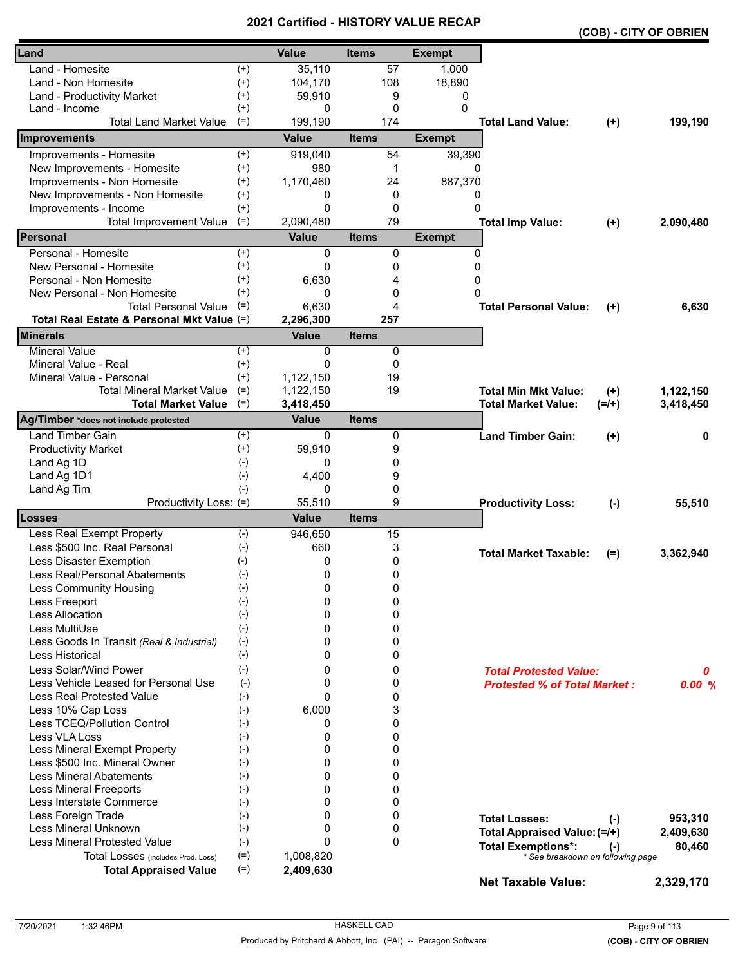|                                            |          |              |              |               |                                     |          | (COB) - CITY OF OBRIEN |
|--------------------------------------------|----------|--------------|--------------|---------------|-------------------------------------|----------|------------------------|
| Land                                       |          | <b>Value</b> | <b>Items</b> | <b>Exempt</b> |                                     |          |                        |
| Land - Homesite                            | $^{(+)}$ | 35,110       | 57           | 1,000         |                                     |          |                        |
| Land - Non Homesite                        | $^{(+)}$ | 104,170      | 108          | 18,890        |                                     |          |                        |
| Land - Productivity Market                 | $^{(+)}$ | 59,910       | 9            | 0             |                                     |          |                        |
| Land - Income                              | $^{(+)}$ | 0            | 0            | 0             |                                     |          |                        |
| <b>Total Land Market Value</b>             | $(=)$    | 199,190      | 174          |               | <b>Total Land Value:</b>            | $(+)$    | 199,190                |
| Improvements                               |          | <b>Value</b> | <b>Items</b> | <b>Exempt</b> |                                     |          |                        |
| Improvements - Homesite                    | $(+)$    | 919,040      | 54           | 39,390        |                                     |          |                        |
| New Improvements - Homesite                | $(+)$    | 980          | 1            | 0             |                                     |          |                        |
| Improvements - Non Homesite                | $^{(+)}$ | 1,170,460    | 24           | 887,370       |                                     |          |                        |
| New Improvements - Non Homesite            | $^{(+)}$ | 0            | 0            | 0             |                                     |          |                        |
| Improvements - Income                      | $^{(+)}$ | 0            | 0            | $\Omega$      |                                     |          |                        |
| <b>Total Improvement Value</b>             | $(=)$    | 2,090,480    | 79           |               | <b>Total Imp Value:</b>             | $(+)$    | 2,090,480              |
| <b>IPersonal</b>                           |          | <b>Value</b> | <b>Items</b> | <b>Exempt</b> |                                     |          |                        |
| Personal - Homesite                        | $^{(+)}$ | 0            | 0            | 0             |                                     |          |                        |
| New Personal - Homesite                    | $^{(+)}$ | 0            | 0            | 0             |                                     |          |                        |
| Personal - Non Homesite                    | $^{(+)}$ | 6,630        | 4            | 0             |                                     |          |                        |
| New Personal - Non Homesite                | $^{(+)}$ | 0            | 0            | $\Omega$      |                                     |          |                        |
| <b>Total Personal Value</b>                | $(=)$    | 6,630        | 4            |               | <b>Total Personal Value:</b>        | $^{(+)}$ | 6,630                  |
| Total Real Estate & Personal Mkt Value (=) |          | 2,296,300    | 257          |               |                                     |          |                        |
| <b>Minerals</b>                            |          | <b>Value</b> | <b>Items</b> |               |                                     |          |                        |
| <b>Mineral Value</b>                       | $(+)$    | 0            | 0            |               |                                     |          |                        |
| Mineral Value - Real                       | $^{(+)}$ | $\Omega$     | 0            |               |                                     |          |                        |
| Mineral Value - Personal                   | $^{(+)}$ | 1,122,150    | 19           |               |                                     |          |                        |
| <b>Total Mineral Market Value</b>          | $(=)$    | 1,122,150    | 19           |               | <b>Total Min Mkt Value:</b>         | $(+)$    | 1,122,150              |
| <b>Total Market Value</b>                  | $(=)$    | 3,418,450    |              |               | <b>Total Market Value:</b>          | $(=/+)$  | 3,418,450              |
| Ag/Timber *does not include protested      |          | <b>Value</b> | <b>Items</b> |               |                                     |          |                        |
| <b>Land Timber Gain</b>                    | $^{(+)}$ | 0            | 0            |               | <b>Land Timber Gain:</b>            | $(+)$    | 0                      |
| <b>Productivity Market</b>                 | $(+)$    | 59,910       | 9            |               |                                     |          |                        |
| Land Ag 1D                                 | $(-)$    | 0            | 0            |               |                                     |          |                        |
| Land Ag 1D1                                | $(-)$    | 4,400        | 9            |               |                                     |          |                        |
| Land Ag Tim                                | $(-)$    | 0            | 0            |               |                                     |          |                        |
| Productivity Loss: (=)                     |          | 55,510       | 9            |               | <b>Productivity Loss:</b>           | $(-)$    | 55,510                 |
| <b>Losses</b>                              |          | <b>Value</b> | <b>Items</b> |               |                                     |          |                        |
| Less Real Exempt Property                  | $(-)$    | 946,650      | 15           |               |                                     |          |                        |
| Less \$500 Inc. Real Personal              | $(-)$    | 660          | 3            |               | <b>Total Market Taxable:</b>        | $(=)$    | 3,362,940              |
| Less Disaster Exemption                    | $(-)$    | 0            | 0            |               |                                     |          |                        |
| Less Real/Personal Abatements              | $(-)$    | 0            | 0            |               |                                     |          |                        |
| <b>Less Community Housing</b>              | $(-)$    | 0            | 0            |               |                                     |          |                        |
| Less Freeport                              | $(-)$    | 0            | 0            |               |                                     |          |                        |
| <b>Less Allocation</b>                     | $(-)$    | $\Omega$     | 0            |               |                                     |          |                        |
| Less MultiUse                              | $(-)$    | 0            | 0            |               |                                     |          |                        |
| Less Goods In Transit (Real & Industrial)  | $(-)$    | 0            | 0            |               |                                     |          |                        |
| Less Historical                            | $(-)$    | 0            | 0            |               |                                     |          |                        |
| Less Solar/Wind Power                      | $(-)$    | 0            | 0            |               | <b>Total Protested Value:</b>       |          | 0                      |
| Less Vehicle Leased for Personal Use       | $(-)$    | 0            | 0            |               | <b>Protested % of Total Market:</b> |          | 0.00%                  |
| Less Real Protested Value                  | $(-)$    | $\Omega$     | 0            |               |                                     |          |                        |
| Less 10% Cap Loss                          | $(-)$    | 6,000        | 3            |               |                                     |          |                        |
| Less TCEQ/Pollution Control                | $(-)$    | 0            | 0            |               |                                     |          |                        |
| Less VLA Loss                              | $(-)$    | 0            | 0            |               |                                     |          |                        |
| Less Mineral Exempt Property               | $(-)$    | 0            | 0            |               |                                     |          |                        |
| Less \$500 Inc. Mineral Owner              | $(-)$    | 0            | 0            |               |                                     |          |                        |
| <b>Less Mineral Abatements</b>             | $(-)$    | $\Omega$     | 0            |               |                                     |          |                        |
| <b>Less Mineral Freeports</b>              | $(-)$    | $\Omega$     | 0            |               |                                     |          |                        |
| Less Interstate Commerce                   | $(-)$    | 0            | $\mathbf{0}$ |               |                                     |          |                        |
| Less Foreign Trade                         | $(-)$    | 0            | 0            |               | <b>Total Losses:</b>                | $(-)$    | 953,310                |
| Less Mineral Unknown                       | $(-)$    | 0            | 0            |               | Total Appraised Value: (=/+)        |          | 2,409,630              |
| <b>Less Mineral Protested Value</b>        | $(-)$    | $\Omega$     | $\mathbf{0}$ |               | <b>Total Exemptions*:</b>           | $(-)$    | 80,460                 |
| Total Losses (includes Prod. Loss)         | $(=)$    | 1,008,820    |              |               | * See breakdown on following page   |          |                        |
| <b>Total Appraised Value</b>               | $(=)$    | 2,409,630    |              |               |                                     |          |                        |
|                                            |          |              |              |               | <b>Net Taxable Value:</b>           |          | 2,329,170              |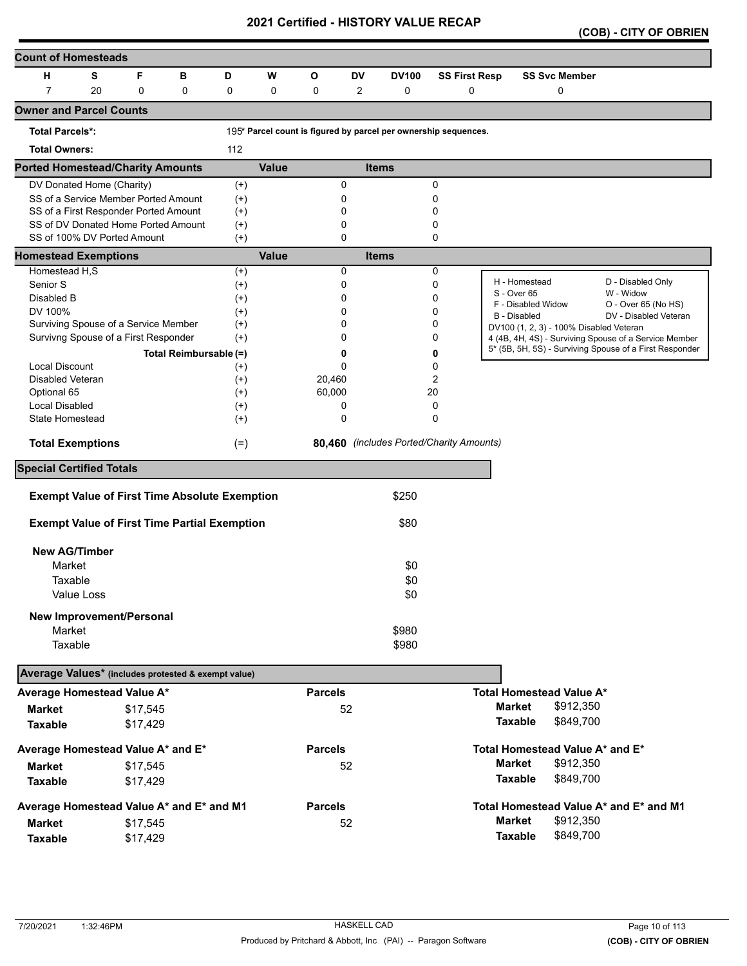|  | (COB) - CITY OF OBRIEN |  |
|--|------------------------|--|
|--|------------------------|--|

| <b>Count of Homesteads</b>                          |            |                                                                    |                        |                      |              |                |                            |                                                                 |                      |                     |                                         |                                                         |
|-----------------------------------------------------|------------|--------------------------------------------------------------------|------------------------|----------------------|--------------|----------------|----------------------------|-----------------------------------------------------------------|----------------------|---------------------|-----------------------------------------|---------------------------------------------------------|
| н                                                   | s          | F                                                                  | в                      | D                    | w            | O              | DV                         | <b>DV100</b>                                                    | <b>SS First Resp</b> |                     | <b>SS Svc Member</b>                    |                                                         |
| $\overline{7}$                                      | 20         | 0                                                                  | 0                      | 0                    | 0            | 0              | 2                          | 0                                                               | 0                    |                     | 0                                       |                                                         |
| <b>Owner and Parcel Counts</b>                      |            |                                                                    |                        |                      |              |                |                            |                                                                 |                      |                     |                                         |                                                         |
| <b>Total Parcels*:</b>                              |            |                                                                    |                        |                      |              |                |                            | 195* Parcel count is figured by parcel per ownership sequences. |                      |                     |                                         |                                                         |
| <b>Total Owners:</b>                                |            |                                                                    |                        | 112                  |              |                |                            |                                                                 |                      |                     |                                         |                                                         |
| <b>Ported Homestead/Charity Amounts</b>             |            |                                                                    |                        |                      | <b>Value</b> |                |                            | <b>Items</b>                                                    |                      |                     |                                         |                                                         |
| DV Donated Home (Charity)                           |            |                                                                    |                        | $^{(+)}$             |              |                | 0                          |                                                                 | 0                    |                     |                                         |                                                         |
|                                                     |            | SS of a Service Member Ported Amount                               |                        | $(+)$                |              |                | 0                          |                                                                 | 0                    |                     |                                         |                                                         |
|                                                     |            | SS of a First Responder Ported Amount                              |                        | $^{(+)}$             |              |                | 0                          |                                                                 | 0                    |                     |                                         |                                                         |
|                                                     |            | SS of DV Donated Home Ported Amount<br>SS of 100% DV Ported Amount |                        | $^{(+)}$             |              |                | $\mathbf 0$<br>$\mathbf 0$ |                                                                 | 0<br>0               |                     |                                         |                                                         |
|                                                     |            |                                                                    |                        | $(+)$                | Value        |                |                            |                                                                 |                      |                     |                                         |                                                         |
| <b>Homestead Exemptions</b><br>Homestead H,S        |            |                                                                    |                        | $^{(+)}$             |              |                | $\mathbf 0$                | <b>Items</b>                                                    | 0                    |                     |                                         |                                                         |
| Senior S                                            |            |                                                                    |                        | $^{(+)}$             |              |                | 0                          |                                                                 | 0                    |                     | H - Homestead                           | D - Disabled Only                                       |
| Disabled B                                          |            |                                                                    |                        | $^{(+)}$             |              |                | 0                          |                                                                 | 0                    | S - Over 65         |                                         | W - Widow                                               |
| DV 100%                                             |            |                                                                    |                        | $^{(+)}$             |              |                | 0                          |                                                                 | 0                    | <b>B</b> - Disabled | F - Disabled Widow                      | O - Over 65 (No HS)<br>DV - Disabled Veteran            |
|                                                     |            | Surviving Spouse of a Service Member                               |                        | $^{(+)}$             |              |                | $\Omega$                   |                                                                 | 0                    |                     | DV100 (1, 2, 3) - 100% Disabled Veteran |                                                         |
|                                                     |            | Survivng Spouse of a First Responder                               |                        | $^{(+)}$             |              |                | 0                          |                                                                 | 0                    |                     |                                         | 4 (4B, 4H, 4S) - Surviving Spouse of a Service Member   |
|                                                     |            |                                                                    | Total Reimbursable (=) |                      |              |                | 0                          |                                                                 | 0                    |                     |                                         | 5* (5B, 5H, 5S) - Surviving Spouse of a First Responder |
| <b>Local Discount</b>                               |            |                                                                    |                        | $^{(+)}$             |              |                | $\mathbf 0$                |                                                                 | 0                    |                     |                                         |                                                         |
| Disabled Veteran                                    |            |                                                                    |                        | $^{(+)}$             |              | 20,460         |                            |                                                                 | 2                    |                     |                                         |                                                         |
| Optional 65<br><b>Local Disabled</b>                |            |                                                                    |                        | $^{(+)}$             |              | 60,000         | 0                          |                                                                 | 20<br>0              |                     |                                         |                                                         |
| State Homestead                                     |            |                                                                    |                        | $^{(+)}$<br>$^{(+)}$ |              |                | 0                          |                                                                 | 0                    |                     |                                         |                                                         |
|                                                     |            |                                                                    |                        |                      |              |                |                            |                                                                 |                      |                     |                                         |                                                         |
| <b>Total Exemptions</b>                             |            |                                                                    |                        | $(=)$                |              |                |                            | 80,460 (includes Ported/Charity Amounts)                        |                      |                     |                                         |                                                         |
| <b>Special Certified Totals</b>                     |            |                                                                    |                        |                      |              |                |                            |                                                                 |                      |                     |                                         |                                                         |
|                                                     |            | <b>Exempt Value of First Time Absolute Exemption</b>               |                        |                      |              |                |                            | \$250                                                           |                      |                     |                                         |                                                         |
|                                                     |            | <b>Exempt Value of First Time Partial Exemption</b>                |                        |                      |              |                |                            | \$80                                                            |                      |                     |                                         |                                                         |
| <b>New AG/Timber</b>                                |            |                                                                    |                        |                      |              |                |                            |                                                                 |                      |                     |                                         |                                                         |
| Market                                              |            |                                                                    |                        |                      |              |                |                            | \$0                                                             |                      |                     |                                         |                                                         |
| Taxable                                             |            |                                                                    |                        |                      |              |                |                            | \$0                                                             |                      |                     |                                         |                                                         |
|                                                     | Value Loss |                                                                    |                        |                      |              |                |                            | \$0                                                             |                      |                     |                                         |                                                         |
|                                                     |            |                                                                    |                        |                      |              |                |                            |                                                                 |                      |                     |                                         |                                                         |
|                                                     |            | New Improvement/Personal                                           |                        |                      |              |                |                            |                                                                 |                      |                     |                                         |                                                         |
| Market<br>Taxable                                   |            |                                                                    |                        |                      |              |                |                            | \$980<br>\$980                                                  |                      |                     |                                         |                                                         |
|                                                     |            |                                                                    |                        |                      |              |                |                            |                                                                 |                      |                     |                                         |                                                         |
| Average Values* (includes protested & exempt value) |            |                                                                    |                        |                      |              |                |                            |                                                                 |                      |                     |                                         |                                                         |
| Average Homestead Value A*                          |            |                                                                    |                        |                      |              | <b>Parcels</b> |                            |                                                                 |                      |                     | <b>Total Homestead Value A*</b>         |                                                         |
| <b>Market</b>                                       |            | \$17,545                                                           |                        |                      |              |                | 52                         |                                                                 |                      | <b>Market</b>       | \$912,350                               |                                                         |
| <b>Taxable</b>                                      |            | \$17,429                                                           |                        |                      |              |                |                            |                                                                 |                      | <b>Taxable</b>      | \$849,700                               |                                                         |
| Average Homestead Value A* and E*                   |            |                                                                    |                        |                      |              | <b>Parcels</b> |                            |                                                                 |                      |                     | Total Homestead Value A* and E*         |                                                         |
| <b>Market</b>                                       |            | \$17,545                                                           |                        |                      |              |                | 52                         |                                                                 |                      | <b>Market</b>       | \$912,350                               |                                                         |
| <b>Taxable</b>                                      |            | \$17,429                                                           |                        |                      |              |                |                            |                                                                 |                      | <b>Taxable</b>      | \$849,700                               |                                                         |
| Average Homestead Value A* and E* and M1            |            |                                                                    |                        |                      |              | <b>Parcels</b> |                            |                                                                 |                      |                     |                                         | Total Homestead Value A* and E* and M1                  |
| <b>Market</b>                                       |            | \$17,545                                                           |                        |                      |              |                | 52                         |                                                                 |                      | <b>Market</b>       | \$912,350                               |                                                         |
| <b>Taxable</b>                                      |            | \$17,429                                                           |                        |                      |              |                |                            |                                                                 |                      | <b>Taxable</b>      | \$849,700                               |                                                         |
|                                                     |            |                                                                    |                        |                      |              |                |                            |                                                                 |                      |                     |                                         |                                                         |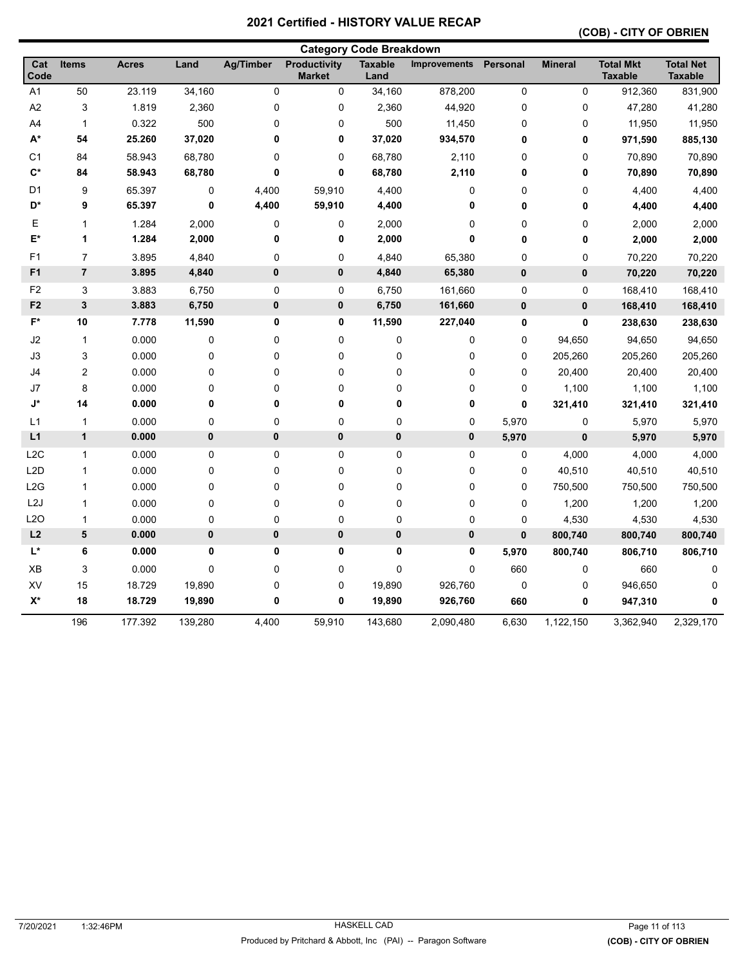# **(COB) - CITY OF OBRIEN**

|                    |                         |              |         |                  |                                      | <b>Category Code Breakdown</b> |                     |             |                |                                    |                                    |
|--------------------|-------------------------|--------------|---------|------------------|--------------------------------------|--------------------------------|---------------------|-------------|----------------|------------------------------------|------------------------------------|
| Cat<br>Code        | <b>Items</b>            | <b>Acres</b> | Land    | <b>Ag/Timber</b> | <b>Productivity</b><br><b>Market</b> | <b>Taxable</b><br>Land         | <b>Improvements</b> | Personal    | <b>Mineral</b> | <b>Total Mkt</b><br><b>Taxable</b> | <b>Total Net</b><br><b>Taxable</b> |
| A1                 | 50                      | 23.119       | 34,160  | 0                | 0                                    | 34,160                         | 878,200             | $\pmb{0}$   | $\pmb{0}$      | 912,360                            | 831,900                            |
| A <sub>2</sub>     | 3                       | 1.819        | 2,360   | 0                | 0                                    | 2,360                          | 44,920              | $\mathbf 0$ | 0              | 47,280                             | 41,280                             |
| A4                 | 1                       | 0.322        | 500     | 0                | 0                                    | 500                            | 11,450              | $\pmb{0}$   | $\pmb{0}$      | 11,950                             | 11,950                             |
| $\mathsf{A}^\star$ | 54                      | 25.260       | 37,020  | 0                | 0                                    | 37,020                         | 934,570             | 0           | 0              | 971,590                            | 885,130                            |
| C <sub>1</sub>     | 84                      | 58.943       | 68,780  | 0                | 0                                    | 68,780                         | 2,110               | 0           | 0              | 70,890                             | 70,890                             |
| $C^*$              | 84                      | 58.943       | 68,780  | 0                | 0                                    | 68,780                         | 2,110               | 0           | 0              | 70,890                             | 70,890                             |
| D <sub>1</sub>     | 9                       | 65.397       | 0       | 4,400            | 59,910                               | 4,400                          | 0                   | 0           | 0              | 4,400                              | 4,400                              |
| D*                 | 9                       | 65.397       | 0       | 4,400            | 59,910                               | 4,400                          | 0                   | 0           | $\pmb{0}$      | 4,400                              | 4,400                              |
| Е                  | 1                       | 1.284        | 2,000   | 0                | 0                                    | 2,000                          | 0                   | $\mathbf 0$ | $\mathbf 0$    | 2,000                              | 2,000                              |
| E*                 | 1                       | 1.284        | 2,000   | 0                | 0                                    | 2,000                          | 0                   | 0           | 0              | 2,000                              | 2,000                              |
| F <sub>1</sub>     | $\overline{7}$          | 3.895        | 4,840   | $\mathsf 0$      | 0                                    | 4,840                          | 65,380              | $\mathbf 0$ | $\pmb{0}$      | 70,220                             | 70,220                             |
| F <sub>1</sub>     | $\overline{7}$          | 3.895        | 4,840   | 0                | $\mathbf 0$                          | 4,840                          | 65,380              | 0           | 0              | 70,220                             | 70,220                             |
| F <sub>2</sub>     | 3                       | 3.883        | 6,750   | 0                | 0                                    | 6,750                          | 161,660             | $\mathbf 0$ | $\mathbf 0$    | 168,410                            | 168,410                            |
| F <sub>2</sub>     | $\mathbf 3$             | 3.883        | 6,750   | 0                | 0                                    | 6,750                          | 161,660             | $\pmb{0}$   | 0              | 168,410                            | 168,410                            |
| F*                 | 10                      | 7.778        | 11,590  | 0                | 0                                    | 11,590                         | 227,040             | $\pmb{0}$   | 0              | 238,630                            | 238,630                            |
| J2                 | $\mathbf{1}$            | 0.000        | 0       | 0                | 0                                    | 0                              | 0                   | $\pmb{0}$   | 94,650         | 94,650                             | 94,650                             |
| J3                 | 3                       | 0.000        | 0       | 0                | 0                                    | 0                              | 0                   | $\mathbf 0$ | 205,260        | 205,260                            | 205,260                            |
| J4                 | $\overline{\mathbf{c}}$ | 0.000        | 0       | 0                | 0                                    | 0                              | 0                   | $\pmb{0}$   | 20,400         | 20,400                             | 20,400                             |
| J7                 | 8                       | 0.000        | 0       | $\mathbf 0$      | 0                                    | 0                              | 0                   | $\pmb{0}$   | 1,100          | 1,100                              | 1,100                              |
| J*                 | 14                      | 0.000        | 0       | 0                | 0                                    | 0                              | 0                   | $\mathbf 0$ | 321,410        | 321,410                            | 321,410                            |
| L1                 | $\mathbf{1}$            | 0.000        | 0       | 0                | 0                                    | 0                              | 0                   | 5,970       | $\pmb{0}$      | 5,970                              | 5,970                              |
| L1                 | $\mathbf{1}$            | 0.000        | 0       | 0                | $\bf{0}$                             | $\pmb{0}$                      | $\pmb{0}$           | 5,970       | 0              | 5,970                              | 5,970                              |
| L2C                | $\mathbf{1}$            | 0.000        | 0       | 0                | 0                                    | 0                              | 0                   | 0           | 4,000          | 4,000                              | 4,000                              |
| L <sub>2</sub> D   | $\mathbf{1}$            | 0.000        | 0       | 0                | 0                                    | 0                              | 0                   | 0           | 40,510         | 40,510                             | 40,510                             |
| L2G                | $\mathbf 1$             | 0.000        | 0       | 0                | 0                                    | 0                              | 0                   | 0           | 750,500        | 750,500                            | 750,500                            |
| L <sub>2</sub> J   | $\mathbf{1}$            | 0.000        | 0       | 0                | $\pmb{0}$                            | 0                              | $\pmb{0}$           | $\pmb{0}$   | 1,200          | 1,200                              | 1,200                              |
| L2O                | 1                       | 0.000        | 0       | 0                | 0                                    | 0                              | 0                   | 0           | 4,530          | 4,530                              | 4,530                              |
| L2                 | 5                       | 0.000        | 0       | $\pmb{0}$        | $\bf{0}$                             | $\pmb{0}$                      | 0                   | $\bf{0}$    | 800,740        | 800,740                            | 800,740                            |
| $L^*$              | 6                       | 0.000        | 0       | 0                | 0                                    | 0                              | 0                   | 5,970       | 800,740        | 806,710                            | 806,710                            |
| XB                 | 3                       | 0.000        | 0       | 0                | 0                                    | 0                              | 0                   | 660         | $\pmb{0}$      | 660                                | 0                                  |
| XV                 | 15                      | 18.729       | 19,890  | 0                | 0                                    | 19,890                         | 926,760             | $\pmb{0}$   | 0              | 946,650                            | 0                                  |
| X*                 | 18                      | 18.729       | 19,890  | 0                | 0                                    | 19,890                         | 926,760             | 660         | 0              | 947,310                            | 0                                  |
|                    | 196                     | 177.392      | 139,280 | 4,400            | 59,910                               | 143,680                        | 2,090,480           | 6,630       | 1,122,150      | 3,362,940                          | 2,329,170                          |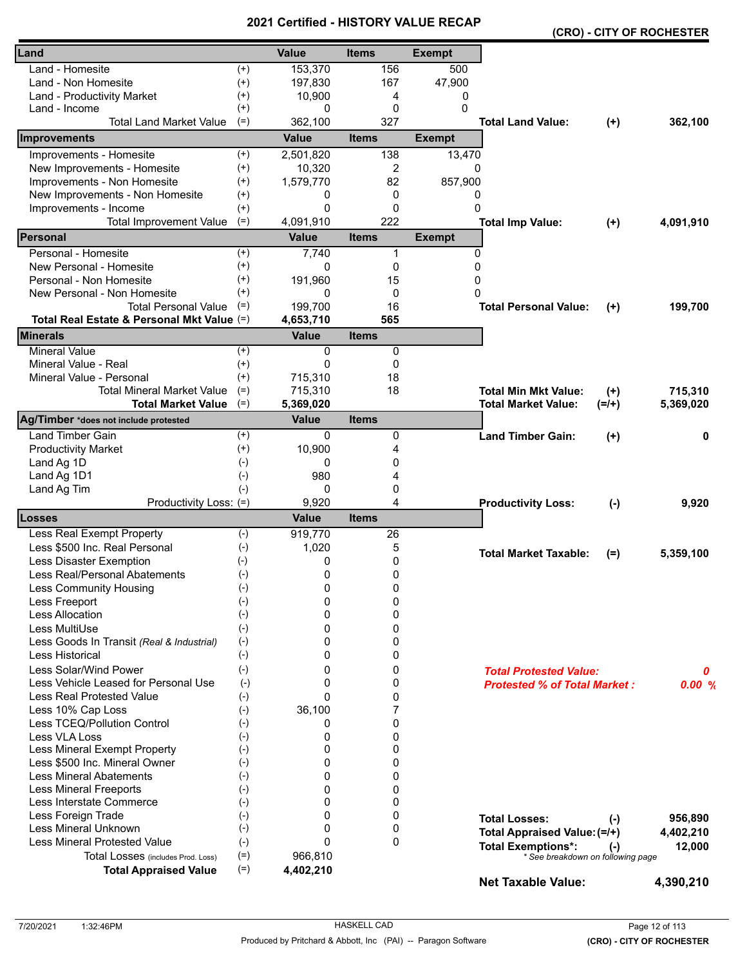|                                            |          |              | - טוו        |               |                                     |          | (CRO) - CITY OF ROCHESTER |
|--------------------------------------------|----------|--------------|--------------|---------------|-------------------------------------|----------|---------------------------|
| Land                                       |          | <b>Value</b> | <b>Items</b> | <b>Exempt</b> |                                     |          |                           |
| Land - Homesite                            | $^{(+)}$ | 153,370      | 156          | 500           |                                     |          |                           |
| Land - Non Homesite                        | $^{(+)}$ | 197,830      | 167          | 47,900        |                                     |          |                           |
| Land - Productivity Market                 | $^{(+)}$ | 10,900       | 4            | 0             |                                     |          |                           |
| Land - Income                              | $^{(+)}$ | 0            | $\mathbf 0$  | 0             |                                     |          |                           |
| <b>Total Land Market Value</b>             | $(=)$    | 362,100      | 327          |               | <b>Total Land Value:</b>            | $(+)$    | 362,100                   |
| Improvements                               |          | <b>Value</b> | <b>Items</b> | <b>Exempt</b> |                                     |          |                           |
| Improvements - Homesite                    | $^{(+)}$ | 2,501,820    | 138          | 13,470        |                                     |          |                           |
| New Improvements - Homesite                | $^{(+)}$ | 10,320       | 2            | $\Omega$      |                                     |          |                           |
| Improvements - Non Homesite                | $^{(+)}$ | 1,579,770    | 82           | 857,900       |                                     |          |                           |
| New Improvements - Non Homesite            | $^{(+)}$ | 0            | 0            | 0             |                                     |          |                           |
| Improvements - Income                      | $^{(+)}$ | 0            | $\Omega$     | $\Omega$      |                                     |          |                           |
| <b>Total Improvement Value</b>             | $(=)$    | 4,091,910    | 222          |               | <b>Total Imp Value:</b>             | $(+)$    | 4,091,910                 |
| <b>IPersonal</b>                           |          | <b>Value</b> | <b>Items</b> | <b>Exempt</b> |                                     |          |                           |
| Personal - Homesite                        | $^{(+)}$ | 7,740        | 1            | 0             |                                     |          |                           |
| New Personal - Homesite                    | $^{(+)}$ | 0            | 0            | $\mathbf 0$   |                                     |          |                           |
| Personal - Non Homesite                    | $^{(+)}$ | 191,960      | 15           | 0             |                                     |          |                           |
| New Personal - Non Homesite                | $(+)$    | 0            | 0            | O             |                                     |          |                           |
| <b>Total Personal Value</b>                | $(=)$    | 199,700      | 16           |               | <b>Total Personal Value:</b>        | $^{(+)}$ | 199,700                   |
| Total Real Estate & Personal Mkt Value (=) |          | 4,653,710    | 565          |               |                                     |          |                           |
| <b>Minerals</b>                            |          | <b>Value</b> | <b>Items</b> |               |                                     |          |                           |
| <b>Mineral Value</b>                       | $(+)$    | $\Omega$     | 0            |               |                                     |          |                           |
| Mineral Value - Real                       | $^{(+)}$ | $\Omega$     | 0            |               |                                     |          |                           |
| Mineral Value - Personal                   | $^{(+)}$ | 715,310      | 18           |               |                                     |          |                           |
| <b>Total Mineral Market Value</b>          | $(=)$    | 715,310      | 18           |               | <b>Total Min Mkt Value:</b>         | $(+)$    | 715,310                   |
| <b>Total Market Value</b>                  | $(=)$    | 5,369,020    |              |               | <b>Total Market Value:</b>          | $(=/+)$  | 5,369,020                 |
| Ag/Timber *does not include protested      |          | <b>Value</b> | <b>Items</b> |               |                                     |          |                           |
| <b>Land Timber Gain</b>                    | $^{(+)}$ | 0            | 0            |               | <b>Land Timber Gain:</b>            | $^{(+)}$ | 0                         |
| <b>Productivity Market</b>                 | $^{(+)}$ | 10,900       | 4            |               |                                     |          |                           |
| Land Ag 1D                                 | $(-)$    | 0            | 0            |               |                                     |          |                           |
| Land Ag 1D1                                | $(-)$    | 980          | 4            |               |                                     |          |                           |
| Land Ag Tim                                | $(-)$    | 0            | 0            |               |                                     |          |                           |
| Productivity Loss: (=)                     |          | 9,920        | 4            |               | <b>Productivity Loss:</b>           | $(-)$    | 9,920                     |
| <b>Losses</b>                              |          | <b>Value</b> | <b>Items</b> |               |                                     |          |                           |
| Less Real Exempt Property                  | $(-)$    | 919,770      | 26           |               |                                     |          |                           |
| Less \$500 Inc. Real Personal              | $(-)$    | 1,020        | 5            |               | <b>Total Market Taxable:</b>        | $(=)$    | 5,359,100                 |
| Less Disaster Exemption                    | $(-)$    | 0            | 0            |               |                                     |          |                           |
| Less Real/Personal Abatements              | $(-)$    | 0            | 0            |               |                                     |          |                           |
| <b>Less Community Housing</b>              | $(-)$    | 0            | 0            |               |                                     |          |                           |
| Less Freeport                              | $(-)$    | 0            | 0            |               |                                     |          |                           |
| <b>Less Allocation</b>                     | $(-)$    | 0            | 0            |               |                                     |          |                           |
| Less MultiUse                              | $(-)$    | 0            | 0            |               |                                     |          |                           |
| Less Goods In Transit (Real & Industrial)  | $(-)$    | 0            | 0            |               |                                     |          |                           |
| Less Historical                            | $(-)$    | 0            | 0            |               |                                     |          |                           |
| Less Solar/Wind Power                      | $(-)$    | 0            | 0            |               | <b>Total Protested Value:</b>       |          | 0                         |
| Less Vehicle Leased for Personal Use       | $(-)$    | 0            | 0            |               | <b>Protested % of Total Market:</b> |          | 0.00%                     |
| <b>Less Real Protested Value</b>           | $(-)$    | $\Omega$     | 0            |               |                                     |          |                           |
| Less 10% Cap Loss                          | $(-)$    | 36,100       | 7            |               |                                     |          |                           |
| Less TCEQ/Pollution Control                | $(-)$    | 0            | 0            |               |                                     |          |                           |
| Less VLA Loss                              | $(-)$    | 0            | 0            |               |                                     |          |                           |
| Less Mineral Exempt Property               | $(-)$    | 0            | 0            |               |                                     |          |                           |
| Less \$500 Inc. Mineral Owner              | $(-)$    | 0            | 0            |               |                                     |          |                           |
| <b>Less Mineral Abatements</b>             | $(-)$    | $\Omega$     | 0            |               |                                     |          |                           |
| <b>Less Mineral Freeports</b>              | $(-)$    | 0            | 0            |               |                                     |          |                           |
| Less Interstate Commerce                   | $(-)$    | 0            | 0            |               |                                     |          |                           |
| Less Foreign Trade                         | $(-)$    | 0            | 0            |               | <b>Total Losses:</b>                | $(-)$    | 956,890                   |
| Less Mineral Unknown                       | $(-)$    | 0            | 0            |               | Total Appraised Value: (=/+)        |          | 4,402,210                 |
| <b>Less Mineral Protested Value</b>        | $(-)$    | $\Omega$     | $\mathbf{0}$ |               | <b>Total Exemptions*:</b>           | $(-)$    | 12,000                    |
| Total Losses (includes Prod. Loss)         | $(=)$    | 966,810      |              |               | * See breakdown on following page   |          |                           |
| <b>Total Appraised Value</b>               | $(=)$    | 4,402,210    |              |               | <b>Net Taxable Value:</b>           |          | 4,390,210                 |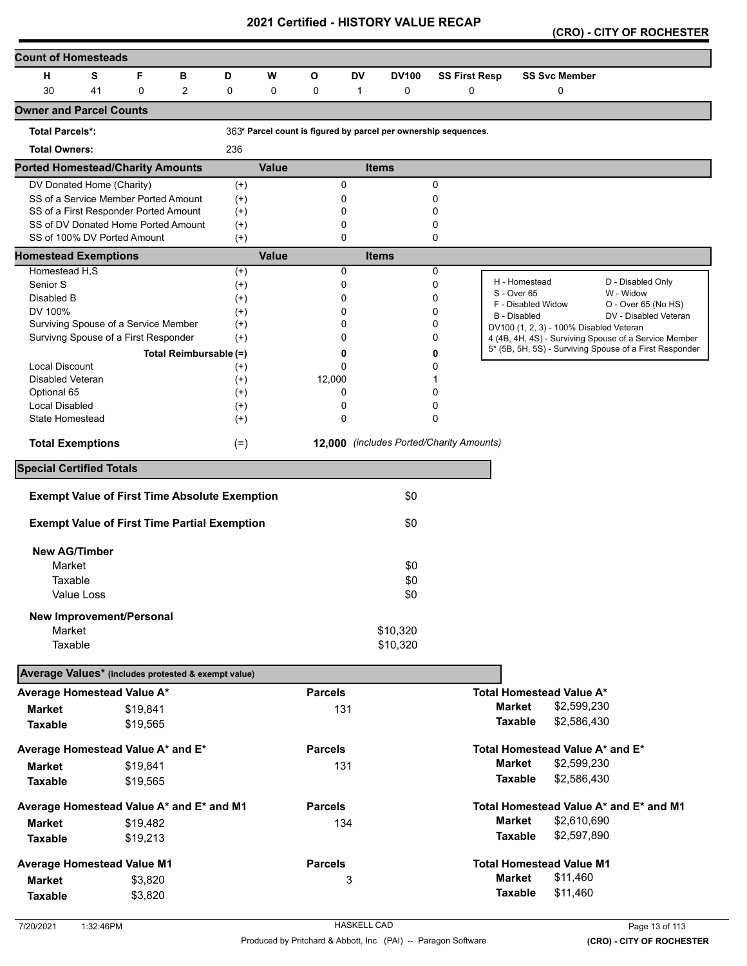**(CRO) - CITY OF ROCHESTER** 

| <b>Count of Homesteads</b>                                         |            |          |                        |          |              |                |               |                                                                 |                      |                     |                                         |                                                         |
|--------------------------------------------------------------------|------------|----------|------------------------|----------|--------------|----------------|---------------|-----------------------------------------------------------------|----------------------|---------------------|-----------------------------------------|---------------------------------------------------------|
| н                                                                  | S          | F        | в                      | D        | W            | O              | <b>DV</b>     | <b>DV100</b>                                                    | <b>SS First Resp</b> |                     | <b>SS Svc Member</b>                    |                                                         |
| 30                                                                 | 41         | 0        | $\overline{2}$         | 0        | $\mathbf 0$  | 0              | $\mathbf{1}$  | 0                                                               | $\mathbf 0$          |                     | 0                                       |                                                         |
| <b>Owner and Parcel Counts</b>                                     |            |          |                        |          |              |                |               |                                                                 |                      |                     |                                         |                                                         |
| <b>Total Parcels*:</b>                                             |            |          |                        |          |              |                |               | 363* Parcel count is figured by parcel per ownership sequences. |                      |                     |                                         |                                                         |
| <b>Total Owners:</b>                                               |            |          |                        | 236      |              |                |               |                                                                 |                      |                     |                                         |                                                         |
| <b>Ported Homestead/Charity Amounts</b>                            |            |          |                        |          | <b>Value</b> |                |               | <b>Items</b>                                                    |                      |                     |                                         |                                                         |
| DV Donated Home (Charity)                                          |            |          |                        | $(+)$    |              |                | 0             |                                                                 | 0                    |                     |                                         |                                                         |
| SS of a Service Member Ported Amount                               |            |          |                        | $^{(+)}$ |              |                | 0             |                                                                 | 0                    |                     |                                         |                                                         |
| SS of a First Responder Ported Amount                              |            |          |                        | $^{(+)}$ |              |                | 0             |                                                                 | 0                    |                     |                                         |                                                         |
| SS of DV Donated Home Ported Amount<br>SS of 100% DV Ported Amount |            |          |                        | $^{(+)}$ |              |                | 0<br>$\Omega$ |                                                                 | 0<br>0               |                     |                                         |                                                         |
| <b>Homestead Exemptions</b>                                        |            |          |                        | $(+)$    | <b>Value</b> |                |               | <b>Items</b>                                                    |                      |                     |                                         |                                                         |
| Homestead H,S                                                      |            |          |                        | $^{(+)}$ |              |                | 0             |                                                                 | 0                    |                     |                                         |                                                         |
| Senior S                                                           |            |          |                        | $^{(+)}$ |              |                | 0             |                                                                 | 0                    |                     | H - Homestead                           | D - Disabled Only                                       |
| Disabled B                                                         |            |          |                        | $^{(+)}$ |              |                | 0             |                                                                 | 0                    | S - Over 65         |                                         | W - Widow                                               |
| DV 100%                                                            |            |          |                        | $^{(+)}$ |              |                | 0             |                                                                 | 0                    |                     | F - Disabled Widow                      | O - Over 65 (No HS)                                     |
| Surviving Spouse of a Service Member                               |            |          |                        | $^{(+)}$ |              |                | 0             |                                                                 | 0                    | <b>B</b> - Disabled | DV100 (1, 2, 3) - 100% Disabled Veteran | DV - Disabled Veteran                                   |
| Survivng Spouse of a First Responder                               |            |          |                        | $^{(+)}$ |              |                | 0             |                                                                 | 0                    |                     |                                         | 4 (4B, 4H, 4S) - Surviving Spouse of a Service Member   |
|                                                                    |            |          | Total Reimbursable (=) |          |              |                | 0             |                                                                 | 0                    |                     |                                         | 5* (5B, 5H, 5S) - Surviving Spouse of a First Responder |
| <b>Local Discount</b>                                              |            |          |                        | $^{(+)}$ |              |                | 0             |                                                                 | 0                    |                     |                                         |                                                         |
| Disabled Veteran                                                   |            |          |                        | $^{(+)}$ |              | 12,000         |               |                                                                 |                      |                     |                                         |                                                         |
| Optional 65                                                        |            |          |                        | $^{(+)}$ |              |                | 0             |                                                                 | 0                    |                     |                                         |                                                         |
| Local Disabled                                                     |            |          |                        | $^{(+)}$ |              |                | 0             |                                                                 | 0                    |                     |                                         |                                                         |
| State Homestead                                                    |            |          |                        | $^{(+)}$ |              |                | 0             |                                                                 | 0                    |                     |                                         |                                                         |
| <b>Total Exemptions</b>                                            |            |          |                        | $(=)$    |              |                |               | 12,000 (includes Ported/Charity Amounts)                        |                      |                     |                                         |                                                         |
| <b>Special Certified Totals</b>                                    |            |          |                        |          |              |                |               |                                                                 |                      |                     |                                         |                                                         |
| <b>Exempt Value of First Time Absolute Exemption</b>               |            |          |                        |          |              |                |               | \$0                                                             |                      |                     |                                         |                                                         |
| <b>Exempt Value of First Time Partial Exemption</b>                |            |          |                        |          |              |                |               | \$0                                                             |                      |                     |                                         |                                                         |
|                                                                    |            |          |                        |          |              |                |               |                                                                 |                      |                     |                                         |                                                         |
| <b>New AG/Timber</b>                                               |            |          |                        |          |              |                |               |                                                                 |                      |                     |                                         |                                                         |
| Market                                                             |            |          |                        |          |              |                |               | \$0                                                             |                      |                     |                                         |                                                         |
| Taxable                                                            |            |          |                        |          |              |                |               | \$0                                                             |                      |                     |                                         |                                                         |
|                                                                    | Value Loss |          |                        |          |              |                |               | \$0                                                             |                      |                     |                                         |                                                         |
| <b>New Improvement/Personal</b>                                    |            |          |                        |          |              |                |               |                                                                 |                      |                     |                                         |                                                         |
| Market                                                             |            |          |                        |          |              |                |               | \$10,320                                                        |                      |                     |                                         |                                                         |
| Taxable                                                            |            |          |                        |          |              |                |               | \$10,320                                                        |                      |                     |                                         |                                                         |
| Average Values* (includes protested & exempt value)                |            |          |                        |          |              |                |               |                                                                 |                      |                     |                                         |                                                         |
| Average Homestead Value A*                                         |            |          |                        |          |              | <b>Parcels</b> |               |                                                                 |                      |                     | <b>Total Homestead Value A*</b>         |                                                         |
|                                                                    |            |          |                        |          |              |                |               |                                                                 |                      | <b>Market</b>       | \$2,599,230                             |                                                         |
| <b>Market</b>                                                      |            | \$19,841 |                        |          |              | 131            |               |                                                                 |                      |                     | \$2,586,430                             |                                                         |
| <b>Taxable</b>                                                     |            | \$19,565 |                        |          |              |                |               |                                                                 |                      | <b>Taxable</b>      |                                         |                                                         |
| Average Homestead Value A* and E*                                  |            |          |                        |          |              | <b>Parcels</b> |               |                                                                 |                      |                     | Total Homestead Value A* and E*         |                                                         |
| <b>Market</b>                                                      |            | \$19,841 |                        |          |              | 131            |               |                                                                 |                      | <b>Market</b>       | \$2,599,230                             |                                                         |
| <b>Taxable</b>                                                     |            | \$19,565 |                        |          |              |                |               |                                                                 |                      | <b>Taxable</b>      | \$2,586,430                             |                                                         |
| Average Homestead Value A* and E* and M1                           |            |          |                        |          |              | <b>Parcels</b> |               |                                                                 |                      |                     |                                         | Total Homestead Value A* and E* and M1                  |
| <b>Market</b>                                                      |            | \$19,482 |                        |          |              |                | 134           |                                                                 |                      | <b>Market</b>       | \$2,610,690                             |                                                         |
| <b>Taxable</b>                                                     |            | \$19,213 |                        |          |              |                |               |                                                                 |                      | <b>Taxable</b>      | \$2,597,890                             |                                                         |
|                                                                    |            |          |                        |          |              | <b>Parcels</b> |               |                                                                 |                      |                     | <b>Total Homestead Value M1</b>         |                                                         |
| <b>Average Homestead Value M1</b>                                  |            |          |                        |          |              |                |               |                                                                 |                      | <b>Market</b>       | \$11,460                                |                                                         |
| <b>Market</b>                                                      |            | \$3,820  |                        |          |              |                | 3             |                                                                 |                      |                     |                                         |                                                         |
| <b>Taxable</b>                                                     |            | \$3,820  |                        |          |              |                |               |                                                                 |                      | <b>Taxable</b>      | \$11,460                                |                                                         |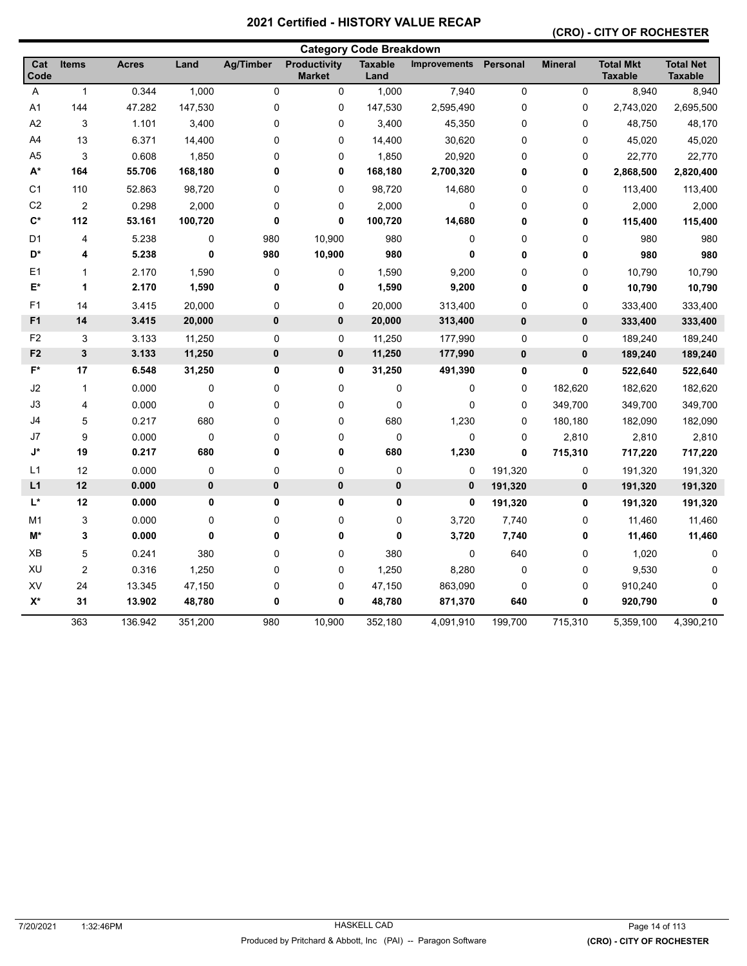#### **(CRO) - CITY OF ROCHESTER**

| <b>Category Code Breakdown</b> |                           |              |         |                  |                                      |                        |                     |                 |                |                                    |                                    |
|--------------------------------|---------------------------|--------------|---------|------------------|--------------------------------------|------------------------|---------------------|-----------------|----------------|------------------------------------|------------------------------------|
| Cat<br>Code                    | <b>Items</b>              | <b>Acres</b> | Land    | <b>Ag/Timber</b> | <b>Productivity</b><br><b>Market</b> | <b>Taxable</b><br>Land | <b>Improvements</b> | <b>Personal</b> | <b>Mineral</b> | <b>Total Mkt</b><br><b>Taxable</b> | <b>Total Net</b><br><b>Taxable</b> |
| Α                              | $\mathbf{1}$              | 0.344        | 1,000   | 0                | 0                                    | 1,000                  | 7,940               | $\mathbf 0$     | $\mathbf 0$    | 8,940                              | 8,940                              |
| A1                             | 144                       | 47.282       | 147,530 | 0                | 0                                    | 147,530                | 2,595,490           | $\pmb{0}$       | 0              | 2,743,020                          | 2,695,500                          |
| A2                             | 3                         | 1.101        | 3,400   | 0                | 0                                    | 3,400                  | 45,350              | $\pmb{0}$       | 0              | 48,750                             | 48,170                             |
| A4                             | 13                        | 6.371        | 14,400  | 0                | 0                                    | 14,400                 | 30,620              | $\mathbf 0$     | 0              | 45,020                             | 45,020                             |
| A <sub>5</sub>                 | 3                         | 0.608        | 1,850   | 0                | 0                                    | 1,850                  | 20,920              | $\mathbf 0$     | 0              | 22,770                             | 22,770                             |
| A*                             | 164                       | 55.706       | 168,180 | 0                | 0                                    | 168,180                | 2,700,320           | 0               | 0              | 2,868,500                          | 2,820,400                          |
| C <sub>1</sub>                 | 110                       | 52.863       | 98,720  | 0                | 0                                    | 98,720                 | 14,680              | $\pmb{0}$       | 0              | 113,400                            | 113,400                            |
| C <sub>2</sub>                 | $\overline{2}$            | 0.298        | 2,000   | 0                | 0                                    | 2,000                  | 0                   | $\mathbf 0$     | 0              | 2,000                              | 2,000                              |
| $\mathbf{C}^*$                 | 112                       | 53.161       | 100,720 | 0                | $\bf{0}$                             | 100,720                | 14,680              | 0               | 0              | 115,400                            | 115,400                            |
| D <sub>1</sub>                 | 4                         | 5.238        | 0       | 980              | 10,900                               | 980                    | 0                   | $\mathbf 0$     | 0              | 980                                | 980                                |
| D*                             | 4                         | 5.238        | 0       | 980              | 10,900                               | 980                    | 0                   | $\bf{0}$        | 0              | 980                                | 980                                |
| E1                             | $\mathbf{1}$              | 2.170        | 1,590   | 0                | 0                                    | 1,590                  | 9,200               | 0               | 0              | 10,790                             | 10,790                             |
| E*                             | 1                         | 2.170        | 1,590   | 0                | 0                                    | 1,590                  | 9,200               | 0               | 0              | 10,790                             | 10,790                             |
| F <sub>1</sub>                 | 14                        | 3.415        | 20,000  | 0                | 0                                    | 20,000                 | 313,400             | $\pmb{0}$       | 0              | 333,400                            | 333,400                            |
| F <sub>1</sub>                 | 14                        | 3.415        | 20,000  | 0                | 0                                    | 20,000                 | 313,400             | $\pmb{0}$       | $\pmb{0}$      | 333,400                            | 333,400                            |
| F <sub>2</sub>                 | $\ensuremath{\mathsf{3}}$ | 3.133        | 11,250  | 0                | 0                                    | 11,250                 | 177,990             | $\pmb{0}$       | $\pmb{0}$      | 189,240                            | 189,240                            |
| F <sub>2</sub>                 | $\mathbf{3}$              | 3.133        | 11,250  | 0                | 0                                    | 11,250                 | 177,990             | $\bf{0}$        | $\pmb{0}$      | 189,240                            | 189,240                            |
| $F^*$                          | 17                        | 6.548        | 31,250  | 0                | 0                                    | 31,250                 | 491,390             | $\bf{0}$        | 0              | 522,640                            | 522,640                            |
| J2                             | $\mathbf{1}$              | 0.000        | 0       | 0                | 0                                    | $\pmb{0}$              | 0                   | $\mathbf 0$     | 182,620        | 182,620                            | 182,620                            |
| J3                             | 4                         | 0.000        | 0       | 0                | 0                                    | $\pmb{0}$              | 0                   | $\mathbf 0$     | 349,700        | 349,700                            | 349,700                            |
| J4                             | 5                         | 0.217        | 680     | 0                | 0                                    | 680                    | 1,230               | $\mathbf 0$     | 180,180        | 182,090                            | 182,090                            |
| J7                             | 9                         | 0.000        | 0       | 0                | 0                                    | 0                      | 0                   | $\mathbf 0$     | 2,810          | 2,810                              | 2,810                              |
| J*                             | 19                        | 0.217        | 680     | 0                | 0                                    | 680                    | 1,230               | $\mathbf 0$     | 715,310        | 717,220                            | 717,220                            |
| L1                             | 12                        | 0.000        | 0       | 0                | 0                                    | 0                      | 0                   | 191,320         | 0              | 191,320                            | 191,320                            |
| L1                             | 12                        | 0.000        | 0       | 0                | $\pmb{0}$                            | 0                      | 0                   | 191,320         | $\pmb{0}$      | 191,320                            | 191,320                            |
| $L^*$                          | 12                        | 0.000        | 0       | 0                | 0                                    | $\pmb{0}$              | 0                   | 191,320         | 0              | 191,320                            | 191,320                            |
| M <sub>1</sub>                 | 3                         | 0.000        | 0       | 0                | 0                                    | $\pmb{0}$              | 3,720               | 7,740           | $\pmb{0}$      | 11,460                             | 11,460                             |
| M*                             | 3                         | 0.000        | 0       | 0                | 0                                    | 0                      | 3,720               | 7,740           | 0              | 11,460                             | 11,460                             |
| XB                             | $\mathbf 5$               | 0.241        | 380     | 0                | 0                                    | 380                    | 0                   | 640             | 0              | 1,020                              | 0                                  |
| XU                             | $\overline{2}$            | 0.316        | 1,250   | 0                | 0                                    | 1,250                  | 8,280               | $\mathbf 0$     | 0              | 9,530                              | 0                                  |
| XV                             | 24                        | 13.345       | 47,150  | 0                | 0                                    | 47,150                 | 863,090             | $\mathbf 0$     | 0              | 910,240                            | 0                                  |
| $X^*$                          | 31                        | 13.902       | 48,780  | 0                | 0                                    | 48,780                 | 871,370             | 640             | $\mathbf 0$    | 920,790                            | 0                                  |
|                                | 363                       | 136.942      | 351,200 | 980              | 10,900                               | 352,180                | 4,091,910           | 199,700         | 715,310        | 5,359,100                          | 4,390,210                          |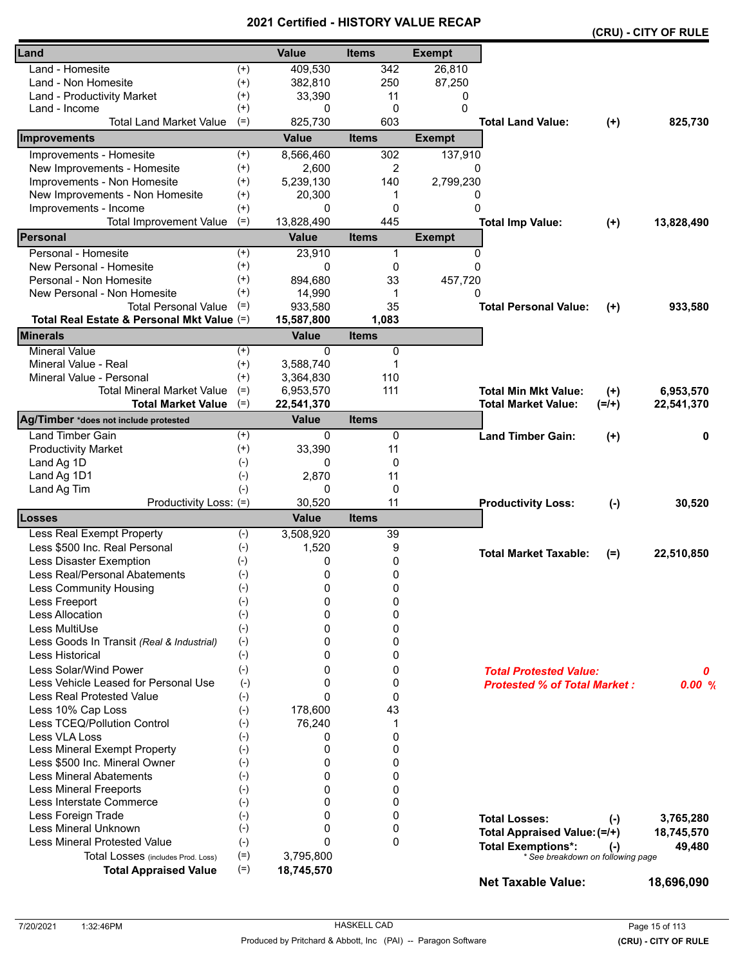|                                                            |                      | <b>VEILIIIEU - NIJI VAT</b> |                       |                     | (CRU) - CITY OF RULE                |           |            |
|------------------------------------------------------------|----------------------|-----------------------------|-----------------------|---------------------|-------------------------------------|-----------|------------|
| Land                                                       |                      | <b>Value</b>                | <b>Items</b>          | <b>Exempt</b>       |                                     |           |            |
| Land - Homesite                                            | $^{(+)}$             | 409,530                     | 342                   | 26,810              |                                     |           |            |
| Land - Non Homesite                                        | $^{(+)}$             | 382,810                     | 250                   | 87,250              |                                     |           |            |
| Land - Productivity Market                                 | $^{(+)}$             | 33,390                      | 11                    | 0                   |                                     |           |            |
| Land - Income                                              | $^{(+)}$             | 0                           | 0                     | 0                   |                                     |           |            |
| <b>Total Land Market Value</b>                             | $(=)$                | 825,730                     | 603                   |                     | <b>Total Land Value:</b>            | $(+)$     | 825,730    |
| Improvements                                               |                      | <b>Value</b>                | <b>Items</b>          | <b>Exempt</b>       |                                     |           |            |
| Improvements - Homesite                                    | $^{(+)}$             | 8,566,460                   | 302                   | 137,910             |                                     |           |            |
| New Improvements - Homesite                                | $^{(+)}$             | 2,600                       | 2                     | 0                   |                                     |           |            |
| Improvements - Non Homesite                                | $^{(+)}$             | 5,239,130                   | 140                   | 2,799,230           |                                     |           |            |
| New Improvements - Non Homesite                            | $^{(+)}$             | 20,300                      | 1                     | 0                   |                                     |           |            |
| Improvements - Income                                      | $^{(+)}$             | 0                           | $\mathbf 0$           | $\Omega$            |                                     |           |            |
| <b>Total Improvement Value</b>                             | $(=)$                | 13,828,490                  | 445                   |                     | <b>Total Imp Value:</b>             | $(+)$     | 13,828,490 |
| Personal                                                   |                      | <b>Value</b>                | <b>Items</b>          | <b>Exempt</b>       |                                     |           |            |
| Personal - Homesite                                        | $^{(+)}$             | 23,910                      | 1                     | 0                   |                                     |           |            |
| New Personal - Homesite                                    | $^{(+)}$             | 0                           | 0                     | $\Omega$            |                                     |           |            |
| Personal - Non Homesite                                    |                      |                             |                       |                     |                                     |           |            |
|                                                            | $^{(+)}$<br>$^{(+)}$ | 894,680                     | 33                    | 457,720<br>$\Omega$ |                                     |           |            |
| New Personal - Non Homesite<br><b>Total Personal Value</b> | $(=)$                | 14,990                      | 1<br>35               |                     | <b>Total Personal Value:</b>        |           |            |
| Total Real Estate & Personal Mkt Value (=)                 |                      | 933,580                     |                       |                     |                                     | $^{(+)}$  | 933,580    |
| <b>Minerals</b>                                            |                      | 15,587,800<br><b>Value</b>  | 1,083<br><b>Items</b> |                     |                                     |           |            |
| <b>Mineral Value</b>                                       | $(+)$                | $\Omega$                    | 0                     |                     |                                     |           |            |
| Mineral Value - Real                                       | $^{(+)}$             | 3,588,740                   | 1                     |                     |                                     |           |            |
| Mineral Value - Personal                                   | $^{(+)}$             | 3,364,830                   | 110                   |                     |                                     |           |            |
| <b>Total Mineral Market Value</b>                          | $(=)$                | 6,953,570                   | 111                   |                     | <b>Total Min Mkt Value:</b>         | $^{(+)}$  | 6,953,570  |
| <b>Total Market Value</b>                                  | $(=)$                | 22,541,370                  |                       |                     | <b>Total Market Value:</b>          | $(=/+)$   | 22,541,370 |
| Ag/Timber *does not include protested                      |                      | <b>Value</b>                | <b>Items</b>          |                     |                                     |           |            |
| <b>Land Timber Gain</b>                                    | $^{(+)}$             | 0                           | 0                     |                     | <b>Land Timber Gain:</b>            | $^{(+)}$  | 0          |
| <b>Productivity Market</b>                                 | $^{(+)}$             | 33,390                      | 11                    |                     |                                     |           |            |
| Land Ag 1D                                                 | $(-)$                | 0                           | 0                     |                     |                                     |           |            |
| Land Ag 1D1                                                | $(-)$                | 2,870                       | 11                    |                     |                                     |           |            |
| Land Ag Tim                                                | $(-)$                | 0                           | 0                     |                     |                                     |           |            |
| Productivity Loss: (=)                                     |                      | 30,520                      | 11                    |                     | <b>Productivity Loss:</b>           | $(-)$     | 30,520     |
| Losses                                                     |                      | <b>Value</b>                | <b>Items</b>          |                     |                                     |           |            |
| Less Real Exempt Property                                  | $(-)$                | 3,508,920                   | 39                    |                     |                                     |           |            |
| Less \$500 Inc. Real Personal                              | $(-)$                | 1,520                       | 9                     |                     |                                     |           |            |
| Less Disaster Exemption                                    | $(-)$                | 0                           | 0                     |                     | <b>Total Market Taxable:</b>        | $(=)$     | 22,510,850 |
| Less Real/Personal Abatements                              | $(-)$                | 0                           | 0                     |                     |                                     |           |            |
| Less Community Housing                                     | $(-)$                | 0                           | 0                     |                     |                                     |           |            |
| Less Freeport                                              | $(-)$                | 0                           | 0                     |                     |                                     |           |            |
| Less Allocation                                            | $(-)$                | $\Omega$                    | 0                     |                     |                                     |           |            |
| Less MultiUse                                              | $(-)$                | $\Omega$                    | 0                     |                     |                                     |           |            |
| Less Goods In Transit (Real & Industrial)                  | $(-)$                | 0                           | 0                     |                     |                                     |           |            |
| Less Historical                                            | $(-)$                | 0                           | 0                     |                     |                                     |           |            |
| Less Solar/Wind Power                                      | $(-)$                | 0                           | 0                     |                     | <b>Total Protested Value:</b>       |           | 0          |
| Less Vehicle Leased for Personal Use                       | $(-)$                | 0                           | 0                     |                     | <b>Protested % of Total Market:</b> |           | 0.00%      |
| <b>Less Real Protested Value</b>                           | $(-)$                | $\mathbf{0}$                | 0                     |                     |                                     |           |            |
| Less 10% Cap Loss                                          | $(-)$                | 178,600                     | 43                    |                     |                                     |           |            |
| Less TCEQ/Pollution Control                                | $(-)$                | 76,240                      | 1                     |                     |                                     |           |            |
| Less VLA Loss                                              | $(-)$                | 0                           | 0                     |                     |                                     |           |            |
| Less Mineral Exempt Property                               | $(-)$                | 0                           | 0                     |                     |                                     |           |            |
| Less \$500 Inc. Mineral Owner                              | $(-)$                | 0                           | 0                     |                     |                                     |           |            |
| <b>Less Mineral Abatements</b>                             | $(-)$                | $\Omega$                    | 0                     |                     |                                     |           |            |
| <b>Less Mineral Freeports</b>                              | $(-)$                | $\Omega$                    | 0                     |                     |                                     |           |            |
| Less Interstate Commerce                                   | $(-)$                | 0                           | 0                     |                     |                                     |           |            |
| Less Foreign Trade                                         | $(-)$                | $\Omega$                    | 0                     |                     |                                     |           |            |
| Less Mineral Unknown                                       | $(-)$                | 0                           | 0                     |                     | <b>Total Losses:</b>                | $(\cdot)$ | 3,765,280  |
| <b>Less Mineral Protested Value</b>                        |                      | $\Omega$                    | 0                     |                     | Total Appraised Value: (=/+)        |           | 18,745,570 |
|                                                            | $(-)$                |                             |                       |                     | <b>Total Exemptions*:</b>           | $(-)$     | 49,480     |
| Total Losses (includes Prod. Loss)                         | $(=)$                | 3,795,800                   |                       |                     | * See breakdown on following page   |           |            |
| <b>Total Appraised Value</b>                               | $(=)$                | 18,745,570                  |                       |                     | <b>Net Taxable Value:</b>           |           | 18,696,090 |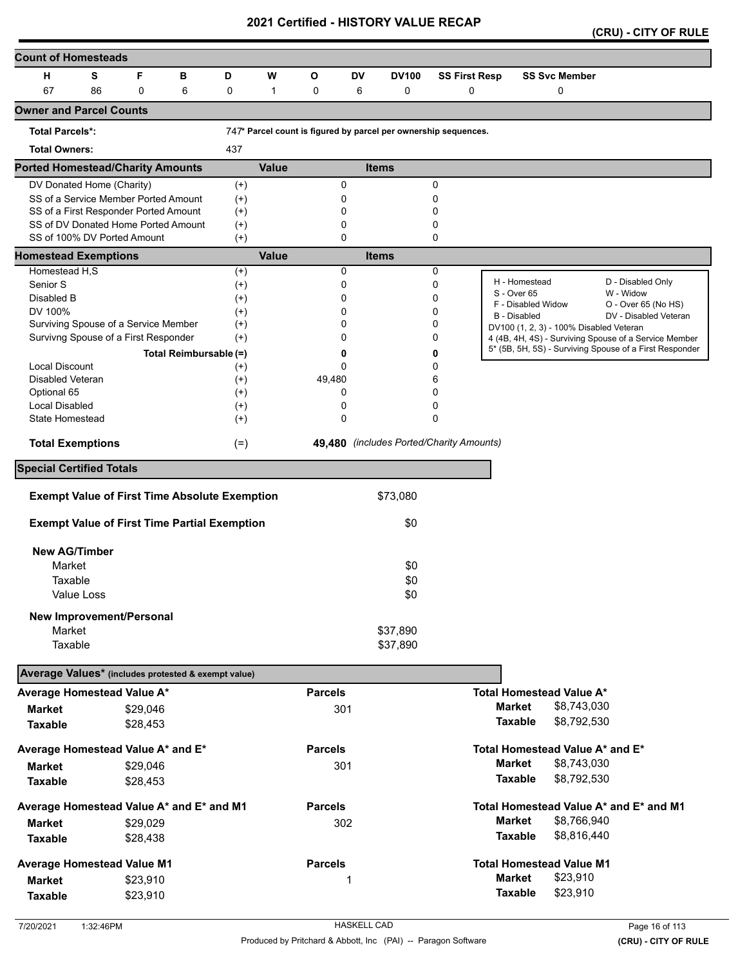|  |  | (CRU) - CITY OF RULE |
|--|--|----------------------|
|--|--|----------------------|

| <b>Count of Homesteads</b>                          |            |                                                                    |                                                      |                      |              |                |           |                                                                 |                      |                     |                                         |                                                                                                                  |
|-----------------------------------------------------|------------|--------------------------------------------------------------------|------------------------------------------------------|----------------------|--------------|----------------|-----------|-----------------------------------------------------------------|----------------------|---------------------|-----------------------------------------|------------------------------------------------------------------------------------------------------------------|
| н                                                   | S          | F                                                                  | В                                                    | D                    | W            | $\mathbf{o}$   | <b>DV</b> | <b>DV100</b>                                                    | <b>SS First Resp</b> |                     | <b>SS Svc Member</b>                    |                                                                                                                  |
| 67                                                  | 86         | 0                                                                  | 6                                                    | 0                    | 1            | 0              | 6         | $\mathbf 0$                                                     | 0                    |                     | 0                                       |                                                                                                                  |
| <b>Owner and Parcel Counts</b>                      |            |                                                                    |                                                      |                      |              |                |           |                                                                 |                      |                     |                                         |                                                                                                                  |
| <b>Total Parcels*:</b>                              |            |                                                                    |                                                      |                      |              |                |           | 747* Parcel count is figured by parcel per ownership sequences. |                      |                     |                                         |                                                                                                                  |
| <b>Total Owners:</b>                                |            |                                                                    |                                                      | 437                  |              |                |           |                                                                 |                      |                     |                                         |                                                                                                                  |
| <b>Ported Homestead/Charity Amounts</b>             |            |                                                                    |                                                      |                      | <b>Value</b> |                |           | <b>Items</b>                                                    |                      |                     |                                         |                                                                                                                  |
| DV Donated Home (Charity)                           |            |                                                                    |                                                      | $^{(+)}$             |              |                | 0         |                                                                 | 0                    |                     |                                         |                                                                                                                  |
|                                                     |            | SS of a Service Member Ported Amount                               |                                                      | $(+)$                |              |                | 0         |                                                                 | 0                    |                     |                                         |                                                                                                                  |
| SS of a First Responder Ported Amount               |            |                                                                    |                                                      | $^{(+)}$             |              |                | 0         |                                                                 | 0                    |                     |                                         |                                                                                                                  |
|                                                     |            | SS of DV Donated Home Ported Amount<br>SS of 100% DV Ported Amount |                                                      | $^{(+)}$             |              |                | 0         |                                                                 | 0                    |                     |                                         |                                                                                                                  |
|                                                     |            |                                                                    |                                                      | $^{(+)}$             | <b>Value</b> |                | 0         |                                                                 | 0                    |                     |                                         |                                                                                                                  |
| <b>Homestead Exemptions</b><br>Homestead H,S        |            |                                                                    |                                                      |                      |              |                | 0         | <b>Items</b>                                                    |                      |                     |                                         |                                                                                                                  |
| Senior S                                            |            |                                                                    |                                                      | $^{(+)}$<br>$^{(+)}$ |              |                | 0         |                                                                 | 0<br>0               |                     | H - Homestead                           | D - Disabled Only                                                                                                |
| Disabled B                                          |            |                                                                    |                                                      | $^{(+)}$             |              |                | 0         |                                                                 | 0                    | S - Over 65         |                                         | W - Widow                                                                                                        |
| DV 100%                                             |            |                                                                    |                                                      | $^{(+)}$             |              |                | 0         |                                                                 | 0                    | <b>B</b> - Disabled | F - Disabled Widow                      | O - Over 65 (No HS)<br>DV - Disabled Veteran                                                                     |
| Surviving Spouse of a Service Member                |            |                                                                    |                                                      | $^{(+)}$             |              |                | 0         |                                                                 | 0                    |                     | DV100 (1, 2, 3) - 100% Disabled Veteran |                                                                                                                  |
| Survivng Spouse of a First Responder                |            |                                                                    |                                                      | $^{(+)}$             |              |                | 0         |                                                                 | 0                    |                     |                                         | 4 (4B, 4H, 4S) - Surviving Spouse of a Service Member<br>5* (5B, 5H, 5S) - Surviving Spouse of a First Responder |
|                                                     |            |                                                                    | Total Reimbursable (=)                               |                      |              |                | 0         |                                                                 | 0                    |                     |                                         |                                                                                                                  |
| <b>Local Discount</b>                               |            |                                                                    |                                                      | $^{(+)}$             |              |                | 0         |                                                                 | 0                    |                     |                                         |                                                                                                                  |
| Disabled Veteran<br>Optional 65                     |            |                                                                    |                                                      | $^{(+)}$<br>$^{(+)}$ |              | 49,480         | 0         |                                                                 | 6<br>0               |                     |                                         |                                                                                                                  |
| <b>Local Disabled</b>                               |            |                                                                    |                                                      | $(+)$                |              |                | 0         |                                                                 | 0                    |                     |                                         |                                                                                                                  |
| State Homestead                                     |            |                                                                    |                                                      | $^{(+)}$             |              |                | 0         |                                                                 | 0                    |                     |                                         |                                                                                                                  |
|                                                     |            |                                                                    |                                                      |                      |              |                |           |                                                                 |                      |                     |                                         |                                                                                                                  |
| <b>Total Exemptions</b>                             |            |                                                                    |                                                      | $(=)$                |              |                |           | 49,480 (includes Ported/Charity Amounts)                        |                      |                     |                                         |                                                                                                                  |
| <b>Special Certified Totals</b>                     |            |                                                                    |                                                      |                      |              |                |           |                                                                 |                      |                     |                                         |                                                                                                                  |
|                                                     |            |                                                                    | <b>Exempt Value of First Time Absolute Exemption</b> |                      |              |                |           | \$73,080                                                        |                      |                     |                                         |                                                                                                                  |
|                                                     |            |                                                                    | <b>Exempt Value of First Time Partial Exemption</b>  |                      |              |                |           | \$0                                                             |                      |                     |                                         |                                                                                                                  |
|                                                     |            |                                                                    |                                                      |                      |              |                |           |                                                                 |                      |                     |                                         |                                                                                                                  |
| <b>New AG/Timber</b>                                |            |                                                                    |                                                      |                      |              |                |           |                                                                 |                      |                     |                                         |                                                                                                                  |
| Market<br>Taxable                                   |            |                                                                    |                                                      |                      |              |                |           | \$0                                                             |                      |                     |                                         |                                                                                                                  |
|                                                     | Value Loss |                                                                    |                                                      |                      |              |                |           | \$0<br>\$0                                                      |                      |                     |                                         |                                                                                                                  |
|                                                     |            |                                                                    |                                                      |                      |              |                |           |                                                                 |                      |                     |                                         |                                                                                                                  |
|                                                     |            | New Improvement/Personal                                           |                                                      |                      |              |                |           |                                                                 |                      |                     |                                         |                                                                                                                  |
| Market<br>Taxable                                   |            |                                                                    |                                                      |                      |              |                |           | \$37,890                                                        |                      |                     |                                         |                                                                                                                  |
|                                                     |            |                                                                    |                                                      |                      |              |                |           | \$37,890                                                        |                      |                     |                                         |                                                                                                                  |
| Average Values* (includes protested & exempt value) |            |                                                                    |                                                      |                      |              |                |           |                                                                 |                      |                     |                                         |                                                                                                                  |
| Average Homestead Value A*                          |            |                                                                    |                                                      |                      |              | <b>Parcels</b> |           |                                                                 |                      |                     | <b>Total Homestead Value A*</b>         |                                                                                                                  |
| <b>Market</b>                                       |            | \$29,046                                                           |                                                      |                      |              | 301            |           |                                                                 |                      | <b>Market</b>       | \$8,743,030                             |                                                                                                                  |
| <b>Taxable</b>                                      |            | \$28,453                                                           |                                                      |                      |              |                |           |                                                                 |                      | <b>Taxable</b>      | \$8,792,530                             |                                                                                                                  |
| Average Homestead Value A* and E*                   |            |                                                                    |                                                      |                      |              | <b>Parcels</b> |           |                                                                 |                      |                     | Total Homestead Value A* and E*         |                                                                                                                  |
| <b>Market</b>                                       |            | \$29,046                                                           |                                                      |                      |              | 301            |           |                                                                 |                      | <b>Market</b>       | \$8,743,030                             |                                                                                                                  |
| <b>Taxable</b>                                      |            | \$28,453                                                           |                                                      |                      |              |                |           |                                                                 |                      | <b>Taxable</b>      | \$8,792,530                             |                                                                                                                  |
|                                                     |            |                                                                    |                                                      |                      |              |                |           |                                                                 |                      |                     |                                         |                                                                                                                  |
| Average Homestead Value A* and E* and M1            |            |                                                                    |                                                      |                      |              | <b>Parcels</b> |           |                                                                 |                      | <b>Market</b>       | \$8,766,940                             | Total Homestead Value A* and E* and M1                                                                           |
| <b>Market</b>                                       |            | \$29,029                                                           |                                                      |                      |              |                | 302       |                                                                 |                      | <b>Taxable</b>      | \$8,816,440                             |                                                                                                                  |
| <b>Taxable</b>                                      |            | \$28,438                                                           |                                                      |                      |              |                |           |                                                                 |                      |                     |                                         |                                                                                                                  |
| <b>Average Homestead Value M1</b>                   |            |                                                                    |                                                      |                      |              | <b>Parcels</b> |           |                                                                 |                      |                     | <b>Total Homestead Value M1</b>         |                                                                                                                  |
| Market                                              |            | \$23,910                                                           |                                                      |                      |              |                | 1         |                                                                 |                      | <b>Market</b>       | \$23,910                                |                                                                                                                  |
| <b>Taxable</b>                                      |            | \$23,910                                                           |                                                      |                      |              |                |           |                                                                 |                      | <b>Taxable</b>      | \$23,910                                |                                                                                                                  |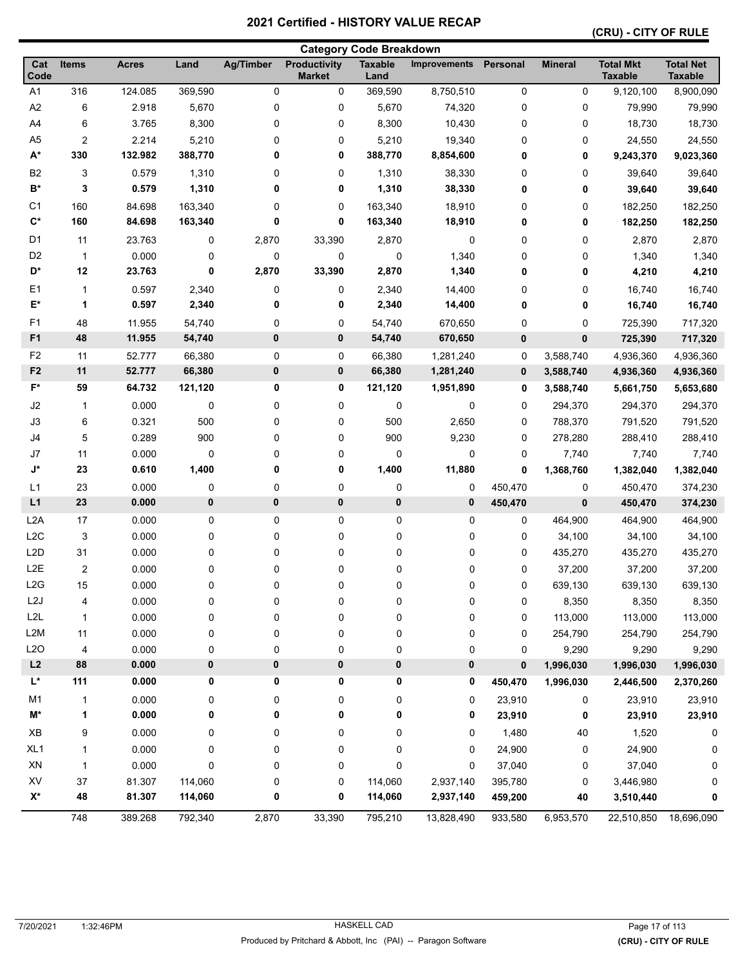|                    |                         | <b>Category Code Breakdown</b> |            |                  |                                      |                        |                     |                  |                |                                    |                                    |
|--------------------|-------------------------|--------------------------------|------------|------------------|--------------------------------------|------------------------|---------------------|------------------|----------------|------------------------------------|------------------------------------|
| Cat<br>Code        | <b>Items</b>            | <b>Acres</b>                   | Land       | <b>Ag/Timber</b> | <b>Productivity</b><br><b>Market</b> | <b>Taxable</b><br>Land | <b>Improvements</b> | Personal         | <b>Mineral</b> | <b>Total Mkt</b><br><b>Taxable</b> | <b>Total Net</b><br><b>Taxable</b> |
| A <sub>1</sub>     | 316                     | 124.085                        | 369,590    | 0                | 0                                    | 369,590                | 8,750,510           | 0                | 0              | 9,120,100                          | 8,900,090                          |
| A <sub>2</sub>     | 6                       | 2.918                          | 5,670      | 0                | 0                                    | 5,670                  | 74,320              | 0                | 0              | 79,990                             | 79,990                             |
| A4                 | 6                       | 3.765                          | 8,300      | 0                | 0                                    | 8,300                  | 10,430              | 0                | 0              | 18,730                             | 18,730                             |
| A <sub>5</sub>     | $\overline{\mathbf{c}}$ | 2.214                          | 5,210      | 0                | 0                                    | 5,210                  | 19,340              | 0                | 0              | 24,550                             | 24,550                             |
| A*                 | 330                     | 132.982                        | 388,770    | 0                | 0                                    | 388,770                | 8,854,600           | 0                | 0              | 9,243,370                          | 9,023,360                          |
| B <sub>2</sub>     | 3                       | 0.579                          | 1,310      | 0                | 0                                    | 1,310                  | 38,330              | 0                | 0              | 39,640                             | 39,640                             |
| $B^*$              | 3                       | 0.579                          | 1,310      | 0                | 0                                    | 1,310                  | 38,330              | 0                | 0              | 39,640                             | 39,640                             |
| C <sub>1</sub>     | 160                     | 84.698                         | 163,340    | 0                | 0                                    | 163,340                | 18,910              | 0                | 0              | 182,250                            | 182,250                            |
| $C^*$              | 160                     | 84.698                         | 163,340    | 0                | 0                                    | 163,340                | 18,910              | 0                | 0              | 182,250                            | 182,250                            |
| D1                 | 11                      | 23.763                         | 0          | 2,870            | 33,390                               | 2,870                  | 0                   | 0                | 0              | 2,870                              | 2,870                              |
| D <sub>2</sub>     | $\mathbf{1}$            | 0.000                          | 0          | 0                | 0                                    | 0                      | 1,340               | 0                | 0              | 1,340                              | 1,340                              |
| D*                 | 12                      | 23.763                         | 0          | 2,870            | 33,390                               | 2,870                  | 1,340               | 0                | 0              | 4,210                              | 4,210                              |
| E <sub>1</sub>     | 1                       | 0.597                          | 2,340      | 0                | 0                                    | 2,340                  | 14,400              | 0                | 0              | 16,740                             | 16,740                             |
| E*                 | 1                       | 0.597                          | 2,340      | 0                | 0                                    | 2,340                  | 14,400              | 0                | 0              | 16,740                             | 16,740                             |
| F1                 | 48                      | 11.955                         | 54,740     | 0                | 0                                    | 54,740                 | 670,650             | 0                | 0              | 725,390                            | 717,320                            |
| F <sub>1</sub>     | 48                      | 11.955                         | 54,740     | $\pmb{0}$        | 0                                    | 54,740                 | 670,650             | 0                | 0              | 725,390                            | 717,320                            |
| F <sub>2</sub>     | 11                      | 52.777                         | 66,380     | 0                | 0                                    | 66,380                 | 1,281,240           | 0                | 3,588,740      | 4,936,360                          | 4,936,360                          |
| F <sub>2</sub>     | 11                      | 52.777                         | 66,380     | $\pmb{0}$        | 0                                    | 66,380                 | 1,281,240           | 0                | 3,588,740      | 4,936,360                          | 4,936,360                          |
| $F^*$              | 59                      | 64.732                         | 121,120    | 0                | 0                                    | 121,120                | 1,951,890           | $\mathbf 0$      | 3,588,740      | 5,661,750                          | 5,653,680                          |
| J2                 |                         | 0.000                          | 0          | 0                | 0                                    | 0                      | 0                   | 0                | 294,370        | 294,370                            | 294,370                            |
| J3                 | 1                       | 0.321                          | 500        | 0                | 0                                    | 500                    | 2,650               | $\mathbf 0$      | 788,370        | 791,520                            | 791,520                            |
| J4                 | 6<br>5                  |                                |            |                  |                                      |                        |                     |                  |                |                                    |                                    |
| J7                 | 11                      | 0.289                          | 900        | 0                | 0                                    | 900                    | 9,230               | 0                | 278,280        | 288,410                            | 288,410                            |
| $\mathsf{J}^\star$ | 23                      | 0.000<br>0.610                 | 0<br>1,400 | 0<br>0           | 0<br>0                               | 0<br>1,400             | 0<br>11,880         | 0<br>$\mathbf 0$ | 7,740          | 7,740                              | 7,740<br>1,382,040                 |
|                    |                         |                                |            |                  |                                      |                        |                     |                  | 1,368,760      | 1,382,040                          |                                    |
| L1                 | 23                      | 0.000                          | 0          | 0<br>$\pmb{0}$   | 0                                    | 0                      | 0<br>0              | 450,470          | 0              | 450,470                            | 374,230                            |
| L1                 | 23                      | 0.000                          | $\pmb{0}$  |                  | $\pmb{0}$                            | 0                      |                     | 450,470          | 0              | 450,470                            | 374,230                            |
| L <sub>2</sub> A   | 17                      | 0.000                          | 0          | 0                | 0                                    | 0                      | 0                   | 0                | 464,900        | 464,900                            | 464,900                            |
| L <sub>2</sub> C   | 3                       | 0.000                          | 0          | 0                | 0                                    | 0                      | 0                   | 0                | 34,100         | 34,100                             | 34,100                             |
| L <sub>2</sub> D   | 31                      | 0.000                          | 0          | 0                | 0                                    | 0                      | 0                   | 0                | 435,270        | 435,270                            | 435,270                            |
| L <sub>2</sub> E   | $\boldsymbol{2}$        | 0.000                          | 0          | 0                | 0                                    | 0                      | 0                   | 0                | 37,200         | 37,200                             | 37,200                             |
| L2G                | 15                      | 0.000                          | 0          | 0                | 0                                    | 0                      | 0                   | 0                | 639,130        | 639,130                            | 639,130                            |
| L <sub>2</sub> J   | 4                       | 0.000                          | 0          | 0                | 0                                    | 0                      | 0                   | 0                | 8,350          | 8,350                              | 8,350                              |
| L2L                | 1                       | 0.000                          | 0          | 0                | 0                                    | 0                      | 0                   | 0                | 113,000        | 113,000                            | 113,000                            |
| L <sub>2</sub> M   | 11                      | 0.000                          | 0          | 0                | 0                                    | 0                      | 0                   | 0                | 254,790        | 254,790                            | 254,790                            |
| L2O                | 4                       | 0.000                          | 0          | 0                | 0                                    | 0                      | 0                   | 0                | 9,290          | 9,290                              | 9,290                              |
| L2                 | 88                      | 0.000                          | 0          | $\pmb{0}$        | 0                                    | 0                      | 0                   | 0                | 1,996,030      | 1,996,030                          | 1,996,030                          |
| L*                 | 111                     | 0.000                          | 0          | 0                | 0                                    | 0                      | 0                   | 450,470          | 1,996,030      | 2,446,500                          | 2,370,260                          |
| M <sub>1</sub>     | 1                       | 0.000                          | 0          | 0                | 0                                    | 0                      | 0                   | 23,910           | 0              | 23,910                             | 23,910                             |
| M*                 | 1                       | 0.000                          | 0          | 0                | 0                                    | 0                      | 0                   | 23,910           | 0              | 23,910                             | 23,910                             |
| XB                 | 9                       | 0.000                          | 0          | 0                | 0                                    | 0                      | 0                   | 1,480            | $40\,$         | 1,520                              | 0                                  |
| XL <sub>1</sub>    | 1                       | 0.000                          | 0          | 0                | 0                                    | 0                      | 0                   | 24,900           | 0              | 24,900                             | 0                                  |
| XN                 | 1                       | 0.000                          | 0          | 0                | 0                                    | 0                      | 0                   | 37,040           | 0              | 37,040                             | 0                                  |
| XV                 | 37                      | 81.307                         | 114,060    | 0                | 0                                    | 114,060                | 2,937,140           | 395,780          | 0              | 3,446,980                          | 0                                  |
| $X^*$              | 48                      | 81.307                         | 114,060    | 0                | 0                                    | 114,060                | 2,937,140           | 459,200          | 40             | 3,510,440                          | 0                                  |
|                    | 748                     | 389.268                        | 792,340    | 2,870            | 33,390                               | 795,210                | 13,828,490          | 933,580          | 6,953,570      | 22,510,850                         | 18,696,090                         |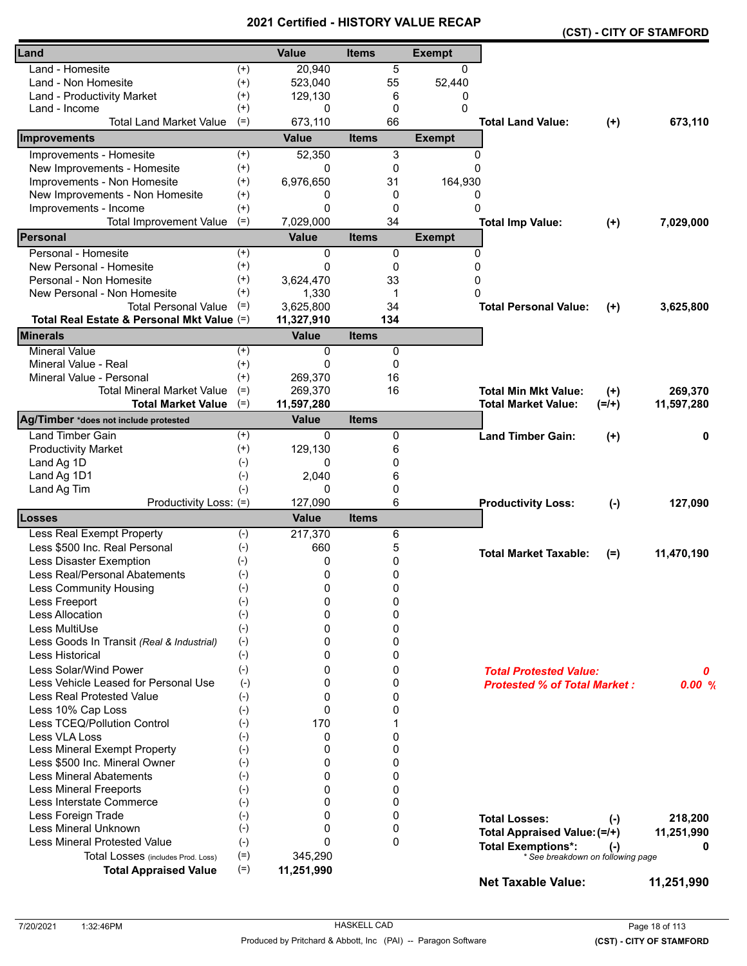|                                            |                    |              |              |               |                                     |         | (CST) - CITY OF STAMFORD |
|--------------------------------------------|--------------------|--------------|--------------|---------------|-------------------------------------|---------|--------------------------|
| Land                                       |                    | <b>Value</b> | <b>Items</b> | <b>Exempt</b> |                                     |         |                          |
| Land - Homesite                            | $^{(+)}$           | 20,940       | 5            | 0             |                                     |         |                          |
| Land - Non Homesite                        | $^{(+)}$           | 523,040      | 55           | 52,440        |                                     |         |                          |
| Land - Productivity Market                 | $^{(+)}$           | 129,130      | 6            | 0             |                                     |         |                          |
| Land - Income                              | $^{(+)}$           | 0            | $\mathbf 0$  | 0             |                                     |         |                          |
| <b>Total Land Market Value</b>             | $(=)$              | 673,110      | 66           |               | <b>Total Land Value:</b>            | $(+)$   | 673,110                  |
| Improvements                               |                    | Value        | <b>Items</b> | <b>Exempt</b> |                                     |         |                          |
| Improvements - Homesite                    | $^{(+)}$           | 52,350       | 3            | 0             |                                     |         |                          |
| New Improvements - Homesite                | $(+)$              | 0            | 0            | $\Omega$      |                                     |         |                          |
| Improvements - Non Homesite                | $^{(+)}$           | 6,976,650    | 31           | 164,930       |                                     |         |                          |
| New Improvements - Non Homesite            | $^{(+)}$           | 0            | 0            | 0             |                                     |         |                          |
| Improvements - Income                      | $(+)$              | $\Omega$     | 0            | 0             |                                     |         |                          |
| <b>Total Improvement Value</b>             | $(=)$              | 7,029,000    | 34           |               | <b>Total Imp Value:</b>             | $(+)$   | 7,029,000                |
| <b>Personal</b>                            |                    | <b>Value</b> | <b>Items</b> | <b>Exempt</b> |                                     |         |                          |
| Personal - Homesite                        | $^{(+)}$           | 0            | 0            | 0             |                                     |         |                          |
| New Personal - Homesite                    | $^{(+)}$           | $\Omega$     | 0            | 0             |                                     |         |                          |
| Personal - Non Homesite                    | $^{(+)}$           | 3,624,470    | 33           | 0             |                                     |         |                          |
| New Personal - Non Homesite                | $^{(+)}$           | 1,330        | 1            | O             |                                     |         |                          |
| <b>Total Personal Value</b>                | $(=)$              | 3,625,800    | 34           |               | <b>Total Personal Value:</b>        | $(+)$   | 3,625,800                |
| Total Real Estate & Personal Mkt Value (=) |                    | 11,327,910   | 134          |               |                                     |         |                          |
| <b>Minerals</b>                            |                    | <b>Value</b> | <b>Items</b> |               |                                     |         |                          |
| <b>Mineral Value</b>                       | $^{(+)}$           | $\Omega$     | 0            |               |                                     |         |                          |
| Mineral Value - Real                       | $^{(+)}$           | 0            | 0            |               |                                     |         |                          |
| Mineral Value - Personal                   | $(+)$              | 269,370      | 16           |               |                                     |         |                          |
| <b>Total Mineral Market Value</b>          | $(=)$              | 269,370      | 16           |               | <b>Total Min Mkt Value:</b>         | $(+)$   | 269,370                  |
| <b>Total Market Value</b>                  | $(=)$              | 11,597,280   |              |               | <b>Total Market Value:</b>          | $(=/+)$ | 11,597,280               |
| Ag/Timber *does not include protested      |                    | <b>Value</b> | <b>Items</b> |               |                                     |         |                          |
| <b>Land Timber Gain</b>                    | $^{(+)}$           | 0            | 0            |               | <b>Land Timber Gain:</b>            | $(+)$   | 0                        |
| <b>Productivity Market</b>                 | $^{(+)}$           | 129,130      | 6            |               |                                     |         |                          |
| Land Ag 1D                                 | $(-)$              | 0            | 0            |               |                                     |         |                          |
| Land Ag 1D1                                | $(-)$              | 2,040        | 6            |               |                                     |         |                          |
| Land Ag Tim                                | $(-)$              | 0            | 0            |               |                                     |         |                          |
| Productivity Loss: (=)                     |                    | 127,090      | 6            |               | <b>Productivity Loss:</b>           | $(-)$   | 127,090                  |
| Losses                                     |                    | <b>Value</b> | <b>Items</b> |               |                                     |         |                          |
| Less Real Exempt Property                  | $(-)$              | 217,370      | 6            |               |                                     |         |                          |
| Less \$500 Inc. Real Personal              | $(-)$              | 660          | 5            |               | <b>Total Market Taxable:</b>        | $(=)$   | 11,470,190               |
| <b>Less Disaster Exemption</b>             | $(-)$              | 0            | 0            |               |                                     |         |                          |
| Less Real/Personal Abatements              | $(-)$              | 0            | 0            |               |                                     |         |                          |
| <b>Less Community Housing</b>              | $(-)$              | 0            | 0            |               |                                     |         |                          |
| Less Freeport                              | $(-)$              | 0            | 0            |               |                                     |         |                          |
| Less Allocation                            | $(-)$              | 0            | 0            |               |                                     |         |                          |
| Less MultiUse                              | $(-)$              | 0            | 0            |               |                                     |         |                          |
| Less Goods In Transit (Real & Industrial)  | $(-)$              | 0            | 0            |               |                                     |         |                          |
| Less Historical                            | $(-)$              | 0            | 0            |               |                                     |         |                          |
| Less Solar/Wind Power                      | $(-)$              | 0            | 0            |               | <b>Total Protested Value:</b>       |         | 0                        |
| Less Vehicle Leased for Personal Use       | $(-)$              | 0            | 0            |               | <b>Protested % of Total Market:</b> |         | 0.00%                    |
| Less Real Protested Value                  | $(-)$              | 0            | 0            |               |                                     |         |                          |
| Less 10% Cap Loss                          | $(-)$              | $\mathbf{0}$ | 0            |               |                                     |         |                          |
| Less TCEQ/Pollution Control                | $(-)$              | 170          | 1            |               |                                     |         |                          |
| Less VLA Loss                              | $(-)$              | 0            | 0            |               |                                     |         |                          |
| Less Mineral Exempt Property               | $(-)$              | 0            | 0            |               |                                     |         |                          |
| Less \$500 Inc. Mineral Owner              | $(-)$              | 0            | 0            |               |                                     |         |                          |
| <b>Less Mineral Abatements</b>             | $(\textnormal{-})$ | 0            | 0            |               |                                     |         |                          |
| <b>Less Mineral Freeports</b>              | $(-)$              | 0            | 0            |               |                                     |         |                          |
| Less Interstate Commerce                   | $(-)$              | 0            | 0            |               |                                     |         |                          |
| Less Foreign Trade                         | $(-)$              | 0            | 0            |               | <b>Total Losses:</b>                | $(-)$   | 218,200                  |
| Less Mineral Unknown                       | $(-)$              | 0            | 0            |               | Total Appraised Value: (=/+)        |         | 11,251,990               |
| <b>Less Mineral Protested Value</b>        | $(-)$              | $\Omega$     | $\mathbf 0$  |               | <b>Total Exemptions*:</b>           | $(-)$   | 0                        |
| Total Losses (includes Prod. Loss)         | $(=)$              | 345,290      |              |               | * See breakdown on following page   |         |                          |
| <b>Total Appraised Value</b>               | $(=)$              | 11,251,990   |              |               |                                     |         |                          |
|                                            |                    |              |              |               | <b>Net Taxable Value:</b>           |         | 11,251,990               |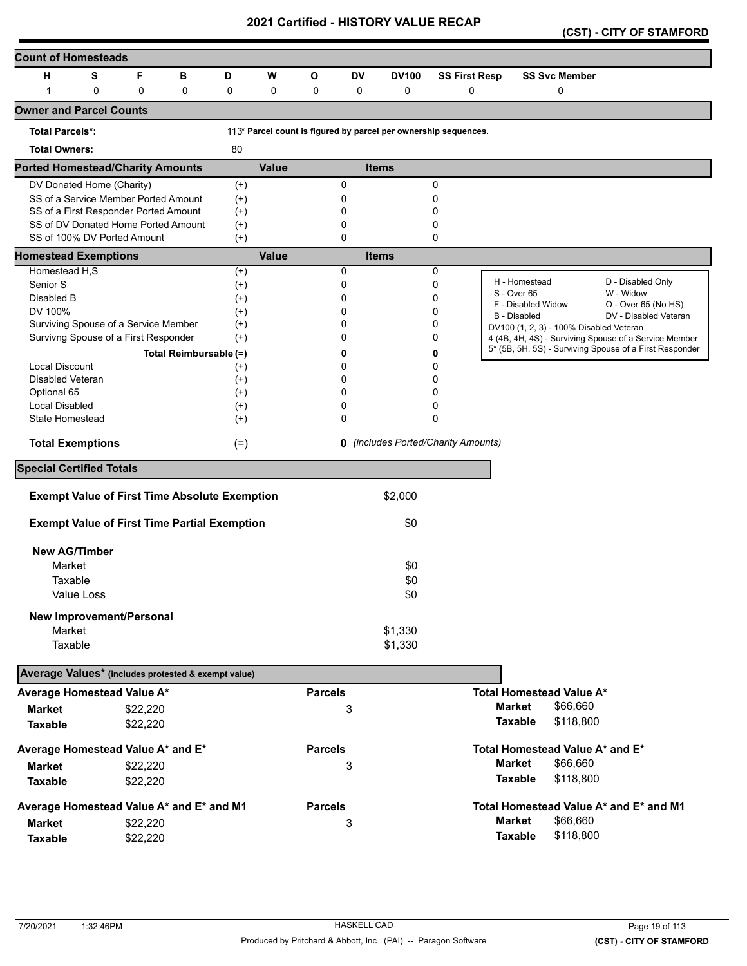|  |  |  | (CST) - CITY OF STAMFORD |
|--|--|--|--------------------------|
|--|--|--|--------------------------|

| <b>Count of Homesteads</b>                          |             |                                                                              |                        |                      |       |                |          |                                                                 |                      |                |                                                                                                                  |                                  |  |
|-----------------------------------------------------|-------------|------------------------------------------------------------------------------|------------------------|----------------------|-------|----------------|----------|-----------------------------------------------------------------|----------------------|----------------|------------------------------------------------------------------------------------------------------------------|----------------------------------|--|
| н                                                   | S           | F                                                                            | в                      | D                    | W     | О              | DV       | <b>DV100</b>                                                    | <b>SS First Resp</b> |                | <b>SS Svc Member</b>                                                                                             |                                  |  |
| 1                                                   | $\mathbf 0$ | 0                                                                            | 0                      | 0                    | 0     | 0              | 0        | 0                                                               | 0                    |                | 0                                                                                                                |                                  |  |
| <b>Owner and Parcel Counts</b>                      |             |                                                                              |                        |                      |       |                |          |                                                                 |                      |                |                                                                                                                  |                                  |  |
| <b>Total Parcels*:</b>                              |             |                                                                              |                        |                      |       |                |          | 113* Parcel count is figured by parcel per ownership sequences. |                      |                |                                                                                                                  |                                  |  |
| <b>Total Owners:</b>                                |             |                                                                              |                        | 80                   |       |                |          |                                                                 |                      |                |                                                                                                                  |                                  |  |
| <b>Ported Homestead/Charity Amounts</b>             |             |                                                                              |                        |                      | Value |                |          | <b>Items</b>                                                    |                      |                |                                                                                                                  |                                  |  |
| DV Donated Home (Charity)                           |             |                                                                              |                        | $^{(+)}$             |       |                | 0        |                                                                 | 0                    |                |                                                                                                                  |                                  |  |
|                                                     |             | SS of a Service Member Ported Amount                                         |                        | $(+)$                |       |                | 0        |                                                                 | 0                    |                |                                                                                                                  |                                  |  |
|                                                     |             | SS of a First Responder Ported Amount<br>SS of DV Donated Home Ported Amount |                        | $^{(+)}$<br>$^{(+)}$ |       |                | 0<br>0   |                                                                 | 0<br>0               |                |                                                                                                                  |                                  |  |
|                                                     |             | SS of 100% DV Ported Amount                                                  |                        | $^{(+)}$             |       |                | 0        |                                                                 | 0                    |                |                                                                                                                  |                                  |  |
| <b>Homestead Exemptions</b>                         |             |                                                                              |                        |                      | Value |                |          | <b>Items</b>                                                    |                      |                |                                                                                                                  |                                  |  |
| Homestead H,S                                       |             |                                                                              |                        | $^{(+)}$             |       |                | 0        |                                                                 | 0                    |                |                                                                                                                  |                                  |  |
| Senior S                                            |             |                                                                              |                        | $^{(+)}$             |       |                | 0        |                                                                 | 0                    |                | H - Homestead                                                                                                    | D - Disabled Only                |  |
| Disabled B                                          |             |                                                                              |                        | $^{(+)}$             |       |                | 0        |                                                                 | 0                    | S - Over 65    | F - Disabled Widow                                                                                               | W - Widow<br>O - Over 65 (No HS) |  |
| DV 100%                                             |             |                                                                              |                        | $^{(+)}$             |       |                | 0        |                                                                 | 0                    |                | <b>B</b> - Disabled                                                                                              | DV - Disabled Veteran            |  |
|                                                     |             | Surviving Spouse of a Service Member                                         |                        | $^{(+)}$             |       |                | 0        |                                                                 | 0                    |                | DV100 (1, 2, 3) - 100% Disabled Veteran                                                                          |                                  |  |
|                                                     |             | Survivng Spouse of a First Responder                                         |                        | $^{(+)}$             |       |                | 0        |                                                                 | 0                    |                | 4 (4B, 4H, 4S) - Surviving Spouse of a Service Member<br>5* (5B, 5H, 5S) - Surviving Spouse of a First Responder |                                  |  |
|                                                     |             |                                                                              | Total Reimbursable (=) |                      |       |                | 0        |                                                                 | 0                    |                |                                                                                                                  |                                  |  |
| <b>Local Discount</b><br>Disabled Veteran           |             |                                                                              |                        | $^{(+)}$<br>$^{(+)}$ |       |                | 0<br>0   |                                                                 | 0<br>0               |                |                                                                                                                  |                                  |  |
| Optional 65                                         |             |                                                                              |                        | $^{(+)}$             |       |                | 0        |                                                                 | 0                    |                |                                                                                                                  |                                  |  |
| Local Disabled                                      |             |                                                                              |                        | $^{(+)}$             |       |                | 0        |                                                                 | 0                    |                |                                                                                                                  |                                  |  |
| State Homestead                                     |             |                                                                              |                        | $^{(+)}$             |       |                | $\Omega$ |                                                                 | 0                    |                |                                                                                                                  |                                  |  |
| <b>Total Exemptions</b>                             |             |                                                                              |                        | $(=)$                |       |                | 0        | (includes Ported/Charity Amounts)                               |                      |                |                                                                                                                  |                                  |  |
| <b>Special Certified Totals</b>                     |             |                                                                              |                        |                      |       |                |          |                                                                 |                      |                |                                                                                                                  |                                  |  |
|                                                     |             |                                                                              |                        |                      |       |                |          |                                                                 |                      |                |                                                                                                                  |                                  |  |
|                                                     |             | <b>Exempt Value of First Time Absolute Exemption</b>                         |                        |                      |       |                |          | \$2,000                                                         |                      |                |                                                                                                                  |                                  |  |
|                                                     |             | <b>Exempt Value of First Time Partial Exemption</b>                          |                        |                      |       |                |          | \$0                                                             |                      |                |                                                                                                                  |                                  |  |
| <b>New AG/Timber</b>                                |             |                                                                              |                        |                      |       |                |          |                                                                 |                      |                |                                                                                                                  |                                  |  |
| Market                                              |             |                                                                              |                        |                      |       |                |          | \$0                                                             |                      |                |                                                                                                                  |                                  |  |
| Taxable                                             |             |                                                                              |                        |                      |       |                |          | \$0                                                             |                      |                |                                                                                                                  |                                  |  |
|                                                     | Value Loss  |                                                                              |                        |                      |       |                |          | \$0                                                             |                      |                |                                                                                                                  |                                  |  |
|                                                     |             | New Improvement/Personal                                                     |                        |                      |       |                |          |                                                                 |                      |                |                                                                                                                  |                                  |  |
| Market                                              |             |                                                                              |                        |                      |       |                |          | \$1,330                                                         |                      |                |                                                                                                                  |                                  |  |
| Taxable                                             |             |                                                                              |                        |                      |       |                |          | \$1,330                                                         |                      |                |                                                                                                                  |                                  |  |
| Average Values* (includes protested & exempt value) |             |                                                                              |                        |                      |       |                |          |                                                                 |                      |                |                                                                                                                  |                                  |  |
| Average Homestead Value A*                          |             |                                                                              |                        |                      |       | <b>Parcels</b> |          |                                                                 |                      |                | <b>Total Homestead Value A*</b>                                                                                  |                                  |  |
| <b>Market</b>                                       |             | \$22,220                                                                     |                        |                      |       |                | 3        |                                                                 |                      | <b>Market</b>  | \$66,660                                                                                                         |                                  |  |
| <b>Taxable</b>                                      |             | \$22,220                                                                     |                        |                      |       |                |          |                                                                 |                      | <b>Taxable</b> | \$118,800                                                                                                        |                                  |  |
| Average Homestead Value A* and E*                   |             |                                                                              |                        |                      |       | <b>Parcels</b> |          |                                                                 |                      |                | Total Homestead Value A* and E*                                                                                  |                                  |  |
| <b>Market</b>                                       |             | \$22,220                                                                     |                        |                      |       |                | 3        |                                                                 |                      | <b>Market</b>  | \$66,660                                                                                                         |                                  |  |
| <b>Taxable</b>                                      |             | \$22,220                                                                     |                        |                      |       |                |          |                                                                 |                      | <b>Taxable</b> | \$118,800                                                                                                        |                                  |  |
| Average Homestead Value A* and E* and M1            |             |                                                                              |                        |                      |       | <b>Parcels</b> |          |                                                                 |                      |                | Total Homestead Value A* and E* and M1                                                                           |                                  |  |
| <b>Market</b>                                       |             | \$22,220                                                                     |                        |                      |       |                | 3        |                                                                 |                      | <b>Market</b>  | \$66,660                                                                                                         |                                  |  |
| <b>Taxable</b>                                      |             | \$22,220                                                                     |                        |                      |       |                |          |                                                                 |                      | <b>Taxable</b> | \$118,800                                                                                                        |                                  |  |
|                                                     |             |                                                                              |                        |                      |       |                |          |                                                                 |                      |                |                                                                                                                  |                                  |  |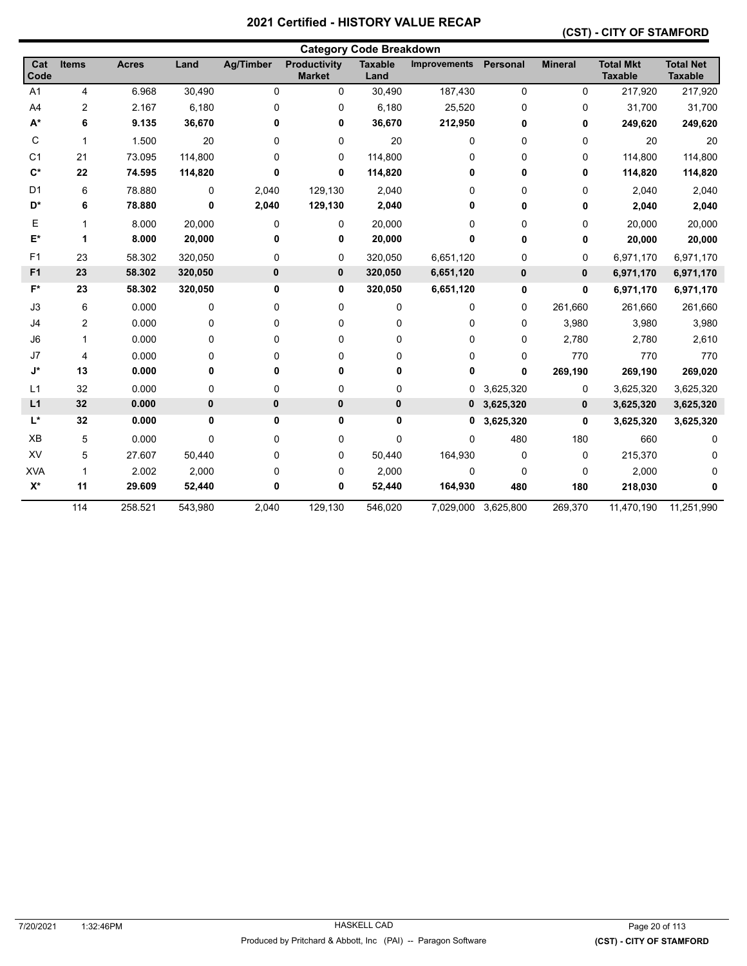#### **(CST) - CITY OF STAMFORD**

|                | <b>Category Code Breakdown</b> |              |         |                  |                               |                        |                     |                     |                |                                    |                                    |
|----------------|--------------------------------|--------------|---------|------------------|-------------------------------|------------------------|---------------------|---------------------|----------------|------------------------------------|------------------------------------|
| Cat<br>Code    | <b>Items</b>                   | <b>Acres</b> | Land    | <b>Ag/Timber</b> | Productivity<br><b>Market</b> | <b>Taxable</b><br>Land | <b>Improvements</b> | Personal            | <b>Mineral</b> | <b>Total Mkt</b><br><b>Taxable</b> | <b>Total Net</b><br><b>Taxable</b> |
| A <sub>1</sub> | 4                              | 6.968        | 30,490  | 0                | 0                             | 30,490                 | 187,430             | $\pmb{0}$           | 0              | 217,920                            | 217,920                            |
| A4             | 2                              | 2.167        | 6,180   | 0                | 0                             | 6,180                  | 25,520              | 0                   | 0              | 31,700                             | 31,700                             |
| $A^*$          | 6                              | 9.135        | 36,670  | 0                | 0                             | 36,670                 | 212,950             | 0                   | 0              | 249,620                            | 249,620                            |
| С              | 1                              | 1.500        | 20      | 0                | 0                             | 20                     | 0                   | 0                   | 0              | 20                                 | 20                                 |
| C <sub>1</sub> | 21                             | 73.095       | 114,800 | 0                | 0                             | 114,800                | 0                   | 0                   | 0              | 114,800                            | 114,800                            |
| $C^*$          | 22                             | 74.595       | 114,820 | 0                | 0                             | 114,820                | 0                   | 0                   | 0              | 114,820                            | 114,820                            |
| D <sub>1</sub> | $6\phantom{1}6$                | 78.880       | 0       | 2,040            | 129,130                       | 2,040                  | 0                   | 0                   | 0              | 2,040                              | 2,040                              |
| D*             | 6                              | 78.880       | 0       | 2,040            | 129,130                       | 2,040                  | 0                   | 0                   | 0              | 2,040                              | 2,040                              |
| E              | 1                              | 8.000        | 20,000  | 0                | 0                             | 20,000                 | 0                   | 0                   | 0              | 20,000                             | 20,000                             |
| E*             | 1                              | 8.000        | 20,000  | 0                | 0                             | 20,000                 | 0                   | 0                   | 0              | 20,000                             | 20,000                             |
| F1             | 23                             | 58.302       | 320,050 | 0                | 0                             | 320,050                | 6,651,120           | 0                   | 0              | 6,971,170                          | 6,971,170                          |
| F <sub>1</sub> | 23                             | 58.302       | 320,050 | 0                | 0                             | 320,050                | 6,651,120           | $\pmb{0}$           | 0              | 6,971,170                          | 6,971,170                          |
| $F^*$          | 23                             | 58.302       | 320,050 | 0                | 0                             | 320,050                | 6,651,120           | 0                   | 0              | 6,971,170                          | 6,971,170                          |
| J3             | 6                              | 0.000        | 0       | 0                | 0                             | 0                      | 0                   | 0                   | 261,660        | 261,660                            | 261,660                            |
| J4             | 2                              | 0.000        | 0       | 0                | 0                             | 0                      | 0                   | 0                   | 3,980          | 3,980                              | 3,980                              |
| J6             | 1                              | 0.000        | 0       | 0                | 0                             | 0                      | 0                   | 0                   | 2,780          | 2,780                              | 2,610                              |
| J7             | 4                              | 0.000        | 0       | 0                | 0                             | 0                      | 0                   | 0                   | 770            | 770                                | 770                                |
| J*             | 13                             | 0.000        | 0       | 0                | 0                             | 0                      | 0                   | 0                   | 269,190        | 269,190                            | 269,020                            |
| L1             | 32                             | 0.000        | 0       | 0                | 0                             | 0                      | 0                   | 3,625,320           | 0              | 3,625,320                          | 3,625,320                          |
| L1             | 32                             | 0.000        | 0       | 0                | 0                             | 0                      |                     | $0$ 3,625,320       | 0              | 3,625,320                          | 3,625,320                          |
| $L^*$          | 32                             | 0.000        | 0       | 0                | 0                             | 0                      | 0                   | 3,625,320           | $\mathbf 0$    | 3,625,320                          | 3,625,320                          |
| XB             | 5                              | 0.000        | 0       | 0                | 0                             | 0                      | 0                   | 480                 | 180            | 660                                | 0                                  |
| XV             | 5                              | 27.607       | 50,440  | 0                | 0                             | 50,440                 | 164,930             | $\mathbf 0$         | 0              | 215,370                            | 0                                  |
| <b>XVA</b>     | 1                              | 2.002        | 2,000   | 0                | 0                             | 2,000                  | 0                   | 0                   | 0              | 2,000                              |                                    |
| $X^*$          | 11                             | 29.609       | 52,440  | 0                | 0                             | 52,440                 | 164,930             | 480                 | 180            | 218,030                            |                                    |
|                | 114                            | 258.521      | 543,980 | 2,040            | 129,130                       | 546,020                |                     | 7,029,000 3,625,800 | 269,370        | 11,470,190                         | 11,251,990                         |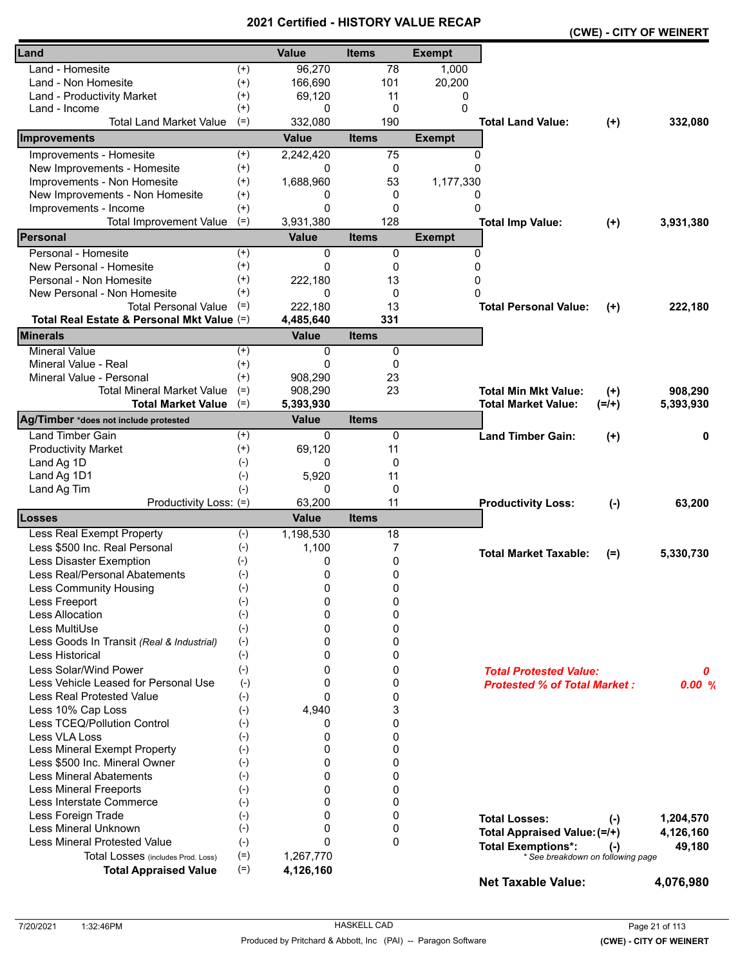|                                            |          |              |              |               |                                     |         | (CWE) - CITY OF WEINERT |
|--------------------------------------------|----------|--------------|--------------|---------------|-------------------------------------|---------|-------------------------|
| Land                                       |          | <b>Value</b> | <b>Items</b> | <b>Exempt</b> |                                     |         |                         |
| Land - Homesite                            | $^{(+)}$ | 96,270       | 78           | 1,000         |                                     |         |                         |
| Land - Non Homesite                        | $^{(+)}$ | 166,690      | 101          | 20,200        |                                     |         |                         |
| Land - Productivity Market                 | $^{(+)}$ | 69,120       | 11           | 0             |                                     |         |                         |
| Land - Income                              | $^{(+)}$ | 0            | $\mathbf 0$  | 0             |                                     |         |                         |
| <b>Total Land Market Value</b>             | $(=)$    | 332,080      | 190          |               | <b>Total Land Value:</b>            | $(+)$   | 332,080                 |
| Improvements                               |          | Value        | <b>Items</b> | <b>Exempt</b> |                                     |         |                         |
| Improvements - Homesite                    | $(+)$    | 2,242,420    | 75           | 0             |                                     |         |                         |
| New Improvements - Homesite                | $(+)$    | 0            | 0            | $\Omega$      |                                     |         |                         |
| Improvements - Non Homesite                | $^{(+)}$ | 1,688,960    | 53           | 1,177,330     |                                     |         |                         |
| New Improvements - Non Homesite            | $^{(+)}$ | 0            | 0            | 0             |                                     |         |                         |
| Improvements - Income                      | $^{(+)}$ | $\Omega$     | 0            | 0             |                                     |         |                         |
| <b>Total Improvement Value</b>             | $(=)$    | 3,931,380    | 128          |               | <b>Total Imp Value:</b>             | $(+)$   | 3,931,380               |
| <b>IPersonal</b>                           |          | <b>Value</b> | <b>Items</b> | <b>Exempt</b> |                                     |         |                         |
| Personal - Homesite                        | $^{(+)}$ | 0            | 0            | 0             |                                     |         |                         |
| New Personal - Homesite                    | $^{(+)}$ | 0            | 0            | 0             |                                     |         |                         |
| Personal - Non Homesite                    | $^{(+)}$ | 222,180      | 13           | 0             |                                     |         |                         |
| New Personal - Non Homesite                | $^{(+)}$ | $\Omega$     | 0            | $\Omega$      |                                     |         |                         |
| <b>Total Personal Value</b>                | $(=)$    | 222,180      | 13           |               | <b>Total Personal Value:</b>        | $(+)$   | 222,180                 |
| Total Real Estate & Personal Mkt Value (=) |          | 4,485,640    | 331          |               |                                     |         |                         |
| <b>Minerals</b>                            |          | <b>Value</b> | <b>Items</b> |               |                                     |         |                         |
| <b>Mineral Value</b>                       | $(+)$    | 0            | 0            |               |                                     |         |                         |
| Mineral Value - Real                       | $^{(+)}$ | 0            | 0            |               |                                     |         |                         |
| Mineral Value - Personal                   | $^{(+)}$ | 908,290      | 23           |               |                                     |         |                         |
| <b>Total Mineral Market Value</b>          | $(=)$    | 908,290      | 23           |               | <b>Total Min Mkt Value:</b>         | $(+)$   | 908,290                 |
| <b>Total Market Value</b>                  | $(=)$    | 5,393,930    |              |               | <b>Total Market Value:</b>          | $(=/+)$ | 5,393,930               |
| Ag/Timber *does not include protested      |          | <b>Value</b> | <b>Items</b> |               |                                     |         |                         |
| <b>Land Timber Gain</b>                    | $^{(+)}$ | 0            | 0            |               | <b>Land Timber Gain:</b>            | $(+)$   | 0                       |
| <b>Productivity Market</b>                 | $(+)$    | 69,120       | 11           |               |                                     |         |                         |
| Land Ag 1D                                 | $(-)$    | 0            | 0            |               |                                     |         |                         |
| Land Ag 1D1                                | $(-)$    | 5,920        | 11           |               |                                     |         |                         |
| Land Ag Tim                                | $(-)$    | 0            | 0            |               |                                     |         |                         |
| Productivity Loss: (=)                     |          | 63,200       | 11           |               | <b>Productivity Loss:</b>           | $(-)$   | 63,200                  |
| <b>Losses</b>                              |          | <b>Value</b> | <b>Items</b> |               |                                     |         |                         |
| Less Real Exempt Property                  | $(-)$    | 1,198,530    | 18           |               |                                     |         |                         |
| Less \$500 Inc. Real Personal              | $(-)$    | 1,100        | 7            |               | <b>Total Market Taxable:</b>        | $(=)$   | 5,330,730               |
| Less Disaster Exemption                    | $(-)$    | 0            | 0            |               |                                     |         |                         |
| Less Real/Personal Abatements              | $(-)$    | 0            | 0            |               |                                     |         |                         |
| <b>Less Community Housing</b>              | $(-)$    | 0            | 0            |               |                                     |         |                         |
| Less Freeport                              | $(-)$    | 0            | 0            |               |                                     |         |                         |
| <b>Less Allocation</b>                     | $(-)$    | $\Omega$     | 0            |               |                                     |         |                         |
| Less MultiUse                              | $(-)$    | 0            | 0            |               |                                     |         |                         |
| Less Goods In Transit (Real & Industrial)  | $(-)$    | 0            | 0            |               |                                     |         |                         |
| Less Historical                            | $(-)$    | 0            | 0            |               |                                     |         |                         |
| Less Solar/Wind Power                      | $(-)$    | 0            | 0            |               | <b>Total Protested Value:</b>       |         | 0                       |
| Less Vehicle Leased for Personal Use       | $(-)$    | 0            | 0            |               | <b>Protested % of Total Market:</b> |         | 0.00%                   |
| Less Real Protested Value                  | $(-)$    | $\Omega$     | 0            |               |                                     |         |                         |
| Less 10% Cap Loss                          | $(-)$    | 4,940        | 3            |               |                                     |         |                         |
| Less TCEQ/Pollution Control                | $(-)$    | 0            | 0            |               |                                     |         |                         |
| Less VLA Loss                              | $(-)$    | 0            | 0            |               |                                     |         |                         |
| Less Mineral Exempt Property               | $(-)$    | 0            | 0            |               |                                     |         |                         |
| Less \$500 Inc. Mineral Owner              | $(-)$    | 0            | 0            |               |                                     |         |                         |
| <b>Less Mineral Abatements</b>             | $(-)$    | $\Omega$     | 0            |               |                                     |         |                         |
| <b>Less Mineral Freeports</b>              | $(-)$    | $\Omega$     | 0            |               |                                     |         |                         |
| Less Interstate Commerce                   | $(-)$    | 0            | $\mathbf{0}$ |               |                                     |         |                         |
| Less Foreign Trade                         | $(-)$    | 0            | 0            |               | <b>Total Losses:</b>                | $(-)$   | 1,204,570               |
| Less Mineral Unknown                       | $(-)$    | 0            | 0            |               | Total Appraised Value: (=/+)        |         | 4,126,160               |
| <b>Less Mineral Protested Value</b>        | $(-)$    | $\Omega$     | $\mathbf{0}$ |               | <b>Total Exemptions*:</b>           | $(-)$   | 49,180                  |
| Total Losses (includes Prod. Loss)         | $(=)$    | 1,267,770    |              |               | * See breakdown on following page   |         |                         |
| <b>Total Appraised Value</b>               | $(=)$    | 4,126,160    |              |               |                                     |         |                         |
|                                            |          |              |              |               | <b>Net Taxable Value:</b>           |         | 4,076,980               |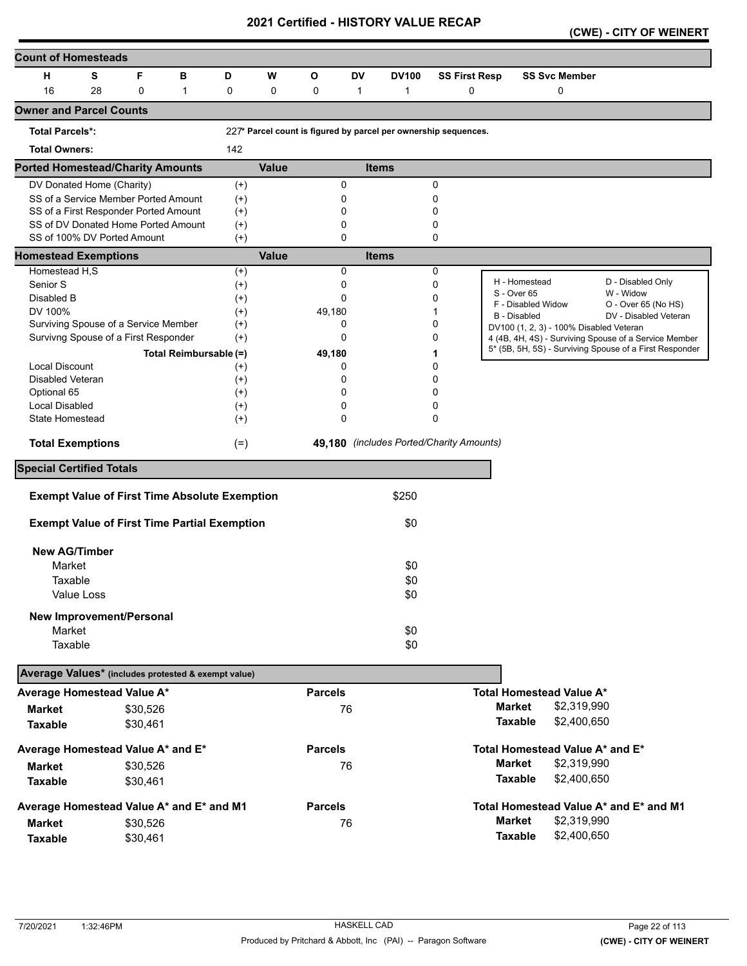|  | (CWE) - CITY OF WEINERT |  |
|--|-------------------------|--|
|--|-------------------------|--|

| <b>Count of Homesteads</b>                          |            |             |                                                      |          |              |                |              |                                                                 |                      |               |                                         |                                                                                                                  |
|-----------------------------------------------------|------------|-------------|------------------------------------------------------|----------|--------------|----------------|--------------|-----------------------------------------------------------------|----------------------|---------------|-----------------------------------------|------------------------------------------------------------------------------------------------------------------|
| н                                                   | S          | F           | в                                                    | D        | W            | $\mathbf{o}$   | DV           | <b>DV100</b>                                                    | <b>SS First Resp</b> |               | <b>SS Svc Member</b>                    |                                                                                                                  |
| 16                                                  | 28         | $\mathbf 0$ | $\mathbf{1}$                                         | 0        | 0            | 0              | $\mathbf{1}$ | 1                                                               | 0                    |               | 0                                       |                                                                                                                  |
| <b>Owner and Parcel Counts</b>                      |            |             |                                                      |          |              |                |              |                                                                 |                      |               |                                         |                                                                                                                  |
| <b>Total Parcels*:</b>                              |            |             |                                                      |          |              |                |              | 227* Parcel count is figured by parcel per ownership sequences. |                      |               |                                         |                                                                                                                  |
| <b>Total Owners:</b>                                |            |             |                                                      | 142      |              |                |              |                                                                 |                      |               |                                         |                                                                                                                  |
| <b>Ported Homestead/Charity Amounts</b>             |            |             |                                                      |          | <b>Value</b> |                |              | <b>Items</b>                                                    |                      |               |                                         |                                                                                                                  |
| DV Donated Home (Charity)                           |            |             |                                                      | $^{(+)}$ |              |                | $\mathbf 0$  |                                                                 | 0                    |               |                                         |                                                                                                                  |
|                                                     |            |             | SS of a Service Member Ported Amount                 | $^{(+)}$ |              |                | 0            |                                                                 | 0                    |               |                                         |                                                                                                                  |
| SS of a First Responder Ported Amount               |            |             |                                                      | $^{(+)}$ |              |                | 0            |                                                                 | 0                    |               |                                         |                                                                                                                  |
|                                                     |            |             | SS of DV Donated Home Ported Amount                  | $^{(+)}$ |              |                | 0            |                                                                 | 0                    |               |                                         |                                                                                                                  |
| SS of 100% DV Ported Amount                         |            |             |                                                      | $^{(+)}$ |              |                | $\Omega$     |                                                                 | 0                    |               |                                         |                                                                                                                  |
| <b>Homestead Exemptions</b>                         |            |             |                                                      |          | <b>Value</b> |                |              | <b>Items</b>                                                    |                      |               |                                         |                                                                                                                  |
| Homestead H,S                                       |            |             |                                                      | $^{(+)}$ |              |                | $\mathbf 0$  |                                                                 | 0                    |               | H - Homestead                           |                                                                                                                  |
| Senior S                                            |            |             |                                                      | $^{(+)}$ |              |                | 0            |                                                                 | 0                    |               | S - Over 65                             | D - Disabled Only<br>W - Widow                                                                                   |
| Disabled B                                          |            |             |                                                      | $^{(+)}$ |              |                | $\Omega$     |                                                                 | 0                    |               | F - Disabled Widow                      | O - Over 65 (No HS)                                                                                              |
| DV 100%                                             |            |             |                                                      | $^{(+)}$ |              | 49,180         |              |                                                                 | 1                    |               | <b>B</b> - Disabled                     | DV - Disabled Veteran                                                                                            |
| Surviving Spouse of a Service Member                |            |             |                                                      | $^{(+)}$ |              |                | 0            |                                                                 | 0                    |               | DV100 (1, 2, 3) - 100% Disabled Veteran |                                                                                                                  |
| Survivng Spouse of a First Responder                |            |             |                                                      | $^{(+)}$ |              |                | $\Omega$     |                                                                 | 0                    |               |                                         | 4 (4B, 4H, 4S) - Surviving Spouse of a Service Member<br>5* (5B, 5H, 5S) - Surviving Spouse of a First Responder |
|                                                     |            |             | Total Reimbursable (=)                               |          |              | 49,180         |              |                                                                 | 1                    |               |                                         |                                                                                                                  |
| <b>Local Discount</b>                               |            |             |                                                      | $^{(+)}$ |              |                | 0            |                                                                 | 0                    |               |                                         |                                                                                                                  |
| Disabled Veteran                                    |            |             |                                                      | $^{(+)}$ |              |                | 0            |                                                                 | 0                    |               |                                         |                                                                                                                  |
| Optional 65                                         |            |             |                                                      | $^{(+)}$ |              |                | 0            |                                                                 | 0                    |               |                                         |                                                                                                                  |
| <b>Local Disabled</b>                               |            |             |                                                      | $^{(+)}$ |              |                | 0            |                                                                 | 0                    |               |                                         |                                                                                                                  |
| State Homestead                                     |            |             |                                                      | $^{(+)}$ |              |                | $\mathbf 0$  |                                                                 | 0                    |               |                                         |                                                                                                                  |
| <b>Total Exemptions</b>                             |            |             |                                                      | $(=)$    |              |                |              | 49,180 (includes Ported/Charity Amounts)                        |                      |               |                                         |                                                                                                                  |
| <b>Special Certified Totals</b>                     |            |             |                                                      |          |              |                |              |                                                                 |                      |               |                                         |                                                                                                                  |
|                                                     |            |             | <b>Exempt Value of First Time Absolute Exemption</b> |          |              |                |              | \$250                                                           |                      |               |                                         |                                                                                                                  |
|                                                     |            |             |                                                      |          |              |                |              |                                                                 |                      |               |                                         |                                                                                                                  |
|                                                     |            |             | <b>Exempt Value of First Time Partial Exemption</b>  |          |              |                |              | \$0                                                             |                      |               |                                         |                                                                                                                  |
| <b>New AG/Timber</b>                                |            |             |                                                      |          |              |                |              |                                                                 |                      |               |                                         |                                                                                                                  |
| Market                                              |            |             |                                                      |          |              |                |              | \$0                                                             |                      |               |                                         |                                                                                                                  |
| Taxable                                             |            |             |                                                      |          |              |                |              | \$0                                                             |                      |               |                                         |                                                                                                                  |
|                                                     | Value Loss |             |                                                      |          |              |                |              | \$0                                                             |                      |               |                                         |                                                                                                                  |
|                                                     |            |             |                                                      |          |              |                |              |                                                                 |                      |               |                                         |                                                                                                                  |
| <b>New Improvement/Personal</b>                     |            |             |                                                      |          |              |                |              |                                                                 |                      |               |                                         |                                                                                                                  |
| Market                                              |            |             |                                                      |          |              |                |              | \$0                                                             |                      |               |                                         |                                                                                                                  |
| Taxable                                             |            |             |                                                      |          |              |                |              | \$0                                                             |                      |               |                                         |                                                                                                                  |
| Average Values* (includes protested & exempt value) |            |             |                                                      |          |              |                |              |                                                                 |                      |               |                                         |                                                                                                                  |
| Average Homestead Value A*                          |            |             |                                                      |          |              | <b>Parcels</b> |              |                                                                 |                      |               | <b>Total Homestead Value A*</b>         |                                                                                                                  |
| <b>Market</b>                                       |            | \$30,526    |                                                      |          |              |                | 76           |                                                                 |                      |               | <b>Market</b><br>\$2,319,990            |                                                                                                                  |
| <b>Taxable</b>                                      |            | \$30,461    |                                                      |          |              |                |              |                                                                 |                      |               | \$2,400,650<br><b>Taxable</b>           |                                                                                                                  |
| Average Homestead Value A* and E*                   |            |             |                                                      |          |              | <b>Parcels</b> |              |                                                                 |                      |               | Total Homestead Value A* and E*         |                                                                                                                  |
|                                                     |            |             |                                                      |          |              |                |              |                                                                 |                      |               | \$2,319,990<br><b>Market</b>            |                                                                                                                  |
| Market                                              |            | \$30,526    |                                                      |          |              |                | 76           |                                                                 |                      |               |                                         |                                                                                                                  |
| <b>Taxable</b>                                      |            | \$30,461    |                                                      |          |              |                |              |                                                                 |                      |               | \$2,400,650<br><b>Taxable</b>           |                                                                                                                  |
| Average Homestead Value A* and E* and M1            |            |             |                                                      |          |              | <b>Parcels</b> |              |                                                                 |                      |               |                                         | Total Homestead Value A* and E* and M1                                                                           |
| <b>Market</b>                                       |            | \$30,526    |                                                      |          |              |                | 76           |                                                                 |                      | <b>Market</b> | \$2,319,990                             |                                                                                                                  |
| <b>Taxable</b>                                      |            | \$30,461    |                                                      |          |              |                |              |                                                                 |                      |               | \$2,400,650<br><b>Taxable</b>           |                                                                                                                  |
|                                                     |            |             |                                                      |          |              |                |              |                                                                 |                      |               |                                         |                                                                                                                  |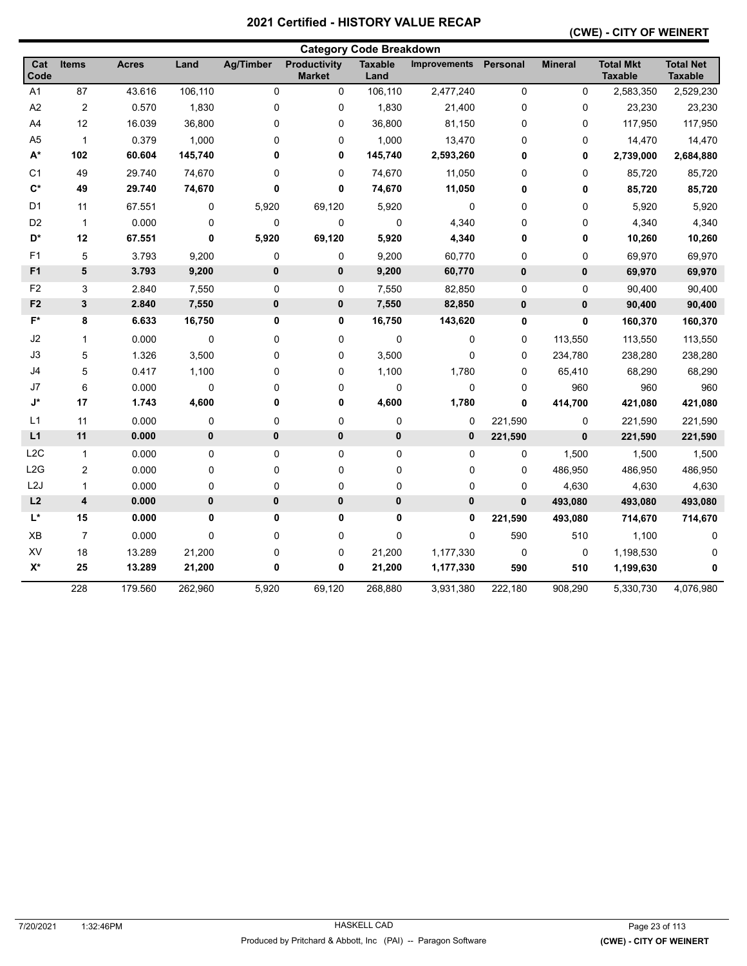#### **(CWE) - CITY OF WEINERT**

| <b>Category Code Breakdown</b> |                         |              |         |                  |                                      |                        |                     |                 |                |                                    |                                    |
|--------------------------------|-------------------------|--------------|---------|------------------|--------------------------------------|------------------------|---------------------|-----------------|----------------|------------------------------------|------------------------------------|
| Cat<br><b>Code</b>             | Items                   | <b>Acres</b> | Land    | <b>Ag/Timber</b> | <b>Productivity</b><br><b>Market</b> | <b>Taxable</b><br>Land | <b>Improvements</b> | <b>Personal</b> | <b>Mineral</b> | <b>Total Mkt</b><br><b>Taxable</b> | <b>Total Net</b><br><b>Taxable</b> |
| A1                             | 87                      | 43.616       | 106,110 | 0                | 0                                    | 106,110                | 2,477,240           | $\mathbf 0$     | $\mathbf 0$    | 2,583,350                          | 2,529,230                          |
| A <sub>2</sub>                 | $\overline{c}$          | 0.570        | 1,830   | 0                | 0                                    | 1,830                  | 21,400              | $\pmb{0}$       | 0              | 23,230                             | 23,230                             |
| A4                             | 12                      | 16.039       | 36,800  | 0                | 0                                    | 36,800                 | 81,150              | $\pmb{0}$       | 0              | 117,950                            | 117,950                            |
| A <sub>5</sub>                 | $\mathbf{1}$            | 0.379        | 1,000   | 0                | 0                                    | 1,000                  | 13,470              | $\pmb{0}$       | 0              | 14,470                             | 14,470                             |
| $A^*$                          | 102                     | 60.604       | 145,740 | 0                | 0                                    | 145,740                | 2,593,260           | 0               | 0              | 2,739,000                          | 2,684,880                          |
| C <sub>1</sub>                 | 49                      | 29.740       | 74,670  | 0                | 0                                    | 74,670                 | 11,050              | 0               | 0              | 85,720                             | 85,720                             |
| $C^*$                          | 49                      | 29.740       | 74,670  | 0                | 0                                    | 74,670                 | 11,050              | $\mathbf 0$     | 0              | 85,720                             | 85,720                             |
| D1                             | 11                      | 67.551       | 0       | 5,920            | 69,120                               | 5,920                  | 0                   | 0               | 0              | 5,920                              | 5,920                              |
| D <sub>2</sub>                 | $\mathbf{1}$            | 0.000        | 0       | $\mathbf 0$      | 0                                    | $\pmb{0}$              | 4,340               | 0               | 0              | 4,340                              | 4,340                              |
| D*                             | 12                      | 67.551       | 0       | 5,920            | 69,120                               | 5,920                  | 4,340               | 0               | 0              | 10,260                             | 10,260                             |
| F1                             | 5                       | 3.793        | 9,200   | $\mathbf 0$      | $\mathbf 0$                          | 9,200                  | 60,770              | 0               | 0              | 69,970                             | 69,970                             |
| F <sub>1</sub>                 | 5                       | 3.793        | 9,200   | 0                | 0                                    | 9,200                  | 60,770              | $\bf{0}$        | $\mathbf 0$    | 69,970                             | 69,970                             |
| F <sub>2</sub>                 | 3                       | 2.840        | 7,550   | 0                | 0                                    | 7,550                  | 82,850              | $\pmb{0}$       | 0              | 90,400                             | 90,400                             |
| F <sub>2</sub>                 | 3                       | 2.840        | 7,550   | 0                | 0                                    | 7,550                  | 82,850              | 0               | $\mathbf 0$    | 90,400                             | 90,400                             |
| $\mathsf{F}^\star$             | 8                       | 6.633        | 16,750  | 0                | 0                                    | 16,750                 | 143,620             | $\pmb{0}$       | 0              | 160,370                            | 160,370                            |
| J2                             | 1                       | 0.000        | 0       | 0                | 0                                    | 0                      | 0                   | $\mathbf 0$     | 113,550        | 113,550                            | 113,550                            |
| J3                             | 5                       | 1.326        | 3,500   | 0                | 0                                    | 3,500                  | 0                   | $\pmb{0}$       | 234,780        | 238,280                            | 238,280                            |
| J4                             | 5                       | 0.417        | 1,100   | 0                | 0                                    | 1,100                  | 1,780               | 0               | 65,410         | 68,290                             | 68,290                             |
| J7                             | 6                       | 0.000        | 0       | 0                | 0                                    | $\pmb{0}$              | 0                   | 0               | 960            | 960                                | 960                                |
| J*                             | 17                      | 1.743        | 4,600   | 0                | 0                                    | 4,600                  | 1,780               | $\mathbf{0}$    | 414,700        | 421,080                            | 421,080                            |
| L1                             | 11                      | 0.000        | 0       | 0                | 0                                    | 0                      | 0                   | 221,590         | 0              | 221,590                            | 221,590                            |
| L1                             | 11                      | 0.000        | 0       | $\mathbf{0}$     | $\mathbf 0$                          | $\pmb{0}$              | $\mathbf 0$         | 221,590         | $\mathbf{0}$   | 221,590                            | 221,590                            |
| L <sub>2</sub> C               | $\mathbf{1}$            | 0.000        | 0       | 0                | 0                                    | 0                      | 0                   | 0               | 1,500          | 1,500                              | 1,500                              |
| L2G                            | 2                       | 0.000        | 0       | 0                | 0                                    | 0                      | 0                   | $\mathbf 0$     | 486,950        | 486,950                            | 486,950                            |
| L <sub>2</sub> J               | 1                       | 0.000        | 0       | 0                | 0                                    | 0                      | 0                   | 0               | 4,630          | 4,630                              | 4,630                              |
| L2                             | $\overline{\mathbf{4}}$ | 0.000        | 0       | 0                | $\mathbf 0$                          | $\pmb{0}$              | 0                   | $\mathbf{0}$    | 493,080        | 493,080                            | 493,080                            |
| $L^*$                          | 15                      | 0.000        | 0       | 0                | 0                                    | 0                      | 0                   | 221,590         | 493,080        | 714,670                            | 714,670                            |
| XB                             | $\overline{7}$          | 0.000        | 0       | 0                | 0                                    | $\pmb{0}$              | 0                   | 590             | 510            | 1,100                              | 0                                  |
| XV                             | 18                      | 13.289       | 21,200  | 0                | 0                                    | 21,200                 | 1,177,330           | 0               | 0              | 1,198,530                          |                                    |
| $X^*$                          | 25                      | 13.289       | 21,200  | 0                | 0                                    | 21,200                 | 1,177,330           | 590             | 510            | 1,199,630                          | 0                                  |
|                                | 228                     | 179.560      | 262,960 | 5,920            | 69,120                               | 268,880                | 3,931,380           | 222,180         | 908,290        | 5,330,730                          | 4,076,980                          |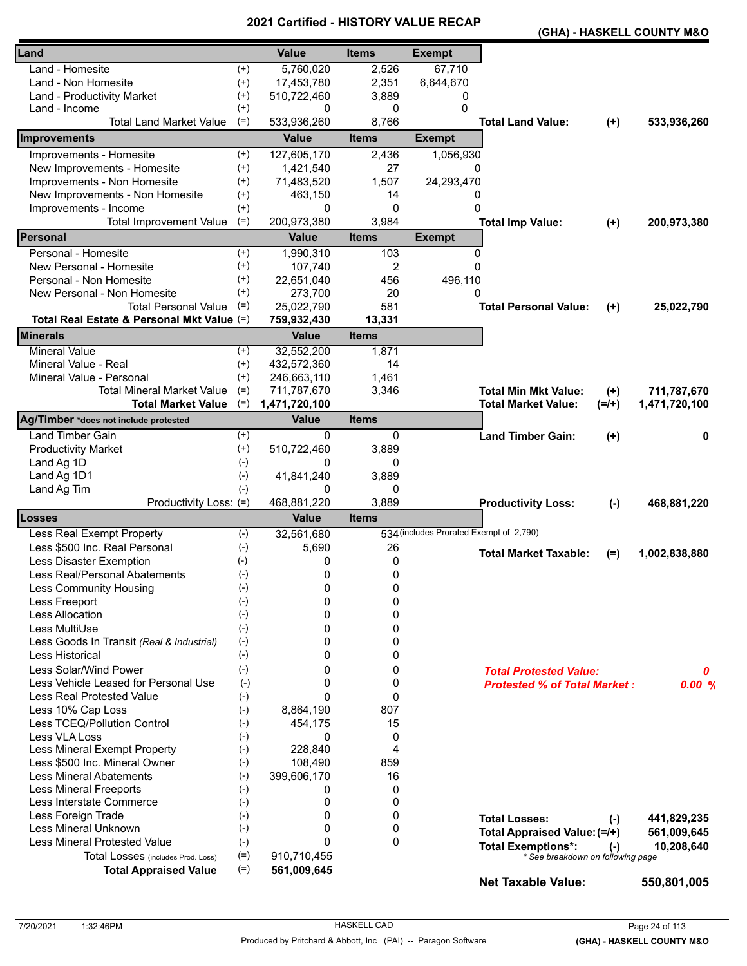|                                            |          |                 |                |                                         |                                     |         | (GHA) - HASKELL COUNTY M&O |
|--------------------------------------------|----------|-----------------|----------------|-----------------------------------------|-------------------------------------|---------|----------------------------|
| Land                                       |          | <b>Value</b>    | <b>Items</b>   | <b>Exempt</b>                           |                                     |         |                            |
| Land - Homesite                            | $^{(+)}$ | 5,760,020       | 2,526          | 67,710                                  |                                     |         |                            |
| Land - Non Homesite                        | $^{(+)}$ | 17,453,780      | 2,351          | 6,644,670                               |                                     |         |                            |
| Land - Productivity Market                 | $^{(+)}$ | 510,722,460     | 3,889          | 0                                       |                                     |         |                            |
| Land - Income                              | $^{(+)}$ | 0               | 0              | 0                                       |                                     |         |                            |
| <b>Total Land Market Value</b>             | $(=)$    | 533,936,260     | 8,766          |                                         | <b>Total Land Value:</b>            | $(+)$   | 533,936,260                |
| Improvements                               |          | <b>Value</b>    | <b>Items</b>   | <b>Exempt</b>                           |                                     |         |                            |
| Improvements - Homesite                    | $^{(+)}$ | 127,605,170     | 2,436          | 1,056,930                               |                                     |         |                            |
| New Improvements - Homesite                | $^{(+)}$ | 1,421,540       | 27             | 0                                       |                                     |         |                            |
| Improvements - Non Homesite                | $^{(+)}$ | 71,483,520      | 1,507          | 24,293,470                              |                                     |         |                            |
| New Improvements - Non Homesite            | $^{(+)}$ | 463,150         | 14             | 0                                       |                                     |         |                            |
| Improvements - Income                      | $^{(+)}$ | 0               | 0              | $\Omega$                                |                                     |         |                            |
| <b>Total Improvement Value</b>             | $(=)$    | 200,973,380     | 3,984          |                                         | <b>Total Imp Value:</b>             | $(+)$   | 200,973,380                |
| Personal                                   |          | <b>Value</b>    | <b>Items</b>   | <b>Exempt</b>                           |                                     |         |                            |
| Personal - Homesite                        | $^{(+)}$ | 1,990,310       | 103            | 0                                       |                                     |         |                            |
| New Personal - Homesite                    | $^{(+)}$ | 107,740         | $\overline{2}$ | $\Omega$                                |                                     |         |                            |
| Personal - Non Homesite                    | $^{(+)}$ | 22,651,040      | 456            | 496,110                                 |                                     |         |                            |
| New Personal - Non Homesite                | $^{(+)}$ | 273,700         | 20             | 0                                       |                                     |         |                            |
| <b>Total Personal Value</b>                | $(=)$    | 25,022,790      | 581            |                                         | <b>Total Personal Value:</b>        | $(+)$   | 25,022,790                 |
| Total Real Estate & Personal Mkt Value (=) |          | 759,932,430     | 13,331         |                                         |                                     |         |                            |
| <b>Minerals</b>                            |          | <b>Value</b>    | <b>Items</b>   |                                         |                                     |         |                            |
| <b>Mineral Value</b>                       | $^{(+)}$ | 32,552,200      | 1,871          |                                         |                                     |         |                            |
| Mineral Value - Real                       | $^{(+)}$ | 432,572,360     | 14             |                                         |                                     |         |                            |
| Mineral Value - Personal                   | $(+)$    | 246,663,110     | 1,461          |                                         |                                     |         |                            |
| Total Mineral Market Value                 | $(=)$    | 711,787,670     | 3,346          |                                         | <b>Total Min Mkt Value:</b>         | $(+)$   | 711,787,670                |
| <b>Total Market Value</b>                  | $(=)$    | 1,471,720,100   |                |                                         | <b>Total Market Value:</b>          | $(=/+)$ | 1,471,720,100              |
| Ag/Timber *does not include protested      |          | <b>Value</b>    | <b>Items</b>   |                                         |                                     |         |                            |
| <b>Land Timber Gain</b>                    | $^{(+)}$ | $\Omega$        | 0              |                                         | <b>Land Timber Gain:</b>            | $(+)$   | 0                          |
| <b>Productivity Market</b>                 | $^{(+)}$ | 510,722,460     | 3,889          |                                         |                                     |         |                            |
| Land Ag 1D                                 | $(-)$    | 0               | 0              |                                         |                                     |         |                            |
| Land Ag 1D1                                | $(-)$    | 41,841,240<br>0 | 3,889<br>0     |                                         |                                     |         |                            |
| Land Ag Tim<br>Productivity Loss: (=)      | $(-)$    | 468,881,220     | 3,889          |                                         | <b>Productivity Loss:</b>           | $(-)$   | 468,881,220                |
| <b>Losses</b>                              |          | <b>Value</b>    | <b>Items</b>   |                                         |                                     |         |                            |
| Less Real Exempt Property                  | $(-)$    | 32,561,680      |                | 534 (includes Prorated Exempt of 2,790) |                                     |         |                            |
| Less \$500 Inc. Real Personal              | $(-)$    | 5,690           | 26             |                                         |                                     |         |                            |
| Less Disaster Exemption                    | $(-)$    | 0               | 0              |                                         | <b>Total Market Taxable:</b>        | $(=)$   | 1,002,838,880              |
| Less Real/Personal Abatements              | $(-)$    | 0               | 0              |                                         |                                     |         |                            |
| Less Community Housing                     | $(-)$    | 0               | 0              |                                         |                                     |         |                            |
| Less Freeport                              | $(-)$    | 0               | 0              |                                         |                                     |         |                            |
| <b>Less Allocation</b>                     | $(-)$    | 0               | 0              |                                         |                                     |         |                            |
| Less MultiUse                              | $(-)$    | 0               | 0              |                                         |                                     |         |                            |
| Less Goods In Transit (Real & Industrial)  | $(-)$    | 0               | 0              |                                         |                                     |         |                            |
| Less Historical                            | $(-)$    | 0               | 0              |                                         |                                     |         |                            |
| Less Solar/Wind Power                      | $(-)$    | 0               | 0              |                                         | <b>Total Protested Value:</b>       |         | 0                          |
| Less Vehicle Leased for Personal Use       | $(-)$    | 0               | 0              |                                         | <b>Protested % of Total Market:</b> |         | 0.00%                      |
| <b>Less Real Protested Value</b>           | $(-)$    | 0               | 0              |                                         |                                     |         |                            |
| Less 10% Cap Loss                          | $(-)$    | 8,864,190       | 807            |                                         |                                     |         |                            |
| Less TCEQ/Pollution Control                | $(-)$    | 454,175         | 15             |                                         |                                     |         |                            |
| Less VLA Loss                              | $(-)$    | 0               | 0              |                                         |                                     |         |                            |
| Less Mineral Exempt Property               | $(-)$    | 228,840         | 4              |                                         |                                     |         |                            |
| Less \$500 Inc. Mineral Owner              | $(-)$    | 108,490         | 859            |                                         |                                     |         |                            |
| <b>Less Mineral Abatements</b>             | $(-)$    | 399,606,170     | 16             |                                         |                                     |         |                            |
| <b>Less Mineral Freeports</b>              | $(-)$    | 0               | 0              |                                         |                                     |         |                            |
| Less Interstate Commerce                   | $(-)$    | 0               | 0              |                                         |                                     |         |                            |
| Less Foreign Trade                         | $(-)$    | 0               | 0              |                                         | <b>Total Losses:</b>                | $(-)$   | 441,829,235                |
| Less Mineral Unknown                       | $(-)$    | 0               | 0              |                                         | Total Appraised Value: (=/+)        |         | 561,009,645                |
| <b>Less Mineral Protested Value</b>        | $(-)$    | 0               | 0              |                                         | <b>Total Exemptions*:</b>           | $(-)$   | 10,208,640                 |
| Total Losses (includes Prod. Loss)         | $(=)$    | 910,710,455     |                |                                         | * See breakdown on following page   |         |                            |
| <b>Total Appraised Value</b>               | $(=)$    | 561,009,645     |                |                                         | <b>Net Taxable Value:</b>           |         | 550,801,005                |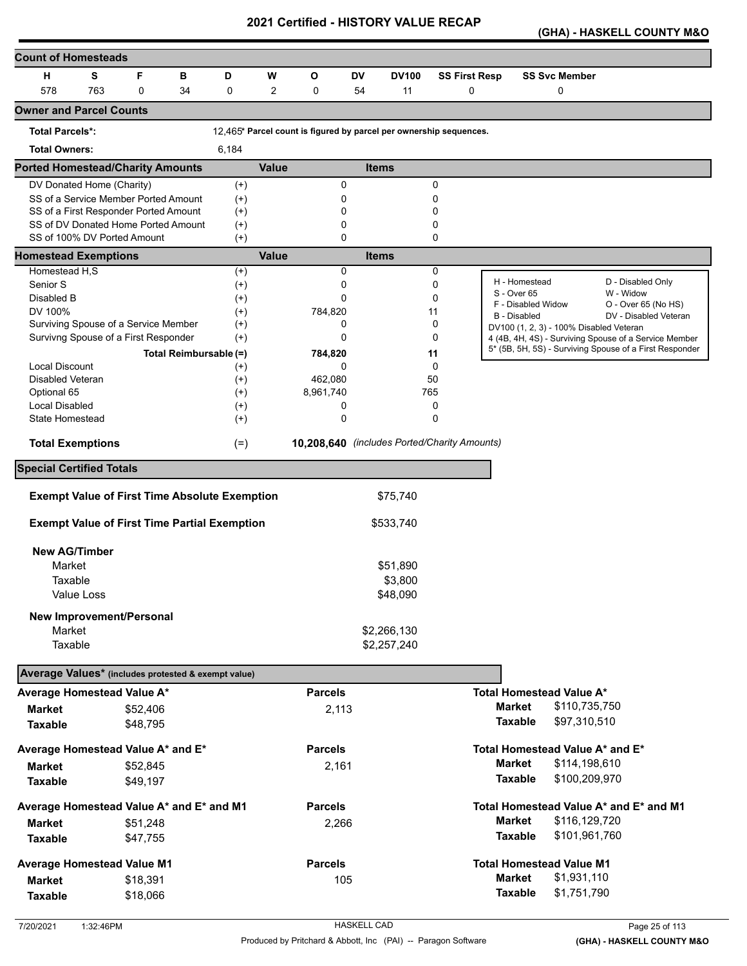**(GHA) - HASKELL COUNTY M&O** 

| <b>Count of Homesteads</b>                           |     |          |                        |                      |              |                |    |                                                                    |                      |                     |                                         |                                                         |
|------------------------------------------------------|-----|----------|------------------------|----------------------|--------------|----------------|----|--------------------------------------------------------------------|----------------------|---------------------|-----------------------------------------|---------------------------------------------------------|
| н                                                    | S   | F        | в                      | D                    | W            | O              | DV | <b>DV100</b>                                                       | <b>SS First Resp</b> |                     | <b>SS Svc Member</b>                    |                                                         |
| 578                                                  | 763 | 0        | 34                     | 0                    | 2            | 0              | 54 | 11                                                                 | 0                    |                     | 0                                       |                                                         |
| <b>Owner and Parcel Counts</b>                       |     |          |                        |                      |              |                |    |                                                                    |                      |                     |                                         |                                                         |
| <b>Total Parcels*:</b>                               |     |          |                        |                      |              |                |    | 12,465* Parcel count is figured by parcel per ownership sequences. |                      |                     |                                         |                                                         |
| <b>Total Owners:</b>                                 |     |          |                        | 6,184                |              |                |    |                                                                    |                      |                     |                                         |                                                         |
| <b>Ported Homestead/Charity Amounts</b>              |     |          |                        |                      | <b>Value</b> |                |    | <b>Items</b>                                                       |                      |                     |                                         |                                                         |
| DV Donated Home (Charity)                            |     |          |                        | $^{(+)}$             |              | 0              |    |                                                                    | 0                    |                     |                                         |                                                         |
| SS of a Service Member Ported Amount                 |     |          |                        | $^{(+)}$             |              | 0              |    |                                                                    | 0                    |                     |                                         |                                                         |
| SS of a First Responder Ported Amount                |     |          |                        | $^{(+)}$             |              | 0              |    |                                                                    | 0                    |                     |                                         |                                                         |
| SS of DV Donated Home Ported Amount                  |     |          |                        | $^{(+)}$             |              | 0              |    |                                                                    | 0                    |                     |                                         |                                                         |
| SS of 100% DV Ported Amount                          |     |          |                        | $(+)$                |              | $\mathbf 0$    |    |                                                                    | 0                    |                     |                                         |                                                         |
| <b>Homestead Exemptions</b><br>Homestead H,S         |     |          |                        |                      | <b>Value</b> | 0              |    | <b>Items</b>                                                       | 0                    |                     |                                         |                                                         |
| Senior S                                             |     |          |                        | $^{(+)}$             |              | 0              |    |                                                                    | 0                    |                     | H - Homestead                           | D - Disabled Only                                       |
| Disabled B                                           |     |          |                        | $^{(+)}$             |              | 0              |    |                                                                    | 0                    | S - Over 65         |                                         | W - Widow                                               |
| DV 100%                                              |     |          |                        | $^{(+)}$             |              | 784,820        |    |                                                                    | 11                   |                     | F - Disabled Widow                      | O - Over 65 (No HS)                                     |
| Surviving Spouse of a Service Member                 |     |          |                        | $^{(+)}$<br>$^{(+)}$ |              | 0              |    |                                                                    | 0                    | <b>B</b> - Disabled |                                         | DV - Disabled Veteran                                   |
| Survivng Spouse of a First Responder                 |     |          |                        | $^{(+)}$             |              | 0              |    |                                                                    | 0                    |                     | DV100 (1, 2, 3) - 100% Disabled Veteran | 4 (4B, 4H, 4S) - Surviving Spouse of a Service Member   |
|                                                      |     |          |                        |                      |              |                |    |                                                                    |                      |                     |                                         | 5* (5B, 5H, 5S) - Surviving Spouse of a First Responder |
| <b>Local Discount</b>                                |     |          | Total Reimbursable (=) |                      |              | 784,820<br>0   |    |                                                                    | 11<br>0              |                     |                                         |                                                         |
| <b>Disabled Veteran</b>                              |     |          |                        | $^{(+)}$<br>$^{(+)}$ |              | 462,080        |    |                                                                    | 50                   |                     |                                         |                                                         |
| Optional 65                                          |     |          |                        | $^{(+)}$             |              | 8,961,740      |    |                                                                    | 765                  |                     |                                         |                                                         |
| <b>Local Disabled</b>                                |     |          |                        | $^{(+)}$             |              | 0              |    |                                                                    | 0                    |                     |                                         |                                                         |
| State Homestead                                      |     |          |                        | $^{(+)}$             |              | 0              |    |                                                                    | $\mathbf 0$          |                     |                                         |                                                         |
| <b>Total Exemptions</b>                              |     |          |                        | $(=)$                |              |                |    | 10,208,640 (includes Ported/Charity Amounts)                       |                      |                     |                                         |                                                         |
| <b>Special Certified Totals</b>                      |     |          |                        |                      |              |                |    |                                                                    |                      |                     |                                         |                                                         |
|                                                      |     |          |                        |                      |              |                |    |                                                                    |                      |                     |                                         |                                                         |
| <b>Exempt Value of First Time Absolute Exemption</b> |     |          |                        |                      |              |                |    | \$75,740                                                           |                      |                     |                                         |                                                         |
| <b>Exempt Value of First Time Partial Exemption</b>  |     |          |                        |                      |              |                |    | \$533,740                                                          |                      |                     |                                         |                                                         |
| <b>New AG/Timber</b>                                 |     |          |                        |                      |              |                |    |                                                                    |                      |                     |                                         |                                                         |
| Market                                               |     |          |                        |                      |              |                |    | \$51,890                                                           |                      |                     |                                         |                                                         |
| Taxable                                              |     |          |                        |                      |              |                |    | \$3,800                                                            |                      |                     |                                         |                                                         |
| Value Loss                                           |     |          |                        |                      |              |                |    | \$48,090                                                           |                      |                     |                                         |                                                         |
|                                                      |     |          |                        |                      |              |                |    |                                                                    |                      |                     |                                         |                                                         |
| <b>New Improvement/Personal</b>                      |     |          |                        |                      |              |                |    |                                                                    |                      |                     |                                         |                                                         |
| Market                                               |     |          |                        |                      |              |                |    | \$2,266,130                                                        |                      |                     |                                         |                                                         |
| Taxable                                              |     |          |                        |                      |              |                |    | \$2,257,240                                                        |                      |                     |                                         |                                                         |
| Average Values* (includes protested & exempt value)  |     |          |                        |                      |              |                |    |                                                                    |                      |                     |                                         |                                                         |
| Average Homestead Value A*                           |     |          |                        |                      |              | <b>Parcels</b> |    |                                                                    |                      |                     | <b>Total Homestead Value A*</b>         |                                                         |
| <b>Market</b>                                        |     | \$52,406 |                        |                      |              | 2,113          |    |                                                                    |                      | <b>Market</b>       | \$110,735,750                           |                                                         |
| <b>Taxable</b>                                       |     | \$48,795 |                        |                      |              |                |    |                                                                    |                      | <b>Taxable</b>      | \$97,310,510                            |                                                         |
| Average Homestead Value A* and E*                    |     |          |                        |                      |              | <b>Parcels</b> |    |                                                                    |                      |                     | Total Homestead Value A* and E*         |                                                         |
| <b>Market</b>                                        |     | \$52,845 |                        |                      |              | 2,161          |    |                                                                    |                      | <b>Market</b>       | \$114,198,610                           |                                                         |
| <b>Taxable</b>                                       |     | \$49,197 |                        |                      |              |                |    |                                                                    |                      | <b>Taxable</b>      | \$100,209,970                           |                                                         |
|                                                      |     |          |                        |                      |              |                |    |                                                                    |                      |                     |                                         |                                                         |
| Average Homestead Value A* and E* and M1             |     |          |                        |                      |              | <b>Parcels</b> |    |                                                                    |                      |                     |                                         | Total Homestead Value A* and E* and M1                  |
| <b>Market</b>                                        |     | \$51,248 |                        |                      |              | 2,266          |    |                                                                    |                      | <b>Market</b>       | \$116,129,720                           |                                                         |
| <b>Taxable</b>                                       |     | \$47,755 |                        |                      |              |                |    |                                                                    |                      | <b>Taxable</b>      | \$101,961,760                           |                                                         |
| <b>Average Homestead Value M1</b>                    |     |          |                        |                      |              | <b>Parcels</b> |    |                                                                    |                      |                     | <b>Total Homestead Value M1</b>         |                                                         |
| <b>Market</b>                                        |     | \$18,391 |                        |                      |              | 105            |    |                                                                    |                      | <b>Market</b>       | \$1,931,110                             |                                                         |
| <b>Taxable</b>                                       |     | \$18,066 |                        |                      |              |                |    |                                                                    |                      | <b>Taxable</b>      | \$1,751,790                             |                                                         |
|                                                      |     |          |                        |                      |              |                |    |                                                                    |                      |                     |                                         |                                                         |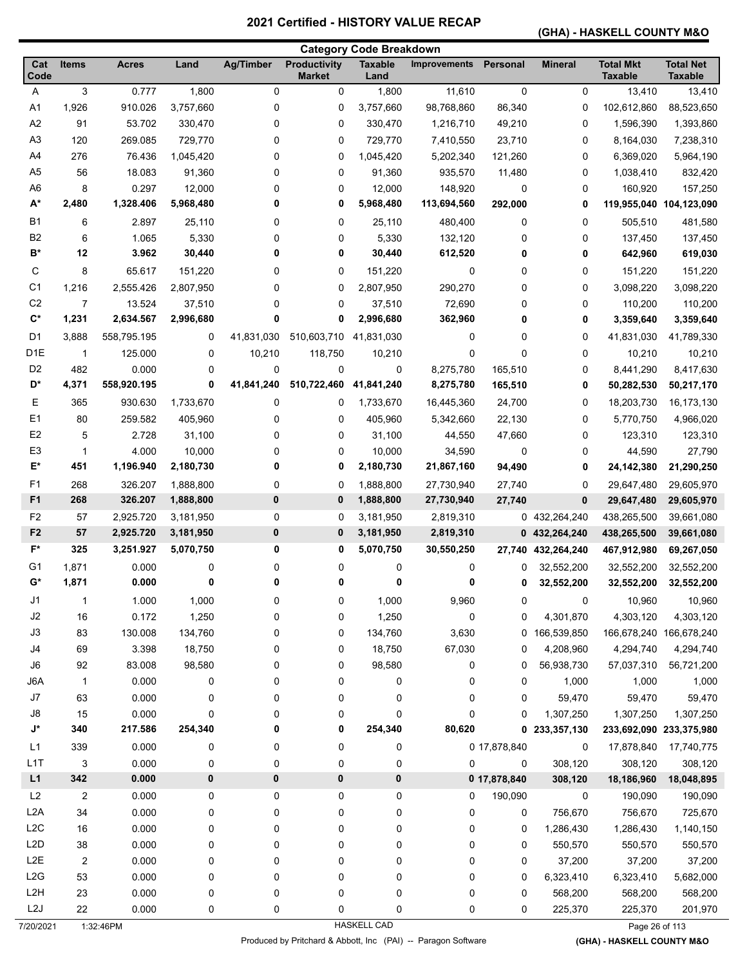# **(GHA) - HASKELL COUNTY M&O**

|                                  |                         |                    |                        |                  |                                      | <b>Category Code Breakdown</b> |                     |                  |                |                                    |                                    |
|----------------------------------|-------------------------|--------------------|------------------------|------------------|--------------------------------------|--------------------------------|---------------------|------------------|----------------|------------------------------------|------------------------------------|
| Cat<br>Code                      | <b>Items</b>            | <b>Acres</b>       | Land                   | <b>Ag/Timber</b> | <b>Productivity</b><br><b>Market</b> | <b>Taxable</b><br>Land         | <b>Improvements</b> | Personal         | <b>Mineral</b> | <b>Total Mkt</b><br><b>Taxable</b> | <b>Total Net</b><br><b>Taxable</b> |
| Α                                | 3                       | 0.777              | 1,800                  | $\mathbf 0$      | 0                                    | 1,800                          | 11,610              | 0                | 0              | 13,410                             | 13,410                             |
| A1                               | 1,926                   | 910.026            | 3,757,660              | 0                | 0                                    | 3,757,660                      | 98,768,860          | 86,340           | 0              | 102,612,860                        | 88,523,650                         |
| A2                               | 91                      | 53.702             | 330,470                | 0                | 0                                    | 330,470                        | 1,216,710           | 49,210           | 0              | 1,596,390                          | 1,393,860                          |
| A <sub>3</sub>                   | 120                     | 269.085            | 729,770                | 0                | 0                                    | 729,770                        | 7,410,550           | 23,710           | 0              | 8,164,030                          | 7,238,310                          |
| A4                               | 276                     | 76.436             | 1,045,420              | 0                | 0                                    | 1,045,420                      | 5,202,340           | 121,260          | 0              | 6,369,020                          | 5,964,190                          |
| A <sub>5</sub>                   | 56                      | 18.083             | 91,360                 | 0                | 0                                    | 91,360                         | 935,570             | 11,480           | 0              | 1,038,410                          | 832,420                            |
| A <sub>6</sub>                   | 8                       | 0.297              | 12,000                 | 0                | 0                                    | 12,000                         | 148,920             | 0                | 0              | 160,920                            | 157,250                            |
| A*                               | 2,480                   | 1,328.406          | 5,968,480              | 0                | 0                                    | 5,968,480                      | 113,694,560         | 292,000          | 0              | 119,955,040 104,123,090            |                                    |
| <b>B1</b>                        | 6                       | 2.897              | 25,110                 | 0                | 0                                    | 25,110                         | 480,400             | 0                | 0              | 505,510                            | 481,580                            |
| B <sub>2</sub>                   | 6                       | 1.065              | 5,330                  | 0                | 0                                    | 5,330                          | 132,120             | 0                | 0              | 137,450                            | 137,450                            |
| $B^*$                            | 12                      | 3.962              | 30,440                 | 0                | 0                                    | 30,440                         | 612,520             | 0                | 0              | 642,960                            | 619,030                            |
| С                                | 8                       | 65.617             | 151,220                | 0                | 0                                    | 151,220                        | 0                   | 0                | 0              | 151,220                            | 151,220                            |
| C <sub>1</sub>                   | 1,216                   | 2,555.426          | 2,807,950              | 0                | 0                                    | 2,807,950                      | 290,270             | 0                | 0              | 3,098,220                          | 3,098,220                          |
| C <sub>2</sub>                   | 7                       | 13.524             | 37,510                 | 0                | 0                                    | 37,510                         | 72,690              | 0                | 0              | 110,200                            | 110,200                            |
| $\mathbf{C}^*$                   | 1,231                   | 2,634.567          | 2,996,680              | 0                | 0                                    | 2,996,680                      | 362,960             | 0                | 0              | 3,359,640                          | 3,359,640                          |
| D <sub>1</sub>                   | 3,888                   | 558,795.195        | 0                      | 41,831,030       | 510,603,710                          | 41,831,030                     | 0                   | 0                | 0              | 41,831,030                         | 41,789,330                         |
| D <sub>1</sub> E                 | $\mathbf{1}$            | 125.000            | 0                      | 10,210           | 118,750                              | 10,210                         | 0                   | $\mathbf 0$      | 0              | 10,210                             | 10,210                             |
| D <sub>2</sub>                   | 482                     | 0.000              | 0                      | 0                | 0                                    | 0                              | 8,275,780           | 165,510          | 0              | 8,441,290                          | 8,417,630                          |
| D*                               | 4,371                   | 558,920.195        | 0                      | 41,841,240       | 510,722,460                          | 41,841,240                     | 8,275,780           | 165,510          | 0              | 50,282,530                         | 50,217,170                         |
| Е                                | 365                     | 930.630            | 1,733,670              | 0                | 0                                    | 1,733,670                      | 16,445,360          | 24,700           | 0              | 18,203,730                         | 16,173,130                         |
| E <sub>1</sub>                   | 80                      | 259.582            |                        | 0                | 0                                    | 405,960                        | 5,342,660           |                  | 0              | 5,770,750                          | 4,966,020                          |
| E <sub>2</sub>                   | 5                       | 2.728              | 405,960<br>31,100      | 0                | 0                                    | 31,100                         | 44,550              | 22,130<br>47,660 | 0              | 123,310                            | 123,310                            |
| E <sub>3</sub>                   | 1                       | 4.000              | 10,000                 | 0                | 0                                    | 10,000                         | 34,590              | 0                | 0              | 44,590                             | 27,790                             |
| E*                               | 451                     | 1,196.940          | 2,180,730              | 0                | 0                                    | 2,180,730                      | 21,867,160          | 94,490           | 0              | 24,142,380                         | 21,290,250                         |
|                                  |                         |                    |                        |                  |                                      |                                |                     |                  |                |                                    |                                    |
| F <sub>1</sub><br>F <sub>1</sub> | 268<br>268              | 326.207<br>326.207 | 1,888,800              | 0<br>$\pmb{0}$   | 0<br>0                               | 1,888,800                      | 27,730,940          | 27,740           | 0              | 29,647,480                         | 29,605,970                         |
|                                  |                         |                    | 1,888,800              |                  |                                      | 1,888,800                      | 27,730,940          | 27,740           | $\bf{0}$       | 29,647,480                         | 29,605,970                         |
| F <sub>2</sub>                   | 57                      | 2,925.720          | 3,181,950              | 0<br>$\bf{0}$    | 0                                    | 3,181,950                      | 2,819,310           |                  | 0 432,264,240  | 438,265,500                        | 39,661,080                         |
| F <sub>2</sub><br>$F^*$          | 57<br>325               | 2,925.720          | 3,181,950<br>5,070,750 | 0                | 0                                    | 3,181,950                      | 2,819,310           |                  | 0 432,264,240  | 438,265,500                        | 39,661,080                         |
|                                  |                         | 3,251.927          |                        |                  | 0                                    | 5,070,750                      | 30,550,250          | 27,740           | 432,264,240    | 467,912,980                        | 69,267,050                         |
| G1                               | 1,871                   | 0.000              | 0                      | 0                | 0                                    | 0                              | 0                   | 0                | 32,552,200     | 32,552,200                         | 32,552,200                         |
| $G^*$                            | 1,871                   | 0.000              | 0                      | 0                | 0                                    | 0                              | 0                   | 0                | 32,552,200     | 32,552,200                         | 32,552,200                         |
| J1                               | 1                       | 1.000              | 1,000                  | 0                | 0                                    | 1,000                          | 9,960               | 0                | 0              | 10,960                             | 10,960                             |
| J2                               | 16                      | 0.172              | 1,250                  | 0                | 0                                    | 1,250                          | $\pmb{0}$           | 0                | 4,301,870      | 4,303,120                          | 4,303,120                          |
| J3                               | 83                      | 130.008            | 134,760                | 0                | 0                                    | 134,760                        | 3,630               |                  | 0 166,539,850  | 166,678,240 166,678,240            |                                    |
| J4                               | 69                      | 3.398              | 18,750                 | 0                | 0                                    | 18,750                         | 67,030              | 0                | 4,208,960      | 4,294,740                          | 4,294,740                          |
| J6                               | 92                      | 83.008             | 98,580                 | 0                | 0                                    | 98,580                         | 0                   | 0                | 56,938,730     | 57,037,310                         | 56,721,200                         |
| J6A                              | $\overline{1}$          | 0.000              | 0                      | 0                | 0                                    | 0                              | 0                   | 0                | 1,000          | 1,000                              | 1,000                              |
| $\sf J7$                         | 63                      | 0.000              | 0                      | 0                | 0                                    | 0                              | 0                   | 0                | 59,470         | 59,470                             | 59,470                             |
| J8                               | 15                      | 0.000              | 0                      | 0                | 0                                    | 0                              | 0                   | 0                | 1,307,250      | 1,307,250                          | 1,307,250                          |
| J*                               | 340                     | 217.586            | 254,340                | 0                | 0                                    | 254,340                        | 80,620              | 0                | 233,357,130    | 233,692,090 233,375,980            |                                    |
| L1                               | 339                     | 0.000              | 0                      | 0                | 0                                    | 0                              |                     | 0 17,878,840     | 0              | 17,878,840                         | 17,740,775                         |
| L1T                              | 3                       | 0.000              | 0                      | 0                | 0                                    | 0                              | 0                   | 0                | 308,120        | 308,120                            | 308,120                            |
| L1                               | 342                     | 0.000              | 0                      | 0                | 0                                    | 0                              |                     | 0 17,878,840     | 308,120        | 18,186,960                         | 18,048,895                         |
| L2                               | $\overline{\mathbf{c}}$ | 0.000              | 0                      | 0                | 0                                    | 0                              | 0                   | 190,090          | 0              | 190,090                            | 190,090                            |
| L <sub>2</sub> A                 | 34                      | 0.000              | 0                      | 0                | 0                                    | 0                              | 0                   | 0                | 756,670        | 756,670                            | 725,670                            |
| L2C                              | $16\,$                  | 0.000              | 0                      | 0                | 0                                    | 0                              | 0                   | 0                | 1,286,430      | 1,286,430                          | 1,140,150                          |
| L <sub>2</sub> D                 | 38                      | 0.000              | 0                      | 0                | 0                                    | 0                              | 0                   | 0                | 550,570        | 550,570                            | 550,570                            |
| L <sub>2</sub> E                 | $\overline{c}$          | 0.000              | 0                      | 0                | 0                                    | 0                              | 0                   | 0                | 37,200         | 37,200                             | 37,200                             |
| L2G                              | 53                      | 0.000              | 0                      | 0                | 0                                    | 0                              | $\pmb{0}$           | 0                | 6,323,410      | 6,323,410                          | 5,682,000                          |
| L <sub>2</sub> H                 | 23                      | 0.000              | 0                      | 0                | 0                                    | 0                              | 0                   | 0                | 568,200        | 568,200                            | 568,200                            |
| L2J                              | 22                      | 0.000              | 0                      | 0                | 0                                    | 0                              | 0                   | 0                | 225,370        | 225,370                            | 201,970                            |
| 7/20/2021                        |                         | 1:32:46PM          |                        |                  |                                      | HASKELL CAD                    |                     |                  |                | Page 26 of 113                     |                                    |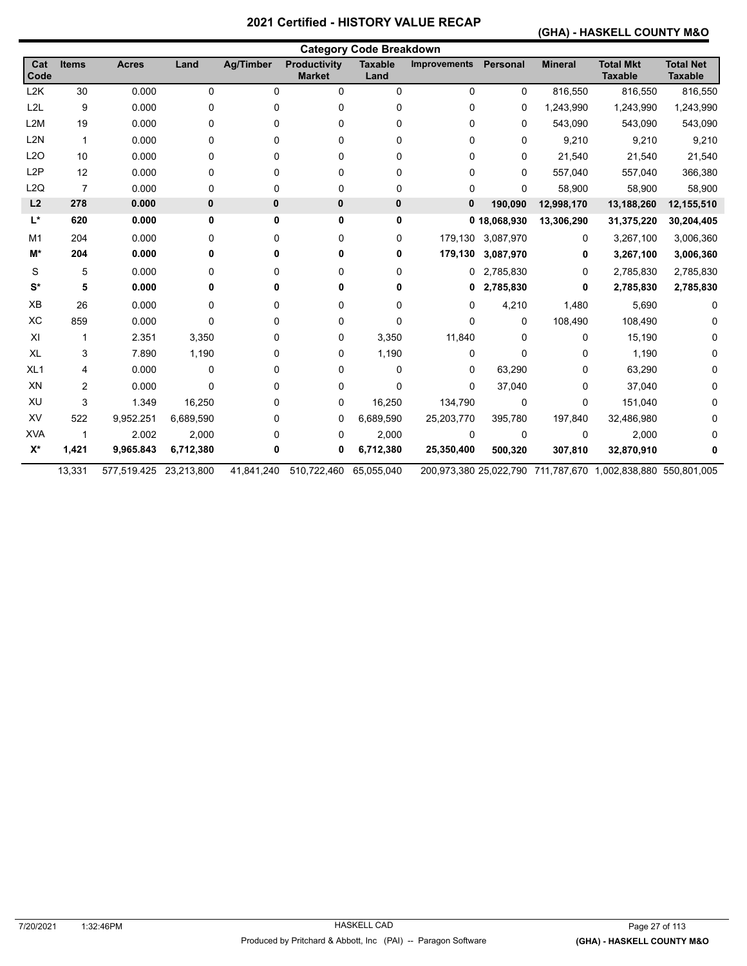#### **(GHA) - HASKELL COUNTY M&O**

| <b>Category Code Breakdown</b> |                |                        |              |                  |                                      |                        |                     |                   |                |                                                              |                                    |
|--------------------------------|----------------|------------------------|--------------|------------------|--------------------------------------|------------------------|---------------------|-------------------|----------------|--------------------------------------------------------------|------------------------------------|
| Cat<br>Code                    | <b>Items</b>   | <b>Acres</b>           | Land         | <b>Ag/Timber</b> | <b>Productivity</b><br><b>Market</b> | <b>Taxable</b><br>Land | <b>Improvements</b> | <b>Personal</b>   | <b>Mineral</b> | <b>Total Mkt</b><br><b>Taxable</b>                           | <b>Total Net</b><br><b>Taxable</b> |
| L <sub>2</sub> K               | 30             | 0.000                  | 0            | 0                | 0                                    | 0                      | 0                   | 0                 | 816,550        | 816,550                                                      | 816,550                            |
| L <sub>2</sub> L               | 9              | 0.000                  | 0            | 0                | 0                                    | 0                      | 0                   | 0                 | 1,243,990      | 1,243,990                                                    | 1,243,990                          |
| L <sub>2</sub> M               | 19             | 0.000                  | 0            | 0                | 0                                    | 0                      | 0                   | 0                 | 543,090        | 543,090                                                      | 543,090                            |
| L <sub>2</sub> N               | $\mathbf{1}$   | 0.000                  | 0            | 0                | 0                                    | 0                      | 0                   | $\mathbf{0}$      | 9,210          | 9,210                                                        | 9,210                              |
| L2O                            | 10             | 0.000                  | 0            | 0                | 0                                    | 0                      | 0                   | 0                 | 21,540         | 21,540                                                       | 21,540                             |
| L <sub>2</sub> P               | 12             | 0.000                  | 0            | 0                | 0                                    | 0                      | 0                   | $\Omega$          | 557,040        | 557,040                                                      | 366,380                            |
| L2Q                            | $\overline{7}$ | 0.000                  | 0            | 0                | 0                                    | 0                      | 0                   | $\mathbf{0}$      | 58,900         | 58,900                                                       | 58,900                             |
| L2                             | 278            | 0.000                  | $\mathbf{0}$ | 0                | 0                                    | 0                      | 0                   | 190,090           | 12,998,170     | 13,188,260                                                   | 12,155,510                         |
| L*                             | 620            | 0.000                  | 0            | 0                | 0                                    | 0                      |                     | 0 18,068,930      | 13,306,290     | 31,375,220                                                   | 30,204,405                         |
| M <sub>1</sub>                 | 204            | 0.000                  | 0            | 0                | 0                                    | 0                      |                     | 179,130 3,087,970 | 0              | 3,267,100                                                    | 3,006,360                          |
| M*                             | 204            | 0.000                  |              | 0                | 0                                    | 0                      | 179,130             | 3,087,970         | 0              | 3,267,100                                                    | 3,006,360                          |
| S                              | 5              | 0.000                  | 0            | 0                | 0                                    | 0                      |                     | 0 2,785,830       | 0              | 2,785,830                                                    | 2,785,830                          |
| $S^*$                          | 5              | 0.000                  |              | 0                | 0                                    | 0                      | 0                   | 2,785,830         | 0              | 2,785,830                                                    | 2,785,830                          |
| XB                             | 26             | 0.000                  | 0            | 0                | 0                                    | 0                      | 0                   | 4,210             | 1,480          | 5,690                                                        | 0                                  |
| XC                             | 859            | 0.000                  | 0            | 0                | 0                                    | 0                      | 0                   | 0                 | 108,490        | 108,490                                                      |                                    |
| XI                             | $\mathbf 1$    | 2.351                  | 3,350        | 0                | 0                                    | 3,350                  | 11,840              | $\Omega$          | 0              | 15,190                                                       |                                    |
| <b>XL</b>                      | 3              | 7.890                  | 1,190        | 0                | 0                                    | 1,190                  | 0                   | $\Omega$          | 0              | 1,190                                                        |                                    |
| XL <sub>1</sub>                | 4              | 0.000                  | 0            | 0                | 0                                    | 0                      | 0                   | 63,290            | 0              | 63,290                                                       |                                    |
| XN                             | 2              | 0.000                  | 0            | 0                | 0                                    | 0                      | 0                   | 37,040            | 0              | 37,040                                                       |                                    |
| XU                             | 3              | 1.349                  | 16,250       | 0                | 0                                    | 16,250                 | 134,790             | 0                 | 0              | 151,040                                                      |                                    |
| XV                             | 522            | 9,952.251              | 6,689,590    | 0                | 0                                    | 6,689,590              | 25,203,770          | 395,780           | 197,840        | 32,486,980                                                   |                                    |
| <b>XVA</b>                     | 1              | 2.002                  | 2,000        | 0                | 0                                    | 2,000                  | 0                   | 0                 | 0              | 2,000                                                        |                                    |
| $X^*$                          | 1,421          | 9,965.843              | 6,712,380    | 0                | 0                                    | 6,712,380              | 25,350,400          | 500,320           | 307,810        | 32,870,910                                                   |                                    |
|                                | 13,331         | 577,519.425 23,213,800 |              | 41,841,240       | 510,722,460                          | 65,055,040             |                     |                   |                | 200,973,380 25,022,790 711,787,670 1,002,838,880 550,801,005 |                                    |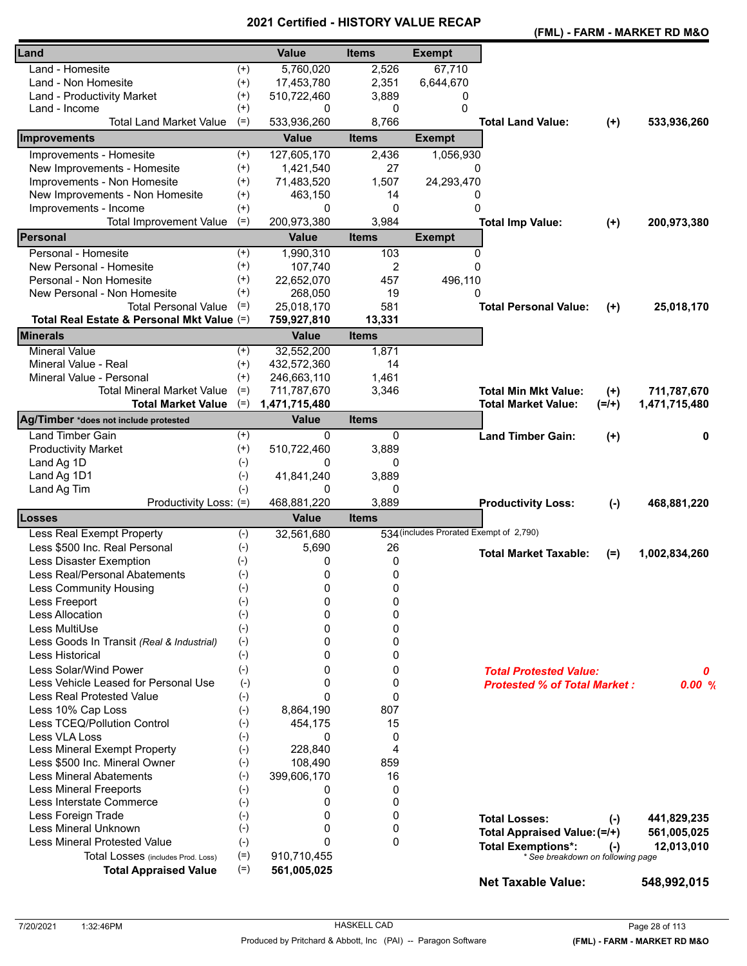|                                            |          |               | - 1110 1     |                                         |                                     |         | (FML) - FARM - MARKET RD M&O |
|--------------------------------------------|----------|---------------|--------------|-----------------------------------------|-------------------------------------|---------|------------------------------|
| Land                                       |          | <b>Value</b>  | <b>Items</b> | <b>Exempt</b>                           |                                     |         |                              |
| Land - Homesite                            | $^{(+)}$ | 5,760,020     | 2,526        | 67,710                                  |                                     |         |                              |
| Land - Non Homesite                        | $^{(+)}$ | 17,453,780    | 2,351        | 6,644,670                               |                                     |         |                              |
| Land - Productivity Market                 | $^{(+)}$ | 510,722,460   | 3,889        | 0                                       |                                     |         |                              |
| Land - Income                              | $^{(+)}$ | 0             | 0            | 0                                       |                                     |         |                              |
| <b>Total Land Market Value</b>             | $(=)$    | 533,936,260   | 8,766        |                                         | <b>Total Land Value:</b>            | $(+)$   | 533,936,260                  |
| Improvements                               |          | <b>Value</b>  | <b>Items</b> | <b>Exempt</b>                           |                                     |         |                              |
| Improvements - Homesite                    | $^{(+)}$ | 127,605,170   | 2,436        | 1,056,930                               |                                     |         |                              |
| New Improvements - Homesite                | $^{(+)}$ | 1,421,540     | 27           | 0                                       |                                     |         |                              |
| Improvements - Non Homesite                | $^{(+)}$ | 71,483,520    | 1,507        | 24,293,470                              |                                     |         |                              |
| New Improvements - Non Homesite            | $^{(+)}$ | 463,150       | 14           | 0                                       |                                     |         |                              |
| Improvements - Income                      | $^{(+)}$ | 0             | 0            | $\Omega$                                |                                     |         |                              |
| <b>Total Improvement Value</b>             | $(=)$    | 200,973,380   | 3,984        |                                         | <b>Total Imp Value:</b>             | $(+)$   | 200,973,380                  |
| Personal                                   |          | <b>Value</b>  | <b>Items</b> | <b>Exempt</b>                           |                                     |         |                              |
| Personal - Homesite                        | $^{(+)}$ | 1,990,310     | 103          | 0                                       |                                     |         |                              |
| New Personal - Homesite                    | $^{(+)}$ | 107,740       | 2            | $\Omega$                                |                                     |         |                              |
| Personal - Non Homesite                    | $^{(+)}$ | 22,652,070    | 457          | 496,110                                 |                                     |         |                              |
| New Personal - Non Homesite                | $^{(+)}$ | 268,050       | 19           | $\Omega$                                |                                     |         |                              |
| <b>Total Personal Value</b>                | $(=)$    | 25,018,170    | 581          |                                         | <b>Total Personal Value:</b>        | $(+)$   | 25,018,170                   |
| Total Real Estate & Personal Mkt Value (=) |          | 759,927,810   | 13,331       |                                         |                                     |         |                              |
| <b>Minerals</b>                            |          | <b>Value</b>  | <b>Items</b> |                                         |                                     |         |                              |
| Mineral Value                              | $^{(+)}$ | 32,552,200    | 1,871        |                                         |                                     |         |                              |
| Mineral Value - Real                       | $^{(+)}$ | 432,572,360   | 14           |                                         |                                     |         |                              |
| Mineral Value - Personal                   | $^{(+)}$ | 246,663,110   | 1,461        |                                         |                                     |         |                              |
| <b>Total Mineral Market Value</b>          | $(=)$    | 711,787,670   | 3,346        |                                         | <b>Total Min Mkt Value:</b>         | $(+)$   | 711,787,670                  |
| <b>Total Market Value</b>                  | $(=)$    | 1,471,715,480 |              |                                         | <b>Total Market Value:</b>          | $(=/+)$ | 1,471,715,480                |
| Ag/Timber *does not include protested      |          | <b>Value</b>  | <b>Items</b> |                                         |                                     |         |                              |
| Land Timber Gain                           | $^{(+)}$ | 0             | 0            |                                         | <b>Land Timber Gain:</b>            | $(+)$   | 0                            |
| <b>Productivity Market</b>                 | $^{(+)}$ | 510,722,460   | 3,889        |                                         |                                     |         |                              |
| Land Ag 1D                                 | $(-)$    | 0             | 0            |                                         |                                     |         |                              |
| Land Ag 1D1                                | $(-)$    | 41,841,240    | 3,889        |                                         |                                     |         |                              |
| Land Ag Tim                                | $(-)$    | 0             | 0            |                                         |                                     |         |                              |
| Productivity Loss: (=)                     |          | 468,881,220   | 3,889        |                                         | <b>Productivity Loss:</b>           | $(-)$   | 468,881,220                  |
| Losses                                     |          | <b>Value</b>  | <b>Items</b> |                                         |                                     |         |                              |
| Less Real Exempt Property                  | $(-)$    | 32,561,680    |              | 534 (includes Prorated Exempt of 2,790) |                                     |         |                              |
| Less \$500 Inc. Real Personal              | $(-)$    | 5,690         | 26           |                                         | <b>Total Market Taxable:</b>        | $(=)$   | 1,002,834,260                |
| Less Disaster Exemption                    | $(-)$    | 0             | 0            |                                         |                                     |         |                              |
| Less Real/Personal Abatements              | $(-)$    | 0             | 0            |                                         |                                     |         |                              |
| Less Community Housing                     | $(-)$    | 0             | 0            |                                         |                                     |         |                              |
| Less Freeport                              | $(-)$    | 0             | 0            |                                         |                                     |         |                              |
| <b>Less Allocation</b>                     | $(-)$    | $\Omega$      | 0            |                                         |                                     |         |                              |
| Less MultiUse                              | $(-)$    | 0             | 0            |                                         |                                     |         |                              |
| Less Goods In Transit (Real & Industrial)  | $(-)$    | 0             | 0            |                                         |                                     |         |                              |
| Less Historical                            | $(-)$    | 0             | 0            |                                         |                                     |         |                              |
| Less Solar/Wind Power                      | $(-)$    | 0             | 0            |                                         | <b>Total Protested Value:</b>       |         | 0                            |
| Less Vehicle Leased for Personal Use       | $(-)$    | 0             | 0            |                                         | <b>Protested % of Total Market:</b> |         | 0.00%                        |
| <b>Less Real Protested Value</b>           | $(-)$    | $\mathbf{0}$  | 0            |                                         |                                     |         |                              |
| Less 10% Cap Loss                          | $(-)$    | 8,864,190     | 807          |                                         |                                     |         |                              |
| Less TCEQ/Pollution Control                | $(-)$    | 454,175       | 15           |                                         |                                     |         |                              |
| Less VLA Loss                              | $(-)$    | 0             | 0            |                                         |                                     |         |                              |
| Less Mineral Exempt Property               | $(-)$    | 228,840       | 4            |                                         |                                     |         |                              |
| Less \$500 Inc. Mineral Owner              | $(-)$    | 108,490       | 859          |                                         |                                     |         |                              |
| <b>Less Mineral Abatements</b>             | $(-)$    | 399,606,170   | 16           |                                         |                                     |         |                              |
| <b>Less Mineral Freeports</b>              | $(-)$    | 0             | 0            |                                         |                                     |         |                              |
| Less Interstate Commerce                   | $(-)$    | 0             | 0            |                                         |                                     |         |                              |
| Less Foreign Trade                         | $(-)$    | 0             | 0            |                                         | <b>Total Losses:</b>                | $(-)$   | 441,829,235                  |
| Less Mineral Unknown                       | $(-)$    | 0             | 0            |                                         | Total Appraised Value: (=/+)        |         | 561,005,025                  |
| <b>Less Mineral Protested Value</b>        | $(-)$    | $\Omega$      | $\mathbf{0}$ |                                         | <b>Total Exemptions*:</b>           | $(-)$   | 12,013,010                   |
| Total Losses (includes Prod. Loss)         | $(=)$    | 910,710,455   |              |                                         | * See breakdown on following page   |         |                              |
| <b>Total Appraised Value</b>               | $(=)$    | 561,005,025   |              |                                         |                                     |         |                              |
|                                            |          |               |              |                                         | <b>Net Taxable Value:</b>           |         | 548,992,015                  |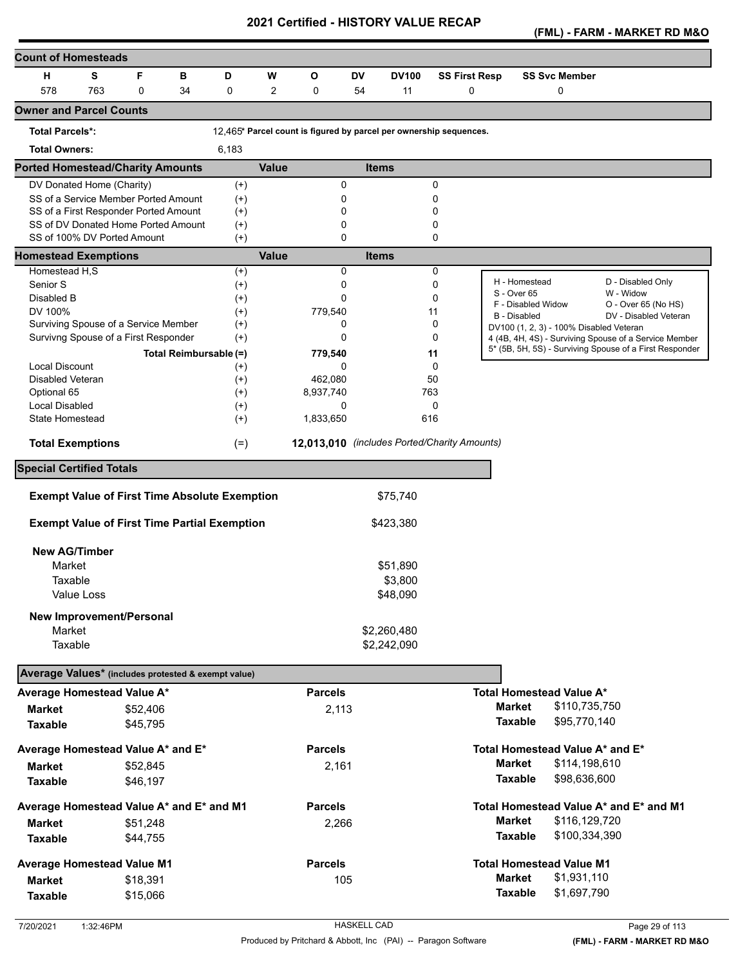**(FML) - FARM - MARKET RD M&O** 

| <b>Count of Homesteads</b>                           |     |          |    |                        |              |                |           |                                                                    |                      |                                         |                                                                                                                  |
|------------------------------------------------------|-----|----------|----|------------------------|--------------|----------------|-----------|--------------------------------------------------------------------|----------------------|-----------------------------------------|------------------------------------------------------------------------------------------------------------------|
| н                                                    | S   | F        | в  | D                      | W            | O              | <b>DV</b> | <b>DV100</b>                                                       | <b>SS First Resp</b> | <b>SS Svc Member</b>                    |                                                                                                                  |
| 578                                                  | 763 | 0        | 34 | $\mathbf 0$            | 2            | 0              | 54        | 11                                                                 | $\mathbf 0$          | 0                                       |                                                                                                                  |
| <b>Owner and Parcel Counts</b>                       |     |          |    |                        |              |                |           |                                                                    |                      |                                         |                                                                                                                  |
| <b>Total Parcels*:</b>                               |     |          |    |                        |              |                |           | 12.465* Parcel count is figured by parcel per ownership sequences. |                      |                                         |                                                                                                                  |
| <b>Total Owners:</b>                                 |     |          |    | 6,183                  |              |                |           |                                                                    |                      |                                         |                                                                                                                  |
| <b>Ported Homestead/Charity Amounts</b>              |     |          |    |                        | <b>Value</b> |                |           | <b>Items</b>                                                       |                      |                                         |                                                                                                                  |
| DV Donated Home (Charity)                            |     |          |    | $(+)$                  |              | 0              |           |                                                                    | 0                    |                                         |                                                                                                                  |
| SS of a Service Member Ported Amount                 |     |          |    | $^{(+)}$               |              | 0              |           |                                                                    | 0                    |                                         |                                                                                                                  |
| SS of a First Responder Ported Amount                |     |          |    | $^{(+)}$               |              | 0              |           |                                                                    | 0                    |                                         |                                                                                                                  |
| SS of DV Donated Home Ported Amount                  |     |          |    | $^{(+)}$               |              | 0              |           |                                                                    | 0                    |                                         |                                                                                                                  |
| SS of 100% DV Ported Amount                          |     |          |    | $(+)$                  |              | $\Omega$       |           |                                                                    | 0                    |                                         |                                                                                                                  |
| <b>Homestead Exemptions</b>                          |     |          |    |                        | <b>Value</b> |                |           | <b>Items</b>                                                       |                      |                                         |                                                                                                                  |
| Homestead H,S                                        |     |          |    | $^{(+)}$               |              | 0              |           |                                                                    | 0                    | H - Homestead                           | D - Disabled Only                                                                                                |
| Senior S                                             |     |          |    | $^{(+)}$               |              | 0              |           |                                                                    | 0                    | S - Over 65                             | W - Widow                                                                                                        |
| Disabled B                                           |     |          |    | $^{(+)}$               |              | $\Omega$       |           |                                                                    | 0                    | F - Disabled Widow                      | O - Over 65 (No HS)                                                                                              |
| DV 100%<br>Surviving Spouse of a Service Member      |     |          |    | $(+)$                  |              | 779,540<br>0   |           |                                                                    | 11<br>0              | <b>B</b> - Disabled                     | DV - Disabled Veteran                                                                                            |
|                                                      |     |          |    | $^{(+)}$               |              | $\Omega$       |           |                                                                    | 0                    | DV100 (1, 2, 3) - 100% Disabled Veteran |                                                                                                                  |
| Survivng Spouse of a First Responder                 |     |          |    | $^{(+)}$               |              |                |           |                                                                    |                      |                                         | 4 (4B, 4H, 4S) - Surviving Spouse of a Service Member<br>5* (5B, 5H, 5S) - Surviving Spouse of a First Responder |
|                                                      |     |          |    | Total Reimbursable (=) |              | 779,540        |           |                                                                    | 11                   |                                         |                                                                                                                  |
| <b>Local Discount</b>                                |     |          |    | $^{(+)}$               |              | 0              |           |                                                                    | $\Omega$             |                                         |                                                                                                                  |
| <b>Disabled Veteran</b><br>Optional 65               |     |          |    | $^{(+)}$               |              | 462,080        |           |                                                                    | 50                   |                                         |                                                                                                                  |
| Local Disabled                                       |     |          |    | $^{(+)}$               |              | 8,937,740<br>0 |           |                                                                    | 763<br>0             |                                         |                                                                                                                  |
| State Homestead                                      |     |          |    | $^{(+)}$<br>$(+)$      |              | 1,833,650      |           |                                                                    | 616                  |                                         |                                                                                                                  |
|                                                      |     |          |    |                        |              |                |           |                                                                    |                      |                                         |                                                                                                                  |
| <b>Total Exemptions</b>                              |     |          |    | $(=)$                  |              |                |           | 12,013,010 (includes Ported/Charity Amounts)                       |                      |                                         |                                                                                                                  |
| <b>Special Certified Totals</b>                      |     |          |    |                        |              |                |           |                                                                    |                      |                                         |                                                                                                                  |
| <b>Exempt Value of First Time Absolute Exemption</b> |     |          |    |                        |              |                |           | \$75,740                                                           |                      |                                         |                                                                                                                  |
|                                                      |     |          |    |                        |              |                |           |                                                                    |                      |                                         |                                                                                                                  |
| <b>Exempt Value of First Time Partial Exemption</b>  |     |          |    |                        |              |                |           | \$423,380                                                          |                      |                                         |                                                                                                                  |
| <b>New AG/Timber</b>                                 |     |          |    |                        |              |                |           |                                                                    |                      |                                         |                                                                                                                  |
| Market                                               |     |          |    |                        |              |                |           | \$51,890                                                           |                      |                                         |                                                                                                                  |
| Taxable                                              |     |          |    |                        |              |                |           | \$3,800                                                            |                      |                                         |                                                                                                                  |
| Value Loss                                           |     |          |    |                        |              |                |           | \$48,090                                                           |                      |                                         |                                                                                                                  |
|                                                      |     |          |    |                        |              |                |           |                                                                    |                      |                                         |                                                                                                                  |
| <b>New Improvement/Personal</b>                      |     |          |    |                        |              |                |           |                                                                    |                      |                                         |                                                                                                                  |
| Market                                               |     |          |    |                        |              |                |           | \$2,260,480                                                        |                      |                                         |                                                                                                                  |
| Taxable                                              |     |          |    |                        |              |                |           | \$2,242,090                                                        |                      |                                         |                                                                                                                  |
| Average Values* (includes protested & exempt value)  |     |          |    |                        |              |                |           |                                                                    |                      |                                         |                                                                                                                  |
| Average Homestead Value A*                           |     |          |    |                        |              | <b>Parcels</b> |           |                                                                    |                      | Total Homestead Value A*                |                                                                                                                  |
| <b>Market</b>                                        |     | \$52,406 |    |                        |              | 2,113          |           |                                                                    |                      | <b>Market</b><br>\$110,735,750          |                                                                                                                  |
| <b>Taxable</b>                                       |     | \$45,795 |    |                        |              |                |           |                                                                    |                      | <b>Taxable</b><br>\$95,770,140          |                                                                                                                  |
| Average Homestead Value A* and E*                    |     |          |    |                        |              | <b>Parcels</b> |           |                                                                    |                      | Total Homestead Value A* and E*         |                                                                                                                  |
| <b>Market</b>                                        |     | \$52,845 |    |                        |              | 2,161          |           |                                                                    |                      | <b>Market</b><br>\$114,198,610          |                                                                                                                  |
|                                                      |     |          |    |                        |              |                |           |                                                                    |                      | <b>Taxable</b><br>\$98,636,600          |                                                                                                                  |
| <b>Taxable</b>                                       |     | \$46,197 |    |                        |              |                |           |                                                                    |                      |                                         |                                                                                                                  |
| Average Homestead Value A* and E* and M1             |     |          |    |                        |              | <b>Parcels</b> |           |                                                                    |                      |                                         | Total Homestead Value A* and E* and M1                                                                           |
| <b>Market</b>                                        |     | \$51,248 |    |                        |              | 2,266          |           |                                                                    |                      | \$116,129,720<br><b>Market</b>          |                                                                                                                  |
| <b>Taxable</b>                                       |     | \$44,755 |    |                        |              |                |           |                                                                    |                      | <b>Taxable</b><br>\$100,334,390         |                                                                                                                  |
| <b>Average Homestead Value M1</b>                    |     |          |    |                        |              | <b>Parcels</b> |           |                                                                    |                      | <b>Total Homestead Value M1</b>         |                                                                                                                  |
| <b>Market</b>                                        |     | \$18,391 |    |                        |              | 105            |           |                                                                    |                      | \$1,931,110<br><b>Market</b>            |                                                                                                                  |
| <b>Taxable</b>                                       |     | \$15,066 |    |                        |              |                |           |                                                                    |                      | <b>Taxable</b><br>\$1,697,790           |                                                                                                                  |
|                                                      |     |          |    |                        |              |                |           |                                                                    |                      |                                         |                                                                                                                  |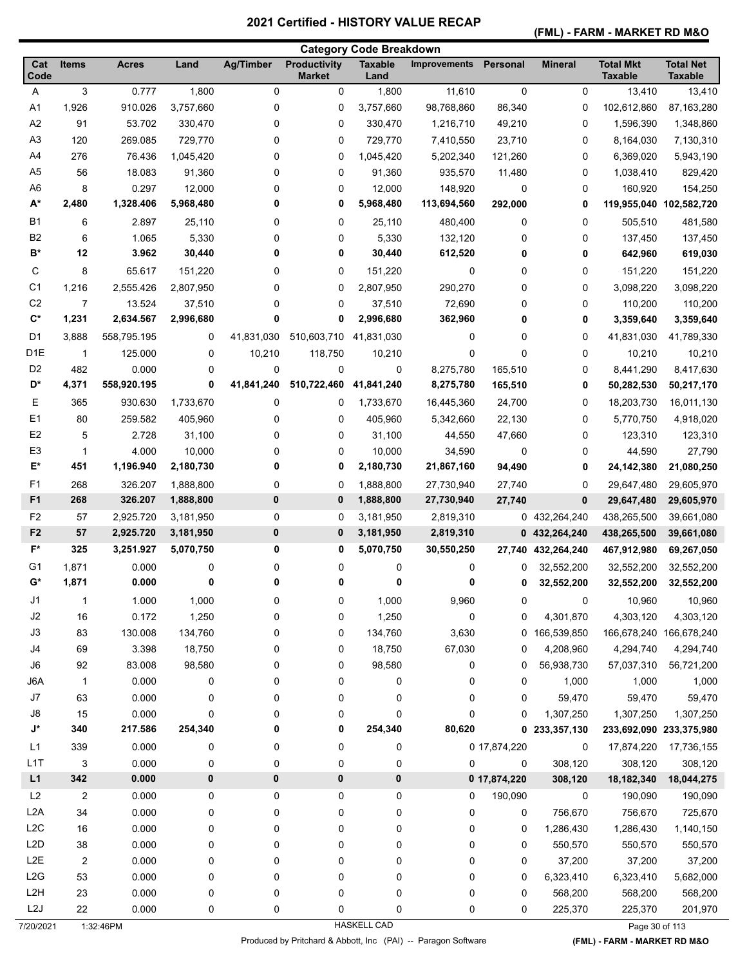**(FML) - FARM - MARKET RD M&O** 

| <b>Total Mkt</b><br><b>Total Net</b><br>Cat<br><b>Items</b><br><b>Acres</b><br>Land<br><b>Ag/Timber</b><br><b>Productivity</b><br><b>Taxable</b><br>Personal<br><b>Mineral</b><br><b>Improvements</b><br>Code<br><b>Market</b><br><b>Taxable</b><br><b>Taxable</b><br>Land<br>3<br>0.777<br>1,800<br>0<br>0<br>0<br>13,410<br>Α<br>0<br>1,800<br>11,610<br>13,410<br>910.026<br>98,768,860<br>87,163,280<br>A1<br>1,926<br>3,757,660<br>0<br>0<br>3,757,660<br>86,340<br>0<br>102,612,860<br>A2<br>91<br>0<br>0<br>1,348,860<br>53.702<br>330,470<br>0<br>330,470<br>1,216,710<br>49,210<br>1,596,390<br>A <sub>3</sub><br>120<br>269.085<br>729,770<br>0<br>0<br>729,770<br>7,410,550<br>23,710<br>0<br>8,164,030<br>7,130,310<br>A4<br>276<br>0<br>76.436<br>1,045,420<br>0<br>1,045,420<br>5,202,340<br>121,260<br>0<br>6,369,020<br>5,943,190<br>A <sub>5</sub><br>56<br>0<br>18.083<br>91,360<br>0<br>91,360<br>935,570<br>0<br>1,038,410<br>829,420<br>11,480<br>A <sub>6</sub><br>8<br>0.297<br>12,000<br>0<br>$\mathbf 0$<br>0<br>12,000<br>148,920<br>0<br>160,920<br>154,250<br>A*<br>2,480<br>1,328.406<br>5,968,480<br>0<br>0<br>5,968,480<br>113,694,560<br>292,000<br>0<br>119,955,040 102,582,720<br><b>B1</b><br>6<br>2.897<br>25,110<br>0<br>0<br>25,110<br>480,400<br>0<br>0<br>505,510<br>481,580<br>B <sub>2</sub><br>6<br>1.065<br>5,330<br>5,330<br>0<br>0<br>132,120<br>0<br>0<br>137,450<br>137,450<br>$B^*$<br>12<br>3.962<br>30,440<br>0<br>0<br>30,440<br>612,520<br>0<br>0<br>642,960<br>619,030<br>С<br>8<br>0<br>0<br>65.617<br>151,220<br>0<br>151,220<br>0<br>0<br>151,220<br>151,220<br>C <sub>1</sub><br>0<br>290,270<br>0<br>1,216<br>2,555.426<br>2,807,950<br>0<br>2,807,950<br>0<br>3,098,220<br>3,098,220<br>C <sub>2</sub><br>13.524<br>37,510<br>72,690<br>110,200<br>7<br>0<br>0<br>37,510<br>0<br>0<br>110,200<br>$\mathbf{C}^*$<br>0<br>1,231<br>2,634.567<br>2,996,680<br>0<br>2,996,680<br>362,960<br>0<br>0<br>3,359,640<br>3,359,640<br>D <sub>1</sub><br>41,831,030<br>510,603,710<br>3,888<br>558,795.195<br>0<br>41,831,030<br>0<br>0<br>0<br>41,831,030<br>41,789,330<br>D <sub>1</sub> E<br>10,210<br>118,750<br>$\mathbf 0$<br>10,210<br>125.000<br>0<br>10,210<br>0<br>0<br>10,210<br>1<br>D <sub>2</sub><br>482<br>0.000<br>0<br>0<br>0<br>0<br>8,275,780<br>165,510<br>0<br>8,441,290<br>8,417,630<br>D*<br>0<br>41,841,240<br>510,722,460<br>4,371<br>558,920.195<br>41,841,240<br>8,275,780<br>165,510<br>0<br>50,282,530<br>50,217,170<br>Е<br>365<br>0<br>930.630<br>1,733,670<br>0<br>1,733,670<br>16,445,360<br>24,700<br>0<br>18,203,730<br>16,011,130<br>E <sub>1</sub><br>80<br>259.582<br>405,960<br>0<br>0<br>405,960<br>5,342,660<br>22,130<br>0<br>5,770,750<br>4,918,020<br>E <sub>2</sub><br>2.728<br>123,310<br>5<br>31,100<br>0<br>0<br>31,100<br>44,550<br>47,660<br>0<br>123,310<br>E <sub>3</sub><br>4.000<br>27,790<br>10,000<br>0<br>0<br>10,000<br>34,590<br>0<br>0<br>44,590<br>-1<br>E*<br>451<br>1,196.940<br>2,180,730<br>0<br>2,180,730<br>21,867,160<br>0<br>94,490<br>0<br>21,080,250<br>24,142,380<br>F <sub>1</sub><br>268<br>0<br>326.207<br>1,888,800<br>0<br>1,888,800<br>27,730,940<br>27,740<br>0<br>29,647,480<br>29,605,970<br>F <sub>1</sub><br>268<br>326.207<br>$\bf{0}$<br>1,888,800<br>0<br>1,888,800<br>27,730,940<br>0<br>29,647,480<br>29,605,970<br>27,740<br>F <sub>2</sub><br>2,925.720<br>3,181,950<br>0<br>438,265,500<br>39,661,080<br>57<br>0<br>3,181,950<br>2,819,310<br>0 432,264,240<br>F <sub>2</sub><br>57<br>$\bf{0}$<br>2,925.720<br>3,181,950<br>0<br>3,181,950<br>2,819,310<br>0 432,264,240<br>438,265,500<br>39,661,080<br>$F^*$<br>325<br>0<br>3,251.927<br>5,070,750<br>0<br>5,070,750<br>30,550,250<br>27,740<br>432,264,240<br>467,912,980<br>69,267,050<br>G1<br>0.000<br>1,871<br>0<br>0<br>0<br>0<br>32,552,200<br>32,552,200<br>32,552,200<br>0<br>0<br>$G^*$<br>0.000<br>0<br>0<br>1,871<br>0<br>0<br>0<br>32,552,200<br>32,552,200<br>32,552,200<br>0<br>J1<br>1,000<br>0<br>0<br>1,000<br>9,960<br>0<br>10,960<br>10,960<br>$\mathbf 1$<br>1.000<br>0<br>J2<br>1,250<br>16<br>0.172<br>0<br>1,250<br>0<br>4,301,870<br>4,303,120<br>4,303,120<br>0<br>0<br>J3<br>83<br>130.008<br>134,760<br>0<br>0<br>134,760<br>3,630<br>0 166,539,850<br>166,678,240 166,678,240<br>J4<br>69<br>3.398<br>18,750<br>18,750<br>67,030<br>4,208,960<br>4,294,740<br>0<br>0<br>0<br>4,294,740<br>J6<br>92<br>83.008<br>98,580<br>0<br>0<br>98,580<br>56,938,730<br>57,037,310<br>0<br>56,721,200<br>0<br>J6A<br>0.000<br>0<br>0<br>0<br>1,000<br>$\mathbf{1}$<br>0<br>0<br>0<br>1,000<br>1,000<br>$\sf J7$<br>63<br>0.000<br>0<br>0<br>0<br>59,470<br>59,470<br>0<br>0<br>0<br>59,470<br>J8<br>15<br>0.000<br>0<br>0<br>0<br>0<br>1,307,250<br>1,307,250<br>0<br>0<br>1,307,250<br>$\mathsf{J}^\star$<br>0<br>0<br>340<br>217.586<br>254,340<br>254,340<br>80,620<br>0<br>233,357,130<br>233,692,090 233,375,980<br>L1<br>339<br>0.000<br>0<br>0<br>0 17,874,220<br>0<br>0<br>0<br>17,874,220<br>17,736,155<br>L1T<br>0.000<br>308,120<br>3<br>0<br>0<br>0<br>0<br>$\mathbf 0$<br>308,120<br>308,120<br>0<br>L1<br>342<br>$\pmb{0}$<br>0<br>0.000<br>0<br>0<br>0 17,874,220<br>308,120<br>18,182,340<br>18,044,275<br>L2<br>2<br>0.000<br>0<br>0<br>0<br>0<br>190,090<br>190,090<br>0<br>0<br>190,090<br>L <sub>2</sub> A<br>34<br>0.000<br>0<br>0<br>0<br>0<br>0<br>0<br>756,670<br>756,670<br>725,670<br>L2C<br>$16\,$<br>0.000<br>0<br>0<br>0<br>0<br>1,140,150<br>0<br>0<br>1,286,430<br>1,286,430<br>L <sub>2</sub> D<br>38<br>0.000<br>0<br>$\mathbf 0$<br>550,570<br>550,570<br>550,570<br>0<br>0<br>0<br>0<br>L <sub>2</sub> E<br>$\overline{2}$<br>0.000<br>0<br>0<br>0<br>0<br>0<br>37,200<br>37,200<br>37,200<br>0<br>L2G<br>53<br>0.000<br>0<br>0<br>0<br>0<br>0<br>$\mathbf 0$<br>6,323,410<br>6,323,410<br>5,682,000<br>L <sub>2</sub> H<br>$\pmb{0}$<br>23<br>0.000<br>0<br>0<br>0<br>0<br>$\mathbf 0$<br>568,200<br>568,200<br>568,200<br>L <sub>2</sub> J<br>22<br>0.000<br>0<br>0<br>0<br>0<br>225,370<br>225,370<br>201,970<br>0<br>0<br><b>HASKELL CAD</b><br>1:32:46PM<br>7/20/2021<br>Page 30 of 113 |  |  |  | <b>Category Code Breakdown</b> |  |  |  |
|-------------------------------------------------------------------------------------------------------------------------------------------------------------------------------------------------------------------------------------------------------------------------------------------------------------------------------------------------------------------------------------------------------------------------------------------------------------------------------------------------------------------------------------------------------------------------------------------------------------------------------------------------------------------------------------------------------------------------------------------------------------------------------------------------------------------------------------------------------------------------------------------------------------------------------------------------------------------------------------------------------------------------------------------------------------------------------------------------------------------------------------------------------------------------------------------------------------------------------------------------------------------------------------------------------------------------------------------------------------------------------------------------------------------------------------------------------------------------------------------------------------------------------------------------------------------------------------------------------------------------------------------------------------------------------------------------------------------------------------------------------------------------------------------------------------------------------------------------------------------------------------------------------------------------------------------------------------------------------------------------------------------------------------------------------------------------------------------------------------------------------------------------------------------------------------------------------------------------------------------------------------------------------------------------------------------------------------------------------------------------------------------------------------------------------------------------------------------------------------------------------------------------------------------------------------------------------------------------------------------------------------------------------------------------------------------------------------------------------------------------------------------------------------------------------------------------------------------------------------------------------------------------------------------------------------------------------------------------------------------------------------------------------------------------------------------------------------------------------------------------------------------------------------------------------------------------------------------------------------------------------------------------------------------------------------------------------------------------------------------------------------------------------------------------------------------------------------------------------------------------------------------------------------------------------------------------------------------------------------------------------------------------------------------------------------------------------------------------------------------------------------------------------------------------------------------------------------------------------------------------------------------------------------------------------------------------------------------------------------------------------------------------------------------------------------------------------------------------------------------------------------------------------------------------------------------------------------------------------------------------------------------------------------------------------------------------------------------------------------------------------------------------------------------------------------------------------------------------------------------------------------------------------------------------------------------------------------------------------------------------------------------------------------------------------------------------------------------------------------------------------------------------------------------------------------------------------------------------------------------------------------------------------------------------------------------------------------------------------------------------------------------------------------------------------------------------------------------------------------------------------------------------------------------------------------------------------------------------------------------------------------------------------------------------------------------------------------------------------------------------------------------------------------------------------------------------------------------------------------------------------------------------------------------------------------------------------------------------------------------------------------------------------------------------------------------------------------------------------------------------------------------------------------------------------------------------------------------------------------------------------------------------------------------------------------------------------------------------------------------------------------------------------------------------------------------------------------------------------------------------------------------------|--|--|--|--------------------------------|--|--|--|
|                                                                                                                                                                                                                                                                                                                                                                                                                                                                                                                                                                                                                                                                                                                                                                                                                                                                                                                                                                                                                                                                                                                                                                                                                                                                                                                                                                                                                                                                                                                                                                                                                                                                                                                                                                                                                                                                                                                                                                                                                                                                                                                                                                                                                                                                                                                                                                                                                                                                                                                                                                                                                                                                                                                                                                                                                                                                                                                                                                                                                                                                                                                                                                                                                                                                                                                                                                                                                                                                                                                                                                                                                                                                                                                                                                                                                                                                                                                                                                                                                                                                                                                                                                                                                                                                                                                                                                                                                                                                                                                                                                                                                                                                                                                                                                                                                                                                                                                                                                                                                                                                                                                                                                                                                                                                                                                                                                                                                                                                                                                                                                                                                                                                                                                                                                                                                                                                                                                                                                                                                                                                                                                                                 |  |  |  |                                |  |  |  |
|                                                                                                                                                                                                                                                                                                                                                                                                                                                                                                                                                                                                                                                                                                                                                                                                                                                                                                                                                                                                                                                                                                                                                                                                                                                                                                                                                                                                                                                                                                                                                                                                                                                                                                                                                                                                                                                                                                                                                                                                                                                                                                                                                                                                                                                                                                                                                                                                                                                                                                                                                                                                                                                                                                                                                                                                                                                                                                                                                                                                                                                                                                                                                                                                                                                                                                                                                                                                                                                                                                                                                                                                                                                                                                                                                                                                                                                                                                                                                                                                                                                                                                                                                                                                                                                                                                                                                                                                                                                                                                                                                                                                                                                                                                                                                                                                                                                                                                                                                                                                                                                                                                                                                                                                                                                                                                                                                                                                                                                                                                                                                                                                                                                                                                                                                                                                                                                                                                                                                                                                                                                                                                                                                 |  |  |  |                                |  |  |  |
|                                                                                                                                                                                                                                                                                                                                                                                                                                                                                                                                                                                                                                                                                                                                                                                                                                                                                                                                                                                                                                                                                                                                                                                                                                                                                                                                                                                                                                                                                                                                                                                                                                                                                                                                                                                                                                                                                                                                                                                                                                                                                                                                                                                                                                                                                                                                                                                                                                                                                                                                                                                                                                                                                                                                                                                                                                                                                                                                                                                                                                                                                                                                                                                                                                                                                                                                                                                                                                                                                                                                                                                                                                                                                                                                                                                                                                                                                                                                                                                                                                                                                                                                                                                                                                                                                                                                                                                                                                                                                                                                                                                                                                                                                                                                                                                                                                                                                                                                                                                                                                                                                                                                                                                                                                                                                                                                                                                                                                                                                                                                                                                                                                                                                                                                                                                                                                                                                                                                                                                                                                                                                                                                                 |  |  |  |                                |  |  |  |
|                                                                                                                                                                                                                                                                                                                                                                                                                                                                                                                                                                                                                                                                                                                                                                                                                                                                                                                                                                                                                                                                                                                                                                                                                                                                                                                                                                                                                                                                                                                                                                                                                                                                                                                                                                                                                                                                                                                                                                                                                                                                                                                                                                                                                                                                                                                                                                                                                                                                                                                                                                                                                                                                                                                                                                                                                                                                                                                                                                                                                                                                                                                                                                                                                                                                                                                                                                                                                                                                                                                                                                                                                                                                                                                                                                                                                                                                                                                                                                                                                                                                                                                                                                                                                                                                                                                                                                                                                                                                                                                                                                                                                                                                                                                                                                                                                                                                                                                                                                                                                                                                                                                                                                                                                                                                                                                                                                                                                                                                                                                                                                                                                                                                                                                                                                                                                                                                                                                                                                                                                                                                                                                                                 |  |  |  |                                |  |  |  |
|                                                                                                                                                                                                                                                                                                                                                                                                                                                                                                                                                                                                                                                                                                                                                                                                                                                                                                                                                                                                                                                                                                                                                                                                                                                                                                                                                                                                                                                                                                                                                                                                                                                                                                                                                                                                                                                                                                                                                                                                                                                                                                                                                                                                                                                                                                                                                                                                                                                                                                                                                                                                                                                                                                                                                                                                                                                                                                                                                                                                                                                                                                                                                                                                                                                                                                                                                                                                                                                                                                                                                                                                                                                                                                                                                                                                                                                                                                                                                                                                                                                                                                                                                                                                                                                                                                                                                                                                                                                                                                                                                                                                                                                                                                                                                                                                                                                                                                                                                                                                                                                                                                                                                                                                                                                                                                                                                                                                                                                                                                                                                                                                                                                                                                                                                                                                                                                                                                                                                                                                                                                                                                                                                 |  |  |  |                                |  |  |  |
|                                                                                                                                                                                                                                                                                                                                                                                                                                                                                                                                                                                                                                                                                                                                                                                                                                                                                                                                                                                                                                                                                                                                                                                                                                                                                                                                                                                                                                                                                                                                                                                                                                                                                                                                                                                                                                                                                                                                                                                                                                                                                                                                                                                                                                                                                                                                                                                                                                                                                                                                                                                                                                                                                                                                                                                                                                                                                                                                                                                                                                                                                                                                                                                                                                                                                                                                                                                                                                                                                                                                                                                                                                                                                                                                                                                                                                                                                                                                                                                                                                                                                                                                                                                                                                                                                                                                                                                                                                                                                                                                                                                                                                                                                                                                                                                                                                                                                                                                                                                                                                                                                                                                                                                                                                                                                                                                                                                                                                                                                                                                                                                                                                                                                                                                                                                                                                                                                                                                                                                                                                                                                                                                                 |  |  |  |                                |  |  |  |
|                                                                                                                                                                                                                                                                                                                                                                                                                                                                                                                                                                                                                                                                                                                                                                                                                                                                                                                                                                                                                                                                                                                                                                                                                                                                                                                                                                                                                                                                                                                                                                                                                                                                                                                                                                                                                                                                                                                                                                                                                                                                                                                                                                                                                                                                                                                                                                                                                                                                                                                                                                                                                                                                                                                                                                                                                                                                                                                                                                                                                                                                                                                                                                                                                                                                                                                                                                                                                                                                                                                                                                                                                                                                                                                                                                                                                                                                                                                                                                                                                                                                                                                                                                                                                                                                                                                                                                                                                                                                                                                                                                                                                                                                                                                                                                                                                                                                                                                                                                                                                                                                                                                                                                                                                                                                                                                                                                                                                                                                                                                                                                                                                                                                                                                                                                                                                                                                                                                                                                                                                                                                                                                                                 |  |  |  |                                |  |  |  |
|                                                                                                                                                                                                                                                                                                                                                                                                                                                                                                                                                                                                                                                                                                                                                                                                                                                                                                                                                                                                                                                                                                                                                                                                                                                                                                                                                                                                                                                                                                                                                                                                                                                                                                                                                                                                                                                                                                                                                                                                                                                                                                                                                                                                                                                                                                                                                                                                                                                                                                                                                                                                                                                                                                                                                                                                                                                                                                                                                                                                                                                                                                                                                                                                                                                                                                                                                                                                                                                                                                                                                                                                                                                                                                                                                                                                                                                                                                                                                                                                                                                                                                                                                                                                                                                                                                                                                                                                                                                                                                                                                                                                                                                                                                                                                                                                                                                                                                                                                                                                                                                                                                                                                                                                                                                                                                                                                                                                                                                                                                                                                                                                                                                                                                                                                                                                                                                                                                                                                                                                                                                                                                                                                 |  |  |  |                                |  |  |  |
|                                                                                                                                                                                                                                                                                                                                                                                                                                                                                                                                                                                                                                                                                                                                                                                                                                                                                                                                                                                                                                                                                                                                                                                                                                                                                                                                                                                                                                                                                                                                                                                                                                                                                                                                                                                                                                                                                                                                                                                                                                                                                                                                                                                                                                                                                                                                                                                                                                                                                                                                                                                                                                                                                                                                                                                                                                                                                                                                                                                                                                                                                                                                                                                                                                                                                                                                                                                                                                                                                                                                                                                                                                                                                                                                                                                                                                                                                                                                                                                                                                                                                                                                                                                                                                                                                                                                                                                                                                                                                                                                                                                                                                                                                                                                                                                                                                                                                                                                                                                                                                                                                                                                                                                                                                                                                                                                                                                                                                                                                                                                                                                                                                                                                                                                                                                                                                                                                                                                                                                                                                                                                                                                                 |  |  |  |                                |  |  |  |
|                                                                                                                                                                                                                                                                                                                                                                                                                                                                                                                                                                                                                                                                                                                                                                                                                                                                                                                                                                                                                                                                                                                                                                                                                                                                                                                                                                                                                                                                                                                                                                                                                                                                                                                                                                                                                                                                                                                                                                                                                                                                                                                                                                                                                                                                                                                                                                                                                                                                                                                                                                                                                                                                                                                                                                                                                                                                                                                                                                                                                                                                                                                                                                                                                                                                                                                                                                                                                                                                                                                                                                                                                                                                                                                                                                                                                                                                                                                                                                                                                                                                                                                                                                                                                                                                                                                                                                                                                                                                                                                                                                                                                                                                                                                                                                                                                                                                                                                                                                                                                                                                                                                                                                                                                                                                                                                                                                                                                                                                                                                                                                                                                                                                                                                                                                                                                                                                                                                                                                                                                                                                                                                                                 |  |  |  |                                |  |  |  |
|                                                                                                                                                                                                                                                                                                                                                                                                                                                                                                                                                                                                                                                                                                                                                                                                                                                                                                                                                                                                                                                                                                                                                                                                                                                                                                                                                                                                                                                                                                                                                                                                                                                                                                                                                                                                                                                                                                                                                                                                                                                                                                                                                                                                                                                                                                                                                                                                                                                                                                                                                                                                                                                                                                                                                                                                                                                                                                                                                                                                                                                                                                                                                                                                                                                                                                                                                                                                                                                                                                                                                                                                                                                                                                                                                                                                                                                                                                                                                                                                                                                                                                                                                                                                                                                                                                                                                                                                                                                                                                                                                                                                                                                                                                                                                                                                                                                                                                                                                                                                                                                                                                                                                                                                                                                                                                                                                                                                                                                                                                                                                                                                                                                                                                                                                                                                                                                                                                                                                                                                                                                                                                                                                 |  |  |  |                                |  |  |  |
|                                                                                                                                                                                                                                                                                                                                                                                                                                                                                                                                                                                                                                                                                                                                                                                                                                                                                                                                                                                                                                                                                                                                                                                                                                                                                                                                                                                                                                                                                                                                                                                                                                                                                                                                                                                                                                                                                                                                                                                                                                                                                                                                                                                                                                                                                                                                                                                                                                                                                                                                                                                                                                                                                                                                                                                                                                                                                                                                                                                                                                                                                                                                                                                                                                                                                                                                                                                                                                                                                                                                                                                                                                                                                                                                                                                                                                                                                                                                                                                                                                                                                                                                                                                                                                                                                                                                                                                                                                                                                                                                                                                                                                                                                                                                                                                                                                                                                                                                                                                                                                                                                                                                                                                                                                                                                                                                                                                                                                                                                                                                                                                                                                                                                                                                                                                                                                                                                                                                                                                                                                                                                                                                                 |  |  |  |                                |  |  |  |
|                                                                                                                                                                                                                                                                                                                                                                                                                                                                                                                                                                                                                                                                                                                                                                                                                                                                                                                                                                                                                                                                                                                                                                                                                                                                                                                                                                                                                                                                                                                                                                                                                                                                                                                                                                                                                                                                                                                                                                                                                                                                                                                                                                                                                                                                                                                                                                                                                                                                                                                                                                                                                                                                                                                                                                                                                                                                                                                                                                                                                                                                                                                                                                                                                                                                                                                                                                                                                                                                                                                                                                                                                                                                                                                                                                                                                                                                                                                                                                                                                                                                                                                                                                                                                                                                                                                                                                                                                                                                                                                                                                                                                                                                                                                                                                                                                                                                                                                                                                                                                                                                                                                                                                                                                                                                                                                                                                                                                                                                                                                                                                                                                                                                                                                                                                                                                                                                                                                                                                                                                                                                                                                                                 |  |  |  |                                |  |  |  |
|                                                                                                                                                                                                                                                                                                                                                                                                                                                                                                                                                                                                                                                                                                                                                                                                                                                                                                                                                                                                                                                                                                                                                                                                                                                                                                                                                                                                                                                                                                                                                                                                                                                                                                                                                                                                                                                                                                                                                                                                                                                                                                                                                                                                                                                                                                                                                                                                                                                                                                                                                                                                                                                                                                                                                                                                                                                                                                                                                                                                                                                                                                                                                                                                                                                                                                                                                                                                                                                                                                                                                                                                                                                                                                                                                                                                                                                                                                                                                                                                                                                                                                                                                                                                                                                                                                                                                                                                                                                                                                                                                                                                                                                                                                                                                                                                                                                                                                                                                                                                                                                                                                                                                                                                                                                                                                                                                                                                                                                                                                                                                                                                                                                                                                                                                                                                                                                                                                                                                                                                                                                                                                                                                 |  |  |  |                                |  |  |  |
|                                                                                                                                                                                                                                                                                                                                                                                                                                                                                                                                                                                                                                                                                                                                                                                                                                                                                                                                                                                                                                                                                                                                                                                                                                                                                                                                                                                                                                                                                                                                                                                                                                                                                                                                                                                                                                                                                                                                                                                                                                                                                                                                                                                                                                                                                                                                                                                                                                                                                                                                                                                                                                                                                                                                                                                                                                                                                                                                                                                                                                                                                                                                                                                                                                                                                                                                                                                                                                                                                                                                                                                                                                                                                                                                                                                                                                                                                                                                                                                                                                                                                                                                                                                                                                                                                                                                                                                                                                                                                                                                                                                                                                                                                                                                                                                                                                                                                                                                                                                                                                                                                                                                                                                                                                                                                                                                                                                                                                                                                                                                                                                                                                                                                                                                                                                                                                                                                                                                                                                                                                                                                                                                                 |  |  |  |                                |  |  |  |
|                                                                                                                                                                                                                                                                                                                                                                                                                                                                                                                                                                                                                                                                                                                                                                                                                                                                                                                                                                                                                                                                                                                                                                                                                                                                                                                                                                                                                                                                                                                                                                                                                                                                                                                                                                                                                                                                                                                                                                                                                                                                                                                                                                                                                                                                                                                                                                                                                                                                                                                                                                                                                                                                                                                                                                                                                                                                                                                                                                                                                                                                                                                                                                                                                                                                                                                                                                                                                                                                                                                                                                                                                                                                                                                                                                                                                                                                                                                                                                                                                                                                                                                                                                                                                                                                                                                                                                                                                                                                                                                                                                                                                                                                                                                                                                                                                                                                                                                                                                                                                                                                                                                                                                                                                                                                                                                                                                                                                                                                                                                                                                                                                                                                                                                                                                                                                                                                                                                                                                                                                                                                                                                                                 |  |  |  |                                |  |  |  |
|                                                                                                                                                                                                                                                                                                                                                                                                                                                                                                                                                                                                                                                                                                                                                                                                                                                                                                                                                                                                                                                                                                                                                                                                                                                                                                                                                                                                                                                                                                                                                                                                                                                                                                                                                                                                                                                                                                                                                                                                                                                                                                                                                                                                                                                                                                                                                                                                                                                                                                                                                                                                                                                                                                                                                                                                                                                                                                                                                                                                                                                                                                                                                                                                                                                                                                                                                                                                                                                                                                                                                                                                                                                                                                                                                                                                                                                                                                                                                                                                                                                                                                                                                                                                                                                                                                                                                                                                                                                                                                                                                                                                                                                                                                                                                                                                                                                                                                                                                                                                                                                                                                                                                                                                                                                                                                                                                                                                                                                                                                                                                                                                                                                                                                                                                                                                                                                                                                                                                                                                                                                                                                                                                 |  |  |  |                                |  |  |  |
|                                                                                                                                                                                                                                                                                                                                                                                                                                                                                                                                                                                                                                                                                                                                                                                                                                                                                                                                                                                                                                                                                                                                                                                                                                                                                                                                                                                                                                                                                                                                                                                                                                                                                                                                                                                                                                                                                                                                                                                                                                                                                                                                                                                                                                                                                                                                                                                                                                                                                                                                                                                                                                                                                                                                                                                                                                                                                                                                                                                                                                                                                                                                                                                                                                                                                                                                                                                                                                                                                                                                                                                                                                                                                                                                                                                                                                                                                                                                                                                                                                                                                                                                                                                                                                                                                                                                                                                                                                                                                                                                                                                                                                                                                                                                                                                                                                                                                                                                                                                                                                                                                                                                                                                                                                                                                                                                                                                                                                                                                                                                                                                                                                                                                                                                                                                                                                                                                                                                                                                                                                                                                                                                                 |  |  |  |                                |  |  |  |
|                                                                                                                                                                                                                                                                                                                                                                                                                                                                                                                                                                                                                                                                                                                                                                                                                                                                                                                                                                                                                                                                                                                                                                                                                                                                                                                                                                                                                                                                                                                                                                                                                                                                                                                                                                                                                                                                                                                                                                                                                                                                                                                                                                                                                                                                                                                                                                                                                                                                                                                                                                                                                                                                                                                                                                                                                                                                                                                                                                                                                                                                                                                                                                                                                                                                                                                                                                                                                                                                                                                                                                                                                                                                                                                                                                                                                                                                                                                                                                                                                                                                                                                                                                                                                                                                                                                                                                                                                                                                                                                                                                                                                                                                                                                                                                                                                                                                                                                                                                                                                                                                                                                                                                                                                                                                                                                                                                                                                                                                                                                                                                                                                                                                                                                                                                                                                                                                                                                                                                                                                                                                                                                                                 |  |  |  |                                |  |  |  |
|                                                                                                                                                                                                                                                                                                                                                                                                                                                                                                                                                                                                                                                                                                                                                                                                                                                                                                                                                                                                                                                                                                                                                                                                                                                                                                                                                                                                                                                                                                                                                                                                                                                                                                                                                                                                                                                                                                                                                                                                                                                                                                                                                                                                                                                                                                                                                                                                                                                                                                                                                                                                                                                                                                                                                                                                                                                                                                                                                                                                                                                                                                                                                                                                                                                                                                                                                                                                                                                                                                                                                                                                                                                                                                                                                                                                                                                                                                                                                                                                                                                                                                                                                                                                                                                                                                                                                                                                                                                                                                                                                                                                                                                                                                                                                                                                                                                                                                                                                                                                                                                                                                                                                                                                                                                                                                                                                                                                                                                                                                                                                                                                                                                                                                                                                                                                                                                                                                                                                                                                                                                                                                                                                 |  |  |  |                                |  |  |  |
|                                                                                                                                                                                                                                                                                                                                                                                                                                                                                                                                                                                                                                                                                                                                                                                                                                                                                                                                                                                                                                                                                                                                                                                                                                                                                                                                                                                                                                                                                                                                                                                                                                                                                                                                                                                                                                                                                                                                                                                                                                                                                                                                                                                                                                                                                                                                                                                                                                                                                                                                                                                                                                                                                                                                                                                                                                                                                                                                                                                                                                                                                                                                                                                                                                                                                                                                                                                                                                                                                                                                                                                                                                                                                                                                                                                                                                                                                                                                                                                                                                                                                                                                                                                                                                                                                                                                                                                                                                                                                                                                                                                                                                                                                                                                                                                                                                                                                                                                                                                                                                                                                                                                                                                                                                                                                                                                                                                                                                                                                                                                                                                                                                                                                                                                                                                                                                                                                                                                                                                                                                                                                                                                                 |  |  |  |                                |  |  |  |
|                                                                                                                                                                                                                                                                                                                                                                                                                                                                                                                                                                                                                                                                                                                                                                                                                                                                                                                                                                                                                                                                                                                                                                                                                                                                                                                                                                                                                                                                                                                                                                                                                                                                                                                                                                                                                                                                                                                                                                                                                                                                                                                                                                                                                                                                                                                                                                                                                                                                                                                                                                                                                                                                                                                                                                                                                                                                                                                                                                                                                                                                                                                                                                                                                                                                                                                                                                                                                                                                                                                                                                                                                                                                                                                                                                                                                                                                                                                                                                                                                                                                                                                                                                                                                                                                                                                                                                                                                                                                                                                                                                                                                                                                                                                                                                                                                                                                                                                                                                                                                                                                                                                                                                                                                                                                                                                                                                                                                                                                                                                                                                                                                                                                                                                                                                                                                                                                                                                                                                                                                                                                                                                                                 |  |  |  |                                |  |  |  |
|                                                                                                                                                                                                                                                                                                                                                                                                                                                                                                                                                                                                                                                                                                                                                                                                                                                                                                                                                                                                                                                                                                                                                                                                                                                                                                                                                                                                                                                                                                                                                                                                                                                                                                                                                                                                                                                                                                                                                                                                                                                                                                                                                                                                                                                                                                                                                                                                                                                                                                                                                                                                                                                                                                                                                                                                                                                                                                                                                                                                                                                                                                                                                                                                                                                                                                                                                                                                                                                                                                                                                                                                                                                                                                                                                                                                                                                                                                                                                                                                                                                                                                                                                                                                                                                                                                                                                                                                                                                                                                                                                                                                                                                                                                                                                                                                                                                                                                                                                                                                                                                                                                                                                                                                                                                                                                                                                                                                                                                                                                                                                                                                                                                                                                                                                                                                                                                                                                                                                                                                                                                                                                                                                 |  |  |  |                                |  |  |  |
|                                                                                                                                                                                                                                                                                                                                                                                                                                                                                                                                                                                                                                                                                                                                                                                                                                                                                                                                                                                                                                                                                                                                                                                                                                                                                                                                                                                                                                                                                                                                                                                                                                                                                                                                                                                                                                                                                                                                                                                                                                                                                                                                                                                                                                                                                                                                                                                                                                                                                                                                                                                                                                                                                                                                                                                                                                                                                                                                                                                                                                                                                                                                                                                                                                                                                                                                                                                                                                                                                                                                                                                                                                                                                                                                                                                                                                                                                                                                                                                                                                                                                                                                                                                                                                                                                                                                                                                                                                                                                                                                                                                                                                                                                                                                                                                                                                                                                                                                                                                                                                                                                                                                                                                                                                                                                                                                                                                                                                                                                                                                                                                                                                                                                                                                                                                                                                                                                                                                                                                                                                                                                                                                                 |  |  |  |                                |  |  |  |
|                                                                                                                                                                                                                                                                                                                                                                                                                                                                                                                                                                                                                                                                                                                                                                                                                                                                                                                                                                                                                                                                                                                                                                                                                                                                                                                                                                                                                                                                                                                                                                                                                                                                                                                                                                                                                                                                                                                                                                                                                                                                                                                                                                                                                                                                                                                                                                                                                                                                                                                                                                                                                                                                                                                                                                                                                                                                                                                                                                                                                                                                                                                                                                                                                                                                                                                                                                                                                                                                                                                                                                                                                                                                                                                                                                                                                                                                                                                                                                                                                                                                                                                                                                                                                                                                                                                                                                                                                                                                                                                                                                                                                                                                                                                                                                                                                                                                                                                                                                                                                                                                                                                                                                                                                                                                                                                                                                                                                                                                                                                                                                                                                                                                                                                                                                                                                                                                                                                                                                                                                                                                                                                                                 |  |  |  |                                |  |  |  |
|                                                                                                                                                                                                                                                                                                                                                                                                                                                                                                                                                                                                                                                                                                                                                                                                                                                                                                                                                                                                                                                                                                                                                                                                                                                                                                                                                                                                                                                                                                                                                                                                                                                                                                                                                                                                                                                                                                                                                                                                                                                                                                                                                                                                                                                                                                                                                                                                                                                                                                                                                                                                                                                                                                                                                                                                                                                                                                                                                                                                                                                                                                                                                                                                                                                                                                                                                                                                                                                                                                                                                                                                                                                                                                                                                                                                                                                                                                                                                                                                                                                                                                                                                                                                                                                                                                                                                                                                                                                                                                                                                                                                                                                                                                                                                                                                                                                                                                                                                                                                                                                                                                                                                                                                                                                                                                                                                                                                                                                                                                                                                                                                                                                                                                                                                                                                                                                                                                                                                                                                                                                                                                                                                 |  |  |  |                                |  |  |  |
|                                                                                                                                                                                                                                                                                                                                                                                                                                                                                                                                                                                                                                                                                                                                                                                                                                                                                                                                                                                                                                                                                                                                                                                                                                                                                                                                                                                                                                                                                                                                                                                                                                                                                                                                                                                                                                                                                                                                                                                                                                                                                                                                                                                                                                                                                                                                                                                                                                                                                                                                                                                                                                                                                                                                                                                                                                                                                                                                                                                                                                                                                                                                                                                                                                                                                                                                                                                                                                                                                                                                                                                                                                                                                                                                                                                                                                                                                                                                                                                                                                                                                                                                                                                                                                                                                                                                                                                                                                                                                                                                                                                                                                                                                                                                                                                                                                                                                                                                                                                                                                                                                                                                                                                                                                                                                                                                                                                                                                                                                                                                                                                                                                                                                                                                                                                                                                                                                                                                                                                                                                                                                                                                                 |  |  |  |                                |  |  |  |
|                                                                                                                                                                                                                                                                                                                                                                                                                                                                                                                                                                                                                                                                                                                                                                                                                                                                                                                                                                                                                                                                                                                                                                                                                                                                                                                                                                                                                                                                                                                                                                                                                                                                                                                                                                                                                                                                                                                                                                                                                                                                                                                                                                                                                                                                                                                                                                                                                                                                                                                                                                                                                                                                                                                                                                                                                                                                                                                                                                                                                                                                                                                                                                                                                                                                                                                                                                                                                                                                                                                                                                                                                                                                                                                                                                                                                                                                                                                                                                                                                                                                                                                                                                                                                                                                                                                                                                                                                                                                                                                                                                                                                                                                                                                                                                                                                                                                                                                                                                                                                                                                                                                                                                                                                                                                                                                                                                                                                                                                                                                                                                                                                                                                                                                                                                                                                                                                                                                                                                                                                                                                                                                                                 |  |  |  |                                |  |  |  |
|                                                                                                                                                                                                                                                                                                                                                                                                                                                                                                                                                                                                                                                                                                                                                                                                                                                                                                                                                                                                                                                                                                                                                                                                                                                                                                                                                                                                                                                                                                                                                                                                                                                                                                                                                                                                                                                                                                                                                                                                                                                                                                                                                                                                                                                                                                                                                                                                                                                                                                                                                                                                                                                                                                                                                                                                                                                                                                                                                                                                                                                                                                                                                                                                                                                                                                                                                                                                                                                                                                                                                                                                                                                                                                                                                                                                                                                                                                                                                                                                                                                                                                                                                                                                                                                                                                                                                                                                                                                                                                                                                                                                                                                                                                                                                                                                                                                                                                                                                                                                                                                                                                                                                                                                                                                                                                                                                                                                                                                                                                                                                                                                                                                                                                                                                                                                                                                                                                                                                                                                                                                                                                                                                 |  |  |  |                                |  |  |  |
|                                                                                                                                                                                                                                                                                                                                                                                                                                                                                                                                                                                                                                                                                                                                                                                                                                                                                                                                                                                                                                                                                                                                                                                                                                                                                                                                                                                                                                                                                                                                                                                                                                                                                                                                                                                                                                                                                                                                                                                                                                                                                                                                                                                                                                                                                                                                                                                                                                                                                                                                                                                                                                                                                                                                                                                                                                                                                                                                                                                                                                                                                                                                                                                                                                                                                                                                                                                                                                                                                                                                                                                                                                                                                                                                                                                                                                                                                                                                                                                                                                                                                                                                                                                                                                                                                                                                                                                                                                                                                                                                                                                                                                                                                                                                                                                                                                                                                                                                                                                                                                                                                                                                                                                                                                                                                                                                                                                                                                                                                                                                                                                                                                                                                                                                                                                                                                                                                                                                                                                                                                                                                                                                                 |  |  |  |                                |  |  |  |
|                                                                                                                                                                                                                                                                                                                                                                                                                                                                                                                                                                                                                                                                                                                                                                                                                                                                                                                                                                                                                                                                                                                                                                                                                                                                                                                                                                                                                                                                                                                                                                                                                                                                                                                                                                                                                                                                                                                                                                                                                                                                                                                                                                                                                                                                                                                                                                                                                                                                                                                                                                                                                                                                                                                                                                                                                                                                                                                                                                                                                                                                                                                                                                                                                                                                                                                                                                                                                                                                                                                                                                                                                                                                                                                                                                                                                                                                                                                                                                                                                                                                                                                                                                                                                                                                                                                                                                                                                                                                                                                                                                                                                                                                                                                                                                                                                                                                                                                                                                                                                                                                                                                                                                                                                                                                                                                                                                                                                                                                                                                                                                                                                                                                                                                                                                                                                                                                                                                                                                                                                                                                                                                                                 |  |  |  |                                |  |  |  |
|                                                                                                                                                                                                                                                                                                                                                                                                                                                                                                                                                                                                                                                                                                                                                                                                                                                                                                                                                                                                                                                                                                                                                                                                                                                                                                                                                                                                                                                                                                                                                                                                                                                                                                                                                                                                                                                                                                                                                                                                                                                                                                                                                                                                                                                                                                                                                                                                                                                                                                                                                                                                                                                                                                                                                                                                                                                                                                                                                                                                                                                                                                                                                                                                                                                                                                                                                                                                                                                                                                                                                                                                                                                                                                                                                                                                                                                                                                                                                                                                                                                                                                                                                                                                                                                                                                                                                                                                                                                                                                                                                                                                                                                                                                                                                                                                                                                                                                                                                                                                                                                                                                                                                                                                                                                                                                                                                                                                                                                                                                                                                                                                                                                                                                                                                                                                                                                                                                                                                                                                                                                                                                                                                 |  |  |  |                                |  |  |  |
|                                                                                                                                                                                                                                                                                                                                                                                                                                                                                                                                                                                                                                                                                                                                                                                                                                                                                                                                                                                                                                                                                                                                                                                                                                                                                                                                                                                                                                                                                                                                                                                                                                                                                                                                                                                                                                                                                                                                                                                                                                                                                                                                                                                                                                                                                                                                                                                                                                                                                                                                                                                                                                                                                                                                                                                                                                                                                                                                                                                                                                                                                                                                                                                                                                                                                                                                                                                                                                                                                                                                                                                                                                                                                                                                                                                                                                                                                                                                                                                                                                                                                                                                                                                                                                                                                                                                                                                                                                                                                                                                                                                                                                                                                                                                                                                                                                                                                                                                                                                                                                                                                                                                                                                                                                                                                                                                                                                                                                                                                                                                                                                                                                                                                                                                                                                                                                                                                                                                                                                                                                                                                                                                                 |  |  |  |                                |  |  |  |
|                                                                                                                                                                                                                                                                                                                                                                                                                                                                                                                                                                                                                                                                                                                                                                                                                                                                                                                                                                                                                                                                                                                                                                                                                                                                                                                                                                                                                                                                                                                                                                                                                                                                                                                                                                                                                                                                                                                                                                                                                                                                                                                                                                                                                                                                                                                                                                                                                                                                                                                                                                                                                                                                                                                                                                                                                                                                                                                                                                                                                                                                                                                                                                                                                                                                                                                                                                                                                                                                                                                                                                                                                                                                                                                                                                                                                                                                                                                                                                                                                                                                                                                                                                                                                                                                                                                                                                                                                                                                                                                                                                                                                                                                                                                                                                                                                                                                                                                                                                                                                                                                                                                                                                                                                                                                                                                                                                                                                                                                                                                                                                                                                                                                                                                                                                                                                                                                                                                                                                                                                                                                                                                                                 |  |  |  |                                |  |  |  |
|                                                                                                                                                                                                                                                                                                                                                                                                                                                                                                                                                                                                                                                                                                                                                                                                                                                                                                                                                                                                                                                                                                                                                                                                                                                                                                                                                                                                                                                                                                                                                                                                                                                                                                                                                                                                                                                                                                                                                                                                                                                                                                                                                                                                                                                                                                                                                                                                                                                                                                                                                                                                                                                                                                                                                                                                                                                                                                                                                                                                                                                                                                                                                                                                                                                                                                                                                                                                                                                                                                                                                                                                                                                                                                                                                                                                                                                                                                                                                                                                                                                                                                                                                                                                                                                                                                                                                                                                                                                                                                                                                                                                                                                                                                                                                                                                                                                                                                                                                                                                                                                                                                                                                                                                                                                                                                                                                                                                                                                                                                                                                                                                                                                                                                                                                                                                                                                                                                                                                                                                                                                                                                                                                 |  |  |  |                                |  |  |  |
|                                                                                                                                                                                                                                                                                                                                                                                                                                                                                                                                                                                                                                                                                                                                                                                                                                                                                                                                                                                                                                                                                                                                                                                                                                                                                                                                                                                                                                                                                                                                                                                                                                                                                                                                                                                                                                                                                                                                                                                                                                                                                                                                                                                                                                                                                                                                                                                                                                                                                                                                                                                                                                                                                                                                                                                                                                                                                                                                                                                                                                                                                                                                                                                                                                                                                                                                                                                                                                                                                                                                                                                                                                                                                                                                                                                                                                                                                                                                                                                                                                                                                                                                                                                                                                                                                                                                                                                                                                                                                                                                                                                                                                                                                                                                                                                                                                                                                                                                                                                                                                                                                                                                                                                                                                                                                                                                                                                                                                                                                                                                                                                                                                                                                                                                                                                                                                                                                                                                                                                                                                                                                                                                                 |  |  |  |                                |  |  |  |
|                                                                                                                                                                                                                                                                                                                                                                                                                                                                                                                                                                                                                                                                                                                                                                                                                                                                                                                                                                                                                                                                                                                                                                                                                                                                                                                                                                                                                                                                                                                                                                                                                                                                                                                                                                                                                                                                                                                                                                                                                                                                                                                                                                                                                                                                                                                                                                                                                                                                                                                                                                                                                                                                                                                                                                                                                                                                                                                                                                                                                                                                                                                                                                                                                                                                                                                                                                                                                                                                                                                                                                                                                                                                                                                                                                                                                                                                                                                                                                                                                                                                                                                                                                                                                                                                                                                                                                                                                                                                                                                                                                                                                                                                                                                                                                                                                                                                                                                                                                                                                                                                                                                                                                                                                                                                                                                                                                                                                                                                                                                                                                                                                                                                                                                                                                                                                                                                                                                                                                                                                                                                                                                                                 |  |  |  |                                |  |  |  |
|                                                                                                                                                                                                                                                                                                                                                                                                                                                                                                                                                                                                                                                                                                                                                                                                                                                                                                                                                                                                                                                                                                                                                                                                                                                                                                                                                                                                                                                                                                                                                                                                                                                                                                                                                                                                                                                                                                                                                                                                                                                                                                                                                                                                                                                                                                                                                                                                                                                                                                                                                                                                                                                                                                                                                                                                                                                                                                                                                                                                                                                                                                                                                                                                                                                                                                                                                                                                                                                                                                                                                                                                                                                                                                                                                                                                                                                                                                                                                                                                                                                                                                                                                                                                                                                                                                                                                                                                                                                                                                                                                                                                                                                                                                                                                                                                                                                                                                                                                                                                                                                                                                                                                                                                                                                                                                                                                                                                                                                                                                                                                                                                                                                                                                                                                                                                                                                                                                                                                                                                                                                                                                                                                 |  |  |  |                                |  |  |  |
|                                                                                                                                                                                                                                                                                                                                                                                                                                                                                                                                                                                                                                                                                                                                                                                                                                                                                                                                                                                                                                                                                                                                                                                                                                                                                                                                                                                                                                                                                                                                                                                                                                                                                                                                                                                                                                                                                                                                                                                                                                                                                                                                                                                                                                                                                                                                                                                                                                                                                                                                                                                                                                                                                                                                                                                                                                                                                                                                                                                                                                                                                                                                                                                                                                                                                                                                                                                                                                                                                                                                                                                                                                                                                                                                                                                                                                                                                                                                                                                                                                                                                                                                                                                                                                                                                                                                                                                                                                                                                                                                                                                                                                                                                                                                                                                                                                                                                                                                                                                                                                                                                                                                                                                                                                                                                                                                                                                                                                                                                                                                                                                                                                                                                                                                                                                                                                                                                                                                                                                                                                                                                                                                                 |  |  |  |                                |  |  |  |
|                                                                                                                                                                                                                                                                                                                                                                                                                                                                                                                                                                                                                                                                                                                                                                                                                                                                                                                                                                                                                                                                                                                                                                                                                                                                                                                                                                                                                                                                                                                                                                                                                                                                                                                                                                                                                                                                                                                                                                                                                                                                                                                                                                                                                                                                                                                                                                                                                                                                                                                                                                                                                                                                                                                                                                                                                                                                                                                                                                                                                                                                                                                                                                                                                                                                                                                                                                                                                                                                                                                                                                                                                                                                                                                                                                                                                                                                                                                                                                                                                                                                                                                                                                                                                                                                                                                                                                                                                                                                                                                                                                                                                                                                                                                                                                                                                                                                                                                                                                                                                                                                                                                                                                                                                                                                                                                                                                                                                                                                                                                                                                                                                                                                                                                                                                                                                                                                                                                                                                                                                                                                                                                                                 |  |  |  |                                |  |  |  |
|                                                                                                                                                                                                                                                                                                                                                                                                                                                                                                                                                                                                                                                                                                                                                                                                                                                                                                                                                                                                                                                                                                                                                                                                                                                                                                                                                                                                                                                                                                                                                                                                                                                                                                                                                                                                                                                                                                                                                                                                                                                                                                                                                                                                                                                                                                                                                                                                                                                                                                                                                                                                                                                                                                                                                                                                                                                                                                                                                                                                                                                                                                                                                                                                                                                                                                                                                                                                                                                                                                                                                                                                                                                                                                                                                                                                                                                                                                                                                                                                                                                                                                                                                                                                                                                                                                                                                                                                                                                                                                                                                                                                                                                                                                                                                                                                                                                                                                                                                                                                                                                                                                                                                                                                                                                                                                                                                                                                                                                                                                                                                                                                                                                                                                                                                                                                                                                                                                                                                                                                                                                                                                                                                 |  |  |  |                                |  |  |  |
|                                                                                                                                                                                                                                                                                                                                                                                                                                                                                                                                                                                                                                                                                                                                                                                                                                                                                                                                                                                                                                                                                                                                                                                                                                                                                                                                                                                                                                                                                                                                                                                                                                                                                                                                                                                                                                                                                                                                                                                                                                                                                                                                                                                                                                                                                                                                                                                                                                                                                                                                                                                                                                                                                                                                                                                                                                                                                                                                                                                                                                                                                                                                                                                                                                                                                                                                                                                                                                                                                                                                                                                                                                                                                                                                                                                                                                                                                                                                                                                                                                                                                                                                                                                                                                                                                                                                                                                                                                                                                                                                                                                                                                                                                                                                                                                                                                                                                                                                                                                                                                                                                                                                                                                                                                                                                                                                                                                                                                                                                                                                                                                                                                                                                                                                                                                                                                                                                                                                                                                                                                                                                                                                                 |  |  |  |                                |  |  |  |
|                                                                                                                                                                                                                                                                                                                                                                                                                                                                                                                                                                                                                                                                                                                                                                                                                                                                                                                                                                                                                                                                                                                                                                                                                                                                                                                                                                                                                                                                                                                                                                                                                                                                                                                                                                                                                                                                                                                                                                                                                                                                                                                                                                                                                                                                                                                                                                                                                                                                                                                                                                                                                                                                                                                                                                                                                                                                                                                                                                                                                                                                                                                                                                                                                                                                                                                                                                                                                                                                                                                                                                                                                                                                                                                                                                                                                                                                                                                                                                                                                                                                                                                                                                                                                                                                                                                                                                                                                                                                                                                                                                                                                                                                                                                                                                                                                                                                                                                                                                                                                                                                                                                                                                                                                                                                                                                                                                                                                                                                                                                                                                                                                                                                                                                                                                                                                                                                                                                                                                                                                                                                                                                                                 |  |  |  |                                |  |  |  |
|                                                                                                                                                                                                                                                                                                                                                                                                                                                                                                                                                                                                                                                                                                                                                                                                                                                                                                                                                                                                                                                                                                                                                                                                                                                                                                                                                                                                                                                                                                                                                                                                                                                                                                                                                                                                                                                                                                                                                                                                                                                                                                                                                                                                                                                                                                                                                                                                                                                                                                                                                                                                                                                                                                                                                                                                                                                                                                                                                                                                                                                                                                                                                                                                                                                                                                                                                                                                                                                                                                                                                                                                                                                                                                                                                                                                                                                                                                                                                                                                                                                                                                                                                                                                                                                                                                                                                                                                                                                                                                                                                                                                                                                                                                                                                                                                                                                                                                                                                                                                                                                                                                                                                                                                                                                                                                                                                                                                                                                                                                                                                                                                                                                                                                                                                                                                                                                                                                                                                                                                                                                                                                                                                 |  |  |  |                                |  |  |  |
|                                                                                                                                                                                                                                                                                                                                                                                                                                                                                                                                                                                                                                                                                                                                                                                                                                                                                                                                                                                                                                                                                                                                                                                                                                                                                                                                                                                                                                                                                                                                                                                                                                                                                                                                                                                                                                                                                                                                                                                                                                                                                                                                                                                                                                                                                                                                                                                                                                                                                                                                                                                                                                                                                                                                                                                                                                                                                                                                                                                                                                                                                                                                                                                                                                                                                                                                                                                                                                                                                                                                                                                                                                                                                                                                                                                                                                                                                                                                                                                                                                                                                                                                                                                                                                                                                                                                                                                                                                                                                                                                                                                                                                                                                                                                                                                                                                                                                                                                                                                                                                                                                                                                                                                                                                                                                                                                                                                                                                                                                                                                                                                                                                                                                                                                                                                                                                                                                                                                                                                                                                                                                                                                                 |  |  |  |                                |  |  |  |
|                                                                                                                                                                                                                                                                                                                                                                                                                                                                                                                                                                                                                                                                                                                                                                                                                                                                                                                                                                                                                                                                                                                                                                                                                                                                                                                                                                                                                                                                                                                                                                                                                                                                                                                                                                                                                                                                                                                                                                                                                                                                                                                                                                                                                                                                                                                                                                                                                                                                                                                                                                                                                                                                                                                                                                                                                                                                                                                                                                                                                                                                                                                                                                                                                                                                                                                                                                                                                                                                                                                                                                                                                                                                                                                                                                                                                                                                                                                                                                                                                                                                                                                                                                                                                                                                                                                                                                                                                                                                                                                                                                                                                                                                                                                                                                                                                                                                                                                                                                                                                                                                                                                                                                                                                                                                                                                                                                                                                                                                                                                                                                                                                                                                                                                                                                                                                                                                                                                                                                                                                                                                                                                                                 |  |  |  |                                |  |  |  |
|                                                                                                                                                                                                                                                                                                                                                                                                                                                                                                                                                                                                                                                                                                                                                                                                                                                                                                                                                                                                                                                                                                                                                                                                                                                                                                                                                                                                                                                                                                                                                                                                                                                                                                                                                                                                                                                                                                                                                                                                                                                                                                                                                                                                                                                                                                                                                                                                                                                                                                                                                                                                                                                                                                                                                                                                                                                                                                                                                                                                                                                                                                                                                                                                                                                                                                                                                                                                                                                                                                                                                                                                                                                                                                                                                                                                                                                                                                                                                                                                                                                                                                                                                                                                                                                                                                                                                                                                                                                                                                                                                                                                                                                                                                                                                                                                                                                                                                                                                                                                                                                                                                                                                                                                                                                                                                                                                                                                                                                                                                                                                                                                                                                                                                                                                                                                                                                                                                                                                                                                                                                                                                                                                 |  |  |  |                                |  |  |  |
|                                                                                                                                                                                                                                                                                                                                                                                                                                                                                                                                                                                                                                                                                                                                                                                                                                                                                                                                                                                                                                                                                                                                                                                                                                                                                                                                                                                                                                                                                                                                                                                                                                                                                                                                                                                                                                                                                                                                                                                                                                                                                                                                                                                                                                                                                                                                                                                                                                                                                                                                                                                                                                                                                                                                                                                                                                                                                                                                                                                                                                                                                                                                                                                                                                                                                                                                                                                                                                                                                                                                                                                                                                                                                                                                                                                                                                                                                                                                                                                                                                                                                                                                                                                                                                                                                                                                                                                                                                                                                                                                                                                                                                                                                                                                                                                                                                                                                                                                                                                                                                                                                                                                                                                                                                                                                                                                                                                                                                                                                                                                                                                                                                                                                                                                                                                                                                                                                                                                                                                                                                                                                                                                                 |  |  |  |                                |  |  |  |
|                                                                                                                                                                                                                                                                                                                                                                                                                                                                                                                                                                                                                                                                                                                                                                                                                                                                                                                                                                                                                                                                                                                                                                                                                                                                                                                                                                                                                                                                                                                                                                                                                                                                                                                                                                                                                                                                                                                                                                                                                                                                                                                                                                                                                                                                                                                                                                                                                                                                                                                                                                                                                                                                                                                                                                                                                                                                                                                                                                                                                                                                                                                                                                                                                                                                                                                                                                                                                                                                                                                                                                                                                                                                                                                                                                                                                                                                                                                                                                                                                                                                                                                                                                                                                                                                                                                                                                                                                                                                                                                                                                                                                                                                                                                                                                                                                                                                                                                                                                                                                                                                                                                                                                                                                                                                                                                                                                                                                                                                                                                                                                                                                                                                                                                                                                                                                                                                                                                                                                                                                                                                                                                                                 |  |  |  |                                |  |  |  |
|                                                                                                                                                                                                                                                                                                                                                                                                                                                                                                                                                                                                                                                                                                                                                                                                                                                                                                                                                                                                                                                                                                                                                                                                                                                                                                                                                                                                                                                                                                                                                                                                                                                                                                                                                                                                                                                                                                                                                                                                                                                                                                                                                                                                                                                                                                                                                                                                                                                                                                                                                                                                                                                                                                                                                                                                                                                                                                                                                                                                                                                                                                                                                                                                                                                                                                                                                                                                                                                                                                                                                                                                                                                                                                                                                                                                                                                                                                                                                                                                                                                                                                                                                                                                                                                                                                                                                                                                                                                                                                                                                                                                                                                                                                                                                                                                                                                                                                                                                                                                                                                                                                                                                                                                                                                                                                                                                                                                                                                                                                                                                                                                                                                                                                                                                                                                                                                                                                                                                                                                                                                                                                                                                 |  |  |  |                                |  |  |  |
|                                                                                                                                                                                                                                                                                                                                                                                                                                                                                                                                                                                                                                                                                                                                                                                                                                                                                                                                                                                                                                                                                                                                                                                                                                                                                                                                                                                                                                                                                                                                                                                                                                                                                                                                                                                                                                                                                                                                                                                                                                                                                                                                                                                                                                                                                                                                                                                                                                                                                                                                                                                                                                                                                                                                                                                                                                                                                                                                                                                                                                                                                                                                                                                                                                                                                                                                                                                                                                                                                                                                                                                                                                                                                                                                                                                                                                                                                                                                                                                                                                                                                                                                                                                                                                                                                                                                                                                                                                                                                                                                                                                                                                                                                                                                                                                                                                                                                                                                                                                                                                                                                                                                                                                                                                                                                                                                                                                                                                                                                                                                                                                                                                                                                                                                                                                                                                                                                                                                                                                                                                                                                                                                                 |  |  |  |                                |  |  |  |
|                                                                                                                                                                                                                                                                                                                                                                                                                                                                                                                                                                                                                                                                                                                                                                                                                                                                                                                                                                                                                                                                                                                                                                                                                                                                                                                                                                                                                                                                                                                                                                                                                                                                                                                                                                                                                                                                                                                                                                                                                                                                                                                                                                                                                                                                                                                                                                                                                                                                                                                                                                                                                                                                                                                                                                                                                                                                                                                                                                                                                                                                                                                                                                                                                                                                                                                                                                                                                                                                                                                                                                                                                                                                                                                                                                                                                                                                                                                                                                                                                                                                                                                                                                                                                                                                                                                                                                                                                                                                                                                                                                                                                                                                                                                                                                                                                                                                                                                                                                                                                                                                                                                                                                                                                                                                                                                                                                                                                                                                                                                                                                                                                                                                                                                                                                                                                                                                                                                                                                                                                                                                                                                                                 |  |  |  |                                |  |  |  |
|                                                                                                                                                                                                                                                                                                                                                                                                                                                                                                                                                                                                                                                                                                                                                                                                                                                                                                                                                                                                                                                                                                                                                                                                                                                                                                                                                                                                                                                                                                                                                                                                                                                                                                                                                                                                                                                                                                                                                                                                                                                                                                                                                                                                                                                                                                                                                                                                                                                                                                                                                                                                                                                                                                                                                                                                                                                                                                                                                                                                                                                                                                                                                                                                                                                                                                                                                                                                                                                                                                                                                                                                                                                                                                                                                                                                                                                                                                                                                                                                                                                                                                                                                                                                                                                                                                                                                                                                                                                                                                                                                                                                                                                                                                                                                                                                                                                                                                                                                                                                                                                                                                                                                                                                                                                                                                                                                                                                                                                                                                                                                                                                                                                                                                                                                                                                                                                                                                                                                                                                                                                                                                                                                 |  |  |  |                                |  |  |  |

Produced by Pritchard & Abbott, Inc (PAI) -- Paragon Software **(FML) - FARM - MARKET RD M&O**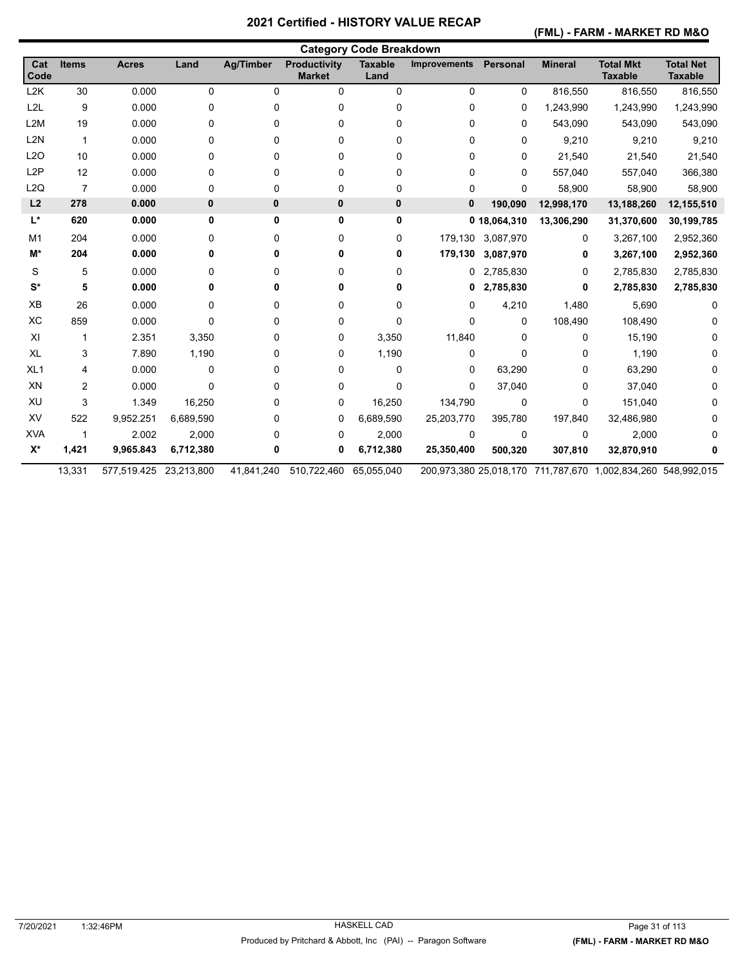**(FML) - FARM - MARKET RD M&O** 

|                  | <b>Category Code Breakdown</b> |                        |           |                  |                                      |                        |                     |                   |                |                                                              |                                    |  |  |
|------------------|--------------------------------|------------------------|-----------|------------------|--------------------------------------|------------------------|---------------------|-------------------|----------------|--------------------------------------------------------------|------------------------------------|--|--|
| Cat<br>Code      | <b>Items</b>                   | <b>Acres</b>           | Land      | <b>Ag/Timber</b> | <b>Productivity</b><br><b>Market</b> | <b>Taxable</b><br>Land | <b>Improvements</b> | Personal          | <b>Mineral</b> | <b>Total Mkt</b><br><b>Taxable</b>                           | <b>Total Net</b><br><b>Taxable</b> |  |  |
| L2K              | 30                             | 0.000                  | 0         | 0                | 0                                    | $\mathbf 0$            | 0                   | 0                 | 816,550        | 816,550                                                      | 816,550                            |  |  |
| L <sub>2L</sub>  | 9                              | 0.000                  | 0         | 0                | 0                                    | 0                      | 0                   | 0                 | 1,243,990      | 1,243,990                                                    | 1,243,990                          |  |  |
| L <sub>2</sub> M | 19                             | 0.000                  | 0         | 0                | 0                                    | 0                      | 0                   | 0                 | 543,090        | 543,090                                                      | 543,090                            |  |  |
| L <sub>2N</sub>  | $\mathbf{1}$                   | 0.000                  | 0         | 0                | 0                                    | 0                      | 0                   | $\Omega$          | 9,210          | 9,210                                                        | 9,210                              |  |  |
| L2O              | 10                             | 0.000                  | 0         | 0                | 0                                    | 0                      | 0                   | 0                 | 21,540         | 21,540                                                       | 21,540                             |  |  |
| L <sub>2</sub> P | 12                             | 0.000                  | 0         | 0                | 0                                    | 0                      | 0                   | 0                 | 557,040        | 557,040                                                      | 366,380                            |  |  |
| L2Q              | $\overline{7}$                 | 0.000                  | 0         | 0                | 0                                    | 0                      | 0                   | $\Omega$          | 58,900         | 58,900                                                       | 58,900                             |  |  |
| L2               | 278                            | 0.000                  | 0         | 0                | 0                                    | 0                      | 0                   | 190,090           | 12,998,170     | 13,188,260                                                   | 12,155,510                         |  |  |
| L*               | 620                            | 0.000                  | 0         | 0                | 0                                    | 0                      |                     | 0 18,064,310      | 13,306,290     | 31,370,600                                                   | 30,199,785                         |  |  |
| M1               | 204                            | 0.000                  | 0         | 0                | 0                                    | 0                      |                     | 179,130 3,087,970 | 0              | 3,267,100                                                    | 2,952,360                          |  |  |
| M*               | 204                            | 0.000                  | 0         | 0                | 0                                    | 0                      | 179,130             | 3,087,970         | 0              | 3,267,100                                                    | 2,952,360                          |  |  |
| S                | 5                              | 0.000                  | 0         | 0                | 0                                    | 0                      |                     | 0 2,785,830       | 0              | 2,785,830                                                    | 2,785,830                          |  |  |
| $S^*$            | 5                              | 0.000                  | 0         | 0                | 0                                    | 0                      | 0                   | 2,785,830         | 0              | 2,785,830                                                    | 2,785,830                          |  |  |
| XB               | 26                             | 0.000                  | 0         | 0                | 0                                    | 0                      | 0                   | 4,210             | 1,480          | 5,690                                                        |                                    |  |  |
| XC               | 859                            | 0.000                  | $\Omega$  | 0                | 0                                    | 0                      | 0                   | $\Omega$          | 108,490        | 108,490                                                      |                                    |  |  |
| XI               | 1                              | 2.351                  | 3,350     | 0                | 0                                    | 3,350                  | 11,840              | $\Omega$          | 0              | 15,190                                                       |                                    |  |  |
| XL               | 3                              | 7.890                  | 1,190     | 0                | 0                                    | 1,190                  | 0                   | 0                 | 0              | 1,190                                                        | 0                                  |  |  |
| XL <sub>1</sub>  | 4                              | 0.000                  | 0         | 0                | 0                                    | 0                      | 0                   | 63,290            | 0              | 63,290                                                       | 0                                  |  |  |
| XN               | 2                              | 0.000                  | 0         | 0                | 0                                    | 0                      | 0                   | 37,040            | 0              | 37,040                                                       |                                    |  |  |
| XU               | 3                              | 1.349                  | 16,250    | 0                | 0                                    | 16,250                 | 134,790             | 0                 | 0              | 151,040                                                      |                                    |  |  |
| XV               | 522                            | 9,952.251              | 6,689,590 | 0                | 0                                    | 6,689,590              | 25,203,770          | 395,780           | 197,840        | 32,486,980                                                   |                                    |  |  |
| <b>XVA</b>       | 1                              | 2.002                  | 2,000     | 0                | 0                                    | 2,000                  | 0                   | 0                 | 0              | 2,000                                                        |                                    |  |  |
| $X^*$            | 1,421                          | 9,965.843              | 6,712,380 | 0                | 0                                    | 6,712,380              | 25,350,400          | 500,320           | 307,810        | 32,870,910                                                   |                                    |  |  |
|                  | 13,331                         | 577,519.425 23,213,800 |           | 41,841,240       | 510,722,460                          | 65,055,040             |                     |                   |                | 200,973,380 25,018,170 711,787,670 1,002,834,260 548,992,015 |                                    |  |  |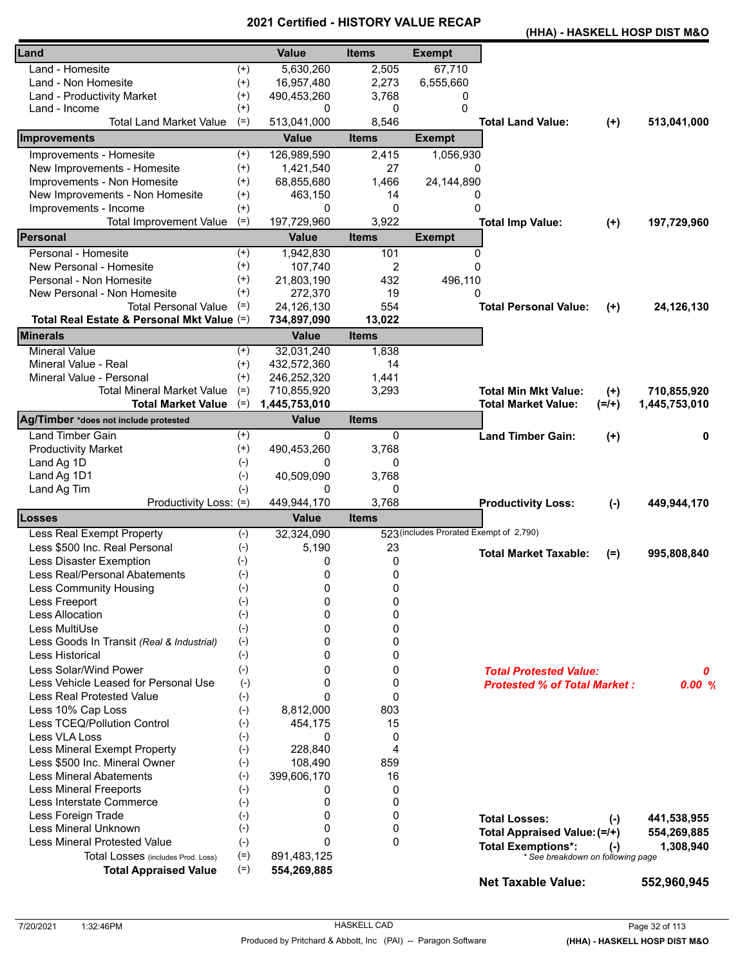| (HHA) - HASKELL HOSP DIST M&O |  |  |  |  |
|-------------------------------|--|--|--|--|
|-------------------------------|--|--|--|--|

| Land                                       |          | <b>Value</b>                  | <b>Items</b>   | <b>Exempt</b>                           |                                                                |           |               |
|--------------------------------------------|----------|-------------------------------|----------------|-----------------------------------------|----------------------------------------------------------------|-----------|---------------|
| Land - Homesite                            | $^{(+)}$ | 5,630,260                     | 2,505          | 67,710                                  |                                                                |           |               |
| Land - Non Homesite                        | $^{(+)}$ | 16,957,480                    | 2,273          | 6,555,660                               |                                                                |           |               |
| Land - Productivity Market                 | $^{(+)}$ | 490,453,260                   | 3,768          | 0                                       |                                                                |           |               |
| Land - Income                              | $^{(+)}$ | 0                             | 0              | $\Omega$                                |                                                                |           |               |
| <b>Total Land Market Value</b>             | $(=)$    | 513,041,000                   | 8,546          |                                         | <b>Total Land Value:</b>                                       | $(+)$     | 513,041,000   |
| <b>Improvements</b>                        |          | <b>Value</b>                  | <b>Items</b>   | <b>Exempt</b>                           |                                                                |           |               |
| Improvements - Homesite                    | $^{(+)}$ | 126,989,590                   | 2,415          | 1,056,930                               |                                                                |           |               |
| New Improvements - Homesite                | $^{(+)}$ | 1,421,540                     | 27             | 0                                       |                                                                |           |               |
| Improvements - Non Homesite                | $^{(+)}$ | 68,855,680                    | 1,466          | 24,144,890                              |                                                                |           |               |
| New Improvements - Non Homesite            | $^{(+)}$ | 463,150                       | 14             | 0                                       |                                                                |           |               |
| Improvements - Income                      | $^{(+)}$ | 0                             | $\Omega$       | $\Omega$                                |                                                                |           |               |
| <b>Total Improvement Value</b>             | $(=)$    | 197,729,960                   | 3,922          |                                         | <b>Total Imp Value:</b>                                        | $(+)$     | 197,729,960   |
| Personal                                   |          | <b>Value</b>                  | <b>Items</b>   | <b>Exempt</b>                           |                                                                |           |               |
| Personal - Homesite                        | $^{(+)}$ | 1,942,830                     | 101            | $\Omega$                                |                                                                |           |               |
| New Personal - Homesite                    | $^{(+)}$ | 107,740                       | $\overline{2}$ | $\Omega$                                |                                                                |           |               |
| Personal - Non Homesite                    | $^{(+)}$ | 21,803,190                    | 432            | 496,110                                 |                                                                |           |               |
| New Personal - Non Homesite                | $^{(+)}$ | 272,370                       | 19             | 0                                       |                                                                |           |               |
| <b>Total Personal Value</b>                | $(=)$    | 24,126,130                    | 554            |                                         | <b>Total Personal Value:</b>                                   | $(+)$     | 24,126,130    |
| Total Real Estate & Personal Mkt Value (=) |          | 734,897,090                   | 13,022         |                                         |                                                                |           |               |
| <b>Minerals</b>                            |          | <b>Value</b>                  | <b>Items</b>   |                                         |                                                                |           |               |
| <b>Mineral Value</b>                       | $^{(+)}$ | 32,031,240                    | 1,838          |                                         |                                                                |           |               |
| Mineral Value - Real                       | $^{(+)}$ | 432,572,360                   | 14             |                                         |                                                                |           |               |
| Mineral Value - Personal                   | $^{(+)}$ | 246,252,320                   | 1,441          |                                         |                                                                |           |               |
| <b>Total Mineral Market Value</b>          | $(=)$    |                               |                |                                         | <b>Total Min Mkt Value:</b>                                    |           |               |
|                                            | $(=)$    | 710,855,920                   | 3,293          |                                         |                                                                | $(+)$     | 710,855,920   |
| <b>Total Market Value</b>                  |          | 1,445,753,010<br><b>Value</b> | <b>Items</b>   |                                         | <b>Total Market Value:</b>                                     | $(=/+)$   | 1,445,753,010 |
| Ag/Timber *does not include protested      |          |                               |                |                                         |                                                                |           |               |
| <b>Land Timber Gain</b>                    | $^{(+)}$ | 0                             | 0              |                                         | <b>Land Timber Gain:</b>                                       | $^{(+)}$  | 0             |
| <b>Productivity Market</b>                 | $^{(+)}$ | 490,453,260                   | 3,768          |                                         |                                                                |           |               |
| Land Ag 1D                                 | $(-)$    | 0                             | 0              |                                         |                                                                |           |               |
| Land Ag 1D1                                | $(-)$    | 40,509,090                    | 3,768          |                                         |                                                                |           |               |
| Land Ag Tim                                | $(-)$    | 0                             | 0              |                                         |                                                                |           |               |
| Productivity Loss: (=)                     |          | 449,944,170                   | 3,768          |                                         | <b>Productivity Loss:</b>                                      | $(-)$     | 449,944,170   |
| Losses                                     |          | <b>Value</b>                  | <b>Items</b>   |                                         |                                                                |           |               |
| Less Real Exempt Property                  | $(-)$    | 32,324,090                    |                | 523 (includes Prorated Exempt of 2,790) |                                                                |           |               |
| Less \$500 Inc. Real Personal              | $(-)$    | 5,190                         | 23             |                                         | <b>Total Market Taxable:</b>                                   | $(=)$     | 995,808,840   |
| Less Disaster Exemption                    | $(-)$    | 0                             | 0              |                                         |                                                                |           |               |
| Less Real/Personal Abatements              | $(-)$    | 0                             | 0              |                                         |                                                                |           |               |
| Less Community Housing                     | $(-)$    | 0                             | 0              |                                         |                                                                |           |               |
| Less Freeport                              | $(-)$    | 0                             | 0              |                                         |                                                                |           |               |
| <b>Less Allocation</b>                     | $(-)$    | $\Omega$                      | $\mathbf 0$    |                                         |                                                                |           |               |
| Less MultiUse                              | $(-)$    | $\Omega$                      | 0              |                                         |                                                                |           |               |
| Less Goods In Transit (Real & Industrial)  | $(-)$    | $\Omega$                      | 0              |                                         |                                                                |           |               |
| Less Historical                            | $(-)$    | 0                             | 0              |                                         |                                                                |           |               |
| Less Solar/Wind Power                      | $(-)$    | 0                             | 0              |                                         | <b>Total Protested Value:</b>                                  |           | 0             |
| Less Vehicle Leased for Personal Use       | $(-)$    | 0                             | 0              |                                         | <b>Protested % of Total Market:</b>                            |           | 0.00%         |
| <b>Less Real Protested Value</b>           | $(-)$    | $\mathbf{0}$                  | $\mathbf{0}$   |                                         |                                                                |           |               |
| Less 10% Cap Loss                          | $(-)$    | 8,812,000                     | 803            |                                         |                                                                |           |               |
| Less TCEQ/Pollution Control                | $(-)$    | 454,175                       | 15             |                                         |                                                                |           |               |
| Less VLA Loss                              | $(-)$    | $\Omega$                      | 0              |                                         |                                                                |           |               |
| Less Mineral Exempt Property               | $(-)$    | 228,840                       | 4              |                                         |                                                                |           |               |
| Less \$500 Inc. Mineral Owner              | $(-)$    | 108,490                       | 859            |                                         |                                                                |           |               |
| <b>Less Mineral Abatements</b>             | $(-)$    | 399,606,170                   | 16             |                                         |                                                                |           |               |
| <b>Less Mineral Freeports</b>              | $(-)$    | 0                             | 0              |                                         |                                                                |           |               |
| Less Interstate Commerce                   | $(-)$    | 0                             | 0              |                                         |                                                                |           |               |
| Less Foreign Trade                         | $(-)$    | $\Omega$                      | 0              |                                         | <b>Total Losses:</b>                                           |           | 441,538,955   |
| Less Mineral Unknown                       | $(-)$    | 0                             | 0              |                                         |                                                                | $(-)$     |               |
| <b>Less Mineral Protested Value</b>        | $(-)$    | $\mathbf{0}$                  | 0              |                                         | Total Appraised Value: (=/+)                                   |           | 554,269,885   |
| Total Losses (includes Prod. Loss)         | $(=)$    | 891,483,125                   |                |                                         | <b>Total Exemptions*:</b><br>* See breakdown on following page | $(\cdot)$ | 1,308,940     |
| <b>Total Appraised Value</b>               | $(=)$    | 554,269,885                   |                |                                         |                                                                |           |               |
|                                            |          |                               |                |                                         | <b>Net Taxable Value:</b>                                      |           | 552,960,945   |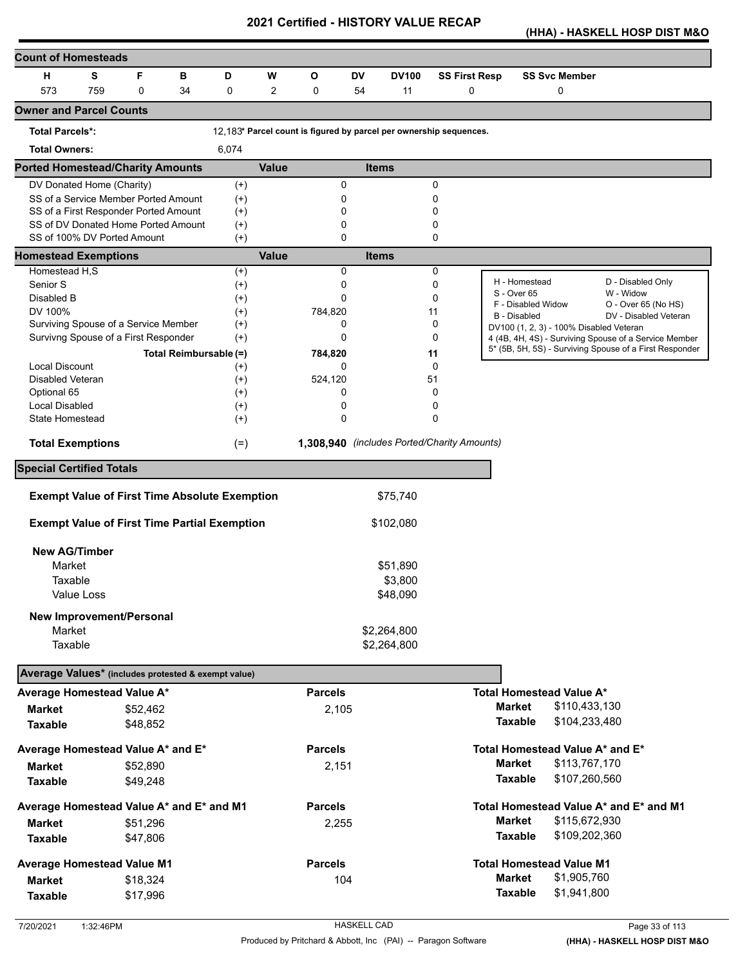**(HHA) - HASKELL HOSP DIST M&O** 

| <b>Count of Homesteads</b>                                 |     |          |    |                        |              |                |           |                                                                    |                      |                                         |                                                         |
|------------------------------------------------------------|-----|----------|----|------------------------|--------------|----------------|-----------|--------------------------------------------------------------------|----------------------|-----------------------------------------|---------------------------------------------------------|
| н                                                          | S   | F        | в  | D                      | W            | O              | <b>DV</b> | <b>DV100</b>                                                       | <b>SS First Resp</b> | <b>SS Svc Member</b>                    |                                                         |
| 573                                                        | 759 | 0        | 34 | 0                      | 2            | 0              | 54        | 11                                                                 | $\mathbf 0$          | 0                                       |                                                         |
| <b>Owner and Parcel Counts</b>                             |     |          |    |                        |              |                |           |                                                                    |                      |                                         |                                                         |
| <b>Total Parcels*:</b>                                     |     |          |    |                        |              |                |           | 12.183* Parcel count is figured by parcel per ownership sequences. |                      |                                         |                                                         |
| <b>Total Owners:</b>                                       |     |          |    | 6,074                  |              |                |           |                                                                    |                      |                                         |                                                         |
| <b>Ported Homestead/Charity Amounts</b>                    |     |          |    |                        | <b>Value</b> |                |           | <b>Items</b>                                                       |                      |                                         |                                                         |
| DV Donated Home (Charity)                                  |     |          |    | $(+)$                  |              | 0              |           |                                                                    | 0                    |                                         |                                                         |
| SS of a Service Member Ported Amount                       |     |          |    | $^{(+)}$               |              | 0              |           |                                                                    | 0                    |                                         |                                                         |
| SS of a First Responder Ported Amount                      |     |          |    | $^{(+)}$               |              | 0              |           |                                                                    | 0                    |                                         |                                                         |
| SS of DV Donated Home Ported Amount                        |     |          |    | $^{(+)}$               |              | 0              |           |                                                                    | 0                    |                                         |                                                         |
| SS of 100% DV Ported Amount<br><b>Homestead Exemptions</b> |     |          |    | $(+)$                  | <b>Value</b> | $\Omega$       |           | <b>Items</b>                                                       | 0                    |                                         |                                                         |
| Homestead H,S                                              |     |          |    |                        |              | 0              |           |                                                                    | 0                    |                                         |                                                         |
| Senior S                                                   |     |          |    | $^{(+)}$<br>$^{(+)}$   |              | 0              |           |                                                                    | 0                    | H - Homestead                           | D - Disabled Only                                       |
| Disabled B                                                 |     |          |    | $(+)$                  |              | 0              |           |                                                                    | 0                    | S - Over 65                             | W - Widow                                               |
| DV 100%                                                    |     |          |    | $^{(+)}$               |              | 784,820        |           |                                                                    | 11                   | F - Disabled Widow                      | O - Over 65 (No HS)                                     |
| Surviving Spouse of a Service Member                       |     |          |    | $^{(+)}$               |              | 0              |           |                                                                    | 0                    | <b>B</b> - Disabled                     | DV - Disabled Veteran                                   |
| Survivng Spouse of a First Responder                       |     |          |    | $^{(+)}$               |              | 0              |           |                                                                    | 0                    | DV100 (1, 2, 3) - 100% Disabled Veteran | 4 (4B, 4H, 4S) - Surviving Spouse of a Service Member   |
|                                                            |     |          |    | Total Reimbursable (=) |              | 784,820        |           |                                                                    | 11                   |                                         | 5* (5B, 5H, 5S) - Surviving Spouse of a First Responder |
| <b>Local Discount</b>                                      |     |          |    | $^{(+)}$               |              | 0              |           |                                                                    | $\Omega$             |                                         |                                                         |
| <b>Disabled Veteran</b>                                    |     |          |    | $^{(+)}$               |              | 524,120        |           |                                                                    | 51                   |                                         |                                                         |
| Optional 65                                                |     |          |    | $^{(+)}$               |              | 0              |           |                                                                    | 0                    |                                         |                                                         |
| Local Disabled                                             |     |          |    | $^{(+)}$               |              | 0              |           |                                                                    | 0                    |                                         |                                                         |
| State Homestead                                            |     |          |    | $^{(+)}$               |              | 0              |           |                                                                    | 0                    |                                         |                                                         |
| <b>Total Exemptions</b>                                    |     |          |    | $(=)$                  |              |                |           | 1,308,940 (includes Ported/Charity Amounts)                        |                      |                                         |                                                         |
| <b>Special Certified Totals</b>                            |     |          |    |                        |              |                |           |                                                                    |                      |                                         |                                                         |
|                                                            |     |          |    |                        |              |                |           |                                                                    |                      |                                         |                                                         |
| <b>Exempt Value of First Time Absolute Exemption</b>       |     |          |    |                        |              |                |           | \$75,740                                                           |                      |                                         |                                                         |
| <b>Exempt Value of First Time Partial Exemption</b>        |     |          |    |                        |              |                |           | \$102,080                                                          |                      |                                         |                                                         |
| <b>New AG/Timber</b>                                       |     |          |    |                        |              |                |           |                                                                    |                      |                                         |                                                         |
| Market                                                     |     |          |    |                        |              |                |           | \$51,890                                                           |                      |                                         |                                                         |
|                                                            |     |          |    |                        |              |                |           |                                                                    |                      |                                         |                                                         |
| Taxable                                                    |     |          |    |                        |              |                |           | \$3,800                                                            |                      |                                         |                                                         |
| Value Loss                                                 |     |          |    |                        |              |                |           | \$48,090                                                           |                      |                                         |                                                         |
| <b>New Improvement/Personal</b>                            |     |          |    |                        |              |                |           |                                                                    |                      |                                         |                                                         |
| Market                                                     |     |          |    |                        |              |                |           | \$2,264,800                                                        |                      |                                         |                                                         |
| Taxable                                                    |     |          |    |                        |              |                |           | \$2,264,800                                                        |                      |                                         |                                                         |
| Average Values* (includes protested & exempt value)        |     |          |    |                        |              |                |           |                                                                    |                      |                                         |                                                         |
| Average Homestead Value A*                                 |     |          |    |                        |              | <b>Parcels</b> |           |                                                                    |                      | <b>Total Homestead Value A*</b>         |                                                         |
| <b>Market</b>                                              |     | \$52,462 |    |                        |              | 2,105          |           |                                                                    |                      | <b>Market</b><br>\$110,433,130          |                                                         |
| <b>Taxable</b>                                             |     | \$48,852 |    |                        |              |                |           |                                                                    |                      | <b>Taxable</b><br>\$104,233,480         |                                                         |
| Average Homestead Value A* and E*                          |     |          |    |                        |              | <b>Parcels</b> |           |                                                                    |                      | Total Homestead Value A* and E*         |                                                         |
| <b>Market</b>                                              |     | \$52,890 |    |                        |              | 2,151          |           |                                                                    |                      | <b>Market</b><br>\$113,767,170          |                                                         |
| <b>Taxable</b>                                             |     | \$49,248 |    |                        |              |                |           |                                                                    |                      | <b>Taxable</b><br>\$107,260,560         |                                                         |
| Average Homestead Value A* and E* and M1                   |     |          |    |                        |              | <b>Parcels</b> |           |                                                                    |                      |                                         | Total Homestead Value A* and E* and M1                  |
|                                                            |     |          |    |                        |              |                |           |                                                                    |                      | <b>Market</b><br>\$115,672,930          |                                                         |
| Market                                                     |     | \$51,296 |    |                        |              | 2,255          |           |                                                                    |                      | <b>Taxable</b>                          |                                                         |
| <b>Taxable</b>                                             |     | \$47,806 |    |                        |              |                |           |                                                                    |                      | \$109,202,360                           |                                                         |
| <b>Average Homestead Value M1</b>                          |     |          |    |                        |              | <b>Parcels</b> |           |                                                                    |                      | <b>Total Homestead Value M1</b>         |                                                         |
| <b>Market</b>                                              |     | \$18,324 |    |                        |              | 104            |           |                                                                    |                      | \$1,905,760<br><b>Market</b>            |                                                         |
| <b>Taxable</b>                                             |     | \$17,996 |    |                        |              |                |           |                                                                    |                      | <b>Taxable</b><br>\$1,941,800           |                                                         |
|                                                            |     |          |    |                        |              |                |           |                                                                    |                      |                                         |                                                         |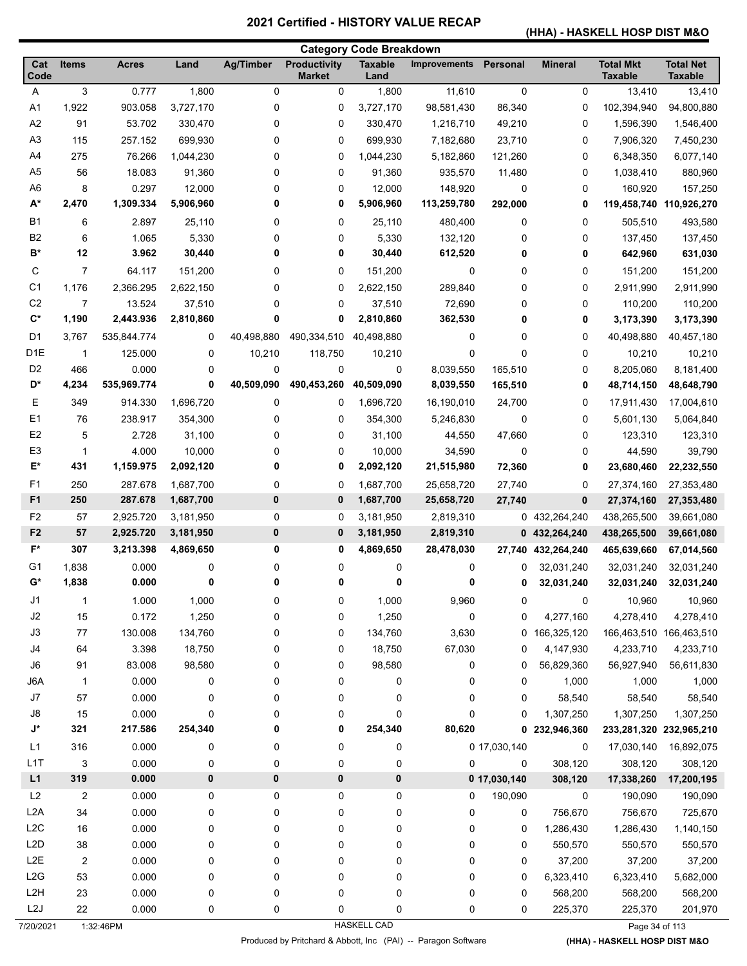# **(HHA) - HASKELL HOSP DIST M&O**

|                  | <b>Category Code Breakdown</b> |              |           |                  |                               |                        |                     |              |                |                                    |                                    |
|------------------|--------------------------------|--------------|-----------|------------------|-------------------------------|------------------------|---------------------|--------------|----------------|------------------------------------|------------------------------------|
| Cat<br>Code      | <b>Items</b>                   | <b>Acres</b> | Land      | <b>Ag/Timber</b> | Productivity<br><b>Market</b> | <b>Taxable</b><br>Land | <b>Improvements</b> | Personal     | <b>Mineral</b> | <b>Total Mkt</b><br><b>Taxable</b> | <b>Total Net</b><br><b>Taxable</b> |
| A                | 3                              | 0.777        | 1,800     | 0                | 0                             | 1,800                  | 11,610              | 0            | 0              | 13,410                             | 13,410                             |
| A <sub>1</sub>   | 1,922                          | 903.058      | 3,727,170 | 0                | 0                             | 3,727,170              | 98,581,430          | 86,340       | 0              | 102,394,940                        | 94,800,880                         |
| A2               | 91                             | 53.702       | 330,470   | 0                | 0                             | 330,470                | 1,216,710           | 49,210       | 0              | 1,596,390                          | 1,546,400                          |
| A <sub>3</sub>   | 115                            | 257.152      | 699,930   | 0                | 0                             | 699,930                | 7,182,680           | 23,710       | 0              | 7,906,320                          | 7,450,230                          |
| A4               | 275                            | 76.266       | 1,044,230 | 0                | 0                             | 1,044,230              | 5,182,860           | 121,260      | 0              | 6,348,350                          | 6,077,140                          |
| A <sub>5</sub>   | 56                             | 18.083       | 91,360    | 0                | 0                             | 91,360                 | 935,570             | 11,480       | 0              | 1,038,410                          | 880,960                            |
| A <sub>6</sub>   | 8                              | 0.297        | 12,000    | 0                | 0                             | 12,000                 | 148,920             | 0            | 0              | 160,920                            | 157,250                            |
| $A^*$            | 2,470                          | 1,309.334    | 5,906,960 | 0                | 0                             | 5,906,960              | 113,259,780         | 292,000      | 0              | 119,458,740                        | 110,926,270                        |
| <b>B1</b>        | 6                              | 2.897        | 25,110    | 0                | 0                             | 25,110                 | 480,400             | 0            | 0              | 505,510                            | 493,580                            |
| B <sub>2</sub>   | 6                              | 1.065        | 5,330     | 0                | 0                             | 5,330                  | 132,120             | 0            | 0              | 137,450                            | 137,450                            |
| B*               | 12                             | 3.962        | 30,440    | 0                | 0                             | 30,440                 | 612,520             | 0            | 0              | 642,960                            | 631,030                            |
| С                | 7                              | 64.117       | 151,200   | 0                | 0                             | 151,200                | 0                   | 0            | 0              | 151,200                            | 151,200                            |
| C <sub>1</sub>   | 1,176                          | 2,366.295    | 2,622,150 | 0                | 0                             | 2,622,150              | 289,840             | 0            | 0              | 2,911,990                          | 2,911,990                          |
| C <sub>2</sub>   | $\overline{7}$                 | 13.524       | 37,510    | 0                | 0                             | 37,510                 | 72,690              | 0            | 0              | 110,200                            | 110,200                            |
| $\mathbf{C}^*$   | 1,190                          | 2,443.936    | 2,810,860 | 0                | 0                             | 2,810,860              | 362,530             | 0            | 0              | 3,173,390                          | 3,173,390                          |
| D <sub>1</sub>   | 3,767                          | 535,844.774  | 0         | 40,498,880       | 490,334,510                   | 40,498,880             | 0                   | 0            | 0              | 40,498,880                         | 40,457,180                         |
| D <sub>1E</sub>  | $\mathbf{1}$                   | 125.000      | 0         | 10,210           | 118,750                       | 10,210                 | 0                   | 0            | 0              | 10,210                             | 10,210                             |
| D <sub>2</sub>   | 466                            | 0.000        | 0         | 0                | 0                             | 0                      | 8,039,550           | 165,510      | 0              | 8,205,060                          | 8,181,400                          |
| D*               | 4,234                          | 535,969.774  | 0         | 40,509,090       | 490,453,260                   | 40,509,090             | 8,039,550           | 165,510      | 0              | 48,714,150                         | 48,648,790                         |
| Е                | 349                            | 914.330      | 1,696,720 | 0                | 0                             | 1,696,720              | 16,190,010          | 24,700       | 0              | 17,911,430                         | 17,004,610                         |
| E <sub>1</sub>   | 76                             | 238.917      | 354,300   | 0                | 0                             | 354,300                | 5,246,830           | 0            | 0              | 5,601,130                          | 5,064,840                          |
| E <sub>2</sub>   | 5                              | 2.728        | 31,100    | 0                | 0                             | 31,100                 | 44,550              | 47,660       | 0              | 123,310                            | 123,310                            |
| E <sub>3</sub>   | 1                              | 4.000        | 10,000    | 0                | 0                             | 10,000                 | 34,590              | 0            | 0              | 44,590                             | 39,790                             |
| E*               | 431                            | 1,159.975    | 2,092,120 | 0                | 0                             | 2,092,120              | 21,515,980          | 72,360       | 0              | 23,680,460                         | 22,232,550                         |
| F <sub>1</sub>   | 250                            | 287.678      | 1,687,700 | 0                | 0                             | 1,687,700              | 25,658,720          | 27,740       | 0              | 27,374,160                         | 27,353,480                         |
| F <sub>1</sub>   | 250                            | 287.678      | 1,687,700 | 0                | 0                             | 1,687,700              | 25,658,720          | 27,740       | 0              | 27,374,160                         | 27,353,480                         |
| F <sub>2</sub>   | 57                             | 2,925.720    | 3,181,950 | 0                | 0                             | 3,181,950              | 2,819,310           |              | 0 432,264,240  | 438,265,500                        | 39,661,080                         |
| F <sub>2</sub>   | 57                             | 2,925.720    | 3,181,950 | 0                | 0                             | 3,181,950              | 2,819,310           |              | 0 432,264,240  | 438,265,500                        | 39,661,080                         |
| F*               | 307                            | 3,213.398    | 4,869,650 | 0                | 0                             | 4,869,650              | 28,478,030          | 27,740       | 432,264,240    | 465,639,660                        | 67,014,560                         |
| G1               | 1,838                          | 0.000        | 0         | 0                | 0                             | 0                      | 0                   | 0            | 32,031,240     | 32,031,240                         | 32,031,240                         |
| $G^*$            | 1,838                          | 0.000        | 0         | 0                | 0                             | 0                      | 0                   | 0            | 32,031,240     | 32,031,240                         | 32,031,240                         |
| J1               | $\mathbf{1}$                   | 1.000        | 1,000     | 0                | 0                             | 1,000                  | 9,960               | 0            | 0              | 10,960                             | 10,960                             |
| J2               | 15                             | 0.172        | 1,250     | 0                | 0                             | 1,250                  | 0                   | 0            | 4,277,160      | 4,278,410                          | 4,278,410                          |
| J3               | 77                             | 130.008      | 134,760   | 0                | 0                             | 134,760                | 3,630               | 0            | 166,325,120    | 166,463,510 166,463,510            |                                    |
| J4               | 64                             | 3.398        | 18,750    | 0                | 0                             | 18,750                 | 67,030              | 0            | 4,147,930      | 4,233,710                          | 4,233,710                          |
| $\mathsf{J6}$    | 91                             | 83.008       | 98,580    | 0                | 0                             | 98,580                 | 0                   | 0            | 56,829,360     | 56,927,940                         | 56,611,830                         |
| J6A              | $\overline{1}$                 | 0.000        | 0         | 0                | 0                             | 0                      | 0                   | 0            | 1,000          | 1,000                              | 1,000                              |
| J7               | 57                             | 0.000        | 0         | 0                | 0                             | 0                      | 0                   | 0            | 58,540         | 58,540                             | 58,540                             |
| J8               | 15                             | 0.000        | 0         | 0                | 0                             | 0                      | 0                   | 0            | 1,307,250      | 1,307,250                          | 1,307,250                          |
| J*               | 321                            | 217.586      | 254,340   | 0                | 0                             | 254,340                | 80,620              | 0            | 232,946,360    | 233,281,320 232,965,210            |                                    |
| L1               | 316                            | 0.000        | 0         | 0                | 0                             | 0                      |                     | 0 17,030,140 | 0              | 17,030,140                         | 16,892,075                         |
| L1T              | 3                              | 0.000        | 0         | 0                | 0                             | 0                      | 0                   | $\pmb{0}$    | 308,120        | 308,120                            | 308,120                            |
| L1               | 319                            | 0.000        | $\pmb{0}$ | 0                | $\pmb{0}$                     | $\pmb{0}$              |                     | 0 17,030,140 | 308,120        | 17,338,260                         | 17,200,195                         |
| L2               | 2                              | 0.000        | 0         | 0                | 0                             | 0                      | 0                   | 190,090      | 0              | 190,090                            | 190,090                            |
| L <sub>2</sub> A | 34                             | 0.000        | 0         | 0                | 0                             | 0                      | 0                   | 0            | 756,670        | 756,670                            | 725,670                            |
| L2C              | $16\,$                         | 0.000        | 0         | 0                | 0                             | 0                      | 0                   | 0            | 1,286,430      | 1,286,430                          | 1,140,150                          |
| L <sub>2</sub> D | 38                             | 0.000        | 0         | 0                | 0                             | 0                      | 0                   | 0            | 550,570        | 550,570                            | 550,570                            |
| L <sub>2</sub> E | $\overline{2}$                 | 0.000        | 0         | 0                | 0                             | 0                      | 0                   | 0            | 37,200         | 37,200                             | 37,200                             |
| L2G              | 53                             | 0.000        | 0         | 0                | 0                             | 0                      | 0                   | 0            | 6,323,410      | 6,323,410                          | 5,682,000                          |
| L <sub>2</sub> H | 23                             | 0.000        | 0         | 0                | 0                             | 0                      | 0                   | 0            | 568,200        | 568,200                            | 568,200                            |
| L2J              | 22                             | 0.000        | 0         | 0                | 0                             | 0                      | 0                   | 0            | 225,370        | 225,370                            | 201,970                            |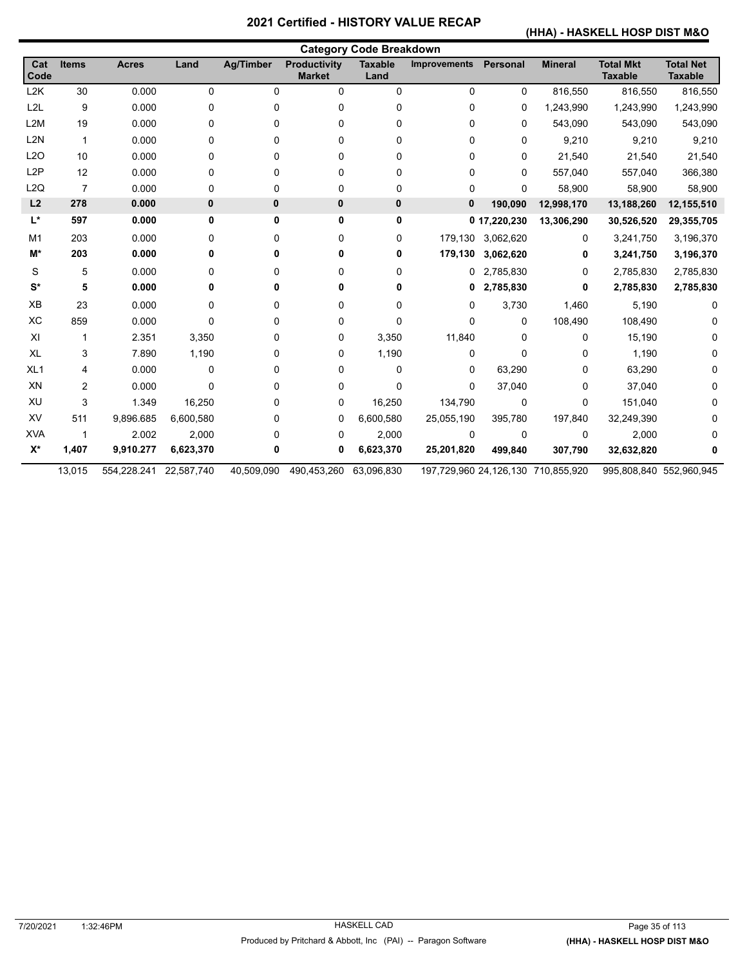#### **(HHA) - HASKELL HOSP DIST M&O**

| <b>Category Code Breakdown</b> |                |              |              |                  |                                      |                        |                     |                   |                                    |                                    |                                    |
|--------------------------------|----------------|--------------|--------------|------------------|--------------------------------------|------------------------|---------------------|-------------------|------------------------------------|------------------------------------|------------------------------------|
| Cat<br>Code                    | <b>Items</b>   | <b>Acres</b> | Land         | <b>Ag/Timber</b> | <b>Productivity</b><br><b>Market</b> | <b>Taxable</b><br>Land | <b>Improvements</b> | <b>Personal</b>   | <b>Mineral</b>                     | <b>Total Mkt</b><br><b>Taxable</b> | <b>Total Net</b><br><b>Taxable</b> |
| L2K                            | 30             | 0.000        | 0            | 0                | 0                                    | 0                      | 0                   | 0                 | 816,550                            | 816,550                            | 816,550                            |
| L <sub>2L</sub>                | 9              | 0.000        | 0            | 0                | 0                                    | 0                      | 0                   | 0                 | 1,243,990                          | 1,243,990                          | 1,243,990                          |
| L <sub>2</sub> M               | 19             | 0.000        | 0            | 0                | 0                                    | 0                      | 0                   | $\Omega$          | 543,090                            | 543,090                            | 543,090                            |
| L <sub>2N</sub>                | $\mathbf{1}$   | 0.000        | 0            | 0                | 0                                    | 0                      | 0                   | $\mathbf{0}$      | 9,210                              | 9,210                              | 9,210                              |
| L2O                            | 10             | 0.000        | 0            | 0                | 0                                    | 0                      | 0                   | 0                 | 21,540                             | 21,540                             | 21,540                             |
| L <sub>2</sub> P               | 12             | 0.000        | 0            | 0                | 0                                    | 0                      | 0                   | 0                 | 557,040                            | 557,040                            | 366,380                            |
| L2Q                            | $\overline{7}$ | 0.000        | 0            | 0                | 0                                    | 0                      | 0                   | 0                 | 58,900                             | 58,900                             | 58,900                             |
| L2                             | 278            | 0.000        | $\mathbf{0}$ | 0                | 0                                    | 0                      | $\mathbf{0}$        | 190,090           | 12,998,170                         | 13,188,260                         | 12,155,510                         |
| L*                             | 597            | 0.000        | 0            | 0                | 0                                    | 0                      |                     | 0 17,220,230      | 13,306,290                         | 30,526,520                         | 29,355,705                         |
| M <sub>1</sub>                 | 203            | 0.000        | 0            | 0                | 0                                    | 0                      |                     | 179,130 3,062,620 | 0                                  | 3,241,750                          | 3,196,370                          |
| M*                             | 203            | 0.000        |              | 0                | 0                                    | 0                      | 179,130             | 3,062,620         | 0                                  | 3,241,750                          | 3,196,370                          |
| S                              | 5              | 0.000        | 0            | 0                | 0                                    | 0                      | 0                   | 2,785,830         | 0                                  | 2,785,830                          | 2,785,830                          |
| $S^*$                          | 5              | 0.000        | 0            | 0                | 0                                    | 0                      | 0                   | 2,785,830         | 0                                  | 2,785,830                          | 2,785,830                          |
| XB                             | 23             | 0.000        | 0            | 0                | 0                                    | 0                      | 0                   | 3,730             | 1,460                              | 5,190                              | 0                                  |
| XC                             | 859            | 0.000        | 0            | 0                | 0                                    | 0                      | 0                   | $\mathbf{0}$      | 108,490                            | 108,490                            |                                    |
| XI                             | 1              | 2.351        | 3,350        | 0                | 0                                    | 3,350                  | 11,840              | $\Omega$          | 0                                  | 15,190                             |                                    |
| XL                             | 3              | 7.890        | 1,190        | 0                | 0                                    | 1,190                  | 0                   | $\Omega$          | 0                                  | 1,190                              |                                    |
| XL <sub>1</sub>                | 4              | 0.000        | 0            | 0                | 0                                    | 0                      | 0                   | 63,290            | 0                                  | 63,290                             |                                    |
| XN                             | 2              | 0.000        | 0            | 0                | 0                                    | 0                      | 0                   | 37,040            | 0                                  | 37,040                             |                                    |
| XU                             | 3              | 1.349        | 16,250       | 0                | 0                                    | 16,250                 | 134,790             | 0                 | 0                                  | 151,040                            |                                    |
| XV                             | 511            | 9,896.685    | 6,600,580    | 0                | 0                                    | 6,600,580              | 25,055,190          | 395,780           | 197,840                            | 32,249,390                         |                                    |
| <b>XVA</b>                     | -1             | 2.002        | 2,000        | 0                | 0                                    | 2,000                  | 0                   | $\mathbf{0}$      | $\mathbf 0$                        | 2,000                              |                                    |
| $X^*$                          | 1,407          | 9,910.277    | 6,623,370    | 0                | 0                                    | 6,623,370              | 25,201,820          | 499,840           | 307,790                            | 32,632,820                         |                                    |
|                                | 13,015         | 554,228.241  | 22,587,740   | 40,509,090       | 490,453,260                          | 63,096,830             |                     |                   | 197,729,960 24,126,130 710,855,920 |                                    | 995,808,840 552,960,945            |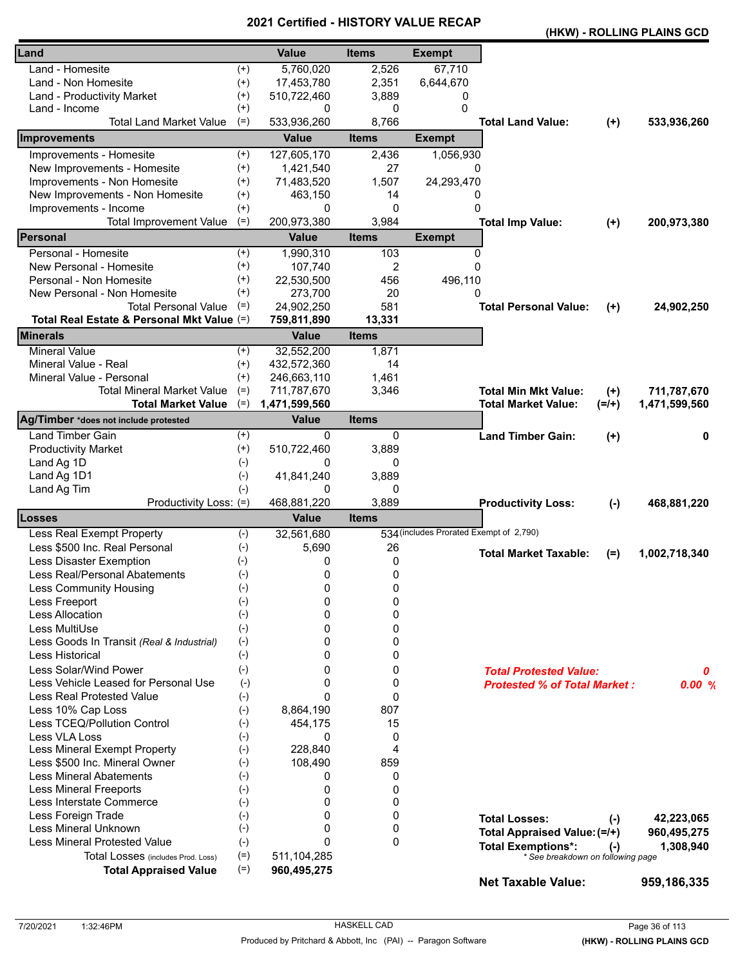|                                            |          |                  |                |                                         |                                     |           | (HKW) - ROLLING PLAINS GCD |
|--------------------------------------------|----------|------------------|----------------|-----------------------------------------|-------------------------------------|-----------|----------------------------|
| Land                                       |          | <b>Value</b>     | <b>Items</b>   | <b>Exempt</b>                           |                                     |           |                            |
| Land - Homesite                            | $^{(+)}$ | 5,760,020        | 2,526          | 67,710                                  |                                     |           |                            |
| Land - Non Homesite                        | $^{(+)}$ | 17,453,780       | 2,351          | 6,644,670                               |                                     |           |                            |
| Land - Productivity Market                 | $^{(+)}$ | 510,722,460      | 3,889          | 0                                       |                                     |           |                            |
| Land - Income                              | $^{(+)}$ | 0                | 0              | 0                                       |                                     |           |                            |
| <b>Total Land Market Value</b>             | $(=)$    | 533,936,260      | 8,766          |                                         | <b>Total Land Value:</b>            | $(+)$     | 533,936,260                |
| Improvements                               |          | <b>Value</b>     | <b>Items</b>   | <b>Exempt</b>                           |                                     |           |                            |
| Improvements - Homesite                    | $^{(+)}$ | 127,605,170      | 2,436          | 1,056,930                               |                                     |           |                            |
| New Improvements - Homesite                | $^{(+)}$ | 1,421,540        | 27             | 0                                       |                                     |           |                            |
| Improvements - Non Homesite                | $^{(+)}$ | 71,483,520       | 1,507          | 24,293,470                              |                                     |           |                            |
| New Improvements - Non Homesite            | $^{(+)}$ | 463,150          | 14             | 0                                       |                                     |           |                            |
| Improvements - Income                      | $^{(+)}$ | 0                | 0              | $\Omega$                                |                                     |           |                            |
| <b>Total Improvement Value</b>             | $(=)$    | 200,973,380      | 3,984          |                                         | <b>Total Imp Value:</b>             | $(+)$     | 200,973,380                |
| Personal                                   |          | <b>Value</b>     | <b>Items</b>   | <b>Exempt</b>                           |                                     |           |                            |
| Personal - Homesite                        | $^{(+)}$ | 1,990,310        | 103            | 0                                       |                                     |           |                            |
| New Personal - Homesite                    | $^{(+)}$ | 107,740          | $\overline{c}$ | $\Omega$                                |                                     |           |                            |
| Personal - Non Homesite                    | $^{(+)}$ | 22,530,500       | 456            | 496,110                                 |                                     |           |                            |
| New Personal - Non Homesite                | $^{(+)}$ | 273,700          | 20             | 0                                       |                                     |           |                            |
| <b>Total Personal Value</b>                | $(=)$    | 24,902,250       | 581            |                                         | <b>Total Personal Value:</b>        | $(+)$     | 24,902,250                 |
| Total Real Estate & Personal Mkt Value (=) |          | 759,811,890      | 13,331         |                                         |                                     |           |                            |
| <b>Minerals</b>                            |          | <b>Value</b>     | <b>Items</b>   |                                         |                                     |           |                            |
| <b>Mineral Value</b>                       | $^{(+)}$ | 32,552,200       | 1,871          |                                         |                                     |           |                            |
| Mineral Value - Real                       | $^{(+)}$ | 432,572,360      | 14             |                                         |                                     |           |                            |
| Mineral Value - Personal                   | $(+)$    | 246,663,110      | 1,461          |                                         |                                     |           |                            |
| Total Mineral Market Value                 | $(=)$    | 711,787,670      | 3,346          |                                         | <b>Total Min Mkt Value:</b>         | $(+)$     | 711,787,670                |
| <b>Total Market Value</b>                  | $(=)$    | 1,471,599,560    |                |                                         | <b>Total Market Value:</b>          | $(=/+)$   | 1,471,599,560              |
| Ag/Timber *does not include protested      |          | <b>Value</b>     | <b>Items</b>   |                                         |                                     |           |                            |
| <b>Land Timber Gain</b>                    | $^{(+)}$ | $\Omega$         | 0              |                                         | <b>Land Timber Gain:</b>            | $(+)$     | 0                          |
| <b>Productivity Market</b>                 | $^{(+)}$ | 510,722,460      | 3,889          |                                         |                                     |           |                            |
| Land Ag 1D                                 | $(-)$    | 0                | 0              |                                         |                                     |           |                            |
| Land Ag 1D1                                | $(-)$    | 41,841,240       | 3,889          |                                         |                                     |           |                            |
| Land Ag Tim<br>Productivity Loss: (=)      | $(-)$    | 0<br>468,881,220 | 0<br>3,889     |                                         |                                     |           |                            |
| <b>Losses</b>                              |          | <b>Value</b>     | <b>Items</b>   |                                         | <b>Productivity Loss:</b>           | $(-)$     | 468,881,220                |
| Less Real Exempt Property                  | $(-)$    | 32,561,680       |                | 534 (includes Prorated Exempt of 2,790) |                                     |           |                            |
| Less \$500 Inc. Real Personal              | $(-)$    | 5,690            | 26             |                                         |                                     |           |                            |
| Less Disaster Exemption                    | $(-)$    | 0                | 0              |                                         | <b>Total Market Taxable:</b>        | $(=)$     | 1,002,718,340              |
| Less Real/Personal Abatements              | $(-)$    | 0                | 0              |                                         |                                     |           |                            |
| Less Community Housing                     | $(-)$    | 0                | 0              |                                         |                                     |           |                            |
| Less Freeport                              | $(-)$    | 0                | 0              |                                         |                                     |           |                            |
| <b>Less Allocation</b>                     | $(-)$    | 0                | 0              |                                         |                                     |           |                            |
| Less MultiUse                              | $(-)$    | 0                | 0              |                                         |                                     |           |                            |
| Less Goods In Transit (Real & Industrial)  | $(-)$    | 0                | 0              |                                         |                                     |           |                            |
| Less Historical                            | $(-)$    | 0                | 0              |                                         |                                     |           |                            |
| Less Solar/Wind Power                      | $(-)$    | 0                | 0              |                                         | <b>Total Protested Value:</b>       |           | 0                          |
| Less Vehicle Leased for Personal Use       | $(-)$    | 0                | 0              |                                         | <b>Protested % of Total Market:</b> |           | 0.00%                      |
| <b>Less Real Protested Value</b>           | $(-)$    | 0                | 0              |                                         |                                     |           |                            |
| Less 10% Cap Loss                          | $(-)$    | 8,864,190        | 807            |                                         |                                     |           |                            |
| Less TCEQ/Pollution Control                | $(-)$    | 454,175          | 15             |                                         |                                     |           |                            |
| Less VLA Loss                              | $(-)$    | 0                | 0              |                                         |                                     |           |                            |
| Less Mineral Exempt Property               | $(-)$    | 228,840          | 4              |                                         |                                     |           |                            |
| Less \$500 Inc. Mineral Owner              | $(-)$    | 108,490          | 859            |                                         |                                     |           |                            |
| <b>Less Mineral Abatements</b>             | $(-)$    | 0                | 0              |                                         |                                     |           |                            |
| <b>Less Mineral Freeports</b>              | $(-)$    | 0                | 0              |                                         |                                     |           |                            |
| Less Interstate Commerce                   | $(-)$    | 0                | 0              |                                         |                                     |           |                            |
| Less Foreign Trade                         | $(-)$    | 0                | 0              |                                         | <b>Total Losses:</b>                | $(-)$     | 42,223,065                 |
| Less Mineral Unknown                       | $(-)$    | 0                | 0              |                                         | Total Appraised Value: (=/+)        |           | 960,495,275                |
| <b>Less Mineral Protested Value</b>        | $(-)$    | 0                | 0              |                                         | <b>Total Exemptions*:</b>           | $(\cdot)$ | 1,308,940                  |
| Total Losses (includes Prod. Loss)         | $(=)$    | 511, 104, 285    |                |                                         | * See breakdown on following page   |           |                            |
| <b>Total Appraised Value</b>               | $(=)$    | 960,495,275      |                |                                         |                                     |           |                            |
|                                            |          |                  |                |                                         | <b>Net Taxable Value:</b>           |           | 959,186,335                |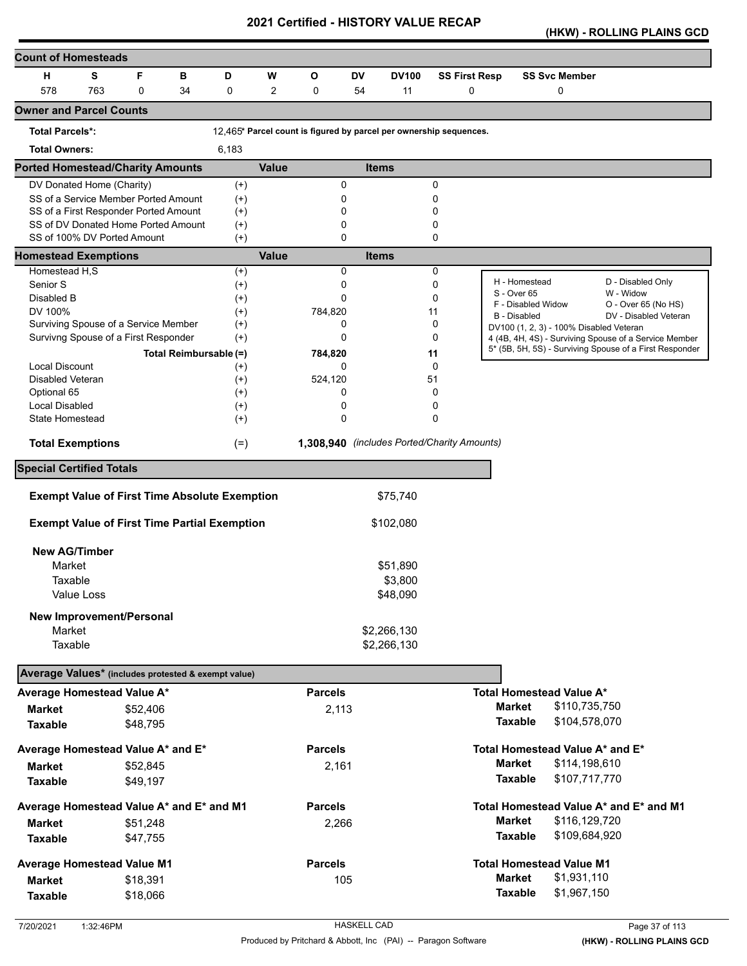**(HKW) - ROLLING PLAINS GCD** 

| <b>Count of Homesteads</b>                          |            |                                                      |                        |                   |                |                                                                    |           |                                             |          |                      |                                           |                                                         |
|-----------------------------------------------------|------------|------------------------------------------------------|------------------------|-------------------|----------------|--------------------------------------------------------------------|-----------|---------------------------------------------|----------|----------------------|-------------------------------------------|---------------------------------------------------------|
| н                                                   | s          | F                                                    | в                      | D                 | W              | O                                                                  | <b>DV</b> | <b>DV100</b>                                |          | <b>SS First Resp</b> | <b>SS Svc Member</b>                      |                                                         |
| 578                                                 | 763        | $\Omega$                                             | 34                     | 0                 | $\overline{2}$ | $\mathbf 0$                                                        | 54        | 11                                          |          | $\mathbf 0$          | 0                                         |                                                         |
| <b>Owner and Parcel Counts</b>                      |            |                                                      |                        |                   |                |                                                                    |           |                                             |          |                      |                                           |                                                         |
| <b>Total Parcels*:</b>                              |            |                                                      |                        |                   |                | 12.465* Parcel count is figured by parcel per ownership sequences. |           |                                             |          |                      |                                           |                                                         |
| <b>Total Owners:</b>                                |            |                                                      |                        | 6,183             |                |                                                                    |           |                                             |          |                      |                                           |                                                         |
| <b>Ported Homestead/Charity Amounts</b>             |            |                                                      |                        |                   | <b>Value</b>   |                                                                    |           | <b>Items</b>                                |          |                      |                                           |                                                         |
| DV Donated Home (Charity)                           |            |                                                      |                        | $(+)$             |                | 0                                                                  |           |                                             | 0        |                      |                                           |                                                         |
|                                                     |            | SS of a Service Member Ported Amount                 |                        | $^{(+)}$          |                | 0                                                                  |           |                                             | 0        |                      |                                           |                                                         |
|                                                     |            | SS of a First Responder Ported Amount                |                        | $^{(+)}$          |                | 0                                                                  |           |                                             | 0        |                      |                                           |                                                         |
| SS of 100% DV Ported Amount                         |            | SS of DV Donated Home Ported Amount                  |                        | $^{(+)}$<br>$(+)$ |                | 0<br>0                                                             |           |                                             | 0<br>0   |                      |                                           |                                                         |
| <b>Homestead Exemptions</b>                         |            |                                                      |                        |                   | <b>Value</b>   |                                                                    |           | <b>Items</b>                                |          |                      |                                           |                                                         |
| Homestead H,S                                       |            |                                                      |                        | $^{(+)}$          |                | 0                                                                  |           |                                             | 0        |                      |                                           |                                                         |
| Senior S                                            |            |                                                      |                        | $^{(+)}$          |                | 0                                                                  |           |                                             | $\Omega$ |                      | H - Homestead                             | D - Disabled Only                                       |
| Disabled B                                          |            |                                                      |                        | $^{(+)}$          |                | 0                                                                  |           |                                             | 0        |                      | S - Over 65                               | W - Widow                                               |
| DV 100%                                             |            |                                                      |                        | $^{(+)}$          |                | 784,820                                                            |           |                                             | 11       |                      | F - Disabled Widow<br><b>B</b> - Disabled | O - Over 65 (No HS)<br>DV - Disabled Veteran            |
|                                                     |            | Surviving Spouse of a Service Member                 |                        | $^{(+)}$          |                | 0                                                                  |           |                                             | 0        |                      | DV100 (1, 2, 3) - 100% Disabled Veteran   |                                                         |
|                                                     |            | Survivng Spouse of a First Responder                 |                        | $^{(+)}$          |                | 0                                                                  |           |                                             | 0        |                      |                                           | 4 (4B, 4H, 4S) - Surviving Spouse of a Service Member   |
|                                                     |            |                                                      | Total Reimbursable (=) |                   |                | 784,820                                                            |           |                                             | 11       |                      |                                           | 5* (5B, 5H, 5S) - Surviving Spouse of a First Responder |
| <b>Local Discount</b>                               |            |                                                      |                        | $^{(+)}$          |                | 0                                                                  |           |                                             | 0        |                      |                                           |                                                         |
| <b>Disabled Veteran</b>                             |            |                                                      |                        | $^{(+)}$          |                | 524,120                                                            |           |                                             | 51       |                      |                                           |                                                         |
| Optional 65                                         |            |                                                      |                        | $^{(+)}$          |                | 0                                                                  |           |                                             | 0        |                      |                                           |                                                         |
| <b>Local Disabled</b>                               |            |                                                      |                        | $^{(+)}$          |                | 0                                                                  |           |                                             | 0        |                      |                                           |                                                         |
| State Homestead                                     |            |                                                      |                        | $^{(+)}$          |                | 0                                                                  |           |                                             | 0        |                      |                                           |                                                         |
| <b>Total Exemptions</b>                             |            |                                                      |                        | $(=)$             |                |                                                                    |           | 1,308,940 (includes Ported/Charity Amounts) |          |                      |                                           |                                                         |
| <b>Special Certified Totals</b>                     |            |                                                      |                        |                   |                |                                                                    |           |                                             |          |                      |                                           |                                                         |
|                                                     |            | <b>Exempt Value of First Time Absolute Exemption</b> |                        |                   |                |                                                                    |           | \$75,740                                    |          |                      |                                           |                                                         |
|                                                     |            |                                                      |                        |                   |                |                                                                    |           |                                             |          |                      |                                           |                                                         |
|                                                     |            | <b>Exempt Value of First Time Partial Exemption</b>  |                        |                   |                |                                                                    |           | \$102,080                                   |          |                      |                                           |                                                         |
| <b>New AG/Timber</b>                                |            |                                                      |                        |                   |                |                                                                    |           |                                             |          |                      |                                           |                                                         |
| Market                                              |            |                                                      |                        |                   |                |                                                                    |           | \$51,890                                    |          |                      |                                           |                                                         |
| Taxable                                             |            |                                                      |                        |                   |                |                                                                    |           | \$3,800                                     |          |                      |                                           |                                                         |
|                                                     | Value Loss |                                                      |                        |                   |                |                                                                    |           | \$48,090                                    |          |                      |                                           |                                                         |
|                                                     |            |                                                      |                        |                   |                |                                                                    |           |                                             |          |                      |                                           |                                                         |
|                                                     |            | New Improvement/Personal                             |                        |                   |                |                                                                    |           |                                             |          |                      |                                           |                                                         |
| Market                                              |            |                                                      |                        |                   |                |                                                                    |           | \$2,266,130                                 |          |                      |                                           |                                                         |
| Taxable                                             |            |                                                      |                        |                   |                |                                                                    |           | \$2,266,130                                 |          |                      |                                           |                                                         |
| Average Values* (includes protested & exempt value) |            |                                                      |                        |                   |                |                                                                    |           |                                             |          |                      |                                           |                                                         |
| Average Homestead Value A*                          |            |                                                      |                        |                   |                | <b>Parcels</b>                                                     |           |                                             |          |                      | <b>Total Homestead Value A*</b>           |                                                         |
| <b>Market</b>                                       |            | \$52,406                                             |                        |                   |                | 2,113                                                              |           |                                             |          |                      | <b>Market</b><br>\$110,735,750            |                                                         |
| <b>Taxable</b>                                      |            | \$48,795                                             |                        |                   |                |                                                                    |           |                                             |          |                      | <b>Taxable</b><br>\$104,578,070           |                                                         |
| Average Homestead Value A* and E*                   |            |                                                      |                        |                   |                | <b>Parcels</b>                                                     |           |                                             |          |                      | Total Homestead Value A* and E*           |                                                         |
| <b>Market</b>                                       |            | \$52,845                                             |                        |                   |                | 2,161                                                              |           |                                             |          |                      | <b>Market</b><br>\$114,198,610            |                                                         |
| <b>Taxable</b>                                      |            | \$49,197                                             |                        |                   |                |                                                                    |           |                                             |          |                      | \$107,717,770<br><b>Taxable</b>           |                                                         |
|                                                     |            |                                                      |                        |                   |                |                                                                    |           |                                             |          |                      |                                           |                                                         |
| Average Homestead Value A* and E* and M1            |            |                                                      |                        |                   |                | <b>Parcels</b>                                                     |           |                                             |          |                      |                                           | Total Homestead Value A* and E* and M1                  |
| Market                                              |            | \$51,248                                             |                        |                   |                | 2,266                                                              |           |                                             |          |                      | <b>Market</b><br>\$116,129,720            |                                                         |
| <b>Taxable</b>                                      |            | \$47,755                                             |                        |                   |                |                                                                    |           |                                             |          |                      | <b>Taxable</b><br>\$109,684,920           |                                                         |
| <b>Average Homestead Value M1</b>                   |            |                                                      |                        |                   |                | <b>Parcels</b>                                                     |           |                                             |          |                      | <b>Total Homestead Value M1</b>           |                                                         |
| <b>Market</b>                                       |            | \$18,391                                             |                        |                   |                | 105                                                                |           |                                             |          |                      | <b>Market</b><br>\$1,931,110              |                                                         |
| <b>Taxable</b>                                      |            | \$18,066                                             |                        |                   |                |                                                                    |           |                                             |          |                      | \$1,967,150<br><b>Taxable</b>             |                                                         |
|                                                     |            |                                                      |                        |                   |                |                                                                    |           |                                             |          |                      |                                           |                                                         |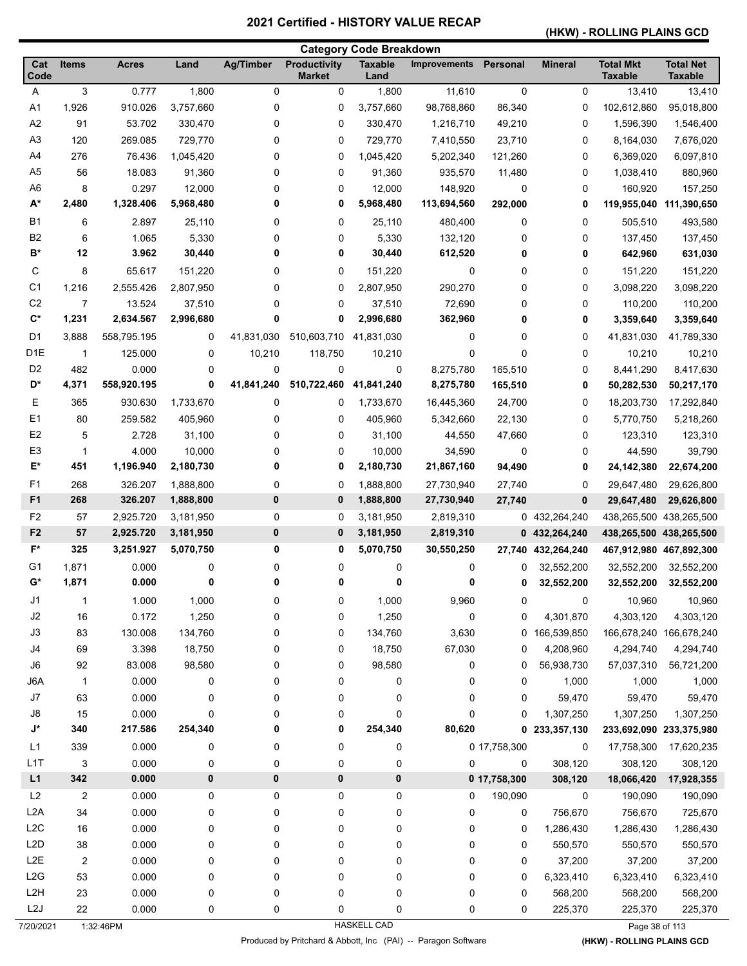# **(HKW) - ROLLING PLAINS GCD**

|                      |                           |                    |           |                  |                                      | <b>Category Code Breakdown</b> |                     |              |                |                                    |                                    |
|----------------------|---------------------------|--------------------|-----------|------------------|--------------------------------------|--------------------------------|---------------------|--------------|----------------|------------------------------------|------------------------------------|
| Cat<br>Code          | <b>Items</b>              | <b>Acres</b>       | Land      | <b>Ag/Timber</b> | <b>Productivity</b><br><b>Market</b> | <b>Taxable</b><br>Land         | <b>Improvements</b> | Personal     | <b>Mineral</b> | <b>Total Mkt</b><br><b>Taxable</b> | <b>Total Net</b><br><b>Taxable</b> |
| A                    | $\ensuremath{\mathsf{3}}$ | 0.777              | 1,800     | 0                | $\mathbf 0$                          | 1,800                          | 11,610              | $\pmb{0}$    | 0              | 13,410                             | 13,410                             |
| A <sub>1</sub>       | 1,926                     | 910.026            | 3,757,660 | 0                | 0                                    | 3,757,660                      | 98,768,860          | 86,340       | 0              | 102,612,860                        | 95,018,800                         |
| A2                   | 91                        | 53.702             | 330,470   | 0                | 0                                    | 330,470                        | 1,216,710           | 49,210       | 0              | 1,596,390                          | 1,546,400                          |
| A3                   | 120                       | 269.085            | 729,770   | 0                | 0                                    | 729,770                        | 7,410,550           | 23,710       | 0              | 8,164,030                          | 7,676,020                          |
| A4                   | 276                       | 76.436             | 1,045,420 | 0                | 0                                    | 1,045,420                      | 5,202,340           | 121,260      | 0              | 6,369,020                          | 6,097,810                          |
| A <sub>5</sub>       | 56                        | 18.083             | 91,360    | 0                | 0                                    | 91,360                         | 935,570             | 11,480       | 0              | 1,038,410                          | 880,960                            |
| A <sub>6</sub>       | 8                         | 0.297              | 12,000    | 0                | 0                                    | 12,000                         | 148,920             | 0            | 0              | 160,920                            | 157,250                            |
| $A^*$                | 2,480                     | 1,328.406          | 5,968,480 | 0                | 0                                    | 5,968,480                      | 113,694,560         | 292,000      | 0              | 119,955,040                        | 111,390,650                        |
| <b>B1</b>            | 6                         | 2.897              | 25,110    | 0                | 0                                    | 25,110                         | 480,400             | 0            | 0              | 505,510                            | 493,580                            |
| B <sub>2</sub>       | 6                         | 1.065              | 5,330     | 0                | 0                                    | 5,330                          | 132,120             | 0            | 0              | 137,450                            | 137,450                            |
| в*                   | 12                        | 3.962              | 30,440    | 0                | 0                                    | 30,440                         | 612,520             | 0            | 0              | 642,960                            | 631,030                            |
| С                    | 8                         | 65.617             | 151,220   | 0                | 0                                    | 151,220                        | 0                   | 0            | 0              | 151,220                            | 151,220                            |
| C1                   | 1,216                     | 2,555.426          | 2,807,950 | 0                | 0                                    | 2,807,950                      | 290,270             | 0            | 0              | 3,098,220                          | 3,098,220                          |
| C <sub>2</sub>       | $\overline{7}$            | 13.524             | 37,510    | 0                | 0                                    | 37,510                         | 72,690              | 0            | 0              | 110,200                            | 110,200                            |
| $\mathbf{C}^*$       | 1,231                     | 2,634.567          | 2,996,680 | 0                | 0                                    | 2,996,680                      | 362,960             | 0            | 0              | 3,359,640                          | 3,359,640                          |
| D1                   | 3,888                     | 558,795.195        | 0         | 41,831,030       | 510,603,710                          | 41,831,030                     | 0                   | 0            | 0              | 41,831,030                         | 41,789,330                         |
| D <sub>1E</sub>      | $\mathbf{1}$              | 125.000            | 0         | 10,210           | 118,750                              | 10,210                         | 0                   | $\mathbf 0$  | 0              | 10,210                             | 10,210                             |
| D <sub>2</sub>       | 482                       | 0.000              | 0         | 0                | 0                                    | 0                              | 8,275,780           | 165,510      | 0              | 8,441,290                          | 8,417,630                          |
| D*                   | 4,371                     | 558,920.195        | 0         | 41,841,240       | 510,722,460                          | 41,841,240                     | 8,275,780           | 165,510      | 0              | 50,282,530                         | 50,217,170                         |
| Е                    | 365                       | 930.630            | 1,733,670 | 0                | 0                                    | 1,733,670                      | 16,445,360          | 24,700       | 0              | 18,203,730                         | 17,292,840                         |
| E1                   | 80                        | 259.582            | 405,960   | 0                | 0                                    | 405,960                        | 5,342,660           | 22,130       | 0              | 5,770,750                          | 5,218,260                          |
| E <sub>2</sub>       | 5                         | 2.728              | 31,100    | 0                | 0                                    | 31,100                         | 44,550              | 47,660       | 0              | 123,310                            | 123,310                            |
| E <sub>3</sub>       | 1                         | 4.000              | 10,000    | 0                | 0                                    | 10,000                         | 34,590              | 0            | 0              | 44,590                             | 39,790                             |
| E*                   | 451                       | 1,196.940          | 2,180,730 | 0                | 0                                    | 2,180,730                      | 21,867,160          | 94,490       | 0              | 24,142,380                         |                                    |
|                      |                           |                    |           |                  |                                      |                                |                     |              |                |                                    | 22,674,200                         |
| F1<br>F <sub>1</sub> | 268<br>268                | 326.207<br>326.207 | 1,888,800 | 0<br>0           | 0<br>$\bf{0}$                        | 1,888,800                      | 27,730,940          | 27,740       | 0              | 29,647,480                         | 29,626,800                         |
|                      |                           |                    | 1,888,800 |                  |                                      | 1,888,800                      | 27,730,940          | 27,740       | 0              | 29,647,480                         | 29,626,800                         |
| F <sub>2</sub>       | 57                        | 2,925.720          | 3,181,950 | 0                | 0                                    | 3,181,950                      | 2,819,310           |              | 0 432,264,240  | 438,265,500                        | 438,265,500                        |
| F <sub>2</sub>       | 57                        | 2,925.720          | 3,181,950 | $\bf{0}$         | 0                                    | 3,181,950                      | 2,819,310           |              | 0 432,264,240  | 438,265,500                        | 438,265,500                        |
| F*                   | 325                       | 3,251.927          | 5,070,750 | 0                | 0                                    | 5,070,750                      | 30,550,250          | 27,740       | 432,264,240    |                                    | 467,912,980 467,892,300            |
| G1                   | 1,871                     | 0.000              | 0         | 0                | 0                                    | 0                              | 0                   | 0            | 32,552,200     | 32,552,200                         | 32,552,200                         |
| G*                   | 1,871                     | 0.000              | 0         | 0                | 0                                    | 0                              | 0                   | 0            | 32,552,200     | 32,552,200                         | 32,552,200                         |
| J1                   | 1                         | 1.000              | 1,000     | 0                | $\pmb{0}$                            | 1,000                          | 9,960               | 0            | 0              | 10,960                             | 10,960                             |
| $\sf J2$             | 16                        | 0.172              | 1,250     | 0                | 0                                    | 1,250                          | 0                   | 0            | 4,301,870      | 4,303,120                          | 4,303,120                          |
| J3                   | 83                        | 130.008            | 134,760   | 0                | 0                                    | 134,760                        | 3,630               | 0            | 166,539,850    |                                    | 166,678,240 166,678,240            |
| J4                   | 69                        | 3.398              | 18,750    | 0                | 0                                    | 18,750                         | 67,030              | 0            | 4,208,960      | 4,294,740                          | 4,294,740                          |
| J6                   | 92                        | 83.008             | 98,580    | 0                | 0                                    | 98,580                         | 0                   | 0            | 56,938,730     | 57,037,310                         | 56,721,200                         |
| J6A                  | $\mathbf{1}$              | 0.000              | 0         | 0                | 0                                    | $\pmb{0}$                      | 0                   | 0            | 1,000          | 1,000                              | 1,000                              |
| J7                   | 63                        | 0.000              | 0         | 0                | 0                                    | 0                              | 0                   | 0            | 59,470         | 59,470                             | 59,470                             |
| J8                   | 15                        | 0.000              | 0         | 0                | 0                                    | 0                              | 0                   | 0            | 1,307,250      | 1,307,250                          | 1,307,250                          |
| J*                   | 340                       | 217.586            | 254,340   | 0                | 0                                    | 254,340                        | 80,620              | 0            | 233,357,130    |                                    | 233,692,090 233,375,980            |
| L1                   | 339                       | 0.000              | 0         | 0                | 0                                    | 0                              |                     | 0 17,758,300 | 0              | 17,758,300                         | 17,620,235                         |
| L1T                  | 3                         | 0.000              | 0         | 0                | 0                                    | 0                              | 0                   | 0            | 308,120        | 308,120                            | 308,120                            |
| L1                   | 342                       | 0.000              | 0         | 0                | 0                                    | 0                              |                     | 0 17,758,300 | 308,120        | 18,066,420                         | 17,928,355                         |
| L2                   | 2                         | 0.000              | 0         | 0                | 0                                    | 0                              | 0                   | 190,090      | 0              | 190,090                            | 190,090                            |
| L <sub>2</sub> A     | 34                        | 0.000              | 0         | 0                | 0                                    | 0                              | 0                   | 0            | 756,670        | 756,670                            | 725,670                            |
| L2C                  | 16                        | 0.000              | 0         | 0                | 0                                    | 0                              | 0                   | 0            | 1,286,430      | 1,286,430                          | 1,286,430                          |
| L <sub>2</sub> D     | 38                        | 0.000              | 0         | 0                | 0                                    | 0                              | 0                   | 0            | 550,570        | 550,570                            | 550,570                            |
| L <sub>2</sub> E     | $\overline{c}$            | 0.000              | 0         | 0                | 0                                    | 0                              | 0                   | 0            | 37,200         | 37,200                             | 37,200                             |
| L2G                  | 53                        | 0.000              | 0         | 0                | 0                                    | 0                              | 0                   | 0            | 6,323,410      | 6,323,410                          | 6,323,410                          |
| L <sub>2</sub> H     | 23                        | 0.000              | 0         | 0                | 0                                    | 0                              | 0                   | 0            | 568,200        | 568,200                            | 568,200                            |
| L <sub>2</sub> J     | 22                        | 0.000              | 0         | 0                | 0                                    | 0                              | 0                   | 0            | 225,370        | 225,370                            | 225,370                            |
|                      |                           |                    |           |                  |                                      |                                |                     |              |                |                                    |                                    |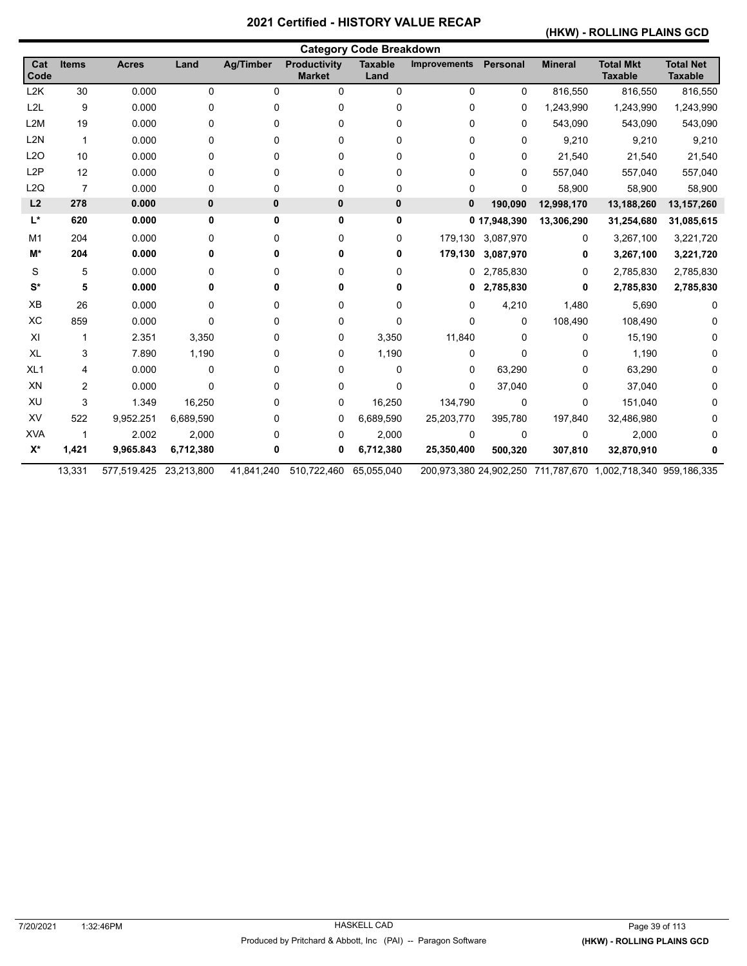## **(HKW) - ROLLING PLAINS GCD**

|                  |                |                        |           |                  |                                      | <b>Category Code Breakdown</b> |                     |                   |                |                                                              |                                    |
|------------------|----------------|------------------------|-----------|------------------|--------------------------------------|--------------------------------|---------------------|-------------------|----------------|--------------------------------------------------------------|------------------------------------|
| Cat<br>Code      | <b>Items</b>   | <b>Acres</b>           | Land      | <b>Ag/Timber</b> | <b>Productivity</b><br><b>Market</b> | <b>Taxable</b><br>Land         | <b>Improvements</b> | Personal          | <b>Mineral</b> | <b>Total Mkt</b><br><b>Taxable</b>                           | <b>Total Net</b><br><b>Taxable</b> |
| L <sub>2</sub> K | 30             | 0.000                  | 0         | 0                | 0                                    | $\mathbf 0$                    | 0                   | $\mathbf 0$       | 816,550        | 816,550                                                      | 816,550                            |
| L <sub>2</sub> L | 9              | 0.000                  | 0         | 0                | 0                                    | 0                              | 0                   | 0                 | 1,243,990      | 1,243,990                                                    | 1,243,990                          |
| L <sub>2</sub> M | 19             | 0.000                  | 0         | 0                | 0                                    | 0                              | 0                   | 0                 | 543,090        | 543,090                                                      | 543,090                            |
| L <sub>2N</sub>  | $\mathbf{1}$   | 0.000                  | 0         | 0                | 0                                    | 0                              | 0                   | $\mathbf{0}$      | 9,210          | 9,210                                                        | 9,210                              |
| L2O              | 10             | 0.000                  | 0         | 0                | 0                                    | 0                              | 0                   | 0                 | 21,540         | 21,540                                                       | 21,540                             |
| L <sub>2</sub> P | 12             | 0.000                  | 0         | 0                | 0                                    | 0                              | 0                   | $\Omega$          | 557,040        | 557,040                                                      | 557,040                            |
| L2Q              | $\overline{7}$ | 0.000                  | 0         | 0                | 0                                    | $\mathbf 0$                    | 0                   | 0                 | 58,900         | 58,900                                                       | 58,900                             |
| L2               | 278            | 0.000                  | 0         | 0                | 0                                    | 0                              | $\mathbf{0}$        | 190,090           | 12,998,170     | 13,188,260                                                   | 13,157,260                         |
| $L^*$            | 620            | 0.000                  | 0         | 0                | 0                                    | 0                              |                     | 0 17,948,390      | 13,306,290     | 31,254,680                                                   | 31,085,615                         |
| M1               | 204            | 0.000                  | 0         | 0                | 0                                    | 0                              |                     | 179,130 3,087,970 | 0              | 3,267,100                                                    | 3,221,720                          |
| M*               | 204            | 0.000                  | 0         | 0                | 0                                    | 0                              | 179,130             | 3,087,970         | 0              | 3,267,100                                                    | 3,221,720                          |
| S                | 5              | 0.000                  | 0         | 0                | 0                                    | 0                              |                     | 0 2,785,830       | 0              | 2,785,830                                                    | 2,785,830                          |
| $S^*$            | 5              | 0.000                  | 0         | 0                | 0                                    | 0                              | 0                   | 2,785,830         | 0              | 2,785,830                                                    | 2,785,830                          |
| XB               | 26             | 0.000                  | 0         | 0                | 0                                    | 0                              | 0                   | 4,210             | 1,480          | 5,690                                                        | 0                                  |
| XC               | 859            | 0.000                  | 0         | 0                | 0                                    | 0                              | 0                   | $\mathbf{0}$      | 108,490        | 108,490                                                      |                                    |
| XI               | $\mathbf 1$    | 2.351                  | 3,350     | 0                | 0                                    | 3,350                          | 11,840              | $\mathbf{0}$      | 0              | 15,190                                                       | 0                                  |
| XL               | 3              | 7.890                  | 1,190     | 0                | 0                                    | 1,190                          | 0                   | $\Omega$          | 0              | 1,190                                                        |                                    |
| XL <sub>1</sub>  | 4              | 0.000                  | 0         | 0                | 0                                    | 0                              | 0                   | 63,290            | 0              | 63,290                                                       |                                    |
| XN               | 2              | 0.000                  | $\Omega$  | 0                | 0                                    | 0                              | 0                   | 37,040            | 0              | 37,040                                                       |                                    |
| XU               | 3              | 1.349                  | 16,250    | 0                | 0                                    | 16,250                         | 134,790             | 0                 | 0              | 151,040                                                      |                                    |
| XV               | 522            | 9,952.251              | 6,689,590 | 0                | 0                                    | 6,689,590                      | 25,203,770          | 395,780           | 197,840        | 32,486,980                                                   |                                    |
| <b>XVA</b>       | 1              | 2.002                  | 2,000     | 0                | 0                                    | 2,000                          | 0                   | 0                 | 0              | 2,000                                                        |                                    |
| $X^*$            | 1,421          | 9,965.843              | 6,712,380 | 0                | 0                                    | 6,712,380                      | 25,350,400          | 500,320           | 307,810        | 32,870,910                                                   |                                    |
|                  | 13,331         | 577,519.425 23,213,800 |           | 41,841,240       | 510,722,460                          | 65,055,040                     |                     |                   |                | 200,973,380 24,902,250 711,787,670 1,002,718,340 959,186,335 |                                    |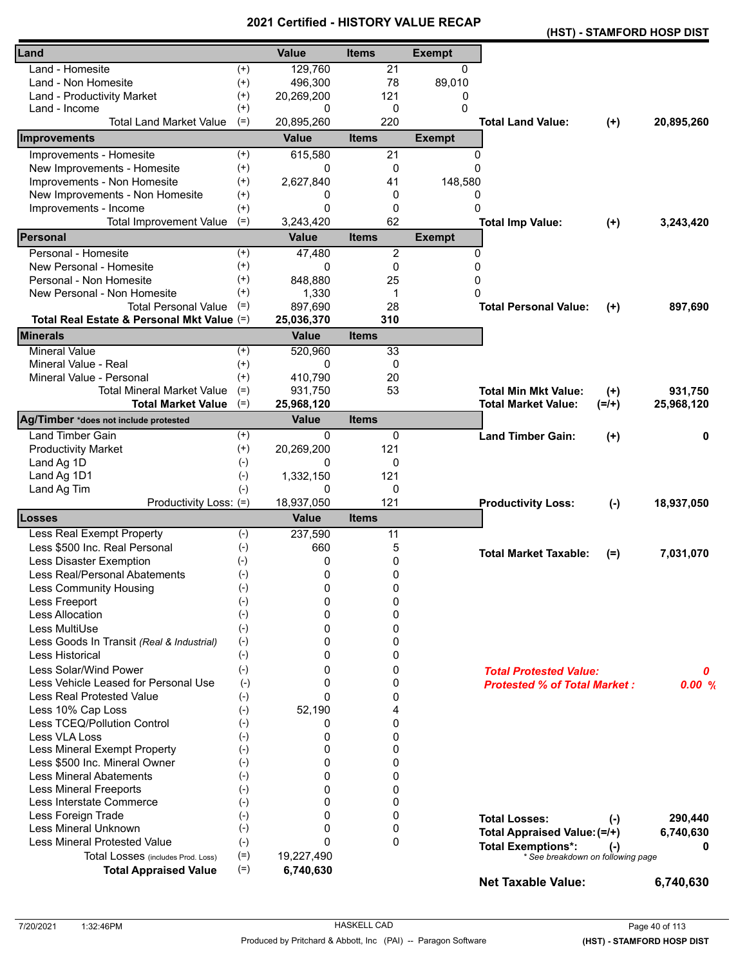|                                            |          |              | - טוו        |               |                                     |          | (HST) - STAMFORD HOSP DIST |
|--------------------------------------------|----------|--------------|--------------|---------------|-------------------------------------|----------|----------------------------|
| Land                                       |          | <b>Value</b> | <b>Items</b> | <b>Exempt</b> |                                     |          |                            |
| Land - Homesite                            | $^{(+)}$ | 129,760      | 21           | $\mathbf{0}$  |                                     |          |                            |
| Land - Non Homesite                        | $^{(+)}$ | 496,300      | 78           | 89,010        |                                     |          |                            |
| Land - Productivity Market                 | $^{(+)}$ | 20,269,200   | 121          | 0             |                                     |          |                            |
| Land - Income                              | $^{(+)}$ | 0            | 0            | 0             |                                     |          |                            |
| <b>Total Land Market Value</b>             | $(=)$    | 20,895,260   | 220          |               | <b>Total Land Value:</b>            | $(+)$    | 20,895,260                 |
| Improvements                               |          | <b>Value</b> | <b>Items</b> | <b>Exempt</b> |                                     |          |                            |
| Improvements - Homesite                    | $^{(+)}$ | 615,580      | 21           | 0             |                                     |          |                            |
| New Improvements - Homesite                | $^{(+)}$ | 0            | 0            | $\Omega$      |                                     |          |                            |
| Improvements - Non Homesite                | $^{(+)}$ | 2,627,840    | 41           | 148,580       |                                     |          |                            |
| New Improvements - Non Homesite            | $^{(+)}$ | 0            | 0            | 0             |                                     |          |                            |
| Improvements - Income                      | $^{(+)}$ | $\Omega$     | 0            | $\Omega$      |                                     |          |                            |
| <b>Total Improvement Value</b>             | $(=)$    | 3,243,420    | 62           |               | <b>Total Imp Value:</b>             | $(+)$    | 3,243,420                  |
| <b>IPersonal</b>                           |          | <b>Value</b> | <b>Items</b> | <b>Exempt</b> |                                     |          |                            |
| Personal - Homesite                        | $^{(+)}$ | 47,480       | 2            | 0             |                                     |          |                            |
| New Personal - Homesite                    | $^{(+)}$ | 0            | 0            | $\mathbf 0$   |                                     |          |                            |
| Personal - Non Homesite                    | $^{(+)}$ | 848,880      | 25           | 0             |                                     |          |                            |
| New Personal - Non Homesite                | $^{(+)}$ | 1,330        | $\mathbf 1$  | 0             |                                     |          |                            |
| <b>Total Personal Value</b>                | $(=)$    | 897,690      | 28           |               | <b>Total Personal Value:</b>        | $^{(+)}$ | 897,690                    |
| Total Real Estate & Personal Mkt Value (=) |          | 25,036,370   | 310          |               |                                     |          |                            |
| <b>Minerals</b>                            |          | <b>Value</b> | <b>Items</b> |               |                                     |          |                            |
| <b>Mineral Value</b>                       | $^{(+)}$ | 520,960      | 33           |               |                                     |          |                            |
| Mineral Value - Real                       | $^{(+)}$ | 0            | 0            |               |                                     |          |                            |
| Mineral Value - Personal                   | $^{(+)}$ | 410.790      | 20           |               |                                     |          |                            |
| <b>Total Mineral Market Value</b>          | $(=)$    | 931,750      | 53           |               | <b>Total Min Mkt Value:</b>         | $(+)$    | 931,750                    |
| <b>Total Market Value</b>                  | $(=)$    | 25,968,120   |              |               | <b>Total Market Value:</b>          | $(=/+)$  | 25,968,120                 |
| Ag/Timber *does not include protested      |          | <b>Value</b> | <b>Items</b> |               |                                     |          |                            |
| <b>Land Timber Gain</b>                    | $^{(+)}$ | 0            | 0            |               | <b>Land Timber Gain:</b>            | $(+)$    | 0                          |
| <b>Productivity Market</b>                 | $^{(+)}$ | 20,269,200   | 121          |               |                                     |          |                            |
| Land Ag 1D                                 | $(-)$    | 0            | 0            |               |                                     |          |                            |
| Land Ag 1D1                                | $(-)$    | 1,332,150    | 121          |               |                                     |          |                            |
| Land Ag Tim                                | $(-)$    | 0            | 0            |               |                                     |          |                            |
| Productivity Loss: (=)                     |          | 18,937,050   | 121          |               | <b>Productivity Loss:</b>           | $(-)$    | 18,937,050                 |
| Losses                                     |          | <b>Value</b> | <b>Items</b> |               |                                     |          |                            |
| Less Real Exempt Property                  | $(-)$    | 237,590      | 11           |               |                                     |          |                            |
| Less \$500 Inc. Real Personal              | $(-)$    | 660          | 5            |               | <b>Total Market Taxable:</b>        | $(=)$    | 7,031,070                  |
| Less Disaster Exemption                    | $(-)$    | 0            | 0            |               |                                     |          |                            |
| Less Real/Personal Abatements              | $(-)$    | 0            | 0            |               |                                     |          |                            |
| <b>Less Community Housing</b>              | $(-)$    | 0            | 0            |               |                                     |          |                            |
| Less Freeport                              | $(-)$    | 0            | 0            |               |                                     |          |                            |
| <b>Less Allocation</b>                     | $(-)$    | 0            | 0            |               |                                     |          |                            |
| Less MultiUse                              | $(-)$    | 0            | 0            |               |                                     |          |                            |
| Less Goods In Transit (Real & Industrial)  | $(-)$    | 0            | 0            |               |                                     |          |                            |
| Less Historical                            | $(-)$    | 0            | 0            |               |                                     |          |                            |
| Less Solar/Wind Power                      | $(-)$    | 0            | 0            |               | <b>Total Protested Value:</b>       |          | 0                          |
| Less Vehicle Leased for Personal Use       | $(-)$    | 0            | 0            |               | <b>Protested % of Total Market:</b> |          | 0.00%                      |
| <b>Less Real Protested Value</b>           | $(-)$    | $\Omega$     | 0            |               |                                     |          |                            |
| Less 10% Cap Loss                          | $(-)$    | 52,190       | 4            |               |                                     |          |                            |
| Less TCEQ/Pollution Control                | $(-)$    | 0            | 0            |               |                                     |          |                            |
| Less VLA Loss                              | $(-)$    | 0            | 0            |               |                                     |          |                            |
| Less Mineral Exempt Property               | $(-)$    | 0            | 0            |               |                                     |          |                            |
| Less \$500 Inc. Mineral Owner              | $(-)$    | 0            | 0            |               |                                     |          |                            |
| <b>Less Mineral Abatements</b>             | $(-)$    | $\Omega$     | 0            |               |                                     |          |                            |
| <b>Less Mineral Freeports</b>              | $(-)$    | 0            | 0            |               |                                     |          |                            |
| Less Interstate Commerce                   | $(-)$    | 0            | 0            |               |                                     |          |                            |
| Less Foreign Trade                         | $(-)$    | 0            | 0            |               | <b>Total Losses:</b>                | $(-)$    | 290,440                    |
| Less Mineral Unknown                       | $(-)$    | 0            | 0            |               | Total Appraised Value: (=/+)        |          | 6,740,630                  |
| <b>Less Mineral Protested Value</b>        | $(-)$    | $\Omega$     | $\mathbf{0}$ |               | <b>Total Exemptions*:</b>           | $(-)$    | o                          |
| Total Losses (includes Prod. Loss)         | $(=)$    | 19,227,490   |              |               | * See breakdown on following page   |          |                            |
| <b>Total Appraised Value</b>               | $(=)$    | 6,740,630    |              |               | <b>Net Taxable Value:</b>           |          | 6,740,630                  |
|                                            |          |              |              |               |                                     |          |                            |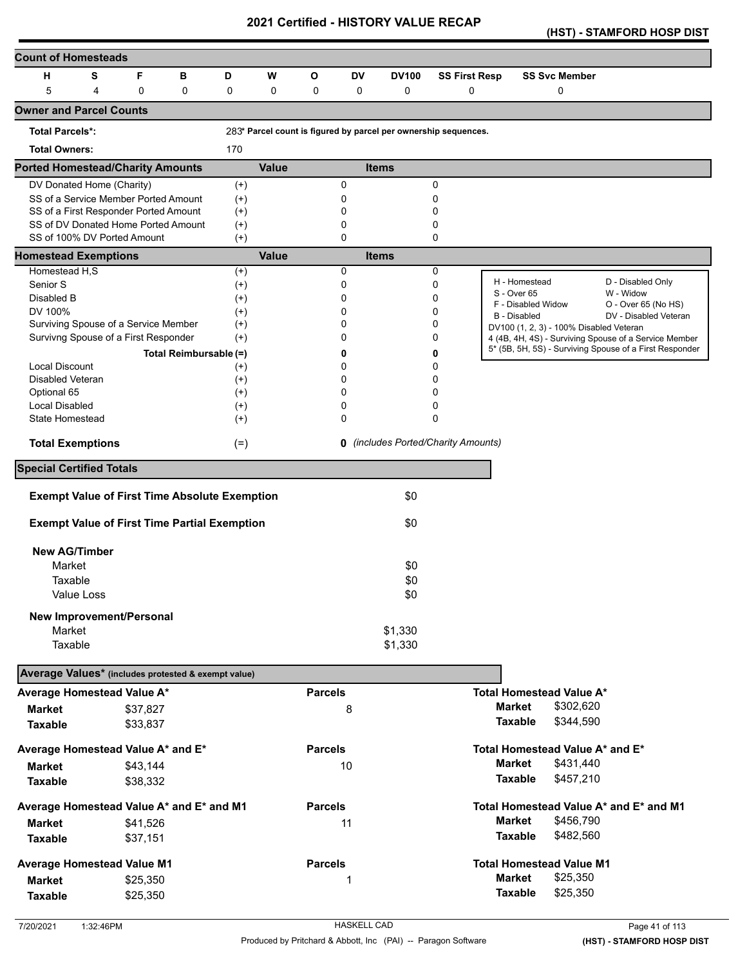**(HST) - STAMFORD HOSP DIST** 

| <b>Count of Homesteads</b>                                                    |                   |          |                        |                      |              |                |             |              |                                                                 |                     |                                         |                                                         |
|-------------------------------------------------------------------------------|-------------------|----------|------------------------|----------------------|--------------|----------------|-------------|--------------|-----------------------------------------------------------------|---------------------|-----------------------------------------|---------------------------------------------------------|
| н                                                                             | s                 | F        | в                      | D                    | W            | O              | <b>DV</b>   | <b>DV100</b> | <b>SS First Resp</b>                                            |                     | <b>SS Svc Member</b>                    |                                                         |
| 5                                                                             | 4                 | 0        | $\mathbf 0$            | 0                    | $\mathbf 0$  | 0              | $\mathbf 0$ | 0            | 0                                                               |                     | $\mathbf 0$                             |                                                         |
| <b>Owner and Parcel Counts</b>                                                |                   |          |                        |                      |              |                |             |              |                                                                 |                     |                                         |                                                         |
|                                                                               |                   |          |                        |                      |              |                |             |              |                                                                 |                     |                                         |                                                         |
| <b>Total Parcels*:</b>                                                        |                   |          |                        |                      |              |                |             |              | 283* Parcel count is figured by parcel per ownership sequences. |                     |                                         |                                                         |
| <b>Total Owners:</b>                                                          |                   |          |                        | 170                  |              |                |             |              |                                                                 |                     |                                         |                                                         |
| <b>Ported Homestead/Charity Amounts</b>                                       |                   |          |                        |                      | <b>Value</b> |                |             | <b>Items</b> |                                                                 |                     |                                         |                                                         |
| DV Donated Home (Charity)                                                     |                   |          |                        | $^{(+)}$             |              |                | 0           |              | 0                                                               |                     |                                         |                                                         |
| SS of a Service Member Ported Amount<br>SS of a First Responder Ported Amount |                   |          |                        | $(+)$                |              |                | 0<br>0      |              | 0<br>0                                                          |                     |                                         |                                                         |
| SS of DV Donated Home Ported Amount                                           |                   |          |                        | $^{(+)}$<br>$^{(+)}$ |              |                | 0           |              | 0                                                               |                     |                                         |                                                         |
| SS of 100% DV Ported Amount                                                   |                   |          |                        | $^{(+)}$             |              |                | 0           |              | 0                                                               |                     |                                         |                                                         |
| <b>Homestead Exemptions</b>                                                   |                   |          |                        |                      | <b>Value</b> |                |             | <b>Items</b> |                                                                 |                     |                                         |                                                         |
| Homestead H,S                                                                 |                   |          |                        | $^{(+)}$             |              |                | 0           |              | 0                                                               |                     |                                         |                                                         |
| Senior S                                                                      |                   |          |                        | $^{(+)}$             |              |                | 0           |              | 0                                                               | H - Homestead       |                                         | D - Disabled Only                                       |
| Disabled B                                                                    |                   |          |                        | $^{(+)}$             |              |                | 0           |              | 0                                                               | S - Over 65         | F - Disabled Widow                      | W - Widow<br>O - Over 65 (No HS)                        |
| DV 100%                                                                       |                   |          |                        | $^{(+)}$             |              |                | 0           |              | 0                                                               | <b>B</b> - Disabled |                                         | DV - Disabled Veteran                                   |
| Surviving Spouse of a Service Member                                          |                   |          |                        | $^{(+)}$             |              |                | 0           |              | 0                                                               |                     | DV100 (1, 2, 3) - 100% Disabled Veteran |                                                         |
| Survivng Spouse of a First Responder                                          |                   |          |                        | $(+)$                |              |                | 0           |              | 0                                                               |                     |                                         | 4 (4B, 4H, 4S) - Surviving Spouse of a Service Member   |
|                                                                               |                   |          | Total Reimbursable (=) |                      |              |                | 0           |              | 0                                                               |                     |                                         | 5* (5B, 5H, 5S) - Surviving Spouse of a First Responder |
| <b>Local Discount</b>                                                         |                   |          |                        | $^{(+)}$             |              |                | 0           |              | 0                                                               |                     |                                         |                                                         |
| Disabled Veteran                                                              |                   |          |                        | $^{(+)}$             |              |                | 0           |              | 0                                                               |                     |                                         |                                                         |
| Optional 65                                                                   |                   |          |                        | $^{(+)}$             |              |                | 0           |              | 0                                                               |                     |                                         |                                                         |
| <b>Local Disabled</b>                                                         |                   |          |                        | $^{(+)}$             |              |                | 0           |              | 0                                                               |                     |                                         |                                                         |
| State Homestead                                                               |                   |          |                        | $^{(+)}$             |              |                | 0           |              | 0                                                               |                     |                                         |                                                         |
| <b>Total Exemptions</b>                                                       |                   |          |                        | $(=)$                |              |                |             |              | <b>0</b> (includes Ported/Charity Amounts)                      |                     |                                         |                                                         |
| <b>Special Certified Totals</b>                                               |                   |          |                        |                      |              |                |             |              |                                                                 |                     |                                         |                                                         |
|                                                                               |                   |          |                        |                      |              |                |             |              |                                                                 |                     |                                         |                                                         |
| <b>Exempt Value of First Time Absolute Exemption</b>                          |                   |          |                        |                      |              |                |             | \$0          |                                                                 |                     |                                         |                                                         |
| <b>Exempt Value of First Time Partial Exemption</b>                           |                   |          |                        |                      |              |                |             | \$0          |                                                                 |                     |                                         |                                                         |
| <b>New AG/Timber</b>                                                          |                   |          |                        |                      |              |                |             |              |                                                                 |                     |                                         |                                                         |
| Market                                                                        |                   |          |                        |                      |              |                |             | \$0          |                                                                 |                     |                                         |                                                         |
| Taxable                                                                       |                   |          |                        |                      |              |                |             | \$0          |                                                                 |                     |                                         |                                                         |
|                                                                               | <b>Value Loss</b> |          |                        |                      |              |                |             | \$0          |                                                                 |                     |                                         |                                                         |
|                                                                               |                   |          |                        |                      |              |                |             |              |                                                                 |                     |                                         |                                                         |
| New Improvement/Personal                                                      |                   |          |                        |                      |              |                |             |              |                                                                 |                     |                                         |                                                         |
| Market                                                                        |                   |          |                        |                      |              |                |             | \$1,330      |                                                                 |                     |                                         |                                                         |
| Taxable                                                                       |                   |          |                        |                      |              |                |             | \$1,330      |                                                                 |                     |                                         |                                                         |
| Average Values* (includes protested & exempt value)                           |                   |          |                        |                      |              |                |             |              |                                                                 |                     |                                         |                                                         |
| Average Homestead Value A*                                                    |                   |          |                        |                      |              | <b>Parcels</b> |             |              |                                                                 |                     | <b>Total Homestead Value A*</b>         |                                                         |
| <b>Market</b>                                                                 |                   | \$37,827 |                        |                      |              |                | 8           |              |                                                                 | <b>Market</b>       | \$302,620                               |                                                         |
| <b>Taxable</b>                                                                |                   | \$33,837 |                        |                      |              |                |             |              |                                                                 | Taxable             | \$344,590                               |                                                         |
| Average Homestead Value A* and E*                                             |                   |          |                        |                      |              | <b>Parcels</b> |             |              |                                                                 |                     | Total Homestead Value A* and E*         |                                                         |
|                                                                               |                   | \$43,144 |                        |                      |              |                | 10          |              |                                                                 | <b>Market</b>       | \$431,440                               |                                                         |
| <b>Market</b>                                                                 |                   |          |                        |                      |              |                |             |              |                                                                 | Taxable             | \$457,210                               |                                                         |
| <b>Taxable</b>                                                                |                   | \$38,332 |                        |                      |              |                |             |              |                                                                 |                     |                                         |                                                         |
| Average Homestead Value A* and E* and M1                                      |                   |          |                        |                      |              | <b>Parcels</b> |             |              |                                                                 |                     |                                         | Total Homestead Value A* and E* and M1                  |
| <b>Market</b>                                                                 |                   | \$41,526 |                        |                      |              |                | 11          |              |                                                                 | <b>Market</b>       | \$456,790                               |                                                         |
| <b>Taxable</b>                                                                |                   | \$37,151 |                        |                      |              |                |             |              |                                                                 | <b>Taxable</b>      | \$482,560                               |                                                         |
| <b>Average Homestead Value M1</b>                                             |                   |          |                        |                      |              | <b>Parcels</b> |             |              |                                                                 |                     | <b>Total Homestead Value M1</b>         |                                                         |
| <b>Market</b>                                                                 |                   | \$25,350 |                        |                      |              |                | 1           |              |                                                                 | <b>Market</b>       | \$25,350                                |                                                         |
|                                                                               |                   |          |                        |                      |              |                |             |              |                                                                 | Taxable             | \$25,350                                |                                                         |
| <b>Taxable</b>                                                                |                   | \$25,350 |                        |                      |              |                |             |              |                                                                 |                     |                                         |                                                         |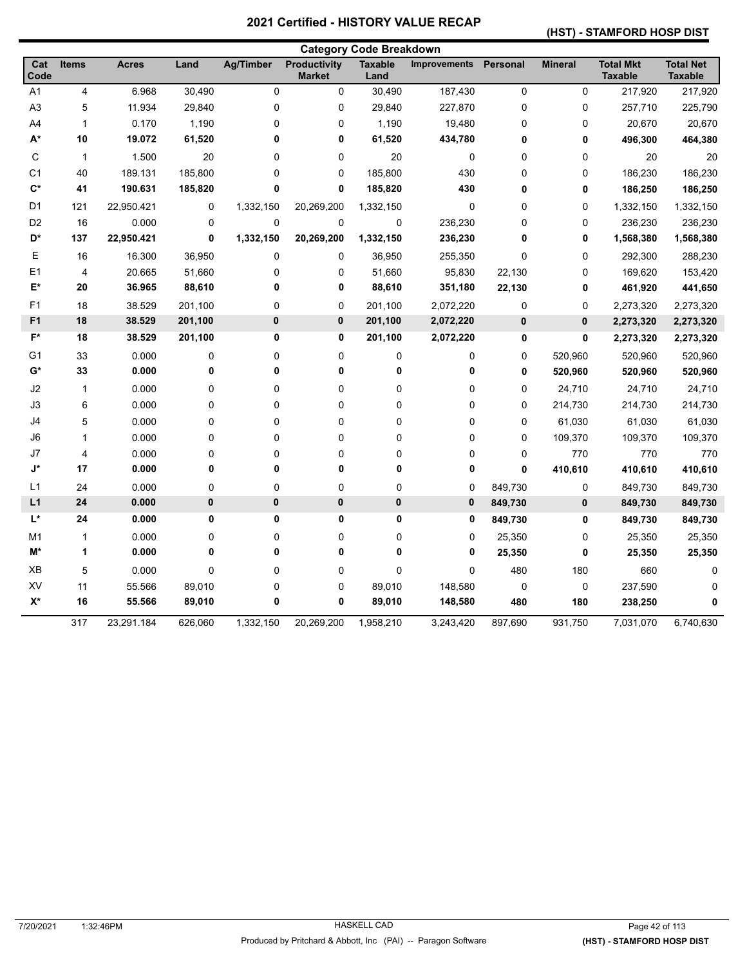### **(HST) - STAMFORD HOSP DIST**

|                |              |              |             |                  |                                      | <b>Category Code Breakdown</b> |                     |             |                |                                    |                                    |
|----------------|--------------|--------------|-------------|------------------|--------------------------------------|--------------------------------|---------------------|-------------|----------------|------------------------------------|------------------------------------|
| Cat<br>Code    | <b>Items</b> | <b>Acres</b> | Land        | <b>Ag/Timber</b> | <b>Productivity</b><br><b>Market</b> | <b>Taxable</b><br>Land         | <b>Improvements</b> | Personal    | <b>Mineral</b> | <b>Total Mkt</b><br><b>Taxable</b> | <b>Total Net</b><br><b>Taxable</b> |
| A1             | 4            | 6.968        | 30,490      | $\mathbf 0$      | $\pmb{0}$                            | 30,490                         | 187,430             | $\pmb{0}$   | $\mathsf 0$    | 217,920                            | 217,920                            |
| A <sub>3</sub> | 5            | 11.934       | 29,840      | 0                | $\pmb{0}$                            | 29,840                         | 227,870             | $\mathbf 0$ | 0              | 257,710                            | 225,790                            |
| A4             | $\mathbf{1}$ | 0.170        | 1,190       | 0                | 0                                    | 1,190                          | 19,480              | 0           | 0              | 20,670                             | 20,670                             |
| A*             | 10           | 19.072       | 61,520      | 0                | $\pmb{0}$                            | 61,520                         | 434,780             | 0           | 0              | 496,300                            | 464,380                            |
| C              | $\mathbf{1}$ | 1.500        | 20          | 0                | $\pmb{0}$                            | 20                             | 0                   | 0           | 0              | 20                                 | 20                                 |
| C <sub>1</sub> | 40           | 189.131      | 185,800     | 0                | 0                                    | 185,800                        | 430                 | 0           | 0              | 186,230                            | 186,230                            |
| $\mathbf{C}^*$ | 41           | 190.631      | 185,820     | 0                | 0                                    | 185,820                        | 430                 | 0           | 0              | 186,250                            | 186,250                            |
| D <sub>1</sub> | 121          | 22,950.421   | 0           | 1,332,150        | 20,269,200                           | 1,332,150                      | 0                   | 0           | 0              | 1,332,150                          | 1,332,150                          |
| D <sub>2</sub> | 16           | 0.000        | 0           | 0                | $\mathbf 0$                          | 0                              | 236,230             | 0           | 0              | 236,230                            | 236,230                            |
| D*             | 137          | 22,950.421   | $\mathbf 0$ | 1,332,150        | 20,269,200                           | 1,332,150                      | 236,230             | $\mathbf 0$ | 0              | 1,568,380                          | 1,568,380                          |
| Е              | 16           | 16.300       | 36,950      | 0                | 0                                    | 36,950                         | 255,350             | $\mathbf 0$ | 0              | 292,300                            | 288,230                            |
| E <sub>1</sub> | 4            | 20.665       | 51,660      | 0                | 0                                    | 51,660                         | 95,830              | 22,130      | 0              | 169,620                            | 153,420                            |
| E*             | 20           | 36.965       | 88,610      | 0                | 0                                    | 88,610                         | 351,180             | 22,130      | 0              | 461,920                            | 441,650                            |
| F <sub>1</sub> | 18           | 38.529       | 201,100     | 0                | 0                                    | 201,100                        | 2,072,220           | 0           | 0              | 2,273,320                          | 2,273,320                          |
| F <sub>1</sub> | 18           | 38.529       | 201,100     | 0                | 0                                    | 201,100                        | 2,072,220           | $\pmb{0}$   | 0              | 2,273,320                          | 2,273,320                          |
| $F^*$          | 18           | 38.529       | 201,100     | 0                | 0                                    | 201,100                        | 2,072,220           | $\mathbf 0$ | 0              | 2,273,320                          | 2,273,320                          |
| G1             | 33           | 0.000        | 0           | 0                | $\mathbf 0$                          | 0                              | 0                   | 0           | 520,960        | 520,960                            | 520,960                            |
| G*             | 33           | 0.000        | 0           | 0                | $\pmb{0}$                            | 0                              | 0                   | 0           | 520,960        | 520,960                            | 520,960                            |
| J2             | $\mathbf{1}$ | 0.000        | 0           | 0                | $\pmb{0}$                            | 0                              | 0                   | 0           | 24,710         | 24,710                             | 24,710                             |
| J3             | 6            | 0.000        | 0           | 0                | $\mathbf 0$                          | 0                              | 0                   | $\mathbf 0$ | 214,730        | 214,730                            | 214,730                            |
| J4             | 5            | 0.000        | 0           | 0                | $\pmb{0}$                            | 0                              | 0                   | 0           | 61,030         | 61,030                             | 61,030                             |
| J6             | $\mathbf{1}$ | 0.000        | 0           | 0                | 0                                    | 0                              | 0                   | $\mathbf 0$ | 109,370        | 109,370                            | 109,370                            |
| J7             | 4            | 0.000        | 0           | 0                | 0                                    | 0                              | 0                   | 0           | 770            | 770                                | 770                                |
| J*             | 17           | 0.000        | 0           | 0                | 0                                    | 0                              | 0                   | $\mathbf 0$ | 410,610        | 410,610                            | 410,610                            |
| L1             | 24           | 0.000        | 0           | 0                | $\boldsymbol{0}$                     | 0                              | 0                   | 849,730     | 0              | 849,730                            | 849,730                            |
| L1             | 24           | 0.000        | $\pmb{0}$   | $\pmb{0}$        | $\pmb{0}$                            | $\pmb{0}$                      | $\pmb{0}$           | 849,730     | $\pmb{0}$      | 849,730                            | 849,730                            |
| L*             | 24           | 0.000        | 0           | 0                | 0                                    | 0                              | 0                   | 849,730     | 0              | 849,730                            | 849,730                            |
| M <sub>1</sub> | $\mathbf{1}$ | 0.000        | 0           | 0                | $\boldsymbol{0}$                     | 0                              | 0                   | 25,350      | 0              | 25,350                             | 25,350                             |
| M*             | 1            | 0.000        | 0           | 0                | $\pmb{0}$                            | 0                              | 0                   | 25,350      | 0              | 25,350                             | 25,350                             |
| XB             | 5            | 0.000        | 0           | 0                | 0                                    | 0                              | 0                   | 480         | 180            | 660                                | 0                                  |
| XV             | 11           | 55.566       | 89,010      | 0                | $\boldsymbol{0}$                     | 89,010                         | 148,580             | 0           | 0              | 237,590                            | 0                                  |
| X*             | 16           | 55.566       | 89,010      | 0                | 0                                    | 89,010                         | 148,580             | 480         | 180            | 238,250                            | 0                                  |
|                | 317          | 23,291.184   | 626,060     | 1,332,150        | 20,269,200                           | 1,958,210                      | 3,243,420           | 897,690     | 931,750        | 7,031,070                          | 6,740,630                          |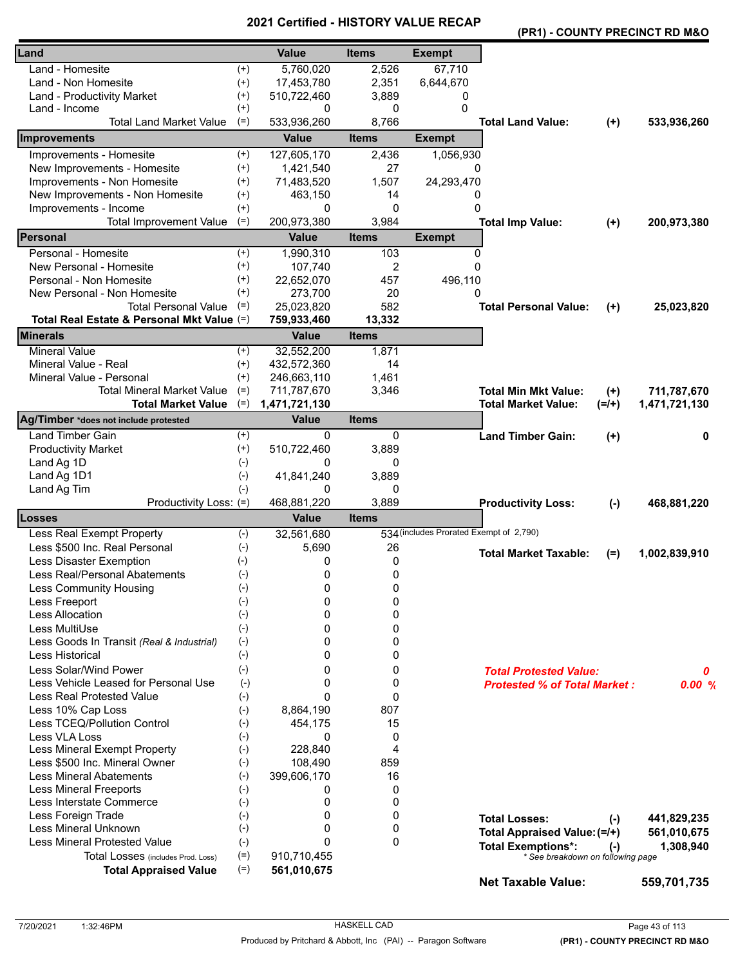|  |  | (PR1) - COUNTY PRECINCT RD M&O |  |
|--|--|--------------------------------|--|
|--|--|--------------------------------|--|

| Land                                       |          | <b>Value</b>  | <b>Items</b> | <b>Exempt</b>                           |                                     |         |               |
|--------------------------------------------|----------|---------------|--------------|-----------------------------------------|-------------------------------------|---------|---------------|
| Land - Homesite                            | $^{(+)}$ | 5,760,020     | 2,526        | 67,710                                  |                                     |         |               |
| Land - Non Homesite                        | $^{(+)}$ | 17,453,780    | 2,351        | 6,644,670                               |                                     |         |               |
| <b>Land - Productivity Market</b>          | $^{(+)}$ | 510,722,460   | 3,889        | 0                                       |                                     |         |               |
| Land - Income                              | $^{(+)}$ | 0             | 0            | 0                                       |                                     |         |               |
| <b>Total Land Market Value</b>             | $(=)$    | 533,936,260   | 8,766        |                                         | <b>Total Land Value:</b>            | $(+)$   | 533,936,260   |
| Improvements                               |          | <b>Value</b>  | <b>Items</b> | <b>Exempt</b>                           |                                     |         |               |
| Improvements - Homesite                    | $^{(+)}$ | 127,605,170   | 2,436        | 1,056,930                               |                                     |         |               |
| New Improvements - Homesite                | $^{(+)}$ | 1,421,540     | 27           | 0                                       |                                     |         |               |
| Improvements - Non Homesite                | $^{(+)}$ | 71,483,520    | 1,507        | 24,293,470                              |                                     |         |               |
| New Improvements - Non Homesite            | $^{(+)}$ | 463,150       | 14           | 0                                       |                                     |         |               |
| Improvements - Income                      | $^{(+)}$ | 0             | 0            | $\Omega$                                |                                     |         |               |
| <b>Total Improvement Value</b>             | $(=)$    | 200,973,380   | 3,984        |                                         | <b>Total Imp Value:</b>             | $(+)$   | 200,973,380   |
| Personal                                   |          | <b>Value</b>  | <b>Items</b> | <b>Exempt</b>                           |                                     |         |               |
| Personal - Homesite                        | $^{(+)}$ | 1,990,310     | 103          | 0                                       |                                     |         |               |
| New Personal - Homesite                    | $^{(+)}$ | 107,740       | 2            | $\Omega$                                |                                     |         |               |
| Personal - Non Homesite                    | $^{(+)}$ | 22,652,070    | 457          | 496,110                                 |                                     |         |               |
| New Personal - Non Homesite                | $^{(+)}$ | 273,700       | 20           | 0                                       |                                     |         |               |
| <b>Total Personal Value</b>                | $(=)$    | 25,023,820    | 582          |                                         | <b>Total Personal Value:</b>        | $(+)$   | 25,023,820    |
| Total Real Estate & Personal Mkt Value (=) |          | 759,933,460   | 13,332       |                                         |                                     |         |               |
| <b>Minerals</b>                            |          | <b>Value</b>  | <b>Items</b> |                                         |                                     |         |               |
| <b>Mineral Value</b>                       | $^{(+)}$ | 32,552,200    | 1,871        |                                         |                                     |         |               |
| Mineral Value - Real                       | $^{(+)}$ | 432,572,360   | 14           |                                         |                                     |         |               |
| Mineral Value - Personal                   | $(+)$    | 246,663,110   | 1,461        |                                         |                                     |         |               |
| <b>Total Mineral Market Value</b>          | $(=)$    | 711,787,670   | 3,346        |                                         | <b>Total Min Mkt Value:</b>         | $(+)$   | 711,787,670   |
| <b>Total Market Value</b>                  | $(=)$    | 1,471,721,130 |              |                                         | <b>Total Market Value:</b>          | $(=/+)$ | 1,471,721,130 |
| Ag/Timber *does not include protested      |          | <b>Value</b>  | <b>Items</b> |                                         |                                     |         |               |
| <b>Land Timber Gain</b>                    | $^{(+)}$ | $\Omega$      | 0            |                                         | <b>Land Timber Gain:</b>            | $(+)$   | 0             |
| <b>Productivity Market</b>                 | $^{(+)}$ | 510,722,460   | 3,889        |                                         |                                     |         |               |
| Land Ag 1D                                 | $(-)$    | 0             | 0            |                                         |                                     |         |               |
| Land Ag 1D1                                | $(-)$    | 41,841,240    | 3,889        |                                         |                                     |         |               |
| Land Ag Tim                                | $(-)$    | 0             | 0            |                                         |                                     |         |               |
| Productivity Loss: (=)                     |          | 468,881,220   | 3,889        |                                         | <b>Productivity Loss:</b>           | $(-)$   | 468,881,220   |
| <b>Losses</b>                              |          | Value         | <b>Items</b> |                                         |                                     |         |               |
| Less Real Exempt Property                  | $(-)$    | 32,561,680    |              | 534 (includes Prorated Exempt of 2,790) |                                     |         |               |
| Less \$500 Inc. Real Personal              | $(-)$    | 5,690         | 26           |                                         | <b>Total Market Taxable:</b>        | $(=)$   | 1,002,839,910 |
| Less Disaster Exemption                    | $(-)$    | 0             | 0            |                                         |                                     |         |               |
| Less Real/Personal Abatements              | $(-)$    | 0             | 0            |                                         |                                     |         |               |
| Less Community Housing                     | $(-)$    | 0             | 0            |                                         |                                     |         |               |
| Less Freeport                              | $(-)$    | 0             | 0            |                                         |                                     |         |               |
| Less Allocation                            | $(-)$    | 0             | 0            |                                         |                                     |         |               |
| Less MultiUse                              | $(-)$    | 0             | 0            |                                         |                                     |         |               |
| Less Goods In Transit (Real & Industrial)  | $(-)$    | 0             | 0            |                                         |                                     |         |               |
| Less Historical                            | $(-)$    | 0             | 0            |                                         |                                     |         |               |
| Less Solar/Wind Power                      | $(-)$    | 0             | 0            |                                         | <b>Total Protested Value:</b>       |         | 0             |
| Less Vehicle Leased for Personal Use       | $(-)$    | $\Omega$      | 0            |                                         | <b>Protested % of Total Market:</b> |         | 0.00%         |
| <b>Less Real Protested Value</b>           | $(-)$    | $\Omega$      | 0            |                                         |                                     |         |               |
| Less 10% Cap Loss                          | $(-)$    | 8,864,190     | 807          |                                         |                                     |         |               |
| Less TCEQ/Pollution Control                | $(-)$    | 454,175       | 15           |                                         |                                     |         |               |
| Less VLA Loss                              | $(-)$    | 0             | 0            |                                         |                                     |         |               |
| Less Mineral Exempt Property               | $(-)$    | 228,840       | 4            |                                         |                                     |         |               |
| Less \$500 Inc. Mineral Owner              | $(-)$    | 108,490       | 859          |                                         |                                     |         |               |
| <b>Less Mineral Abatements</b>             | $(-)$    | 399,606,170   | 16           |                                         |                                     |         |               |
| <b>Less Mineral Freeports</b>              | $(-)$    | 0             | 0            |                                         |                                     |         |               |
| Less Interstate Commerce                   | $(-)$    | 0             | 0            |                                         |                                     |         |               |
| Less Foreign Trade                         | $(-)$    | 0             | 0            |                                         | <b>Total Losses:</b>                | $(-)$   | 441,829,235   |
| Less Mineral Unknown                       | $(-)$    | 0             | 0            |                                         | Total Appraised Value: (=/+)        |         | 561,010,675   |
| Less Mineral Protested Value               | $(-)$    | $\Omega$      | 0            |                                         | <b>Total Exemptions*:</b>           | $(-)$   | 1,308,940     |
| Total Losses (includes Prod. Loss)         | $(=)$    | 910,710,455   |              |                                         | * See breakdown on following page   |         |               |
| <b>Total Appraised Value</b>               | $(=)$    | 561,010,675   |              |                                         | <b>Net Taxable Value:</b>           |         | 559,701,735   |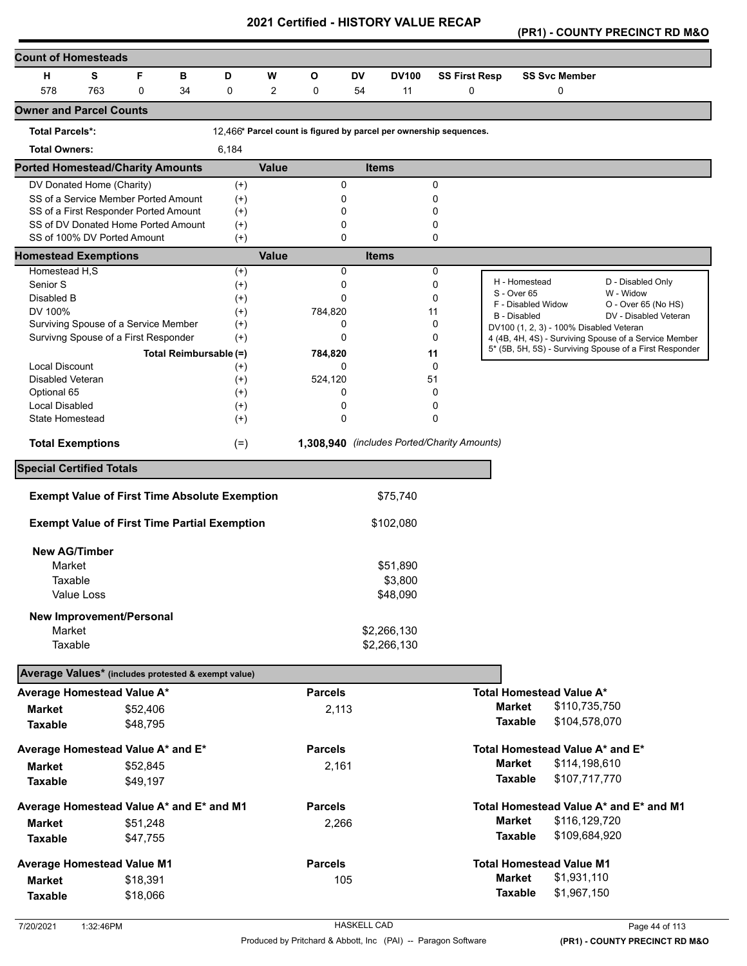**(PR1) - COUNTY PRECINCT RD M&O** 

| <b>Count of Homesteads</b>                          |            |                                                      |                        |                      |                |                                                                    |              |              |        |                      |                                           |                                                         |
|-----------------------------------------------------|------------|------------------------------------------------------|------------------------|----------------------|----------------|--------------------------------------------------------------------|--------------|--------------|--------|----------------------|-------------------------------------------|---------------------------------------------------------|
| н                                                   | S          | F                                                    | в                      | D                    | W              | O                                                                  | <b>DV</b>    | <b>DV100</b> |        | <b>SS First Resp</b> | <b>SS Svc Member</b>                      |                                                         |
| 578                                                 | 763        | $\Omega$                                             | 34                     | 0                    | $\overline{2}$ | 0                                                                  | 54           | 11           |        | 0                    | 0                                         |                                                         |
| <b>Owner and Parcel Counts</b>                      |            |                                                      |                        |                      |                |                                                                    |              |              |        |                      |                                           |                                                         |
| <b>Total Parcels*:</b>                              |            |                                                      |                        |                      |                | 12,466* Parcel count is figured by parcel per ownership sequences. |              |              |        |                      |                                           |                                                         |
| <b>Total Owners:</b>                                |            |                                                      |                        | 6,184                |                |                                                                    |              |              |        |                      |                                           |                                                         |
| <b>Ported Homestead/Charity Amounts</b>             |            |                                                      |                        |                      | <b>Value</b>   |                                                                    | <b>Items</b> |              |        |                      |                                           |                                                         |
| DV Donated Home (Charity)                           |            |                                                      |                        | $(+)$                |                | 0                                                                  |              |              | 0      |                      |                                           |                                                         |
|                                                     |            | SS of a Service Member Ported Amount                 |                        | $(+)$                |                | 0                                                                  |              |              | 0      |                      |                                           |                                                         |
|                                                     |            | SS of a First Responder Ported Amount                |                        | $^{(+)}$             |                | 0                                                                  |              |              | 0      |                      |                                           |                                                         |
| SS of 100% DV Ported Amount                         |            | SS of DV Donated Home Ported Amount                  |                        | $^{(+)}$<br>$^{(+)}$ |                | 0<br>0                                                             |              |              | 0<br>0 |                      |                                           |                                                         |
| <b>Homestead Exemptions</b>                         |            |                                                      |                        |                      | <b>Value</b>   |                                                                    | <b>Items</b> |              |        |                      |                                           |                                                         |
| Homestead H,S                                       |            |                                                      |                        | $^{(+)}$             |                | 0                                                                  |              |              | 0      |                      |                                           |                                                         |
| Senior S                                            |            |                                                      |                        | $^{(+)}$             |                | 0                                                                  |              |              | 0      |                      | H - Homestead                             | D - Disabled Only                                       |
| Disabled B                                          |            |                                                      |                        | $^{(+)}$             |                | 0                                                                  |              |              | 0      |                      | S - Over 65                               | W - Widow                                               |
| DV 100%                                             |            |                                                      |                        | $(+)$                |                | 784,820                                                            |              |              | 11     |                      | F - Disabled Widow<br><b>B</b> - Disabled | O - Over 65 (No HS)<br>DV - Disabled Veteran            |
|                                                     |            | Surviving Spouse of a Service Member                 |                        | $^{(+)}$             |                | 0                                                                  |              |              | 0      |                      | DV100 (1, 2, 3) - 100% Disabled Veteran   |                                                         |
|                                                     |            | Survivng Spouse of a First Responder                 |                        | $^{(+)}$             |                | 0                                                                  |              |              | 0      |                      |                                           | 4 (4B, 4H, 4S) - Surviving Spouse of a Service Member   |
|                                                     |            |                                                      | Total Reimbursable (=) |                      |                | 784,820                                                            |              |              | 11     |                      |                                           | 5* (5B, 5H, 5S) - Surviving Spouse of a First Responder |
| <b>Local Discount</b>                               |            |                                                      |                        | $^{(+)}$             |                | 0                                                                  |              |              | 0      |                      |                                           |                                                         |
| <b>Disabled Veteran</b>                             |            |                                                      |                        | $^{(+)}$             |                | 524,120                                                            |              |              | 51     |                      |                                           |                                                         |
| Optional 65                                         |            |                                                      |                        | $^{(+)}$             |                | 0                                                                  |              |              | 0      |                      |                                           |                                                         |
| Local Disabled                                      |            |                                                      |                        | $^{(+)}$             |                | 0                                                                  |              |              | 0      |                      |                                           |                                                         |
| State Homestead                                     |            |                                                      |                        | $^{(+)}$             |                | 0                                                                  |              |              | 0      |                      |                                           |                                                         |
| <b>Total Exemptions</b>                             |            |                                                      |                        | $(=)$                |                | 1,308,940 (includes Ported/Charity Amounts)                        |              |              |        |                      |                                           |                                                         |
| <b>Special Certified Totals</b>                     |            |                                                      |                        |                      |                |                                                                    |              |              |        |                      |                                           |                                                         |
|                                                     |            | <b>Exempt Value of First Time Absolute Exemption</b> |                        |                      |                |                                                                    |              | \$75,740     |        |                      |                                           |                                                         |
|                                                     |            |                                                      |                        |                      |                |                                                                    |              |              |        |                      |                                           |                                                         |
|                                                     |            | <b>Exempt Value of First Time Partial Exemption</b>  |                        |                      |                |                                                                    |              | \$102,080    |        |                      |                                           |                                                         |
| <b>New AG/Timber</b>                                |            |                                                      |                        |                      |                |                                                                    |              |              |        |                      |                                           |                                                         |
| Market                                              |            |                                                      |                        |                      |                |                                                                    |              | \$51,890     |        |                      |                                           |                                                         |
| Taxable                                             |            |                                                      |                        |                      |                |                                                                    |              | \$3,800      |        |                      |                                           |                                                         |
|                                                     | Value Loss |                                                      |                        |                      |                |                                                                    |              | \$48,090     |        |                      |                                           |                                                         |
|                                                     |            | New Improvement/Personal                             |                        |                      |                |                                                                    |              |              |        |                      |                                           |                                                         |
| Market                                              |            |                                                      |                        |                      |                |                                                                    |              | \$2,266,130  |        |                      |                                           |                                                         |
| Taxable                                             |            |                                                      |                        |                      |                |                                                                    |              | \$2,266,130  |        |                      |                                           |                                                         |
|                                                     |            |                                                      |                        |                      |                |                                                                    |              |              |        |                      |                                           |                                                         |
| Average Values* (includes protested & exempt value) |            |                                                      |                        |                      |                |                                                                    |              |              |        |                      |                                           |                                                         |
| Average Homestead Value A*                          |            |                                                      |                        |                      |                | <b>Parcels</b>                                                     |              |              |        |                      | <b>Total Homestead Value A*</b>           |                                                         |
| <b>Market</b>                                       |            | \$52,406                                             |                        |                      |                | 2,113                                                              |              |              |        |                      | <b>Market</b><br>\$110,735,750            |                                                         |
| <b>Taxable</b>                                      |            | \$48,795                                             |                        |                      |                |                                                                    |              |              |        |                      | <b>Taxable</b><br>\$104,578,070           |                                                         |
| Average Homestead Value A* and E*                   |            |                                                      |                        |                      |                | <b>Parcels</b>                                                     |              |              |        |                      | Total Homestead Value A* and E*           |                                                         |
| <b>Market</b>                                       |            | \$52,845                                             |                        |                      |                | 2,161                                                              |              |              |        |                      | <b>Market</b><br>\$114,198,610            |                                                         |
| <b>Taxable</b>                                      |            | \$49,197                                             |                        |                      |                |                                                                    |              |              |        |                      | <b>Taxable</b><br>\$107,717,770           |                                                         |
|                                                     |            |                                                      |                        |                      |                |                                                                    |              |              |        |                      |                                           |                                                         |
| Average Homestead Value A* and E* and M1            |            |                                                      |                        |                      |                | <b>Parcels</b>                                                     |              |              |        |                      |                                           | Total Homestead Value A* and E* and M1                  |
| Market                                              |            | \$51,248                                             |                        |                      |                | 2,266                                                              |              |              |        |                      | <b>Market</b><br>\$116,129,720            |                                                         |
| <b>Taxable</b>                                      |            | \$47,755                                             |                        |                      |                |                                                                    |              |              |        |                      | <b>Taxable</b><br>\$109,684,920           |                                                         |
| <b>Average Homestead Value M1</b>                   |            |                                                      |                        |                      |                | <b>Parcels</b>                                                     |              |              |        |                      | <b>Total Homestead Value M1</b>           |                                                         |
| <b>Market</b>                                       |            | \$18,391                                             |                        |                      |                | 105                                                                |              |              |        |                      | <b>Market</b><br>\$1,931,110              |                                                         |
| <b>Taxable</b>                                      |            | \$18,066                                             |                        |                      |                |                                                                    |              |              |        |                      | \$1,967,150<br><b>Taxable</b>             |                                                         |
|                                                     |            |                                                      |                        |                      |                |                                                                    |              |              |        |                      |                                           |                                                         |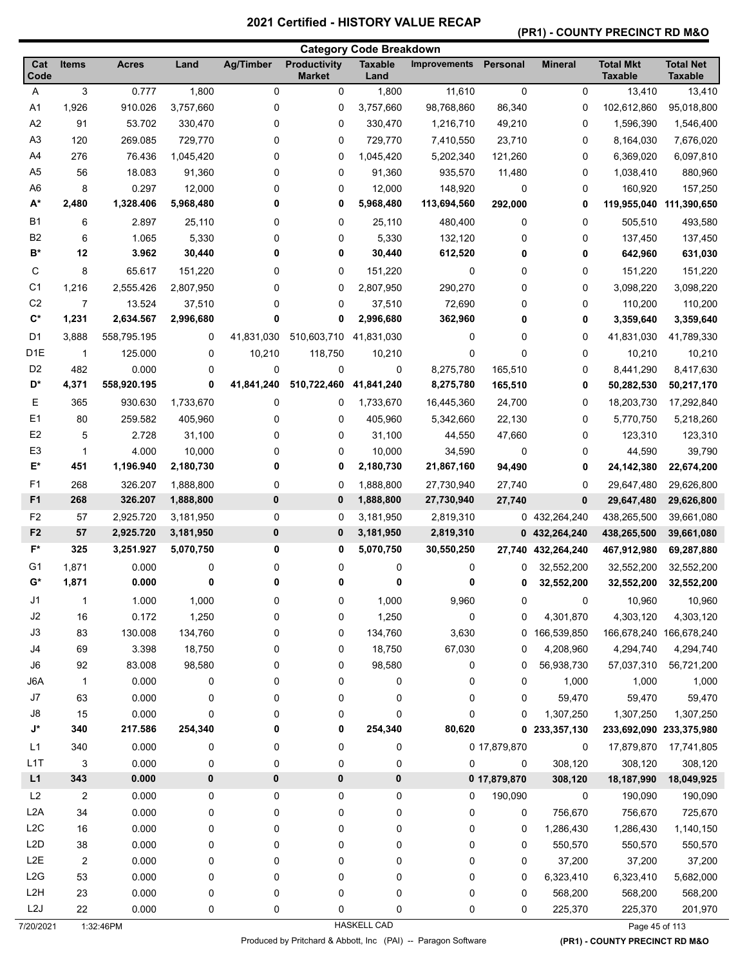# **(PR1) - COUNTY PRECINCT RD M&O**

|                          |                |                  |              |                  |                                      | <b>Category Code Breakdown</b> |                     |              |                |                                    |                                    |
|--------------------------|----------------|------------------|--------------|------------------|--------------------------------------|--------------------------------|---------------------|--------------|----------------|------------------------------------|------------------------------------|
| Cat<br>Code              | <b>Items</b>   | <b>Acres</b>     | Land         | <b>Ag/Timber</b> | <b>Productivity</b><br><b>Market</b> | <b>Taxable</b><br>Land         | <b>Improvements</b> | Personal     | <b>Mineral</b> | <b>Total Mkt</b><br><b>Taxable</b> | <b>Total Net</b><br><b>Taxable</b> |
| Α                        | 3              | 0.777            | 1,800        | 0                | 0                                    | 1,800                          | 11,610              | 0            | 0              | 13,410                             | 13,410                             |
| A1                       | 1,926          | 910.026          | 3,757,660    | 0                | 0                                    | 3,757,660                      | 98,768,860          | 86,340       | 0              | 102,612,860                        | 95,018,800                         |
| A2                       | 91             | 53.702           | 330,470      | 0                | 0                                    | 330,470                        | 1,216,710           | 49,210       | 0              | 1,596,390                          | 1,546,400                          |
| A <sub>3</sub>           | 120            | 269.085          | 729,770      | 0                | 0                                    | 729,770                        | 7,410,550           | 23,710       | 0              | 8,164,030                          | 7,676,020                          |
| A4                       | 276            | 76.436           | 1,045,420    | 0                | 0                                    | 1,045,420                      | 5,202,340           | 121,260      | 0              | 6,369,020                          | 6,097,810                          |
| A <sub>5</sub>           | 56             | 18.083           | 91,360       | 0                | 0                                    | 91,360                         | 935,570             | 11,480       | 0              | 1,038,410                          | 880,960                            |
| A <sub>6</sub>           | 8              | 0.297            | 12,000       | 0                | 0                                    | 12,000                         | 148,920             | $\mathbf 0$  | 0              | 160,920                            | 157,250                            |
| A*                       | 2,480          | 1,328.406        | 5,968,480    | 0                | 0                                    | 5,968,480                      | 113,694,560         | 292,000      | 0              | 119,955,040                        | 111,390,650                        |
| <b>B1</b>                | 6              | 2.897            | 25,110       | 0                | 0                                    | 25,110                         | 480,400             | 0            | 0              | 505,510                            | 493,580                            |
| B <sub>2</sub>           | 6              | 1.065            | 5,330        | 0                | 0                                    | 5,330                          | 132,120             | 0            | 0              | 137,450                            | 137,450                            |
| $B^*$                    | 12             | 3.962            | 30,440       | 0                | 0                                    | 30,440                         | 612,520             | 0            | 0              | 642,960                            | 631,030                            |
| С                        | 8              | 65.617           | 151,220      | 0                | 0                                    | 151,220                        | 0                   | 0            | 0              | 151,220                            | 151,220                            |
| C <sub>1</sub>           | 1,216          | 2,555.426        | 2,807,950    | 0                | 0                                    | 2,807,950                      | 290,270             | 0            | 0              | 3,098,220                          | 3,098,220                          |
| C <sub>2</sub>           | 7              | 13.524           | 37,510       | 0                | 0                                    | 37,510                         | 72,690              | 0            | 0              | 110,200                            | 110,200                            |
| $\mathbf{C}^*$           | 1,231          | 2,634.567        | 2,996,680    | 0                | 0                                    | 2,996,680                      | 362,960             | 0            | 0              | 3,359,640                          | 3,359,640                          |
| D <sub>1</sub>           | 3,888          | 558,795.195      | 0            | 41,831,030       | 510,603,710                          | 41,831,030                     | 0                   | 0            | 0              | 41,831,030                         | 41,789,330                         |
| D <sub>1</sub> E         | 1              | 125.000          | 0            | 10,210           | 118,750                              | 10,210                         | 0                   | $\mathbf 0$  | 0              | 10,210                             | 10,210                             |
| D <sub>2</sub>           | 482            | 0.000            | 0            | 0                | 0                                    | 0                              | 8,275,780           | 165,510      | 0              | 8,441,290                          | 8,417,630                          |
| D*                       | 4,371          | 558,920.195      | 0            | 41,841,240       | 510,722,460                          | 41,841,240                     | 8,275,780           | 165,510      | 0              | 50,282,530                         | 50,217,170                         |
| Е                        | 365            | 930.630          | 1,733,670    | 0                | 0                                    | 1,733,670                      | 16,445,360          | 24,700       | 0              | 18,203,730                         | 17,292,840                         |
| E <sub>1</sub>           | 80             | 259.582          | 405,960      | 0                | 0                                    | 405,960                        | 5,342,660           | 22,130       | 0              | 5,770,750                          | 5,218,260                          |
| E <sub>2</sub>           | 5              | 2.728            | 31,100       | 0                | 0                                    | 31,100                         | 44,550              | 47,660       | 0              | 123,310                            | 123,310                            |
| E <sub>3</sub>           | -1             | 4.000            | 10,000       | 0                | 0                                    | 10,000                         | 34,590              | 0            | 0              | 44,590                             | 39,790                             |
| E*                       | 451            | 1,196.940        | 2,180,730    | 0                | 0                                    | 2,180,730                      | 21,867,160          | 94,490       | 0              | 24,142,380                         | 22,674,200                         |
| F <sub>1</sub>           | 268            | 326.207          | 1,888,800    | 0                | 0                                    | 1,888,800                      | 27,730,940          | 27,740       | 0              | 29,647,480                         | 29,626,800                         |
| F <sub>1</sub>           | 268            | 326.207          | 1,888,800    | $\bf{0}$         | 0                                    | 1,888,800                      | 27,730,940          | 27,740       | 0              | 29,647,480                         | 29,626,800                         |
| F <sub>2</sub>           | 57             | 2,925.720        | 3,181,950    | 0                | 0                                    | 3,181,950                      | 2,819,310           |              | 0 432,264,240  | 438,265,500                        | 39,661,080                         |
| F <sub>2</sub>           | 57             | 2,925.720        | 3,181,950    | $\bf{0}$         | 0                                    | 3,181,950                      | 2,819,310           |              | 0 432,264,240  | 438,265,500                        | 39,661,080                         |
| $F^*$                    | 325            | 3,251.927        | 5,070,750    | 0                | 0                                    | 5,070,750                      | 30,550,250          | 27,740       | 432,264,240    | 467,912,980                        | 69,287,880                         |
| G1                       | 1,871          | 0.000            | 0            | 0                | 0                                    | 0                              | 0                   | 0            | 32,552,200     | 32,552,200                         | 32,552,200                         |
| $G^*$                    | 1,871          | 0.000            | 0            | 0                | 0                                    | 0                              | 0                   | 0            |                |                                    |                                    |
|                          |                |                  |              |                  |                                      |                                |                     |              | 32,552,200     | 32,552,200                         | 32,552,200                         |
| J1                       | $\mathbf 1$    | 1.000            | 1,000        | 0                | 0                                    | 1,000                          | 9,960               | 0            | 0              | 10,960                             | 10,960                             |
| J2                       | 16             | 0.172            | 1,250        | 0                | 0                                    | 1,250                          | 0                   | 0            | 4,301,870      | 4,303,120                          | 4,303,120                          |
| J3                       | 83             | 130.008          | 134,760      | 0                | 0                                    | 134,760                        | 3,630               |              | 0 166,539,850  | 166,678,240 166,678,240            |                                    |
| J4<br>J6                 | 69             | 3.398            | 18,750       | 0                | 0                                    | 18,750                         | 67,030              | 0            | 4,208,960      | 4,294,740                          | 4,294,740                          |
|                          | 92             | 83.008           | 98,580       | 0                | 0                                    | 98,580                         | 0                   | 0            | 56,938,730     | 57,037,310                         | 56,721,200                         |
| J6A<br>$\sf J7$          | $\mathbf{1}$   | 0.000            | 0            | 0                | 0                                    | 0                              | 0                   | 0            | 1,000          | 1,000                              | 1,000                              |
|                          | 63             | 0.000            | 0            | 0                | 0                                    | 0                              | 0                   | 0            | 59,470         | 59,470                             | 59,470                             |
| J8<br>$\mathsf{J}^\star$ | 15<br>340      | 0.000<br>217.586 | 0<br>254,340 | 0<br>0           | 0<br>0                               | 0<br>254,340                   | 0<br>80,620         | 0<br>0       | 1,307,250      | 1,307,250                          | 1,307,250                          |
|                          |                |                  |              |                  |                                      |                                |                     |              | 233,357,130    | 233,692,090 233,375,980            |                                    |
| L1                       | 340            | 0.000            | 0            | 0                | 0                                    | 0                              |                     | 0 17,879,870 | 0              | 17,879,870                         | 17,741,805                         |
| L1T                      | 3              | 0.000            | 0            | 0                | 0                                    | 0                              | 0                   | $\mathbf 0$  | 308,120        | 308,120                            | 308,120                            |
| L1                       | 343            | 0.000            | $\pmb{0}$    | 0                | 0                                    | 0                              |                     | 0 17,879,870 | 308,120        | 18,187,990                         | 18,049,925                         |
| L2                       | 2              | 0.000            | 0            | 0                | 0                                    | 0                              | 0                   | 190,090      | 0              | 190,090                            | 190,090                            |
| L <sub>2</sub> A         | 34             | 0.000            | 0            | 0                | 0                                    | 0                              | 0                   | 0            | 756,670        | 756,670                            | 725,670                            |
| L2C                      | $16\,$         | 0.000            | 0            | 0                | 0                                    | 0                              | 0                   | 0            | 1,286,430      | 1,286,430                          | 1,140,150                          |
| L <sub>2</sub> D         | 38             | 0.000            | 0            | 0                | 0                                    | 0                              | 0                   | $\mathbf 0$  | 550,570        | 550,570                            | 550,570                            |
| L <sub>2</sub> E         | $\overline{2}$ | 0.000            | 0            | 0                | 0                                    | 0                              | 0                   | 0            | 37,200         | 37,200                             | 37,200                             |
| L2G                      | 53             | 0.000            | 0            | 0                | 0                                    | 0                              | 0                   | $\mathbf 0$  | 6,323,410      | 6,323,410                          | 5,682,000                          |
| L <sub>2</sub> H         | 23             | 0.000            | 0            | 0                | $\pmb{0}$                            | 0                              | 0                   | $\mathbf 0$  | 568,200        | 568,200                            | 568,200                            |
| L <sub>2</sub> J         | 22             | 0.000            | 0            | 0                | 0                                    | 0                              | 0                   | 0            | 225,370        | 225,370                            | 201,970                            |
| 7/20/2021                |                | 1:32:46PM        |              |                  |                                      | <b>HASKELL CAD</b>             |                     |              |                | Page 45 of 113                     |                                    |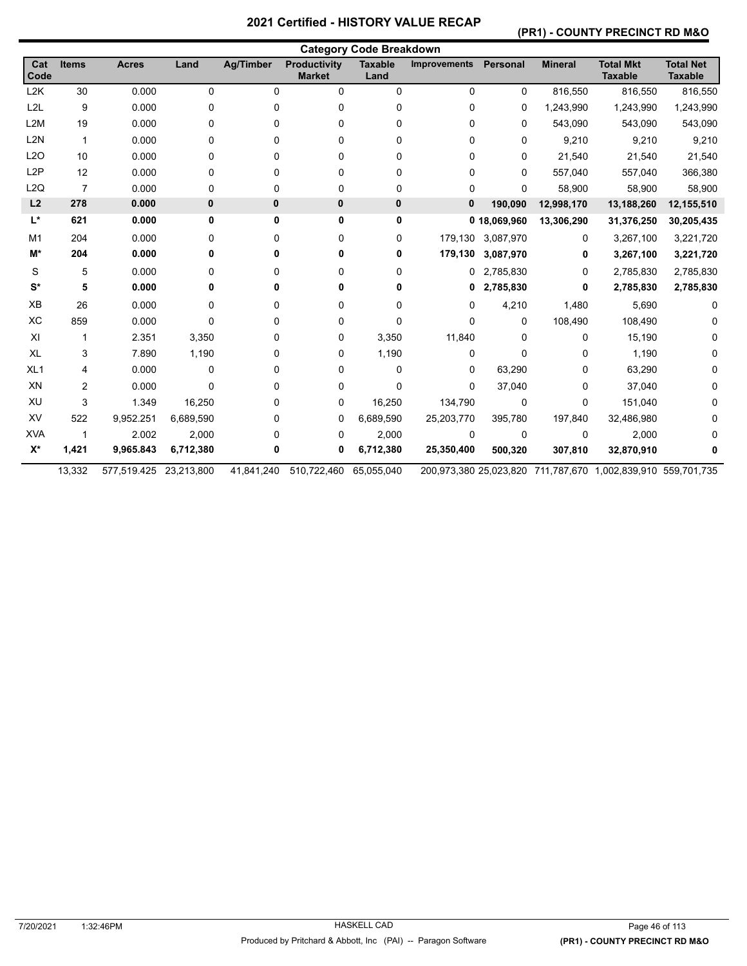### **(PR1) - COUNTY PRECINCT RD M&O**

|                  |                |                        |           |                  |                                      | <b>Category Code Breakdown</b> |                     |                   |                |                                                              |                                    |
|------------------|----------------|------------------------|-----------|------------------|--------------------------------------|--------------------------------|---------------------|-------------------|----------------|--------------------------------------------------------------|------------------------------------|
| Cat<br>Code      | <b>Items</b>   | <b>Acres</b>           | Land      | <b>Ag/Timber</b> | <b>Productivity</b><br><b>Market</b> | <b>Taxable</b><br>Land         | <b>Improvements</b> | Personal          | <b>Mineral</b> | <b>Total Mkt</b><br><b>Taxable</b>                           | <b>Total Net</b><br><b>Taxable</b> |
| L <sub>2</sub> K | 30             | 0.000                  | 0         | 0                | 0                                    | 0                              | 0                   | 0                 | 816,550        | 816,550                                                      | 816,550                            |
| L <sub>2L</sub>  | 9              | 0.000                  | 0         | 0                | 0                                    | 0                              | 0                   | 0                 | 1,243,990      | 1,243,990                                                    | 1,243,990                          |
| L <sub>2</sub> M | 19             | 0.000                  | 0         | 0                | 0                                    | 0                              | 0                   | 0                 | 543,090        | 543,090                                                      | 543,090                            |
| L <sub>2</sub> N | $\mathbf{1}$   | 0.000                  | 0         | 0                | 0                                    | 0                              | 0                   | 0                 | 9,210          | 9,210                                                        | 9,210                              |
| L2O              | 10             | 0.000                  | 0         | 0                | 0                                    | 0                              | 0                   | 0                 | 21,540         | 21,540                                                       | 21,540                             |
| L <sub>2</sub> P | 12             | 0.000                  | 0         | 0                | 0                                    | 0                              | 0                   | $\Omega$          | 557,040        | 557,040                                                      | 366,380                            |
| L2Q              | $\overline{7}$ | 0.000                  | 0         | 0                | 0                                    | 0                              | 0                   | 0                 | 58,900         | 58,900                                                       | 58,900                             |
| L2               | 278            | 0.000                  | 0         | 0                | 0                                    | 0                              | 0                   | 190,090           | 12,998,170     | 13,188,260                                                   | 12,155,510                         |
| $L^*$            | 621            | 0.000                  | 0         | 0                | 0                                    | 0                              |                     | 0 18,069,960      | 13,306,290     | 31,376,250                                                   | 30,205,435                         |
| M <sub>1</sub>   | 204            | 0.000                  | 0         | 0                | 0                                    | 0                              |                     | 179,130 3,087,970 | 0              | 3,267,100                                                    | 3,221,720                          |
| M*               | 204            | 0.000                  |           | 0                | 0                                    | 0                              | 179,130             | 3,087,970         | 0              | 3,267,100                                                    | 3,221,720                          |
| S                | 5              | 0.000                  | 0         | 0                | 0                                    | 0                              |                     | 0 2,785,830       | 0              | 2,785,830                                                    | 2,785,830                          |
| $S^*$            | 5              | 0.000                  |           | 0                | 0                                    | 0                              | 0                   | 2,785,830         | 0              | 2,785,830                                                    | 2,785,830                          |
| XB               | 26             | 0.000                  | 0         | 0                | 0                                    | 0                              | 0                   | 4,210             | 1,480          | 5,690                                                        | 0                                  |
| XC               | 859            | 0.000                  | 0         | 0                | 0                                    | 0                              | 0                   | 0                 | 108,490        | 108,490                                                      |                                    |
| XI               | 1              | 2.351                  | 3,350     | 0                | 0                                    | 3,350                          | 11,840              | 0                 | 0              | 15,190                                                       |                                    |
| <b>XL</b>        | 3              | 7.890                  | 1,190     | 0                | 0                                    | 1,190                          | 0                   | $\Omega$          | 0              | 1,190                                                        |                                    |
| XL <sub>1</sub>  | 4              | 0.000                  | 0         | 0                | 0                                    | 0                              | 0                   | 63,290            | 0              | 63,290                                                       |                                    |
| XN               | 2              | 0.000                  | 0         | 0                | 0                                    | 0                              | 0                   | 37,040            | 0              | 37,040                                                       |                                    |
| XU               | 3              | 1.349                  | 16,250    | 0                | 0                                    | 16,250                         | 134,790             | 0                 | 0              | 151,040                                                      |                                    |
| XV               | 522            | 9,952.251              | 6,689,590 | 0                | 0                                    | 6,689,590                      | 25,203,770          | 395,780           | 197,840        | 32,486,980                                                   |                                    |
| <b>XVA</b>       | 1              | 2.002                  | 2,000     | 0                | 0                                    | 2,000                          | 0                   | 0                 | 0              | 2,000                                                        |                                    |
| $X^*$            | 1,421          | 9,965.843              | 6,712,380 | 0                | 0                                    | 6,712,380                      | 25,350,400          | 500,320           | 307,810        | 32,870,910                                                   |                                    |
|                  | 13,332         | 577,519.425 23,213,800 |           | 41,841,240       | 510,722,460                          | 65,055,040                     |                     |                   |                | 200,973,380 25,023,820 711,787,670 1,002,839,910 559,701,735 |                                    |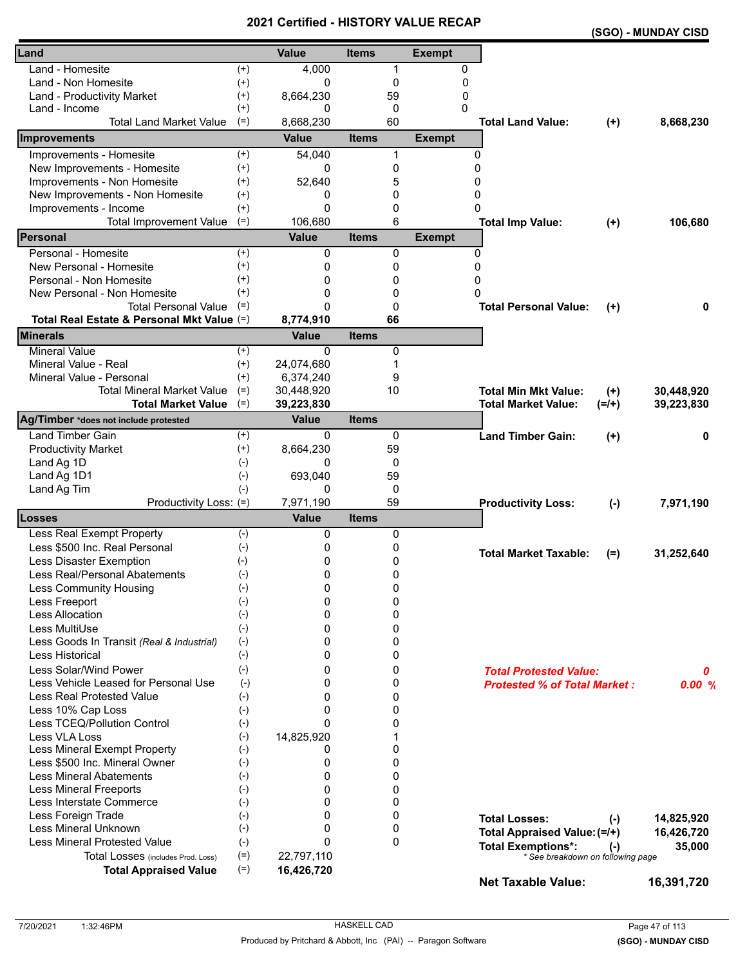|                                            |                    | <b>VEILIIIEU - FIIJI VNT</b> |              |             |               |                                     |          | (SGO) - MUNDAY CISD |
|--------------------------------------------|--------------------|------------------------------|--------------|-------------|---------------|-------------------------------------|----------|---------------------|
| Land                                       |                    | <b>Value</b>                 | <b>Items</b> |             | <b>Exempt</b> |                                     |          |                     |
| Land - Homesite                            | $^{(+)}$           | 4,000                        |              | 1           | 0             |                                     |          |                     |
| Land - Non Homesite                        | $^{(+)}$           | 0                            |              | 0           | 0             |                                     |          |                     |
| Land - Productivity Market                 | $^{(+)}$           | 8,664,230                    |              | 59          | 0             |                                     |          |                     |
| Land - Income                              | $^{(+)}$           | 0                            |              | 0           | 0             |                                     |          |                     |
| <b>Total Land Market Value</b>             | $(=)$              | 8,668,230                    |              | 60          |               | <b>Total Land Value:</b>            | $(+)$    | 8,668,230           |
| Improvements                               |                    | <b>Value</b>                 | <b>Items</b> |             | <b>Exempt</b> |                                     |          |                     |
| Improvements - Homesite                    | $(+)$              | 54,040                       |              | 1           | 0             |                                     |          |                     |
| New Improvements - Homesite                | $^{(+)}$           | 0                            |              | 0           | $\Omega$      |                                     |          |                     |
| Improvements - Non Homesite                | $^{(+)}$           | 52,640                       |              | 5           | 0             |                                     |          |                     |
| New Improvements - Non Homesite            | $^{(+)}$           | 0                            |              | 0           | 0             |                                     |          |                     |
| Improvements - Income                      | $^{(+)}$           | $\Omega$                     |              | 0           | $\Omega$      |                                     |          |                     |
| <b>Total Improvement Value</b>             | $(=)$              | 106,680                      |              | 6           |               | <b>Total Imp Value:</b>             | $(+)$    | 106,680             |
| Personal                                   |                    | Value                        | <b>Items</b> |             | <b>Exempt</b> |                                     |          |                     |
| Personal - Homesite                        | $^{(+)}$           | 0                            |              | 0           | $\Omega$      |                                     |          |                     |
| New Personal - Homesite                    | $^{(+)}$           | 0                            |              | 0           | $\Omega$      |                                     |          |                     |
| Personal - Non Homesite                    | $^{(+)}$           | 0                            |              | 0           | 0             |                                     |          |                     |
| New Personal - Non Homesite                | $^{(+)}$           | 0                            |              | 0           | 0             |                                     |          |                     |
| <b>Total Personal Value</b>                | $(=)$              | $\Omega$                     |              | 0           |               | <b>Total Personal Value:</b>        | $^{(+)}$ | 0                   |
| Total Real Estate & Personal Mkt Value (=) |                    | 8,774,910                    |              | 66          |               |                                     |          |                     |
| <b>Minerals</b>                            |                    | <b>Value</b>                 | <b>Items</b> |             |               |                                     |          |                     |
| <b>Mineral Value</b>                       | $^{(+)}$           | $\Omega$                     |              | 0           |               |                                     |          |                     |
| Mineral Value - Real                       | $^{(+)}$           | 24,074,680                   |              | 1           |               |                                     |          |                     |
| Mineral Value - Personal                   | $^{(+)}$           | 6,374,240                    |              | 9           |               |                                     |          |                     |
| <b>Total Mineral Market Value</b>          | $(=)$              | 30,448,920                   |              | 10          |               | <b>Total Min Mkt Value:</b>         | $(+)$    | 30,448,920          |
| <b>Total Market Value</b>                  | $(=)$              | 39,223,830                   |              |             |               | <b>Total Market Value:</b>          | $(=/+)$  | 39,223,830          |
| Ag/Timber *does not include protested      |                    | <b>Value</b>                 | <b>Items</b> |             |               |                                     |          |                     |
| <b>Land Timber Gain</b>                    | $^{(+)}$           | 0                            |              | 0           |               | <b>Land Timber Gain:</b>            | $(+)$    | 0                   |
| <b>Productivity Market</b>                 | $^{(+)}$           | 8,664,230                    |              | 59          |               |                                     |          |                     |
| Land Ag 1D                                 | $(-)$              | 0                            |              | 0           |               |                                     |          |                     |
| Land Ag 1D1                                | $(-)$              | 693,040                      |              | 59          |               |                                     |          |                     |
| Land Ag Tim                                | $(-)$              | 0                            |              | 0           |               |                                     |          |                     |
| Productivity Loss: (=)                     |                    | 7,971,190                    |              | 59          |               | <b>Productivity Loss:</b>           | $(-)$    | 7,971,190           |
| Losses                                     |                    | <b>Value</b>                 | <b>Items</b> |             |               |                                     |          |                     |
| Less Real Exempt Property                  | $(-)$              | 0                            |              | 0           |               |                                     |          |                     |
| Less \$500 Inc. Real Personal              | $(-)$              | 0                            |              | 0           |               |                                     |          |                     |
| Less Disaster Exemption                    | $(-)$              | 0                            |              | 0           |               | <b>Total Market Taxable:</b>        | $(=)$    | 31,252,640          |
| Less Real/Personal Abatements              | $(-)$              | 0                            |              | 0           |               |                                     |          |                     |
| <b>Less Community Housing</b>              | $(-)$              | 0                            |              | 0           |               |                                     |          |                     |
| Less Freeport                              | $(-)$              | 0                            |              | 0           |               |                                     |          |                     |
| <b>Less Allocation</b>                     | $(-)$              | $\Omega$                     |              | 0           |               |                                     |          |                     |
| Less MultiUse                              | $(-)$              | $\Omega$                     |              | 0           |               |                                     |          |                     |
| Less Goods In Transit (Real & Industrial)  | $(-)$              | 0                            |              | 0           |               |                                     |          |                     |
| Less Historical                            | $(-)$              | 0                            |              | 0           |               |                                     |          |                     |
| Less Solar/Wind Power                      | $(-)$              | 0                            |              | 0           |               |                                     |          |                     |
| Less Vehicle Leased for Personal Use       | $(-)$              | 0                            |              | 0           |               | <b>Total Protested Value:</b>       |          | 0                   |
| <b>Less Real Protested Value</b>           | $(-)$              | 0                            |              | 0           |               | <b>Protested % of Total Market:</b> |          | 0.00%               |
| Less 10% Cap Loss                          |                    | $\Omega$                     |              | 0           |               |                                     |          |                     |
| Less TCEQ/Pollution Control                | $(-)$              | $\Omega$                     |              | 0           |               |                                     |          |                     |
| Less VLA Loss                              | $(-)$              |                              |              |             |               |                                     |          |                     |
| Less Mineral Exempt Property               | $(-)$<br>$(-)$     | 14,825,920<br>0              |              | 1<br>0      |               |                                     |          |                     |
| Less \$500 Inc. Mineral Owner              | $(-)$              | 0                            |              | 0           |               |                                     |          |                     |
| <b>Less Mineral Abatements</b>             |                    | 0                            |              | 0           |               |                                     |          |                     |
|                                            | $(-)$              |                              |              |             |               |                                     |          |                     |
| <b>Less Mineral Freeports</b>              | $(\textnormal{-})$ | $\Omega$                     |              | 0           |               |                                     |          |                     |
| Less Interstate Commerce                   | $(-)$              | 0                            |              | 0           |               |                                     |          |                     |
| Less Foreign Trade                         | $(-)$              | 0                            |              | 0           |               | <b>Total Losses:</b>                | $(-)$    | 14,825,920          |
| Less Mineral Unknown                       | $(-)$              | 0                            |              | 0           |               | Total Appraised Value: (=/+)        |          | 16,426,720          |
| <b>Less Mineral Protested Value</b>        | $(-)$              | $\mathbf{0}$                 |              | $\mathbf 0$ |               | <b>Total Exemptions*:</b>           | $(-)$    | 35,000              |
| Total Losses (includes Prod. Loss)         | $(=)$              | 22,797,110                   |              |             |               | * See breakdown on following page   |          |                     |
| <b>Total Appraised Value</b>               | $(=)$              | 16,426,720                   |              |             |               | <b>Net Taxable Value:</b>           |          | 16,391,720          |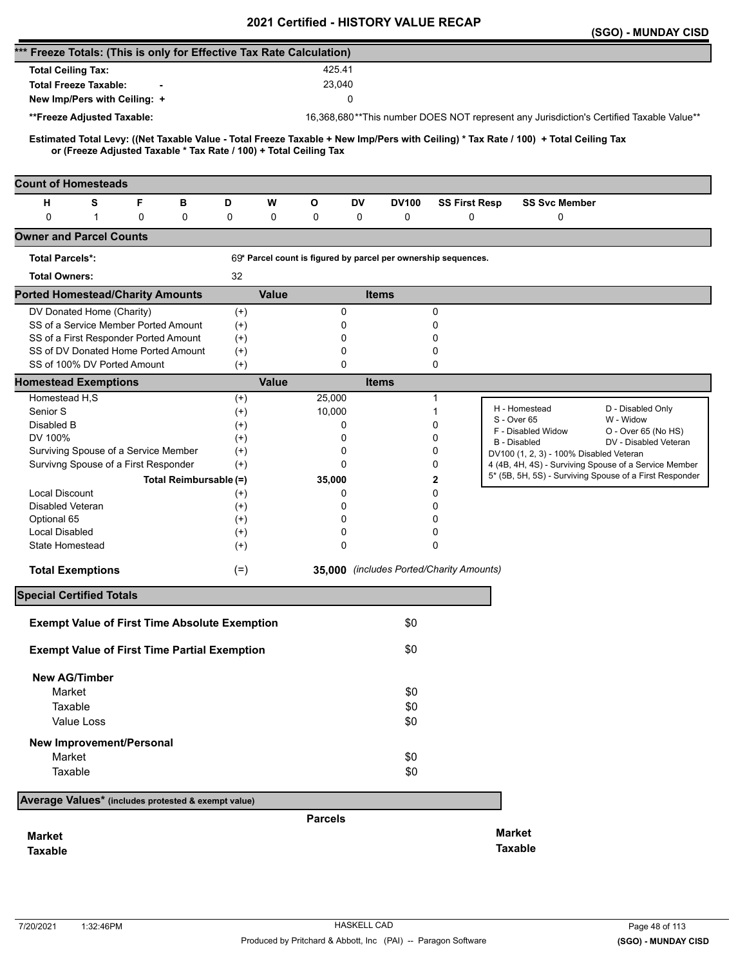|                                                                                                                                                                                                          |                        |                   |              |                |               |              | 2021 Certilled - HISTORT VALUE RECAP                           |                                         | (SGO) - MUNDAY CISD                                                                                              |
|----------------------------------------------------------------------------------------------------------------------------------------------------------------------------------------------------------|------------------------|-------------------|--------------|----------------|---------------|--------------|----------------------------------------------------------------|-----------------------------------------|------------------------------------------------------------------------------------------------------------------|
| *** Freeze Totals: (This is only for Effective Tax Rate Calculation)                                                                                                                                     |                        |                   |              |                |               |              |                                                                |                                         |                                                                                                                  |
| <b>Total Ceiling Tax:</b>                                                                                                                                                                                |                        |                   |              | 425.41         |               |              |                                                                |                                         |                                                                                                                  |
| <b>Total Freeze Taxable:</b>                                                                                                                                                                             |                        |                   |              | 23,040         |               |              |                                                                |                                         |                                                                                                                  |
| New Imp/Pers with Ceiling: +                                                                                                                                                                             |                        |                   |              |                | 0             |              |                                                                |                                         |                                                                                                                  |
|                                                                                                                                                                                                          |                        |                   |              |                |               |              |                                                                |                                         |                                                                                                                  |
| **Freeze Adjusted Taxable:                                                                                                                                                                               |                        |                   |              |                |               |              |                                                                |                                         | 16,368,680**This number DOES NOT represent any Jurisdiction's Certified Taxable Value**                          |
| Estimated Total Levy: ((Net Taxable Value - Total Freeze Taxable + New Imp/Pers with Ceiling) * Tax Rate / 100) + Total Ceiling Tax<br>or (Freeze Adjusted Taxable * Tax Rate / 100) + Total Ceiling Tax |                        |                   |              |                |               |              |                                                                |                                         |                                                                                                                  |
| <b>Count of Homesteads</b>                                                                                                                                                                               |                        |                   |              |                |               |              |                                                                |                                         |                                                                                                                  |
| F<br>н<br>s                                                                                                                                                                                              | в                      | D                 | W            | O              | <b>DV</b>     | <b>DV100</b> | <b>SS First Resp</b>                                           | <b>SS Svc Member</b>                    |                                                                                                                  |
| 0<br>$\mathbf{1}$<br>0                                                                                                                                                                                   | 0                      | 0                 | 0            | 0              | 0             | 0            | 0                                                              | 0                                       |                                                                                                                  |
| <b>Owner and Parcel Counts</b>                                                                                                                                                                           |                        |                   |              |                |               |              |                                                                |                                         |                                                                                                                  |
| Total Parcels*:                                                                                                                                                                                          |                        |                   |              |                |               |              | 69* Parcel count is figured by parcel per ownership sequences. |                                         |                                                                                                                  |
| <b>Total Owners:</b>                                                                                                                                                                                     |                        | 32                |              |                |               |              |                                                                |                                         |                                                                                                                  |
| <b>Ported Homestead/Charity Amounts</b>                                                                                                                                                                  |                        |                   | <b>Value</b> |                |               | <b>Items</b> |                                                                |                                         |                                                                                                                  |
| DV Donated Home (Charity)                                                                                                                                                                                |                        | $^{(+)}$          |              |                | 0             |              | $\mathbf 0$                                                    |                                         |                                                                                                                  |
| SS of a Service Member Ported Amount                                                                                                                                                                     |                        | $^{(+)}$          |              |                | 0             |              | 0                                                              |                                         |                                                                                                                  |
| SS of a First Responder Ported Amount                                                                                                                                                                    |                        | $(+)$             |              |                | 0             |              | 0                                                              |                                         |                                                                                                                  |
| SS of DV Donated Home Ported Amount                                                                                                                                                                      |                        | $^{(+)}$          |              |                | 0             |              | 0                                                              |                                         |                                                                                                                  |
| SS of 100% DV Ported Amount                                                                                                                                                                              |                        | $(+)$             |              |                | 0             |              | 0                                                              |                                         |                                                                                                                  |
| <b>Homestead Exemptions</b>                                                                                                                                                                              |                        |                   | <b>Value</b> |                |               | <b>Items</b> |                                                                |                                         |                                                                                                                  |
| Homestead H,S                                                                                                                                                                                            |                        | $^{(+)}$          |              | 25,000         |               |              | 1                                                              |                                         |                                                                                                                  |
| Senior S                                                                                                                                                                                                 |                        | $(+)$             |              | 10,000         |               |              | 1                                                              | H - Homestead<br>S - Over 65            | D - Disabled Only<br>W - Widow                                                                                   |
| Disabled B                                                                                                                                                                                               |                        | $^{(+)}$          |              |                | 0             |              | 0                                                              | F - Disabled Widow                      | O - Over 65 (No HS)                                                                                              |
| DV 100%                                                                                                                                                                                                  |                        | $^{(+)}$          |              |                | 0             |              | 0                                                              | <b>B</b> - Disabled                     | DV - Disabled Veteran                                                                                            |
| Surviving Spouse of a Service Member                                                                                                                                                                     |                        | $^{(+)}$          |              |                | 0<br>$\Omega$ |              | 0<br>0                                                         | DV100 (1, 2, 3) - 100% Disabled Veteran |                                                                                                                  |
| Survivng Spouse of a First Responder                                                                                                                                                                     |                        | $(+)$             |              |                |               |              |                                                                |                                         | 4 (4B, 4H, 4S) - Surviving Spouse of a Service Member<br>5* (5B, 5H, 5S) - Surviving Spouse of a First Responder |
|                                                                                                                                                                                                          | Total Reimbursable (=) |                   |              | 35,000         |               |              | 2                                                              |                                         |                                                                                                                  |
| <b>Local Discount</b><br><b>Disabled Veteran</b>                                                                                                                                                         |                        | $^{(+)}$<br>$(+)$ |              |                | 0<br>0        |              | 0<br>0                                                         |                                         |                                                                                                                  |
| Optional 65                                                                                                                                                                                              |                        | $^{(+)}$          |              |                | 0             |              | 0                                                              |                                         |                                                                                                                  |
| Local Disabled                                                                                                                                                                                           |                        | $^{(+)}$          |              |                | 0             |              | 0                                                              |                                         |                                                                                                                  |
| <b>State Homestead</b>                                                                                                                                                                                   |                        | $^{(+)}$          |              |                | 0             |              | $\Omega$                                                       |                                         |                                                                                                                  |
| <b>Total Exemptions</b>                                                                                                                                                                                  |                        | $(=)$             |              |                |               |              | 35,000 (includes Ported/Charity Amounts)                       |                                         |                                                                                                                  |
| <b>Special Certified Totals</b>                                                                                                                                                                          |                        |                   |              |                |               |              |                                                                |                                         |                                                                                                                  |
|                                                                                                                                                                                                          |                        |                   |              |                |               |              |                                                                |                                         |                                                                                                                  |
| <b>Exempt Value of First Time Absolute Exemption</b>                                                                                                                                                     |                        |                   |              |                |               | \$0          |                                                                |                                         |                                                                                                                  |
| <b>Exempt Value of First Time Partial Exemption</b>                                                                                                                                                      |                        |                   |              |                |               | \$0          |                                                                |                                         |                                                                                                                  |
| <b>New AG/Timber</b>                                                                                                                                                                                     |                        |                   |              |                |               |              |                                                                |                                         |                                                                                                                  |
| Market                                                                                                                                                                                                   |                        |                   |              |                |               | \$0          |                                                                |                                         |                                                                                                                  |
| Taxable                                                                                                                                                                                                  |                        |                   |              |                |               | \$0          |                                                                |                                         |                                                                                                                  |
| Value Loss                                                                                                                                                                                               |                        |                   |              |                |               | \$0          |                                                                |                                         |                                                                                                                  |
| <b>New Improvement/Personal</b>                                                                                                                                                                          |                        |                   |              |                |               |              |                                                                |                                         |                                                                                                                  |
| Market                                                                                                                                                                                                   |                        |                   |              |                |               | \$0          |                                                                |                                         |                                                                                                                  |
| Taxable                                                                                                                                                                                                  |                        |                   |              |                |               | \$0          |                                                                |                                         |                                                                                                                  |
| Average Values* (includes protested & exempt value)                                                                                                                                                      |                        |                   |              |                |               |              |                                                                |                                         |                                                                                                                  |
|                                                                                                                                                                                                          |                        |                   |              | <b>Parcels</b> |               |              |                                                                |                                         |                                                                                                                  |
| <b>Market</b>                                                                                                                                                                                            |                        |                   |              |                |               |              |                                                                | <b>Market</b>                           |                                                                                                                  |
| <b>Taxable</b>                                                                                                                                                                                           |                        |                   |              |                |               |              |                                                                | <b>Taxable</b>                          |                                                                                                                  |
|                                                                                                                                                                                                          |                        |                   |              |                |               |              |                                                                |                                         |                                                                                                                  |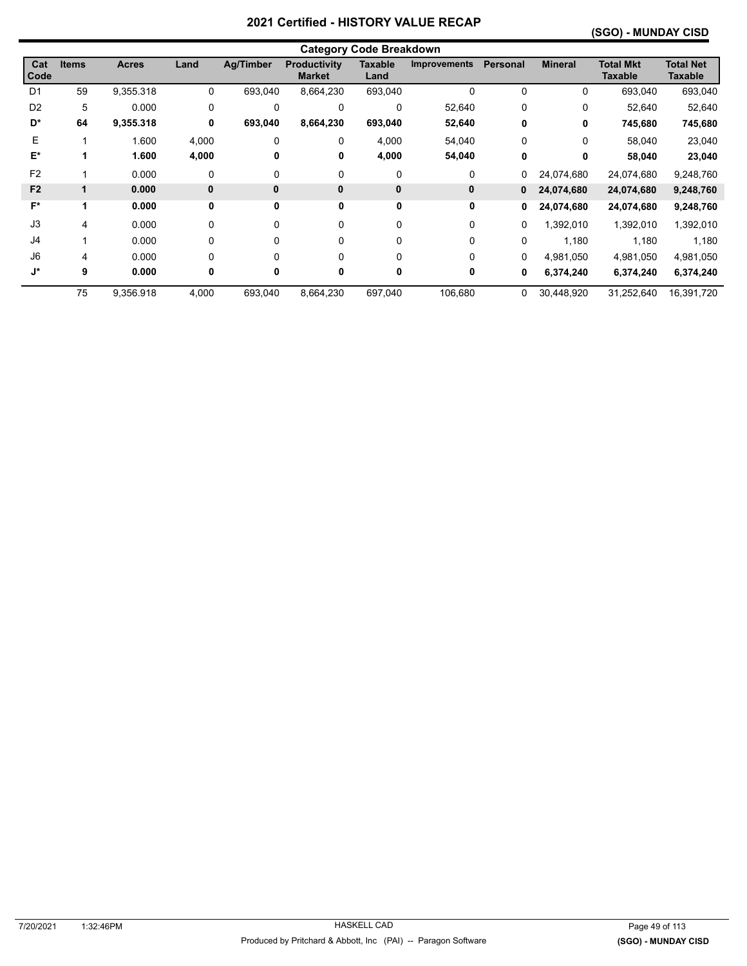### **(SGO) - MUNDAY CISD**

|                    | <b>Category Code Breakdown</b> |              |             |                  |                                      |                        |                     |          |                |                                    |                             |  |
|--------------------|--------------------------------|--------------|-------------|------------------|--------------------------------------|------------------------|---------------------|----------|----------------|------------------------------------|-----------------------------|--|
| Cat<br>Code        | <b>Items</b>                   | <b>Acres</b> | Land        | <b>Ag/Timber</b> | <b>Productivity</b><br><b>Market</b> | <b>Taxable</b><br>Land | <b>Improvements</b> | Personal | <b>Mineral</b> | <b>Total Mkt</b><br><b>Taxable</b> | <b>Total Net</b><br>Taxable |  |
| D <sub>1</sub>     | 59                             | 9,355.318    | 0           | 693,040          | 8,664,230                            | 693,040                | 0                   | 0        | 0              | 693,040                            | 693,040                     |  |
| D <sub>2</sub>     | 5                              | 0.000        | 0           | $\Omega$         | $\Omega$                             | $\mathbf 0$            | 52,640              | 0        | 0              | 52,640                             | 52,640                      |  |
| D*                 | 64                             | 9,355.318    | 0           | 693,040          | 8,664,230                            | 693,040                | 52,640              | 0        | 0              | 745,680                            | 745,680                     |  |
| E                  |                                | 1.600        | 4,000       | $\Omega$         | 0                                    | 4,000                  | 54,040              | $\Omega$ | 0              | 58,040                             | 23,040                      |  |
| E*                 |                                | 1.600        | 4,000       | 0                | 0                                    | 4,000                  | 54,040              | 0        | 0              | 58,040                             | 23,040                      |  |
| F <sub>2</sub>     |                                | 0.000        | 0           | 0                | 0                                    | 0                      | 0                   | 0        | 24,074,680     | 24,074,680                         | 9,248,760                   |  |
| F <sub>2</sub>     | 1                              | 0.000        | $\mathbf 0$ | $\mathbf{0}$     | $\mathbf{0}$                         | $\pmb{0}$              | 0                   | 0        | 24,074,680     | 24,074,680                         | 9,248,760                   |  |
| F*                 | 1                              | 0.000        | 0           | 0                | 0                                    | 0                      | 0                   | 0        | 24,074,680     | 24,074,680                         | 9,248,760                   |  |
| J3                 | 4                              | 0.000        | 0           | 0                | $\Omega$                             | $\Omega$               | $\Omega$            | 0        | 1,392,010      | 1,392,010                          | 1,392,010                   |  |
| J4                 |                                | 0.000        | $\mathbf 0$ | 0                | 0                                    | 0                      | 0                   | 0        | 1,180          | 1,180                              | 1,180                       |  |
| J6                 | 4                              | 0.000        | 0           | 0                | $\Omega$                             | 0                      | 0                   | 0        | 4,981,050      | 4,981,050                          | 4,981,050                   |  |
| $\mathsf{J}^\star$ | 9                              | 0.000        | 0           | 0                | 0                                    | 0                      | 0                   | 0        | 6,374,240      | 6,374,240                          | 6,374,240                   |  |
|                    | 75                             | 9,356.918    | 4,000       | 693,040          | 8,664,230                            | 697,040                | 106,680             | 0        | 30,448,920     | 31,252,640                         | 16,391,720                  |  |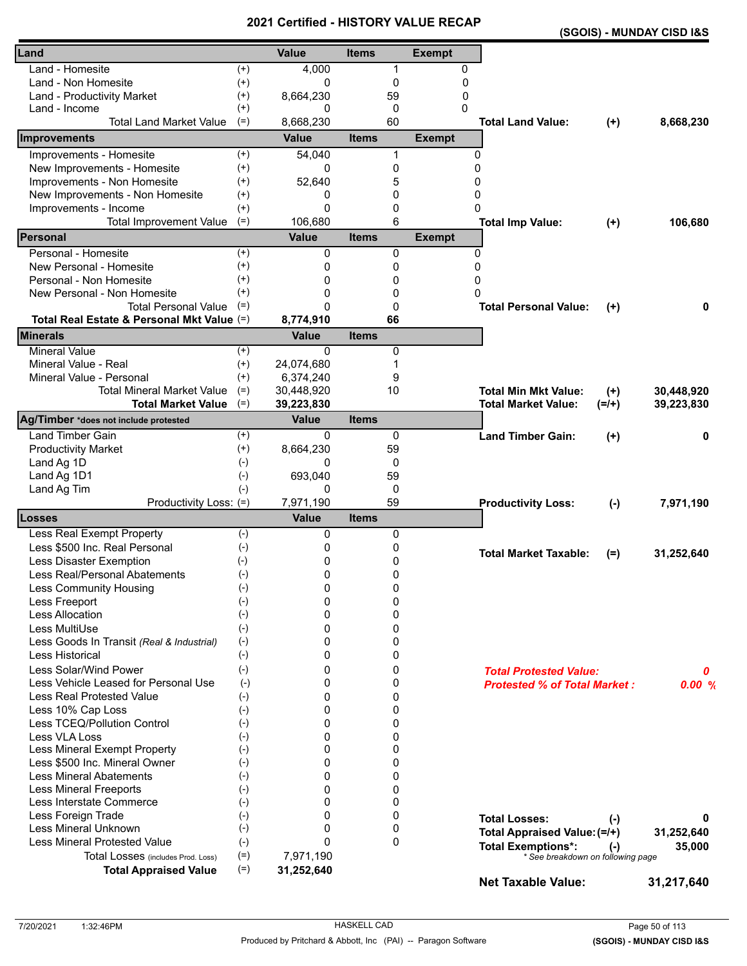|                                            |          | VEI UIIEU - NIJ I VN I |              |              |               | (SGOIS) - MUNDAY CISD I&S           |           |            |
|--------------------------------------------|----------|------------------------|--------------|--------------|---------------|-------------------------------------|-----------|------------|
| Land                                       |          | <b>Value</b>           | <b>Items</b> |              | <b>Exempt</b> |                                     |           |            |
| Land - Homesite                            | $^{(+)}$ | 4,000                  |              | 1            | 0             |                                     |           |            |
| Land - Non Homesite                        | $^{(+)}$ | 0                      |              | 0            | 0             |                                     |           |            |
| Land - Productivity Market                 | $^{(+)}$ | 8,664,230              |              | 59           | 0             |                                     |           |            |
| Land - Income                              | $^{(+)}$ | 0                      |              | 0            | 0             |                                     |           |            |
| <b>Total Land Market Value</b>             | $(=)$    | 8,668,230              |              | 60           |               | <b>Total Land Value:</b>            | $(+)$     | 8,668,230  |
| Improvements                               |          | <b>Value</b>           | <b>Items</b> |              | <b>Exempt</b> |                                     |           |            |
| Improvements - Homesite                    | $(+)$    | 54,040                 |              | 1            | 0             |                                     |           |            |
| New Improvements - Homesite                | $^{(+)}$ | 0                      |              | 0            | $\Omega$      |                                     |           |            |
| Improvements - Non Homesite                | $^{(+)}$ | 52,640                 |              | 5            | $\Omega$      |                                     |           |            |
| New Improvements - Non Homesite            | $^{(+)}$ | 0                      |              | 0            | 0             |                                     |           |            |
| Improvements - Income                      | $^{(+)}$ | $\Omega$               |              | 0            | 0             |                                     |           |            |
| <b>Total Improvement Value</b>             | $(=)$    | 106,680                |              | 6            |               | <b>Total Imp Value:</b>             | $(+)$     | 106,680    |
| Personal                                   |          | Value                  | <b>Items</b> |              | <b>Exempt</b> |                                     |           |            |
| Personal - Homesite                        | $^{(+)}$ | 0                      |              | 0            | $\mathbf{0}$  |                                     |           |            |
| New Personal - Homesite                    | $^{(+)}$ | 0                      |              | 0            | 0             |                                     |           |            |
| Personal - Non Homesite                    | $^{(+)}$ | 0                      |              | 0            | 0             |                                     |           |            |
| New Personal - Non Homesite                | $^{(+)}$ | 0                      |              | 0            | $\Omega$      |                                     |           |            |
| <b>Total Personal Value</b>                | $(=)$    | $\Omega$               |              | 0            |               | <b>Total Personal Value:</b>        | $^{(+)}$  | 0          |
| Total Real Estate & Personal Mkt Value (=) |          | 8,774,910              |              | 66           |               |                                     |           |            |
| <b>Minerals</b>                            |          | <b>Value</b>           | <b>Items</b> |              |               |                                     |           |            |
| <b>Mineral Value</b>                       | $^{(+)}$ | $\Omega$               |              | 0            |               |                                     |           |            |
| Mineral Value - Real                       | $(+)$    | 24,074,680             |              | 1            |               |                                     |           |            |
| Mineral Value - Personal                   | $^{(+)}$ | 6,374,240              |              | 9            |               |                                     |           |            |
| <b>Total Mineral Market Value</b>          | $(=)$    | 30,448,920             |              | 10           |               | <b>Total Min Mkt Value:</b>         | $(+)$     | 30,448,920 |
| <b>Total Market Value</b>                  | $(=)$    | 39,223,830             |              |              |               | <b>Total Market Value:</b>          | $(=/+)$   | 39,223,830 |
| Ag/Timber *does not include protested      |          | <b>Value</b>           | <b>Items</b> |              |               |                                     |           |            |
| <b>Land Timber Gain</b>                    | $^{(+)}$ | 0                      |              | 0            |               | <b>Land Timber Gain:</b>            | $^{(+)}$  | 0          |
| <b>Productivity Market</b>                 | $(+)$    | 8,664,230              |              | 59           |               |                                     |           |            |
| Land Ag 1D                                 | $(-)$    | 0                      |              | 0            |               |                                     |           |            |
| Land Ag 1D1                                | $(-)$    | 693,040                |              | 59           |               |                                     |           |            |
| Land Ag Tim                                | $(-)$    | 0                      |              | 0            |               |                                     |           |            |
| Productivity Loss: (=)                     |          | 7,971,190              |              | 59           |               | <b>Productivity Loss:</b>           | $(-)$     | 7,971,190  |
| Losses                                     |          | <b>Value</b>           | <b>Items</b> |              |               |                                     |           |            |
| Less Real Exempt Property                  | $(-)$    | 0                      |              | 0            |               |                                     |           |            |
| Less \$500 Inc. Real Personal              | $(-)$    | 0                      |              | 0            |               | <b>Total Market Taxable:</b>        | $(=)$     | 31,252,640 |
| Less Disaster Exemption                    | $(-)$    | 0                      |              | 0            |               |                                     |           |            |
| Less Real/Personal Abatements              | $(-)$    | 0                      |              | 0            |               |                                     |           |            |
| Less Community Housing                     | $(-)$    | 0                      |              | 0            |               |                                     |           |            |
| Less Freeport                              | $(-)$    | 0                      |              | 0            |               |                                     |           |            |
| Less Allocation                            | $(-)$    | $\Omega$               |              | 0            |               |                                     |           |            |
| Less MultiUse                              | $(-)$    | $\Omega$               |              | 0            |               |                                     |           |            |
| Less Goods In Transit (Real & Industrial)  | $(-)$    | 0                      |              | 0            |               |                                     |           |            |
| Less Historical                            | $(-)$    | 0                      |              | 0            |               |                                     |           |            |
| Less Solar/Wind Power                      | $(-)$    | 0                      |              | 0            |               | <b>Total Protested Value:</b>       |           | 0          |
| Less Vehicle Leased for Personal Use       | $(-)$    | 0                      |              | 0            |               | <b>Protested % of Total Market:</b> |           | 0.00%      |
| <b>Less Real Protested Value</b>           | $(-)$    | 0                      |              | 0            |               |                                     |           |            |
| Less 10% Cap Loss                          | $(-)$    | $\Omega$               |              | 0            |               |                                     |           |            |
| Less TCEQ/Pollution Control                | $(-)$    | $\Omega$               |              | 0            |               |                                     |           |            |
| Less VLA Loss                              | $(-)$    | 0                      |              | 0            |               |                                     |           |            |
| Less Mineral Exempt Property               | $(-)$    | 0                      |              | 0            |               |                                     |           |            |
| Less \$500 Inc. Mineral Owner              | $(-)$    | 0                      |              | 0            |               |                                     |           |            |
| <b>Less Mineral Abatements</b>             | $(-)$    | $\Omega$               |              | 0            |               |                                     |           |            |
| <b>Less Mineral Freeports</b>              | $(-)$    | $\Omega$               |              | 0            |               |                                     |           |            |
| Less Interstate Commerce                   | $(-)$    | 0                      |              | 0            |               |                                     |           |            |
| Less Foreign Trade                         | $(-)$    | $\Omega$               |              | 0            |               | <b>Total Losses:</b>                | $(\cdot)$ | 0          |
| Less Mineral Unknown                       | $(-)$    | 0                      |              | 0            |               | Total Appraised Value: (=/+)        |           | 31,252,640 |
| <b>Less Mineral Protested Value</b>        | $(-)$    | $\Omega$               |              | $\mathbf{0}$ |               | <b>Total Exemptions*:</b>           | $(-)$     | 35,000     |
| Total Losses (includes Prod. Loss)         | $(=)$    | 7,971,190              |              |              |               | * See breakdown on following page   |           |            |
| <b>Total Appraised Value</b>               | $(=)$    | 31,252,640             |              |              |               | <b>Net Taxable Value:</b>           |           | 31,217,640 |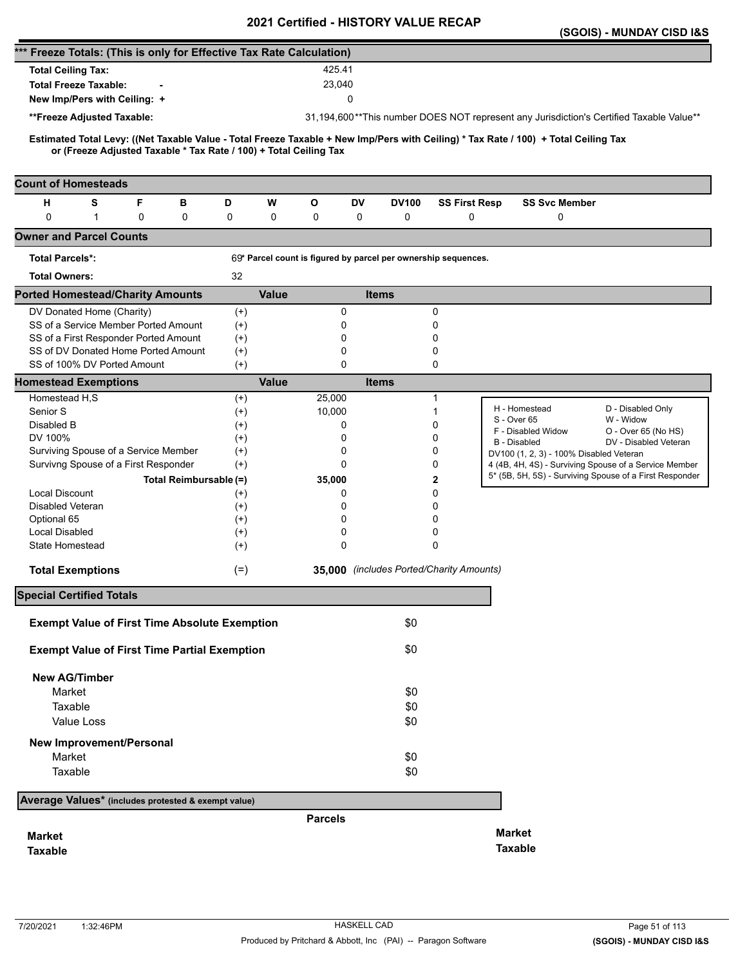|                                                                      |   |                                                                   |          |              |                |             | 2021 Certilled - HISTORT VALUE RECAP |                                                                |                                                                                                                                     | (SGOIS) - MUNDAY CISD I&S                                                                                        |
|----------------------------------------------------------------------|---|-------------------------------------------------------------------|----------|--------------|----------------|-------------|--------------------------------------|----------------------------------------------------------------|-------------------------------------------------------------------------------------------------------------------------------------|------------------------------------------------------------------------------------------------------------------|
| *** Freeze Totals: (This is only for Effective Tax Rate Calculation) |   |                                                                   |          |              |                |             |                                      |                                                                |                                                                                                                                     |                                                                                                                  |
| <b>Total Ceiling Tax:</b>                                            |   |                                                                   |          |              | 425.41         |             |                                      |                                                                |                                                                                                                                     |                                                                                                                  |
| <b>Total Freeze Taxable:</b>                                         |   |                                                                   |          |              | 23,040         |             |                                      |                                                                |                                                                                                                                     |                                                                                                                  |
| New Imp/Pers with Ceiling: +                                         |   |                                                                   |          |              |                | 0           |                                      |                                                                |                                                                                                                                     |                                                                                                                  |
|                                                                      |   |                                                                   |          |              |                |             |                                      |                                                                |                                                                                                                                     |                                                                                                                  |
| **Freeze Adjusted Taxable:                                           |   |                                                                   |          |              |                |             |                                      |                                                                |                                                                                                                                     | 31,194,600**This number DOES NOT represent any Jurisdiction's Certified Taxable Value**                          |
|                                                                      |   | or (Freeze Adjusted Taxable * Tax Rate / 100) + Total Ceiling Tax |          |              |                |             |                                      |                                                                | Estimated Total Levy: ((Net Taxable Value - Total Freeze Taxable + New Imp/Pers with Ceiling) * Tax Rate / 100) + Total Ceiling Tax |                                                                                                                  |
| <b>Count of Homesteads</b>                                           |   |                                                                   |          |              |                |             |                                      |                                                                |                                                                                                                                     |                                                                                                                  |
| н<br>s                                                               | F | в                                                                 | D        | W            | O              | <b>DV</b>   | <b>DV100</b>                         | <b>SS First Resp</b>                                           | <b>SS Svc Member</b>                                                                                                                |                                                                                                                  |
| $\mathbf 0$<br>$\mathbf{1}$                                          | 0 | 0                                                                 | 0        | 0            | 0              | 0           | 0                                    | 0                                                              | 0                                                                                                                                   |                                                                                                                  |
| <b>Owner and Parcel Counts</b>                                       |   |                                                                   |          |              |                |             |                                      |                                                                |                                                                                                                                     |                                                                                                                  |
| <b>Total Parcels*:</b>                                               |   |                                                                   |          |              |                |             |                                      | 69* Parcel count is figured by parcel per ownership sequences. |                                                                                                                                     |                                                                                                                  |
| <b>Total Owners:</b>                                                 |   |                                                                   | 32       |              |                |             |                                      |                                                                |                                                                                                                                     |                                                                                                                  |
| <b>Ported Homestead/Charity Amounts</b>                              |   |                                                                   |          | <b>Value</b> |                |             | <b>Items</b>                         |                                                                |                                                                                                                                     |                                                                                                                  |
| DV Donated Home (Charity)                                            |   |                                                                   | $^{(+)}$ |              |                | 0           |                                      | 0                                                              |                                                                                                                                     |                                                                                                                  |
| SS of a Service Member Ported Amount                                 |   |                                                                   | $(+)$    |              |                | 0           |                                      | 0                                                              |                                                                                                                                     |                                                                                                                  |
| SS of a First Responder Ported Amount                                |   |                                                                   | $^{(+)}$ |              |                | 0           |                                      | 0                                                              |                                                                                                                                     |                                                                                                                  |
| SS of DV Donated Home Ported Amount                                  |   |                                                                   | $^{(+)}$ |              |                | 0           |                                      | 0                                                              |                                                                                                                                     |                                                                                                                  |
| SS of 100% DV Ported Amount                                          |   |                                                                   | $(+)$    |              |                | $\mathbf 0$ |                                      | 0                                                              |                                                                                                                                     |                                                                                                                  |
| <b>Homestead Exemptions</b>                                          |   |                                                                   |          | <b>Value</b> |                |             | <b>Items</b>                         |                                                                |                                                                                                                                     |                                                                                                                  |
| Homestead H,S                                                        |   |                                                                   | $^{(+)}$ |              | 25,000         |             |                                      | 1                                                              | H - Homestead                                                                                                                       | D - Disabled Only                                                                                                |
| Senior S                                                             |   |                                                                   | $^{(+)}$ |              | 10,000         |             |                                      | 1                                                              | S - Over 65                                                                                                                         | W - Widow                                                                                                        |
| Disabled B                                                           |   |                                                                   | $^{(+)}$ |              |                | 0           |                                      | 0                                                              | F - Disabled Widow                                                                                                                  | O - Over 65 (No HS)                                                                                              |
| DV 100%                                                              |   |                                                                   | $^{(+)}$ |              |                | 0           |                                      | 0                                                              | <b>B</b> - Disabled                                                                                                                 | DV - Disabled Veteran                                                                                            |
| Surviving Spouse of a Service Member                                 |   |                                                                   | $^{(+)}$ |              |                | 0           |                                      | 0                                                              | DV100 (1, 2, 3) - 100% Disabled Veteran                                                                                             |                                                                                                                  |
| Survivng Spouse of a First Responder                                 |   |                                                                   | $(+)$    |              |                | 0           |                                      | 0                                                              |                                                                                                                                     | 4 (4B, 4H, 4S) - Surviving Spouse of a Service Member<br>5* (5B, 5H, 5S) - Surviving Spouse of a First Responder |
|                                                                      |   | Total Reimbursable (=)                                            |          |              | 35,000         |             |                                      | 2                                                              |                                                                                                                                     |                                                                                                                  |
| <b>Local Discount</b>                                                |   |                                                                   | $^{(+)}$ |              |                | 0           |                                      | 0                                                              |                                                                                                                                     |                                                                                                                  |
| <b>Disabled Veteran</b>                                              |   |                                                                   | $^{(+)}$ |              |                | 0           |                                      | 0                                                              |                                                                                                                                     |                                                                                                                  |
| Optional 65                                                          |   |                                                                   | $^{(+)}$ |              |                | 0           |                                      | 0                                                              |                                                                                                                                     |                                                                                                                  |
| Local Disabled                                                       |   |                                                                   | $^{(+)}$ |              |                | 0           |                                      | 0                                                              |                                                                                                                                     |                                                                                                                  |
| <b>State Homestead</b>                                               |   |                                                                   | $^{(+)}$ |              |                | 0           |                                      | 0                                                              |                                                                                                                                     |                                                                                                                  |
| <b>Total Exemptions</b>                                              |   |                                                                   | $(=)$    |              |                |             |                                      | 35,000 (includes Ported/Charity Amounts)                       |                                                                                                                                     |                                                                                                                  |
| <b>Special Certified Totals</b>                                      |   |                                                                   |          |              |                |             |                                      |                                                                |                                                                                                                                     |                                                                                                                  |
| <b>Exempt Value of First Time Absolute Exemption</b>                 |   |                                                                   |          |              |                |             | \$0                                  |                                                                |                                                                                                                                     |                                                                                                                  |
|                                                                      |   |                                                                   |          |              |                |             |                                      |                                                                |                                                                                                                                     |                                                                                                                  |
| <b>Exempt Value of First Time Partial Exemption</b>                  |   |                                                                   |          |              |                |             | \$0                                  |                                                                |                                                                                                                                     |                                                                                                                  |
| <b>New AG/Timber</b>                                                 |   |                                                                   |          |              |                |             |                                      |                                                                |                                                                                                                                     |                                                                                                                  |
| Market                                                               |   |                                                                   |          |              |                |             | \$0                                  |                                                                |                                                                                                                                     |                                                                                                                  |
| Taxable                                                              |   |                                                                   |          |              |                |             | \$0                                  |                                                                |                                                                                                                                     |                                                                                                                  |
| Value Loss                                                           |   |                                                                   |          |              |                |             | \$0                                  |                                                                |                                                                                                                                     |                                                                                                                  |
| New Improvement/Personal                                             |   |                                                                   |          |              |                |             |                                      |                                                                |                                                                                                                                     |                                                                                                                  |
| Market                                                               |   |                                                                   |          |              |                |             | \$0                                  |                                                                |                                                                                                                                     |                                                                                                                  |
| Taxable                                                              |   |                                                                   |          |              |                |             | \$0                                  |                                                                |                                                                                                                                     |                                                                                                                  |
|                                                                      |   |                                                                   |          |              |                |             |                                      |                                                                |                                                                                                                                     |                                                                                                                  |
| Average Values* (includes protested & exempt value)                  |   |                                                                   |          |              |                |             |                                      |                                                                |                                                                                                                                     |                                                                                                                  |
|                                                                      |   |                                                                   |          |              | <b>Parcels</b> |             |                                      |                                                                |                                                                                                                                     |                                                                                                                  |
| <b>Market</b>                                                        |   |                                                                   |          |              |                |             |                                      |                                                                | <b>Market</b>                                                                                                                       |                                                                                                                  |
| <b>Taxable</b>                                                       |   |                                                                   |          |              |                |             |                                      |                                                                | <b>Taxable</b>                                                                                                                      |                                                                                                                  |
|                                                                      |   |                                                                   |          |              |                |             |                                      |                                                                |                                                                                                                                     |                                                                                                                  |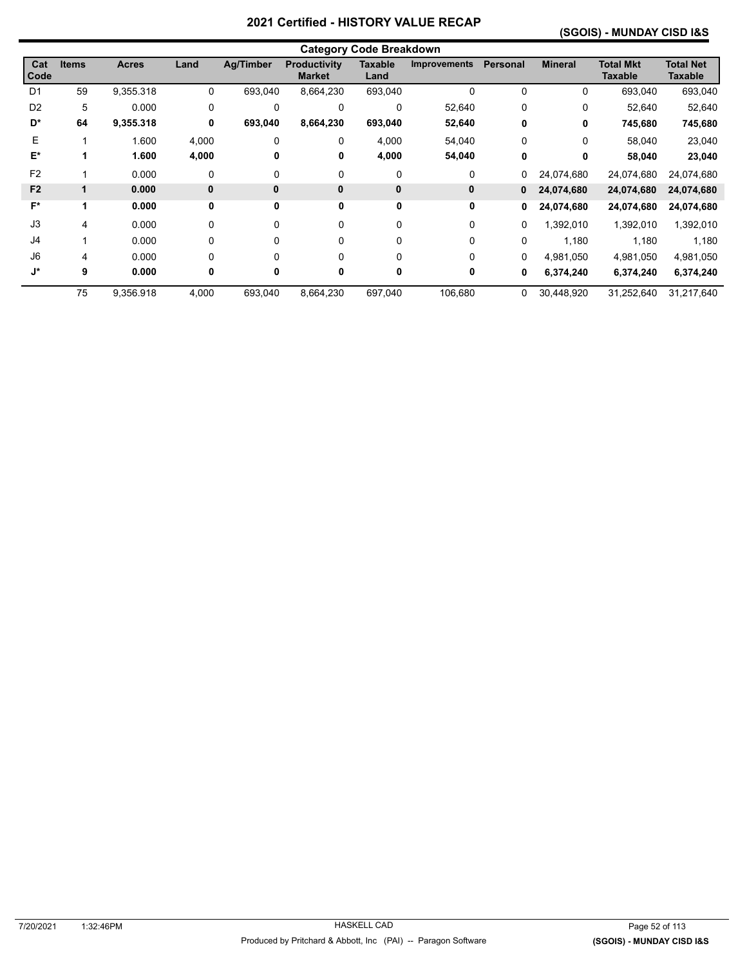# **(SGOIS) - MUNDAY CISD I&S**

|                | <b>Category Code Breakdown</b> |              |              |                  |                                      |                        |                     |          |                |                                    |                             |  |
|----------------|--------------------------------|--------------|--------------|------------------|--------------------------------------|------------------------|---------------------|----------|----------------|------------------------------------|-----------------------------|--|
| Cat<br>Code    | <b>Items</b>                   | <b>Acres</b> | Land         | <b>Ag/Timber</b> | <b>Productivity</b><br><b>Market</b> | <b>Taxable</b><br>Land | <b>Improvements</b> | Personal | <b>Mineral</b> | <b>Total Mkt</b><br><b>Taxable</b> | <b>Total Net</b><br>Taxable |  |
| D <sub>1</sub> | 59                             | 9,355.318    | 0            | 693,040          | 8,664,230                            | 693,040                | 0                   | 0        | 0              | 693,040                            | 693,040                     |  |
| D <sub>2</sub> | 5                              | 0.000        | 0            | $\Omega$         | $\Omega$                             | $\mathbf 0$            | 52,640              | 0        | 0              | 52,640                             | 52,640                      |  |
| D*             | 64                             | 9,355.318    | 0            | 693,040          | 8,664,230                            | 693,040                | 52,640              | 0        | 0              | 745,680                            | 745,680                     |  |
| E              |                                | 1.600        | 4,000        | $\Omega$         | $\Omega$                             | 4,000                  | 54,040              | $\Omega$ | $\Omega$       | 58.040                             | 23,040                      |  |
| $E^*$          |                                | 1.600        | 4,000        | 0                | 0                                    | 4,000                  | 54,040              | 0        | 0              | 58,040                             | 23,040                      |  |
| F <sub>2</sub> |                                | 0.000        | 0            | 0                | 0                                    | 0                      | 0                   | 0        | 24,074,680     | 24,074,680                         | 24,074,680                  |  |
| F <sub>2</sub> | 1                              | 0.000        | $\mathbf{0}$ | $\mathbf{0}$     | $\mathbf{0}$                         | 0                      | 0                   | 0        | 24,074,680     | 24,074,680                         | 24,074,680                  |  |
| $F^*$          | 1                              | 0.000        | 0            | 0                | 0                                    | 0                      | 0                   | 0        | 24,074,680     | 24,074,680                         | 24,074,680                  |  |
| J3             | 4                              | 0.000        | 0            | $\Omega$         | 0                                    | 0                      | 0                   | 0        | 1,392,010      | 1,392,010                          | 1,392,010                   |  |
| J4             |                                | 0.000        | 0            | 0                | 0                                    | 0                      | 0                   | 0        | 1,180          | 1,180                              | 1,180                       |  |
| J6             | 4                              | 0.000        | $\Omega$     | $\Omega$         | $\Omega$                             | $\Omega$               | 0                   | $\Omega$ | 4.981.050      | 4,981,050                          | 4,981,050                   |  |
| J*             | 9                              | 0.000        | 0            | 0                | 0                                    |                        | 0                   | 0        | 6,374,240      | 6,374,240                          | 6,374,240                   |  |
|                | 75                             | 9,356.918    | 4,000        | 693,040          | 8,664,230                            | 697,040                | 106,680             | 0        | 30,448,920     | 31,252,640                         | 31,217,640                  |  |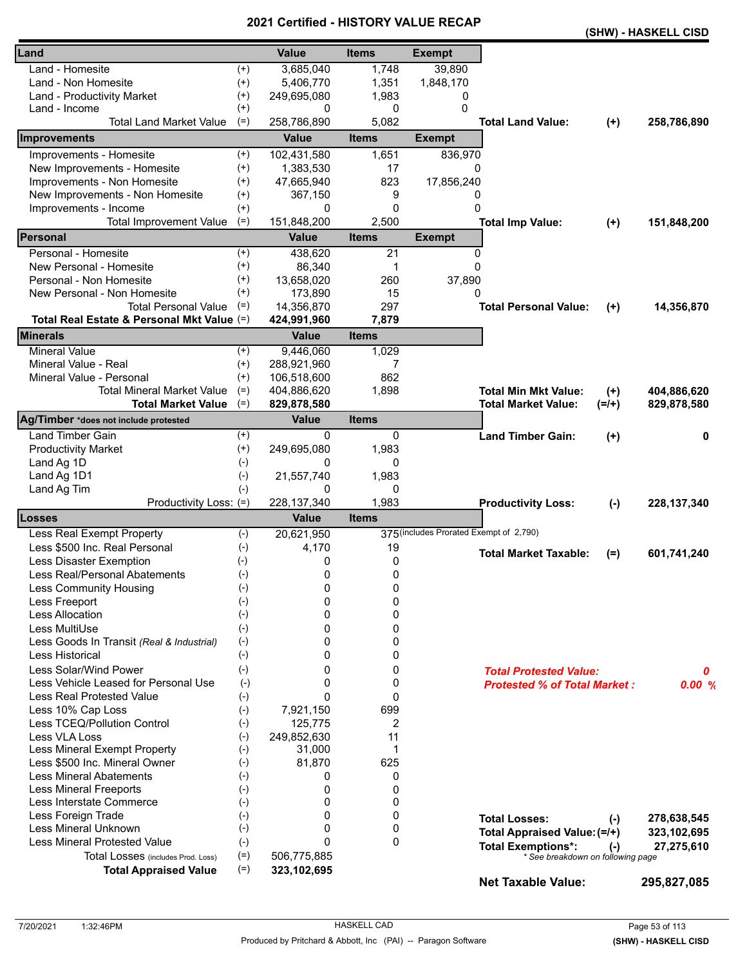|                                            |                    |               |              |                                         |                                     |         | (SHW) - HASKELL CISD |
|--------------------------------------------|--------------------|---------------|--------------|-----------------------------------------|-------------------------------------|---------|----------------------|
| Land                                       |                    | <b>Value</b>  | <b>Items</b> | <b>Exempt</b>                           |                                     |         |                      |
| Land - Homesite                            | $^{(+)}$           | 3,685,040     | 1,748        | 39,890                                  |                                     |         |                      |
| Land - Non Homesite                        | $^{(+)}$           | 5,406,770     | 1,351        | 1,848,170                               |                                     |         |                      |
| Land - Productivity Market                 | $^{(+)}$           | 249,695,080   | 1,983        | 0                                       |                                     |         |                      |
| Land - Income                              | $^{(+)}$           | 0             | 0            | $\Omega$                                |                                     |         |                      |
| <b>Total Land Market Value</b>             | $(=)$              | 258,786,890   | 5,082        |                                         | <b>Total Land Value:</b>            | $(+)$   | 258,786,890          |
| Improvements                               |                    | <b>Value</b>  | <b>Items</b> | <b>Exempt</b>                           |                                     |         |                      |
| Improvements - Homesite                    | $(+)$              | 102,431,580   | 1,651        | 836,970                                 |                                     |         |                      |
| New Improvements - Homesite                | $^{(+)}$           | 1,383,530     | 17           | 0                                       |                                     |         |                      |
| Improvements - Non Homesite                | $^{(+)}$           | 47,665,940    | 823          | 17,856,240                              |                                     |         |                      |
| New Improvements - Non Homesite            | $^{(+)}$           | 367,150       | 9            | 0                                       |                                     |         |                      |
| Improvements - Income                      | $^{(+)}$           | 0             | $\mathbf{0}$ | 0                                       |                                     |         |                      |
| <b>Total Improvement Value</b>             | $(=)$              | 151,848,200   | 2,500        |                                         | <b>Total Imp Value:</b>             | $(+)$   | 151,848,200          |
| Personal                                   |                    | <b>Value</b>  | <b>Items</b> | <b>Exempt</b>                           |                                     |         |                      |
| Personal - Homesite                        | $^{(+)}$           | 438,620       | 21           | 0                                       |                                     |         |                      |
| New Personal - Homesite                    | $^{(+)}$           | 86,340        | 1            | $\Omega$                                |                                     |         |                      |
| Personal - Non Homesite                    | $^{(+)}$           | 13,658,020    | 260          | 37,890                                  |                                     |         |                      |
| New Personal - Non Homesite                | $^{(+)}$           | 173,890       | 15           | 0                                       |                                     |         |                      |
| <b>Total Personal Value</b>                | $(=)$              | 14,356,870    | 297          |                                         | <b>Total Personal Value:</b>        |         |                      |
| Total Real Estate & Personal Mkt Value (=) |                    | 424,991,960   | 7,879        |                                         |                                     | $(+)$   | 14,356,870           |
| <b>Minerals</b>                            |                    | <b>Value</b>  | <b>Items</b> |                                         |                                     |         |                      |
| <b>Mineral Value</b>                       | $^{(+)}$           | 9,446,060     | 1,029        |                                         |                                     |         |                      |
| Mineral Value - Real                       | $^{(+)}$           | 288,921,960   | 7            |                                         |                                     |         |                      |
| Mineral Value - Personal                   | $^{(+)}$           | 106,518,600   | 862          |                                         |                                     |         |                      |
| Total Mineral Market Value                 | $(=)$              | 404,886,620   | 1,898        |                                         | <b>Total Min Mkt Value:</b>         | $(+)$   | 404,886,620          |
| <b>Total Market Value</b>                  | $(=)$              | 829,878,580   |              |                                         | <b>Total Market Value:</b>          | $(=/+)$ | 829,878,580          |
| Ag/Timber *does not include protested      |                    | <b>Value</b>  | <b>Items</b> |                                         |                                     |         |                      |
| Land Timber Gain                           | $^{(+)}$           | 0             | 0            |                                         | <b>Land Timber Gain:</b>            | $(+)$   | 0                    |
| <b>Productivity Market</b>                 | $^{(+)}$           | 249,695,080   | 1,983        |                                         |                                     |         |                      |
| Land Ag 1D                                 | $(-)$              | 0             | 0            |                                         |                                     |         |                      |
| Land Ag 1D1                                | $(-)$              | 21,557,740    | 1,983        |                                         |                                     |         |                      |
| Land Ag Tim                                | $(-)$              | 0             | 0            |                                         |                                     |         |                      |
| Productivity Loss: (=)                     |                    | 228, 137, 340 | 1,983        |                                         | <b>Productivity Loss:</b>           | $(-)$   | 228, 137, 340        |
| Losses                                     |                    | <b>Value</b>  | <b>Items</b> |                                         |                                     |         |                      |
| Less Real Exempt Property                  | $(-)$              | 20,621,950    |              | 375 (includes Prorated Exempt of 2,790) |                                     |         |                      |
| Less \$500 Inc. Real Personal              | $(-)$              | 4,170         | 19           |                                         | <b>Total Market Taxable:</b>        |         |                      |
| Less Disaster Exemption                    | $(-)$              | 0             | 0            |                                         |                                     | $(=)$   | 601,741,240          |
| Less Real/Personal Abatements              | $(-)$              | 0             | 0            |                                         |                                     |         |                      |
| Less Community Housing                     | $(-)$              | 0             | 0            |                                         |                                     |         |                      |
| Less Freeport                              | $(-)$              | 0             | 0            |                                         |                                     |         |                      |
| Less Allocation                            | $(-)$              | 0             | 0            |                                         |                                     |         |                      |
| Less MultiUse                              | $(-)$              | 0             | 0            |                                         |                                     |         |                      |
| Less Goods In Transit (Real & Industrial)  | $(-)$              | 0             | 0            |                                         |                                     |         |                      |
| Less Historical                            | $(-)$              | 0             | 0            |                                         |                                     |         |                      |
| Less Solar/Wind Power                      | $(-)$              | 0             | 0            |                                         | <b>Total Protested Value:</b>       |         | 0                    |
| Less Vehicle Leased for Personal Use       | $(-)$              | 0             | 0            |                                         | <b>Protested % of Total Market:</b> |         | 0.00%                |
| <b>Less Real Protested Value</b>           | $(-)$              | $\Omega$      | 0            |                                         |                                     |         |                      |
| Less 10% Cap Loss                          | $(-)$              | 7,921,150     | 699          |                                         |                                     |         |                      |
| Less TCEQ/Pollution Control                | $(-)$              | 125,775       | 2            |                                         |                                     |         |                      |
| Less VLA Loss                              | $(-)$              | 249,852,630   | 11           |                                         |                                     |         |                      |
| Less Mineral Exempt Property               | $(-)$              | 31,000        | 1            |                                         |                                     |         |                      |
| Less \$500 Inc. Mineral Owner              | $(-)$              | 81,870        | 625          |                                         |                                     |         |                      |
| <b>Less Mineral Abatements</b>             | $(-)$              | 0             | 0            |                                         |                                     |         |                      |
| Less Mineral Freeports                     | $(\textnormal{-})$ | 0             | 0            |                                         |                                     |         |                      |
| Less Interstate Commerce                   | $(-)$              | 0             | 0            |                                         |                                     |         |                      |
| Less Foreign Trade                         | $(-)$              | 0             | 0            |                                         | <b>Total Losses:</b>                | $(-)$   | 278,638,545          |
| Less Mineral Unknown                       | $(-)$              | 0             | 0            |                                         | Total Appraised Value: (=/+)        |         | 323,102,695          |
| <b>Less Mineral Protested Value</b>        | $(-)$              | $\Omega$      | 0            |                                         | <b>Total Exemptions*:</b>           | $(-)$   | 27,275,610           |
| Total Losses (includes Prod. Loss)         | $(=)$              | 506,775,885   |              |                                         | * See breakdown on following page   |         |                      |
| <b>Total Appraised Value</b>               | $(=)$              | 323,102,695   |              |                                         |                                     |         |                      |
|                                            |                    |               |              |                                         | <b>Net Taxable Value:</b>           |         | 295,827,085          |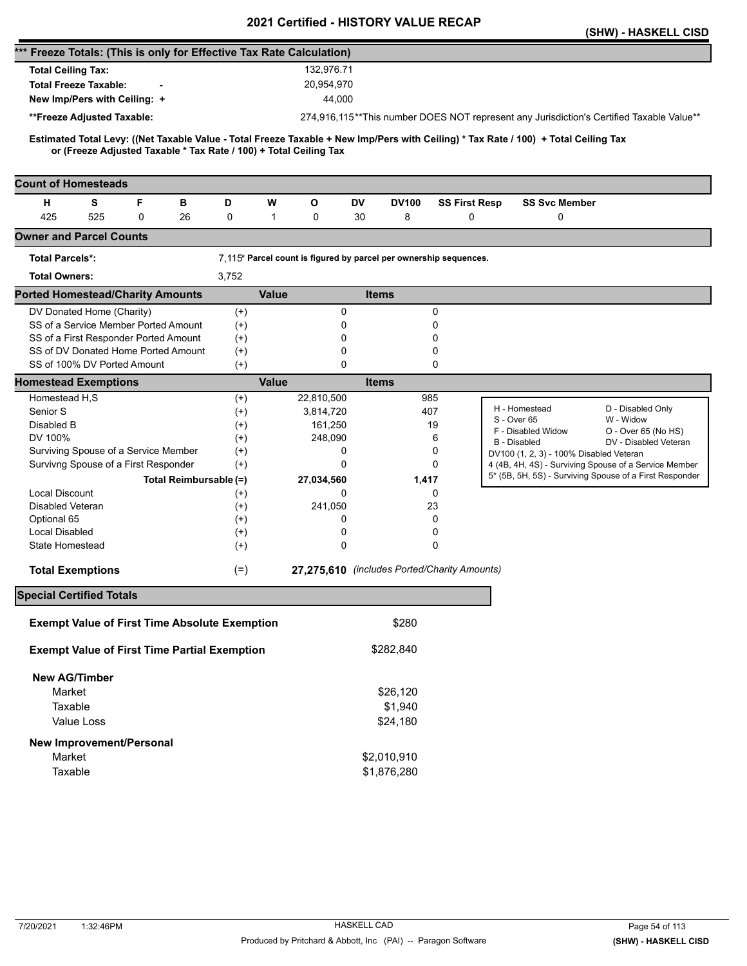|                                                                                                                                                                                                          |                        |                                                                   |              | <b>Certilled - FIISTONT VALUE</b> |                                              |                                         | (SHW) - HASKELL CISD                                                                                             |
|----------------------------------------------------------------------------------------------------------------------------------------------------------------------------------------------------------|------------------------|-------------------------------------------------------------------|--------------|-----------------------------------|----------------------------------------------|-----------------------------------------|------------------------------------------------------------------------------------------------------------------|
| *** Freeze Totals: (This is only for Effective Tax Rate Calculation)                                                                                                                                     |                        |                                                                   |              |                                   |                                              |                                         |                                                                                                                  |
| <b>Total Ceiling Tax:</b>                                                                                                                                                                                |                        |                                                                   | 132,976.71   |                                   |                                              |                                         |                                                                                                                  |
| <b>Total Freeze Taxable:</b>                                                                                                                                                                             |                        |                                                                   | 20,954,970   |                                   |                                              |                                         |                                                                                                                  |
| New Imp/Pers with Ceiling: +                                                                                                                                                                             |                        |                                                                   | 44,000       |                                   |                                              |                                         |                                                                                                                  |
|                                                                                                                                                                                                          |                        |                                                                   |              |                                   |                                              |                                         |                                                                                                                  |
| **Freeze Adjusted Taxable:                                                                                                                                                                               |                        |                                                                   |              |                                   |                                              |                                         | 274,916,115**This number DOES NOT represent any Jurisdiction's Certified Taxable Value**                         |
| Estimated Total Levy: ((Net Taxable Value - Total Freeze Taxable + New Imp/Pers with Ceiling) * Tax Rate / 100) + Total Ceiling Tax<br>or (Freeze Adjusted Taxable * Tax Rate / 100) + Total Ceiling Tax |                        |                                                                   |              |                                   |                                              |                                         |                                                                                                                  |
| <b>Count of Homesteads</b>                                                                                                                                                                               |                        |                                                                   |              |                                   |                                              |                                         |                                                                                                                  |
| F<br>н<br>S<br>в                                                                                                                                                                                         | D                      | W<br>O                                                            | DV           | <b>DV100</b>                      | <b>SS First Resp</b>                         | <b>SS Svc Member</b>                    |                                                                                                                  |
| 425<br>525<br>0<br>26                                                                                                                                                                                    | 0                      | 0<br>$\mathbf{1}$                                                 | 30           | 8                                 | 0                                            | 0                                       |                                                                                                                  |
| <b>Owner and Parcel Counts</b>                                                                                                                                                                           |                        |                                                                   |              |                                   |                                              |                                         |                                                                                                                  |
| <b>Total Parcels*:</b>                                                                                                                                                                                   |                        | 7,115* Parcel count is figured by parcel per ownership sequences. |              |                                   |                                              |                                         |                                                                                                                  |
| <b>Total Owners:</b>                                                                                                                                                                                     | 3,752                  |                                                                   |              |                                   |                                              |                                         |                                                                                                                  |
| <b>Ported Homestead/Charity Amounts</b>                                                                                                                                                                  |                        | <b>Value</b>                                                      |              | <b>Items</b>                      |                                              |                                         |                                                                                                                  |
| DV Donated Home (Charity)                                                                                                                                                                                | $^{(+)}$               |                                                                   | 0            |                                   | 0                                            |                                         |                                                                                                                  |
| SS of a Service Member Ported Amount                                                                                                                                                                     | $^{(+)}$               |                                                                   | 0            |                                   | 0                                            |                                         |                                                                                                                  |
| SS of a First Responder Ported Amount                                                                                                                                                                    | $^{(+)}$               |                                                                   | 0            |                                   | 0                                            |                                         |                                                                                                                  |
| SS of DV Donated Home Ported Amount                                                                                                                                                                      | $^{(+)}$               |                                                                   | 0            |                                   | 0                                            |                                         |                                                                                                                  |
| SS of 100% DV Ported Amount                                                                                                                                                                              | $^{(+)}$               |                                                                   | 0            |                                   | 0                                            |                                         |                                                                                                                  |
| <b>Homestead Exemptions</b>                                                                                                                                                                              |                        | <b>Value</b>                                                      |              | <b>Items</b>                      |                                              |                                         |                                                                                                                  |
| Homestead H,S                                                                                                                                                                                            | $^{(+)}$               | 22,810,500                                                        |              | 985                               |                                              | H - Homestead                           | D - Disabled Only                                                                                                |
| Senior S                                                                                                                                                                                                 | $^{(+)}$               | 3,814,720                                                         |              | 407                               |                                              | S - Over 65                             | W - Widow                                                                                                        |
| Disabled B                                                                                                                                                                                               | $^{(+)}$               |                                                                   | 161,250      |                                   | 19                                           | F - Disabled Widow                      | O - Over 65 (No HS)                                                                                              |
| DV 100%                                                                                                                                                                                                  | $^{(+)}$               |                                                                   | 248,090      |                                   | 6                                            | <b>B</b> - Disabled                     | DV - Disabled Veteran                                                                                            |
| Surviving Spouse of a Service Member                                                                                                                                                                     | $^{(+)}$               |                                                                   | 0<br>0       |                                   | 0<br>0                                       | DV100 (1, 2, 3) - 100% Disabled Veteran |                                                                                                                  |
| Survivng Spouse of a First Responder                                                                                                                                                                     | $^{(+)}$               |                                                                   |              |                                   |                                              |                                         | 4 (4B, 4H, 4S) - Surviving Spouse of a Service Member<br>5* (5B, 5H, 5S) - Surviving Spouse of a First Responder |
|                                                                                                                                                                                                          | Total Reimbursable (=) | 27,034,560                                                        |              | 1,417                             |                                              |                                         |                                                                                                                  |
| <b>Local Discount</b><br>Disabled Veteran                                                                                                                                                                | $^{(+)}$               |                                                                   | 0<br>241,050 |                                   | 0<br>23                                      |                                         |                                                                                                                  |
| Optional 65                                                                                                                                                                                              | $^{(+)}$<br>$^{(+)}$   |                                                                   | 0            |                                   | 0                                            |                                         |                                                                                                                  |
| <b>Local Disabled</b>                                                                                                                                                                                    | $^{(+)}$               |                                                                   | 0            |                                   | 0                                            |                                         |                                                                                                                  |
| State Homestead                                                                                                                                                                                          | $^{(+)}$               |                                                                   | 0            |                                   | $\Omega$                                     |                                         |                                                                                                                  |
|                                                                                                                                                                                                          |                        |                                                                   |              |                                   |                                              |                                         |                                                                                                                  |
| <b>Total Exemptions</b>                                                                                                                                                                                  | $(=)$                  |                                                                   |              |                                   | 27,275,610 (includes Ported/Charity Amounts) |                                         |                                                                                                                  |
| <b>Special Certified Totals</b>                                                                                                                                                                          |                        |                                                                   |              |                                   |                                              |                                         |                                                                                                                  |
| <b>Exempt Value of First Time Absolute Exemption</b>                                                                                                                                                     |                        |                                                                   |              | \$280                             |                                              |                                         |                                                                                                                  |
| <b>Exempt Value of First Time Partial Exemption</b>                                                                                                                                                      |                        |                                                                   |              | \$282,840                         |                                              |                                         |                                                                                                                  |
| <b>New AG/Timber</b>                                                                                                                                                                                     |                        |                                                                   |              |                                   |                                              |                                         |                                                                                                                  |
| Market                                                                                                                                                                                                   |                        |                                                                   |              | \$26,120                          |                                              |                                         |                                                                                                                  |
| Taxable                                                                                                                                                                                                  |                        |                                                                   |              | \$1,940                           |                                              |                                         |                                                                                                                  |
| Value Loss                                                                                                                                                                                               |                        |                                                                   |              | \$24,180                          |                                              |                                         |                                                                                                                  |
| New Improvement/Personal                                                                                                                                                                                 |                        |                                                                   |              |                                   |                                              |                                         |                                                                                                                  |
| Market                                                                                                                                                                                                   |                        |                                                                   |              | \$2,010,910                       |                                              |                                         |                                                                                                                  |
| Taxable                                                                                                                                                                                                  |                        |                                                                   |              | \$1,876,280                       |                                              |                                         |                                                                                                                  |
|                                                                                                                                                                                                          |                        |                                                                   |              |                                   |                                              |                                         |                                                                                                                  |
|                                                                                                                                                                                                          |                        |                                                                   |              |                                   |                                              |                                         |                                                                                                                  |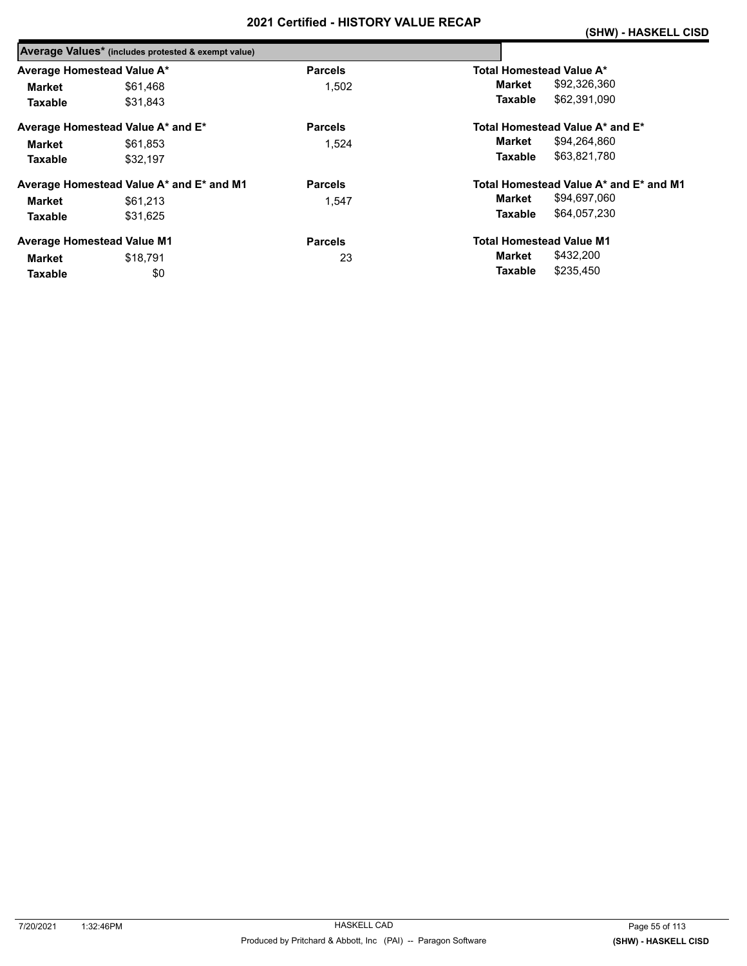|                            | Average Values* (includes protested & exempt value) |                |                                        |
|----------------------------|-----------------------------------------------------|----------------|----------------------------------------|
| Average Homestead Value A* |                                                     | <b>Parcels</b> | Total Homestead Value A*               |
| <b>Market</b>              | \$61,468                                            | 1,502          | \$92,326,360<br>Market                 |
| <b>Taxable</b>             | \$31,843                                            |                | \$62,391,090<br>Taxable                |
|                            | Average Homestead Value A* and E*                   | <b>Parcels</b> | Total Homestead Value A* and E*        |
| Market                     | \$61.853                                            | 1,524          | \$94,264,860<br>Market                 |
| <b>Taxable</b>             | \$32.197                                            |                | Taxable<br>\$63,821,780                |
|                            | Average Homestead Value A* and E* and M1            | <b>Parcels</b> | Total Homestead Value A* and E* and M1 |
| Market                     | \$61,213                                            | 1.547          | \$94,697,060<br>Market                 |
| <b>Taxable</b>             | \$31.625                                            |                | \$64,057,230<br>Taxable                |
|                            | <b>Average Homestead Value M1</b>                   | <b>Parcels</b> | <b>Total Homestead Value M1</b>        |
| <b>Market</b>              | \$18.791                                            | 23             | \$432,200<br>Market                    |
| Taxable                    | \$0                                                 |                | \$235,450<br>Taxable                   |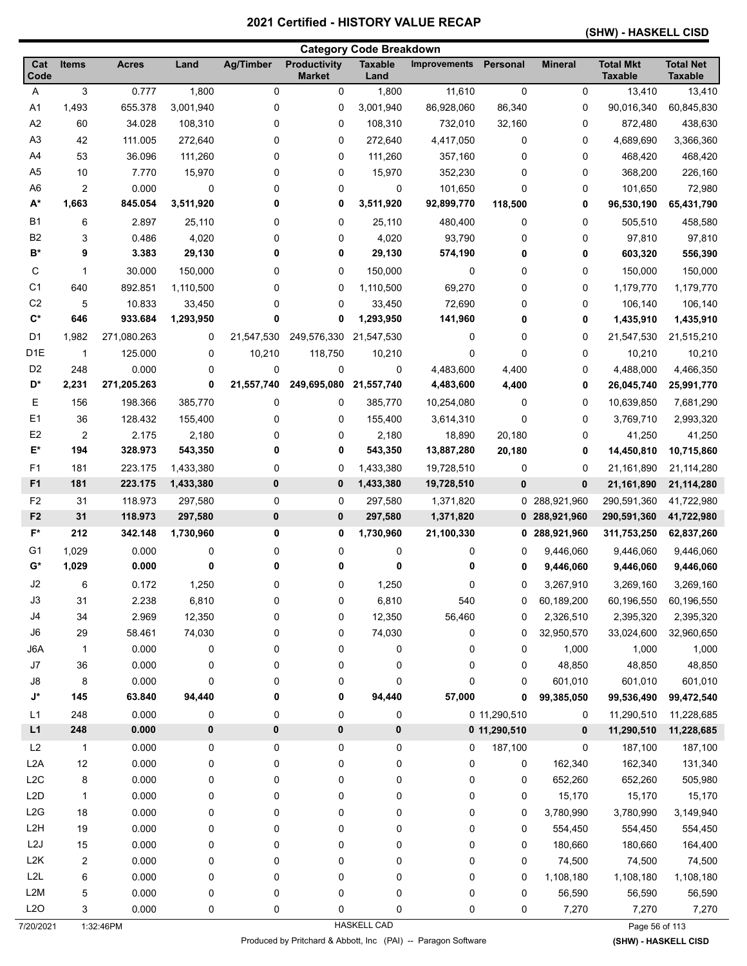#### **(SHW) - HASKELL CISD**

| <b>Productivity</b><br><b>Total Mkt</b><br><b>Total Net</b><br>Cat<br><b>Items</b><br>Land<br><b>Ag/Timber</b><br><b>Taxable</b><br>Personal<br><b>Mineral</b><br><b>Acres</b><br><b>Improvements</b><br>Code<br><b>Market</b><br>Land<br><b>Taxable</b><br><b>Taxable</b><br>3<br>0.777<br>1,800<br>0<br>$\mathbf 0$<br>0<br>13,410<br>A<br>0<br>1,800<br>11,610<br>13,410<br>655.378<br>3,001,940<br>0<br>86,928,060<br>86,340<br>0<br>90,016,340<br>60,845,830<br>A1<br>1,493<br>0<br>3,001,940<br>A <sub>2</sub><br>60<br>34.028<br>0<br>0<br>108,310<br>732,010<br>0<br>438,630<br>108,310<br>32,160<br>872,480<br>A <sub>3</sub><br>3,366,360<br>42<br>111.005<br>272,640<br>0<br>0<br>272,640<br>4,417,050<br>0<br>0<br>4,689,690<br>A4<br>468,420<br>53<br>36.096<br>111,260<br>0<br>0<br>111,260<br>357,160<br>0<br>0<br>468,420<br>A <sub>5</sub><br>7.770<br>10<br>15,970<br>0<br>0<br>15,970<br>352,230<br>0<br>0<br>368,200<br>226,160<br>A <sub>6</sub><br>2<br>0.000<br>0<br>$\mathbf 0$<br>0<br>0<br>0<br>0<br>101,650<br>101,650<br>72,980<br>$A^*$<br>1,663<br>845.054<br>3,511,920<br>0<br>0<br>3,511,920<br>92,899,770<br>118,500<br>0<br>96,530,190<br>65,431,790<br><b>B1</b><br>6<br>2.897<br>25,110<br>0<br>0<br>25,110<br>480,400<br>0<br>0<br>505,510<br>458,580<br>B <sub>2</sub><br>0.486<br>4,020<br>0<br>93,790<br>0<br>97,810<br>0<br>4,020<br>0<br>97,810<br>3<br>B*<br>9<br>3.383<br>29,130<br>0<br>0<br>29,130<br>574,190<br>0<br>0<br>556,390<br>603,320<br>С<br>0<br>1<br>30.000<br>150,000<br>0<br>0<br>150,000<br>0<br>0<br>150,000<br>150,000<br>C <sub>1</sub><br>69,270<br>1,179,770<br>640<br>892.851<br>1,110,500<br>0<br>0<br>1,110,500<br>0<br>0<br>1,179,770<br>C <sub>2</sub><br>0<br>106,140<br>5<br>10.833<br>33,450<br>0<br>0<br>72,690<br>0<br>106,140<br>33,450<br>$\mathbf{C}^*$<br>646<br>933.684<br>1,293,950<br>0<br>0<br>1,293,950<br>141,960<br>0<br>0<br>1,435,910<br>1,435,910<br>D1<br>1,982<br>271,080.263<br>0<br>21,547,530<br>249,576,330<br>21,547,530<br>0<br>0<br>0<br>21,547,530<br>21,515,210<br>D <sub>1</sub> E<br>10,210<br>$\mathbf{1}$<br>125.000<br>0<br>118,750<br>10,210<br>0<br>0<br>0<br>10,210<br>10,210<br>D <sub>2</sub><br>0.000<br>0<br>0<br>4,466,350<br>248<br>0<br>0<br>4,483,600<br>4,400<br>0<br>4,488,000<br>0<br>249,695,080<br>D*<br>2,231<br>271,205.263<br>21,557,740<br>21,557,740<br>4,483,600<br>4,400<br>0<br>26,045,740<br>25,991,770<br>E<br>0<br>0<br>0<br>156<br>198.366<br>385,770<br>385,770<br>0<br>10,639,850<br>7,681,290<br>10,254,080<br>E <sub>1</sub><br>36<br>0<br>128.432<br>155,400<br>0<br>0<br>155,400<br>3,614,310<br>0<br>3,769,710<br>2,993,320<br>E <sub>2</sub><br>$\overline{2}$<br>2.175<br>2,180<br>0<br>0<br>2,180<br>20,180<br>0<br>41,250<br>41,250<br>18,890<br>E*<br>194<br>328.973<br>0<br>0<br>13,887,280<br>543,350<br>543,350<br>20,180<br>0<br>14,450,810<br>10,715,860<br>F <sub>1</sub><br>0<br>0<br>181<br>223.175<br>0<br>1,433,380<br>19,728,510<br>0<br>21,161,890<br>1,433,380<br>21,114,280<br>F <sub>1</sub><br>181<br>223.175<br>1,433,380<br>0<br>$\bf{0}$<br>1,433,380<br>19,728,510<br>$\bf{0}$<br>0<br>21,161,890<br>21,114,280<br>F <sub>2</sub><br>118.973<br>0<br>31<br>297,580<br>0<br>297,580<br>1,371,820<br>288,921,960<br>290,591,360<br>41,722,980<br>0<br>31<br>F <sub>2</sub><br>118.973<br>0<br>0<br>297,580<br>297,580<br>1,371,820<br>0 288,921,960<br>290,591,360<br>41,722,980<br>F*<br>212<br>342.148<br>1,730,960<br>0<br>0<br>1,730,960<br>21,100,330<br>288,921,960<br>311,753,250<br>62,837,260<br>0<br>0.000<br>G1<br>1,029<br>0<br>9,446,060<br>9,446,060<br>9,446,060<br>0<br>0<br>0<br>0<br>0<br>G*<br>1,029<br>0.000<br>0<br>0<br>0<br>0<br>0<br>9,446,060<br>9,446,060<br>9,446,060<br>0<br>J2<br>6<br>0.172<br>1,250<br>0<br>0<br>1,250<br>0<br>0<br>3,267,910<br>3,269,160<br>3,269,160<br>0<br>J3<br>31<br>2.238<br>6,810<br>0<br>6,810<br>540<br>60,189,200<br>60,196,550<br>0<br>60,196,550<br>J4<br>34<br>2.969<br>12,350<br>0<br>12,350<br>56,460<br>2,326,510<br>2,395,320<br>0<br>0<br>2,395,320<br>J6<br>58.461<br>74,030<br>0<br>0<br>74,030<br>0<br>32,950,570<br>33,024,600<br>29<br>0<br>32,960,650<br>0.000<br>J6A<br>0<br>0<br>0<br>0<br>0<br>1,000<br>1,000<br>1,000<br>$\mathbf{1}$<br>0<br>J7<br>36<br>0.000<br>0<br>0<br>0<br>0<br>0<br>0<br>48,850<br>48,850<br>48,850<br>J8<br>0.000<br>0<br>0<br>0<br>0<br>601,010<br>601,010<br>601,010<br>8<br>0<br>0<br>$\mathsf{J}^\star$<br>145<br>94,440<br>0<br>94,440<br>57,000<br>63.840<br>0<br>0<br>99,385,050<br>99,536,490<br>99,472,540<br>0.000<br>L1<br>248<br>0<br>0<br>0<br>$\pmb{0}$<br>0 11,290,510<br>11,290,510<br>11,228,685<br>0<br>$\pmb{0}$<br>L1<br>248<br>0.000<br>0<br>0<br>0<br>0 11,290,510<br>0<br>11,290,510<br>11,228,685<br>L2<br>$\mathbf{1}$<br>0.000<br>0<br>0<br>0<br>$\pmb{0}$<br>0<br>187,100<br>0<br>187,100<br>187,100<br>L2A<br>12<br>0.000<br>0<br>0<br>$\pmb{0}$<br>0<br>162,340<br>162,340<br>131,340<br>0<br>0<br>L <sub>2</sub> C<br>8<br>0.000<br>0<br>$\pmb{0}$<br>0<br>652,260<br>505,980<br>0<br>0<br>0<br>652,260<br>L2D<br>0.000<br>0<br>0<br>$\pmb{0}$<br>0<br>0<br>15,170<br>15,170<br>$\mathbf{1}$<br>0<br>15,170<br>L2G<br>18<br>0.000<br>0<br>0<br>0<br>0<br>0<br>0<br>3,780,990<br>3,149,940<br>3,780,990<br>L <sub>2</sub> H<br>19<br>0.000<br>0<br>0<br>0<br>0<br>0<br>554,450<br>0<br>554,450<br>554,450<br>L2J<br>15<br>0.000<br>0<br>0<br>0<br>0<br>0<br>180,660<br>164,400<br>0<br>180,660<br>L <sub>2</sub> K<br>2<br>0.000<br>0<br>0<br>0<br>$\pmb{0}$<br>0<br>0<br>74,500<br>74,500<br>74,500<br>L2L<br>0<br>0.000<br>0<br>0<br>$\pmb{0}$<br>0<br>0<br>1,108,180<br>1,108,180<br>1,108,180<br>6<br>L2M<br>0<br>0<br>0<br>$\pmb{0}$<br>0<br>0<br>5<br>0.000<br>56,590<br>56,590<br>56,590<br>L2O<br>3<br>0.000<br>0<br>0<br>0<br>0<br>0<br>0<br>7,270<br>7,270<br>7,270 | <b>Category Code Breakdown</b> |  |  |  |  |  |  |  |  |  |  |
|-------------------------------------------------------------------------------------------------------------------------------------------------------------------------------------------------------------------------------------------------------------------------------------------------------------------------------------------------------------------------------------------------------------------------------------------------------------------------------------------------------------------------------------------------------------------------------------------------------------------------------------------------------------------------------------------------------------------------------------------------------------------------------------------------------------------------------------------------------------------------------------------------------------------------------------------------------------------------------------------------------------------------------------------------------------------------------------------------------------------------------------------------------------------------------------------------------------------------------------------------------------------------------------------------------------------------------------------------------------------------------------------------------------------------------------------------------------------------------------------------------------------------------------------------------------------------------------------------------------------------------------------------------------------------------------------------------------------------------------------------------------------------------------------------------------------------------------------------------------------------------------------------------------------------------------------------------------------------------------------------------------------------------------------------------------------------------------------------------------------------------------------------------------------------------------------------------------------------------------------------------------------------------------------------------------------------------------------------------------------------------------------------------------------------------------------------------------------------------------------------------------------------------------------------------------------------------------------------------------------------------------------------------------------------------------------------------------------------------------------------------------------------------------------------------------------------------------------------------------------------------------------------------------------------------------------------------------------------------------------------------------------------------------------------------------------------------------------------------------------------------------------------------------------------------------------------------------------------------------------------------------------------------------------------------------------------------------------------------------------------------------------------------------------------------------------------------------------------------------------------------------------------------------------------------------------------------------------------------------------------------------------------------------------------------------------------------------------------------------------------------------------------------------------------------------------------------------------------------------------------------------------------------------------------------------------------------------------------------------------------------------------------------------------------------------------------------------------------------------------------------------------------------------------------------------------------------------------------------------------------------------------------------------------------------------------------------------------------------------------------------------------------------------------------------------------------------------------------------------------------------------------------------------------------------------------------------------------------------------------------------------------------------------------------------------------------------------------------------------------------------------------------------------------------------------------------------------------------------------------------------------------------------------------------------------------------------------------------------------------------------------------------------------------------------------------------------------------------------------------------------------------------------------------------------------------------------------------------------------------------------------------------------------------------------------------------------------------------------------------------------------------------------------------------------------------------------------------------------------------------------------------------------------------------------------------------------------------------------------------------------------------------------------------------------------------------------------------------------------------------------------------------------------------------------------------------------------------------------------------------------------|--------------------------------|--|--|--|--|--|--|--|--|--|--|
|                                                                                                                                                                                                                                                                                                                                                                                                                                                                                                                                                                                                                                                                                                                                                                                                                                                                                                                                                                                                                                                                                                                                                                                                                                                                                                                                                                                                                                                                                                                                                                                                                                                                                                                                                                                                                                                                                                                                                                                                                                                                                                                                                                                                                                                                                                                                                                                                                                                                                                                                                                                                                                                                                                                                                                                                                                                                                                                                                                                                                                                                                                                                                                                                                                                                                                                                                                                                                                                                                                                                                                                                                                                                                                                                                                                                                                                                                                                                                                                                                                                                                                                                                                                                                                                                                                                                                                                                                                                                                                                                                                                                                                                                                                                                                                                                                                                                                                                                                                                                                                                                                                                                                                                                                                                                                                                                                                                                                                                                                                                                                                                                                                                                                                                                                                                                                                                                                     |                                |  |  |  |  |  |  |  |  |  |  |
|                                                                                                                                                                                                                                                                                                                                                                                                                                                                                                                                                                                                                                                                                                                                                                                                                                                                                                                                                                                                                                                                                                                                                                                                                                                                                                                                                                                                                                                                                                                                                                                                                                                                                                                                                                                                                                                                                                                                                                                                                                                                                                                                                                                                                                                                                                                                                                                                                                                                                                                                                                                                                                                                                                                                                                                                                                                                                                                                                                                                                                                                                                                                                                                                                                                                                                                                                                                                                                                                                                                                                                                                                                                                                                                                                                                                                                                                                                                                                                                                                                                                                                                                                                                                                                                                                                                                                                                                                                                                                                                                                                                                                                                                                                                                                                                                                                                                                                                                                                                                                                                                                                                                                                                                                                                                                                                                                                                                                                                                                                                                                                                                                                                                                                                                                                                                                                                                                     |                                |  |  |  |  |  |  |  |  |  |  |
|                                                                                                                                                                                                                                                                                                                                                                                                                                                                                                                                                                                                                                                                                                                                                                                                                                                                                                                                                                                                                                                                                                                                                                                                                                                                                                                                                                                                                                                                                                                                                                                                                                                                                                                                                                                                                                                                                                                                                                                                                                                                                                                                                                                                                                                                                                                                                                                                                                                                                                                                                                                                                                                                                                                                                                                                                                                                                                                                                                                                                                                                                                                                                                                                                                                                                                                                                                                                                                                                                                                                                                                                                                                                                                                                                                                                                                                                                                                                                                                                                                                                                                                                                                                                                                                                                                                                                                                                                                                                                                                                                                                                                                                                                                                                                                                                                                                                                                                                                                                                                                                                                                                                                                                                                                                                                                                                                                                                                                                                                                                                                                                                                                                                                                                                                                                                                                                                                     |                                |  |  |  |  |  |  |  |  |  |  |
|                                                                                                                                                                                                                                                                                                                                                                                                                                                                                                                                                                                                                                                                                                                                                                                                                                                                                                                                                                                                                                                                                                                                                                                                                                                                                                                                                                                                                                                                                                                                                                                                                                                                                                                                                                                                                                                                                                                                                                                                                                                                                                                                                                                                                                                                                                                                                                                                                                                                                                                                                                                                                                                                                                                                                                                                                                                                                                                                                                                                                                                                                                                                                                                                                                                                                                                                                                                                                                                                                                                                                                                                                                                                                                                                                                                                                                                                                                                                                                                                                                                                                                                                                                                                                                                                                                                                                                                                                                                                                                                                                                                                                                                                                                                                                                                                                                                                                                                                                                                                                                                                                                                                                                                                                                                                                                                                                                                                                                                                                                                                                                                                                                                                                                                                                                                                                                                                                     |                                |  |  |  |  |  |  |  |  |  |  |
|                                                                                                                                                                                                                                                                                                                                                                                                                                                                                                                                                                                                                                                                                                                                                                                                                                                                                                                                                                                                                                                                                                                                                                                                                                                                                                                                                                                                                                                                                                                                                                                                                                                                                                                                                                                                                                                                                                                                                                                                                                                                                                                                                                                                                                                                                                                                                                                                                                                                                                                                                                                                                                                                                                                                                                                                                                                                                                                                                                                                                                                                                                                                                                                                                                                                                                                                                                                                                                                                                                                                                                                                                                                                                                                                                                                                                                                                                                                                                                                                                                                                                                                                                                                                                                                                                                                                                                                                                                                                                                                                                                                                                                                                                                                                                                                                                                                                                                                                                                                                                                                                                                                                                                                                                                                                                                                                                                                                                                                                                                                                                                                                                                                                                                                                                                                                                                                                                     |                                |  |  |  |  |  |  |  |  |  |  |
|                                                                                                                                                                                                                                                                                                                                                                                                                                                                                                                                                                                                                                                                                                                                                                                                                                                                                                                                                                                                                                                                                                                                                                                                                                                                                                                                                                                                                                                                                                                                                                                                                                                                                                                                                                                                                                                                                                                                                                                                                                                                                                                                                                                                                                                                                                                                                                                                                                                                                                                                                                                                                                                                                                                                                                                                                                                                                                                                                                                                                                                                                                                                                                                                                                                                                                                                                                                                                                                                                                                                                                                                                                                                                                                                                                                                                                                                                                                                                                                                                                                                                                                                                                                                                                                                                                                                                                                                                                                                                                                                                                                                                                                                                                                                                                                                                                                                                                                                                                                                                                                                                                                                                                                                                                                                                                                                                                                                                                                                                                                                                                                                                                                                                                                                                                                                                                                                                     |                                |  |  |  |  |  |  |  |  |  |  |
|                                                                                                                                                                                                                                                                                                                                                                                                                                                                                                                                                                                                                                                                                                                                                                                                                                                                                                                                                                                                                                                                                                                                                                                                                                                                                                                                                                                                                                                                                                                                                                                                                                                                                                                                                                                                                                                                                                                                                                                                                                                                                                                                                                                                                                                                                                                                                                                                                                                                                                                                                                                                                                                                                                                                                                                                                                                                                                                                                                                                                                                                                                                                                                                                                                                                                                                                                                                                                                                                                                                                                                                                                                                                                                                                                                                                                                                                                                                                                                                                                                                                                                                                                                                                                                                                                                                                                                                                                                                                                                                                                                                                                                                                                                                                                                                                                                                                                                                                                                                                                                                                                                                                                                                                                                                                                                                                                                                                                                                                                                                                                                                                                                                                                                                                                                                                                                                                                     |                                |  |  |  |  |  |  |  |  |  |  |
|                                                                                                                                                                                                                                                                                                                                                                                                                                                                                                                                                                                                                                                                                                                                                                                                                                                                                                                                                                                                                                                                                                                                                                                                                                                                                                                                                                                                                                                                                                                                                                                                                                                                                                                                                                                                                                                                                                                                                                                                                                                                                                                                                                                                                                                                                                                                                                                                                                                                                                                                                                                                                                                                                                                                                                                                                                                                                                                                                                                                                                                                                                                                                                                                                                                                                                                                                                                                                                                                                                                                                                                                                                                                                                                                                                                                                                                                                                                                                                                                                                                                                                                                                                                                                                                                                                                                                                                                                                                                                                                                                                                                                                                                                                                                                                                                                                                                                                                                                                                                                                                                                                                                                                                                                                                                                                                                                                                                                                                                                                                                                                                                                                                                                                                                                                                                                                                                                     |                                |  |  |  |  |  |  |  |  |  |  |
|                                                                                                                                                                                                                                                                                                                                                                                                                                                                                                                                                                                                                                                                                                                                                                                                                                                                                                                                                                                                                                                                                                                                                                                                                                                                                                                                                                                                                                                                                                                                                                                                                                                                                                                                                                                                                                                                                                                                                                                                                                                                                                                                                                                                                                                                                                                                                                                                                                                                                                                                                                                                                                                                                                                                                                                                                                                                                                                                                                                                                                                                                                                                                                                                                                                                                                                                                                                                                                                                                                                                                                                                                                                                                                                                                                                                                                                                                                                                                                                                                                                                                                                                                                                                                                                                                                                                                                                                                                                                                                                                                                                                                                                                                                                                                                                                                                                                                                                                                                                                                                                                                                                                                                                                                                                                                                                                                                                                                                                                                                                                                                                                                                                                                                                                                                                                                                                                                     |                                |  |  |  |  |  |  |  |  |  |  |
|                                                                                                                                                                                                                                                                                                                                                                                                                                                                                                                                                                                                                                                                                                                                                                                                                                                                                                                                                                                                                                                                                                                                                                                                                                                                                                                                                                                                                                                                                                                                                                                                                                                                                                                                                                                                                                                                                                                                                                                                                                                                                                                                                                                                                                                                                                                                                                                                                                                                                                                                                                                                                                                                                                                                                                                                                                                                                                                                                                                                                                                                                                                                                                                                                                                                                                                                                                                                                                                                                                                                                                                                                                                                                                                                                                                                                                                                                                                                                                                                                                                                                                                                                                                                                                                                                                                                                                                                                                                                                                                                                                                                                                                                                                                                                                                                                                                                                                                                                                                                                                                                                                                                                                                                                                                                                                                                                                                                                                                                                                                                                                                                                                                                                                                                                                                                                                                                                     |                                |  |  |  |  |  |  |  |  |  |  |
|                                                                                                                                                                                                                                                                                                                                                                                                                                                                                                                                                                                                                                                                                                                                                                                                                                                                                                                                                                                                                                                                                                                                                                                                                                                                                                                                                                                                                                                                                                                                                                                                                                                                                                                                                                                                                                                                                                                                                                                                                                                                                                                                                                                                                                                                                                                                                                                                                                                                                                                                                                                                                                                                                                                                                                                                                                                                                                                                                                                                                                                                                                                                                                                                                                                                                                                                                                                                                                                                                                                                                                                                                                                                                                                                                                                                                                                                                                                                                                                                                                                                                                                                                                                                                                                                                                                                                                                                                                                                                                                                                                                                                                                                                                                                                                                                                                                                                                                                                                                                                                                                                                                                                                                                                                                                                                                                                                                                                                                                                                                                                                                                                                                                                                                                                                                                                                                                                     |                                |  |  |  |  |  |  |  |  |  |  |
|                                                                                                                                                                                                                                                                                                                                                                                                                                                                                                                                                                                                                                                                                                                                                                                                                                                                                                                                                                                                                                                                                                                                                                                                                                                                                                                                                                                                                                                                                                                                                                                                                                                                                                                                                                                                                                                                                                                                                                                                                                                                                                                                                                                                                                                                                                                                                                                                                                                                                                                                                                                                                                                                                                                                                                                                                                                                                                                                                                                                                                                                                                                                                                                                                                                                                                                                                                                                                                                                                                                                                                                                                                                                                                                                                                                                                                                                                                                                                                                                                                                                                                                                                                                                                                                                                                                                                                                                                                                                                                                                                                                                                                                                                                                                                                                                                                                                                                                                                                                                                                                                                                                                                                                                                                                                                                                                                                                                                                                                                                                                                                                                                                                                                                                                                                                                                                                                                     |                                |  |  |  |  |  |  |  |  |  |  |
|                                                                                                                                                                                                                                                                                                                                                                                                                                                                                                                                                                                                                                                                                                                                                                                                                                                                                                                                                                                                                                                                                                                                                                                                                                                                                                                                                                                                                                                                                                                                                                                                                                                                                                                                                                                                                                                                                                                                                                                                                                                                                                                                                                                                                                                                                                                                                                                                                                                                                                                                                                                                                                                                                                                                                                                                                                                                                                                                                                                                                                                                                                                                                                                                                                                                                                                                                                                                                                                                                                                                                                                                                                                                                                                                                                                                                                                                                                                                                                                                                                                                                                                                                                                                                                                                                                                                                                                                                                                                                                                                                                                                                                                                                                                                                                                                                                                                                                                                                                                                                                                                                                                                                                                                                                                                                                                                                                                                                                                                                                                                                                                                                                                                                                                                                                                                                                                                                     |                                |  |  |  |  |  |  |  |  |  |  |
|                                                                                                                                                                                                                                                                                                                                                                                                                                                                                                                                                                                                                                                                                                                                                                                                                                                                                                                                                                                                                                                                                                                                                                                                                                                                                                                                                                                                                                                                                                                                                                                                                                                                                                                                                                                                                                                                                                                                                                                                                                                                                                                                                                                                                                                                                                                                                                                                                                                                                                                                                                                                                                                                                                                                                                                                                                                                                                                                                                                                                                                                                                                                                                                                                                                                                                                                                                                                                                                                                                                                                                                                                                                                                                                                                                                                                                                                                                                                                                                                                                                                                                                                                                                                                                                                                                                                                                                                                                                                                                                                                                                                                                                                                                                                                                                                                                                                                                                                                                                                                                                                                                                                                                                                                                                                                                                                                                                                                                                                                                                                                                                                                                                                                                                                                                                                                                                                                     |                                |  |  |  |  |  |  |  |  |  |  |
|                                                                                                                                                                                                                                                                                                                                                                                                                                                                                                                                                                                                                                                                                                                                                                                                                                                                                                                                                                                                                                                                                                                                                                                                                                                                                                                                                                                                                                                                                                                                                                                                                                                                                                                                                                                                                                                                                                                                                                                                                                                                                                                                                                                                                                                                                                                                                                                                                                                                                                                                                                                                                                                                                                                                                                                                                                                                                                                                                                                                                                                                                                                                                                                                                                                                                                                                                                                                                                                                                                                                                                                                                                                                                                                                                                                                                                                                                                                                                                                                                                                                                                                                                                                                                                                                                                                                                                                                                                                                                                                                                                                                                                                                                                                                                                                                                                                                                                                                                                                                                                                                                                                                                                                                                                                                                                                                                                                                                                                                                                                                                                                                                                                                                                                                                                                                                                                                                     |                                |  |  |  |  |  |  |  |  |  |  |
|                                                                                                                                                                                                                                                                                                                                                                                                                                                                                                                                                                                                                                                                                                                                                                                                                                                                                                                                                                                                                                                                                                                                                                                                                                                                                                                                                                                                                                                                                                                                                                                                                                                                                                                                                                                                                                                                                                                                                                                                                                                                                                                                                                                                                                                                                                                                                                                                                                                                                                                                                                                                                                                                                                                                                                                                                                                                                                                                                                                                                                                                                                                                                                                                                                                                                                                                                                                                                                                                                                                                                                                                                                                                                                                                                                                                                                                                                                                                                                                                                                                                                                                                                                                                                                                                                                                                                                                                                                                                                                                                                                                                                                                                                                                                                                                                                                                                                                                                                                                                                                                                                                                                                                                                                                                                                                                                                                                                                                                                                                                                                                                                                                                                                                                                                                                                                                                                                     |                                |  |  |  |  |  |  |  |  |  |  |
|                                                                                                                                                                                                                                                                                                                                                                                                                                                                                                                                                                                                                                                                                                                                                                                                                                                                                                                                                                                                                                                                                                                                                                                                                                                                                                                                                                                                                                                                                                                                                                                                                                                                                                                                                                                                                                                                                                                                                                                                                                                                                                                                                                                                                                                                                                                                                                                                                                                                                                                                                                                                                                                                                                                                                                                                                                                                                                                                                                                                                                                                                                                                                                                                                                                                                                                                                                                                                                                                                                                                                                                                                                                                                                                                                                                                                                                                                                                                                                                                                                                                                                                                                                                                                                                                                                                                                                                                                                                                                                                                                                                                                                                                                                                                                                                                                                                                                                                                                                                                                                                                                                                                                                                                                                                                                                                                                                                                                                                                                                                                                                                                                                                                                                                                                                                                                                                                                     |                                |  |  |  |  |  |  |  |  |  |  |
|                                                                                                                                                                                                                                                                                                                                                                                                                                                                                                                                                                                                                                                                                                                                                                                                                                                                                                                                                                                                                                                                                                                                                                                                                                                                                                                                                                                                                                                                                                                                                                                                                                                                                                                                                                                                                                                                                                                                                                                                                                                                                                                                                                                                                                                                                                                                                                                                                                                                                                                                                                                                                                                                                                                                                                                                                                                                                                                                                                                                                                                                                                                                                                                                                                                                                                                                                                                                                                                                                                                                                                                                                                                                                                                                                                                                                                                                                                                                                                                                                                                                                                                                                                                                                                                                                                                                                                                                                                                                                                                                                                                                                                                                                                                                                                                                                                                                                                                                                                                                                                                                                                                                                                                                                                                                                                                                                                                                                                                                                                                                                                                                                                                                                                                                                                                                                                                                                     |                                |  |  |  |  |  |  |  |  |  |  |
|                                                                                                                                                                                                                                                                                                                                                                                                                                                                                                                                                                                                                                                                                                                                                                                                                                                                                                                                                                                                                                                                                                                                                                                                                                                                                                                                                                                                                                                                                                                                                                                                                                                                                                                                                                                                                                                                                                                                                                                                                                                                                                                                                                                                                                                                                                                                                                                                                                                                                                                                                                                                                                                                                                                                                                                                                                                                                                                                                                                                                                                                                                                                                                                                                                                                                                                                                                                                                                                                                                                                                                                                                                                                                                                                                                                                                                                                                                                                                                                                                                                                                                                                                                                                                                                                                                                                                                                                                                                                                                                                                                                                                                                                                                                                                                                                                                                                                                                                                                                                                                                                                                                                                                                                                                                                                                                                                                                                                                                                                                                                                                                                                                                                                                                                                                                                                                                                                     |                                |  |  |  |  |  |  |  |  |  |  |
|                                                                                                                                                                                                                                                                                                                                                                                                                                                                                                                                                                                                                                                                                                                                                                                                                                                                                                                                                                                                                                                                                                                                                                                                                                                                                                                                                                                                                                                                                                                                                                                                                                                                                                                                                                                                                                                                                                                                                                                                                                                                                                                                                                                                                                                                                                                                                                                                                                                                                                                                                                                                                                                                                                                                                                                                                                                                                                                                                                                                                                                                                                                                                                                                                                                                                                                                                                                                                                                                                                                                                                                                                                                                                                                                                                                                                                                                                                                                                                                                                                                                                                                                                                                                                                                                                                                                                                                                                                                                                                                                                                                                                                                                                                                                                                                                                                                                                                                                                                                                                                                                                                                                                                                                                                                                                                                                                                                                                                                                                                                                                                                                                                                                                                                                                                                                                                                                                     |                                |  |  |  |  |  |  |  |  |  |  |
|                                                                                                                                                                                                                                                                                                                                                                                                                                                                                                                                                                                                                                                                                                                                                                                                                                                                                                                                                                                                                                                                                                                                                                                                                                                                                                                                                                                                                                                                                                                                                                                                                                                                                                                                                                                                                                                                                                                                                                                                                                                                                                                                                                                                                                                                                                                                                                                                                                                                                                                                                                                                                                                                                                                                                                                                                                                                                                                                                                                                                                                                                                                                                                                                                                                                                                                                                                                                                                                                                                                                                                                                                                                                                                                                                                                                                                                                                                                                                                                                                                                                                                                                                                                                                                                                                                                                                                                                                                                                                                                                                                                                                                                                                                                                                                                                                                                                                                                                                                                                                                                                                                                                                                                                                                                                                                                                                                                                                                                                                                                                                                                                                                                                                                                                                                                                                                                                                     |                                |  |  |  |  |  |  |  |  |  |  |
|                                                                                                                                                                                                                                                                                                                                                                                                                                                                                                                                                                                                                                                                                                                                                                                                                                                                                                                                                                                                                                                                                                                                                                                                                                                                                                                                                                                                                                                                                                                                                                                                                                                                                                                                                                                                                                                                                                                                                                                                                                                                                                                                                                                                                                                                                                                                                                                                                                                                                                                                                                                                                                                                                                                                                                                                                                                                                                                                                                                                                                                                                                                                                                                                                                                                                                                                                                                                                                                                                                                                                                                                                                                                                                                                                                                                                                                                                                                                                                                                                                                                                                                                                                                                                                                                                                                                                                                                                                                                                                                                                                                                                                                                                                                                                                                                                                                                                                                                                                                                                                                                                                                                                                                                                                                                                                                                                                                                                                                                                                                                                                                                                                                                                                                                                                                                                                                                                     |                                |  |  |  |  |  |  |  |  |  |  |
|                                                                                                                                                                                                                                                                                                                                                                                                                                                                                                                                                                                                                                                                                                                                                                                                                                                                                                                                                                                                                                                                                                                                                                                                                                                                                                                                                                                                                                                                                                                                                                                                                                                                                                                                                                                                                                                                                                                                                                                                                                                                                                                                                                                                                                                                                                                                                                                                                                                                                                                                                                                                                                                                                                                                                                                                                                                                                                                                                                                                                                                                                                                                                                                                                                                                                                                                                                                                                                                                                                                                                                                                                                                                                                                                                                                                                                                                                                                                                                                                                                                                                                                                                                                                                                                                                                                                                                                                                                                                                                                                                                                                                                                                                                                                                                                                                                                                                                                                                                                                                                                                                                                                                                                                                                                                                                                                                                                                                                                                                                                                                                                                                                                                                                                                                                                                                                                                                     |                                |  |  |  |  |  |  |  |  |  |  |
|                                                                                                                                                                                                                                                                                                                                                                                                                                                                                                                                                                                                                                                                                                                                                                                                                                                                                                                                                                                                                                                                                                                                                                                                                                                                                                                                                                                                                                                                                                                                                                                                                                                                                                                                                                                                                                                                                                                                                                                                                                                                                                                                                                                                                                                                                                                                                                                                                                                                                                                                                                                                                                                                                                                                                                                                                                                                                                                                                                                                                                                                                                                                                                                                                                                                                                                                                                                                                                                                                                                                                                                                                                                                                                                                                                                                                                                                                                                                                                                                                                                                                                                                                                                                                                                                                                                                                                                                                                                                                                                                                                                                                                                                                                                                                                                                                                                                                                                                                                                                                                                                                                                                                                                                                                                                                                                                                                                                                                                                                                                                                                                                                                                                                                                                                                                                                                                                                     |                                |  |  |  |  |  |  |  |  |  |  |
|                                                                                                                                                                                                                                                                                                                                                                                                                                                                                                                                                                                                                                                                                                                                                                                                                                                                                                                                                                                                                                                                                                                                                                                                                                                                                                                                                                                                                                                                                                                                                                                                                                                                                                                                                                                                                                                                                                                                                                                                                                                                                                                                                                                                                                                                                                                                                                                                                                                                                                                                                                                                                                                                                                                                                                                                                                                                                                                                                                                                                                                                                                                                                                                                                                                                                                                                                                                                                                                                                                                                                                                                                                                                                                                                                                                                                                                                                                                                                                                                                                                                                                                                                                                                                                                                                                                                                                                                                                                                                                                                                                                                                                                                                                                                                                                                                                                                                                                                                                                                                                                                                                                                                                                                                                                                                                                                                                                                                                                                                                                                                                                                                                                                                                                                                                                                                                                                                     |                                |  |  |  |  |  |  |  |  |  |  |
|                                                                                                                                                                                                                                                                                                                                                                                                                                                                                                                                                                                                                                                                                                                                                                                                                                                                                                                                                                                                                                                                                                                                                                                                                                                                                                                                                                                                                                                                                                                                                                                                                                                                                                                                                                                                                                                                                                                                                                                                                                                                                                                                                                                                                                                                                                                                                                                                                                                                                                                                                                                                                                                                                                                                                                                                                                                                                                                                                                                                                                                                                                                                                                                                                                                                                                                                                                                                                                                                                                                                                                                                                                                                                                                                                                                                                                                                                                                                                                                                                                                                                                                                                                                                                                                                                                                                                                                                                                                                                                                                                                                                                                                                                                                                                                                                                                                                                                                                                                                                                                                                                                                                                                                                                                                                                                                                                                                                                                                                                                                                                                                                                                                                                                                                                                                                                                                                                     |                                |  |  |  |  |  |  |  |  |  |  |
|                                                                                                                                                                                                                                                                                                                                                                                                                                                                                                                                                                                                                                                                                                                                                                                                                                                                                                                                                                                                                                                                                                                                                                                                                                                                                                                                                                                                                                                                                                                                                                                                                                                                                                                                                                                                                                                                                                                                                                                                                                                                                                                                                                                                                                                                                                                                                                                                                                                                                                                                                                                                                                                                                                                                                                                                                                                                                                                                                                                                                                                                                                                                                                                                                                                                                                                                                                                                                                                                                                                                                                                                                                                                                                                                                                                                                                                                                                                                                                                                                                                                                                                                                                                                                                                                                                                                                                                                                                                                                                                                                                                                                                                                                                                                                                                                                                                                                                                                                                                                                                                                                                                                                                                                                                                                                                                                                                                                                                                                                                                                                                                                                                                                                                                                                                                                                                                                                     |                                |  |  |  |  |  |  |  |  |  |  |
|                                                                                                                                                                                                                                                                                                                                                                                                                                                                                                                                                                                                                                                                                                                                                                                                                                                                                                                                                                                                                                                                                                                                                                                                                                                                                                                                                                                                                                                                                                                                                                                                                                                                                                                                                                                                                                                                                                                                                                                                                                                                                                                                                                                                                                                                                                                                                                                                                                                                                                                                                                                                                                                                                                                                                                                                                                                                                                                                                                                                                                                                                                                                                                                                                                                                                                                                                                                                                                                                                                                                                                                                                                                                                                                                                                                                                                                                                                                                                                                                                                                                                                                                                                                                                                                                                                                                                                                                                                                                                                                                                                                                                                                                                                                                                                                                                                                                                                                                                                                                                                                                                                                                                                                                                                                                                                                                                                                                                                                                                                                                                                                                                                                                                                                                                                                                                                                                                     |                                |  |  |  |  |  |  |  |  |  |  |
|                                                                                                                                                                                                                                                                                                                                                                                                                                                                                                                                                                                                                                                                                                                                                                                                                                                                                                                                                                                                                                                                                                                                                                                                                                                                                                                                                                                                                                                                                                                                                                                                                                                                                                                                                                                                                                                                                                                                                                                                                                                                                                                                                                                                                                                                                                                                                                                                                                                                                                                                                                                                                                                                                                                                                                                                                                                                                                                                                                                                                                                                                                                                                                                                                                                                                                                                                                                                                                                                                                                                                                                                                                                                                                                                                                                                                                                                                                                                                                                                                                                                                                                                                                                                                                                                                                                                                                                                                                                                                                                                                                                                                                                                                                                                                                                                                                                                                                                                                                                                                                                                                                                                                                                                                                                                                                                                                                                                                                                                                                                                                                                                                                                                                                                                                                                                                                                                                     |                                |  |  |  |  |  |  |  |  |  |  |
|                                                                                                                                                                                                                                                                                                                                                                                                                                                                                                                                                                                                                                                                                                                                                                                                                                                                                                                                                                                                                                                                                                                                                                                                                                                                                                                                                                                                                                                                                                                                                                                                                                                                                                                                                                                                                                                                                                                                                                                                                                                                                                                                                                                                                                                                                                                                                                                                                                                                                                                                                                                                                                                                                                                                                                                                                                                                                                                                                                                                                                                                                                                                                                                                                                                                                                                                                                                                                                                                                                                                                                                                                                                                                                                                                                                                                                                                                                                                                                                                                                                                                                                                                                                                                                                                                                                                                                                                                                                                                                                                                                                                                                                                                                                                                                                                                                                                                                                                                                                                                                                                                                                                                                                                                                                                                                                                                                                                                                                                                                                                                                                                                                                                                                                                                                                                                                                                                     |                                |  |  |  |  |  |  |  |  |  |  |
|                                                                                                                                                                                                                                                                                                                                                                                                                                                                                                                                                                                                                                                                                                                                                                                                                                                                                                                                                                                                                                                                                                                                                                                                                                                                                                                                                                                                                                                                                                                                                                                                                                                                                                                                                                                                                                                                                                                                                                                                                                                                                                                                                                                                                                                                                                                                                                                                                                                                                                                                                                                                                                                                                                                                                                                                                                                                                                                                                                                                                                                                                                                                                                                                                                                                                                                                                                                                                                                                                                                                                                                                                                                                                                                                                                                                                                                                                                                                                                                                                                                                                                                                                                                                                                                                                                                                                                                                                                                                                                                                                                                                                                                                                                                                                                                                                                                                                                                                                                                                                                                                                                                                                                                                                                                                                                                                                                                                                                                                                                                                                                                                                                                                                                                                                                                                                                                                                     |                                |  |  |  |  |  |  |  |  |  |  |
|                                                                                                                                                                                                                                                                                                                                                                                                                                                                                                                                                                                                                                                                                                                                                                                                                                                                                                                                                                                                                                                                                                                                                                                                                                                                                                                                                                                                                                                                                                                                                                                                                                                                                                                                                                                                                                                                                                                                                                                                                                                                                                                                                                                                                                                                                                                                                                                                                                                                                                                                                                                                                                                                                                                                                                                                                                                                                                                                                                                                                                                                                                                                                                                                                                                                                                                                                                                                                                                                                                                                                                                                                                                                                                                                                                                                                                                                                                                                                                                                                                                                                                                                                                                                                                                                                                                                                                                                                                                                                                                                                                                                                                                                                                                                                                                                                                                                                                                                                                                                                                                                                                                                                                                                                                                                                                                                                                                                                                                                                                                                                                                                                                                                                                                                                                                                                                                                                     |                                |  |  |  |  |  |  |  |  |  |  |
|                                                                                                                                                                                                                                                                                                                                                                                                                                                                                                                                                                                                                                                                                                                                                                                                                                                                                                                                                                                                                                                                                                                                                                                                                                                                                                                                                                                                                                                                                                                                                                                                                                                                                                                                                                                                                                                                                                                                                                                                                                                                                                                                                                                                                                                                                                                                                                                                                                                                                                                                                                                                                                                                                                                                                                                                                                                                                                                                                                                                                                                                                                                                                                                                                                                                                                                                                                                                                                                                                                                                                                                                                                                                                                                                                                                                                                                                                                                                                                                                                                                                                                                                                                                                                                                                                                                                                                                                                                                                                                                                                                                                                                                                                                                                                                                                                                                                                                                                                                                                                                                                                                                                                                                                                                                                                                                                                                                                                                                                                                                                                                                                                                                                                                                                                                                                                                                                                     |                                |  |  |  |  |  |  |  |  |  |  |
|                                                                                                                                                                                                                                                                                                                                                                                                                                                                                                                                                                                                                                                                                                                                                                                                                                                                                                                                                                                                                                                                                                                                                                                                                                                                                                                                                                                                                                                                                                                                                                                                                                                                                                                                                                                                                                                                                                                                                                                                                                                                                                                                                                                                                                                                                                                                                                                                                                                                                                                                                                                                                                                                                                                                                                                                                                                                                                                                                                                                                                                                                                                                                                                                                                                                                                                                                                                                                                                                                                                                                                                                                                                                                                                                                                                                                                                                                                                                                                                                                                                                                                                                                                                                                                                                                                                                                                                                                                                                                                                                                                                                                                                                                                                                                                                                                                                                                                                                                                                                                                                                                                                                                                                                                                                                                                                                                                                                                                                                                                                                                                                                                                                                                                                                                                                                                                                                                     |                                |  |  |  |  |  |  |  |  |  |  |
|                                                                                                                                                                                                                                                                                                                                                                                                                                                                                                                                                                                                                                                                                                                                                                                                                                                                                                                                                                                                                                                                                                                                                                                                                                                                                                                                                                                                                                                                                                                                                                                                                                                                                                                                                                                                                                                                                                                                                                                                                                                                                                                                                                                                                                                                                                                                                                                                                                                                                                                                                                                                                                                                                                                                                                                                                                                                                                                                                                                                                                                                                                                                                                                                                                                                                                                                                                                                                                                                                                                                                                                                                                                                                                                                                                                                                                                                                                                                                                                                                                                                                                                                                                                                                                                                                                                                                                                                                                                                                                                                                                                                                                                                                                                                                                                                                                                                                                                                                                                                                                                                                                                                                                                                                                                                                                                                                                                                                                                                                                                                                                                                                                                                                                                                                                                                                                                                                     |                                |  |  |  |  |  |  |  |  |  |  |
|                                                                                                                                                                                                                                                                                                                                                                                                                                                                                                                                                                                                                                                                                                                                                                                                                                                                                                                                                                                                                                                                                                                                                                                                                                                                                                                                                                                                                                                                                                                                                                                                                                                                                                                                                                                                                                                                                                                                                                                                                                                                                                                                                                                                                                                                                                                                                                                                                                                                                                                                                                                                                                                                                                                                                                                                                                                                                                                                                                                                                                                                                                                                                                                                                                                                                                                                                                                                                                                                                                                                                                                                                                                                                                                                                                                                                                                                                                                                                                                                                                                                                                                                                                                                                                                                                                                                                                                                                                                                                                                                                                                                                                                                                                                                                                                                                                                                                                                                                                                                                                                                                                                                                                                                                                                                                                                                                                                                                                                                                                                                                                                                                                                                                                                                                                                                                                                                                     |                                |  |  |  |  |  |  |  |  |  |  |
|                                                                                                                                                                                                                                                                                                                                                                                                                                                                                                                                                                                                                                                                                                                                                                                                                                                                                                                                                                                                                                                                                                                                                                                                                                                                                                                                                                                                                                                                                                                                                                                                                                                                                                                                                                                                                                                                                                                                                                                                                                                                                                                                                                                                                                                                                                                                                                                                                                                                                                                                                                                                                                                                                                                                                                                                                                                                                                                                                                                                                                                                                                                                                                                                                                                                                                                                                                                                                                                                                                                                                                                                                                                                                                                                                                                                                                                                                                                                                                                                                                                                                                                                                                                                                                                                                                                                                                                                                                                                                                                                                                                                                                                                                                                                                                                                                                                                                                                                                                                                                                                                                                                                                                                                                                                                                                                                                                                                                                                                                                                                                                                                                                                                                                                                                                                                                                                                                     |                                |  |  |  |  |  |  |  |  |  |  |
|                                                                                                                                                                                                                                                                                                                                                                                                                                                                                                                                                                                                                                                                                                                                                                                                                                                                                                                                                                                                                                                                                                                                                                                                                                                                                                                                                                                                                                                                                                                                                                                                                                                                                                                                                                                                                                                                                                                                                                                                                                                                                                                                                                                                                                                                                                                                                                                                                                                                                                                                                                                                                                                                                                                                                                                                                                                                                                                                                                                                                                                                                                                                                                                                                                                                                                                                                                                                                                                                                                                                                                                                                                                                                                                                                                                                                                                                                                                                                                                                                                                                                                                                                                                                                                                                                                                                                                                                                                                                                                                                                                                                                                                                                                                                                                                                                                                                                                                                                                                                                                                                                                                                                                                                                                                                                                                                                                                                                                                                                                                                                                                                                                                                                                                                                                                                                                                                                     |                                |  |  |  |  |  |  |  |  |  |  |
|                                                                                                                                                                                                                                                                                                                                                                                                                                                                                                                                                                                                                                                                                                                                                                                                                                                                                                                                                                                                                                                                                                                                                                                                                                                                                                                                                                                                                                                                                                                                                                                                                                                                                                                                                                                                                                                                                                                                                                                                                                                                                                                                                                                                                                                                                                                                                                                                                                                                                                                                                                                                                                                                                                                                                                                                                                                                                                                                                                                                                                                                                                                                                                                                                                                                                                                                                                                                                                                                                                                                                                                                                                                                                                                                                                                                                                                                                                                                                                                                                                                                                                                                                                                                                                                                                                                                                                                                                                                                                                                                                                                                                                                                                                                                                                                                                                                                                                                                                                                                                                                                                                                                                                                                                                                                                                                                                                                                                                                                                                                                                                                                                                                                                                                                                                                                                                                                                     |                                |  |  |  |  |  |  |  |  |  |  |
|                                                                                                                                                                                                                                                                                                                                                                                                                                                                                                                                                                                                                                                                                                                                                                                                                                                                                                                                                                                                                                                                                                                                                                                                                                                                                                                                                                                                                                                                                                                                                                                                                                                                                                                                                                                                                                                                                                                                                                                                                                                                                                                                                                                                                                                                                                                                                                                                                                                                                                                                                                                                                                                                                                                                                                                                                                                                                                                                                                                                                                                                                                                                                                                                                                                                                                                                                                                                                                                                                                                                                                                                                                                                                                                                                                                                                                                                                                                                                                                                                                                                                                                                                                                                                                                                                                                                                                                                                                                                                                                                                                                                                                                                                                                                                                                                                                                                                                                                                                                                                                                                                                                                                                                                                                                                                                                                                                                                                                                                                                                                                                                                                                                                                                                                                                                                                                                                                     |                                |  |  |  |  |  |  |  |  |  |  |
|                                                                                                                                                                                                                                                                                                                                                                                                                                                                                                                                                                                                                                                                                                                                                                                                                                                                                                                                                                                                                                                                                                                                                                                                                                                                                                                                                                                                                                                                                                                                                                                                                                                                                                                                                                                                                                                                                                                                                                                                                                                                                                                                                                                                                                                                                                                                                                                                                                                                                                                                                                                                                                                                                                                                                                                                                                                                                                                                                                                                                                                                                                                                                                                                                                                                                                                                                                                                                                                                                                                                                                                                                                                                                                                                                                                                                                                                                                                                                                                                                                                                                                                                                                                                                                                                                                                                                                                                                                                                                                                                                                                                                                                                                                                                                                                                                                                                                                                                                                                                                                                                                                                                                                                                                                                                                                                                                                                                                                                                                                                                                                                                                                                                                                                                                                                                                                                                                     |                                |  |  |  |  |  |  |  |  |  |  |
|                                                                                                                                                                                                                                                                                                                                                                                                                                                                                                                                                                                                                                                                                                                                                                                                                                                                                                                                                                                                                                                                                                                                                                                                                                                                                                                                                                                                                                                                                                                                                                                                                                                                                                                                                                                                                                                                                                                                                                                                                                                                                                                                                                                                                                                                                                                                                                                                                                                                                                                                                                                                                                                                                                                                                                                                                                                                                                                                                                                                                                                                                                                                                                                                                                                                                                                                                                                                                                                                                                                                                                                                                                                                                                                                                                                                                                                                                                                                                                                                                                                                                                                                                                                                                                                                                                                                                                                                                                                                                                                                                                                                                                                                                                                                                                                                                                                                                                                                                                                                                                                                                                                                                                                                                                                                                                                                                                                                                                                                                                                                                                                                                                                                                                                                                                                                                                                                                     |                                |  |  |  |  |  |  |  |  |  |  |
|                                                                                                                                                                                                                                                                                                                                                                                                                                                                                                                                                                                                                                                                                                                                                                                                                                                                                                                                                                                                                                                                                                                                                                                                                                                                                                                                                                                                                                                                                                                                                                                                                                                                                                                                                                                                                                                                                                                                                                                                                                                                                                                                                                                                                                                                                                                                                                                                                                                                                                                                                                                                                                                                                                                                                                                                                                                                                                                                                                                                                                                                                                                                                                                                                                                                                                                                                                                                                                                                                                                                                                                                                                                                                                                                                                                                                                                                                                                                                                                                                                                                                                                                                                                                                                                                                                                                                                                                                                                                                                                                                                                                                                                                                                                                                                                                                                                                                                                                                                                                                                                                                                                                                                                                                                                                                                                                                                                                                                                                                                                                                                                                                                                                                                                                                                                                                                                                                     |                                |  |  |  |  |  |  |  |  |  |  |
|                                                                                                                                                                                                                                                                                                                                                                                                                                                                                                                                                                                                                                                                                                                                                                                                                                                                                                                                                                                                                                                                                                                                                                                                                                                                                                                                                                                                                                                                                                                                                                                                                                                                                                                                                                                                                                                                                                                                                                                                                                                                                                                                                                                                                                                                                                                                                                                                                                                                                                                                                                                                                                                                                                                                                                                                                                                                                                                                                                                                                                                                                                                                                                                                                                                                                                                                                                                                                                                                                                                                                                                                                                                                                                                                                                                                                                                                                                                                                                                                                                                                                                                                                                                                                                                                                                                                                                                                                                                                                                                                                                                                                                                                                                                                                                                                                                                                                                                                                                                                                                                                                                                                                                                                                                                                                                                                                                                                                                                                                                                                                                                                                                                                                                                                                                                                                                                                                     |                                |  |  |  |  |  |  |  |  |  |  |
|                                                                                                                                                                                                                                                                                                                                                                                                                                                                                                                                                                                                                                                                                                                                                                                                                                                                                                                                                                                                                                                                                                                                                                                                                                                                                                                                                                                                                                                                                                                                                                                                                                                                                                                                                                                                                                                                                                                                                                                                                                                                                                                                                                                                                                                                                                                                                                                                                                                                                                                                                                                                                                                                                                                                                                                                                                                                                                                                                                                                                                                                                                                                                                                                                                                                                                                                                                                                                                                                                                                                                                                                                                                                                                                                                                                                                                                                                                                                                                                                                                                                                                                                                                                                                                                                                                                                                                                                                                                                                                                                                                                                                                                                                                                                                                                                                                                                                                                                                                                                                                                                                                                                                                                                                                                                                                                                                                                                                                                                                                                                                                                                                                                                                                                                                                                                                                                                                     |                                |  |  |  |  |  |  |  |  |  |  |
|                                                                                                                                                                                                                                                                                                                                                                                                                                                                                                                                                                                                                                                                                                                                                                                                                                                                                                                                                                                                                                                                                                                                                                                                                                                                                                                                                                                                                                                                                                                                                                                                                                                                                                                                                                                                                                                                                                                                                                                                                                                                                                                                                                                                                                                                                                                                                                                                                                                                                                                                                                                                                                                                                                                                                                                                                                                                                                                                                                                                                                                                                                                                                                                                                                                                                                                                                                                                                                                                                                                                                                                                                                                                                                                                                                                                                                                                                                                                                                                                                                                                                                                                                                                                                                                                                                                                                                                                                                                                                                                                                                                                                                                                                                                                                                                                                                                                                                                                                                                                                                                                                                                                                                                                                                                                                                                                                                                                                                                                                                                                                                                                                                                                                                                                                                                                                                                                                     |                                |  |  |  |  |  |  |  |  |  |  |
|                                                                                                                                                                                                                                                                                                                                                                                                                                                                                                                                                                                                                                                                                                                                                                                                                                                                                                                                                                                                                                                                                                                                                                                                                                                                                                                                                                                                                                                                                                                                                                                                                                                                                                                                                                                                                                                                                                                                                                                                                                                                                                                                                                                                                                                                                                                                                                                                                                                                                                                                                                                                                                                                                                                                                                                                                                                                                                                                                                                                                                                                                                                                                                                                                                                                                                                                                                                                                                                                                                                                                                                                                                                                                                                                                                                                                                                                                                                                                                                                                                                                                                                                                                                                                                                                                                                                                                                                                                                                                                                                                                                                                                                                                                                                                                                                                                                                                                                                                                                                                                                                                                                                                                                                                                                                                                                                                                                                                                                                                                                                                                                                                                                                                                                                                                                                                                                                                     |                                |  |  |  |  |  |  |  |  |  |  |
|                                                                                                                                                                                                                                                                                                                                                                                                                                                                                                                                                                                                                                                                                                                                                                                                                                                                                                                                                                                                                                                                                                                                                                                                                                                                                                                                                                                                                                                                                                                                                                                                                                                                                                                                                                                                                                                                                                                                                                                                                                                                                                                                                                                                                                                                                                                                                                                                                                                                                                                                                                                                                                                                                                                                                                                                                                                                                                                                                                                                                                                                                                                                                                                                                                                                                                                                                                                                                                                                                                                                                                                                                                                                                                                                                                                                                                                                                                                                                                                                                                                                                                                                                                                                                                                                                                                                                                                                                                                                                                                                                                                                                                                                                                                                                                                                                                                                                                                                                                                                                                                                                                                                                                                                                                                                                                                                                                                                                                                                                                                                                                                                                                                                                                                                                                                                                                                                                     |                                |  |  |  |  |  |  |  |  |  |  |
|                                                                                                                                                                                                                                                                                                                                                                                                                                                                                                                                                                                                                                                                                                                                                                                                                                                                                                                                                                                                                                                                                                                                                                                                                                                                                                                                                                                                                                                                                                                                                                                                                                                                                                                                                                                                                                                                                                                                                                                                                                                                                                                                                                                                                                                                                                                                                                                                                                                                                                                                                                                                                                                                                                                                                                                                                                                                                                                                                                                                                                                                                                                                                                                                                                                                                                                                                                                                                                                                                                                                                                                                                                                                                                                                                                                                                                                                                                                                                                                                                                                                                                                                                                                                                                                                                                                                                                                                                                                                                                                                                                                                                                                                                                                                                                                                                                                                                                                                                                                                                                                                                                                                                                                                                                                                                                                                                                                                                                                                                                                                                                                                                                                                                                                                                                                                                                                                                     |                                |  |  |  |  |  |  |  |  |  |  |
|                                                                                                                                                                                                                                                                                                                                                                                                                                                                                                                                                                                                                                                                                                                                                                                                                                                                                                                                                                                                                                                                                                                                                                                                                                                                                                                                                                                                                                                                                                                                                                                                                                                                                                                                                                                                                                                                                                                                                                                                                                                                                                                                                                                                                                                                                                                                                                                                                                                                                                                                                                                                                                                                                                                                                                                                                                                                                                                                                                                                                                                                                                                                                                                                                                                                                                                                                                                                                                                                                                                                                                                                                                                                                                                                                                                                                                                                                                                                                                                                                                                                                                                                                                                                                                                                                                                                                                                                                                                                                                                                                                                                                                                                                                                                                                                                                                                                                                                                                                                                                                                                                                                                                                                                                                                                                                                                                                                                                                                                                                                                                                                                                                                                                                                                                                                                                                                                                     |                                |  |  |  |  |  |  |  |  |  |  |
|                                                                                                                                                                                                                                                                                                                                                                                                                                                                                                                                                                                                                                                                                                                                                                                                                                                                                                                                                                                                                                                                                                                                                                                                                                                                                                                                                                                                                                                                                                                                                                                                                                                                                                                                                                                                                                                                                                                                                                                                                                                                                                                                                                                                                                                                                                                                                                                                                                                                                                                                                                                                                                                                                                                                                                                                                                                                                                                                                                                                                                                                                                                                                                                                                                                                                                                                                                                                                                                                                                                                                                                                                                                                                                                                                                                                                                                                                                                                                                                                                                                                                                                                                                                                                                                                                                                                                                                                                                                                                                                                                                                                                                                                                                                                                                                                                                                                                                                                                                                                                                                                                                                                                                                                                                                                                                                                                                                                                                                                                                                                                                                                                                                                                                                                                                                                                                                                                     |                                |  |  |  |  |  |  |  |  |  |  |
|                                                                                                                                                                                                                                                                                                                                                                                                                                                                                                                                                                                                                                                                                                                                                                                                                                                                                                                                                                                                                                                                                                                                                                                                                                                                                                                                                                                                                                                                                                                                                                                                                                                                                                                                                                                                                                                                                                                                                                                                                                                                                                                                                                                                                                                                                                                                                                                                                                                                                                                                                                                                                                                                                                                                                                                                                                                                                                                                                                                                                                                                                                                                                                                                                                                                                                                                                                                                                                                                                                                                                                                                                                                                                                                                                                                                                                                                                                                                                                                                                                                                                                                                                                                                                                                                                                                                                                                                                                                                                                                                                                                                                                                                                                                                                                                                                                                                                                                                                                                                                                                                                                                                                                                                                                                                                                                                                                                                                                                                                                                                                                                                                                                                                                                                                                                                                                                                                     |                                |  |  |  |  |  |  |  |  |  |  |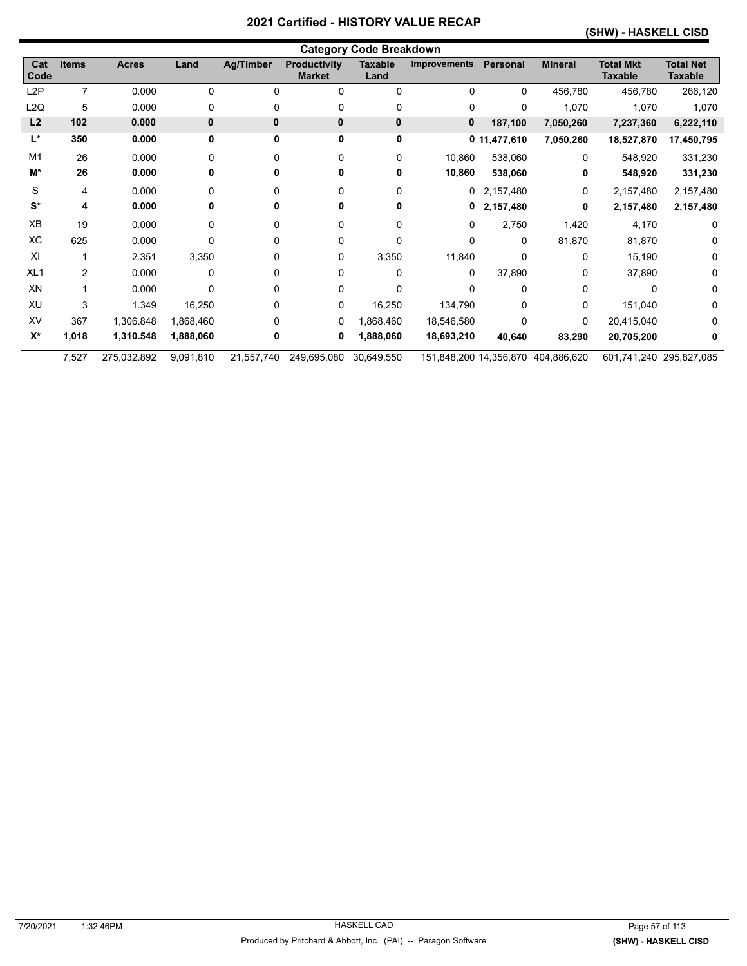### **(SHW) - HASKELL CISD**

|                      | <b>Category Code Breakdown</b> |              |           |                  |                                      |                        |              |              |                                    |                                    |                                    |  |
|----------------------|--------------------------------|--------------|-----------|------------------|--------------------------------------|------------------------|--------------|--------------|------------------------------------|------------------------------------|------------------------------------|--|
| Cat<br><b>Code</b>   | <b>Items</b>                   | <b>Acres</b> | Land      | <b>Ag/Timber</b> | <b>Productivity</b><br><b>Market</b> | <b>Taxable</b><br>Land | Improvements | Personal     | <b>Mineral</b>                     | <b>Total Mkt</b><br><b>Taxable</b> | <b>Total Net</b><br><b>Taxable</b> |  |
| L <sub>2</sub> P     | $\overline{7}$                 | 0.000        | 0         | 0                | 0                                    | $\Omega$               | 0            | $\Omega$     | 456,780                            | 456,780                            | 266,120                            |  |
| L2Q                  | 5                              | 0.000        | 0         | 0                | 0                                    | 0                      | 0            | 0            | 1,070                              | 1,070                              | 1,070                              |  |
| L2                   | 102                            | 0.000        | 0         | 0                | $\mathbf{0}$                         | 0                      | 0            | 187,100      | 7,050,260                          | 7,237,360                          | 6,222,110                          |  |
| L*                   | 350                            | 0.000        | 0         | 0                | 0                                    | 0                      |              | 0 11,477,610 | 7,050,260                          | 18,527,870                         | 17,450,795                         |  |
| M <sub>1</sub>       | 26                             | 0.000        | $\Omega$  | 0                | 0                                    | 0                      | 10,860       | 538,060      | 0                                  | 548,920                            | 331,230                            |  |
| M*                   | 26                             | 0.000        | 0         | 0                | 0                                    | 0                      | 10,860       | 538,060      | 0                                  | 548,920                            | 331,230                            |  |
| S                    | 4                              | 0.000        | 0         | 0                | 0                                    | 0                      | 0            | 2,157,480    | 0                                  | 2,157,480                          | 2,157,480                          |  |
| $\mathbf{S}^{\star}$ | 4                              | 0.000        | 0         | 0                | 0                                    | 0                      | 0            | 2,157,480    | 0                                  | 2,157,480                          | 2,157,480                          |  |
| ХB                   | 19                             | 0.000        | 0         | 0                | 0                                    | 0                      | 0            | 2,750        | 1,420                              | 4,170                              | 0                                  |  |
| ХC                   | 625                            | 0.000        | 0         | 0                | 0                                    | 0                      | 0            | $\Omega$     | 81,870                             | 81,870                             | 0                                  |  |
| XI                   |                                | 2.351        | 3,350     | 0                | 0                                    | 3,350                  | 11,840       | $\Omega$     | 0                                  | 15,190                             | 0                                  |  |
| XL <sub>1</sub>      | 2                              | 0.000        | 0         | 0                | 0                                    | 0                      | 0            | 37,890       | 0                                  | 37,890                             | 0                                  |  |
| XN                   |                                | 0.000        | 0         | 0                | 0                                    | 0                      | 0            | $\Omega$     | 0                                  | <sup>0</sup>                       | 0                                  |  |
| XU                   | 3                              | 1.349        | 16,250    | 0                | 0                                    | 16,250                 | 134,790      | $\Omega$     | 0                                  | 151,040                            | 0                                  |  |
| XV                   | 367                            | 1,306.848    | 1,868,460 | 0                | 0                                    | 1,868,460              | 18,546,580   | $\Omega$     | 0                                  | 20,415,040                         | 0                                  |  |
| $X^*$                | 1,018                          | 1,310.548    | 1,888,060 | 0                | 0                                    | 1,888,060              | 18,693,210   | 40,640       | 83,290                             | 20,705,200                         | 0                                  |  |
|                      | 7,527                          | 275,032.892  | 9,091,810 | 21,557,740       | 249,695,080                          | 30,649,550             |              |              | 151,848,200 14,356,870 404,886,620 | 601,741,240 295,827,085            |                                    |  |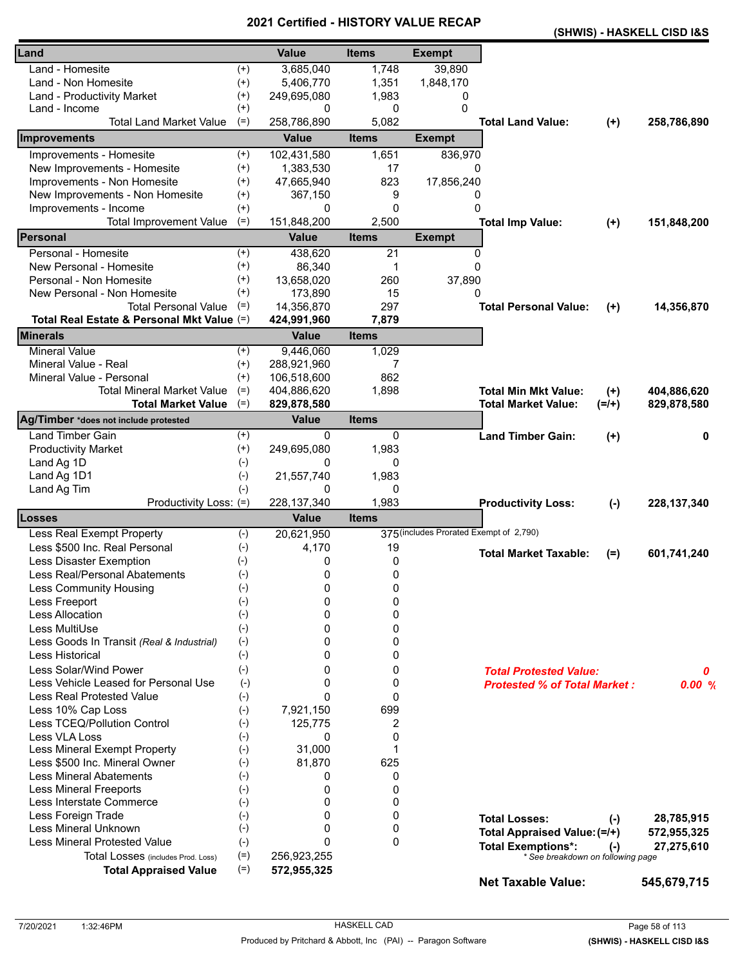|                                            |          |               | - 1110       |                                         | (SHWIS) - HASKELL CISD I&S                                     |         |               |
|--------------------------------------------|----------|---------------|--------------|-----------------------------------------|----------------------------------------------------------------|---------|---------------|
| Land                                       |          | <b>Value</b>  | <b>Items</b> | <b>Exempt</b>                           |                                                                |         |               |
| Land - Homesite                            | $^{(+)}$ | 3,685,040     | 1,748        | 39,890                                  |                                                                |         |               |
| Land - Non Homesite                        | $^{(+)}$ | 5,406,770     | 1,351        | 1,848,170                               |                                                                |         |               |
| Land - Productivity Market                 | $^{(+)}$ | 249,695,080   | 1,983        | 0                                       |                                                                |         |               |
| Land - Income                              | $^{(+)}$ | 0             | 0            | 0                                       |                                                                |         |               |
| <b>Total Land Market Value</b>             | $(=)$    | 258,786,890   | 5,082        |                                         | <b>Total Land Value:</b>                                       | $(+)$   | 258,786,890   |
| Improvements                               |          | <b>Value</b>  | <b>Items</b> | <b>Exempt</b>                           |                                                                |         |               |
| Improvements - Homesite                    | $^{(+)}$ | 102,431,580   | 1,651        | 836,970                                 |                                                                |         |               |
| New Improvements - Homesite                | $^{(+)}$ | 1,383,530     | 17           | $\Omega$                                |                                                                |         |               |
| Improvements - Non Homesite                | $^{(+)}$ | 47,665,940    | 823          | 17,856,240                              |                                                                |         |               |
| New Improvements - Non Homesite            | $^{(+)}$ | 367,150       | 9            | 0                                       |                                                                |         |               |
| Improvements - Income                      | $^{(+)}$ | 0             | 0            | $\Omega$                                |                                                                |         |               |
| <b>Total Improvement Value</b>             | $(=)$    | 151,848,200   | 2,500        |                                         | <b>Total Imp Value:</b>                                        | $(+)$   | 151,848,200   |
| Personal                                   |          | <b>Value</b>  | <b>Items</b> | <b>Exempt</b>                           |                                                                |         |               |
| Personal - Homesite                        | $^{(+)}$ | 438,620       | 21           | 0                                       |                                                                |         |               |
| New Personal - Homesite                    | $^{(+)}$ | 86,340        | 1            | $\Omega$                                |                                                                |         |               |
| Personal - Non Homesite                    | $^{(+)}$ | 13,658,020    | 260          | 37,890                                  |                                                                |         |               |
| New Personal - Non Homesite                | $^{(+)}$ | 173,890       | 15           | 0                                       |                                                                |         |               |
| <b>Total Personal Value</b>                | $(=)$    | 14,356,870    | 297          |                                         | <b>Total Personal Value:</b>                                   | $(+)$   | 14,356,870    |
| Total Real Estate & Personal Mkt Value (=) |          | 424,991,960   | 7,879        |                                         |                                                                |         |               |
| <b>Minerals</b>                            |          | <b>Value</b>  | <b>Items</b> |                                         |                                                                |         |               |
| <b>Mineral Value</b>                       | $^{(+)}$ | 9,446,060     | 1,029        |                                         |                                                                |         |               |
| Mineral Value - Real                       | $^{(+)}$ | 288,921,960   | 7            |                                         |                                                                |         |               |
| Mineral Value - Personal                   | $^{(+)}$ | 106,518,600   | 862          |                                         |                                                                |         |               |
| <b>Total Mineral Market Value</b>          | $(=)$    | 404,886,620   | 1,898        |                                         | <b>Total Min Mkt Value:</b>                                    | $(+)$   | 404,886,620   |
| <b>Total Market Value</b>                  | $(=)$    | 829,878,580   |              |                                         | <b>Total Market Value:</b>                                     | $(=/+)$ | 829,878,580   |
| Ag/Timber *does not include protested      |          | <b>Value</b>  | <b>Items</b> |                                         |                                                                |         |               |
| Land Timber Gain                           | $^{(+)}$ | 0             | 0            |                                         | <b>Land Timber Gain:</b>                                       | $(+)$   | 0             |
| <b>Productivity Market</b>                 | $^{(+)}$ | 249,695,080   | 1,983        |                                         |                                                                |         |               |
| Land Ag 1D                                 | $(-)$    | 0             | 0            |                                         |                                                                |         |               |
| Land Ag 1D1                                | $(-)$    | 21,557,740    | 1,983        |                                         |                                                                |         |               |
| Land Ag Tim                                | $(-)$    | 0             | 0            |                                         |                                                                |         |               |
| Productivity Loss: (=)                     |          | 228, 137, 340 | 1,983        |                                         | <b>Productivity Loss:</b>                                      | $(-)$   | 228, 137, 340 |
| Losses                                     |          | <b>Value</b>  | <b>Items</b> |                                         |                                                                |         |               |
| Less Real Exempt Property                  | $(-)$    | 20,621,950    |              | 375 (includes Prorated Exempt of 2,790) |                                                                |         |               |
| Less \$500 Inc. Real Personal              | $(-)$    | 4,170         | 19           |                                         |                                                                |         |               |
| Less Disaster Exemption                    | $(-)$    | 0             | 0            |                                         | <b>Total Market Taxable:</b>                                   | $(=)$   | 601,741,240   |
| Less Real/Personal Abatements              | $(-)$    | 0             | 0            |                                         |                                                                |         |               |
| <b>Less Community Housing</b>              | $(-)$    | 0             | 0            |                                         |                                                                |         |               |
| Less Freeport                              | $(-)$    | 0             | 0            |                                         |                                                                |         |               |
| <b>Less Allocation</b>                     | $(-)$    | 0             | 0            |                                         |                                                                |         |               |
| Less MultiUse                              | $(-)$    | 0             | 0            |                                         |                                                                |         |               |
| Less Goods In Transit (Real & Industrial)  | $(-)$    | 0             | 0            |                                         |                                                                |         |               |
| Less Historical                            | $(-)$    | 0             | 0            |                                         |                                                                |         |               |
| Less Solar/Wind Power                      | $(-)$    | 0             | 0            |                                         | <b>Total Protested Value:</b>                                  |         | 0             |
| Less Vehicle Leased for Personal Use       | $(-)$    | 0             | 0            |                                         | <b>Protested % of Total Market:</b>                            |         | 0.00%         |
| <b>Less Real Protested Value</b>           | $(-)$    | $\mathbf{0}$  | 0            |                                         |                                                                |         |               |
| Less 10% Cap Loss                          | $(-)$    | 7,921,150     | 699          |                                         |                                                                |         |               |
| Less TCEQ/Pollution Control                | $(-)$    | 125,775       | 2            |                                         |                                                                |         |               |
| Less VLA Loss                              | $(-)$    | 0             | 0            |                                         |                                                                |         |               |
| Less Mineral Exempt Property               | $(-)$    | 31,000        | 1            |                                         |                                                                |         |               |
| Less \$500 Inc. Mineral Owner              | $(-)$    | 81,870        | 625          |                                         |                                                                |         |               |
| <b>Less Mineral Abatements</b>             | $(-)$    | 0             | 0            |                                         |                                                                |         |               |
| <b>Less Mineral Freeports</b>              | $(-)$    | 0             | 0            |                                         |                                                                |         |               |
| Less Interstate Commerce                   | $(-)$    | 0             | 0            |                                         |                                                                |         |               |
| Less Foreign Trade                         | $(-)$    | 0             | 0            |                                         | <b>Total Losses:</b>                                           |         | 28,785,915    |
| Less Mineral Unknown                       | $(-)$    | 0             | 0            |                                         |                                                                | $(-)$   |               |
| <b>Less Mineral Protested Value</b>        | $(-)$    | $\Omega$      | $\mathbf{0}$ |                                         | Total Appraised Value: (=/+)                                   |         | 572,955,325   |
| Total Losses (includes Prod. Loss)         | $(=)$    | 256,923,255   |              |                                         | <b>Total Exemptions*:</b><br>* See breakdown on following page | $(-)$   | 27,275,610    |
| <b>Total Appraised Value</b>               | $(=)$    | 572,955,325   |              |                                         |                                                                |         |               |
|                                            |          |               |              |                                         | <b>Net Taxable Value:</b>                                      |         | 545,679,715   |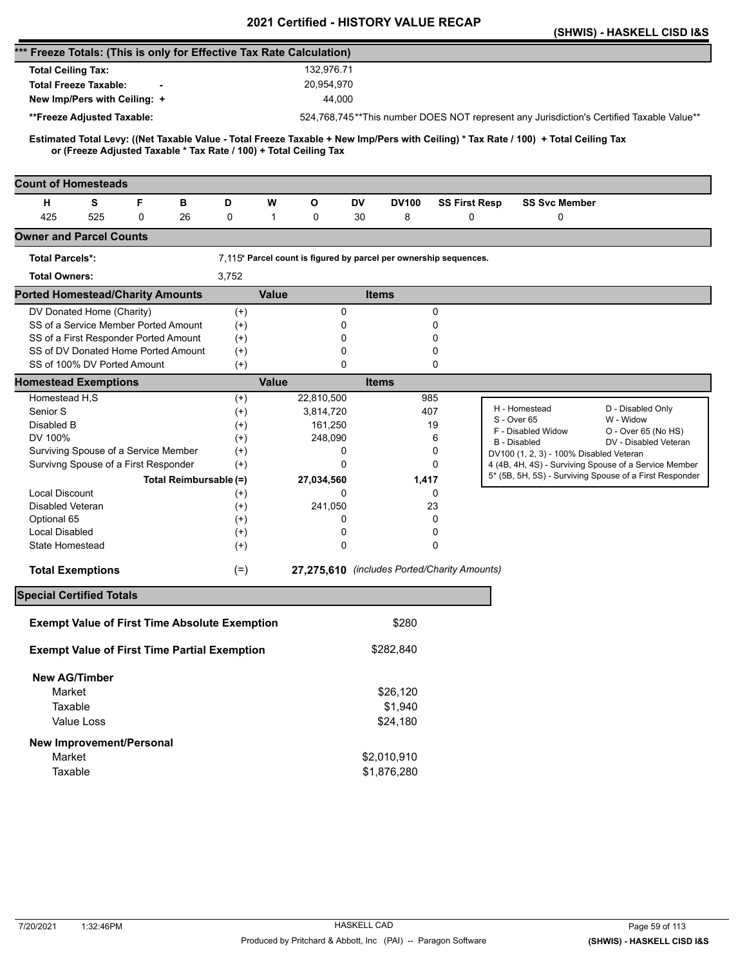|                                                                                                                                                                                                          |                        |                  | <b>Certiled - HISTORT VALUE</b>                                   |                      |                                         | (SHWIS) - HASKELL CISD I&S                                                               |
|----------------------------------------------------------------------------------------------------------------------------------------------------------------------------------------------------------|------------------------|------------------|-------------------------------------------------------------------|----------------------|-----------------------------------------|------------------------------------------------------------------------------------------|
| *** Freeze Totals: (This is only for Effective Tax Rate Calculation)                                                                                                                                     |                        |                  |                                                                   |                      |                                         |                                                                                          |
| <b>Total Ceiling Tax:</b>                                                                                                                                                                                |                        | 132.976.71       |                                                                   |                      |                                         |                                                                                          |
| <b>Total Freeze Taxable:</b>                                                                                                                                                                             |                        | 20,954,970       |                                                                   |                      |                                         |                                                                                          |
| New Imp/Pers with Ceiling: +                                                                                                                                                                             |                        | 44,000           |                                                                   |                      |                                         |                                                                                          |
|                                                                                                                                                                                                          |                        |                  |                                                                   |                      |                                         | 524,768,745**This number DOES NOT represent any Jurisdiction's Certified Taxable Value** |
| **Freeze Adjusted Taxable:                                                                                                                                                                               |                        |                  |                                                                   |                      |                                         |                                                                                          |
| Estimated Total Levy: ((Net Taxable Value - Total Freeze Taxable + New Imp/Pers with Ceiling) * Tax Rate / 100) + Total Ceiling Tax<br>or (Freeze Adjusted Taxable * Tax Rate / 100) + Total Ceiling Tax |                        |                  |                                                                   |                      |                                         |                                                                                          |
| <b>Count of Homesteads</b>                                                                                                                                                                               |                        |                  |                                                                   |                      |                                         |                                                                                          |
| F<br>н<br>S<br>в                                                                                                                                                                                         | D                      | W<br>О           | DV<br><b>DV100</b>                                                | <b>SS First Resp</b> | <b>SS Svc Member</b>                    |                                                                                          |
| 425<br>525<br>0<br>26                                                                                                                                                                                    | 0                      | $\mathbf 1$<br>0 | 8<br>30                                                           | 0                    | 0                                       |                                                                                          |
| <b>Owner and Parcel Counts</b>                                                                                                                                                                           |                        |                  |                                                                   |                      |                                         |                                                                                          |
| <b>Total Parcels*:</b>                                                                                                                                                                                   |                        |                  | 7,115* Parcel count is figured by parcel per ownership sequences. |                      |                                         |                                                                                          |
| <b>Total Owners:</b>                                                                                                                                                                                     | 3,752                  |                  |                                                                   |                      |                                         |                                                                                          |
| <b>Ported Homestead/Charity Amounts</b>                                                                                                                                                                  |                        | <b>Value</b>     | <b>Items</b>                                                      |                      |                                         |                                                                                          |
| DV Donated Home (Charity)                                                                                                                                                                                | $^{(+)}$               |                  | 0                                                                 | 0                    |                                         |                                                                                          |
| SS of a Service Member Ported Amount                                                                                                                                                                     | $^{(+)}$               |                  | 0                                                                 | 0                    |                                         |                                                                                          |
| SS of a First Responder Ported Amount                                                                                                                                                                    | $^{(+)}$               |                  | 0                                                                 | 0                    |                                         |                                                                                          |
| SS of DV Donated Home Ported Amount                                                                                                                                                                      | $^{(+)}$               |                  | 0                                                                 | 0                    |                                         |                                                                                          |
| SS of 100% DV Ported Amount                                                                                                                                                                              | $(+)$                  |                  | 0                                                                 | 0                    |                                         |                                                                                          |
| <b>Homestead Exemptions</b>                                                                                                                                                                              |                        | <b>Value</b>     | <b>Items</b>                                                      |                      |                                         |                                                                                          |
| Homestead H,S                                                                                                                                                                                            | $^{(+)}$               | 22,810,500       |                                                                   | 985                  | H - Homestead                           | D - Disabled Only                                                                        |
| Senior S                                                                                                                                                                                                 | $^{(+)}$               | 3,814,720        |                                                                   | 407                  | S - Over 65                             | W - Widow                                                                                |
| Disabled B                                                                                                                                                                                               | $^{(+)}$               | 161,250          |                                                                   | 19                   | F - Disabled Widow                      | O - Over 65 (No HS)                                                                      |
| DV 100%<br>Surviving Spouse of a Service Member                                                                                                                                                          | $^{(+)}$               | 248,090          | 0                                                                 | 6<br>0               | <b>B</b> - Disabled                     | DV - Disabled Veteran                                                                    |
| Survivng Spouse of a First Responder                                                                                                                                                                     | $^{(+)}$<br>$(+)$      |                  | 0                                                                 | 0                    | DV100 (1, 2, 3) - 100% Disabled Veteran | 4 (4B, 4H, 4S) - Surviving Spouse of a Service Member                                    |
|                                                                                                                                                                                                          | Total Reimbursable (=) |                  | 1,417                                                             |                      |                                         | 5* (5B, 5H, 5S) - Surviving Spouse of a First Responder                                  |
| <b>Local Discount</b>                                                                                                                                                                                    | $^{(+)}$               | 27,034,560       | 0                                                                 | 0                    |                                         |                                                                                          |
| Disabled Veteran                                                                                                                                                                                         | $^{(+)}$               | 241,050          |                                                                   | 23                   |                                         |                                                                                          |
| Optional 65                                                                                                                                                                                              | $^{(+)}$               |                  | 0                                                                 | 0                    |                                         |                                                                                          |
| <b>Local Disabled</b>                                                                                                                                                                                    | $^{(+)}$               |                  | 0                                                                 | 0                    |                                         |                                                                                          |
| <b>State Homestead</b>                                                                                                                                                                                   | $^{(+)}$               |                  | 0                                                                 | 0                    |                                         |                                                                                          |
|                                                                                                                                                                                                          |                        |                  | 27,275,610 (includes Ported/Charity Amounts)                      |                      |                                         |                                                                                          |
| <b>Total Exemptions</b>                                                                                                                                                                                  | $(=)$                  |                  |                                                                   |                      |                                         |                                                                                          |
| <b>Special Certified Totals</b>                                                                                                                                                                          |                        |                  |                                                                   |                      |                                         |                                                                                          |
| <b>Exempt Value of First Time Absolute Exemption</b>                                                                                                                                                     |                        |                  | \$280                                                             |                      |                                         |                                                                                          |
| <b>Exempt Value of First Time Partial Exemption</b>                                                                                                                                                      |                        |                  | \$282,840                                                         |                      |                                         |                                                                                          |
| <b>New AG/Timber</b>                                                                                                                                                                                     |                        |                  |                                                                   |                      |                                         |                                                                                          |
| Market                                                                                                                                                                                                   |                        |                  | \$26,120                                                          |                      |                                         |                                                                                          |
| Taxable                                                                                                                                                                                                  |                        |                  | \$1,940                                                           |                      |                                         |                                                                                          |
| <b>Value Loss</b>                                                                                                                                                                                        |                        |                  | \$24,180                                                          |                      |                                         |                                                                                          |
| New Improvement/Personal                                                                                                                                                                                 |                        |                  |                                                                   |                      |                                         |                                                                                          |
| Market                                                                                                                                                                                                   |                        |                  | \$2,010,910                                                       |                      |                                         |                                                                                          |
| Taxable                                                                                                                                                                                                  |                        |                  | \$1,876,280                                                       |                      |                                         |                                                                                          |
|                                                                                                                                                                                                          |                        |                  |                                                                   |                      |                                         |                                                                                          |
|                                                                                                                                                                                                          |                        |                  |                                                                   |                      |                                         |                                                                                          |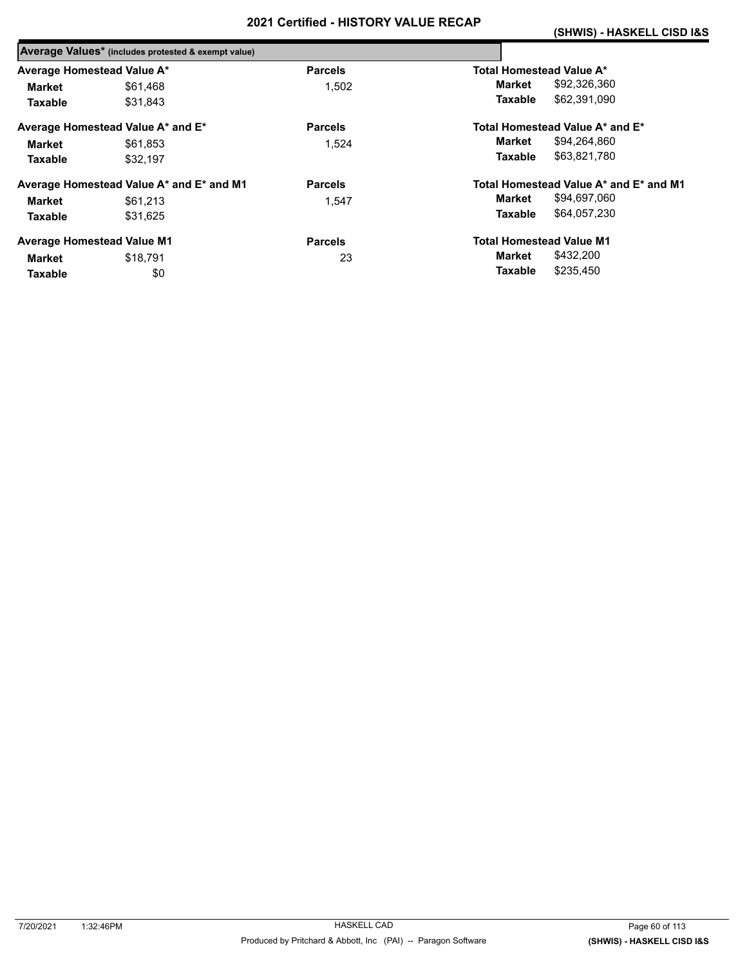|                            | Average Values* (includes protested & exempt value) |                |                                        |
|----------------------------|-----------------------------------------------------|----------------|----------------------------------------|
| Average Homestead Value A* |                                                     | <b>Parcels</b> | Total Homestead Value A*               |
| Market                     | \$61,468                                            | 1.502          | \$92,326,360<br>Market                 |
| <b>Taxable</b>             | \$31.843                                            |                | \$62,391,090<br>Taxable                |
|                            | Average Homestead Value A* and E*                   | <b>Parcels</b> | Total Homestead Value A* and E*        |
| Market                     | \$61.853                                            | 1.524          | \$94,264,860<br>Market                 |
| <b>Taxable</b>             | \$32.197                                            |                | \$63.821.780<br>Taxable                |
|                            | Average Homestead Value A* and E* and M1            | <b>Parcels</b> | Total Homestead Value A* and E* and M1 |
| Market                     | \$61,213                                            | 1.547          | \$94,697,060<br>Market                 |
| <b>Taxable</b>             | \$31.625                                            |                | \$64,057,230<br>Taxable                |
|                            | <b>Average Homestead Value M1</b>                   | <b>Parcels</b> | <b>Total Homestead Value M1</b>        |
| Market                     | \$18.791                                            | 23             | \$432,200<br>Market                    |
| <b>Taxable</b>             | \$0                                                 |                | \$235,450<br>Taxable                   |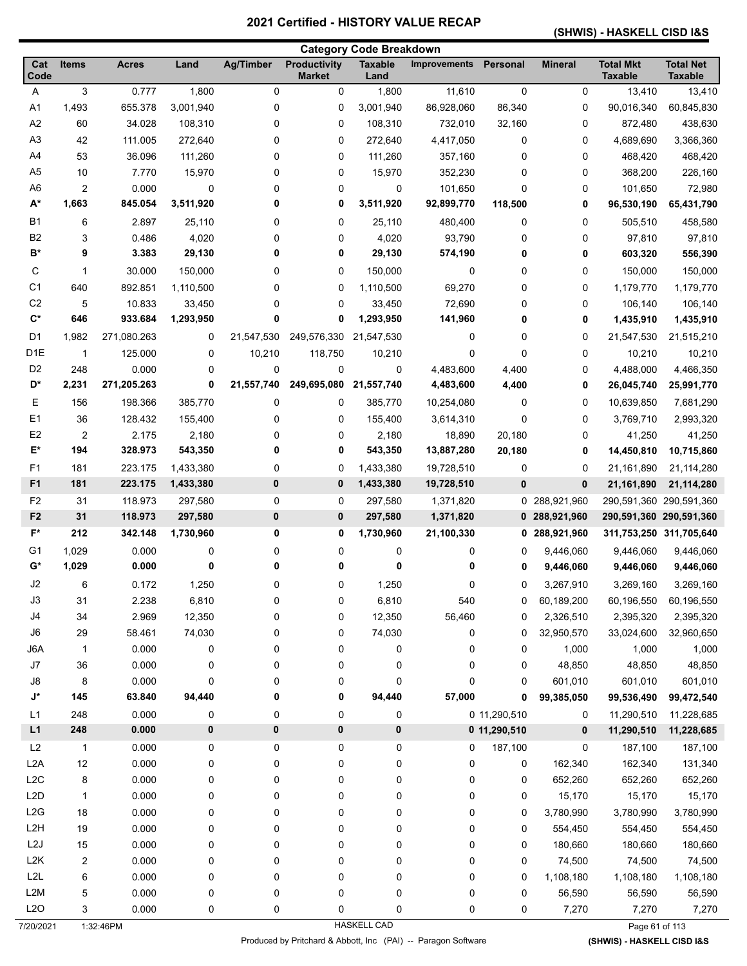# **(SHWIS) - HASKELL CISD I&S**

|                    |                |              |           |                  |                                      | <b>Category Code Breakdown</b> |                     |              |                |                                    |                                    |
|--------------------|----------------|--------------|-----------|------------------|--------------------------------------|--------------------------------|---------------------|--------------|----------------|------------------------------------|------------------------------------|
| Cat<br>Code        | <b>Items</b>   | <b>Acres</b> | Land      | <b>Ag/Timber</b> | <b>Productivity</b><br><b>Market</b> | <b>Taxable</b><br>Land         | <b>Improvements</b> | Personal     | <b>Mineral</b> | <b>Total Mkt</b><br><b>Taxable</b> | <b>Total Net</b><br><b>Taxable</b> |
| A                  | 3              | 0.777        | 1,800     | 0                | 0                                    | 1,800                          | 11,610              | $\mathbf 0$  | 0              | 13,410                             | 13,410                             |
| A1                 | 1,493          | 655.378      | 3,001,940 | 0                | 0                                    | 3,001,940                      | 86,928,060          | 86,340       | 0              | 90,016,340                         | 60,845,830                         |
| A2                 | 60             | 34.028       | 108,310   | 0                | 0                                    | 108,310                        | 732,010             | 32,160       | 0              | 872,480                            | 438,630                            |
| A <sub>3</sub>     | 42             | 111.005      | 272,640   | 0                | 0                                    | 272,640                        | 4,417,050           | 0            | 0              | 4,689,690                          | 3,366,360                          |
| A4                 | 53             | 36.096       | 111,260   | 0                | 0                                    | 111,260                        | 357,160             | 0            | 0              | 468,420                            | 468,420                            |
| A <sub>5</sub>     | 10             | 7.770        | 15,970    | 0                | 0                                    | 15,970                         | 352,230             | 0            | 0              | 368,200                            | 226,160                            |
| A <sub>6</sub>     | 2              | 0.000        | 0         | 0                | 0                                    | $\mathbf 0$                    | 101,650             | 0            | 0              | 101,650                            | 72,980                             |
| $A^*$              | 1,663          | 845.054      | 3,511,920 | 0                | 0                                    | 3,511,920                      | 92,899,770          | 118,500      | 0              | 96,530,190                         | 65,431,790                         |
| <b>B1</b>          | 6              | 2.897        | 25,110    | 0                | 0                                    | 25,110                         | 480,400             | 0            | 0              | 505,510                            | 458,580                            |
| B <sub>2</sub>     | 3              | 0.486        | 4,020     | 0                | 0                                    | 4,020                          | 93,790              | 0            | 0              | 97,810                             | 97,810                             |
| B*                 | 9              | 3.383        | 29,130    | 0                | 0                                    | 29,130                         | 574,190             | 0            | 0              | 603,320                            | 556,390                            |
| С                  | $\mathbf{1}$   | 30.000       | 150,000   | 0                | 0                                    | 150,000                        | 0                   | 0            | 0              | 150,000                            | 150,000                            |
| C <sub>1</sub>     | 640            | 892.851      | 1,110,500 | 0                | 0                                    | 1,110,500                      | 69,270              | 0            | 0              | 1,179,770                          | 1,179,770                          |
| C <sub>2</sub>     | 5              | 10.833       | 33,450    | 0                | 0                                    | 33,450                         | 72,690              | 0            | 0              | 106,140                            | 106,140                            |
| $\mathbf{C}^*$     | 646            | 933.684      | 1,293,950 | 0                | 0                                    | 1,293,950                      | 141,960             | 0            | 0              | 1,435,910                          | 1,435,910                          |
| D <sub>1</sub>     | 1,982          | 271,080.263  | 0         | 21,547,530       | 249,576,330                          | 21,547,530                     | 0                   | 0            | 0              | 21,547,530                         | 21,515,210                         |
| D <sub>1</sub> E   | $\mathbf{1}$   | 125.000      | 0         | 10,210           | 118,750                              | 10,210                         | 0                   | 0            | 0              | 10,210                             | 10,210                             |
| D <sub>2</sub>     | 248            | 0.000        | 0         | 0                | 0                                    | 0                              | 4,483,600           | 4,400        | 0              | 4,488,000                          | 4,466,350                          |
| D*                 | 2,231          | 271,205.263  | 0         | 21,557,740       | 249,695,080                          | 21,557,740                     | 4,483,600           | 4,400        | 0              | 26,045,740                         | 25,991,770                         |
| Ε                  | 156            | 198.366      | 385,770   | 0                | 0                                    | 385,770                        | 10,254,080          | 0            | 0              | 10,639,850                         | 7,681,290                          |
| E1                 | 36             | 128.432      | 155,400   | 0                | 0                                    | 155,400                        | 3,614,310           | 0            | 0              | 3,769,710                          | 2,993,320                          |
| E <sub>2</sub>     | $\overline{2}$ | 2.175        | 2,180     | 0                | 0                                    | 2,180                          | 18,890              | 20,180       | 0              | 41,250                             | 41,250                             |
| E*                 | 194            | 328.973      | 543,350   | 0                | 0                                    | 543,350                        | 13,887,280          | 20,180       | 0              | 14,450,810                         | 10,715,860                         |
| F1                 | 181            | 223.175      | 1,433,380 | 0                | 0                                    | 1,433,380                      | 19,728,510          | 0            | 0              | 21,161,890                         | 21,114,280                         |
| F1                 | 181            | 223.175      | 1,433,380 | 0                | $\bf{0}$                             | 1,433,380                      | 19,728,510          | 0            | 0              | 21,161,890                         | 21,114,280                         |
| F <sub>2</sub>     | 31             | 118.973      | 297,580   | 0                | 0                                    | 297,580                        | 1,371,820           | 0            | 288,921,960    |                                    | 290,591,360 290,591,360            |
| F <sub>2</sub>     | 31             | 118.973      | 297,580   | 0                | 0                                    | 297,580                        | 1,371,820           |              | 0 288,921,960  | 290,591,360 290,591,360            |                                    |
| $F^*$              | 212            | 342.148      | 1,730,960 | 0                | 0                                    | 1,730,960                      | 21,100,330          | 0            | 288,921,960    |                                    | 311,753,250 311,705,640            |
| G1                 | 1,029          | 0.000        | 0         | 0                | 0                                    | 0                              | 0                   | 0            | 9,446,060      | 9,446,060                          | 9,446,060                          |
| G*                 | 1,029          | 0.000        | 0         | 0                | 0                                    | 0                              | 0                   | 0            | 9,446,060      | 9,446,060                          | 9,446,060                          |
| J2                 | 6              | 0.172        | 1,250     | 0                | 0                                    | 1,250                          | 0                   | 0            | 3,267,910      | 3,269,160                          | 3,269,160                          |
| J3                 | 31             | 2.238        | 6,810     | 0                | 0                                    | 6,810                          | 540                 | 0            | 60,189,200     | 60,196,550                         | 60,196,550                         |
| J4                 | 34             | 2.969        | 12,350    | 0                | 0                                    | 12,350                         | 56,460              | 0            | 2,326,510      | 2,395,320                          | 2,395,320                          |
| J6                 | 29             | 58.461       | 74,030    | 0                | 0                                    | 74,030                         | 0                   | 0            | 32,950,570     | 33,024,600                         | 32,960,650                         |
| J6A                | $\mathbf{1}$   | 0.000        | 0         | 0                | 0                                    | 0                              | 0                   | 0            | 1,000          | 1,000                              | 1,000                              |
| J7                 | 36             | 0.000        | 0         | 0                | 0                                    | $\boldsymbol{0}$               | 0                   | 0            | 48,850         | 48,850                             | 48,850                             |
| J8                 | 8              | 0.000        | 0         | 0                | 0                                    | 0                              | 0                   | 0            | 601,010        | 601,010                            | 601,010                            |
| $\mathsf{J}^\star$ | 145            | 63.840       | 94,440    | 0                | 0                                    | 94,440                         | 57,000              | 0            | 99,385,050     | 99,536,490                         | 99,472,540                         |
| L1                 | 248            | 0.000        | 0         | 0                | 0                                    | $\pmb{0}$                      |                     | 0 11,290,510 | 0              | 11,290,510                         | 11,228,685                         |
| L1                 | 248            | 0.000        | 0         | 0                | $\pmb{0}$                            | 0                              |                     | 0 11,290,510 | 0              | 11,290,510                         | 11,228,685                         |
| L2                 | $\mathbf{1}$   | 0.000        | 0         | 0                | 0                                    | $\pmb{0}$                      | 0                   | 187,100      | 0              | 187,100                            | 187,100                            |
| L2A                | 12             | 0.000        | 0         | 0                | 0                                    | $\pmb{0}$                      | 0                   | 0            | 162,340        | 162,340                            | 131,340                            |
| L <sub>2</sub> C   | 8              | 0.000        | 0         | 0                | 0                                    | 0                              | 0                   | 0            | 652,260        | 652,260                            | 652,260                            |
| L <sub>2</sub> D   | $\mathbf{1}$   | 0.000        | 0         | 0                | 0                                    | 0                              | 0                   | 0            | 15,170         | 15,170                             | 15,170                             |
| L2G                | 18             | 0.000        | 0         | 0                | 0                                    | 0                              | 0                   | 0            | 3,780,990      | 3,780,990                          | 3,780,990                          |
| L <sub>2</sub> H   | 19             | 0.000        | 0         | 0                | 0                                    | 0                              | 0                   | 0            | 554,450        | 554,450                            | 554,450                            |
| L2J                | 15             | 0.000        | 0         | 0                | 0                                    | 0                              | 0                   | 0            | 180,660        | 180,660                            | 180,660                            |
| L <sub>2</sub> K   | 2              | 0.000        | 0         | 0                | 0                                    | $\pmb{0}$                      | 0                   | 0            | 74,500         | 74,500                             | 74,500                             |
| L2L                | 6              | 0.000        | 0         | 0                | 0                                    | $\mathbf 0$                    | 0                   | 0            | 1,108,180      | 1,108,180                          | 1,108,180                          |
| L <sub>2</sub> M   | 5              | 0.000        | 0         | 0                | 0                                    | 0                              | 0                   | 0            | 56,590         | 56,590                             | 56,590                             |
| L2O                | 3              | 0.000        | 0         | 0                | 0                                    | 0                              | 0                   | 0            | 7,270          | 7,270                              | 7,270                              |
|                    |                |              |           |                  |                                      |                                |                     |              |                |                                    |                                    |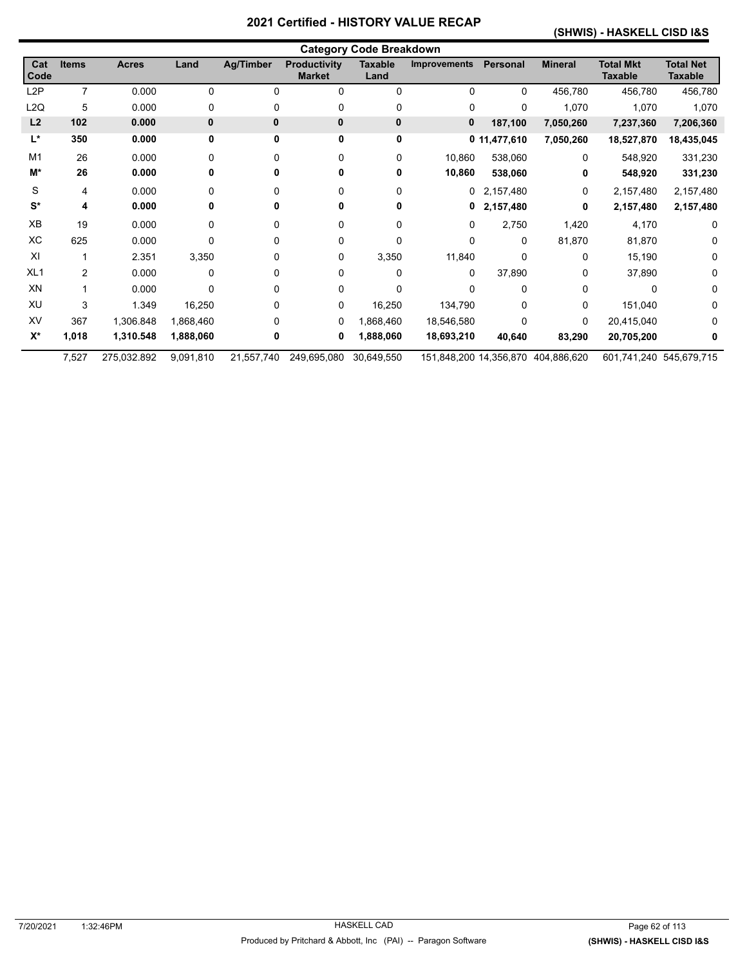#### **(SHWIS) - HASKELL CISD I&S**

|                      | <b>Category Code Breakdown</b> |              |           |              |                                      |                        |                     |              |                                    |                                    |                                    |  |
|----------------------|--------------------------------|--------------|-----------|--------------|--------------------------------------|------------------------|---------------------|--------------|------------------------------------|------------------------------------|------------------------------------|--|
| Cat<br>Code          | <b>Items</b>                   | <b>Acres</b> | Land      | Ag/Timber    | <b>Productivity</b><br><b>Market</b> | <b>Taxable</b><br>Land | <b>Improvements</b> | Personal     | <b>Mineral</b>                     | <b>Total Mkt</b><br><b>Taxable</b> | <b>Total Net</b><br><b>Taxable</b> |  |
| L <sub>2</sub> P     | 7                              | 0.000        | 0         | $\Omega$     | 0                                    | $\mathbf 0$            | 0                   | $\Omega$     | 456,780                            | 456,780                            | 456,780                            |  |
| L <sub>2Q</sub>      | 5                              | 0.000        | 0         | 0            | 0                                    | 0                      | 0                   | 0            | 1,070                              | 1,070                              | 1,070                              |  |
| L2                   | 102                            | 0.000        | 0         | $\mathbf{0}$ | 0                                    | $\mathbf 0$            | 0                   | 187,100      | 7,050,260                          | 7,237,360                          | 7,206,360                          |  |
| L*                   | 350                            | 0.000        | 0         | 0            | 0                                    | 0                      |                     | 0 11,477,610 | 7,050,260                          | 18,527,870                         | 18,435,045                         |  |
| M <sub>1</sub>       | 26                             | 0.000        | 0         | $\Omega$     | 0                                    | 0                      | 10,860              | 538,060      | 0                                  | 548,920                            | 331,230                            |  |
| M*                   | 26                             | 0.000        | 0         | 0            | 0                                    | 0                      | 10,860              | 538,060      | 0                                  | 548,920                            | 331,230                            |  |
| S                    | 4                              | 0.000        | 0         | 0            | 0                                    | $\Omega$               | $\mathbf{0}$        | 2,157,480    | 0                                  | 2,157,480                          | 2,157,480                          |  |
| $\mathbf{S}^{\star}$ | 4                              | 0.000        | 0         | 0            | 0                                    | 0                      | 0                   | 2,157,480    | 0                                  | 2,157,480                          | 2,157,480                          |  |
| XB                   | 19                             | 0.000        | 0         | 0            | 0                                    | $\Omega$               | 0                   | 2,750        | 1,420                              | 4,170                              | 0                                  |  |
| XC                   | 625                            | 0.000        | 0         | 0            | 0                                    | 0                      | 0                   | 0            | 81,870                             | 81,870                             | 0                                  |  |
| XI                   |                                | 2.351        | 3,350     | 0            | 0                                    | 3,350                  | 11,840              | $\Omega$     | 0                                  | 15,190                             | 0                                  |  |
| XL <sub>1</sub>      | $\overline{2}$                 | 0.000        | 0         | 0            | 0                                    | 0                      | 0                   | 37,890       | 0                                  | 37,890                             |                                    |  |
| XN                   |                                | 0.000        | 0         | 0            | 0                                    | 0                      | 0                   | 0            | 0                                  | 0                                  | 0                                  |  |
| XU                   | 3                              | 1.349        | 16,250    | 0            | 0                                    | 16,250                 | 134,790             | $\Omega$     | 0                                  | 151,040                            | 0                                  |  |
| XV                   | 367                            | 1,306.848    | 1,868,460 | 0            | 0                                    | 1,868,460              | 18,546,580          | $\Omega$     | 0                                  | 20,415,040                         | 0                                  |  |
| $X^*$                | 1,018                          | 1,310.548    | 1,888,060 | 0            | 0                                    | 1,888,060              | 18,693,210          | 40,640       | 83,290                             | 20,705,200                         | 0                                  |  |
|                      | 7,527                          | 275,032.892  | 9,091,810 | 21,557,740   | 249,695,080                          | 30,649,550             |                     |              | 151,848,200 14,356,870 404,886,620 | 601,741,240 545,679,715            |                                    |  |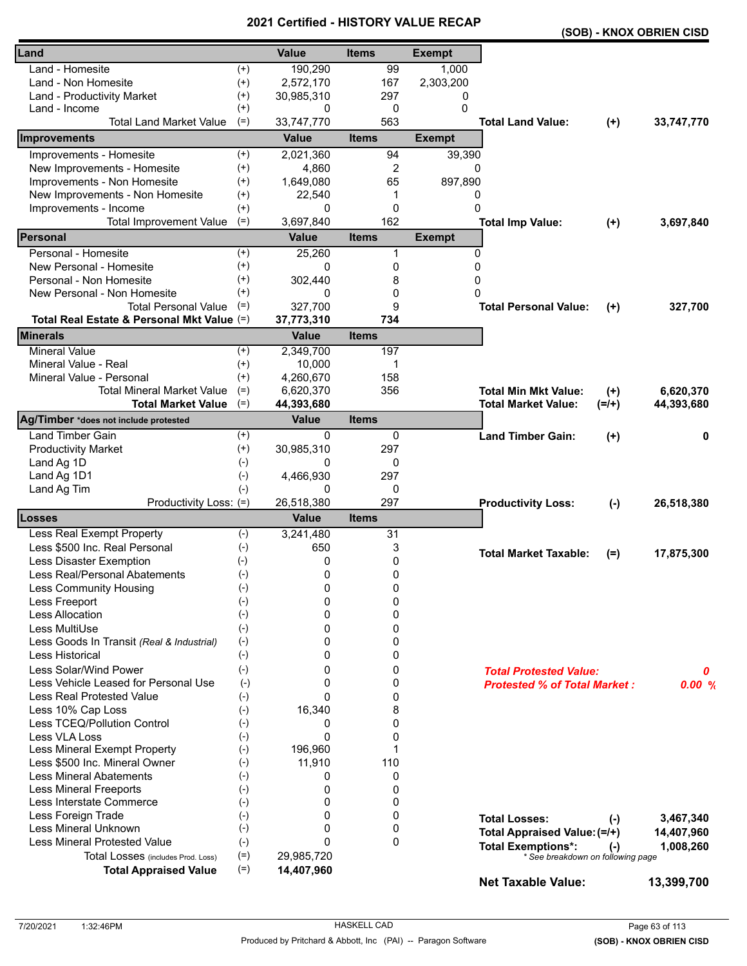|                                            |          |              |              |               |                                     |           | (SOB) - KNOX OBRIEN CISD |
|--------------------------------------------|----------|--------------|--------------|---------------|-------------------------------------|-----------|--------------------------|
| Land                                       |          | <b>Value</b> | <b>Items</b> | <b>Exempt</b> |                                     |           |                          |
| Land - Homesite                            | $^{(+)}$ | 190,290      | 99           | 1,000         |                                     |           |                          |
| Land - Non Homesite                        | $^{(+)}$ | 2,572,170    | 167          | 2,303,200     |                                     |           |                          |
| Land - Productivity Market                 | $^{(+)}$ | 30,985,310   | 297          | 0             |                                     |           |                          |
| Land - Income                              | $^{(+)}$ | 0            | 0            | 0             |                                     |           |                          |
| <b>Total Land Market Value</b>             | $(=)$    | 33,747,770   | 563          |               | <b>Total Land Value:</b>            | $(+)$     | 33,747,770               |
| <b>Improvements</b>                        |          | <b>Value</b> | <b>Items</b> | <b>Exempt</b> |                                     |           |                          |
| Improvements - Homesite                    | $^{(+)}$ | 2,021,360    | 94           | 39,390        |                                     |           |                          |
| New Improvements - Homesite                | $^{(+)}$ | 4,860        | 2            | 0             |                                     |           |                          |
| Improvements - Non Homesite                | $^{(+)}$ | 1,649,080    | 65           | 897,890       |                                     |           |                          |
| New Improvements - Non Homesite            | $^{(+)}$ | 22,540       | 1            | 0             |                                     |           |                          |
| Improvements - Income                      | $^{(+)}$ | 0            | 0            | $\Omega$      |                                     |           |                          |
| <b>Total Improvement Value</b>             | $(=)$    | 3,697,840    | 162          |               | <b>Total Imp Value:</b>             | $(+)$     | 3,697,840                |
| Personal                                   |          | <b>Value</b> | <b>Items</b> | <b>Exempt</b> |                                     |           |                          |
| Personal - Homesite                        | $^{(+)}$ | 25,260       | 1            |               | $\Omega$                            |           |                          |
| New Personal - Homesite                    | $^{(+)}$ | 0            | 0            | 0             |                                     |           |                          |
| Personal - Non Homesite                    | $^{(+)}$ | 302,440      | 8            | 0             |                                     |           |                          |
| New Personal - Non Homesite                | $^{(+)}$ | 0            | 0            | 0             |                                     |           |                          |
| <b>Total Personal Value</b>                | $(=)$    | 327,700      | 9            |               | <b>Total Personal Value:</b>        | $(+)$     | 327,700                  |
| Total Real Estate & Personal Mkt Value (=) |          | 37,773,310   | 734          |               |                                     |           |                          |
| <b>Minerals</b>                            |          | <b>Value</b> | <b>Items</b> |               |                                     |           |                          |
| <b>Mineral Value</b>                       | $^{(+)}$ | 2,349,700    | 197          |               |                                     |           |                          |
| Mineral Value - Real                       | $^{(+)}$ | 10,000       | 1            |               |                                     |           |                          |
| Mineral Value - Personal                   | $^{(+)}$ | 4,260,670    | 158          |               |                                     |           |                          |
| <b>Total Mineral Market Value</b>          | $(=)$    | 6,620,370    | 356          |               | <b>Total Min Mkt Value:</b>         | $(+)$     | 6,620,370                |
| <b>Total Market Value</b>                  | $(=)$    | 44,393,680   |              |               | <b>Total Market Value:</b>          | $(=/+)$   | 44,393,680               |
| Ag/Timber *does not include protested      |          | <b>Value</b> | <b>Items</b> |               |                                     |           |                          |
| <b>Land Timber Gain</b>                    | $^{(+)}$ | 0            | 0            |               | <b>Land Timber Gain:</b>            | $(+)$     | 0                        |
| <b>Productivity Market</b>                 | $^{(+)}$ | 30,985,310   | 297          |               |                                     |           |                          |
| Land Ag 1D                                 | $(-)$    | 0            | 0            |               |                                     |           |                          |
| Land Ag 1D1                                | $(-)$    | 4,466,930    | 297          |               |                                     |           |                          |
| Land Ag Tim                                | $(-)$    | 0            | 0            |               |                                     |           |                          |
| Productivity Loss: (=)                     |          | 26,518,380   | 297          |               | <b>Productivity Loss:</b>           | $(-)$     | 26,518,380               |
| <b>Losses</b>                              |          | <b>Value</b> | <b>Items</b> |               |                                     |           |                          |
| Less Real Exempt Property                  | $(-)$    | 3,241,480    | 31           |               |                                     |           |                          |
| Less \$500 Inc. Real Personal              | $(-)$    | 650          | 3            |               | <b>Total Market Taxable:</b>        | $(=)$     | 17,875,300               |
| <b>Less Disaster Exemption</b>             | $(-)$    | 0            | 0            |               |                                     |           |                          |
| Less Real/Personal Abatements              | $(-)$    | 0            | 0            |               |                                     |           |                          |
| <b>Less Community Housing</b>              | $(-)$    | 0            | 0            |               |                                     |           |                          |
| Less Freeport                              | $(-)$    | 0            | 0            |               |                                     |           |                          |
| <b>Less Allocation</b>                     | $(-)$    | $\Omega$     | 0            |               |                                     |           |                          |
| Less MultiUse                              | $(-)$    | 0            | 0            |               |                                     |           |                          |
| Less Goods In Transit (Real & Industrial)  | $(-)$    | 0            | 0            |               |                                     |           |                          |
| <b>Less Historical</b>                     | $(-)$    | 0            | 0            |               |                                     |           |                          |
| Less Solar/Wind Power                      | $(-)$    | 0            | 0            |               | <b>Total Protested Value:</b>       |           | 0                        |
| Less Vehicle Leased for Personal Use       | $(-)$    | 0            | 0            |               | <b>Protested % of Total Market:</b> |           | 0.00%                    |
| <b>Less Real Protested Value</b>           | $(-)$    | $\Omega$     | 0            |               |                                     |           |                          |
| Less 10% Cap Loss                          | $(-)$    | 16,340       | 8            |               |                                     |           |                          |
| Less TCEQ/Pollution Control                | $(-)$    | 0            | 0            |               |                                     |           |                          |
| Less VLA Loss                              | $(-)$    | 0            | 0            |               |                                     |           |                          |
| Less Mineral Exempt Property               | $(-)$    | 196,960      | 1            |               |                                     |           |                          |
| Less \$500 Inc. Mineral Owner              | $(-)$    | 11,910       | 110          |               |                                     |           |                          |
| <b>Less Mineral Abatements</b>             | $(-)$    | 0            | 0            |               |                                     |           |                          |
| <b>Less Mineral Freeports</b>              | $(-)$    | 0            | 0            |               |                                     |           |                          |
| Less Interstate Commerce                   | $(-)$    | 0            | 0            |               |                                     |           |                          |
| Less Foreign Trade                         | $(-)$    | 0            | 0            |               | <b>Total Losses:</b>                | $(-)$     | 3,467,340                |
| Less Mineral Unknown                       | $(-)$    | $\Omega$     | 0            |               | Total Appraised Value: (=/+)        |           | 14,407,960               |
| <b>Less Mineral Protested Value</b>        | $(-)$    | $\Omega$     | $\Omega$     |               | <b>Total Exemptions*:</b>           | $(\cdot)$ | 1,008,260                |
| Total Losses (includes Prod. Loss)         | $(=)$    | 29,985,720   |              |               | * See breakdown on following page   |           |                          |
| <b>Total Appraised Value</b>               | $(=)$    | 14,407,960   |              |               | <b>Net Taxable Value:</b>           |           | 13,399,700               |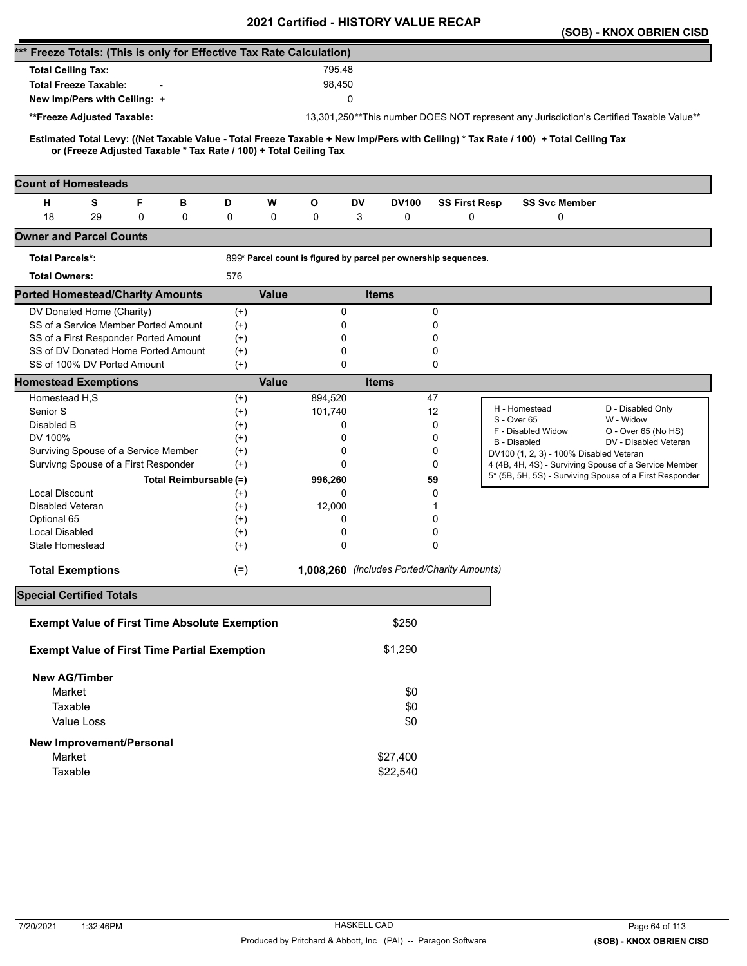|                                                                                                                                                                                                          |          |              |             | <b>VEILIIIEU - FIIJTUNT VALUE</b>                               |              |                      | (SOB) - KNOX OBRIEN CISD                                                                |
|----------------------------------------------------------------------------------------------------------------------------------------------------------------------------------------------------------|----------|--------------|-------------|-----------------------------------------------------------------|--------------|----------------------|-----------------------------------------------------------------------------------------|
| *** Freeze Totals: (This is only for Effective Tax Rate Calculation)                                                                                                                                     |          |              |             |                                                                 |              |                      |                                                                                         |
| <b>Total Ceiling Tax:</b>                                                                                                                                                                                |          |              | 795.48      |                                                                 |              |                      |                                                                                         |
| <b>Total Freeze Taxable:</b>                                                                                                                                                                             |          |              | 98,450      |                                                                 |              |                      |                                                                                         |
|                                                                                                                                                                                                          |          |              |             | 0                                                               |              |                      |                                                                                         |
| New Imp/Pers with Ceiling: +                                                                                                                                                                             |          |              |             |                                                                 |              |                      |                                                                                         |
| **Freeze Adjusted Taxable:                                                                                                                                                                               |          |              |             |                                                                 |              |                      | 13,301,250**This number DOES NOT represent any Jurisdiction's Certified Taxable Value** |
| Estimated Total Levy: ((Net Taxable Value - Total Freeze Taxable + New Imp/Pers with Ceiling) * Tax Rate / 100) + Total Ceiling Tax<br>or (Freeze Adjusted Taxable * Tax Rate / 100) + Total Ceiling Tax |          |              |             |                                                                 |              |                      |                                                                                         |
| <b>Count of Homesteads</b>                                                                                                                                                                               |          |              |             |                                                                 |              |                      |                                                                                         |
| F<br>н<br>s<br>в                                                                                                                                                                                         | D        | W            | O           | DV                                                              | <b>DV100</b> | <b>SS First Resp</b> | <b>SS Svc Member</b>                                                                    |
| 18<br>0<br>29<br>0                                                                                                                                                                                       | 0        | 0            | 0           | 3                                                               | 0            | 0                    | 0                                                                                       |
| <b>Owner and Parcel Counts</b>                                                                                                                                                                           |          |              |             |                                                                 |              |                      |                                                                                         |
| <b>Total Parcels*:</b>                                                                                                                                                                                   |          |              |             | 899* Parcel count is figured by parcel per ownership sequences. |              |                      |                                                                                         |
| <b>Total Owners:</b>                                                                                                                                                                                     | 576      |              |             |                                                                 |              |                      |                                                                                         |
| <b>Ported Homestead/Charity Amounts</b>                                                                                                                                                                  |          | <b>Value</b> |             | <b>Items</b>                                                    |              |                      |                                                                                         |
| DV Donated Home (Charity)                                                                                                                                                                                | $^{(+)}$ |              | 0           |                                                                 |              | 0                    |                                                                                         |
| SS of a Service Member Ported Amount                                                                                                                                                                     | $^{(+)}$ |              | 0           |                                                                 |              | 0                    |                                                                                         |
| SS of a First Responder Ported Amount                                                                                                                                                                    | $^{(+)}$ |              | 0           |                                                                 |              | 0                    |                                                                                         |
| SS of DV Donated Home Ported Amount                                                                                                                                                                      | $(+)$    |              | 0           |                                                                 |              | 0                    |                                                                                         |
| SS of 100% DV Ported Amount                                                                                                                                                                              | $(+)$    |              | $\mathbf 0$ |                                                                 |              | 0                    |                                                                                         |
| <b>Homestead Exemptions</b>                                                                                                                                                                              |          | <b>Value</b> |             | <b>Items</b>                                                    |              |                      |                                                                                         |
| Homestead H,S                                                                                                                                                                                            | $^{(+)}$ |              | 894,520     |                                                                 |              | 47                   | H - Homestead                                                                           |
| Senior S                                                                                                                                                                                                 | $^{(+)}$ |              | 101,740     |                                                                 |              | 12                   | D - Disabled Only<br>S - Over 65<br>W - Widow                                           |
| Disabled B                                                                                                                                                                                               | $^{(+)}$ |              | 0           |                                                                 |              | 0                    | F - Disabled Widow<br>O - Over 65 (No HS)                                               |
| DV 100%                                                                                                                                                                                                  | $^{(+)}$ |              | 0           |                                                                 |              | 0                    | DV - Disabled Veteran<br><b>B</b> - Disabled                                            |
| Surviving Spouse of a Service Member                                                                                                                                                                     | $^{(+)}$ |              | 0           |                                                                 |              | 0                    | DV100 (1, 2, 3) - 100% Disabled Veteran                                                 |
| Survivng Spouse of a First Responder                                                                                                                                                                     | $(+)$    |              | 0           |                                                                 |              | 0                    | 4 (4B, 4H, 4S) - Surviving Spouse of a Service Member                                   |
| Total Reimbursable (=)                                                                                                                                                                                   |          |              | 996,260     |                                                                 |              | 59                   | 5* (5B, 5H, 5S) - Surviving Spouse of a First Responder                                 |
| <b>Local Discount</b>                                                                                                                                                                                    | $^{(+)}$ |              | 0           |                                                                 |              | 0                    |                                                                                         |
| Disabled Veteran                                                                                                                                                                                         | $^{(+)}$ |              | 12,000      |                                                                 |              | 1                    |                                                                                         |
| Optional 65                                                                                                                                                                                              | $^{(+)}$ |              | 0           |                                                                 |              | 0                    |                                                                                         |
| Local Disabled                                                                                                                                                                                           | $^{(+)}$ |              | 0           |                                                                 |              | 0                    |                                                                                         |
| State Homestead                                                                                                                                                                                          | $^{(+)}$ |              | 0           |                                                                 |              | 0                    |                                                                                         |
| <b>Total Exemptions</b>                                                                                                                                                                                  | $(=)$    |              |             | 1,008,260 (includes Ported/Charity Amounts)                     |              |                      |                                                                                         |
| <b>Special Certified Totals</b>                                                                                                                                                                          |          |              |             |                                                                 |              |                      |                                                                                         |
| <b>Exempt Value of First Time Absolute Exemption</b>                                                                                                                                                     |          |              |             |                                                                 | \$250        |                      |                                                                                         |
| <b>Exempt Value of First Time Partial Exemption</b>                                                                                                                                                      |          |              |             |                                                                 | \$1,290      |                      |                                                                                         |
|                                                                                                                                                                                                          |          |              |             |                                                                 |              |                      |                                                                                         |
| <b>New AG/Timber</b>                                                                                                                                                                                     |          |              |             |                                                                 |              |                      |                                                                                         |
| Market                                                                                                                                                                                                   |          |              |             |                                                                 | \$0          |                      |                                                                                         |
| Taxable                                                                                                                                                                                                  |          |              |             |                                                                 | \$0          |                      |                                                                                         |
| Value Loss                                                                                                                                                                                               |          |              |             |                                                                 | \$0          |                      |                                                                                         |
| <b>New Improvement/Personal</b>                                                                                                                                                                          |          |              |             |                                                                 |              |                      |                                                                                         |
| Market                                                                                                                                                                                                   |          |              |             | \$27,400                                                        |              |                      |                                                                                         |
| Taxable                                                                                                                                                                                                  |          |              |             | \$22,540                                                        |              |                      |                                                                                         |
|                                                                                                                                                                                                          |          |              |             |                                                                 |              |                      |                                                                                         |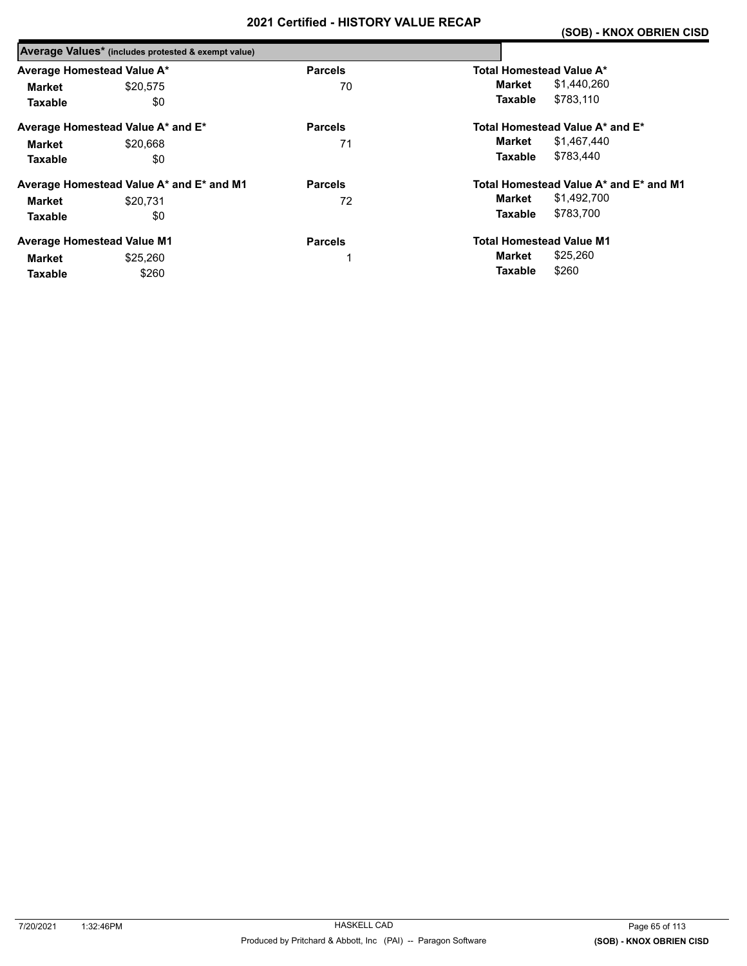|                            | Average Values* (includes protested & exempt value) |                |                                        |
|----------------------------|-----------------------------------------------------|----------------|----------------------------------------|
| Average Homestead Value A* |                                                     | <b>Parcels</b> | Total Homestead Value A*               |
| Market                     | \$20.575                                            | 70             | \$1,440,260<br>Market                  |
| <b>Taxable</b>             | \$0                                                 |                | \$783,110<br><b>Taxable</b>            |
|                            | Average Homestead Value A* and E*                   | <b>Parcels</b> | Total Homestead Value A* and E*        |
| Market                     | \$20,668                                            | 71             | \$1,467,440<br>Market                  |
| <b>Taxable</b>             | \$0                                                 |                | \$783.440<br><b>Taxable</b>            |
|                            | Average Homestead Value A* and E* and M1            | <b>Parcels</b> | Total Homestead Value A* and E* and M1 |
| Market                     | \$20.731                                            | 72             | \$1,492,700<br>Market                  |
| <b>Taxable</b>             | \$0                                                 |                | \$783,700<br><b>Taxable</b>            |
|                            | <b>Average Homestead Value M1</b>                   | <b>Parcels</b> | <b>Total Homestead Value M1</b>        |
| Market                     | \$25,260                                            |                | \$25,260<br>Market                     |
| <b>Taxable</b>             | \$260                                               |                | \$260<br>Taxable                       |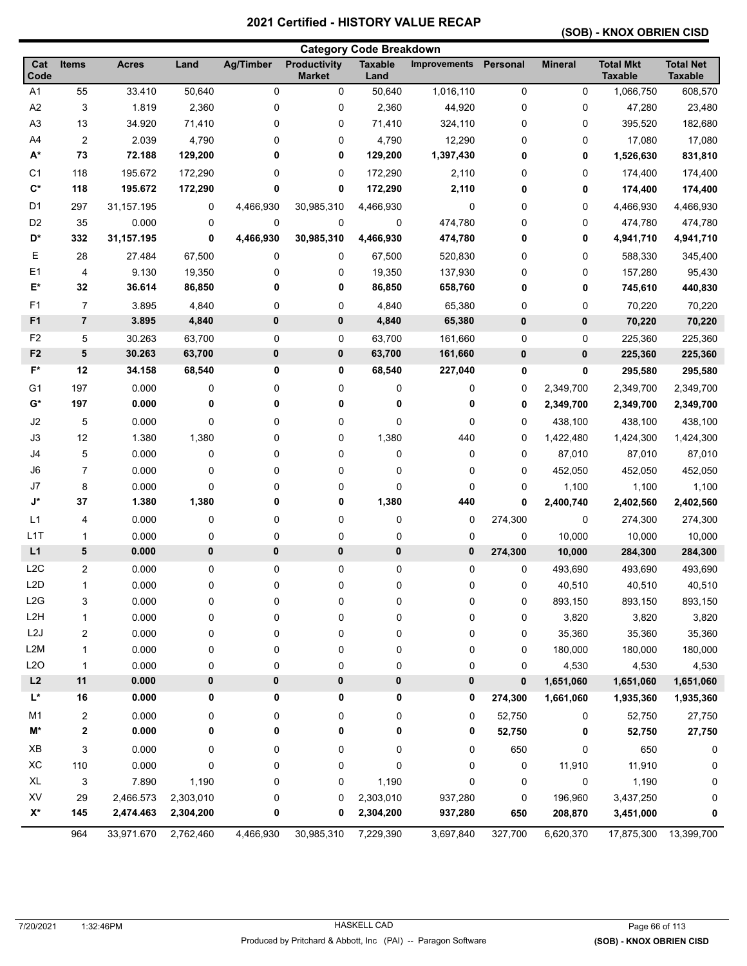### **(SOB) - KNOX OBRIEN CISD**

|                  |                           |                  |                  |                  |                                      | <b>Category Code Breakdown</b> |                     |                        |                |                                    |                                    |
|------------------|---------------------------|------------------|------------------|------------------|--------------------------------------|--------------------------------|---------------------|------------------------|----------------|------------------------------------|------------------------------------|
| Cat<br>Code      | Items                     | <b>Acres</b>     | Land             | <b>Ag/Timber</b> | <b>Productivity</b><br><b>Market</b> | <b>Taxable</b><br>Land         | <b>Improvements</b> | Personal               | <b>Mineral</b> | <b>Total Mkt</b><br><b>Taxable</b> | <b>Total Net</b><br><b>Taxable</b> |
| A <sub>1</sub>   | 55                        | 33.410           | 50,640           | 0                | 0                                    | 50,640                         | 1,016,110           | $\pmb{0}$              | 0              | 1,066,750                          | 608,570                            |
| A <sub>2</sub>   | 3                         | 1.819            | 2,360            | 0                | 0                                    | 2,360                          | 44,920              | $\pmb{0}$              | 0              | 47,280                             | 23,480                             |
| A <sub>3</sub>   | 13                        | 34.920           | 71,410           | 0                | 0                                    | 71,410                         | 324,110             | 0                      | 0              | 395,520                            | 182,680                            |
| A4               | $\overline{c}$            | 2.039            | 4,790            | 0                | 0                                    | 4,790                          | 12,290              | 0                      | 0              | 17,080                             | 17,080                             |
| $A^*$            | 73                        | 72.188           | 129,200          | 0                | 0                                    | 129,200                        | 1,397,430           | 0                      | 0              | 1,526,630                          | 831,810                            |
| C <sub>1</sub>   | 118                       | 195.672          | 172,290          | 0                | 0                                    | 172,290                        | 2,110               | 0                      | 0              | 174,400                            | 174,400                            |
| $C^*$            | 118                       | 195.672          | 172,290          | 0                | 0                                    | 172,290                        | 2,110               | 0                      | 0              | 174,400                            | 174,400                            |
| D <sub>1</sub>   | 297                       | 31,157.195       | 0                | 4,466,930        | 30,985,310                           | 4,466,930                      | 0                   | 0                      | 0              | 4,466,930                          | 4,466,930                          |
| D <sub>2</sub>   | 35                        | 0.000            | 0                | 0                | 0                                    | 0                              | 474,780             | 0                      | 0              | 474,780                            | 474,780                            |
| D*               | 332                       | 31,157.195       | 0                | 4,466,930        | 30,985,310                           | 4,466,930                      | 474,780             | 0                      | 0              | 4,941,710                          | 4,941,710                          |
| Е                | 28                        | 27.484           | 67,500           | 0                | 0                                    | 67,500                         | 520,830             | 0                      | 0              | 588,330                            | 345,400                            |
| E1               | 4                         | 9.130            | 19,350           | 0                | 0                                    | 19,350                         | 137,930             | 0                      | 0              | 157,280                            | 95,430                             |
| E*               | 32                        | 36.614           | 86,850           | 0                | 0                                    | 86,850                         | 658,760             | 0                      | 0              | 745,610                            | 440,830                            |
| F1               | $\overline{7}$            | 3.895            | 4,840            | 0                | 0                                    | 4,840                          | 65,380              | 0                      | 0              | 70,220                             | 70,220                             |
| F1               | $\overline{7}$            | 3.895            | 4,840            | 0                | $\pmb{0}$                            | 4,840                          | 65,380              | $\bf{0}$               | 0              | 70,220                             | 70,220                             |
| F <sub>2</sub>   |                           |                  |                  | 0                |                                      |                                |                     |                        |                |                                    |                                    |
| F <sub>2</sub>   | 5<br>5                    | 30.263<br>30.263 | 63,700<br>63,700 | 0                | 0<br>$\pmb{0}$                       | 63,700<br>63,700               | 161,660<br>161,660  | $\pmb{0}$<br>$\pmb{0}$ | 0<br>0         | 225,360                            | 225,360<br>225,360                 |
| F*               | 12                        | 34.158           | 68,540           | 0                | 0                                    |                                |                     |                        |                | 225,360                            |                                    |
|                  |                           |                  |                  |                  |                                      | 68,540                         | 227,040             | 0                      | 0              | 295,580                            | 295,580                            |
| G <sub>1</sub>   | 197                       | 0.000            | 0                | 0                | 0                                    | 0                              | 0                   | 0                      | 2,349,700      | 2,349,700                          | 2,349,700                          |
| G*               | 197                       | 0.000            | 0                | 0                | 0                                    | 0                              | 0                   | 0                      | 2,349,700      | 2,349,700                          | 2,349,700                          |
| J2               | 5                         | 0.000            | 0                | 0                | 0                                    | 0                              | 0                   | $\mathbf 0$            | 438,100        | 438,100                            | 438,100                            |
| J3               | 12                        | 1.380            | 1,380            | 0                | 0                                    | 1,380                          | 440                 | 0                      | 1,422,480      | 1,424,300                          | 1,424,300                          |
| J4               | 5                         | 0.000            | 0                | 0                | 0                                    | 0                              | 0                   | 0                      | 87,010         | 87,010                             | 87,010                             |
| J6               | 7                         | 0.000            | 0                | 0                | 0                                    | 0                              | 0                   | 0                      | 452,050        | 452,050                            | 452,050                            |
| J7               | 8                         | 0.000            | 0                | 0                | 0                                    | 0                              | 0                   | 0                      | 1,100          | 1,100                              | 1,100                              |
| J*               | 37                        | 1.380            | 1,380            | 0                | 0                                    | 1,380                          | 440                 | 0                      | 2,400,740      | 2,402,560                          | 2,402,560                          |
| L1               | 4                         | 0.000            | 0                | 0                | 0                                    | 0                              | 0                   | 274,300                | 0              | 274,300                            | 274,300                            |
| L1T              | 1                         | 0.000            | 0                | 0                | 0                                    | 0                              | 0                   | $\mathbf 0$            | 10,000         | 10,000                             | 10,000                             |
| L1               | 5                         | 0.000            | 0                | 0                | $\pmb{0}$                            | 0                              | 0                   | 274,300                | 10,000         | 284,300                            | 284,300                            |
| L <sub>2</sub> C | 2                         | 0.000            | 0                | 0                | 0                                    | $\pmb{0}$                      | 0                   | 0                      | 493,690        | 493,690                            | 493,690                            |
| L <sub>2</sub> D | 1                         | 0.000            | 0                | 0                | 0                                    | 0                              | 0                   | $\mathbf 0$            | 40,510         | 40,510                             | 40,510                             |
| L2G              | 3                         | 0.000            | 0                | 0                | 0                                    | 0                              | 0                   | 0                      | 893,150        | 893,150                            | 893,150                            |
| L <sub>2</sub> H | 1                         | 0.000            | 0                | 0                | 0                                    | 0                              | 0                   | 0                      | 3,820          | 3,820                              | 3,820                              |
| L2J              | 2                         | 0.000            | 0                | 0                | 0                                    | 0                              | 0                   | 0                      | 35,360         | 35,360                             | 35,360                             |
| L2M              | 1                         | 0.000            | 0                | 0                | 0                                    | 0                              | 0                   | 0                      | 180,000        | 180,000                            | 180,000                            |
| L2O              | $\mathbf{1}$              | 0.000            | 0                | 0                | 0                                    | 0                              | 0                   | 0                      | 4,530          | 4,530                              | 4,530                              |
| L2               | $11$                      | 0.000            | 0                | 0                | $\pmb{0}$                            | 0                              | 0                   | $\bf{0}$               | 1,651,060      | 1,651,060                          | 1,651,060                          |
| L*               | 16                        | 0.000            | 0                | 0                | 0                                    | 0                              | 0                   | 274,300                | 1,661,060      | 1,935,360                          | 1,935,360                          |
| M1               | $\overline{\mathbf{c}}$   | 0.000            | 0                | 0                | 0                                    | 0                              | 0                   | 52,750                 | 0              | 52,750                             | 27,750                             |
| M*               | 2                         | 0.000            | 0                | 0                | 0                                    | 0                              | 0                   | 52,750                 | 0              | 52,750                             | 27,750                             |
| XB               | 3                         | 0.000            | 0                | 0                | 0                                    | 0                              | 0                   | 650                    | 0              | 650                                | 0                                  |
| XC               | 110                       | 0.000            | 0                | 0                | 0                                    | 0                              | 0                   | $\pmb{0}$              | 11,910         | 11,910                             | 0                                  |
| XL               | $\ensuremath{\mathsf{3}}$ | 7.890            | 1,190            | 0                | 0                                    | 1,190                          | 0                   | $\mathbf 0$            | 0              | 1,190                              | 0                                  |
| XV               | 29                        | 2,466.573        | 2,303,010        | 0                | 0                                    | 2,303,010                      | 937,280             | $\pmb{0}$              | 196,960        | 3,437,250                          | 0                                  |
| $X^*$            | 145                       | 2,474.463        | 2,304,200        | 0                | 0                                    | 2,304,200                      | 937,280             | 650                    | 208,870        | 3,451,000                          | 0                                  |
|                  | 964                       | 33,971.670       | 2,762,460        | 4,466,930        | 30,985,310                           | 7,229,390                      | 3,697,840           | 327,700                | 6,620,370      | 17,875,300                         | 13,399,700                         |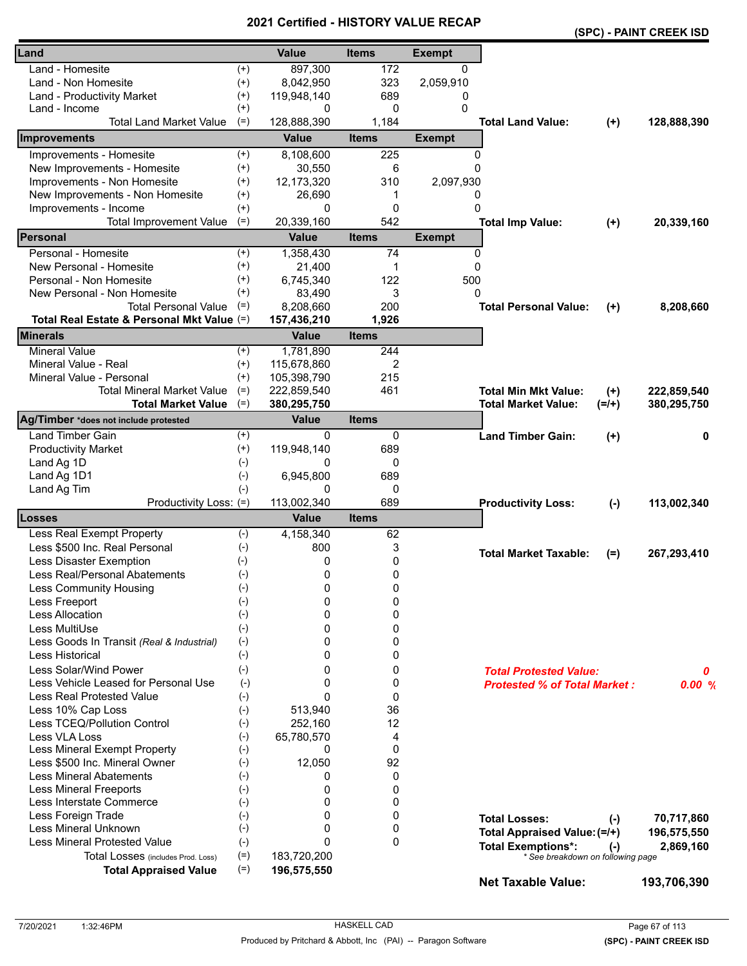|                                            |          |              |              |               |                                     |           | (SPC) - PAINT CREEK ISD |
|--------------------------------------------|----------|--------------|--------------|---------------|-------------------------------------|-----------|-------------------------|
| Land                                       |          | <b>Value</b> | <b>Items</b> | <b>Exempt</b> |                                     |           |                         |
| Land - Homesite                            | $^{(+)}$ | 897,300      | 172          | $\mathbf{0}$  |                                     |           |                         |
| Land - Non Homesite                        | $^{(+)}$ | 8,042,950    | 323          | 2,059,910     |                                     |           |                         |
| Land - Productivity Market                 | $^{(+)}$ | 119,948,140  | 689          | 0             |                                     |           |                         |
| Land - Income                              | $^{(+)}$ | 0            | 0            | 0             |                                     |           |                         |
| <b>Total Land Market Value</b>             | $(=)$    | 128,888,390  | 1,184        |               | <b>Total Land Value:</b>            | $(+)$     | 128,888,390             |
| <b>Improvements</b>                        |          | <b>Value</b> | <b>Items</b> | <b>Exempt</b> |                                     |           |                         |
| Improvements - Homesite                    | $^{(+)}$ | 8,108,600    | 225          | $\Omega$      |                                     |           |                         |
| New Improvements - Homesite                | $^{(+)}$ | 30,550       | 6            | $\Omega$      |                                     |           |                         |
| Improvements - Non Homesite                | $^{(+)}$ | 12,173,320   | 310          | 2,097,930     |                                     |           |                         |
| New Improvements - Non Homesite            | $^{(+)}$ | 26,690       | 1            | 0             |                                     |           |                         |
| Improvements - Income                      | $^{(+)}$ | 0            | 0            | 0             |                                     |           |                         |
| <b>Total Improvement Value</b>             | $(=)$    | 20,339,160   | 542          |               | <b>Total Imp Value:</b>             | $(+)$     | 20,339,160              |
| Personal                                   |          | <b>Value</b> | <b>Items</b> | <b>Exempt</b> |                                     |           |                         |
| Personal - Homesite                        | $^{(+)}$ | 1,358,430    | 74           | 0             |                                     |           |                         |
| New Personal - Homesite                    | $^{(+)}$ | 21,400       | 1            | $\mathbf 0$   |                                     |           |                         |
| Personal - Non Homesite                    | $^{(+)}$ | 6,745,340    | 122          | 500           |                                     |           |                         |
| New Personal - Non Homesite                | $^{(+)}$ | 83,490       | 3            | 0             |                                     |           |                         |
| <b>Total Personal Value</b>                | $(=)$    | 8,208,660    | 200          |               | <b>Total Personal Value:</b>        | $(+)$     | 8,208,660               |
| Total Real Estate & Personal Mkt Value (=) |          | 157,436,210  | 1,926        |               |                                     |           |                         |
| <b>Minerals</b>                            |          | <b>Value</b> | <b>Items</b> |               |                                     |           |                         |
| <b>Mineral Value</b>                       | $^{(+)}$ | 1,781,890    | 244          |               |                                     |           |                         |
| Mineral Value - Real                       | $^{(+)}$ | 115,678,860  | 2            |               |                                     |           |                         |
| Mineral Value - Personal                   | $(+)$    | 105,398,790  | 215          |               |                                     |           |                         |
| <b>Total Mineral Market Value</b>          | $(=)$    | 222,859,540  | 461          |               | <b>Total Min Mkt Value:</b>         | $(+)$     | 222,859,540             |
| <b>Total Market Value</b>                  | $(=)$    | 380,295,750  |              |               | <b>Total Market Value:</b>          | $(=/+)$   | 380,295,750             |
| Ag/Timber *does not include protested      |          | <b>Value</b> | <b>Items</b> |               |                                     |           |                         |
| <b>Land Timber Gain</b>                    | $^{(+)}$ | 0            | 0            |               | <b>Land Timber Gain:</b>            | $(+)$     | 0                       |
| <b>Productivity Market</b>                 | $^{(+)}$ | 119,948,140  | 689          |               |                                     |           |                         |
| Land Ag 1D                                 | $(-)$    | 0            | 0            |               |                                     |           |                         |
| Land Ag 1D1                                | $(-)$    | 6,945,800    | 689          |               |                                     |           |                         |
| Land Ag Tim                                | $(-)$    | 0            | 0            |               |                                     |           |                         |
| Productivity Loss: (=)                     |          | 113,002,340  | 689          |               | <b>Productivity Loss:</b>           | $(-)$     | 113,002,340             |
| <b>Losses</b>                              |          | <b>Value</b> | <b>Items</b> |               |                                     |           |                         |
| Less Real Exempt Property                  | $(-)$    | 4,158,340    | 62           |               |                                     |           |                         |
| Less \$500 Inc. Real Personal              | $(-)$    | 800          | 3            |               | <b>Total Market Taxable:</b>        | (=)       | 267,293,410             |
| Less Disaster Exemption                    | $(-)$    | 0            | 0            |               |                                     |           |                         |
| Less Real/Personal Abatements              | $(-)$    | 0            | 0            |               |                                     |           |                         |
| <b>Less Community Housing</b>              | $(-)$    | 0            | 0            |               |                                     |           |                         |
| Less Freeport                              | $(-)$    | 0            | 0            |               |                                     |           |                         |
| Less Allocation                            | $(-)$    | 0            | 0            |               |                                     |           |                         |
| Less MultiUse                              | $(-)$    | 0            | 0            |               |                                     |           |                         |
| Less Goods In Transit (Real & Industrial)  | $(-)$    | 0            | 0            |               |                                     |           |                         |
| <b>Less Historical</b>                     | $(-)$    | 0            | 0            |               |                                     |           |                         |
| Less Solar/Wind Power                      | $(-)$    | 0            | 0            |               | <b>Total Protested Value:</b>       |           | 0                       |
| Less Vehicle Leased for Personal Use       | $(-)$    | 0            | 0            |               | <b>Protested % of Total Market:</b> |           | 0.00%                   |
| <b>Less Real Protested Value</b>           | $(-)$    | $\Omega$     | 0            |               |                                     |           |                         |
| Less 10% Cap Loss                          | $(-)$    | 513,940      | 36           |               |                                     |           |                         |
| Less TCEQ/Pollution Control                | $(-)$    | 252,160      | 12           |               |                                     |           |                         |
| Less VLA Loss                              | $(-)$    | 65,780,570   | 4            |               |                                     |           |                         |
| Less Mineral Exempt Property               | $(-)$    | 0            | 0            |               |                                     |           |                         |
| Less \$500 Inc. Mineral Owner              | $(-)$    | 12,050       | 92           |               |                                     |           |                         |
| <b>Less Mineral Abatements</b>             | $(-)$    | 0            | 0            |               |                                     |           |                         |
| <b>Less Mineral Freeports</b>              | $(-)$    | 0            | 0            |               |                                     |           |                         |
| Less Interstate Commerce                   | $(-)$    | 0            | 0            |               |                                     |           |                         |
| Less Foreign Trade                         | $(-)$    | 0            | 0            |               | <b>Total Losses:</b>                | $(-)$     | 70,717,860              |
| Less Mineral Unknown                       | $(-)$    | $\Omega$     | 0            |               | Total Appraised Value: (=/+)        |           | 196,575,550             |
| <b>Less Mineral Protested Value</b>        | $(-)$    | $\Omega$     | $\Omega$     |               | <b>Total Exemptions*:</b>           | $(\cdot)$ | 2,869,160               |
| Total Losses (includes Prod. Loss)         | $(=)$    | 183,720,200  |              |               | * See breakdown on following page   |           |                         |
| <b>Total Appraised Value</b>               | $(=)$    | 196,575,550  |              |               | <b>Net Taxable Value:</b>           |           | 193,706,390             |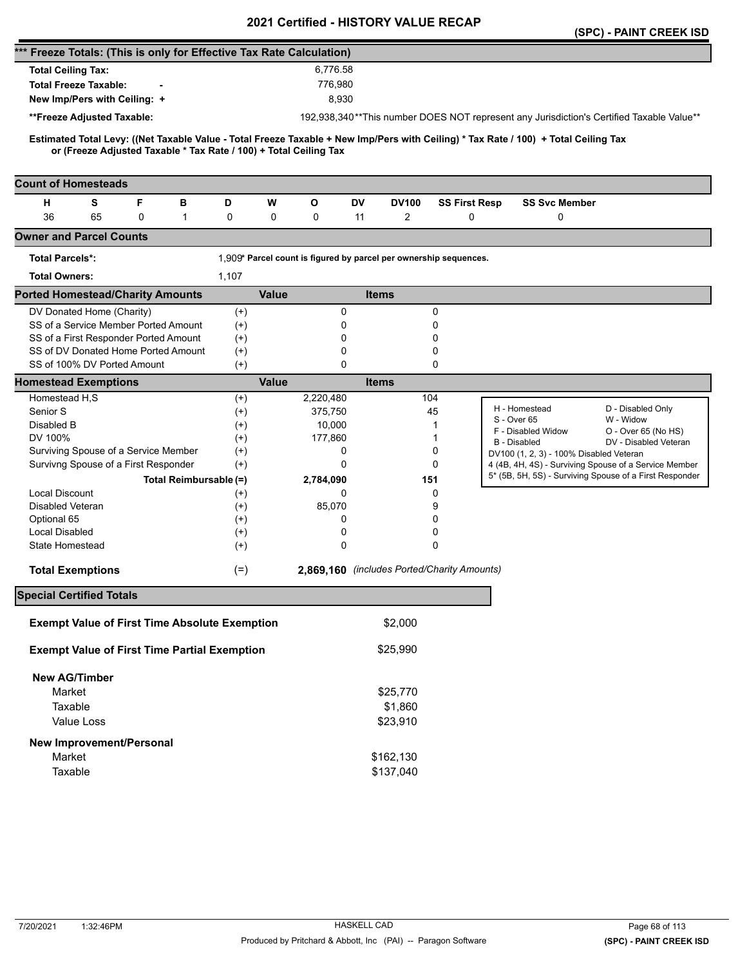|                                                                                                                                                                                                          |                      |              |              | <b>Certilled - FIISTONT VALUE</b>                                 |        |                      |                                         | (SPC) - PAINT CREEK ISD                                                                                          |
|----------------------------------------------------------------------------------------------------------------------------------------------------------------------------------------------------------|----------------------|--------------|--------------|-------------------------------------------------------------------|--------|----------------------|-----------------------------------------|------------------------------------------------------------------------------------------------------------------|
| *** Freeze Totals: (This is only for Effective Tax Rate Calculation)                                                                                                                                     |                      |              |              |                                                                   |        |                      |                                         |                                                                                                                  |
| <b>Total Ceiling Tax:</b>                                                                                                                                                                                |                      |              | 6,776.58     |                                                                   |        |                      |                                         |                                                                                                                  |
| <b>Total Freeze Taxable:</b>                                                                                                                                                                             |                      |              | 776,980      |                                                                   |        |                      |                                         |                                                                                                                  |
| New Imp/Pers with Ceiling: +                                                                                                                                                                             |                      |              | 8,930        |                                                                   |        |                      |                                         |                                                                                                                  |
|                                                                                                                                                                                                          |                      |              |              |                                                                   |        |                      |                                         |                                                                                                                  |
| **Freeze Adjusted Taxable:                                                                                                                                                                               |                      |              |              |                                                                   |        |                      |                                         | 192,938,340**This number DOES NOT represent any Jurisdiction's Certified Taxable Value**                         |
| Estimated Total Levy: ((Net Taxable Value - Total Freeze Taxable + New Imp/Pers with Ceiling) * Tax Rate / 100) + Total Ceiling Tax<br>or (Freeze Adjusted Taxable * Tax Rate / 100) + Total Ceiling Tax |                      |              |              |                                                                   |        |                      |                                         |                                                                                                                  |
| <b>Count of Homesteads</b>                                                                                                                                                                               |                      |              |              |                                                                   |        |                      |                                         |                                                                                                                  |
| S<br>F<br>н<br>в                                                                                                                                                                                         | D                    | W            | $\mathbf{o}$ | DV<br><b>DV100</b>                                                |        | <b>SS First Resp</b> | <b>SS Svc Member</b>                    |                                                                                                                  |
| 36<br>65<br>0<br>1                                                                                                                                                                                       | 0                    | 0            | 0            | 2<br>11                                                           |        | 0                    | 0                                       |                                                                                                                  |
| <b>Owner and Parcel Counts</b>                                                                                                                                                                           |                      |              |              |                                                                   |        |                      |                                         |                                                                                                                  |
| <b>Total Parcels*:</b>                                                                                                                                                                                   |                      |              |              | 1,909* Parcel count is figured by parcel per ownership sequences. |        |                      |                                         |                                                                                                                  |
| <b>Total Owners:</b>                                                                                                                                                                                     | 1,107                |              |              |                                                                   |        |                      |                                         |                                                                                                                  |
| <b>Ported Homestead/Charity Amounts</b>                                                                                                                                                                  |                      | <b>Value</b> |              | <b>Items</b>                                                      |        |                      |                                         |                                                                                                                  |
| DV Donated Home (Charity)                                                                                                                                                                                | $^{(+)}$             |              | 0            |                                                                   | 0      |                      |                                         |                                                                                                                  |
| SS of a Service Member Ported Amount                                                                                                                                                                     | $^{(+)}$             |              | 0            |                                                                   | 0      |                      |                                         |                                                                                                                  |
| SS of a First Responder Ported Amount                                                                                                                                                                    | $^{(+)}$             |              | 0            |                                                                   | 0      |                      |                                         |                                                                                                                  |
| SS of DV Donated Home Ported Amount                                                                                                                                                                      | $^{(+)}$             |              | 0            |                                                                   | 0      |                      |                                         |                                                                                                                  |
| SS of 100% DV Ported Amount                                                                                                                                                                              | $(+)$                |              | 0            |                                                                   | 0      |                      |                                         |                                                                                                                  |
| <b>Homestead Exemptions</b>                                                                                                                                                                              |                      | <b>Value</b> |              | <b>Items</b>                                                      |        |                      |                                         |                                                                                                                  |
| Homestead H,S                                                                                                                                                                                            | $^{(+)}$             |              | 2,220,480    |                                                                   | 104    |                      | H - Homestead                           |                                                                                                                  |
| Senior S                                                                                                                                                                                                 | $^{(+)}$             |              | 375,750      |                                                                   | 45     |                      | S - Over 65                             | D - Disabled Only<br>W - Widow                                                                                   |
| Disabled B                                                                                                                                                                                               | $^{(+)}$             |              | 10,000       |                                                                   | 1      |                      | F - Disabled Widow                      | O - Over 65 (No HS)                                                                                              |
| DV 100%<br>Surviving Spouse of a Service Member                                                                                                                                                          | $^{(+)}$             |              | 177,860<br>0 |                                                                   | 1<br>0 |                      | <b>B</b> - Disabled                     | DV - Disabled Veteran                                                                                            |
| Survivng Spouse of a First Responder                                                                                                                                                                     | $^{(+)}$<br>$(+)$    |              | 0            |                                                                   | 0      |                      | DV100 (1, 2, 3) - 100% Disabled Veteran |                                                                                                                  |
|                                                                                                                                                                                                          |                      |              |              |                                                                   |        |                      |                                         | 4 (4B, 4H, 4S) - Surviving Spouse of a Service Member<br>5* (5B, 5H, 5S) - Surviving Spouse of a First Responder |
| Total Reimbursable (=)                                                                                                                                                                                   |                      |              | 2,784,090    |                                                                   | 151    |                      |                                         |                                                                                                                  |
| <b>Local Discount</b><br>Disabled Veteran                                                                                                                                                                | $^{(+)}$             |              | 0<br>85,070  |                                                                   | 0<br>9 |                      |                                         |                                                                                                                  |
| Optional 65                                                                                                                                                                                              | $^{(+)}$<br>$^{(+)}$ |              | 0            |                                                                   | 0      |                      |                                         |                                                                                                                  |
| <b>Local Disabled</b>                                                                                                                                                                                    | $^{(+)}$             |              | 0            |                                                                   | 0      |                      |                                         |                                                                                                                  |
| State Homestead                                                                                                                                                                                          | $^{(+)}$             |              | 0            |                                                                   | 0      |                      |                                         |                                                                                                                  |
|                                                                                                                                                                                                          |                      |              |              |                                                                   |        |                      |                                         |                                                                                                                  |
| <b>Total Exemptions</b>                                                                                                                                                                                  | $(=)$                |              |              | 2,869,160 (includes Ported/Charity Amounts)                       |        |                      |                                         |                                                                                                                  |
| <b>Special Certified Totals</b>                                                                                                                                                                          |                      |              |              |                                                                   |        |                      |                                         |                                                                                                                  |
| <b>Exempt Value of First Time Absolute Exemption</b>                                                                                                                                                     |                      |              |              | \$2,000                                                           |        |                      |                                         |                                                                                                                  |
| <b>Exempt Value of First Time Partial Exemption</b>                                                                                                                                                      |                      |              |              | \$25,990                                                          |        |                      |                                         |                                                                                                                  |
| <b>New AG/Timber</b>                                                                                                                                                                                     |                      |              |              |                                                                   |        |                      |                                         |                                                                                                                  |
| Market                                                                                                                                                                                                   |                      |              |              | \$25,770                                                          |        |                      |                                         |                                                                                                                  |
| Taxable                                                                                                                                                                                                  |                      |              |              | \$1,860                                                           |        |                      |                                         |                                                                                                                  |
| Value Loss                                                                                                                                                                                               |                      |              |              | \$23,910                                                          |        |                      |                                         |                                                                                                                  |
| New Improvement/Personal                                                                                                                                                                                 |                      |              |              |                                                                   |        |                      |                                         |                                                                                                                  |
| Market                                                                                                                                                                                                   |                      |              |              | \$162,130                                                         |        |                      |                                         |                                                                                                                  |
| Taxable                                                                                                                                                                                                  |                      |              |              | \$137,040                                                         |        |                      |                                         |                                                                                                                  |
|                                                                                                                                                                                                          |                      |              |              |                                                                   |        |                      |                                         |                                                                                                                  |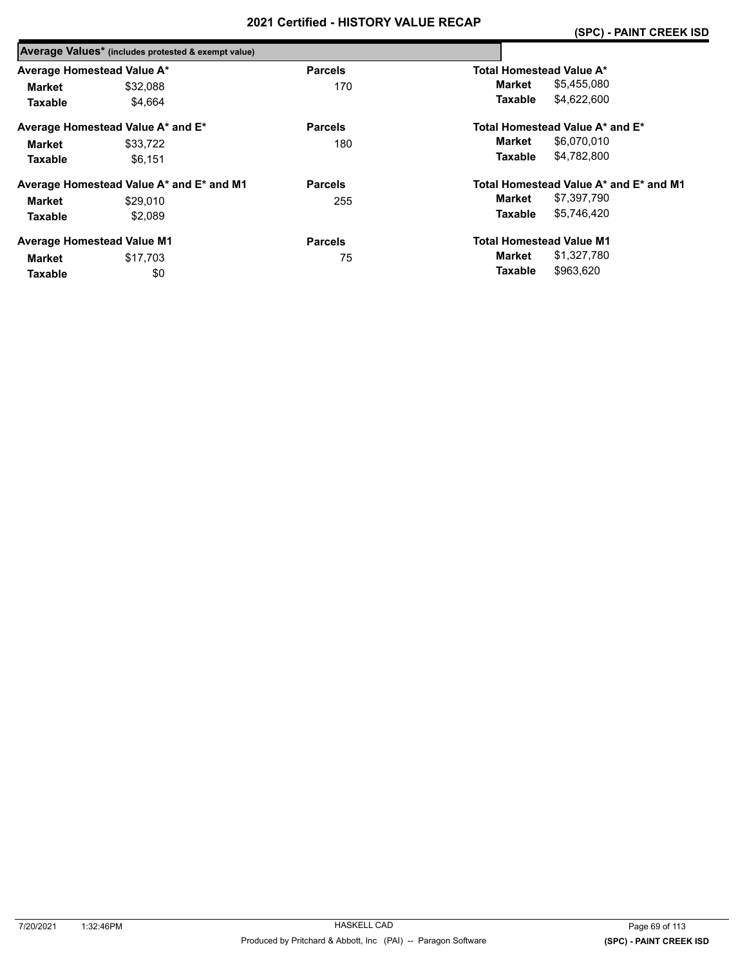|                            | Average Values* (includes protested & exempt value) |                |                                        |
|----------------------------|-----------------------------------------------------|----------------|----------------------------------------|
| Average Homestead Value A* |                                                     | <b>Parcels</b> | Total Homestead Value A*               |
| Market                     | \$32.088                                            | 170            | \$5,455,080<br>Market                  |
| <b>Taxable</b>             | \$4.664                                             |                | \$4.622.600<br>Taxable                 |
|                            | Average Homestead Value A* and E*                   | <b>Parcels</b> | Total Homestead Value A* and E*        |
| Market                     | \$33.722                                            | 180            | \$6,070,010<br>Market                  |
| <b>Taxable</b>             | \$6.151                                             |                | \$4.782.800<br>Taxable                 |
|                            | Average Homestead Value A* and E* and M1            | <b>Parcels</b> | Total Homestead Value A* and E* and M1 |
| Market                     | \$29,010                                            | 255            | \$7,397,790<br>Market                  |
| <b>Taxable</b>             | \$2.089                                             |                | \$5.746.420<br><b>Taxable</b>          |
|                            | <b>Average Homestead Value M1</b>                   | <b>Parcels</b> | <b>Total Homestead Value M1</b>        |
| Market                     | \$17.703                                            | 75             | \$1,327,780<br>Market                  |
| <b>Taxable</b>             | \$0                                                 |                | \$963.620<br><b>Taxable</b>            |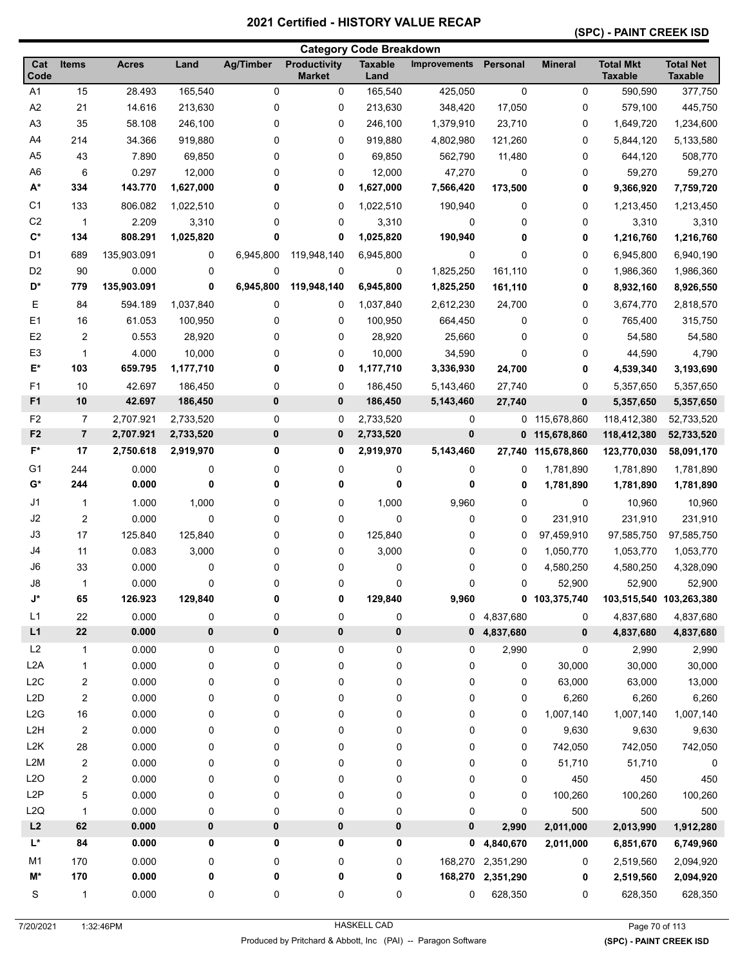#### **(SPC) - PAINT CREEK ISD**

|                  |                |              |           |                  |                                      | <b>Category Code Breakdown</b> |                     |                   |                |                                    |                                    |
|------------------|----------------|--------------|-----------|------------------|--------------------------------------|--------------------------------|---------------------|-------------------|----------------|------------------------------------|------------------------------------|
| Cat<br>Code      | Items          | <b>Acres</b> | Land      | <b>Ag/Timber</b> | <b>Productivity</b><br><b>Market</b> | <b>Taxable</b><br>Land         | <b>Improvements</b> | Personal          | <b>Mineral</b> | <b>Total Mkt</b><br><b>Taxable</b> | <b>Total Net</b><br><b>Taxable</b> |
| A <sub>1</sub>   | 15             | 28.493       | 165,540   | 0                | 0                                    | 165,540                        | 425,050             | 0                 | 0              | 590,590                            | 377,750                            |
| A <sub>2</sub>   | 21             | 14.616       | 213,630   | 0                | 0                                    | 213,630                        | 348,420             | 17,050            | 0              | 579,100                            | 445,750                            |
| A <sub>3</sub>   | 35             | 58.108       | 246,100   | 0                | 0                                    | 246,100                        | 1,379,910           | 23,710            | 0              | 1,649,720                          | 1,234,600                          |
| A4               | 214            | 34.366       | 919,880   | 0                | 0                                    | 919,880                        | 4,802,980           | 121,260           | 0              | 5,844,120                          | 5,133,580                          |
| A <sub>5</sub>   | 43             | 7.890        | 69,850    | 0                | 0                                    | 69,850                         | 562,790             | 11,480            | 0              | 644,120                            | 508,770                            |
| A <sub>6</sub>   | 6              | 0.297        | 12,000    | 0                | 0                                    | 12,000                         | 47,270              | 0                 | 0              | 59,270                             | 59,270                             |
| $A^*$            | 334            | 143.770      | 1,627,000 | 0                | 0                                    | 1,627,000                      | 7,566,420           | 173,500           | 0              | 9,366,920                          | 7,759,720                          |
| C <sub>1</sub>   | 133            | 806.082      | 1,022,510 | 0                | 0                                    | 1,022,510                      | 190,940             | 0                 | 0              | 1,213,450                          | 1,213,450                          |
| C <sub>2</sub>   | $\mathbf{1}$   | 2.209        | 3,310     | 0                | 0                                    | 3,310                          | 0                   | 0                 | 0              | 3,310                              | 3,310                              |
| $C^*$            | 134            | 808.291      | 1,025,820 | 0                | 0                                    | 1,025,820                      | 190,940             | 0                 | 0              | 1,216,760                          | 1,216,760                          |
| D <sub>1</sub>   | 689            | 135,903.091  | 0         | 6,945,800        | 119,948,140                          | 6,945,800                      | 0                   | 0                 | 0              | 6,945,800                          | 6,940,190                          |
| D <sub>2</sub>   | 90             | 0.000        | 0         | 0                | 0                                    | 0                              | 1,825,250           | 161,110           | 0              | 1,986,360                          | 1,986,360                          |
| D*               | 779            | 135,903.091  | 0         | 6,945,800        | 119,948,140                          | 6,945,800                      | 1,825,250           | 161,110           | 0              | 8,932,160                          | 8,926,550                          |
| Е                | 84             | 594.189      | 1,037,840 | 0                | 0                                    | 1,037,840                      | 2,612,230           | 24,700            | 0              | 3,674,770                          | 2,818,570                          |
| E1               | 16             | 61.053       | 100,950   | 0                | 0                                    | 100,950                        | 664,450             | 0                 | 0              | 765,400                            | 315,750                            |
| E <sub>2</sub>   | $\overline{c}$ | 0.553        | 28,920    | 0                | 0                                    | 28,920                         | 25,660              | 0                 | 0              | 54,580                             | 54,580                             |
| E <sub>3</sub>   | 1              | 4.000        | 10,000    | 0                | 0                                    | 10,000                         | 34,590              | 0                 | 0              | 44,590                             | 4,790                              |
| E*               | 103            | 659.795      | 1,177,710 | 0                | 0                                    | 1,177,710                      | 3,336,930           | 24,700            | 0              | 4,539,340                          | 3,193,690                          |
| F <sub>1</sub>   | 10             | 42.697       | 186,450   | 0                | 0                                    | 186,450                        | 5,143,460           | 27,740            | 0              | 5,357,650                          | 5,357,650                          |
| F <sub>1</sub>   | 10             | 42.697       | 186,450   | 0                | 0                                    | 186,450                        | 5,143,460           | 27,740            | $\mathbf 0$    | 5,357,650                          | 5,357,650                          |
| F <sub>2</sub>   | $\overline{7}$ | 2,707.921    | 2,733,520 | 0                | 0                                    | 2,733,520                      | 0                   |                   | 0 115,678,860  | 118,412,380                        | 52,733,520                         |
| F <sub>2</sub>   | $\overline{7}$ | 2,707.921    | 2,733,520 | 0                | 0                                    | 2,733,520                      | 0                   |                   | 0 115,678,860  | 118,412,380                        | 52,733,520                         |
| F*               | 17             | 2,750.618    | 2,919,970 | 0                | 0                                    | 2,919,970                      | 5,143,460           | 27,740            | 115,678,860    | 123,770,030                        | 58,091,170                         |
| G <sub>1</sub>   | 244            | 0.000        | 0         | 0                | 0                                    | 0                              | 0                   | 0                 | 1,781,890      | 1,781,890                          | 1,781,890                          |
| $G^*$            | 244            | 0.000        | 0         | 0                | 0                                    | 0                              | 0                   | 0                 | 1,781,890      | 1,781,890                          | 1,781,890                          |
| J1               | 1              | 1.000        | 1,000     | 0                | 0                                    | 1,000                          | 9,960               | 0                 | 0              | 10,960                             | 10,960                             |
| J2               | $\overline{2}$ | 0.000        | 0         | 0                | 0                                    | 0                              | 0                   | $\mathbf 0$       | 231,910        | 231,910                            | 231,910                            |
| J3               | 17             | 125.840      | 125,840   | 0                | 0                                    | 125,840                        | 0                   | 0                 | 97,459,910     | 97,585,750                         | 97,585,750                         |
| J4               | 11             | 0.083        | 3,000     | 0                | 0                                    | 3,000                          | 0                   | 0                 | 1,050,770      | 1,053,770                          | 1,053,770                          |
| J6               | 33             | 0.000        | 0         | 0                | 0                                    | 0                              | 0                   | 0                 | 4,580,250      | 4,580,250                          | 4,328,090                          |
| J8               | 1              | 0.000        | 0         | 0                | 0                                    | 0                              | 0                   | 0                 | 52,900         | 52,900                             | 52,900                             |
| J*               | 65             | 126.923      | 129,840   | 0                | 0                                    | 129,840                        | 9,960               |                   | 0 103,375,740  | 103,515,540 103,263,380            |                                    |
| L1               | 22             | 0.000        | 0         | 0                | 0                                    | 0                              |                     | 0 4,837,680       | 0              | 4,837,680                          | 4,837,680                          |
| L1               | ${\bf 22}$     | 0.000        | 0         | 0                | 0                                    | 0                              |                     | 0, 4, 837, 680    | 0              | 4,837,680                          | 4,837,680                          |
| L2               | 1              | 0.000        | 0         | 0                | 0                                    | 0                              | 0                   | 2,990             | 0              | 2,990                              | 2,990                              |
| L <sub>2</sub> A | 1              | 0.000        | 0         | 0                | 0                                    | 0                              | 0                   | 0                 | 30,000         | 30,000                             | 30,000                             |
| L2C              | 2              | 0.000        | 0         | 0                | 0                                    | 0                              | 0                   | 0                 | 63,000         | 63,000                             | 13,000                             |
| L <sub>2</sub> D | 2              | 0.000        | 0         | 0                | 0                                    | 0                              | 0                   | 0                 | 6,260          | 6,260                              | 6,260                              |
| L2G              | $16\,$         | 0.000        | 0         | 0                | 0                                    | 0                              | 0                   | 0                 | 1,007,140      | 1,007,140                          | 1,007,140                          |
| L <sub>2</sub> H | $\sqrt{2}$     | 0.000        | 0         | 0                | 0                                    | 0                              | 0                   | 0                 | 9,630          | 9,630                              | 9,630                              |
| L2K              | 28             | 0.000        | 0         | 0                | 0                                    | 0                              | 0                   | 0                 | 742,050        | 742,050                            | 742,050                            |
| L2M              | 2              | 0.000        | 0         | 0                | 0                                    | 0                              | 0                   | 0                 | 51,710         | 51,710                             | 0                                  |
| L2O              | 2              | 0.000        | 0         | 0                | 0                                    | 0                              | 0                   | 0                 | 450            | 450                                | 450                                |
| L <sub>2</sub> P | 5              | 0.000        | 0         | 0                | 0                                    | 0                              | 0                   | 0                 | 100,260        | 100,260                            | 100,260                            |
| L <sub>2</sub> Q | 1              | 0.000        | 0         | 0                | 0                                    | 0                              | 0                   | 0                 | 500            | 500                                | 500                                |
| L2               | 62             | 0.000        | 0         | 0                | 0                                    | $\pmb{0}$                      | 0                   | 2,990             | 2,011,000      | 2,013,990                          | 1,912,280                          |
| L*               | 84             | 0.000        | 0         | 0                | 0                                    | 0                              |                     | 0, 4, 840, 670    | 2,011,000      | 6,851,670                          | 6,749,960                          |
| M <sub>1</sub>   | 170            | 0.000        | 0         | 0                | 0                                    | 0                              |                     | 168,270 2,351,290 | 0              | 2,519,560                          | 2,094,920                          |
| M*               | 170            | 0.000        | 0         | 0                | 0                                    | 0                              |                     | 168,270 2,351,290 | 0              | 2,519,560                          | 2,094,920                          |
| S                | $\mathbf{1}$   | 0.000        | 0         | 0                | 0                                    | 0                              | 0                   | 628,350           | 0              | 628,350                            | 628,350                            |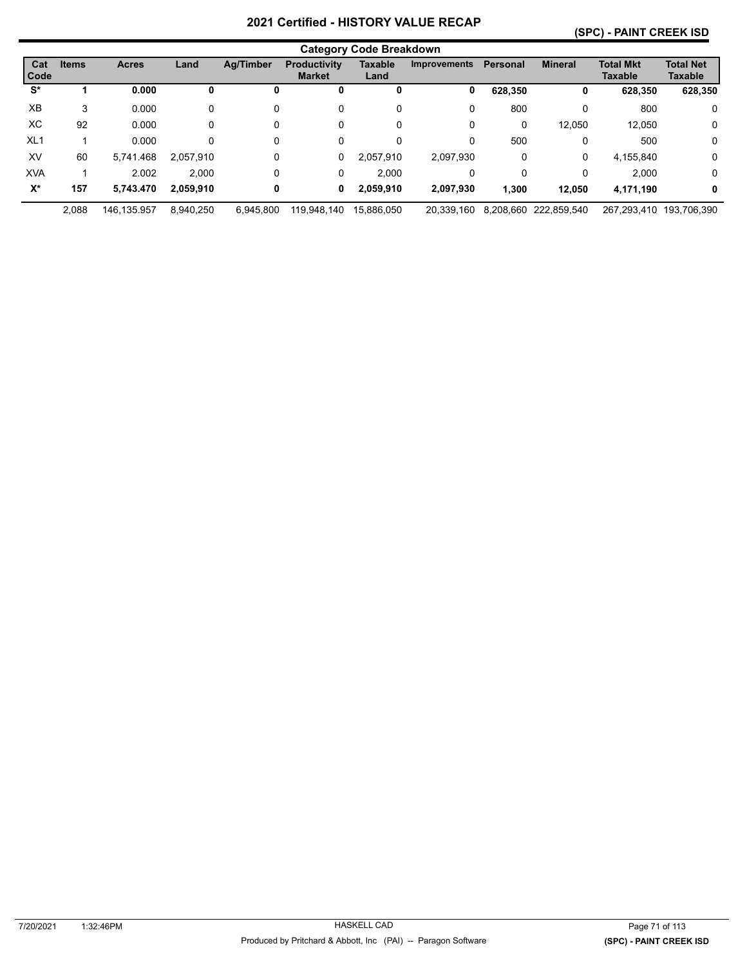#### **(SPC) - PAINT CREEK ISD**

|                 | <b>Category Code Breakdown</b> |              |           |           |                                      |                        |                     |                 |                       |                                    |                             |
|-----------------|--------------------------------|--------------|-----------|-----------|--------------------------------------|------------------------|---------------------|-----------------|-----------------------|------------------------------------|-----------------------------|
| Cat<br>Code     | <b>Items</b>                   | <b>Acres</b> | Land      | Ag/Timber | <b>Productivity</b><br><b>Market</b> | <b>Taxable</b><br>Land | <b>Improvements</b> | <b>Personal</b> | <b>Mineral</b>        | <b>Total Mkt</b><br><b>Taxable</b> | <b>Total Net</b><br>Taxable |
| S*              |                                | 0.000        | U         |           | U                                    | 0                      | 0                   | 628,350         | 0                     | 628,350                            | 628,350                     |
| XB              | 3                              | 0.000        | 0         | 0         | 0                                    | 0                      | 0                   | 800             | 0                     | 800                                | 0                           |
| ХC              | 92                             | 0.000        | 0         | 0         | 0                                    | 0                      | 0                   | 0               | 12,050                | 12.050                             | 0                           |
| XL <sub>1</sub> |                                | 0.000        | 0         | 0         | 0                                    | 0                      | 0                   | 500             | 0                     | 500                                | 0                           |
| XV              | 60                             | 5,741.468    | 2.057.910 | 0         | 0                                    | 2.057.910              | 2,097,930           | 0               | 0                     | 4,155,840                          | $\mathbf 0$                 |
| <b>XVA</b>      |                                | 2.002        | 2.000     | 0         | 0                                    | 2.000                  | 0                   | 0               | 0                     | 2.000                              | 0                           |
| $X^*$           | 157                            | 5.743.470    | 2,059,910 | 0         | 0                                    | 2,059,910              | 2,097,930           | 1,300           | 12,050                | 4,171,190                          | 0                           |
|                 | 2.088                          | 146.135.957  | 8,940,250 | 6.945.800 | 119,948,140                          | 15.886.050             | 20.339.160          |                 | 8.208.660 222.859.540 |                                    | 267.293.410 193.706.390     |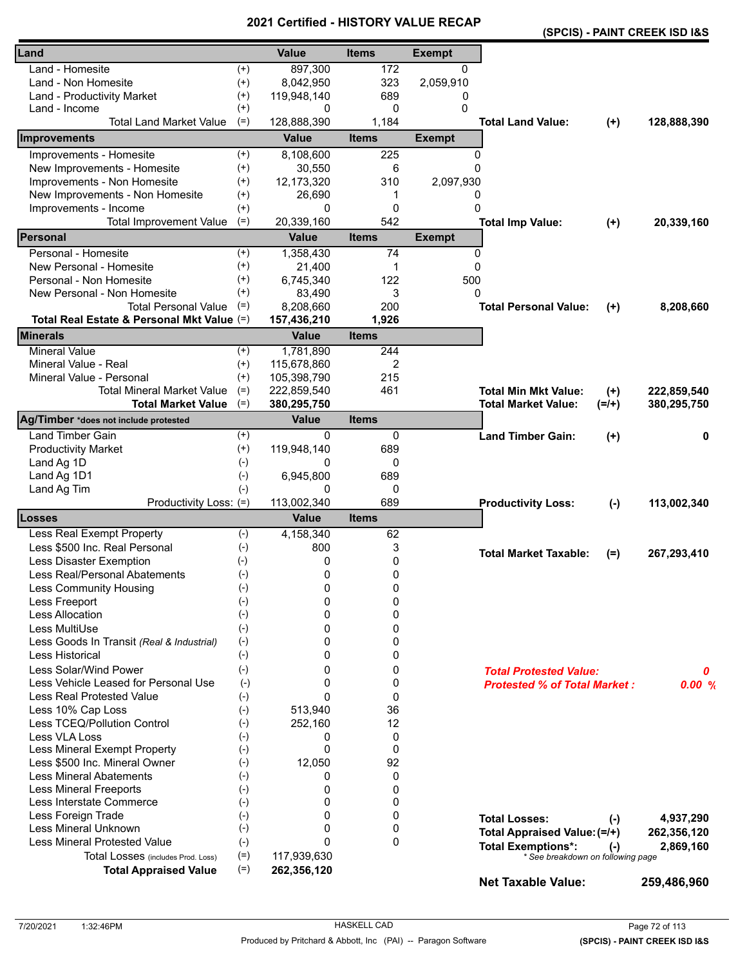|                                            |          |              |              |               | (SPCIS) - PAINT CREEK ISD I&S                                  |           |             |
|--------------------------------------------|----------|--------------|--------------|---------------|----------------------------------------------------------------|-----------|-------------|
| Land                                       |          | <b>Value</b> | <b>Items</b> | <b>Exempt</b> |                                                                |           |             |
| Land - Homesite                            | $^{(+)}$ | 897,300      | 172          | 0             |                                                                |           |             |
| Land - Non Homesite                        | $^{(+)}$ | 8,042,950    | 323          | 2,059,910     |                                                                |           |             |
| Land - Productivity Market                 | $^{(+)}$ | 119,948,140  | 689          | 0             |                                                                |           |             |
| Land - Income                              | $^{(+)}$ | 0            | 0            | 0             |                                                                |           |             |
| <b>Total Land Market Value</b>             | $(=)$    | 128,888,390  | 1,184        |               | <b>Total Land Value:</b>                                       | $(+)$     | 128,888,390 |
| Improvements                               |          | <b>Value</b> | <b>Items</b> | <b>Exempt</b> |                                                                |           |             |
| Improvements - Homesite                    | $(+)$    | 8,108,600    | 225          | 0             |                                                                |           |             |
| New Improvements - Homesite                | $(+)$    | 30,550       | 6            | $\Omega$      |                                                                |           |             |
| Improvements - Non Homesite                | $^{(+)}$ | 12,173,320   | 310          | 2,097,930     |                                                                |           |             |
| New Improvements - Non Homesite            | $^{(+)}$ | 26,690       | 1            | 0             |                                                                |           |             |
| Improvements - Income                      | $(+)$    | 0            | 0            | $\Omega$      |                                                                |           |             |
| <b>Total Improvement Value</b>             | $(=)$    | 20,339,160   | 542          |               | <b>Total Imp Value:</b>                                        | $(+)$     | 20,339,160  |
| Personal                                   |          | <b>Value</b> | <b>Items</b> | <b>Exempt</b> |                                                                |           |             |
| Personal - Homesite                        | $^{(+)}$ | 1,358,430    | 74           | 0             |                                                                |           |             |
| New Personal - Homesite                    | $^{(+)}$ | 21,400       | 1            | $\Omega$      |                                                                |           |             |
| Personal - Non Homesite                    | $^{(+)}$ | 6,745,340    | 122          | 500           |                                                                |           |             |
| New Personal - Non Homesite                | $^{(+)}$ | 83,490       | 3            | 0             |                                                                |           |             |
| <b>Total Personal Value</b>                | $(=)$    | 8,208,660    | 200          |               | <b>Total Personal Value:</b>                                   | $(+)$     | 8,208,660   |
| Total Real Estate & Personal Mkt Value (=) |          | 157,436,210  | 1,926        |               |                                                                |           |             |
| <b>Minerals</b>                            |          | <b>Value</b> | <b>Items</b> |               |                                                                |           |             |
| <b>Mineral Value</b>                       | $^{(+)}$ | 1,781,890    | 244          |               |                                                                |           |             |
| Mineral Value - Real                       | $^{(+)}$ | 115,678,860  | 2            |               |                                                                |           |             |
| Mineral Value - Personal                   | $(+)$    | 105,398,790  | 215          |               |                                                                |           |             |
| <b>Total Mineral Market Value</b>          | $(=)$    | 222,859,540  | 461          |               | <b>Total Min Mkt Value:</b>                                    | $(+)$     | 222,859,540 |
| <b>Total Market Value</b>                  | $(=)$    | 380,295,750  |              |               | <b>Total Market Value:</b>                                     | $(=/+)$   | 380,295,750 |
| Ag/Timber *does not include protested      |          | <b>Value</b> | <b>Items</b> |               |                                                                |           |             |
| <b>Land Timber Gain</b>                    | $^{(+)}$ | 0            | 0            |               | <b>Land Timber Gain:</b>                                       | $(+)$     | 0           |
| <b>Productivity Market</b>                 | $^{(+)}$ | 119,948,140  | 689          |               |                                                                |           |             |
| Land Ag 1D                                 | $(-)$    | 0            | 0            |               |                                                                |           |             |
| Land Ag 1D1                                | $(-)$    | 6,945,800    | 689          |               |                                                                |           |             |
| Land Ag Tim                                | $(-)$    | 0            | 0            |               |                                                                |           |             |
| Productivity Loss: (=)                     |          | 113,002,340  | 689          |               | <b>Productivity Loss:</b>                                      | $(-)$     | 113,002,340 |
| Losses                                     |          | Value        | <b>Items</b> |               |                                                                |           |             |
| Less Real Exempt Property                  | $(-)$    | 4,158,340    | 62           |               |                                                                |           |             |
| Less \$500 Inc. Real Personal              | $(-)$    | 800          | 3            |               | <b>Total Market Taxable:</b>                                   |           |             |
| Less Disaster Exemption                    | $(-)$    | 0            | 0            |               |                                                                | (=)       | 267,293,410 |
| Less Real/Personal Abatements              | $(-)$    | 0            | 0            |               |                                                                |           |             |
| <b>Less Community Housing</b>              | $(-)$    | 0            | 0            |               |                                                                |           |             |
| Less Freeport                              | $(-)$    | 0            | 0            |               |                                                                |           |             |
| <b>Less Allocation</b>                     | $(-)$    | $\Omega$     | 0            |               |                                                                |           |             |
| Less MultiUse                              | $(-)$    | 0            | 0            |               |                                                                |           |             |
| Less Goods In Transit (Real & Industrial)  | $(-)$    | 0            | 0            |               |                                                                |           |             |
| Less Historical                            | $(-)$    | 0            | 0            |               |                                                                |           |             |
| Less Solar/Wind Power                      | $(-)$    | 0            | 0            |               | <b>Total Protested Value:</b>                                  |           | 0           |
| Less Vehicle Leased for Personal Use       | $(-)$    | 0            | 0            |               | <b>Protested % of Total Market:</b>                            |           | 0.00%       |
| Less Real Protested Value                  | $(-)$    | $\Omega$     | 0            |               |                                                                |           |             |
| Less 10% Cap Loss                          | $(-)$    | 513,940      | 36           |               |                                                                |           |             |
| Less TCEQ/Pollution Control                | $(-)$    | 252,160      | 12           |               |                                                                |           |             |
| Less VLA Loss                              | $(-)$    | 0            | 0            |               |                                                                |           |             |
| Less Mineral Exempt Property               | $(-)$    | 0            | 0            |               |                                                                |           |             |
| Less \$500 Inc. Mineral Owner              | $(-)$    | 12,050       | 92           |               |                                                                |           |             |
| <b>Less Mineral Abatements</b>             | $(-)$    | 0            | 0            |               |                                                                |           |             |
| <b>Less Mineral Freeports</b>              | $(-)$    | 0            | 0            |               |                                                                |           |             |
| Less Interstate Commerce                   | $(-)$    | 0            | 0            |               |                                                                |           |             |
| Less Foreign Trade                         | $(-)$    | 0            | 0            |               | <b>Total Losses:</b>                                           | $(\cdot)$ | 4,937,290   |
| Less Mineral Unknown                       | $(-)$    | 0            | 0            |               | Total Appraised Value: (=/+)                                   |           | 262,356,120 |
| <b>Less Mineral Protested Value</b>        | $(-)$    | $\Omega$     | 0            |               |                                                                |           |             |
| Total Losses (includes Prod. Loss)         | $(=)$    | 117,939,630  |              |               | <b>Total Exemptions*:</b><br>* See breakdown on following page | $(-)$     | 2,869,160   |
| <b>Total Appraised Value</b>               | $(=)$    | 262,356,120  |              |               |                                                                |           |             |
|                                            |          |              |              |               | <b>Net Taxable Value:</b>                                      |           | 259,486,960 |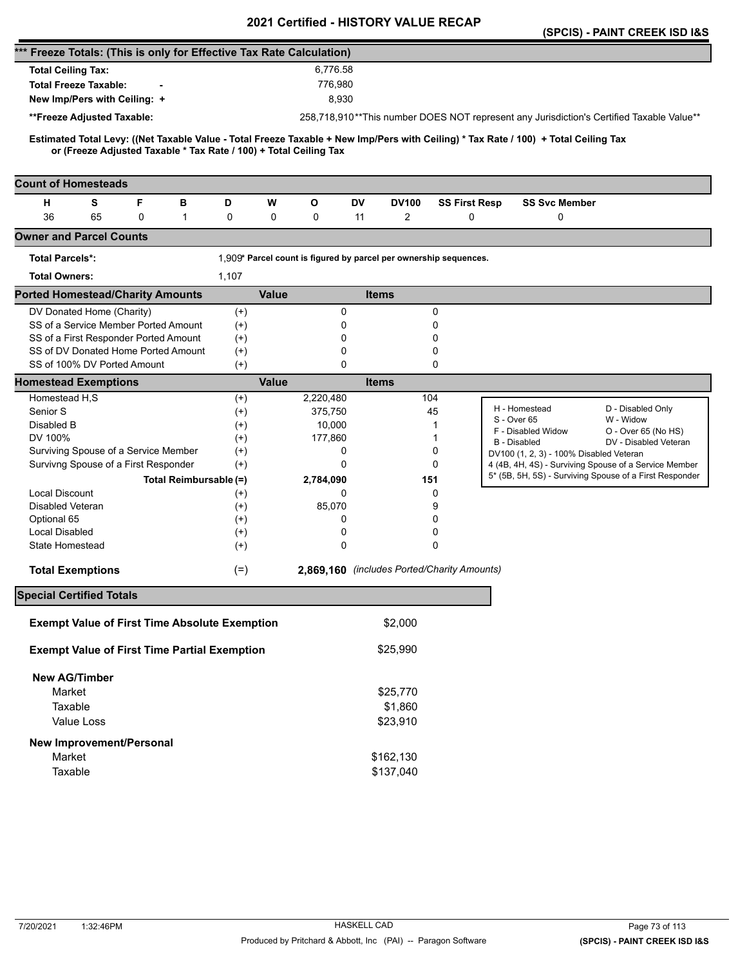|                                                                                                                                                                                                          |                   |              |              | <b>Certilled - FIISTONT VALUE</b>                                 |                      |                                                                                                                  | (SPCIS) - PAINT CREEK ISD I&S |
|----------------------------------------------------------------------------------------------------------------------------------------------------------------------------------------------------------|-------------------|--------------|--------------|-------------------------------------------------------------------|----------------------|------------------------------------------------------------------------------------------------------------------|-------------------------------|
| *** Freeze Totals: (This is only for Effective Tax Rate Calculation)                                                                                                                                     |                   |              |              |                                                                   |                      |                                                                                                                  |                               |
| <b>Total Ceiling Tax:</b>                                                                                                                                                                                |                   |              | 6,776.58     |                                                                   |                      |                                                                                                                  |                               |
| <b>Total Freeze Taxable:</b>                                                                                                                                                                             |                   |              | 776,980      |                                                                   |                      |                                                                                                                  |                               |
| New Imp/Pers with Ceiling: +                                                                                                                                                                             |                   |              | 8,930        |                                                                   |                      |                                                                                                                  |                               |
| **Freeze Adjusted Taxable:                                                                                                                                                                               |                   |              |              |                                                                   |                      | 258,718,910**This number DOES NOT represent any Jurisdiction's Certified Taxable Value**                         |                               |
|                                                                                                                                                                                                          |                   |              |              |                                                                   |                      |                                                                                                                  |                               |
| Estimated Total Levy: ((Net Taxable Value - Total Freeze Taxable + New Imp/Pers with Ceiling) * Tax Rate / 100) + Total Ceiling Tax<br>or (Freeze Adjusted Taxable * Tax Rate / 100) + Total Ceiling Tax |                   |              |              |                                                                   |                      |                                                                                                                  |                               |
| <b>Count of Homesteads</b>                                                                                                                                                                               |                   |              |              |                                                                   |                      |                                                                                                                  |                               |
| F<br>н<br>s<br>в                                                                                                                                                                                         | D                 | W            | О            | DV<br><b>DV100</b>                                                | <b>SS First Resp</b> | <b>SS Svc Member</b>                                                                                             |                               |
| 36<br>65<br>0<br>$\mathbf{1}$                                                                                                                                                                            | 0                 | 0            | 0            | 2<br>11                                                           | 0                    | 0                                                                                                                |                               |
| <b>Owner and Parcel Counts</b>                                                                                                                                                                           |                   |              |              |                                                                   |                      |                                                                                                                  |                               |
| <b>Total Parcels*:</b>                                                                                                                                                                                   |                   |              |              | 1,909* Parcel count is figured by parcel per ownership sequences. |                      |                                                                                                                  |                               |
| <b>Total Owners:</b>                                                                                                                                                                                     | 1,107             |              |              |                                                                   |                      |                                                                                                                  |                               |
| <b>Ported Homestead/Charity Amounts</b>                                                                                                                                                                  |                   | <b>Value</b> |              | <b>Items</b>                                                      |                      |                                                                                                                  |                               |
| DV Donated Home (Charity)                                                                                                                                                                                | $^{(+)}$          |              | 0            |                                                                   | 0                    |                                                                                                                  |                               |
| SS of a Service Member Ported Amount                                                                                                                                                                     | $^{(+)}$          |              | 0            |                                                                   | 0                    |                                                                                                                  |                               |
| SS of a First Responder Ported Amount                                                                                                                                                                    | $^{(+)}$          |              | 0            |                                                                   | 0                    |                                                                                                                  |                               |
| SS of DV Donated Home Ported Amount                                                                                                                                                                      | $^{(+)}$          |              | 0            |                                                                   | 0                    |                                                                                                                  |                               |
| SS of 100% DV Ported Amount                                                                                                                                                                              | $(+)$             |              | $\Omega$     |                                                                   | 0                    |                                                                                                                  |                               |
| <b>Homestead Exemptions</b>                                                                                                                                                                              |                   | <b>Value</b> |              | <b>Items</b>                                                      |                      |                                                                                                                  |                               |
| Homestead H,S                                                                                                                                                                                            | $^{(+)}$          |              | 2,220,480    |                                                                   | 104                  | H - Homestead                                                                                                    | D - Disabled Only             |
| Senior S                                                                                                                                                                                                 | $^{(+)}$          |              | 375,750      |                                                                   | 45                   | S - Over 65                                                                                                      | W - Widow                     |
| Disabled B                                                                                                                                                                                               | $^{(+)}$          |              | 10,000       |                                                                   | 1                    | F - Disabled Widow                                                                                               | O - Over 65 (No HS)           |
| DV 100%<br>Surviving Spouse of a Service Member                                                                                                                                                          | $^{(+)}$          |              | 177,860<br>0 |                                                                   | 1<br>0               | <b>B</b> - Disabled                                                                                              | DV - Disabled Veteran         |
| Survivng Spouse of a First Responder                                                                                                                                                                     | $^{(+)}$<br>$(+)$ |              | 0            |                                                                   | 0                    | DV100 (1, 2, 3) - 100% Disabled Veteran                                                                          |                               |
| Total Reimbursable (=)                                                                                                                                                                                   |                   |              | 2,784,090    |                                                                   | 151                  | 4 (4B, 4H, 4S) - Surviving Spouse of a Service Member<br>5* (5B, 5H, 5S) - Surviving Spouse of a First Responder |                               |
| <b>Local Discount</b>                                                                                                                                                                                    | $^{(+)}$          |              | 0            |                                                                   | 0                    |                                                                                                                  |                               |
| <b>Disabled Veteran</b>                                                                                                                                                                                  | $^{(+)}$          |              | 85,070       |                                                                   | 9                    |                                                                                                                  |                               |
| Optional 65                                                                                                                                                                                              | $^{(+)}$          |              | 0            |                                                                   | 0                    |                                                                                                                  |                               |
| <b>Local Disabled</b>                                                                                                                                                                                    | $^{(+)}$          |              | 0            |                                                                   | 0                    |                                                                                                                  |                               |
| State Homestead                                                                                                                                                                                          | $^{(+)}$          |              | 0            |                                                                   | $\Omega$             |                                                                                                                  |                               |
| <b>Total Exemptions</b>                                                                                                                                                                                  | $(=)$             |              |              | 2,869,160 (includes Ported/Charity Amounts)                       |                      |                                                                                                                  |                               |
|                                                                                                                                                                                                          |                   |              |              |                                                                   |                      |                                                                                                                  |                               |
| <b>Special Certified Totals</b>                                                                                                                                                                          |                   |              |              |                                                                   |                      |                                                                                                                  |                               |
| <b>Exempt Value of First Time Absolute Exemption</b>                                                                                                                                                     |                   |              |              | \$2,000                                                           |                      |                                                                                                                  |                               |
| <b>Exempt Value of First Time Partial Exemption</b>                                                                                                                                                      |                   |              |              | \$25,990                                                          |                      |                                                                                                                  |                               |
| <b>New AG/Timber</b>                                                                                                                                                                                     |                   |              |              |                                                                   |                      |                                                                                                                  |                               |
| Market                                                                                                                                                                                                   |                   |              |              | \$25,770                                                          |                      |                                                                                                                  |                               |
| Taxable                                                                                                                                                                                                  |                   |              |              | \$1,860                                                           |                      |                                                                                                                  |                               |
| Value Loss                                                                                                                                                                                               |                   |              |              | \$23,910                                                          |                      |                                                                                                                  |                               |
|                                                                                                                                                                                                          |                   |              |              |                                                                   |                      |                                                                                                                  |                               |
| New Improvement/Personal                                                                                                                                                                                 |                   |              |              |                                                                   |                      |                                                                                                                  |                               |
| Market<br>Taxable                                                                                                                                                                                        |                   |              |              | \$162,130                                                         |                      |                                                                                                                  |                               |
|                                                                                                                                                                                                          |                   |              |              | \$137,040                                                         |                      |                                                                                                                  |                               |
|                                                                                                                                                                                                          |                   |              |              |                                                                   |                      |                                                                                                                  |                               |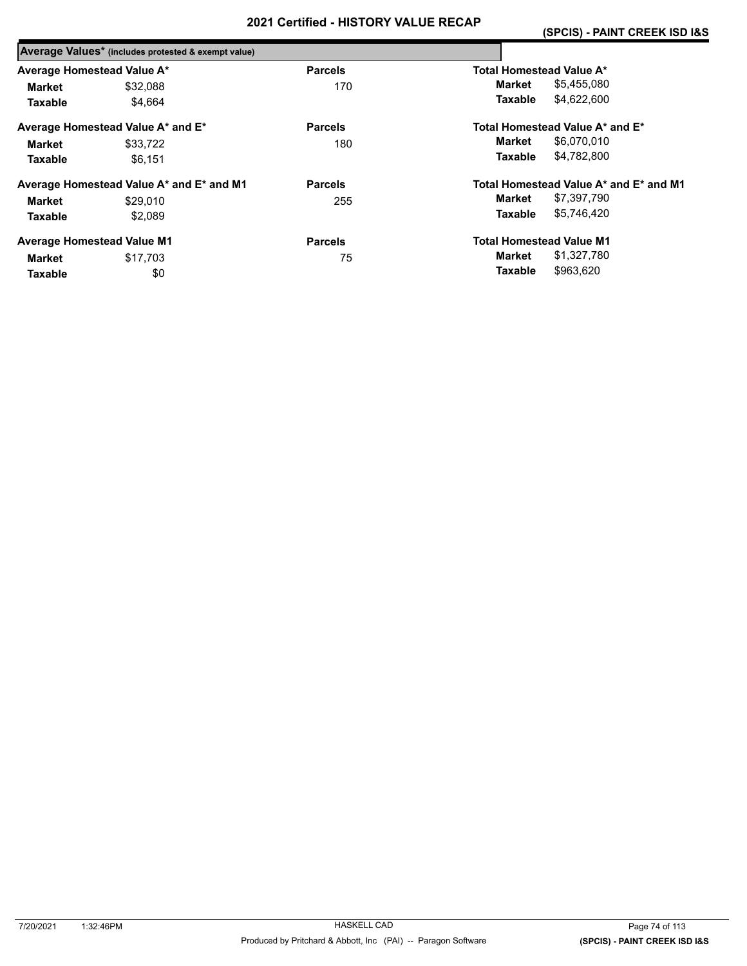|                            | Average Values* (includes protested & exempt value) |                |                                        |
|----------------------------|-----------------------------------------------------|----------------|----------------------------------------|
| Average Homestead Value A* |                                                     | <b>Parcels</b> | Total Homestead Value A*               |
| Market                     | \$32.088                                            | 170            | \$5,455,080<br>Market                  |
| <b>Taxable</b>             | \$4.664                                             |                | \$4,622,600<br>Taxable                 |
|                            | Average Homestead Value A* and E*                   | <b>Parcels</b> | Total Homestead Value A* and E*        |
| Market                     | \$33.722                                            | 180            | Market<br>\$6,070,010                  |
| <b>Taxable</b>             | \$6.151                                             |                | \$4.782.800<br>Taxable                 |
|                            | Average Homestead Value A* and E* and M1            | <b>Parcels</b> | Total Homestead Value A* and E* and M1 |
| Market                     | \$29,010                                            | 255            | \$7,397,790<br>Market                  |
| Taxable                    | \$2.089                                             |                | \$5,746,420<br>Taxable                 |
|                            | <b>Average Homestead Value M1</b>                   | <b>Parcels</b> | <b>Total Homestead Value M1</b>        |
| Market                     | \$17,703                                            | 75             | \$1,327,780<br>Market                  |
| Taxable                    | \$0                                                 |                | \$963.620<br>Taxable                   |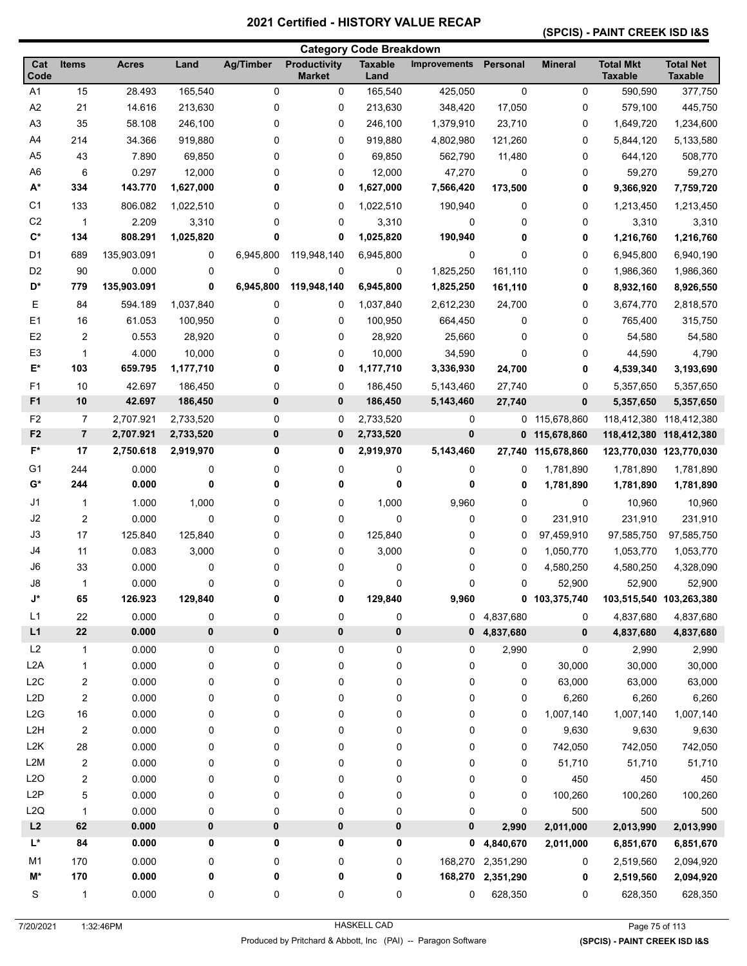#### **(SPCIS) - PAINT CREEK ISD I&S**

|                  |                         |              |           |                  |                               | <b>Category Code Breakdown</b> |                     |                   |                |                                    |                                    |
|------------------|-------------------------|--------------|-----------|------------------|-------------------------------|--------------------------------|---------------------|-------------------|----------------|------------------------------------|------------------------------------|
| Cat<br>Code      | <b>Items</b>            | <b>Acres</b> | Land      | <b>Ag/Timber</b> | Productivity<br><b>Market</b> | <b>Taxable</b><br>Land         | <b>Improvements</b> | Personal          | <b>Mineral</b> | <b>Total Mkt</b><br><b>Taxable</b> | <b>Total Net</b><br><b>Taxable</b> |
| A <sub>1</sub>   | 15                      | 28.493       | 165,540   | $\mathbf 0$      | 0                             | 165,540                        | 425,050             | $\mathbf 0$       | 0              | 590,590                            | 377,750                            |
| A <sub>2</sub>   | 21                      | 14.616       | 213,630   | 0                | 0                             | 213,630                        | 348,420             | 17,050            | 0              | 579,100                            | 445,750                            |
| A <sub>3</sub>   | 35                      | 58.108       | 246,100   | 0                | 0                             | 246,100                        | 1,379,910           | 23,710            | 0              | 1,649,720                          | 1,234,600                          |
| A4               | 214                     | 34.366       | 919,880   | 0                | 0                             | 919,880                        | 4,802,980           | 121,260           | 0              | 5,844,120                          | 5,133,580                          |
| A <sub>5</sub>   | 43                      | 7.890        | 69,850    | 0                | 0                             | 69,850                         | 562,790             | 11,480            | 0              | 644,120                            | 508,770                            |
| A <sub>6</sub>   | 6                       | 0.297        | 12,000    | 0                | 0                             | 12,000                         | 47,270              | 0                 | 0              | 59,270                             | 59,270                             |
| $A^*$            | 334                     | 143.770      | 1,627,000 | 0                | 0                             | 1,627,000                      | 7,566,420           | 173,500           | 0              | 9,366,920                          | 7,759,720                          |
| C <sub>1</sub>   | 133                     | 806.082      | 1,022,510 | 0                | 0                             | 1,022,510                      | 190,940             | 0                 | 0              | 1,213,450                          | 1,213,450                          |
| C <sub>2</sub>   | $\mathbf{1}$            | 2.209        | 3,310     | 0                | 0                             | 3,310                          | 0                   | 0                 | 0              | 3,310                              | 3,310                              |
| $\mathbf{C}^*$   | 134                     | 808.291      | 1,025,820 | 0                | 0                             | 1,025,820                      | 190,940             | 0                 | 0              | 1,216,760                          | 1,216,760                          |
| D <sub>1</sub>   | 689                     | 135,903.091  | 0         | 6,945,800        | 119,948,140                   | 6,945,800                      | 0                   | 0                 | 0              | 6,945,800                          | 6,940,190                          |
| D <sub>2</sub>   | 90                      | 0.000        | 0         | 0                | 0                             | 0                              | 1,825,250           | 161,110           | 0              | 1,986,360                          | 1,986,360                          |
| D*               | 779                     | 135,903.091  | 0         | 6,945,800        | 119,948,140                   | 6,945,800                      | 1,825,250           | 161,110           | 0              | 8,932,160                          | 8,926,550                          |
| Ε                | 84                      | 594.189      | 1,037,840 | 0                | 0                             | 1,037,840                      | 2,612,230           | 24,700            | 0              | 3,674,770                          | 2,818,570                          |
| E1               | 16                      | 61.053       | 100,950   | 0                | 0                             | 100,950                        | 664,450             | 0                 | 0              | 765,400                            | 315,750                            |
| E2               | $\overline{2}$          | 0.553        | 28,920    | 0                | 0                             | 28,920                         | 25,660              | 0                 | 0              | 54,580                             | 54,580                             |
| E <sub>3</sub>   | 1                       | 4.000        | 10,000    | 0                | 0                             | 10,000                         | 34,590              | $\mathbf 0$       | 0              | 44,590                             | 4,790                              |
| E*               | 103                     | 659.795      | 1,177,710 | 0                | 0                             | 1,177,710                      | 3,336,930           | 24,700            | 0              | 4,539,340                          | 3,193,690                          |
| F <sub>1</sub>   | 10                      | 42.697       | 186,450   | 0                | 0                             | 186,450                        | 5,143,460           | 27,740            | 0              | 5,357,650                          | 5,357,650                          |
| F1               | 10                      | 42.697       | 186,450   | 0                | 0                             | 186,450                        | 5,143,460           | 27,740            | 0              | 5,357,650                          | 5,357,650                          |
| F <sub>2</sub>   | 7                       | 2,707.921    | 2,733,520 | 0                | 0                             | 2,733,520                      | 0                   |                   | 0 115,678,860  | 118,412,380                        | 118,412,380                        |
| F <sub>2</sub>   | $\overline{\mathbf{r}}$ | 2,707.921    | 2,733,520 | 0                | 0                             | 2,733,520                      | $\pmb{0}$           |                   | 0 115,678,860  | 118,412,380                        | 118,412,380                        |
| $F^*$            | 17                      | 2,750.618    | 2,919,970 | 0                | 0                             | 2,919,970                      | 5,143,460           | 27,740            | 115,678,860    | 123,770,030 123,770,030            |                                    |
| G <sub>1</sub>   | 244                     | 0.000        | 0         | 0                | 0                             | 0                              | 0                   | 0                 | 1,781,890      | 1,781,890                          | 1,781,890                          |
| G*               | 244                     | 0.000        | 0         | 0                | 0                             | 0                              | 0                   | 0                 | 1,781,890      | 1,781,890                          | 1,781,890                          |
| J <sub>1</sub>   | 1                       | 1.000        | 1,000     | 0                | 0                             | 1,000                          | 9,960               | 0                 | 0              | 10,960                             | 10,960                             |
| J2               | $\boldsymbol{2}$        | 0.000        | 0         | 0                | 0                             | 0                              | 0                   | 0                 | 231,910        | 231,910                            | 231,910                            |
| J3               | 17                      | 125.840      | 125,840   | 0                | 0                             | 125,840                        | 0                   | 0                 | 97,459,910     | 97,585,750                         | 97,585,750                         |
| J4               | 11                      | 0.083        | 3,000     | 0                | 0                             | 3,000                          | 0                   | 0                 | 1,050,770      | 1,053,770                          | 1,053,770                          |
| J6               | 33                      | 0.000        | 0         | 0                | 0                             | 0                              | 0                   | 0                 | 4,580,250      | 4,580,250                          | 4,328,090                          |
| J8               | 1                       | 0.000        | 0         | 0                | 0                             | 0                              | 0                   | $\mathbf 0$       | 52,900         | 52,900                             | 52,900                             |
| J*               | 65                      | 126.923      | 129,840   | 0                | 0                             | 129,840                        | 9,960               |                   | 0 103,375,740  |                                    | 103,515,540 103,263,380            |
| L1               | 22                      | 0.000        | 0         | 0                | 0                             | 0                              |                     | 0 4,837,680       | 0              | 4,837,680                          | 4,837,680                          |
| L1               | ${\bf 22}$              | 0.000        | $\pmb{0}$ | 0                | 0                             | 0                              |                     | $0$ 4,837,680     | 0              | 4,837,680                          | 4,837,680                          |
| L2               | 1                       | 0.000        | 0         | 0                | 0                             | $\pmb{0}$                      | 0                   | 2,990             | 0              | 2,990                              | 2,990                              |
| L2A              | 1                       | 0.000        | 0         | 0                | 0                             | 0                              | 0                   | 0                 | 30,000         | 30,000                             | 30,000                             |
| L2C              | 2                       | 0.000        | 0         | 0                | 0                             | 0                              | 0                   | 0                 | 63,000         | 63,000                             | 63,000                             |
| L <sub>2</sub> D | $\boldsymbol{2}$        | 0.000        | 0         | 0                | 0                             | 0                              | 0                   | 0                 | 6,260          | 6,260                              | 6,260                              |
| L2G              | 16                      | 0.000        | 0         | 0                | 0                             | $\pmb{0}$                      | 0                   | 0                 | 1,007,140      | 1,007,140                          | 1,007,140                          |
| L <sub>2</sub> H | $\sqrt{2}$              | 0.000        | 0         | 0                | 0                             | 0                              | 0                   | 0                 | 9,630          | 9,630                              | 9,630                              |
| L2K              | 28                      | 0.000        | 0         | 0                | 0                             | 0                              | 0                   | 0                 | 742,050        | 742,050                            | 742,050                            |
| L2M              | 2                       | 0.000        | 0         | 0                | 0                             | 0                              | 0                   | 0                 | 51,710         | 51,710                             | 51,710                             |
| L2O              | 2                       | 0.000        | 0         | 0                | 0                             | 0                              | 0                   | 0                 | 450            | 450                                | 450                                |
| L <sub>2</sub> P | $\mathbf 5$             | 0.000        | 0         | 0                | 0                             | 0                              | 0                   | 0                 | 100,260        | 100,260                            | 100,260                            |
| L <sub>2</sub> Q | $\mathbf{1}$            | 0.000        | 0         | 0                | 0                             | $\pmb{0}$                      | 0                   | 0                 | 500            | 500                                | 500                                |
| L2               | 62                      | 0.000        | 0         | 0                | 0                             | 0                              | $\pmb{0}$           | 2,990             | 2,011,000      | 2,013,990                          | 2,013,990                          |
| L*               | 84                      | 0.000        | 0         | 0                | 0                             | 0                              |                     | 0, 4, 840, 670    | 2,011,000      | 6,851,670                          | 6,851,670                          |
| M1               | 170                     | 0.000        | 0         | 0                | 0                             | 0                              |                     | 168,270 2,351,290 | 0              | 2,519,560                          | 2,094,920                          |
| M*               | 170                     | 0.000        | 0         | 0                | 0                             | 0                              |                     | 168,270 2,351,290 | 0              | 2,519,560                          | 2,094,920                          |
| S                | $\mathbf{1}$            | 0.000        | 0         | 0                | 0                             | 0                              | 0                   | 628,350           | 0              | 628,350                            | 628,350                            |
|                  |                         |              |           |                  |                               |                                |                     |                   |                |                                    |                                    |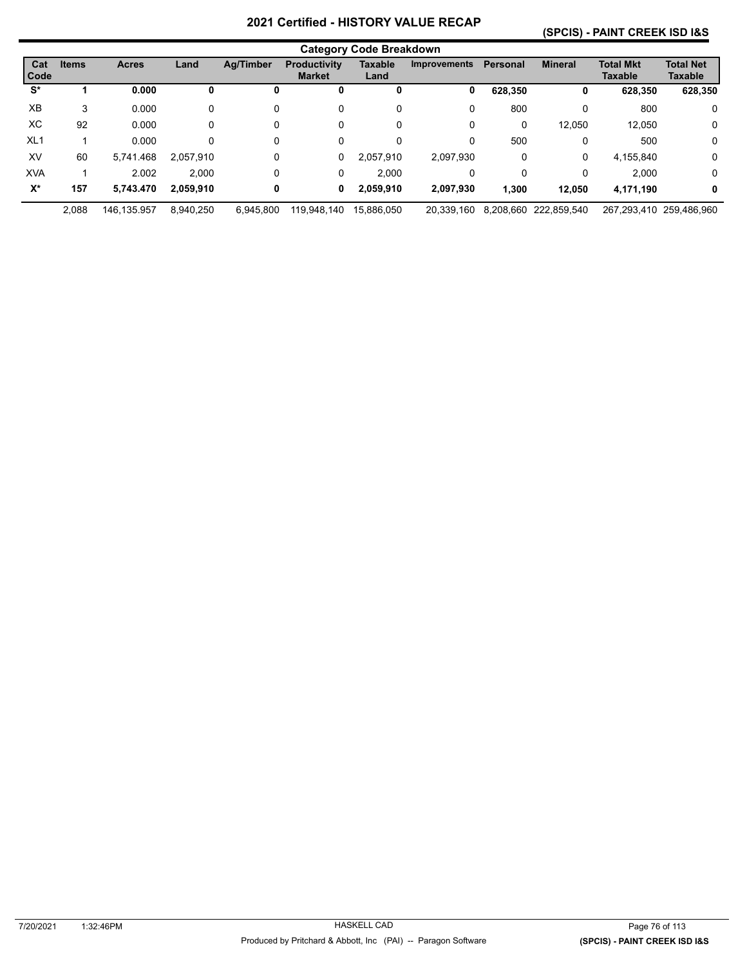#### **(SPCIS) - PAINT CREEK ISD I&S**

|                 | <b>Category Code Breakdown</b> |              |           |                  |                                      |                        |                     |                 |                |                             |                             |
|-----------------|--------------------------------|--------------|-----------|------------------|--------------------------------------|------------------------|---------------------|-----------------|----------------|-----------------------------|-----------------------------|
| Cat<br>Code     | <b>Items</b>                   | <b>Acres</b> | Land      | <b>Ag/Timber</b> | <b>Productivity</b><br><b>Market</b> | <b>Taxable</b><br>Land | <b>Improvements</b> | <b>Personal</b> | <b>Mineral</b> | <b>Total Mkt</b><br>Taxable | <b>Total Net</b><br>Taxable |
| S*              |                                | 0.000        | 0         | υ                | U                                    | 0                      | 0                   | 628.350         | 0              | 628,350                     | 628,350                     |
| XB              | 3                              | 0.000        | 0         | 0                | 0                                    | 0                      | 0                   | 800             | 0              | 800                         | 0                           |
| XC              | 92                             | 0.000        | 0         | 0                | 0                                    | 0                      | 0                   | 0               | 12,050         | 12.050                      | 0                           |
| XL <sub>1</sub> |                                | 0.000        | 0         | 0                | 0                                    | 0                      | 0                   | 500             | 0              | 500                         | 0                           |
| XV              | 60                             | 5.741.468    | 2.057.910 | 0                | 0                                    | 2.057.910              | 2.097.930           | 0               | 0              | 4,155,840                   | $\mathbf 0$                 |
| <b>XVA</b>      |                                | 2.002        | 2.000     | 0                | 0                                    | 2.000                  | 0                   | 0               | 0              | 2.000                       | $\mathbf 0$                 |
| $X^*$           | 157                            | 5.743.470    | 2,059,910 | 0                | 0                                    | 2,059,910              | 2,097,930           | 1.300           | 12.050         | 4,171,190                   | 0                           |
|                 | 2.088                          | 146.135.957  | 8.940.250 | 6.945.800        | 119,948,140                          | 15.886.050             | 20.339.160          | 8,208,660       | 222.859.540    |                             | 267.293.410 259.486.960     |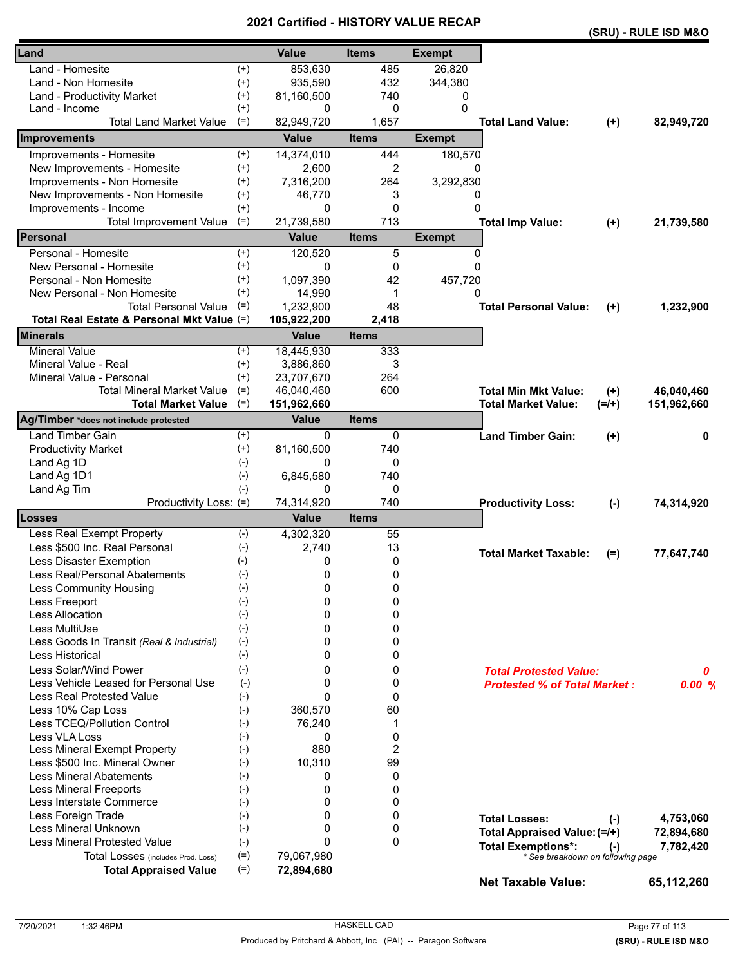|                                            |          |              |                |               |                                                                |         | (SRU) - RULE ISD M&O |
|--------------------------------------------|----------|--------------|----------------|---------------|----------------------------------------------------------------|---------|----------------------|
| Land                                       |          | <b>Value</b> | <b>Items</b>   | <b>Exempt</b> |                                                                |         |                      |
| Land - Homesite                            | $^{(+)}$ | 853,630      | 485            | 26,820        |                                                                |         |                      |
| Land - Non Homesite                        | $^{(+)}$ | 935,590      | 432            | 344,380       |                                                                |         |                      |
| Land - Productivity Market                 | $^{(+)}$ | 81,160,500   | 740            | 0             |                                                                |         |                      |
| Land - Income                              | $^{(+)}$ | 0            | 0              | $\Omega$      |                                                                |         |                      |
| <b>Total Land Market Value</b>             | $(=)$    | 82,949,720   | 1,657          |               | <b>Total Land Value:</b>                                       | $(+)$   | 82,949,720           |
| <b>Improvements</b>                        |          | <b>Value</b> | <b>Items</b>   | <b>Exempt</b> |                                                                |         |                      |
| Improvements - Homesite                    | $^{(+)}$ | 14,374,010   | 444            | 180,570       |                                                                |         |                      |
| New Improvements - Homesite                | $^{(+)}$ | 2,600        | $\overline{2}$ | 0             |                                                                |         |                      |
| Improvements - Non Homesite                | $^{(+)}$ | 7,316,200    | 264            | 3,292,830     |                                                                |         |                      |
| New Improvements - Non Homesite            | $^{(+)}$ | 46,770       | 3              | 0             |                                                                |         |                      |
| Improvements - Income                      | $^{(+)}$ | 0            | 0              | 0             |                                                                |         |                      |
| <b>Total Improvement Value</b>             | $(=)$    | 21,739,580   | 713            |               | <b>Total Imp Value:</b>                                        | $(+)$   | 21,739,580           |
| Personal                                   |          | <b>Value</b> | <b>Items</b>   | <b>Exempt</b> |                                                                |         |                      |
| Personal - Homesite                        | $^{(+)}$ | 120,520      | 5              | 0             |                                                                |         |                      |
| New Personal - Homesite                    | $^{(+)}$ | 0            | 0              | $\Omega$      |                                                                |         |                      |
| Personal - Non Homesite                    | $^{(+)}$ | 1,097,390    | 42             | 457,720       |                                                                |         |                      |
| New Personal - Non Homesite                | $^{(+)}$ | 14,990       | -1             | $\Omega$      |                                                                |         |                      |
| <b>Total Personal Value</b>                | $(=)$    | 1,232,900    | 48             |               | <b>Total Personal Value:</b>                                   | $(+)$   | 1,232,900            |
| Total Real Estate & Personal Mkt Value (=) |          | 105,922,200  | 2,418          |               |                                                                |         |                      |
| <b>Minerals</b>                            |          | <b>Value</b> | <b>Items</b>   |               |                                                                |         |                      |
| <b>Mineral Value</b>                       | $^{(+)}$ | 18,445,930   | 333            |               |                                                                |         |                      |
| Mineral Value - Real                       | $^{(+)}$ | 3,886,860    | 3              |               |                                                                |         |                      |
| Mineral Value - Personal                   | $^{(+)}$ | 23,707,670   | 264            |               |                                                                |         |                      |
| <b>Total Mineral Market Value</b>          | $(=)$    | 46,040,460   | 600            |               | <b>Total Min Mkt Value:</b>                                    | $(+)$   | 46,040,460           |
| <b>Total Market Value</b>                  | $(=)$    | 151,962,660  |                |               | <b>Total Market Value:</b>                                     | $(=/+)$ | 151,962,660          |
| Ag/Timber *does not include protested      |          | <b>Value</b> | <b>Items</b>   |               |                                                                |         |                      |
| <b>Land Timber Gain</b>                    | $^{(+)}$ | $\Omega$     | 0              |               | <b>Land Timber Gain:</b>                                       | $(+)$   | 0                    |
| <b>Productivity Market</b>                 | $^{(+)}$ | 81,160,500   | 740            |               |                                                                |         |                      |
| Land Ag 1D                                 | $(-)$    | 0            | 0              |               |                                                                |         |                      |
| Land Ag 1D1                                | $(-)$    | 6,845,580    | 740            |               |                                                                |         |                      |
| Land Ag Tim                                | $(-)$    | 0            | 0              |               |                                                                |         |                      |
| Productivity Loss: (=)                     |          | 74,314,920   | 740            |               | <b>Productivity Loss:</b>                                      | $(-)$   | 74,314,920           |
| <b>Losses</b>                              |          | <b>Value</b> | <b>Items</b>   |               |                                                                |         |                      |
| Less Real Exempt Property                  | $(-)$    | 4,302,320    | 55             |               |                                                                |         |                      |
| Less \$500 Inc. Real Personal              | $(-)$    | 2,740        | 13             |               |                                                                |         |                      |
| Less Disaster Exemption                    | $(-)$    | 0            | 0              |               | <b>Total Market Taxable:</b>                                   | $(=)$   | 77,647,740           |
| Less Real/Personal Abatements              | $(-)$    | $\mathbf 0$  | 0              |               |                                                                |         |                      |
| <b>Less Community Housing</b>              | $(-)$    | 0            | 0              |               |                                                                |         |                      |
| Less Freeport                              | $(-)$    | 0            | 0              |               |                                                                |         |                      |
| <b>Less Allocation</b>                     | $(-)$    | 0            | 0              |               |                                                                |         |                      |
| Less MultiUse                              | $(-)$    | 0            | 0              |               |                                                                |         |                      |
| Less Goods In Transit (Real & Industrial)  | $(-)$    | 0            | 0              |               |                                                                |         |                      |
| <b>Less Historical</b>                     | $(-)$    | 0            | 0              |               |                                                                |         |                      |
| Less Solar/Wind Power                      | $(-)$    | 0            | 0              |               | <b>Total Protested Value:</b>                                  |         | 0                    |
| Less Vehicle Leased for Personal Use       | $(-)$    | 0            | 0              |               | <b>Protested % of Total Market:</b>                            |         | 0.00%                |
| <b>Less Real Protested Value</b>           | $(-)$    | $\Omega$     | 0              |               |                                                                |         |                      |
| Less 10% Cap Loss                          | $(-)$    | 360,570      | 60             |               |                                                                |         |                      |
| Less TCEQ/Pollution Control                | $(-)$    | 76,240       | 1              |               |                                                                |         |                      |
| Less VLA Loss                              | $(-)$    | 0            | 0              |               |                                                                |         |                      |
| Less Mineral Exempt Property               | $(-)$    | 880          | $\overline{c}$ |               |                                                                |         |                      |
| Less \$500 Inc. Mineral Owner              | $(-)$    | 10,310       | 99             |               |                                                                |         |                      |
| <b>Less Mineral Abatements</b>             | $(-)$    | 0            | 0              |               |                                                                |         |                      |
| <b>Less Mineral Freeports</b>              | $(-)$    | 0            | 0              |               |                                                                |         |                      |
| Less Interstate Commerce                   | $(-)$    | 0            | 0              |               |                                                                |         |                      |
| Less Foreign Trade                         | $(-)$    | 0            | 0              |               | <b>Total Losses:</b>                                           | $(-)$   | 4,753,060            |
| Less Mineral Unknown                       | $(-)$    | $\Omega$     | 0              |               | Total Appraised Value: (=/+)                                   |         | 72,894,680           |
| <b>Less Mineral Protested Value</b>        | $(-)$    | $\Omega$     | $\Omega$       |               |                                                                |         |                      |
| Total Losses (includes Prod. Loss)         | $(=)$    | 79,067,980   |                |               | <b>Total Exemptions*:</b><br>* See breakdown on following page | $(-)$   | 7,782,420            |
| <b>Total Appraised Value</b>               | $(=)$    | 72,894,680   |                |               |                                                                |         |                      |
|                                            |          |              |                |               | <b>Net Taxable Value:</b>                                      |         | 65,112,260           |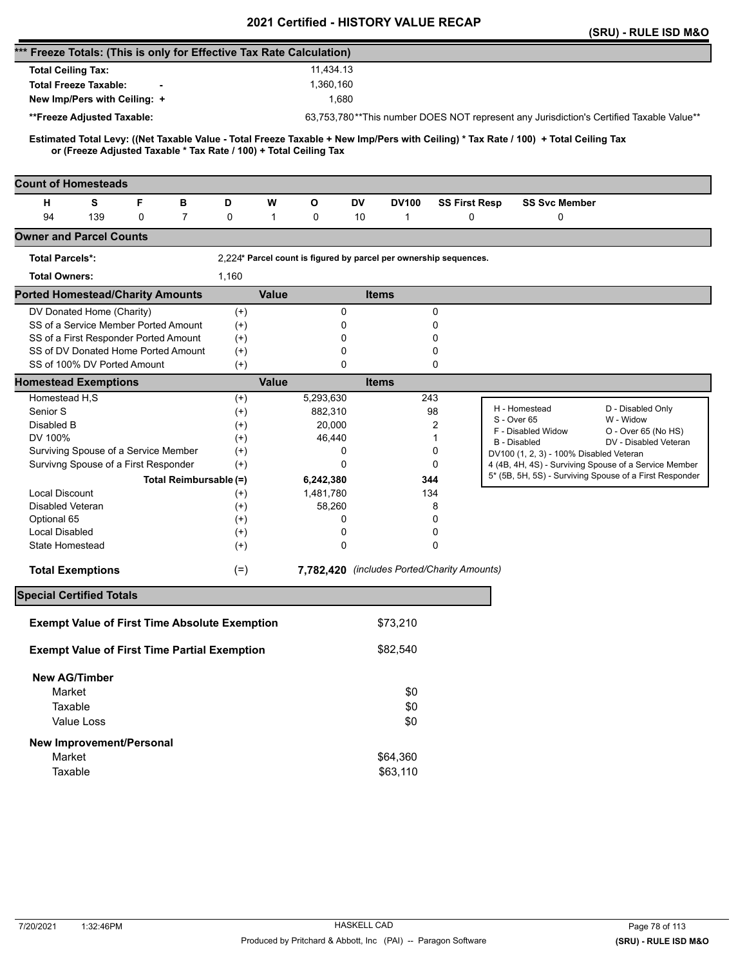|                                                                                                                                                                                                          |                      |              | <b>VEILIIIEU - FIIJTUNT VALUE</b>                                 |              |                      |                                                                                                                  | (SRU) - RULE ISD M&O           |
|----------------------------------------------------------------------------------------------------------------------------------------------------------------------------------------------------------|----------------------|--------------|-------------------------------------------------------------------|--------------|----------------------|------------------------------------------------------------------------------------------------------------------|--------------------------------|
| *** Freeze Totals: (This is only for Effective Tax Rate Calculation)                                                                                                                                     |                      |              |                                                                   |              |                      |                                                                                                                  |                                |
| <b>Total Ceiling Tax:</b>                                                                                                                                                                                |                      |              | 11,434.13                                                         |              |                      |                                                                                                                  |                                |
| <b>Total Freeze Taxable:</b>                                                                                                                                                                             |                      |              | 1,360,160                                                         |              |                      |                                                                                                                  |                                |
| New Imp/Pers with Ceiling: +                                                                                                                                                                             |                      |              | 1,680                                                             |              |                      |                                                                                                                  |                                |
|                                                                                                                                                                                                          |                      |              |                                                                   |              |                      | 63,753,780**This number DOES NOT represent any Jurisdiction's Certified Taxable Value**                          |                                |
| **Freeze Adjusted Taxable:                                                                                                                                                                               |                      |              |                                                                   |              |                      |                                                                                                                  |                                |
| Estimated Total Levy: ((Net Taxable Value - Total Freeze Taxable + New Imp/Pers with Ceiling) * Tax Rate / 100) + Total Ceiling Tax<br>or (Freeze Adjusted Taxable * Tax Rate / 100) + Total Ceiling Tax |                      |              |                                                                   |              |                      |                                                                                                                  |                                |
| <b>Count of Homesteads</b>                                                                                                                                                                               |                      |              |                                                                   |              |                      |                                                                                                                  |                                |
| F<br>н<br>s<br>в                                                                                                                                                                                         | D                    | w            | О<br>DV                                                           | <b>DV100</b> | <b>SS First Resp</b> | <b>SS Svc Member</b>                                                                                             |                                |
| 94<br>139<br>$\overline{7}$<br>0                                                                                                                                                                         | 0                    | $\mathbf{1}$ | 0<br>10                                                           | 1            | 0                    | 0                                                                                                                |                                |
| <b>Owner and Parcel Counts</b>                                                                                                                                                                           |                      |              |                                                                   |              |                      |                                                                                                                  |                                |
| <b>Total Parcels*:</b>                                                                                                                                                                                   |                      |              | 2,224* Parcel count is figured by parcel per ownership sequences. |              |                      |                                                                                                                  |                                |
| <b>Total Owners:</b>                                                                                                                                                                                     | 1,160                |              |                                                                   |              |                      |                                                                                                                  |                                |
| <b>Ported Homestead/Charity Amounts</b>                                                                                                                                                                  |                      | <b>Value</b> |                                                                   | <b>Items</b> |                      |                                                                                                                  |                                |
| DV Donated Home (Charity)                                                                                                                                                                                | $^{(+)}$             |              | 0                                                                 |              | 0                    |                                                                                                                  |                                |
| SS of a Service Member Ported Amount                                                                                                                                                                     | $^{(+)}$             |              | 0                                                                 |              | 0                    |                                                                                                                  |                                |
| SS of a First Responder Ported Amount                                                                                                                                                                    | $^{(+)}$             |              | 0                                                                 |              | 0                    |                                                                                                                  |                                |
| SS of DV Donated Home Ported Amount                                                                                                                                                                      | $^{(+)}$             |              | 0                                                                 |              | 0                    |                                                                                                                  |                                |
| SS of 100% DV Ported Amount                                                                                                                                                                              | $(+)$                |              | $\Omega$                                                          |              | 0                    |                                                                                                                  |                                |
| <b>Homestead Exemptions</b>                                                                                                                                                                              |                      | <b>Value</b> |                                                                   | <b>Items</b> |                      |                                                                                                                  |                                |
| Homestead H,S                                                                                                                                                                                            | $^{(+)}$             |              | 5,293,630                                                         | 243          |                      |                                                                                                                  |                                |
| Senior S                                                                                                                                                                                                 | $^{(+)}$             |              | 882,310                                                           |              | 98                   | H - Homestead<br>S - Over 65                                                                                     | D - Disabled Only<br>W - Widow |
| Disabled B                                                                                                                                                                                               | $^{(+)}$             |              | 20,000                                                            |              | 2                    | F - Disabled Widow                                                                                               | O - Over 65 (No HS)            |
| DV 100%                                                                                                                                                                                                  | $^{(+)}$             |              | 46,440                                                            |              | 1                    | <b>B</b> - Disabled                                                                                              | DV - Disabled Veteran          |
| Surviving Spouse of a Service Member                                                                                                                                                                     | $^{(+)}$             |              | 0                                                                 |              | 0                    | DV100 (1, 2, 3) - 100% Disabled Veteran                                                                          |                                |
| Survivng Spouse of a First Responder                                                                                                                                                                     | $(+)$                |              | 0                                                                 |              | 0                    | 4 (4B, 4H, 4S) - Surviving Spouse of a Service Member<br>5* (5B, 5H, 5S) - Surviving Spouse of a First Responder |                                |
| Total Reimbursable (=)                                                                                                                                                                                   |                      |              | 6,242,380                                                         | 344          |                      |                                                                                                                  |                                |
| <b>Local Discount</b>                                                                                                                                                                                    | $^{(+)}$             |              | 1,481,780                                                         | 134          |                      |                                                                                                                  |                                |
| <b>Disabled Veteran</b>                                                                                                                                                                                  | $^{(+)}$             |              | 58,260                                                            |              | 8                    |                                                                                                                  |                                |
| Optional 65<br><b>Local Disabled</b>                                                                                                                                                                     | $^{(+)}$             |              | 0<br>0                                                            |              | 0<br>0               |                                                                                                                  |                                |
| State Homestead                                                                                                                                                                                          | $^{(+)}$<br>$^{(+)}$ |              | 0                                                                 |              | $\Omega$             |                                                                                                                  |                                |
|                                                                                                                                                                                                          |                      |              |                                                                   |              |                      |                                                                                                                  |                                |
| <b>Total Exemptions</b>                                                                                                                                                                                  | $(=)$                |              | 7,782,420 (includes Ported/Charity Amounts)                       |              |                      |                                                                                                                  |                                |
| <b>Special Certified Totals</b>                                                                                                                                                                          |                      |              |                                                                   |              |                      |                                                                                                                  |                                |
| <b>Exempt Value of First Time Absolute Exemption</b>                                                                                                                                                     |                      |              |                                                                   | \$73,210     |                      |                                                                                                                  |                                |
| <b>Exempt Value of First Time Partial Exemption</b>                                                                                                                                                      |                      |              |                                                                   | \$82,540     |                      |                                                                                                                  |                                |
| <b>New AG/Timber</b>                                                                                                                                                                                     |                      |              |                                                                   |              |                      |                                                                                                                  |                                |
| Market                                                                                                                                                                                                   |                      |              |                                                                   | \$0          |                      |                                                                                                                  |                                |
| Taxable                                                                                                                                                                                                  |                      |              |                                                                   | \$0          |                      |                                                                                                                  |                                |
| Value Loss                                                                                                                                                                                               |                      |              |                                                                   | \$0          |                      |                                                                                                                  |                                |
| New Improvement/Personal                                                                                                                                                                                 |                      |              |                                                                   |              |                      |                                                                                                                  |                                |
| Market                                                                                                                                                                                                   |                      |              |                                                                   | \$64,360     |                      |                                                                                                                  |                                |
| Taxable                                                                                                                                                                                                  |                      |              |                                                                   | \$63,110     |                      |                                                                                                                  |                                |
|                                                                                                                                                                                                          |                      |              |                                                                   |              |                      |                                                                                                                  |                                |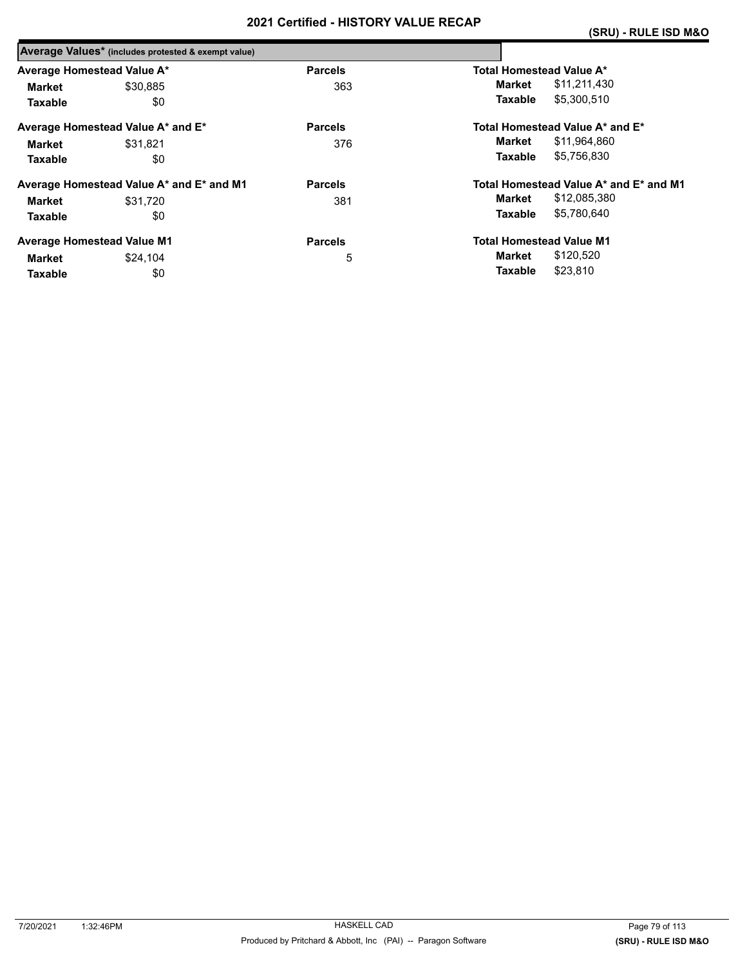|                            | Average Values* (includes protested & exempt value) |                |                                        |
|----------------------------|-----------------------------------------------------|----------------|----------------------------------------|
| Average Homestead Value A* |                                                     | <b>Parcels</b> | <b>Total Homestead Value A*</b>        |
| Market                     | \$30.885                                            | 363            | \$11,211,430<br>Market                 |
| <b>Taxable</b>             | \$0                                                 |                | \$5,300,510<br>Taxable                 |
|                            | Average Homestead Value A* and E*                   | <b>Parcels</b> | Total Homestead Value A* and E*        |
| Market                     | \$31.821                                            | 376            | \$11,964,860<br>Market                 |
| <b>Taxable</b>             | \$0                                                 |                | \$5,756,830<br>Taxable                 |
|                            | Average Homestead Value A* and E* and M1            | <b>Parcels</b> | Total Homestead Value A* and E* and M1 |
| Market                     | \$31.720                                            | 381            | \$12,085,380<br>Market                 |
| <b>Taxable</b>             | \$0                                                 |                | \$5,780,640<br><b>Taxable</b>          |
|                            | <b>Average Homestead Value M1</b>                   | <b>Parcels</b> | <b>Total Homestead Value M1</b>        |
| Market                     | \$24.104                                            | 5              | \$120,520<br>Market                    |
| <b>Taxable</b>             | \$0                                                 |                | \$23,810<br>Taxable                    |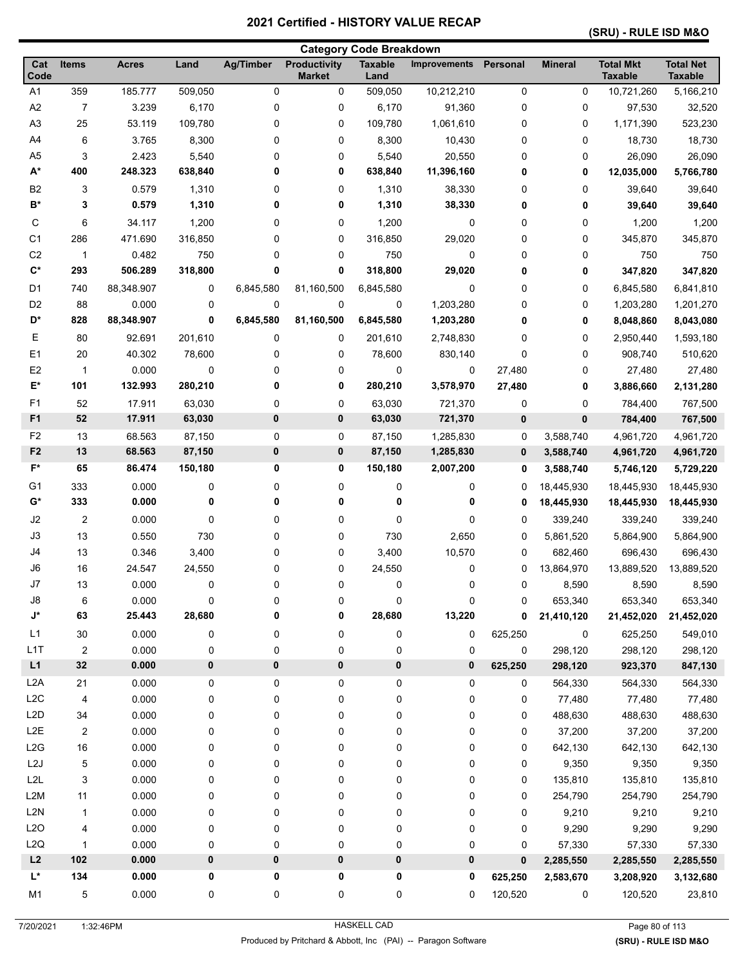#### **(SRU) - RULE ISD M&O**

|                          |                |                |         |                  |                                      | <b>Category Code Breakdown</b> |                     |             |                          |                                    |                                    |
|--------------------------|----------------|----------------|---------|------------------|--------------------------------------|--------------------------------|---------------------|-------------|--------------------------|------------------------------------|------------------------------------|
| Cat<br>Code              | <b>Items</b>   | <b>Acres</b>   | Land    | <b>Ag/Timber</b> | <b>Productivity</b><br><b>Market</b> | <b>Taxable</b><br>Land         | <b>Improvements</b> | Personal    | <b>Mineral</b>           | <b>Total Mkt</b><br><b>Taxable</b> | <b>Total Net</b><br><b>Taxable</b> |
| A1                       | 359            | 185.777        | 509,050 | 0                | 0                                    | 509,050                        | 10,212,210          | $\pmb{0}$   | 0                        | 10,721,260                         | 5,166,210                          |
| A2                       | $\overline{7}$ | 3.239          | 6,170   | 0                | 0                                    | 6,170                          | 91,360              | 0           | 0                        | 97,530                             | 32,520                             |
| A <sub>3</sub>           | 25             | 53.119         | 109,780 | 0                | 0                                    | 109,780                        | 1,061,610           | 0           | 0                        | 1,171,390                          | 523,230                            |
| A4                       | 6              | 3.765          | 8,300   | 0                | 0                                    | 8,300                          | 10,430              | 0           | 0                        | 18,730                             | 18,730                             |
| A <sub>5</sub>           | 3              | 2.423          | 5,540   | 0                | 0                                    | 5,540                          | 20,550              | 0           | 0                        | 26,090                             | 26,090                             |
| $A^*$                    | 400            | 248.323        | 638,840 | 0                | 0                                    | 638,840                        | 11,396,160          | 0           | 0                        | 12,035,000                         | 5,766,780                          |
| B <sub>2</sub>           | 3              | 0.579          | 1,310   | 0                | 0                                    | 1,310                          | 38,330              | 0           | 0                        | 39,640                             | 39,640                             |
| $B^*$                    | 3              | 0.579          | 1,310   | 0                | 0                                    | 1,310                          | 38,330              | 0           | 0                        | 39,640                             | 39,640                             |
| С                        | 6              | 34.117         | 1,200   | 0                | 0                                    | 1,200                          | 0                   | 0           | 0                        | 1,200                              | 1,200                              |
| C <sub>1</sub>           | 286            | 471.690        | 316,850 | 0                | 0                                    | 316,850                        | 29,020              | 0           | 0                        | 345,870                            | 345,870                            |
| C <sub>2</sub>           | $\mathbf{1}$   | 0.482          | 750     | 0                | 0                                    | 750                            | 0                   | 0           | 0                        | 750                                | 750                                |
| $\mathbf{C}^*$           | 293            | 506.289        | 318,800 | 0                | 0                                    | 318,800                        | 29,020              | 0           | 0                        | 347,820                            | 347,820                            |
| D <sub>1</sub>           | 740            | 88,348.907     | 0       | 6,845,580        | 81,160,500                           | 6,845,580                      | 0                   | 0           | 0                        | 6,845,580                          | 6,841,810                          |
| D <sub>2</sub>           | 88             | 0.000          | 0       | 0                | 0                                    | 0                              | 1,203,280           | 0           | 0                        | 1,203,280                          | 1,201,270                          |
| D*                       | 828            | 88,348.907     | 0       | 6,845,580        | 81,160,500                           | 6,845,580                      | 1,203,280           | 0           | 0                        | 8,048,860                          | 8,043,080                          |
| Е                        | 80             | 92.691         | 201,610 | 0                | 0                                    | 201,610                        | 2,748,830           | 0           | 0                        | 2,950,440                          | 1,593,180                          |
| E <sub>1</sub>           | 20             | 40.302         | 78,600  | 0                | 0                                    | 78,600                         | 830,140             | $\mathbf 0$ | 0                        | 908,740                            | 510,620                            |
| E <sub>2</sub>           | 1              | 0.000          | 0       | 0                | 0                                    | 0                              | 0                   | 27,480      | 0                        | 27,480                             | 27,480                             |
| E*                       | 101            | 132.993        | 280,210 | 0                | 0                                    | 280,210                        | 3,578,970           | 27,480      | 0                        | 3,886,660                          | 2,131,280                          |
| F <sub>1</sub>           | 52             | 17.911         | 63,030  | 0                | 0                                    | 63,030                         | 721,370             | 0           | 0                        | 784,400                            | 767,500                            |
| F <sub>1</sub>           | 52             | 17.911         | 63,030  | 0                | 0                                    | 63,030                         | 721,370             | 0           | 0                        | 784,400                            | 767,500                            |
| F <sub>2</sub>           | 13             | 68.563         | 87,150  | 0                | 0                                    | 87,150                         | 1,285,830           | 0           | 3,588,740                | 4,961,720                          | 4,961,720                          |
| F <sub>2</sub>           | 13             | 68.563         | 87,150  | 0                | 0                                    | 87,150                         | 1,285,830           | 0           | 3,588,740                | 4,961,720                          | 4,961,720                          |
| F*                       | 65             | 86.474         | 150,180 | 0                | 0                                    | 150,180                        | 2,007,200           | 0           | 3,588,740                | 5,746,120                          | 5,729,220                          |
| G1                       |                |                |         |                  |                                      |                                |                     |             |                          |                                    |                                    |
| G*                       | 333<br>333     | 0.000<br>0.000 | 0<br>0  | 0<br>0           | 0<br>0                               | 0<br>0                         | 0<br>0              | 0<br>0      | 18,445,930<br>18,445,930 | 18,445,930<br>18,445,930           | 18,445,930<br>18,445,930           |
|                          |                |                |         |                  |                                      |                                |                     |             |                          |                                    |                                    |
| J2                       | 2              | 0.000          | 0       | 0                | 0                                    | 0                              | 0                   | 0           | 339,240                  | 339,240                            | 339,240                            |
| J3                       | 13             | 0.550          | 730     | 0                | 0                                    | 730                            | 2,650               | 0           | 5,861,520                | 5,864,900                          | 5,864,900                          |
| J4                       | 13             | 0.346          | 3,400   | 0                | 0                                    | 3,400                          | 10,570              | 0           | 682,460                  | 696,430                            | 696,430                            |
| J6                       | 16             | 24.547         | 24,550  | 0                | 0                                    | 24,550                         | 0                   | 0           | 13,864,970               | 13,889,520                         | 13,889,520                         |
| J7                       | 13             | 0.000          | 0       | 0                | 0                                    | 0                              | 0                   | 0           | 8,590                    | 8,590                              | 8,590                              |
| J8<br>$\mathsf{J}^\star$ | 6              | 0.000          | 0       | 0                | 0                                    | 0                              | 0                   | 0           | 653,340                  | 653,340                            | 653,340                            |
|                          | 63             | 25.443         | 28,680  | 0                | 0                                    | 28,680                         | 13,220              | 0           | 21,410,120               | 21,452,020                         | 21,452,020                         |
| L1                       | 30             | 0.000          | 0       | 0                | 0                                    | 0                              | 0                   | 625,250     | 0                        | 625,250                            | 549,010                            |
| L <sub>1</sub> T         | $\overline{c}$ | 0.000          | 0       | 0                | 0                                    | 0                              | 0                   | 0           | 298,120                  | 298,120                            | 298,120                            |
| L1                       | $32\,$         | 0.000          | 0       | 0                | 0                                    | $\pmb{0}$                      | 0                   | 625,250     | 298,120                  | 923,370                            | 847,130                            |
| L <sub>2</sub> A         | 21             | 0.000          | 0       | 0                | 0                                    | 0                              | 0                   | 0           | 564,330                  | 564,330                            | 564,330                            |
| L <sub>2</sub> C         | 4              | 0.000          | 0       | 0                | 0                                    | 0                              | 0                   | 0           | 77,480                   | 77,480                             | 77,480                             |
| L <sub>2</sub> D         | 34             | 0.000          | 0       | 0                | 0                                    | 0                              | 0                   | 0           | 488,630                  | 488,630                            | 488,630                            |
| L <sub>2</sub> E         | $\overline{c}$ | 0.000          | 0       | 0                | 0                                    | 0                              | 0                   | 0           | 37,200                   | 37,200                             | 37,200                             |
| L2G                      | 16             | 0.000          | 0       | 0                | 0                                    | 0                              | 0                   | 0           | 642,130                  | 642,130                            | 642,130                            |
| L <sub>2</sub> J         | 5              | 0.000          | 0       | 0                | 0                                    | 0                              | 0                   | 0           | 9,350                    | 9,350                              | 9,350                              |
| L2L                      | 3              | 0.000          | 0       | 0                | 0                                    | 0                              | 0                   | 0           | 135,810                  | 135,810                            | 135,810                            |
| L2M                      | 11             | 0.000          | 0       | 0                | 0                                    | 0                              | 0                   | 0           | 254,790                  | 254,790                            | 254,790                            |
| L <sub>2</sub> N         | 1              | 0.000          | 0       | 0                | 0                                    | 0                              | 0                   | 0           | 9,210                    | 9,210                              | 9,210                              |
| L2O                      | 4              | 0.000          | 0       | 0                | 0                                    | 0                              | 0                   | 0           | 9,290                    | 9,290                              | 9,290                              |
| L <sub>2</sub> Q         | 1              | 0.000          | 0       | 0                | 0                                    | 0                              | 0                   | 0           | 57,330                   | 57,330                             | 57,330                             |
| L2                       | 102            | 0.000          | 0       | 0                | 0                                    | $\pmb{0}$                      | 0                   | $\pmb{0}$   | 2,285,550                | 2,285,550                          | 2,285,550                          |
| L*                       | 134            | 0.000          | 0       | 0                | 0                                    | 0                              | 0                   | 625,250     | 2,583,670                | 3,208,920                          | 3,132,680                          |
| M1                       | 5              | 0.000          | 0       | 0                | 0                                    | 0                              | 0                   | 120,520     | 0                        | 120,520                            | 23,810                             |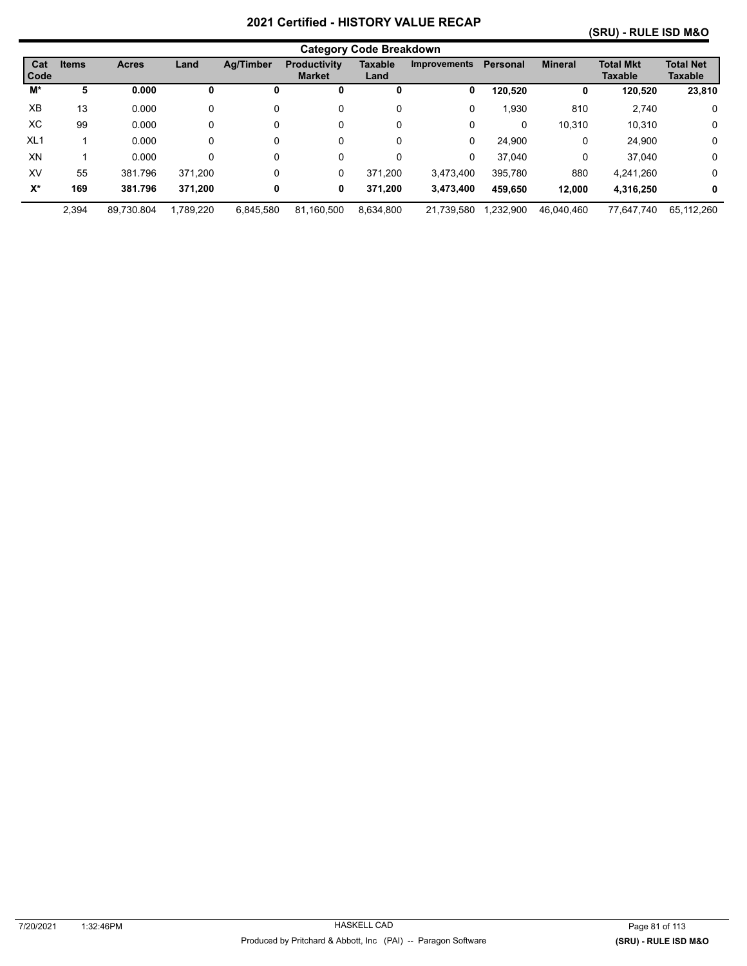#### **(SRU) - RULE ISD M&O**

|                 | <b>Category Code Breakdown</b> |              |           |                  |                                      |                        |                     |           |                |                                    |                                    |
|-----------------|--------------------------------|--------------|-----------|------------------|--------------------------------------|------------------------|---------------------|-----------|----------------|------------------------------------|------------------------------------|
| Cat<br>Code     | <b>Items</b>                   | <b>Acres</b> | Land      | <b>Ag/Timber</b> | <b>Productivity</b><br><b>Market</b> | <b>Taxable</b><br>Land | <b>Improvements</b> | Personal  | <b>Mineral</b> | <b>Total Mkt</b><br><b>Taxable</b> | <b>Total Net</b><br><b>Taxable</b> |
| M*              | 5                              | 0.000        | o         | υ                | 0                                    | 0                      | 0                   | 120,520   | 0              | 120,520                            | 23,810                             |
| XB              | 13                             | 0.000        | 0         | 0                | 0                                    | 0                      | 0                   | 1,930     | 810            | 2,740                              | 0                                  |
| XC              | 99                             | 0.000        | 0         | 0                | 0                                    | 0                      | 0                   | 0         | 10.310         | 10.310                             | 0                                  |
| XL <sub>1</sub> |                                | 0.000        | 0         | 0                | 0                                    | 0                      | 0                   | 24,900    | 0              | 24,900                             | 0                                  |
| XN              |                                | 0.000        | 0         | 0                | 0                                    | 0                      | 0                   | 37,040    | 0              | 37.040                             | 0                                  |
| XV              | 55                             | 381.796      | 371.200   | 0                | 0                                    | 371.200                | 3,473,400           | 395.780   | 880            | 4,241,260                          | 0                                  |
| $X^*$           | 169                            | 381.796      | 371,200   | 0                | 0                                    | 371.200                | 3,473,400           | 459.650   | 12.000         | 4,316,250                          | 0                                  |
|                 | 2,394                          | 89.730.804   | 1,789,220 | 6,845,580        | 81.160.500                           | 8,634,800              | 21.739.580          | 1,232,900 | 46.040.460     | 77.647.740                         | 65.112.260                         |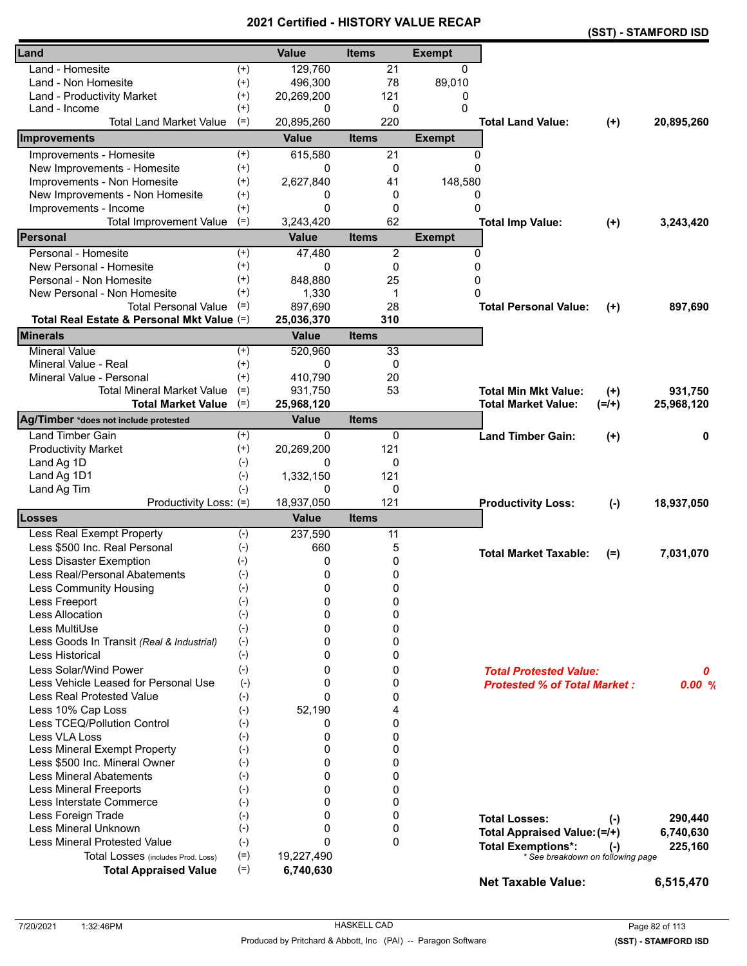|                                                             |                | VEI UIIEU - FIIJ I UN I |                   |               |                                     |           | (SST) - STAMFORD ISD |
|-------------------------------------------------------------|----------------|-------------------------|-------------------|---------------|-------------------------------------|-----------|----------------------|
| Land                                                        |                | <b>Value</b>            | <b>Items</b>      | <b>Exempt</b> |                                     |           |                      |
| Land - Homesite                                             | $^{(+)}$       | 129,760                 | 21                | 0             |                                     |           |                      |
| Land - Non Homesite                                         | $^{(+)}$       | 496,300                 | 78                | 89,010        |                                     |           |                      |
| Land - Productivity Market                                  | $^{(+)}$       | 20,269,200              | 121               | 0             |                                     |           |                      |
| Land - Income                                               | $^{(+)}$       | 0                       | 0                 | $\Omega$      |                                     |           |                      |
| <b>Total Land Market Value</b>                              | $(=)$          | 20,895,260              | 220               |               | <b>Total Land Value:</b>            | $(+)$     | 20,895,260           |
| Improvements                                                |                | <b>Value</b>            | <b>Items</b>      | <b>Exempt</b> |                                     |           |                      |
| Improvements - Homesite                                     | $^{(+)}$       | 615,580                 | 21                | 0             |                                     |           |                      |
| New Improvements - Homesite                                 | $^{(+)}$       | 0                       | 0                 | $\Omega$      |                                     |           |                      |
| Improvements - Non Homesite                                 | $^{(+)}$       | 2,627,840               | 41                | 148,580       |                                     |           |                      |
| New Improvements - Non Homesite                             | $^{(+)}$       | 0                       | 0                 | 0             |                                     |           |                      |
| Improvements - Income                                       | $^{(+)}$       | $\Omega$                | 0                 | $\Omega$      |                                     |           |                      |
| <b>Total Improvement Value</b>                              | $(=)$          | 3,243,420               | 62                |               | <b>Total Imp Value:</b>             | $(+)$     | 3,243,420            |
| Personal                                                    |                | <b>Value</b>            | <b>Items</b>      | <b>Exempt</b> |                                     |           |                      |
| Personal - Homesite                                         | $^{(+)}$       | 47,480                  | $\overline{c}$    | $\mathbf{0}$  |                                     |           |                      |
| New Personal - Homesite                                     | $^{(+)}$       | 0                       | 0                 | 0             |                                     |           |                      |
| Personal - Non Homesite                                     | $^{(+)}$       | 848,880                 | 25                | 0             |                                     |           |                      |
| New Personal - Non Homesite                                 | $^{(+)}$       | 1,330                   | 1                 | $\Omega$      |                                     |           |                      |
| <b>Total Personal Value</b>                                 | $(=)$          | 897,690                 | 28                |               | <b>Total Personal Value:</b>        | $^{(+)}$  | 897,690              |
| Total Real Estate & Personal Mkt Value (=)                  |                | 25,036,370              | 310               |               |                                     |           |                      |
| <b>Minerals</b>                                             |                | <b>Value</b>            | <b>Items</b>      |               |                                     |           |                      |
| <b>Mineral Value</b>                                        | $^{(+)}$       | 520,960                 | 33                |               |                                     |           |                      |
| Mineral Value - Real                                        | $^{(+)}$       | 0                       | 0                 |               |                                     |           |                      |
| Mineral Value - Personal                                    | $^{(+)}$       | 410,790                 | 20                |               |                                     |           |                      |
| <b>Total Mineral Market Value</b>                           | $(=)$          | 931,750                 | 53                |               | <b>Total Min Mkt Value:</b>         | $^{(+)}$  | 931,750              |
| <b>Total Market Value</b>                                   | $(=)$          | 25,968,120              |                   |               | <b>Total Market Value:</b>          | $(=/+)$   | 25,968,120           |
| Ag/Timber *does not include protested                       |                | <b>Value</b>            | <b>Items</b>      |               |                                     |           |                      |
| <b>Land Timber Gain</b>                                     | $^{(+)}$       | 0                       | 0                 |               | <b>Land Timber Gain:</b>            | $^{(+)}$  | 0                    |
| <b>Productivity Market</b>                                  | $(+)$          | 20,269,200              | 121               |               |                                     |           |                      |
| Land Ag 1D                                                  | $(-)$          | 0                       | 0                 |               |                                     |           |                      |
| Land Ag 1D1                                                 | $(-)$          | 1,332,150               | 121               |               |                                     |           |                      |
| Land Ag Tim                                                 | $(-)$          | 0                       | 0                 |               |                                     |           |                      |
| Productivity Loss: (=)                                      |                | 18,937,050              | 121               |               | <b>Productivity Loss:</b>           | $(-)$     | 18,937,050           |
| Losses                                                      |                | <b>Value</b>            | <b>Items</b>      |               |                                     |           |                      |
| Less Real Exempt Property                                   | $(-)$          | 237,590                 | 11                |               |                                     |           |                      |
| Less \$500 Inc. Real Personal                               | $(-)$          | 660                     | 5                 |               | <b>Total Market Taxable:</b>        | $(=)$     | 7,031,070            |
| Less Disaster Exemption                                     | $(-)$          | 0                       | 0                 |               |                                     |           |                      |
| Less Real/Personal Abatements                               | $(-)$          | 0                       | 0                 |               |                                     |           |                      |
| Less Community Housing                                      | $(-)$          | 0                       | 0                 |               |                                     |           |                      |
| Less Freeport                                               | $(-)$          | 0                       | 0                 |               |                                     |           |                      |
| <b>Less Allocation</b>                                      | $(-)$          | $\Omega$                | 0                 |               |                                     |           |                      |
| Less MultiUse                                               | $(-)$          | $\Omega$                | 0                 |               |                                     |           |                      |
| Less Goods In Transit (Real & Industrial)                   | $(-)$          | 0                       | 0                 |               |                                     |           |                      |
| Less Historical                                             | $(-)$          | 0                       | 0                 |               |                                     |           |                      |
| Less Solar/Wind Power                                       | $(-)$          | 0                       | 0                 |               | <b>Total Protested Value:</b>       |           | 0                    |
| Less Vehicle Leased for Personal Use                        | $(-)$          | 0                       | 0                 |               | <b>Protested % of Total Market:</b> |           | 0.00%                |
| <b>Less Real Protested Value</b>                            | $(-)$          | $\Omega$                | 0                 |               |                                     |           |                      |
| Less 10% Cap Loss                                           | $(-)$          | 52,190                  | 4                 |               |                                     |           |                      |
| Less TCEQ/Pollution Control                                 | $(-)$          | 0                       | 0                 |               |                                     |           |                      |
| Less VLA Loss                                               | $(-)$          | 0                       | 0                 |               |                                     |           |                      |
| Less Mineral Exempt Property                                | $(-)$          | 0                       | 0                 |               |                                     |           |                      |
| Less \$500 Inc. Mineral Owner                               | $(-)$          | 0                       | 0                 |               |                                     |           |                      |
| <b>Less Mineral Abatements</b>                              | $(-)$          | $\Omega$                | 0                 |               |                                     |           |                      |
| <b>Less Mineral Freeports</b>                               | $(-)$          | $\Omega$                | 0                 |               |                                     |           |                      |
| Less Interstate Commerce                                    | $(-)$          | 0                       | 0                 |               |                                     |           |                      |
| Less Foreign Trade                                          | $(-)$          | $\Omega$<br>0           | 0                 |               | <b>Total Losses:</b>                | $(\cdot)$ | 290,440              |
| Less Mineral Unknown<br><b>Less Mineral Protested Value</b> | $(-)$          | $\Omega$                | 0<br>$\mathbf{0}$ |               | Total Appraised Value: (=/+)        |           | 6,740,630            |
|                                                             | $(-)$          |                         |                   |               | <b>Total Exemptions*:</b>           | $(-)$     | 225,160              |
| Total Losses (includes Prod. Loss)                          | $(=)$<br>$(=)$ | 19,227,490              |                   |               | * See breakdown on following page   |           |                      |
| <b>Total Appraised Value</b>                                |                | 6,740,630               |                   |               | <b>Net Taxable Value:</b>           |           | 6,515,470            |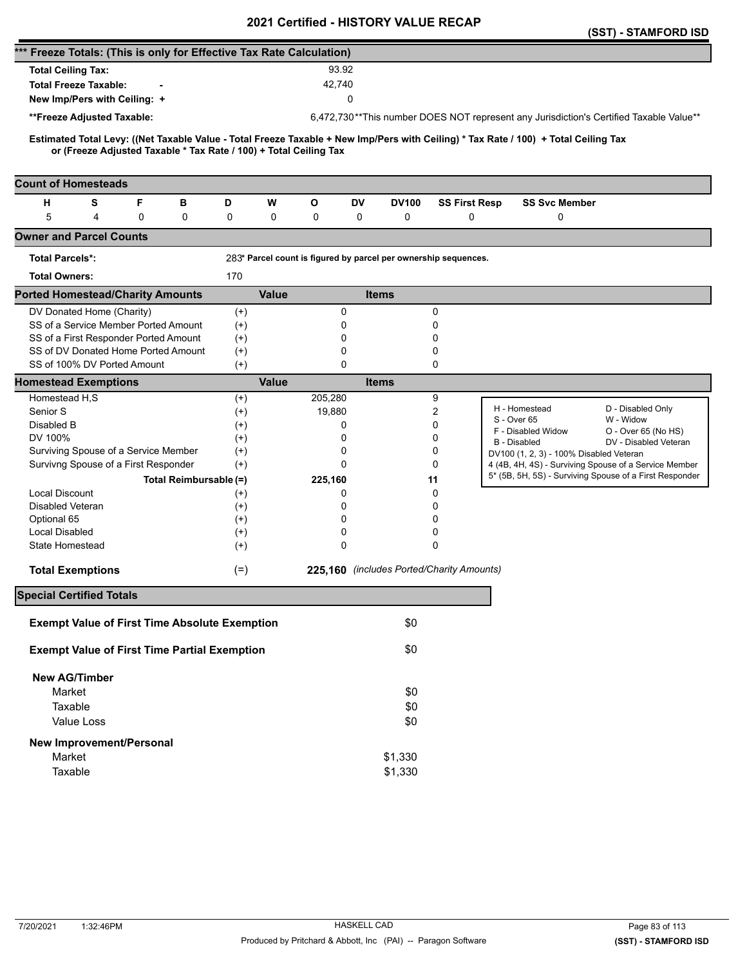|                                                                      |   |   |                        |          |              | <b>VEILIIIEU - FIIJTUNT VALUE</b>                                 |              |              |                                                                 |                                                                                                                                     | (SST) - STAMFORD ISD                                                                   |
|----------------------------------------------------------------------|---|---|------------------------|----------|--------------|-------------------------------------------------------------------|--------------|--------------|-----------------------------------------------------------------|-------------------------------------------------------------------------------------------------------------------------------------|----------------------------------------------------------------------------------------|
| *** Freeze Totals: (This is only for Effective Tax Rate Calculation) |   |   |                        |          |              |                                                                   |              |              |                                                                 |                                                                                                                                     |                                                                                        |
| <b>Total Ceiling Tax:</b>                                            |   |   |                        |          |              | 93.92                                                             |              |              |                                                                 |                                                                                                                                     |                                                                                        |
| <b>Total Freeze Taxable:</b>                                         |   |   |                        |          |              | 42,740                                                            |              |              |                                                                 |                                                                                                                                     |                                                                                        |
| New Imp/Pers with Ceiling: +                                         |   |   |                        |          |              |                                                                   | 0            |              |                                                                 |                                                                                                                                     |                                                                                        |
|                                                                      |   |   |                        |          |              |                                                                   |              |              |                                                                 |                                                                                                                                     |                                                                                        |
| **Freeze Adjusted Taxable:                                           |   |   |                        |          |              |                                                                   |              |              |                                                                 |                                                                                                                                     | 6,472,730**This number DOES NOT represent any Jurisdiction's Certified Taxable Value** |
|                                                                      |   |   |                        |          |              | or (Freeze Adjusted Taxable * Tax Rate / 100) + Total Ceiling Tax |              |              |                                                                 | Estimated Total Levy: ((Net Taxable Value - Total Freeze Taxable + New Imp/Pers with Ceiling) * Tax Rate / 100) + Total Ceiling Tax |                                                                                        |
| <b>Count of Homesteads</b>                                           |   |   |                        |          |              |                                                                   |              |              |                                                                 |                                                                                                                                     |                                                                                        |
| н                                                                    | S | F | в                      | D        | W            | O                                                                 | DV           | <b>DV100</b> | <b>SS First Resp</b>                                            | <b>SS Svc Member</b>                                                                                                                |                                                                                        |
| 5                                                                    | 4 | 0 | 0                      | 0        | 0            | 0                                                                 | 0            | 0            | 0                                                               | 0                                                                                                                                   |                                                                                        |
| <b>Owner and Parcel Counts</b>                                       |   |   |                        |          |              |                                                                   |              |              |                                                                 |                                                                                                                                     |                                                                                        |
| <b>Total Parcels*:</b>                                               |   |   |                        |          |              |                                                                   |              |              | 283* Parcel count is figured by parcel per ownership sequences. |                                                                                                                                     |                                                                                        |
| <b>Total Owners:</b>                                                 |   |   |                        | 170      |              |                                                                   |              |              |                                                                 |                                                                                                                                     |                                                                                        |
| <b>Ported Homestead/Charity Amounts</b>                              |   |   |                        |          | <b>Value</b> |                                                                   | <b>Items</b> |              |                                                                 |                                                                                                                                     |                                                                                        |
| DV Donated Home (Charity)                                            |   |   |                        | $^{(+)}$ |              | 0                                                                 |              |              | 0                                                               |                                                                                                                                     |                                                                                        |
| SS of a Service Member Ported Amount                                 |   |   |                        | $^{(+)}$ |              | 0                                                                 |              |              | 0                                                               |                                                                                                                                     |                                                                                        |
| SS of a First Responder Ported Amount                                |   |   |                        | $^{(+)}$ |              | 0                                                                 |              |              | 0                                                               |                                                                                                                                     |                                                                                        |
| SS of DV Donated Home Ported Amount                                  |   |   |                        | $(+)$    |              | 0                                                                 |              |              | 0                                                               |                                                                                                                                     |                                                                                        |
| SS of 100% DV Ported Amount                                          |   |   |                        | $(+)$    |              | $\mathbf 0$                                                       |              |              | 0                                                               |                                                                                                                                     |                                                                                        |
| <b>Homestead Exemptions</b>                                          |   |   |                        |          | <b>Value</b> |                                                                   | <b>Items</b> |              |                                                                 |                                                                                                                                     |                                                                                        |
| Homestead H,S                                                        |   |   |                        | $^{(+)}$ |              | 205,280                                                           |              |              | 9                                                               |                                                                                                                                     |                                                                                        |
| Senior S                                                             |   |   |                        | $^{(+)}$ |              | 19,880                                                            |              |              | 2                                                               | H - Homestead                                                                                                                       | D - Disabled Only                                                                      |
| Disabled B                                                           |   |   |                        | $^{(+)}$ |              | 0                                                                 |              |              | 0                                                               | S - Over 65<br>F - Disabled Widow                                                                                                   | W - Widow                                                                              |
| DV 100%                                                              |   |   |                        | $^{(+)}$ |              | 0                                                                 |              |              | 0                                                               | <b>B</b> - Disabled                                                                                                                 | O - Over 65 (No HS)<br>DV - Disabled Veteran                                           |
| Surviving Spouse of a Service Member                                 |   |   |                        | $^{(+)}$ |              | 0                                                                 |              |              | 0                                                               | DV100 (1, 2, 3) - 100% Disabled Veteran                                                                                             |                                                                                        |
| Survivng Spouse of a First Responder                                 |   |   |                        | $(+)$    |              | 0                                                                 |              |              | 0                                                               |                                                                                                                                     | 4 (4B, 4H, 4S) - Surviving Spouse of a Service Member                                  |
|                                                                      |   |   | Total Reimbursable (=) |          |              | 225,160                                                           |              |              | 11                                                              |                                                                                                                                     | 5* (5B, 5H, 5S) - Surviving Spouse of a First Responder                                |
| <b>Local Discount</b>                                                |   |   |                        | $^{(+)}$ |              | 0                                                                 |              |              | 0                                                               |                                                                                                                                     |                                                                                        |
| Disabled Veteran                                                     |   |   |                        | $^{(+)}$ |              | 0                                                                 |              |              | 0                                                               |                                                                                                                                     |                                                                                        |
| Optional 65                                                          |   |   |                        | $^{(+)}$ |              | 0                                                                 |              |              | 0                                                               |                                                                                                                                     |                                                                                        |
| Local Disabled                                                       |   |   |                        | $^{(+)}$ |              | 0                                                                 |              |              | 0                                                               |                                                                                                                                     |                                                                                        |
| State Homestead                                                      |   |   |                        | $^{(+)}$ |              | 0                                                                 |              |              | 0                                                               |                                                                                                                                     |                                                                                        |
|                                                                      |   |   |                        |          |              |                                                                   |              |              |                                                                 |                                                                                                                                     |                                                                                        |
| <b>Total Exemptions</b>                                              |   |   |                        | $(=)$    |              |                                                                   |              |              | 225,160 (includes Ported/Charity Amounts)                       |                                                                                                                                     |                                                                                        |
| <b>Special Certified Totals</b>                                      |   |   |                        |          |              |                                                                   |              |              |                                                                 |                                                                                                                                     |                                                                                        |
| <b>Exempt Value of First Time Absolute Exemption</b>                 |   |   |                        |          |              |                                                                   |              | \$0          |                                                                 |                                                                                                                                     |                                                                                        |
| <b>Exempt Value of First Time Partial Exemption</b>                  |   |   |                        |          |              |                                                                   |              | \$0          |                                                                 |                                                                                                                                     |                                                                                        |
| <b>New AG/Timber</b>                                                 |   |   |                        |          |              |                                                                   |              |              |                                                                 |                                                                                                                                     |                                                                                        |
| Market                                                               |   |   |                        |          |              |                                                                   |              | \$0          |                                                                 |                                                                                                                                     |                                                                                        |
| Taxable                                                              |   |   |                        |          |              |                                                                   |              | \$0          |                                                                 |                                                                                                                                     |                                                                                        |
|                                                                      |   |   |                        |          |              |                                                                   |              |              |                                                                 |                                                                                                                                     |                                                                                        |
| Value Loss                                                           |   |   |                        |          |              |                                                                   |              | \$0          |                                                                 |                                                                                                                                     |                                                                                        |
| <b>New Improvement/Personal</b>                                      |   |   |                        |          |              |                                                                   |              |              |                                                                 |                                                                                                                                     |                                                                                        |
| Market                                                               |   |   |                        |          |              |                                                                   |              | \$1,330      |                                                                 |                                                                                                                                     |                                                                                        |
| Taxable                                                              |   |   |                        |          |              |                                                                   |              | \$1,330      |                                                                 |                                                                                                                                     |                                                                                        |
|                                                                      |   |   |                        |          |              |                                                                   |              |              |                                                                 |                                                                                                                                     |                                                                                        |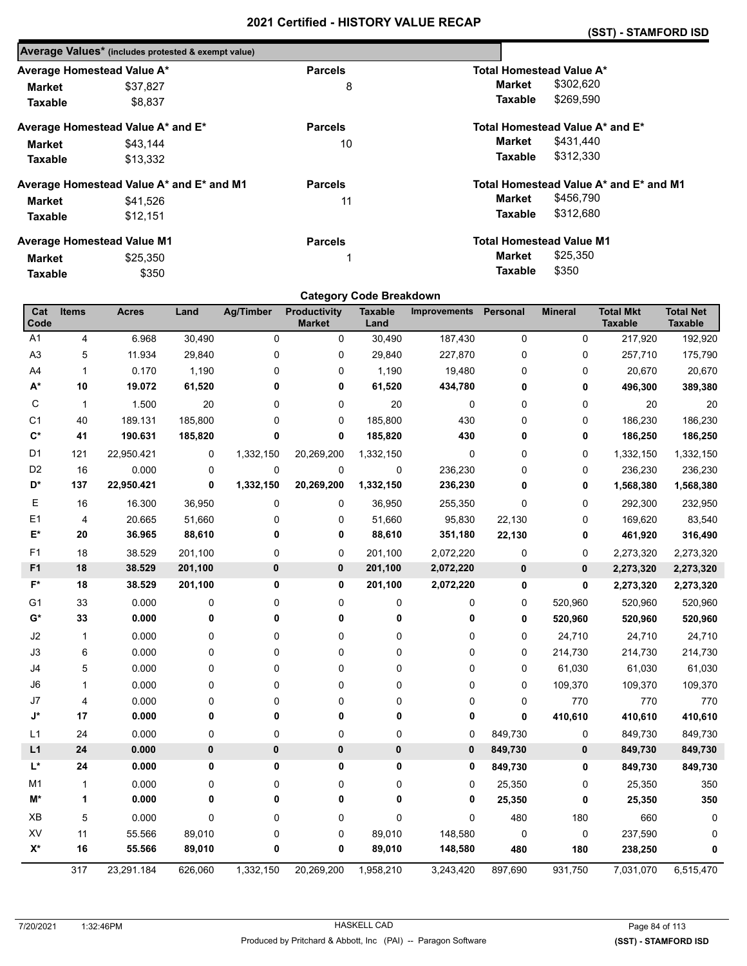| Average Values* (includes protested & exempt value) |                |                                        |
|-----------------------------------------------------|----------------|----------------------------------------|
| Average Homestead Value A*                          | <b>Parcels</b> | Total Homestead Value A*               |
| \$37,827                                            | 8              | \$302,620<br>Market                    |
| \$8,837                                             |                | \$269,590<br>Taxable                   |
| Average Homestead Value A* and E*                   | <b>Parcels</b> | Total Homestead Value A* and E*        |
| \$43,144                                            | 10             | \$431,440<br>Market                    |
| \$13.332                                            |                | \$312,330<br>Taxable                   |
| Average Homestead Value A* and E* and M1            | <b>Parcels</b> | Total Homestead Value A* and E* and M1 |
| \$41,526                                            | 11             | \$456,790<br>Market                    |
| \$12.151                                            |                | \$312,680<br>Taxable                   |
| <b>Average Homestead Value M1</b>                   | <b>Parcels</b> | <b>Total Homestead Value M1</b>        |
| \$25,350                                            | 1              | \$25,350<br>Market                     |
| \$350                                               |                | \$350<br>Taxable                       |
|                                                     |                |                                        |

# **Category Code Breakdown**

| Cat<br>Code    | <b>Items</b>   | <b>Acres</b> | Land    | <b>Ag/Timber</b> | Productivity<br><b>Market</b> | <b>Taxable</b><br>Land | <b>Improvements</b> | Personal | <b>Mineral</b> | <b>Total Mkt</b><br><b>Taxable</b> | <b>Total Net</b><br><b>Taxable</b> |
|----------------|----------------|--------------|---------|------------------|-------------------------------|------------------------|---------------------|----------|----------------|------------------------------------|------------------------------------|
| A1             | 4              | 6.968        | 30,490  | 0                | 0                             | 30,490                 | 187,430             | 0        | 0              | 217,920                            | 192,920                            |
| A <sub>3</sub> | 5              | 11.934       | 29,840  | 0                | 0                             | 29,840                 | 227,870             | 0        | $\Omega$       | 257,710                            | 175,790                            |
| A4             | $\mathbf{1}$   | 0.170        | 1,190   | 0                | 0                             | 1,190                  | 19,480              | 0        | $\mathbf 0$    | 20,670                             | 20,670                             |
| $A^*$          | 10             | 19.072       | 61,520  | 0                | 0                             | 61,520                 | 434,780             | 0        | $\mathbf 0$    | 496,300                            | 389,380                            |
| С              | $\mathbf{1}$   | 1.500        | 20      | 0                | 0                             | 20                     | 0                   | 0        | 0              | 20                                 | 20                                 |
| C <sub>1</sub> | 40             | 189.131      | 185,800 | 0                | 0                             | 185,800                | 430                 | 0        | 0              | 186,230                            | 186,230                            |
| $\mathbf{C}^*$ | 41             | 190.631      | 185,820 | 0                | 0                             | 185,820                | 430                 | 0        | 0              | 186,250                            | 186,250                            |
| D1             | 121            | 22,950.421   | 0       | 1,332,150        | 20,269,200                    | 1,332,150              | $\mathbf 0$         | 0        | 0              | 1,332,150                          | 1,332,150                          |
| D <sub>2</sub> | 16             | 0.000        | 0       | 0                | $\mathbf 0$                   | 0                      | 236,230             | 0        | 0              | 236,230                            | 236,230                            |
| D*             | 137            | 22,950.421   | 0       | 1,332,150        | 20,269,200                    | 1,332,150              | 236,230             | 0        | 0              | 1,568,380                          | 1,568,380                          |
| Ε              | 16             | 16.300       | 36,950  | 0                | 0                             | 36,950                 | 255,350             | 0        | 0              | 292,300                            | 232,950                            |
| E1             | 4              | 20.665       | 51,660  | 0                | 0                             | 51,660                 | 95,830              | 22,130   | 0              | 169,620                            | 83,540                             |
| E*             | ${\bf 20}$     | 36.965       | 88,610  | 0                | 0                             | 88,610                 | 351,180             | 22,130   | 0              | 461,920                            | 316,490                            |
| F <sub>1</sub> | 18             | 38.529       | 201,100 | 0                | 0                             | 201,100                | 2,072,220           | 0        | 0              | 2,273,320                          | 2,273,320                          |
| F <sub>1</sub> | 18             | 38.529       | 201,100 | 0                | 0                             | 201,100                | 2,072,220           | 0        | 0              | 2,273,320                          | 2,273,320                          |
| $F^*$          | 18             | 38.529       | 201,100 | 0                | 0                             | 201,100                | 2,072,220           | 0        | 0              | 2,273,320                          | 2,273,320                          |
| G1             | 33             | 0.000        | 0       | 0                | 0                             | 0                      | 0                   | 0        | 520,960        | 520,960                            | 520,960                            |
| G*             | 33             | 0.000        | 0       | 0                | 0                             | 0                      | 0                   | 0        | 520,960        | 520,960                            | 520,960                            |
| J2             | 1              | 0.000        | 0       | 0                | 0                             | 0                      | 0                   | 0        | 24,710         | 24,710                             | 24,710                             |
| J3             | 6              | 0.000        | 0       | 0                | 0                             | 0                      | 0                   | 0        | 214,730        | 214,730                            | 214,730                            |
| J4             | 5              | 0.000        | 0       | 0                | 0                             | 0                      | 0                   | 0        | 61,030         | 61,030                             | 61,030                             |
| J6             | 1              | 0.000        | 0       | 0                | 0                             | 0                      | 0                   | 0        | 109,370        | 109,370                            | 109,370                            |
| J7             | $\overline{4}$ | 0.000        | 0       | 0                | 0                             | 0                      | 0                   | 0        | 770            | 770                                | 770                                |
| J*             | 17             | 0.000        | 0       | 0                | 0                             | 0                      | 0                   | 0        | 410,610        | 410,610                            | 410,610                            |
| L1             | 24             | 0.000        | 0       | 0                | 0                             | 0                      | 0                   | 849,730  | 0              | 849,730                            | 849,730                            |
| L1             | 24             | 0.000        | 0       | $\bf{0}$         | 0                             | 0                      | $\pmb{0}$           | 849,730  | 0              | 849,730                            | 849,730                            |
| L*             | 24             | 0.000        | 0       | 0                | 0                             | 0                      | $\mathbf 0$         | 849,730  | 0              | 849,730                            | 849,730                            |
| M <sub>1</sub> | $\mathbf{1}$   | 0.000        | 0       | 0                | 0                             | 0                      | 0                   | 25,350   | 0              | 25,350                             | 350                                |
| M*             | 1              | 0.000        | 0       | 0                | 0                             | 0                      | 0                   | 25,350   | 0              | 25,350                             | 350                                |
| XB             | 5              | 0.000        | 0       | 0                | 0                             | $\mathbf 0$            | 0                   | 480      | 180            | 660                                | 0                                  |
| XV             | 11             | 55.566       | 89,010  | 0                | 0                             | 89,010                 | 148,580             | 0        | 0              | 237,590                            | 0                                  |
| $X^*$          | 16             | 55.566       | 89,010  | 0                | 0                             | 89,010                 | 148,580             | 480      | 180            | 238,250                            | 0                                  |
|                | 317            | 23,291.184   | 626,060 | 1,332,150        | 20,269,200                    | 1,958,210              | 3,243,420           | 897,690  | 931,750        | 7,031,070                          | 6,515,470                          |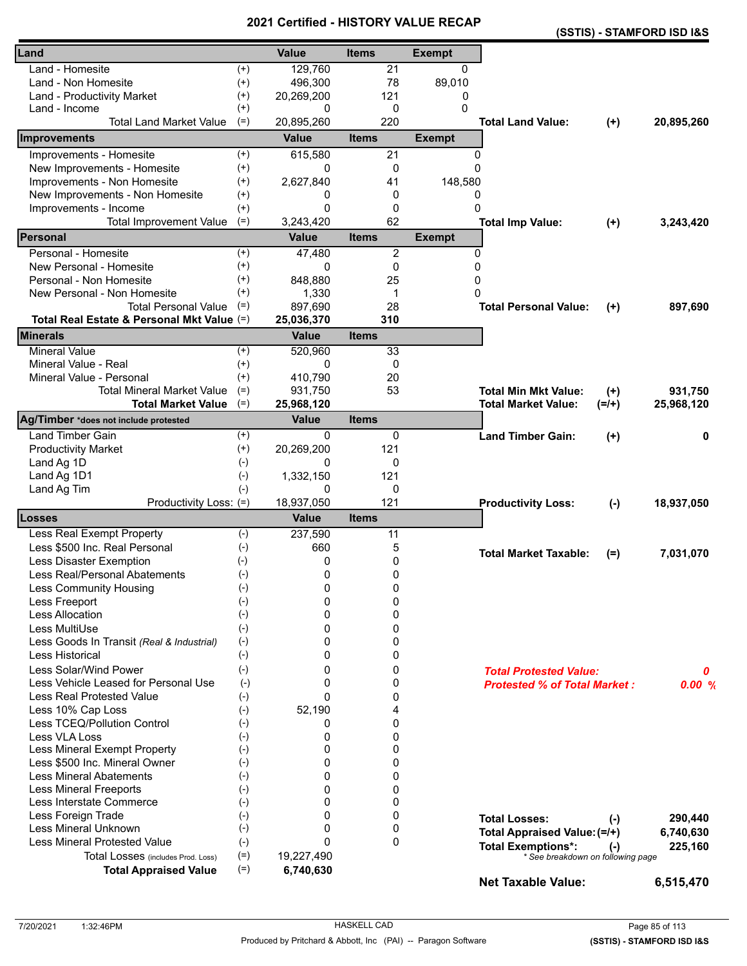|                                            |          |              | י טווי       |               |                                       | (SSTIS) - STAMFORD ISD I&S |
|--------------------------------------------|----------|--------------|--------------|---------------|---------------------------------------|----------------------------|
| Land                                       |          | <b>Value</b> | <b>Items</b> | <b>Exempt</b> |                                       |                            |
| Land - Homesite                            | $^{(+)}$ | 129,760      | 21           | $\mathbf{0}$  |                                       |                            |
| Land - Non Homesite                        | $^{(+)}$ | 496,300      | 78           | 89,010        |                                       |                            |
| Land - Productivity Market                 | $^{(+)}$ | 20,269,200   | 121          | 0             |                                       |                            |
| Land - Income                              | $^{(+)}$ | 0            | 0            | 0             |                                       |                            |
| <b>Total Land Market Value</b>             | $(=)$    | 20,895,260   | 220          |               | <b>Total Land Value:</b>              | 20,895,260<br>$(+)$        |
| Improvements                               |          | <b>Value</b> | <b>Items</b> | <b>Exempt</b> |                                       |                            |
| Improvements - Homesite                    | $^{(+)}$ | 615,580      | 21           | 0             |                                       |                            |
| New Improvements - Homesite                | $^{(+)}$ | 0            | 0            | $\Omega$      |                                       |                            |
| Improvements - Non Homesite                | $^{(+)}$ | 2,627,840    | 41           | 148,580       |                                       |                            |
| New Improvements - Non Homesite            | $^{(+)}$ | 0            | 0            | 0             |                                       |                            |
| Improvements - Income                      | $^{(+)}$ | $\Omega$     | 0            | $\Omega$      |                                       |                            |
| <b>Total Improvement Value</b>             | $(=)$    | 3,243,420    | 62           |               | <b>Total Imp Value:</b>               | 3,243,420<br>$(+)$         |
| <b>Personal</b>                            |          | <b>Value</b> | <b>Items</b> | <b>Exempt</b> |                                       |                            |
| Personal - Homesite                        | $^{(+)}$ | 47,480       | 2            | 0             |                                       |                            |
| New Personal - Homesite                    | $^{(+)}$ | 0            | 0            | $\mathbf 0$   |                                       |                            |
| Personal - Non Homesite                    | $^{(+)}$ | 848,880      | 25           | 0             |                                       |                            |
| New Personal - Non Homesite                | $^{(+)}$ | 1,330        | $\mathbf 1$  | 0             |                                       |                            |
| <b>Total Personal Value</b>                | $(=)$    | 897,690      | 28           |               | <b>Total Personal Value:</b>          | 897,690<br>$(+)$           |
| Total Real Estate & Personal Mkt Value (=) |          | 25,036,370   | 310          |               |                                       |                            |
| <b>Minerals</b>                            |          | <b>Value</b> | <b>Items</b> |               |                                       |                            |
| <b>Mineral Value</b>                       | $^{(+)}$ | 520,960      | 33           |               |                                       |                            |
| Mineral Value - Real                       | $^{(+)}$ | 0            | 0            |               |                                       |                            |
| Mineral Value - Personal                   | $^{(+)}$ | 410.790      | 20           |               |                                       |                            |
| <b>Total Mineral Market Value</b>          | $(=)$    | 931,750      | 53           |               | <b>Total Min Mkt Value:</b>           | $(+)$<br>931,750           |
| <b>Total Market Value</b>                  | $(=)$    | 25,968,120   |              |               | <b>Total Market Value:</b><br>$(=/+)$ | 25,968,120                 |
| Ag/Timber *does not include protested      |          | <b>Value</b> | <b>Items</b> |               |                                       |                            |
| <b>Land Timber Gain</b>                    | $^{(+)}$ | 0            | 0            |               | <b>Land Timber Gain:</b>              | $(+)$<br>0                 |
| <b>Productivity Market</b>                 | $^{(+)}$ | 20,269,200   | 121          |               |                                       |                            |
| Land Ag 1D                                 | $(-)$    | 0            | 0            |               |                                       |                            |
| Land Ag 1D1                                | $(-)$    | 1,332,150    | 121          |               |                                       |                            |
| Land Ag Tim                                | $(-)$    | 0            | 0            |               |                                       |                            |
| Productivity Loss: (=)                     |          | 18,937,050   | 121          |               | <b>Productivity Loss:</b>             | 18,937,050<br>$(-)$        |
| Losses                                     |          | <b>Value</b> | <b>Items</b> |               |                                       |                            |
| Less Real Exempt Property                  | $(-)$    | 237,590      | 11           |               |                                       |                            |
| Less \$500 Inc. Real Personal              | $(-)$    | 660          | 5            |               | <b>Total Market Taxable:</b>          | 7,031,070<br>$(=)$         |
| Less Disaster Exemption                    | $(-)$    | 0            | 0            |               |                                       |                            |
| Less Real/Personal Abatements              | $(-)$    | 0            | 0            |               |                                       |                            |
| <b>Less Community Housing</b>              | $(-)$    | 0            | 0            |               |                                       |                            |
| Less Freeport                              | $(-)$    | 0            | 0            |               |                                       |                            |
| <b>Less Allocation</b>                     | $(-)$    | 0            | 0            |               |                                       |                            |
| Less MultiUse                              | $(-)$    | 0            | 0            |               |                                       |                            |
| Less Goods In Transit (Real & Industrial)  | $(-)$    | 0            | 0            |               |                                       |                            |
| Less Historical                            | $(-)$    | 0            | 0            |               |                                       |                            |
| Less Solar/Wind Power                      | $(-)$    | 0            | 0            |               | <b>Total Protested Value:</b>         | 0                          |
| Less Vehicle Leased for Personal Use       | $(-)$    | 0            | 0            |               | <b>Protested % of Total Market:</b>   | 0.00%                      |
| <b>Less Real Protested Value</b>           | $(-)$    | $\Omega$     | 0            |               |                                       |                            |
| Less 10% Cap Loss                          | $(-)$    | 52,190       | 4            |               |                                       |                            |
| Less TCEQ/Pollution Control                | $(-)$    | 0            | 0            |               |                                       |                            |
| Less VLA Loss                              | $(-)$    | 0            | 0            |               |                                       |                            |
| Less Mineral Exempt Property               | $(-)$    | 0            | 0            |               |                                       |                            |
| Less \$500 Inc. Mineral Owner              | $(-)$    | 0            | 0            |               |                                       |                            |
| <b>Less Mineral Abatements</b>             | $(-)$    | $\Omega$     | 0            |               |                                       |                            |
| <b>Less Mineral Freeports</b>              | $(-)$    | 0            | 0            |               |                                       |                            |
| Less Interstate Commerce                   | $(-)$    | 0            | 0            |               |                                       |                            |
| Less Foreign Trade                         | $(-)$    | 0            | 0            |               | <b>Total Losses:</b>                  | 290,440<br>$(-)$           |
| Less Mineral Unknown                       | $(-)$    | 0            | 0            |               | Total Appraised Value: (=/+)          | 6,740,630                  |
| <b>Less Mineral Protested Value</b>        | $(-)$    | $\Omega$     | $\mathbf{0}$ |               | <b>Total Exemptions*:</b>             | 225,160<br>$(-)$           |
| Total Losses (includes Prod. Loss)         | $(=)$    | 19,227,490   |              |               | * See breakdown on following page     |                            |
| <b>Total Appraised Value</b>               | $(=)$    | 6,740,630    |              |               |                                       |                            |
|                                            |          |              |              |               | <b>Net Taxable Value:</b>             | 6,515,470                  |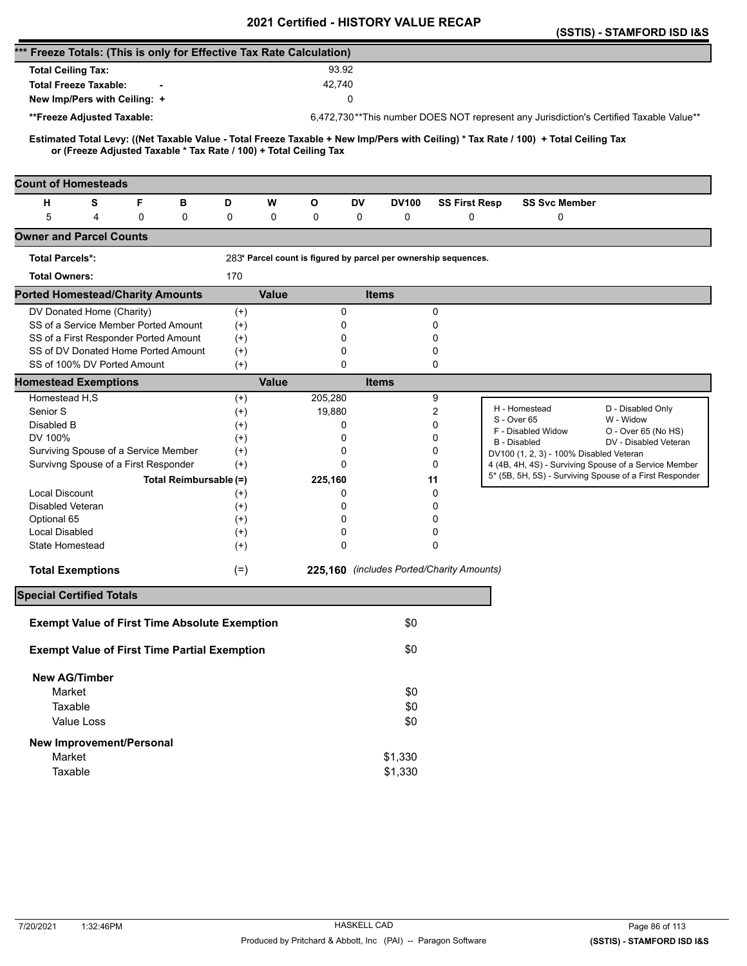|                                                                                                                                                                                                          |          |              |             | <b>VEILIIIEU - FIIJTUNT VALUE</b>                               |              |                      | (SSTIS) - STAMFORD ISD I&S                                                             |  |
|----------------------------------------------------------------------------------------------------------------------------------------------------------------------------------------------------------|----------|--------------|-------------|-----------------------------------------------------------------|--------------|----------------------|----------------------------------------------------------------------------------------|--|
| *** Freeze Totals: (This is only for Effective Tax Rate Calculation)                                                                                                                                     |          |              |             |                                                                 |              |                      |                                                                                        |  |
| <b>Total Ceiling Tax:</b>                                                                                                                                                                                |          |              | 93.92       |                                                                 |              |                      |                                                                                        |  |
| <b>Total Freeze Taxable:</b>                                                                                                                                                                             |          |              | 42,740      |                                                                 |              |                      |                                                                                        |  |
|                                                                                                                                                                                                          |          |              |             | 0                                                               |              |                      |                                                                                        |  |
| New Imp/Pers with Ceiling: +                                                                                                                                                                             |          |              |             |                                                                 |              |                      |                                                                                        |  |
| **Freeze Adjusted Taxable:                                                                                                                                                                               |          |              |             |                                                                 |              |                      | 6,472,730**This number DOES NOT represent any Jurisdiction's Certified Taxable Value** |  |
| Estimated Total Levy: ((Net Taxable Value - Total Freeze Taxable + New Imp/Pers with Ceiling) * Tax Rate / 100) + Total Ceiling Tax<br>or (Freeze Adjusted Taxable * Tax Rate / 100) + Total Ceiling Tax |          |              |             |                                                                 |              |                      |                                                                                        |  |
| <b>Count of Homesteads</b>                                                                                                                                                                               |          |              |             |                                                                 |              |                      |                                                                                        |  |
| S<br>F<br>н<br>в                                                                                                                                                                                         | D        | W            | O           | DV                                                              | <b>DV100</b> | <b>SS First Resp</b> | <b>SS Svc Member</b>                                                                   |  |
| 5<br>0<br>4<br>0                                                                                                                                                                                         | 0        | 0            | 0           | 0                                                               | 0            | 0                    | 0                                                                                      |  |
| <b>Owner and Parcel Counts</b>                                                                                                                                                                           |          |              |             |                                                                 |              |                      |                                                                                        |  |
| <b>Total Parcels*:</b>                                                                                                                                                                                   |          |              |             | 283* Parcel count is figured by parcel per ownership sequences. |              |                      |                                                                                        |  |
| <b>Total Owners:</b>                                                                                                                                                                                     | 170      |              |             |                                                                 |              |                      |                                                                                        |  |
| <b>Ported Homestead/Charity Amounts</b>                                                                                                                                                                  |          | <b>Value</b> |             | <b>Items</b>                                                    |              |                      |                                                                                        |  |
| DV Donated Home (Charity)                                                                                                                                                                                | $^{(+)}$ |              | 0           |                                                                 |              | 0                    |                                                                                        |  |
| SS of a Service Member Ported Amount                                                                                                                                                                     | $^{(+)}$ |              | 0           |                                                                 |              | 0                    |                                                                                        |  |
| SS of a First Responder Ported Amount                                                                                                                                                                    | $^{(+)}$ |              | 0           |                                                                 |              | 0                    |                                                                                        |  |
| SS of DV Donated Home Ported Amount                                                                                                                                                                      | $(+)$    |              | 0           |                                                                 |              | 0                    |                                                                                        |  |
| SS of 100% DV Ported Amount                                                                                                                                                                              | $(+)$    |              | $\mathbf 0$ |                                                                 |              | 0                    |                                                                                        |  |
| <b>Homestead Exemptions</b>                                                                                                                                                                              |          | <b>Value</b> |             | <b>Items</b>                                                    |              |                      |                                                                                        |  |
| Homestead H,S                                                                                                                                                                                            | $^{(+)}$ |              | 205,280     |                                                                 |              | 9                    |                                                                                        |  |
| Senior S                                                                                                                                                                                                 | $^{(+)}$ |              | 19,880      |                                                                 |              | 2                    | H - Homestead<br>D - Disabled Only<br>S - Over 65<br>W - Widow                         |  |
| Disabled B                                                                                                                                                                                               | $^{(+)}$ |              | 0           |                                                                 |              | 0                    | F - Disabled Widow<br>O - Over 65 (No HS)                                              |  |
| DV 100%                                                                                                                                                                                                  | $^{(+)}$ |              | 0           |                                                                 |              | 0                    | DV - Disabled Veteran<br><b>B</b> - Disabled                                           |  |
| Surviving Spouse of a Service Member                                                                                                                                                                     | $^{(+)}$ |              | 0           |                                                                 |              | 0                    | DV100 (1, 2, 3) - 100% Disabled Veteran                                                |  |
| Survivng Spouse of a First Responder                                                                                                                                                                     | $(+)$    |              | 0           |                                                                 |              | 0                    | 4 (4B, 4H, 4S) - Surviving Spouse of a Service Member                                  |  |
| Total Reimbursable (=)                                                                                                                                                                                   |          |              | 225,160     |                                                                 | 11           |                      | 5* (5B, 5H, 5S) - Surviving Spouse of a First Responder                                |  |
| <b>Local Discount</b>                                                                                                                                                                                    | $^{(+)}$ |              | 0           |                                                                 |              | 0                    |                                                                                        |  |
| Disabled Veteran                                                                                                                                                                                         | $^{(+)}$ |              | 0           |                                                                 |              | 0                    |                                                                                        |  |
| Optional 65                                                                                                                                                                                              | $^{(+)}$ |              | 0           |                                                                 |              | 0                    |                                                                                        |  |
| Local Disabled                                                                                                                                                                                           | $^{(+)}$ |              | 0           |                                                                 |              | 0                    |                                                                                        |  |
| State Homestead                                                                                                                                                                                          | $^{(+)}$ |              | 0           |                                                                 |              | 0                    |                                                                                        |  |
| <b>Total Exemptions</b>                                                                                                                                                                                  | $(=)$    |              |             | 225,160 (includes Ported/Charity Amounts)                       |              |                      |                                                                                        |  |
| <b>Special Certified Totals</b>                                                                                                                                                                          |          |              |             |                                                                 |              |                      |                                                                                        |  |
| <b>Exempt Value of First Time Absolute Exemption</b>                                                                                                                                                     |          |              |             |                                                                 | \$0          |                      |                                                                                        |  |
| <b>Exempt Value of First Time Partial Exemption</b>                                                                                                                                                      |          |              |             |                                                                 | \$0          |                      |                                                                                        |  |
| <b>New AG/Timber</b>                                                                                                                                                                                     |          |              |             |                                                                 |              |                      |                                                                                        |  |
| Market                                                                                                                                                                                                   |          |              |             |                                                                 | \$0          |                      |                                                                                        |  |
| Taxable                                                                                                                                                                                                  |          |              |             |                                                                 | \$0          |                      |                                                                                        |  |
| Value Loss                                                                                                                                                                                               |          |              |             |                                                                 | \$0          |                      |                                                                                        |  |
|                                                                                                                                                                                                          |          |              |             |                                                                 |              |                      |                                                                                        |  |
| <b>New Improvement/Personal</b>                                                                                                                                                                          |          |              |             |                                                                 |              |                      |                                                                                        |  |
| Market                                                                                                                                                                                                   |          |              |             | \$1,330                                                         |              |                      |                                                                                        |  |
| Taxable                                                                                                                                                                                                  |          |              |             | \$1,330                                                         |              |                      |                                                                                        |  |
|                                                                                                                                                                                                          |          |              |             |                                                                 |              |                      |                                                                                        |  |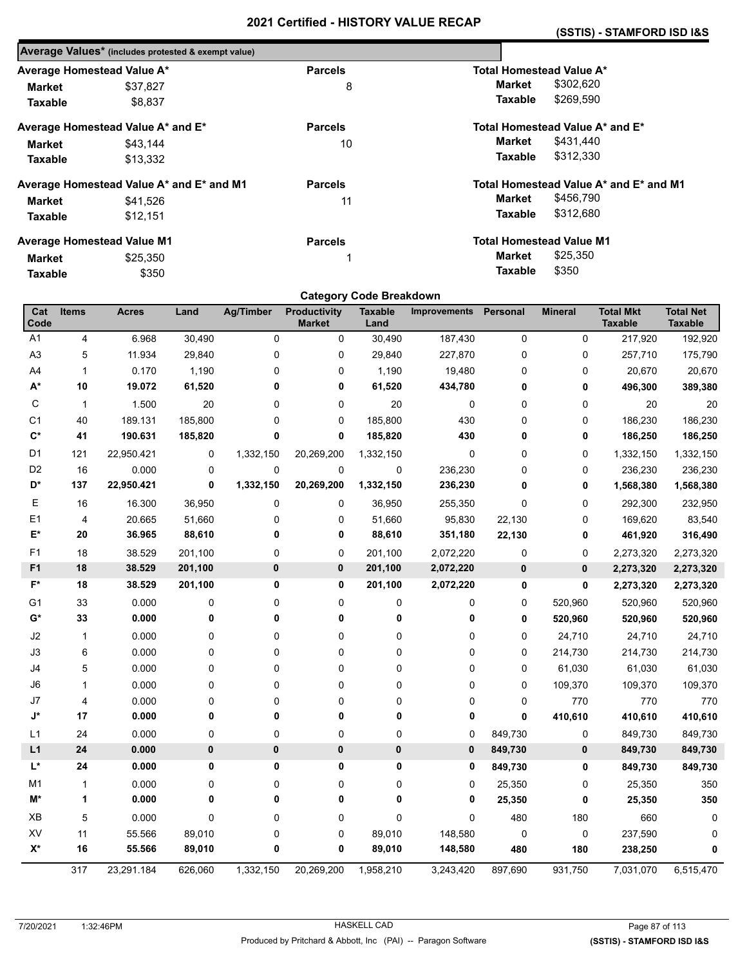| Average Values* (includes protested & exempt value) |                |                                        |
|-----------------------------------------------------|----------------|----------------------------------------|
| Average Homestead Value A*                          | <b>Parcels</b> | <b>Total Homestead Value A*</b>        |
| \$37,827                                            | 8              | \$302,620<br>Market                    |
| \$8.837                                             |                | \$269,590<br>Taxable                   |
| Average Homestead Value A* and E*                   | <b>Parcels</b> | Total Homestead Value A* and E*        |
| \$43.144                                            | 10             | \$431.440<br>Market                    |
| \$13,332                                            |                | Taxable<br>\$312,330                   |
| Average Homestead Value A* and E* and M1            | <b>Parcels</b> | Total Homestead Value A* and E* and M1 |
| \$41,526                                            | 11             | \$456,790<br>Market                    |
| \$12.151                                            |                | \$312,680<br>Taxable                   |
| <b>Average Homestead Value M1</b>                   | <b>Parcels</b> | <b>Total Homestead Value M1</b>        |
| \$25,350                                            | 1              | \$25,350<br>Market                     |
| \$350                                               |                | \$350<br>Taxable                       |
|                                                     |                |                                        |

| <b>Category Code Breakdown</b> |              |              |         |                  |                                      |                        |                     |             |                |                                    |                                    |
|--------------------------------|--------------|--------------|---------|------------------|--------------------------------------|------------------------|---------------------|-------------|----------------|------------------------------------|------------------------------------|
| Cat<br>Code                    | <b>Items</b> | <b>Acres</b> | Land    | <b>Ag/Timber</b> | <b>Productivity</b><br><b>Market</b> | <b>Taxable</b><br>Land | <b>Improvements</b> | Personal    | <b>Mineral</b> | <b>Total Mkt</b><br><b>Taxable</b> | <b>Total Net</b><br><b>Taxable</b> |
| A <sub>1</sub>                 | 4            | 6.968        | 30,490  | 0                | 0                                    | 30,490                 | 187,430             | $\pmb{0}$   | 0              | 217,920                            | 192,920                            |
| A <sub>3</sub>                 | 5            | 11.934       | 29,840  | 0                | 0                                    | 29,840                 | 227,870             | 0           | 0              | 257,710                            | 175,790                            |
| A4                             | $\mathbf{1}$ | 0.170        | 1,190   | 0                | 0                                    | 1,190                  | 19,480              | $\pmb{0}$   | 0              | 20,670                             | 20,670                             |
| $\mathsf{A}^\star$             | 10           | 19.072       | 61,520  | 0                | 0                                    | 61,520                 | 434,780             | 0           | 0              | 496,300                            | 389,380                            |
| C                              | $\mathbf{1}$ | 1.500        | 20      | 0                | 0                                    | 20                     | 0                   | 0           | 0              | 20                                 | 20                                 |
| C <sub>1</sub>                 | 40           | 189.131      | 185,800 | $\mathbf 0$      | 0                                    | 185,800                | 430                 | 0           | 0              | 186,230                            | 186,230                            |
| $\mathbf{C}^*$                 | 41           | 190.631      | 185,820 | 0                | 0                                    | 185,820                | 430                 | 0           | 0              | 186,250                            | 186,250                            |
| D <sub>1</sub>                 | 121          | 22,950.421   | 0       | 1,332,150        | 20,269,200                           | 1,332,150              | 0                   | $\pmb{0}$   | $\pmb{0}$      | 1,332,150                          | 1,332,150                          |
| D <sub>2</sub>                 | 16           | 0.000        | 0       | 0                | 0                                    | 0                      | 236,230             | 0           | 0              | 236,230                            | 236,230                            |
| D*                             | 137          | 22,950.421   | 0       | 1,332,150        | 20,269,200                           | 1,332,150              | 236,230             | 0           | 0              | 1,568,380                          | 1,568,380                          |
| Е                              | 16           | 16.300       | 36,950  | 0                | 0                                    | 36,950                 | 255,350             | $\mathbf 0$ | 0              | 292,300                            | 232,950                            |
| E <sub>1</sub>                 | 4            | 20.665       | 51,660  | 0                | 0                                    | 51,660                 | 95,830              | 22,130      | $\pmb{0}$      | 169,620                            | 83,540                             |
| E*                             | 20           | 36.965       | 88,610  | 0                | 0                                    | 88,610                 | 351,180             | 22,130      | 0              | 461,920                            | 316,490                            |
| F1                             | 18           | 38.529       | 201,100 | 0                | 0                                    | 201,100                | 2,072,220           | $\pmb{0}$   | 0              | 2,273,320                          | 2,273,320                          |
| F <sub>1</sub>                 | 18           | 38.529       | 201,100 | 0                | 0                                    | 201,100                | 2,072,220           | $\bf{0}$    | $\mathbf 0$    | 2,273,320                          | 2,273,320                          |
| F*                             | 18           | 38.529       | 201,100 | 0                | 0                                    | 201,100                | 2,072,220           | 0           | 0              | 2,273,320                          | 2,273,320                          |
| G <sub>1</sub>                 | 33           | 0.000        | 0       | 0                | 0                                    | 0                      | 0                   | 0           | 520,960        | 520,960                            | 520,960                            |
| G*                             | 33           | 0.000        | 0       | 0                | $\mathbf 0$                          | 0                      | 0                   | $\mathbf 0$ | 520,960        | 520,960                            | 520,960                            |
| J2                             | 1            | 0.000        | 0       | 0                | 0                                    | 0                      | 0                   | 0           | 24,710         | 24,710                             | 24,710                             |
| J3                             | 6            | 0.000        | 0       | 0                | 0                                    | 0                      | 0                   | 0           | 214,730        | 214,730                            | 214,730                            |
| J4                             | 5            | 0.000        | 0       | 0                | 0                                    | 0                      | 0                   | $\pmb{0}$   | 61,030         | 61,030                             | 61,030                             |
| J6                             | $\mathbf{1}$ | 0.000        | 0       | 0                | 0                                    | 0                      | $\pmb{0}$           | $\mathbf 0$ | 109,370        | 109,370                            | 109,370                            |
| J7                             | 4            | 0.000        | 0       | 0                | 0                                    | 0                      | 0                   | 0           | 770            | 770                                | 770                                |
| J*                             | 17           | 0.000        | 0       | 0                | 0                                    | 0                      | 0                   | $\mathbf 0$ | 410,610        | 410,610                            | 410,610                            |
| L1                             | 24           | 0.000        | 0       | 0                | 0                                    | 0                      | 0                   | 849,730     | 0              | 849,730                            | 849,730                            |
| L1                             | 24           | 0.000        | 0       | 0                | $\bf{0}$                             | $\pmb{0}$              | 0                   | 849,730     | $\mathbf 0$    | 849,730                            | 849,730                            |
| L*                             | 24           | 0.000        | 0       | 0                | 0                                    | 0                      | 0                   | 849,730     | 0              | 849,730                            | 849,730                            |
| M1                             | $\mathbf{1}$ | 0.000        | 0       | 0                | 0                                    | 0                      | 0                   | 25,350      | 0              | 25,350                             | 350                                |
| M*                             | 1            | 0.000        | 0       | 0                | 0                                    | 0                      | 0                   | 25,350      | 0              | 25,350                             | 350                                |
| XB                             | 5            | 0.000        | 0       | 0                | 0                                    | 0                      | 0                   | 480         | 180            | 660                                | 0                                  |
| XV                             | 11           | 55.566       | 89,010  | 0                | 0                                    | 89,010                 | 148,580             | 0           | 0              | 237,590                            | 0                                  |
| $X^*$                          | 16           | 55.566       | 89,010  | 0                | 0                                    | 89,010                 | 148,580             | 480         | 180            | 238,250                            | 0                                  |
|                                | 317          | 23,291.184   | 626,060 | 1,332,150        | 20,269,200                           | 1,958,210              | 3,243,420           | 897,690     | 931,750        | 7,031,070                          | 6,515,470                          |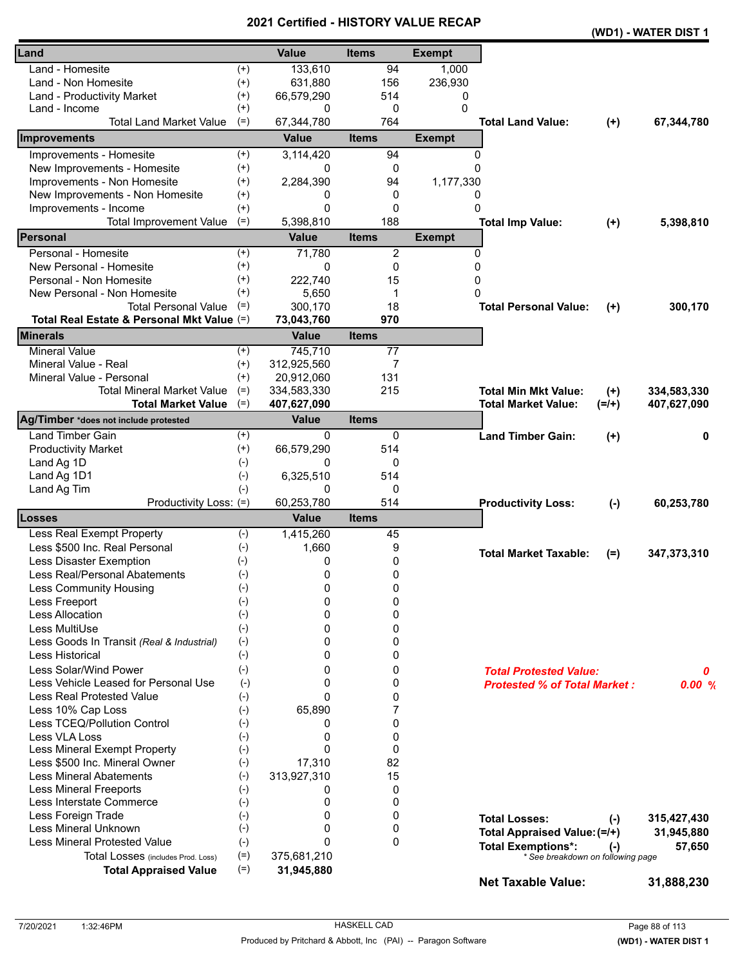|                                            |          |              |                 |               |                                     |           | (WD1) - WATER DIST 1 |
|--------------------------------------------|----------|--------------|-----------------|---------------|-------------------------------------|-----------|----------------------|
| Land                                       |          | <b>Value</b> | <b>Items</b>    | <b>Exempt</b> |                                     |           |                      |
| Land - Homesite                            | $^{(+)}$ | 133,610      | 94              | 1,000         |                                     |           |                      |
| Land - Non Homesite                        | $^{(+)}$ | 631,880      | 156             | 236,930       |                                     |           |                      |
| Land - Productivity Market                 | $^{(+)}$ | 66,579,290   | 514             | 0             |                                     |           |                      |
| Land - Income                              | $^{(+)}$ | 0            | 0               | 0             |                                     |           |                      |
| <b>Total Land Market Value</b>             | $(=)$    | 67,344,780   | 764             |               | <b>Total Land Value:</b>            | $(+)$     | 67,344,780           |
| <b>Improvements</b>                        |          | <b>Value</b> | <b>Items</b>    | <b>Exempt</b> |                                     |           |                      |
| Improvements - Homesite                    | $^{(+)}$ | 3,114,420    | 94              | $\Omega$      |                                     |           |                      |
| New Improvements - Homesite                | $^{(+)}$ | 0            | 0               | $\Omega$      |                                     |           |                      |
| Improvements - Non Homesite                | $^{(+)}$ | 2,284,390    | 94              | 1,177,330     |                                     |           |                      |
| New Improvements - Non Homesite            | $^{(+)}$ | 0            | 0               | 0             |                                     |           |                      |
| Improvements - Income                      | $^{(+)}$ | $\Omega$     | $\Omega$        | $\Omega$      |                                     |           |                      |
| <b>Total Improvement Value</b>             | $(=)$    | 5,398,810    | 188             |               | <b>Total Imp Value:</b>             | $(+)$     | 5,398,810            |
| Personal                                   |          | <b>Value</b> | <b>Items</b>    | <b>Exempt</b> |                                     |           |                      |
| Personal - Homesite                        | $^{(+)}$ | 71,780       | $\overline{2}$  | $\Omega$      |                                     |           |                      |
| New Personal - Homesite                    | $^{(+)}$ | 0            | 0               | 0             |                                     |           |                      |
| Personal - Non Homesite                    | $^{(+)}$ | 222,740      | 15              | 0             |                                     |           |                      |
| New Personal - Non Homesite                | $^{(+)}$ | 5,650        | 1               | 0             |                                     |           |                      |
| <b>Total Personal Value</b>                | $(=)$    | 300,170      | 18              |               | <b>Total Personal Value:</b>        | $(+)$     | 300,170              |
| Total Real Estate & Personal Mkt Value (=) |          | 73,043,760   | 970             |               |                                     |           |                      |
| <b>Minerals</b>                            |          | <b>Value</b> | <b>Items</b>    |               |                                     |           |                      |
| <b>Mineral Value</b>                       | $^{(+)}$ | 745,710      | $\overline{77}$ |               |                                     |           |                      |
| Mineral Value - Real                       | $^{(+)}$ | 312,925,560  | 7               |               |                                     |           |                      |
| Mineral Value - Personal                   | $(+)$    | 20,912,060   | 131             |               |                                     |           |                      |
| <b>Total Mineral Market Value</b>          | $(=)$    | 334,583,330  | 215             |               | <b>Total Min Mkt Value:</b>         | $(+)$     | 334,583,330          |
| <b>Total Market Value</b>                  | $(=)$    | 407,627,090  |                 |               | <b>Total Market Value:</b>          | $(=/+)$   | 407,627,090          |
| Ag/Timber *does not include protested      |          | <b>Value</b> | <b>Items</b>    |               |                                     |           |                      |
| <b>Land Timber Gain</b>                    | $^{(+)}$ | 0            | 0               |               | <b>Land Timber Gain:</b>            | $(+)$     | 0                    |
| <b>Productivity Market</b>                 | $^{(+)}$ | 66,579,290   | 514             |               |                                     |           |                      |
| Land Ag 1D                                 | $(-)$    | 0            | 0               |               |                                     |           |                      |
| Land Ag 1D1                                | $(-)$    | 6,325,510    | 514             |               |                                     |           |                      |
| Land Ag Tim                                | $(-)$    | 0            | 0               |               |                                     |           |                      |
| Productivity Loss: (=)                     |          | 60,253,780   | 514             |               | <b>Productivity Loss:</b>           | $(-)$     | 60,253,780           |
| <b>Losses</b>                              |          | <b>Value</b> | <b>Items</b>    |               |                                     |           |                      |
| Less Real Exempt Property                  | $(-)$    | 1,415,260    | 45              |               |                                     |           |                      |
| Less \$500 Inc. Real Personal              | $(-)$    | 1,660        | 9               |               |                                     |           |                      |
| Less Disaster Exemption                    | $(-)$    | 0            | 0               |               | <b>Total Market Taxable:</b>        | $(=)$     | 347,373,310          |
| Less Real/Personal Abatements              | $(-)$    | $\mathbf 0$  | 0               |               |                                     |           |                      |
| <b>Less Community Housing</b>              | $(-)$    | 0            | 0               |               |                                     |           |                      |
| Less Freeport                              | $(-)$    | 0            | 0               |               |                                     |           |                      |
| Less Allocation                            | $(-)$    | 0            | 0               |               |                                     |           |                      |
| Less MultiUse                              | $(-)$    | 0            | 0               |               |                                     |           |                      |
| Less Goods In Transit (Real & Industrial)  | $(-)$    | 0            | 0               |               |                                     |           |                      |
| <b>Less Historical</b>                     | $(-)$    | 0            | 0               |               |                                     |           |                      |
| Less Solar/Wind Power                      | $(-)$    | 0            | 0               |               | <b>Total Protested Value:</b>       |           | 0                    |
| Less Vehicle Leased for Personal Use       | $(-)$    | 0            | 0               |               | <b>Protested % of Total Market:</b> |           | 0.00%                |
| <b>Less Real Protested Value</b>           | $(-)$    | $\Omega$     | 0               |               |                                     |           |                      |
| Less 10% Cap Loss                          | $(-)$    | 65,890       | 7               |               |                                     |           |                      |
| Less TCEQ/Pollution Control                | $(-)$    | 0            | 0               |               |                                     |           |                      |
| Less VLA Loss                              | $(-)$    | 0            | 0               |               |                                     |           |                      |
| Less Mineral Exempt Property               | $(-)$    | 0            | 0               |               |                                     |           |                      |
| Less \$500 Inc. Mineral Owner              | $(-)$    | 17,310       | 82              |               |                                     |           |                      |
| <b>Less Mineral Abatements</b>             | $(-)$    | 313,927,310  | 15              |               |                                     |           |                      |
| <b>Less Mineral Freeports</b>              | $(-)$    | 0            | 0               |               |                                     |           |                      |
| Less Interstate Commerce                   | $(-)$    | 0            | 0               |               |                                     |           |                      |
| Less Foreign Trade                         | $(-)$    | 0            | 0               |               | <b>Total Losses:</b>                | $(-)$     | 315,427,430          |
| Less Mineral Unknown                       | $(-)$    | 0            | 0               |               | Total Appraised Value: (=/+)        |           | 31,945,880           |
| <b>Less Mineral Protested Value</b>        | $(-)$    | $\Omega$     | $\Omega$        |               | <b>Total Exemptions*:</b>           | $(\cdot)$ | 57,650               |
| Total Losses (includes Prod. Loss)         | $(=)$    | 375,681,210  |                 |               | * See breakdown on following page   |           |                      |
| <b>Total Appraised Value</b>               | $(=)$    | 31,945,880   |                 |               |                                     |           |                      |
|                                            |          |              |                 |               | <b>Net Taxable Value:</b>           |           | 31,888,230           |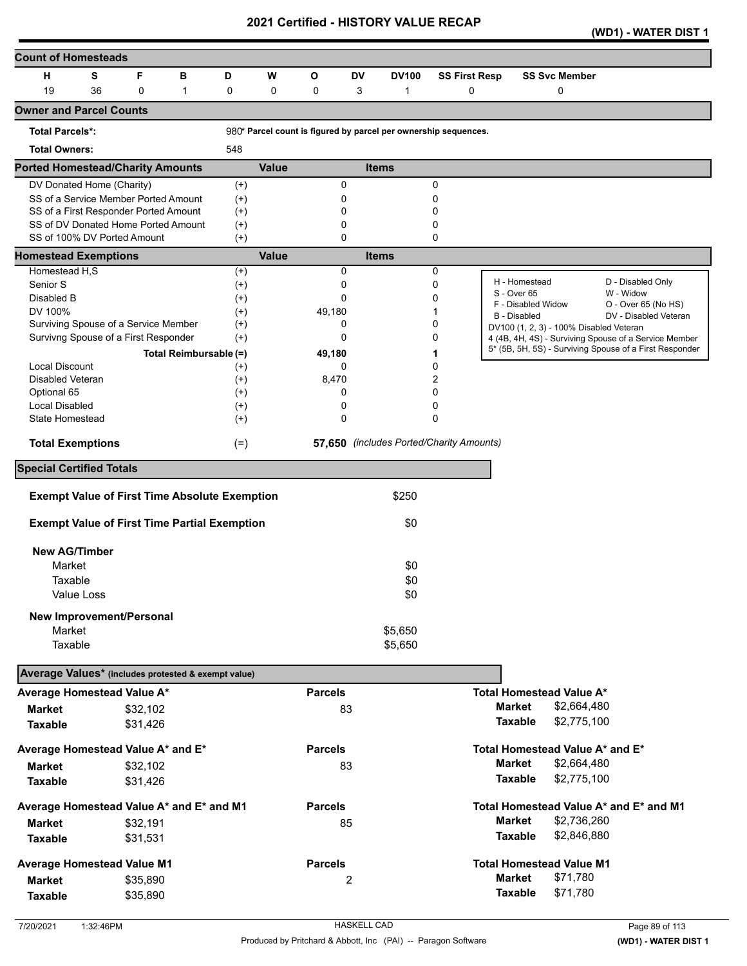|  | (WD1) - WATER DIST 1 |
|--|----------------------|
|--|----------------------|

| <b>Count of Homesteads</b>                          |            |             |                                                                              |                      |              |                |           |                                                                 |                      |                     |                                         |                                                         |
|-----------------------------------------------------|------------|-------------|------------------------------------------------------------------------------|----------------------|--------------|----------------|-----------|-----------------------------------------------------------------|----------------------|---------------------|-----------------------------------------|---------------------------------------------------------|
| н                                                   | S          | F           | в                                                                            | D                    | W            | O              | <b>DV</b> | <b>DV100</b>                                                    | <b>SS First Resp</b> |                     | <b>SS Svc Member</b>                    |                                                         |
| 19                                                  | 36         | $\mathbf 0$ | $\mathbf{1}$                                                                 | 0                    | 0            | 0              | 3         | 1                                                               | $\mathbf 0$          |                     | $\mathbf 0$                             |                                                         |
| <b>Owner and Parcel Counts</b>                      |            |             |                                                                              |                      |              |                |           |                                                                 |                      |                     |                                         |                                                         |
| <b>Total Parcels*:</b>                              |            |             |                                                                              |                      |              |                |           | 980* Parcel count is figured by parcel per ownership sequences. |                      |                     |                                         |                                                         |
| <b>Total Owners:</b>                                |            |             |                                                                              | 548                  |              |                |           |                                                                 |                      |                     |                                         |                                                         |
| <b>Ported Homestead/Charity Amounts</b>             |            |             |                                                                              |                      | <b>Value</b> |                |           | <b>Items</b>                                                    |                      |                     |                                         |                                                         |
| DV Donated Home (Charity)                           |            |             |                                                                              | $(+)$                |              | 0              |           |                                                                 | 0                    |                     |                                         |                                                         |
|                                                     |            |             | SS of a Service Member Ported Amount                                         | $^{(+)}$             |              | 0              |           |                                                                 | 0                    |                     |                                         |                                                         |
|                                                     |            |             | SS of a First Responder Ported Amount<br>SS of DV Donated Home Ported Amount | $^{(+)}$             |              | 0<br>0         |           |                                                                 | 0<br>0               |                     |                                         |                                                         |
| SS of 100% DV Ported Amount                         |            |             |                                                                              | $^{(+)}$<br>$(+)$    |              | 0              |           |                                                                 | 0                    |                     |                                         |                                                         |
| <b>Homestead Exemptions</b>                         |            |             |                                                                              |                      | <b>Value</b> |                |           | <b>Items</b>                                                    |                      |                     |                                         |                                                         |
| Homestead H,S                                       |            |             |                                                                              | $^{(+)}$             |              | $\Omega$       |           |                                                                 | 0                    |                     |                                         |                                                         |
| Senior S                                            |            |             |                                                                              | $^{(+)}$             |              | 0              |           |                                                                 | 0                    | S - Over 65         | H - Homestead                           | D - Disabled Only<br>W - Widow                          |
| Disabled B                                          |            |             |                                                                              | $^{(+)}$             |              | 0              |           |                                                                 | 0                    |                     | F - Disabled Widow                      | O - Over 65 (No HS)                                     |
| DV 100%<br>Surviving Spouse of a Service Member     |            |             |                                                                              | $^{(+)}$             |              | 49,180<br>0    |           |                                                                 | 0                    | <b>B</b> - Disabled |                                         | DV - Disabled Veteran                                   |
| Survivng Spouse of a First Responder                |            |             |                                                                              | $^{(+)}$<br>$^{(+)}$ |              | $\Omega$       |           |                                                                 | 0                    |                     | DV100 (1, 2, 3) - 100% Disabled Veteran | 4 (4B, 4H, 4S) - Surviving Spouse of a Service Member   |
|                                                     |            |             | Total Reimbursable (=)                                                       |                      |              | 49,180         |           |                                                                 |                      |                     |                                         | 5* (5B, 5H, 5S) - Surviving Spouse of a First Responder |
| <b>Local Discount</b>                               |            |             |                                                                              | $^{(+)}$             |              | 0              |           |                                                                 | 0                    |                     |                                         |                                                         |
| Disabled Veteran                                    |            |             |                                                                              | $^{(+)}$             |              | 8,470          |           |                                                                 | 2                    |                     |                                         |                                                         |
| Optional 65                                         |            |             |                                                                              | $^{(+)}$             |              | 0              |           |                                                                 | 0                    |                     |                                         |                                                         |
| <b>Local Disabled</b>                               |            |             |                                                                              | $^{(+)}$             |              | 0              |           |                                                                 | 0                    |                     |                                         |                                                         |
| State Homestead                                     |            |             |                                                                              | $^{(+)}$             |              | $\mathbf 0$    |           |                                                                 | 0                    |                     |                                         |                                                         |
| <b>Total Exemptions</b>                             |            |             |                                                                              | $(=)$                |              |                |           | 57,650 (includes Ported/Charity Amounts)                        |                      |                     |                                         |                                                         |
| <b>Special Certified Totals</b>                     |            |             |                                                                              |                      |              |                |           |                                                                 |                      |                     |                                         |                                                         |
|                                                     |            |             | <b>Exempt Value of First Time Absolute Exemption</b>                         |                      |              |                |           | \$250                                                           |                      |                     |                                         |                                                         |
|                                                     |            |             | <b>Exempt Value of First Time Partial Exemption</b>                          |                      |              |                |           | \$0                                                             |                      |                     |                                         |                                                         |
|                                                     |            |             |                                                                              |                      |              |                |           |                                                                 |                      |                     |                                         |                                                         |
| <b>New AG/Timber</b>                                |            |             |                                                                              |                      |              |                |           |                                                                 |                      |                     |                                         |                                                         |
| Market                                              |            |             |                                                                              |                      |              |                |           | \$0                                                             |                      |                     |                                         |                                                         |
| Taxable                                             |            |             |                                                                              |                      |              |                |           | \$0                                                             |                      |                     |                                         |                                                         |
|                                                     | Value Loss |             |                                                                              |                      |              |                |           | \$0                                                             |                      |                     |                                         |                                                         |
| New Improvement/Personal                            |            |             |                                                                              |                      |              |                |           |                                                                 |                      |                     |                                         |                                                         |
| Market                                              |            |             |                                                                              |                      |              |                |           | \$5,650                                                         |                      |                     |                                         |                                                         |
| Taxable                                             |            |             |                                                                              |                      |              |                |           | \$5,650                                                         |                      |                     |                                         |                                                         |
| Average Values* (includes protested & exempt value) |            |             |                                                                              |                      |              |                |           |                                                                 |                      |                     |                                         |                                                         |
| Average Homestead Value A*                          |            |             |                                                                              |                      |              | <b>Parcels</b> |           |                                                                 |                      |                     | <b>Total Homestead Value A*</b>         |                                                         |
| <b>Market</b>                                       |            | \$32,102    |                                                                              |                      |              |                | 83        |                                                                 |                      | <b>Market</b>       | \$2,664,480                             |                                                         |
| <b>Taxable</b>                                      |            | \$31,426    |                                                                              |                      |              |                |           |                                                                 |                      | <b>Taxable</b>      | \$2,775,100                             |                                                         |
| Average Homestead Value A* and E*                   |            |             |                                                                              |                      |              | <b>Parcels</b> |           |                                                                 |                      |                     | Total Homestead Value A* and E*         |                                                         |
| <b>Market</b>                                       |            | \$32,102    |                                                                              |                      |              |                | 83        |                                                                 |                      | <b>Market</b>       | \$2,664,480                             |                                                         |
| <b>Taxable</b>                                      |            | \$31,426    |                                                                              |                      |              |                |           |                                                                 |                      | <b>Taxable</b>      | \$2,775,100                             |                                                         |
| Average Homestead Value A* and E* and M1            |            |             |                                                                              |                      |              | <b>Parcels</b> |           |                                                                 |                      |                     |                                         | Total Homestead Value A* and E* and M1                  |
| <b>Market</b>                                       |            | \$32,191    |                                                                              |                      |              |                | 85        |                                                                 |                      | <b>Market</b>       | \$2,736,260                             |                                                         |
| <b>Taxable</b>                                      |            | \$31,531    |                                                                              |                      |              |                |           |                                                                 |                      | <b>Taxable</b>      | \$2,846,880                             |                                                         |
|                                                     |            |             |                                                                              |                      |              | <b>Parcels</b> |           |                                                                 |                      |                     | <b>Total Homestead Value M1</b>         |                                                         |
| <b>Average Homestead Value M1</b>                   |            |             |                                                                              |                      |              |                |           |                                                                 |                      | <b>Market</b>       | \$71,780                                |                                                         |
| <b>Market</b>                                       |            | \$35,890    |                                                                              |                      |              |                | 2         |                                                                 |                      | <b>Taxable</b>      | \$71,780                                |                                                         |
| <b>Taxable</b>                                      |            | \$35,890    |                                                                              |                      |              |                |           |                                                                 |                      |                     |                                         |                                                         |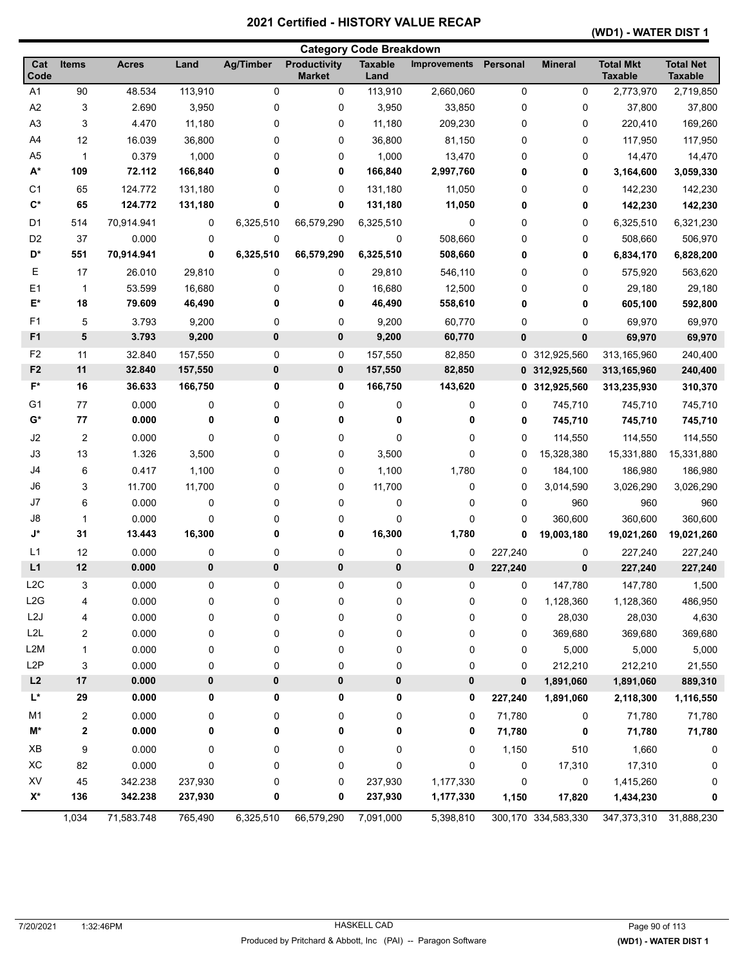|                  |                         |              |           |                  |                                      | <b>Category Code Breakdown</b> |                     |             |                     |                                    |                                    |
|------------------|-------------------------|--------------|-----------|------------------|--------------------------------------|--------------------------------|---------------------|-------------|---------------------|------------------------------------|------------------------------------|
| Cat<br>Code      | Items                   | <b>Acres</b> | Land      | <b>Ag/Timber</b> | <b>Productivity</b><br><b>Market</b> | <b>Taxable</b><br>Land         | <b>Improvements</b> | Personal    | <b>Mineral</b>      | <b>Total Mkt</b><br><b>Taxable</b> | <b>Total Net</b><br><b>Taxable</b> |
| A <sub>1</sub>   | 90                      | 48.534       | 113,910   | 0                | 0                                    | 113,910                        | 2,660,060           | 0           | 0                   | 2,773,970                          | 2,719,850                          |
| A <sub>2</sub>   | 3                       | 2.690        | 3,950     | 0                | 0                                    | 3,950                          | 33,850              | 0           | 0                   | 37,800                             | 37,800                             |
| A <sub>3</sub>   | 3                       | 4.470        | 11,180    | 0                | 0                                    | 11,180                         | 209,230             | 0           | 0                   | 220,410                            | 169,260                            |
| A4               | 12                      | 16.039       | 36,800    | 0                | 0                                    | 36,800                         | 81,150              | 0           | 0                   | 117,950                            | 117,950                            |
| A <sub>5</sub>   | $\mathbf{1}$            | 0.379        | 1,000     | 0                | 0                                    | 1,000                          | 13,470              | 0           | 0                   | 14,470                             | 14,470                             |
| $A^*$            | 109                     | 72.112       | 166,840   | 0                | 0                                    | 166,840                        | 2,997,760           | 0           | 0                   | 3,164,600                          | 3,059,330                          |
| C1               | 65                      | 124.772      | 131,180   | 0                | 0                                    | 131,180                        | 11,050              | 0           | 0                   | 142,230                            | 142,230                            |
| $\mathbf{C}^*$   | 65                      | 124.772      | 131,180   | 0                | 0                                    | 131,180                        | 11,050              | 0           | 0                   | 142,230                            | 142,230                            |
| D1               | 514                     | 70,914.941   | 0         | 6,325,510        | 66,579,290                           | 6,325,510                      | 0                   | 0           | 0                   | 6,325,510                          | 6,321,230                          |
| D <sub>2</sub>   | 37                      | 0.000        | 0         | 0                | 0                                    | 0                              | 508,660             | 0           | 0                   | 508,660                            | 506,970                            |
| D*               | 551                     | 70,914.941   | 0         | 6,325,510        | 66,579,290                           | 6,325,510                      | 508,660             | 0           | 0                   | 6,834,170                          | 6,828,200                          |
| Ε                | 17                      | 26.010       | 29,810    | 0                | 0                                    | 29,810                         | 546,110             | 0           | 0                   | 575,920                            | 563,620                            |
| E1               | 1                       | 53.599       | 16,680    | 0                | 0                                    | 16,680                         | 12,500              | 0           | 0                   | 29,180                             | 29,180                             |
| E*               | 18                      | 79.609       | 46,490    | 0                | 0                                    | 46,490                         | 558,610             | 0           | 0                   | 605,100                            | 592,800                            |
| F1               | 5                       | 3.793        | 9,200     | 0                | 0                                    | 9,200                          | 60,770              | 0           | 0                   | 69,970                             | 69,970                             |
| F <sub>1</sub>   | 5                       | 3.793        | 9,200     | $\pmb{0}$        | 0                                    | 9,200                          | 60,770              | 0           | 0                   | 69,970                             | 69,970                             |
| F <sub>2</sub>   | 11                      | 32.840       | 157,550   | 0                | 0                                    | 157,550                        | 82,850              | 0           | 312,925,560         | 313,165,960                        | 240,400                            |
| F <sub>2</sub>   | 11                      | 32.840       | 157,550   | $\pmb{0}$        | 0                                    | 157,550                        | 82,850              |             | 0 312,925,560       | 313,165,960                        | 240,400                            |
| $F^*$            | 16                      | 36.633       | 166,750   | 0                | 0                                    | 166,750                        | 143,620             | 0           | 312,925,560         | 313,235,930                        | 310,370                            |
| G <sub>1</sub>   | 77                      | 0.000        | 0         | 0                | 0                                    | 0                              | 0                   | 0           | 745,710             | 745,710                            | 745,710                            |
| $G^*$            | 77                      | 0.000        | 0         | 0                | 0                                    | 0                              | 0                   | 0           | 745,710             | 745,710                            | 745,710                            |
| J2               | $\overline{2}$          | 0.000        | 0         | 0                | 0                                    | 0                              | 0                   | 0           | 114,550             | 114,550                            | 114,550                            |
| J3               | 13                      | 1.326        | 3,500     | 0                | 0                                    | 3,500                          | 0                   | 0           | 15,328,380          | 15,331,880                         | 15,331,880                         |
| J4               | 6                       | 0.417        | 1,100     | 0                | 0                                    | 1,100                          | 1,780               | 0           | 184,100             | 186,980                            | 186,980                            |
| J6               | 3                       | 11.700       | 11,700    | 0                | 0                                    | 11,700                         | 0                   | 0           | 3,014,590           | 3,026,290                          | 3,026,290                          |
| J7               | 6                       | 0.000        | 0         | 0                | 0                                    | 0                              | 0                   | 0           | 960                 | 960                                | 960                                |
| J8               | 1                       | 0.000        | 0         | 0                | 0                                    | 0                              | 0                   | $\mathbf 0$ | 360,600             | 360,600                            | 360,600                            |
| J*               | 31                      | 13.443       | 16,300    | 0                | 0                                    | 16,300                         | 1,780               | 0           | 19,003,180          | 19,021,260                         | 19,021,260                         |
| L1               | 12                      | 0.000        | 0         | 0                | 0                                    | 0                              | 0                   | 227,240     | 0                   | 227,240                            | 227,240                            |
| L1               | 12                      | 0.000        | $\pmb{0}$ | $\pmb{0}$        | 0                                    | 0                              | 0                   | 227,240     | 0                   | 227,240                            | 227,240                            |
| L <sub>2</sub> C | 3                       | 0.000        | 0         | 0                | 0                                    | 0                              | 0                   | 0           | 147,780             | 147,780                            | 1,500                              |
| L2G              | 4                       | 0.000        | $\pmb{0}$ | 0                | 0                                    | 0                              | 0                   | 0           | 1,128,360           | 1,128,360                          | 486,950                            |
| L <sub>2</sub> J | 4                       | 0.000        | 0         | 0                | 0                                    | 0                              | 0                   | 0           | 28,030              | 28,030                             | 4,630                              |
| L <sub>2</sub> L | 2                       | 0.000        | 0         | 0                | 0                                    | 0                              | 0                   | 0           | 369,680             | 369,680                            | 369,680                            |
| L <sub>2</sub> M | 1                       | 0.000        | 0         | 0                | 0                                    | 0                              | 0                   | 0           | 5,000               | 5,000                              | 5,000                              |
| L <sub>2</sub> P | 3                       | 0.000        | 0         | 0                | 0                                    | 0                              | 0                   | 0           | 212,210             | 212,210                            | 21,550                             |
| L2               | $17\,$                  | 0.000        | 0         | $\pmb{0}$        | 0                                    | 0                              | 0                   | 0           | 1,891,060           | 1,891,060                          | 889,310                            |
| L*               | 29                      | 0.000        | 0         | 0                | 0                                    | 0                              | 0                   | 227,240     | 1,891,060           | 2,118,300                          | 1,116,550                          |
| M1               | $\overline{\mathbf{c}}$ | 0.000        | 0         | 0                | 0                                    | 0                              | 0                   | 71,780      | 0                   | 71,780                             | 71,780                             |
| M*               | 2                       | 0.000        | 0         | 0                | 0                                    | 0                              | 0                   | 71,780      | 0                   | 71,780                             | 71,780                             |
| $\mathsf{XB}$    | 9                       | 0.000        | 0         | 0                | 0                                    | 0                              | 0                   | 1,150       | 510                 | 1,660                              | 0                                  |
| XC               | 82                      | 0.000        | 0         | 0                | 0                                    | 0                              | 0                   | 0           | 17,310              | 17,310                             | 0                                  |
| XV               | 45                      | 342.238      | 237,930   | 0                | 0                                    | 237,930                        | 1,177,330           | $\pmb{0}$   | 0                   | 1,415,260                          | 0                                  |
| $X^*$            | 136                     | 342.238      | 237,930   | 0                | 0                                    | 237,930                        | 1,177,330           | 1,150       | 17,820              | 1,434,230                          | 0                                  |
|                  | 1,034                   | 71,583.748   | 765,490   | 6,325,510        | 66,579,290                           | 7,091,000                      | 5,398,810           |             | 300,170 334,583,330 | 347,373,310                        | 31,888,230                         |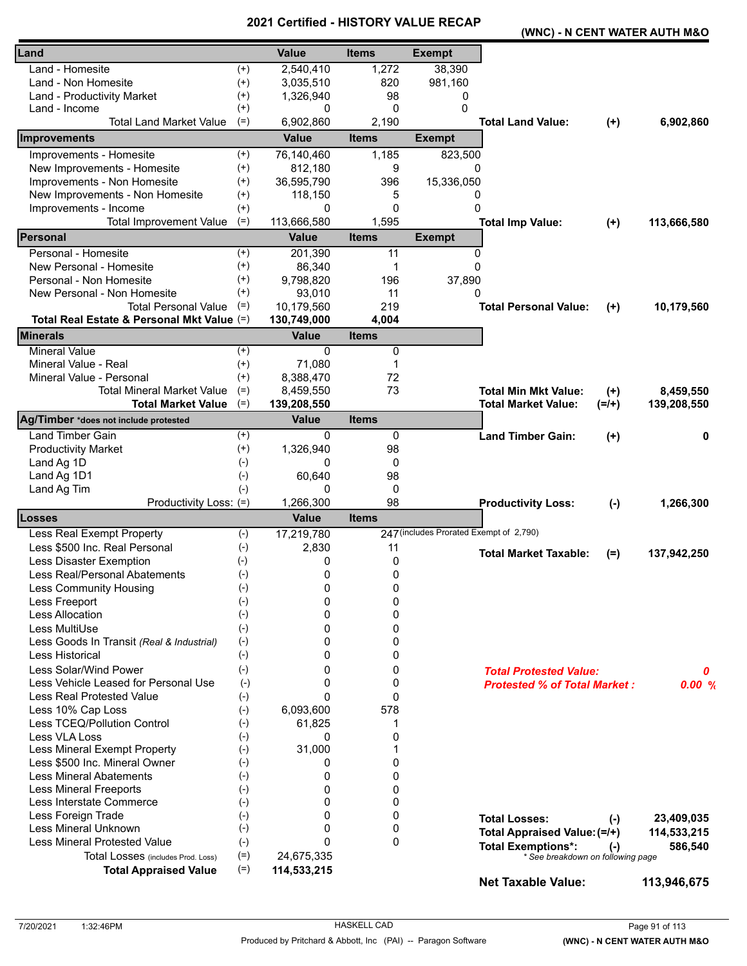|                                            |          | VEI UIIEU - FIIJ I UN I |              |                                         | (WNC) - N CENT WATER AUTH M&O       |           |             |  |
|--------------------------------------------|----------|-------------------------|--------------|-----------------------------------------|-------------------------------------|-----------|-------------|--|
| Land                                       |          | <b>Value</b>            | <b>Items</b> | <b>Exempt</b>                           |                                     |           |             |  |
| Land - Homesite                            | $^{(+)}$ | 2,540,410               | 1,272        | 38,390                                  |                                     |           |             |  |
| Land - Non Homesite                        | $(+)$    | 3,035,510               | 820          | 981,160                                 |                                     |           |             |  |
| Land - Productivity Market                 | $^{(+)}$ | 1,326,940               | 98           | 0                                       |                                     |           |             |  |
| Land - Income                              | $^{(+)}$ | 0                       | 0            | 0                                       |                                     |           |             |  |
| Total Land Market Value                    | $(=)$    | 6,902,860               | 2,190        |                                         | <b>Total Land Value:</b>            | $(+)$     | 6,902,860   |  |
| Improvements                               |          | <b>Value</b>            | <b>Items</b> | <b>Exempt</b>                           |                                     |           |             |  |
| Improvements - Homesite                    | $^{(+)}$ | 76,140,460              | 1,185        | 823,500                                 |                                     |           |             |  |
| New Improvements - Homesite                | $^{(+)}$ | 812,180                 | 9            | 0                                       |                                     |           |             |  |
| Improvements - Non Homesite                | $^{(+)}$ | 36,595,790              | 396          | 15,336,050                              |                                     |           |             |  |
| New Improvements - Non Homesite            | $^{(+)}$ | 118,150                 | 5            | 0                                       |                                     |           |             |  |
| Improvements - Income                      | $^{(+)}$ | 0                       | 0            | $\Omega$                                |                                     |           |             |  |
| <b>Total Improvement Value</b>             | $(=)$    | 113,666,580             | 1,595        |                                         | <b>Total Imp Value:</b>             | $(+)$     | 113,666,580 |  |
| Personal                                   |          | <b>Value</b>            | <b>Items</b> | <b>Exempt</b>                           |                                     |           |             |  |
| Personal - Homesite                        | $^{(+)}$ | 201,390                 | 11           | 0                                       |                                     |           |             |  |
| New Personal - Homesite                    | $^{(+)}$ | 86,340                  | 1            | $\Omega$                                |                                     |           |             |  |
| Personal - Non Homesite                    | $^{(+)}$ | 9,798,820               | 196          | 37,890                                  |                                     |           |             |  |
| New Personal - Non Homesite                | $^{(+)}$ | 93,010                  | 11           | 0                                       |                                     |           |             |  |
| <b>Total Personal Value</b>                | $(=)$    | 10,179,560              | 219          |                                         | <b>Total Personal Value:</b>        | $(+)$     | 10,179,560  |  |
| Total Real Estate & Personal Mkt Value (=) |          | 130,749,000             | 4,004        |                                         |                                     |           |             |  |
| <b>Minerals</b>                            |          | <b>Value</b>            | <b>Items</b> |                                         |                                     |           |             |  |
| <b>Mineral Value</b>                       | $^{(+)}$ | 0                       | 0            |                                         |                                     |           |             |  |
| Mineral Value - Real                       | $^{(+)}$ | 71,080                  | 1            |                                         |                                     |           |             |  |
| Mineral Value - Personal                   | $^{(+)}$ | 8,388,470               | 72           |                                         |                                     |           |             |  |
| <b>Total Mineral Market Value</b>          | $(=)$    | 8,459,550               | 73           |                                         | <b>Total Min Mkt Value:</b>         | $^{(+)}$  | 8,459,550   |  |
| <b>Total Market Value</b>                  | $(=)$    | 139,208,550             |              |                                         | <b>Total Market Value:</b>          | $(=/+)$   | 139,208,550 |  |
| Ag/Timber *does not include protested      |          | <b>Value</b>            | <b>Items</b> |                                         |                                     |           |             |  |
| <b>Land Timber Gain</b>                    | $^{(+)}$ | 0                       | 0            |                                         | <b>Land Timber Gain:</b>            | $(+)$     | 0           |  |
| <b>Productivity Market</b>                 | $(+)$    | 1,326,940               | 98           |                                         |                                     |           |             |  |
| Land Ag 1D                                 | $(-)$    | 0                       | 0            |                                         |                                     |           |             |  |
| Land Ag 1D1                                | $(-)$    | 60,640                  | 98           |                                         |                                     |           |             |  |
| Land Ag Tim                                | $(-)$    | $\Omega$                | 0            |                                         |                                     |           |             |  |
| Productivity Loss: (=)                     |          | 1,266,300               | 98           |                                         | <b>Productivity Loss:</b>           | $(-)$     | 1,266,300   |  |
| Losses                                     |          | <b>Value</b>            | <b>Items</b> |                                         |                                     |           |             |  |
| Less Real Exempt Property                  | $(-)$    | 17,219,780              |              | 247 (includes Prorated Exempt of 2,790) |                                     |           |             |  |
| Less \$500 Inc. Real Personal              | $(-)$    | 2,830                   | 11           |                                         | <b>Total Market Taxable:</b>        | $(=)$     | 137,942,250 |  |
| Less Disaster Exemption                    | $(-)$    | 0                       | 0            |                                         |                                     |           |             |  |
| Less Real/Personal Abatements              | $(-)$    | 0                       | 0            |                                         |                                     |           |             |  |
| Less Community Housing                     | $(-)$    | 0                       | 0            |                                         |                                     |           |             |  |
| Less Freeport                              | $(-)$    | 0                       | 0            |                                         |                                     |           |             |  |
| Less Allocation                            | $(-)$    | $\Omega$                | 0            |                                         |                                     |           |             |  |
| Less MultiUse                              | $(-)$    | $\Omega$                | 0            |                                         |                                     |           |             |  |
| Less Goods In Transit (Real & Industrial)  | $(-)$    | 0                       | 0            |                                         |                                     |           |             |  |
| Less Historical                            | $(-)$    | 0                       | 0            |                                         |                                     |           |             |  |
| Less Solar/Wind Power                      | $(-)$    | 0                       | 0            |                                         | <b>Total Protested Value:</b>       |           | 0           |  |
| Less Vehicle Leased for Personal Use       | $(-)$    | 0                       | 0            |                                         | <b>Protested % of Total Market:</b> |           | 0.00%       |  |
| <b>Less Real Protested Value</b>           | $(-)$    | $\Omega$                | 0            |                                         |                                     |           |             |  |
| Less 10% Cap Loss                          | $(-)$    | 6,093,600               | 578          |                                         |                                     |           |             |  |
| Less TCEQ/Pollution Control                | $(-)$    | 61,825                  | 1            |                                         |                                     |           |             |  |
| Less VLA Loss                              | $(-)$    | 0                       | 0            |                                         |                                     |           |             |  |
| Less Mineral Exempt Property               | $(-)$    | 31,000                  | 1            |                                         |                                     |           |             |  |
| Less \$500 Inc. Mineral Owner              | $(-)$    | 0                       | 0            |                                         |                                     |           |             |  |
| <b>Less Mineral Abatements</b>             | $(-)$    | 0                       | 0            |                                         |                                     |           |             |  |
| <b>Less Mineral Freeports</b>              | $(-)$    | 0                       | 0            |                                         |                                     |           |             |  |
| Less Interstate Commerce                   | $(-)$    | 0                       | 0            |                                         |                                     |           |             |  |
| Less Foreign Trade                         | $(-)$    | $\Omega$                | 0            |                                         | <b>Total Losses:</b>                | $(\cdot)$ | 23,409,035  |  |
| Less Mineral Unknown                       | $(-)$    | 0                       | 0            |                                         | Total Appraised Value: (=/+)        |           | 114,533,215 |  |
| <b>Less Mineral Protested Value</b>        | $(-)$    | $\Omega$                | 0            |                                         | <b>Total Exemptions*:</b>           | $(-)$     | 586,540     |  |
| Total Losses (includes Prod. Loss)         | $(=)$    | 24,675,335              |              |                                         | * See breakdown on following page   |           |             |  |
| <b>Total Appraised Value</b>               | $(=)$    | 114,533,215             |              |                                         |                                     |           |             |  |
|                                            |          |                         |              |                                         | <b>Net Taxable Value:</b>           |           | 113,946,675 |  |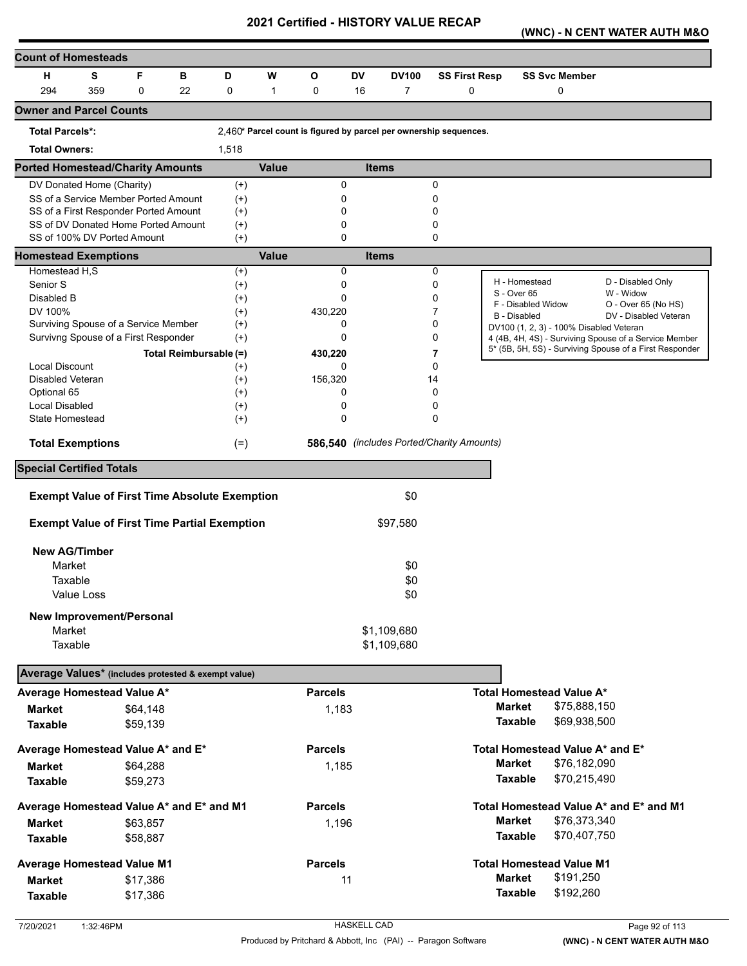**(WNC) - N CENT WATER AUTH M&O** 

| <b>Count of Homesteads</b>                           |            |          |                        |                      |              |                |           |                                                                   |                      |                |                                                                |                                                         |
|------------------------------------------------------|------------|----------|------------------------|----------------------|--------------|----------------|-----------|-------------------------------------------------------------------|----------------------|----------------|----------------------------------------------------------------|---------------------------------------------------------|
| н                                                    | S          | F        | в                      | D                    | W            | O              | <b>DV</b> | <b>DV100</b>                                                      | <b>SS First Resp</b> |                | <b>SS Svc Member</b>                                           |                                                         |
| 294                                                  | 359        | 0        | 22                     | 0                    | $\mathbf{1}$ | 0              | 16        | $\overline{7}$                                                    | $\mathbf 0$          |                | 0                                                              |                                                         |
| <b>Owner and Parcel Counts</b>                       |            |          |                        |                      |              |                |           |                                                                   |                      |                |                                                                |                                                         |
| <b>Total Parcels*:</b>                               |            |          |                        |                      |              |                |           | 2,460* Parcel count is figured by parcel per ownership sequences. |                      |                |                                                                |                                                         |
| <b>Total Owners:</b>                                 |            |          |                        | 1,518                |              |                |           |                                                                   |                      |                |                                                                |                                                         |
| <b>Ported Homestead/Charity Amounts</b>              |            |          |                        |                      | <b>Value</b> |                |           | <b>Items</b>                                                      |                      |                |                                                                |                                                         |
| DV Donated Home (Charity)                            |            |          |                        | $^{(+)}$             |              | 0              |           |                                                                   | 0                    |                |                                                                |                                                         |
| SS of a Service Member Ported Amount                 |            |          |                        | $^{(+)}$             |              | 0              |           |                                                                   | 0                    |                |                                                                |                                                         |
| SS of a First Responder Ported Amount                |            |          |                        | $^{(+)}$             |              | 0              |           |                                                                   | 0                    |                |                                                                |                                                         |
| SS of DV Donated Home Ported Amount                  |            |          |                        | $^{(+)}$             |              | 0<br>$\Omega$  |           |                                                                   | 0                    |                |                                                                |                                                         |
| SS of 100% DV Ported Amount                          |            |          |                        | $(+)$                | <b>Value</b> |                |           |                                                                   | 0                    |                |                                                                |                                                         |
| <b>Homestead Exemptions</b><br>Homestead H,S         |            |          |                        |                      |              | 0              |           | <b>Items</b>                                                      | 0                    |                |                                                                |                                                         |
| Senior S                                             |            |          |                        | $^{(+)}$<br>$^{(+)}$ |              | 0              |           |                                                                   | 0                    |                | H - Homestead                                                  | D - Disabled Only                                       |
| Disabled B                                           |            |          |                        | $^{(+)}$             |              | 0              |           |                                                                   | 0                    | S - Over 65    |                                                                | W - Widow                                               |
| DV 100%                                              |            |          |                        | $^{(+)}$             |              | 430,220        |           |                                                                   | 7                    |                | F - Disabled Widow                                             | O - Over 65 (No HS)                                     |
| Surviving Spouse of a Service Member                 |            |          |                        | $^{(+)}$             |              | 0              |           |                                                                   | 0                    |                | <b>B</b> - Disabled<br>DV100 (1, 2, 3) - 100% Disabled Veteran | DV - Disabled Veteran                                   |
| Survivng Spouse of a First Responder                 |            |          |                        | $^{(+)}$             |              | $\Omega$       |           |                                                                   | 0                    |                |                                                                | 4 (4B, 4H, 4S) - Surviving Spouse of a Service Member   |
|                                                      |            |          | Total Reimbursable (=) |                      |              | 430,220        |           |                                                                   | 7                    |                |                                                                | 5* (5B, 5H, 5S) - Surviving Spouse of a First Responder |
| <b>Local Discount</b>                                |            |          |                        | $^{(+)}$             |              | $\Omega$       |           |                                                                   | 0                    |                |                                                                |                                                         |
| Disabled Veteran                                     |            |          |                        | $^{(+)}$             |              | 156,320        |           |                                                                   | 14                   |                |                                                                |                                                         |
| Optional 65                                          |            |          |                        | $^{(+)}$             |              | 0              |           |                                                                   | 0                    |                |                                                                |                                                         |
| Local Disabled                                       |            |          |                        | $^{(+)}$             |              | 0              |           |                                                                   | 0                    |                |                                                                |                                                         |
| State Homestead                                      |            |          |                        | $^{(+)}$             |              | 0              |           |                                                                   | 0                    |                |                                                                |                                                         |
| <b>Total Exemptions</b>                              |            |          |                        | $(=)$                |              |                |           | 586,540 (includes Ported/Charity Amounts)                         |                      |                |                                                                |                                                         |
| <b>Special Certified Totals</b>                      |            |          |                        |                      |              |                |           |                                                                   |                      |                |                                                                |                                                         |
| <b>Exempt Value of First Time Absolute Exemption</b> |            |          |                        |                      |              |                |           | \$0                                                               |                      |                |                                                                |                                                         |
|                                                      |            |          |                        |                      |              |                |           |                                                                   |                      |                |                                                                |                                                         |
| <b>Exempt Value of First Time Partial Exemption</b>  |            |          |                        |                      |              |                |           | \$97,580                                                          |                      |                |                                                                |                                                         |
| <b>New AG/Timber</b>                                 |            |          |                        |                      |              |                |           |                                                                   |                      |                |                                                                |                                                         |
| Market                                               |            |          |                        |                      |              |                |           | \$0                                                               |                      |                |                                                                |                                                         |
| Taxable                                              |            |          |                        |                      |              |                |           | \$0                                                               |                      |                |                                                                |                                                         |
|                                                      | Value Loss |          |                        |                      |              |                |           | \$0                                                               |                      |                |                                                                |                                                         |
| <b>New Improvement/Personal</b>                      |            |          |                        |                      |              |                |           |                                                                   |                      |                |                                                                |                                                         |
| Market                                               |            |          |                        |                      |              |                |           | \$1,109,680                                                       |                      |                |                                                                |                                                         |
| Taxable                                              |            |          |                        |                      |              |                |           | \$1,109,680                                                       |                      |                |                                                                |                                                         |
|                                                      |            |          |                        |                      |              |                |           |                                                                   |                      |                |                                                                |                                                         |
| Average Values* (includes protested & exempt value)  |            |          |                        |                      |              |                |           |                                                                   |                      |                |                                                                |                                                         |
| Average Homestead Value A*                           |            |          |                        |                      |              | <b>Parcels</b> |           |                                                                   |                      | <b>Market</b>  | <b>Total Homestead Value A*</b><br>\$75,888,150                |                                                         |
| <b>Market</b>                                        |            | \$64,148 |                        |                      |              | 1,183          |           |                                                                   |                      |                |                                                                |                                                         |
| <b>Taxable</b>                                       |            | \$59,139 |                        |                      |              |                |           |                                                                   |                      |                | <b>Taxable</b><br>\$69,938,500                                 |                                                         |
| Average Homestead Value A* and E*                    |            |          |                        |                      |              | <b>Parcels</b> |           |                                                                   |                      |                | Total Homestead Value A* and E*                                |                                                         |
| <b>Market</b>                                        |            | \$64,288 |                        |                      |              | 1,185          |           |                                                                   |                      | <b>Market</b>  | \$76,182,090                                                   |                                                         |
| <b>Taxable</b>                                       |            | \$59,273 |                        |                      |              |                |           |                                                                   |                      |                | \$70,215,490<br>Taxable                                        |                                                         |
| Average Homestead Value A* and E* and M1             |            |          |                        |                      |              | <b>Parcels</b> |           |                                                                   |                      |                |                                                                | Total Homestead Value A* and E* and M1                  |
| <b>Market</b>                                        |            | \$63,857 |                        |                      |              | 1,196          |           |                                                                   |                      | <b>Market</b>  | \$76,373,340                                                   |                                                         |
| <b>Taxable</b>                                       |            | \$58,887 |                        |                      |              |                |           |                                                                   |                      |                | <b>Taxable</b><br>\$70,407,750                                 |                                                         |
|                                                      |            |          |                        |                      |              |                |           |                                                                   |                      |                |                                                                |                                                         |
| <b>Average Homestead Value M1</b>                    |            |          |                        |                      |              | <b>Parcels</b> |           |                                                                   |                      |                | <b>Total Homestead Value M1</b>                                |                                                         |
| <b>Market</b>                                        |            | \$17,386 |                        |                      |              |                | 11        |                                                                   |                      | <b>Market</b>  | \$191,250                                                      |                                                         |
| <b>Taxable</b>                                       |            | \$17,386 |                        |                      |              |                |           |                                                                   |                      | <b>Taxable</b> | \$192,260                                                      |                                                         |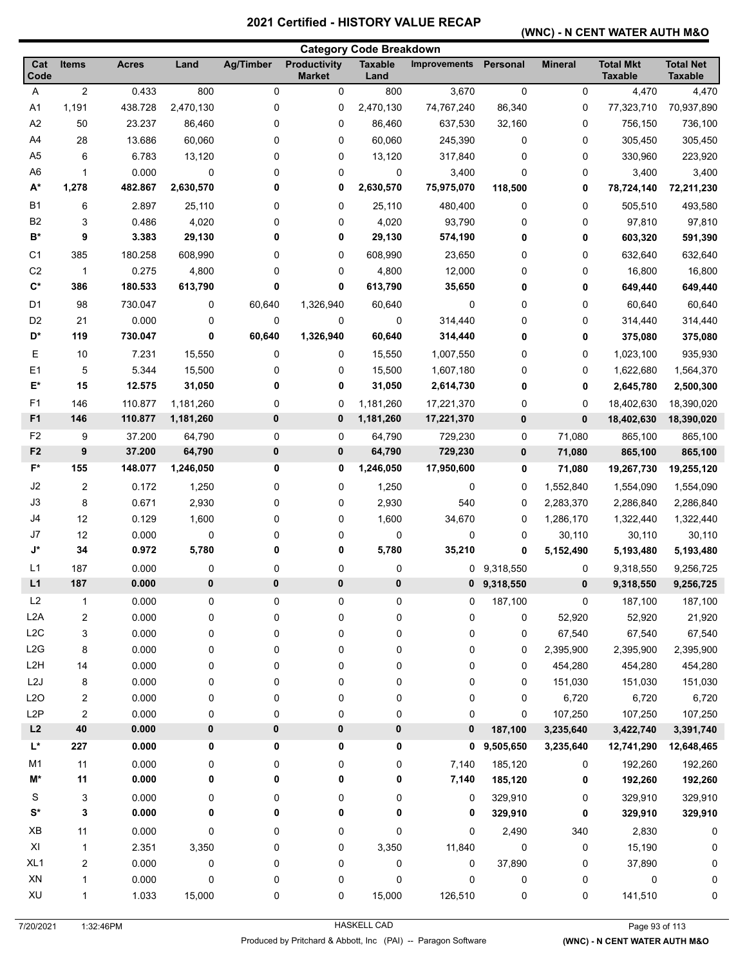#### **(WNC) - N CENT WATER AUTH M&O**

| <b>Category Code Breakdown</b> |                  |              |           |           |                                      |                        |                     |             |                |                                    |                                    |
|--------------------------------|------------------|--------------|-----------|-----------|--------------------------------------|------------------------|---------------------|-------------|----------------|------------------------------------|------------------------------------|
| Cat<br>Code                    | <b>Items</b>     | <b>Acres</b> | Land      | Ag/Timber | <b>Productivity</b><br><b>Market</b> | <b>Taxable</b><br>Land | <b>Improvements</b> | Personal    | <b>Mineral</b> | <b>Total Mkt</b><br><b>Taxable</b> | <b>Total Net</b><br><b>Taxable</b> |
| A                              | $\boldsymbol{2}$ | 0.433        | 800       | $\pmb{0}$ | 0                                    | 800                    | 3,670               | $\pmb{0}$   | 0              | 4,470                              | 4,470                              |
| A1                             | 1,191            | 438.728      | 2,470,130 | 0         | 0                                    | 2,470,130              | 74,767,240          | 86,340      | 0              | 77,323,710                         | 70,937,890                         |
| A <sub>2</sub>                 | 50               | 23.237       | 86,460    | 0         | 0                                    | 86,460                 | 637,530             | 32,160      | 0              | 756,150                            | 736,100                            |
| A4                             | 28               | 13.686       | 60,060    | 0         | 0                                    | 60,060                 | 245,390             | 0           | 0              | 305,450                            | 305,450                            |
| A <sub>5</sub>                 | 6                | 6.783        | 13,120    | 0         | 0                                    | 13,120                 | 317,840             | 0           | 0              | 330,960                            | 223,920                            |
| A <sub>6</sub>                 | 1                | 0.000        | 0         | 0         | 0                                    | 0                      | 3,400               | 0           | 0              | 3,400                              | 3,400                              |
| $A^*$                          | 1,278            | 482.867      | 2,630,570 | 0         | 0                                    | 2,630,570              | 75,975,070          | 118,500     | 0              | 78,724,140                         | 72,211,230                         |
| <b>B1</b>                      | 6                | 2.897        | 25,110    | 0         | 0                                    | 25,110                 | 480,400             | $\mathbf 0$ | 0              | 505,510                            | 493,580                            |
| B <sub>2</sub>                 | 3                | 0.486        | 4,020     | 0         | 0                                    | 4,020                  | 93,790              | 0           | 0              | 97,810                             | 97,810                             |
| B*                             | 9                | 3.383        | 29,130    | 0         | 0                                    | 29,130                 | 574,190             | 0           | 0              | 603,320                            | 591,390                            |
| C <sub>1</sub>                 | 385              | 180.258      | 608,990   | 0         | 0                                    | 608,990                | 23,650              | $\mathbf 0$ | 0              | 632,640                            | 632,640                            |
| C <sub>2</sub>                 | $\mathbf{1}$     | 0.275        | 4,800     | 0         | 0                                    | 4,800                  | 12,000              | 0           | 0              | 16,800                             | 16,800                             |
| $\mathbf{C}^*$                 | 386              | 180.533      | 613,790   | 0         | 0                                    | 613,790                | 35,650              | 0           | 0              | 649,440                            | 649,440                            |
| D <sub>1</sub>                 | 98               | 730.047      | 0         | 60,640    | 1,326,940                            | 60,640                 | 0                   | 0           | 0              | 60,640                             | 60,640                             |
| D <sub>2</sub>                 | 21               | 0.000        | 0         | 0         | 0                                    | 0                      | 314,440             | $\mathbf 0$ | 0              | 314,440                            | 314,440                            |
| D*                             | 119              | 730.047      | 0         | 60,640    | 1,326,940                            | 60,640                 | 314,440             | 0           | 0              | 375,080                            | 375,080                            |
| Ε                              | 10               | 7.231        | 15,550    | 0         | 0                                    | 15,550                 | 1,007,550           | 0           | 0              | 1,023,100                          | 935,930                            |
| E <sub>1</sub>                 | 5                | 5.344        | 15,500    | 0         | 0                                    | 15,500                 | 1,607,180           | $\mathbf 0$ | 0              | 1,622,680                          | 1,564,370                          |
| E*                             | 15               | 12.575       | 31,050    | 0         | 0                                    | 31,050                 | 2,614,730           | 0           | 0              | 2,645,780                          | 2,500,300                          |
| F <sub>1</sub>                 | 146              | 110.877      | 1,181,260 | 0         | 0                                    | 1,181,260              | 17,221,370          | 0           | 0              | 18,402,630                         | 18,390,020                         |
| F <sub>1</sub>                 | 146              | 110.877      | 1,181,260 | 0         | $\bf{0}$                             | 1,181,260              | 17,221,370          | $\bf{0}$    | 0              | 18,402,630                         | 18,390,020                         |
| F <sub>2</sub>                 | 9                | 37.200       | 64,790    | 0         | 0                                    | 64,790                 | 729,230             | 0           | 71,080         | 865,100                            | 865,100                            |
| F <sub>2</sub>                 | $\boldsymbol{9}$ | 37.200       | 64,790    | 0         | $\pmb{0}$                            | 64,790                 | 729,230             | $\bf{0}$    | 71,080         | 865,100                            | 865,100                            |
| $F^*$                          | 155              | 148.077      | 1,246,050 | 0         | 0                                    | 1,246,050              | 17,950,600          | 0           | 71,080         | 19,267,730                         | 19,255,120                         |
| J <sub>2</sub>                 | 2                | 0.172        | 1,250     | 0         | 0                                    | 1,250                  | 0                   | 0           | 1,552,840      | 1,554,090                          | 1,554,090                          |
| J3                             | 8                | 0.671        | 2,930     | 0         | 0                                    | 2,930                  | 540                 | 0           | 2,283,370      | 2,286,840                          | 2,286,840                          |
| J4                             | 12               | 0.129        | 1,600     | 0         | 0                                    | 1,600                  | 34,670              | 0           | 1,286,170      | 1,322,440                          | 1,322,440                          |
| J7                             | 12               | 0.000        | 0         | 0         | 0                                    | 0                      | 0                   | 0           | 30,110         | 30,110                             | 30,110                             |
| J*                             | 34               | 0.972        | 5,780     | 0         | 0                                    | 5,780                  | 35,210              | 0           | 5,152,490      | 5,193,480                          | 5,193,480                          |
| L1                             | 187              | 0.000        | 0         | 0         | 0                                    | 0                      | 0                   | 9,318,550   | 0              | 9,318,550                          | 9,256,725                          |
| L1                             | 187              | 0.000        | $\bf{0}$  | $\bf{0}$  | 0                                    | 0                      | 0                   | 9,318,550   | 0              | 9,318,550                          | 9,256,725                          |
| L2                             | 1                | 0.000        | 0         | 0         | 0                                    | 0                      | 0                   | 187,100     | 0              | 187,100                            | 187,100                            |
| L <sub>2</sub> A               | 2                | 0.000        | 0         | 0         | 0                                    | 0                      | 0                   | 0           | 52,920         | 52,920                             | 21,920                             |
| L2C                            | 3                | 0.000        | 0         | 0         | 0                                    | 0                      | 0                   | 0           | 67,540         | 67,540                             | 67,540                             |
| L2G                            | 8                | 0.000        | 0         | 0         | 0                                    | 0                      | 0                   | 0           | 2,395,900      | 2,395,900                          | 2,395,900                          |
| L <sub>2</sub> H               | 14               | 0.000        | 0         | 0         | 0                                    | 0                      | 0                   | 0           | 454,280        | 454,280                            | 454,280                            |
| L2J                            | 8                | 0.000        | 0         | 0         | 0                                    | 0                      | 0                   | 0           | 151,030        | 151,030                            | 151,030                            |
| L2O                            | 2                | 0.000        | 0         | 0         | 0                                    | 0                      | 0                   | 0           | 6,720          | 6,720                              | 6,720                              |
| L <sub>2</sub> P               | $\overline{c}$   | 0.000        | 0         | 0         | 0                                    | 0                      | 0                   | 0           | 107,250        | 107,250                            | 107,250                            |
| L2                             | 40               | 0.000        | 0         | 0         | $\pmb{0}$                            | 0                      | 0                   | 187,100     | 3,235,640      | 3,422,740                          | 3,391,740                          |
| L*                             | 227              | 0.000        | 0         | 0         | 0                                    | 0                      | 0                   | 9,505,650   | 3,235,640      | 12,741,290                         | 12,648,465                         |
| M <sub>1</sub>                 | 11               | 0.000        | 0         | 0         | 0                                    | 0                      | 7,140               | 185,120     | 0              | 192,260                            | 192,260                            |
| M*                             | 11               | 0.000        | 0         | 0         | 0                                    | 0                      | 7,140               | 185,120     | 0              | 192,260                            | 192,260                            |
| S                              | 3                | 0.000        | 0         | 0         | 0                                    | 0                      | 0                   | 329,910     | 0              | 329,910                            | 329,910                            |
| $\mathbf{S}^{\star}$           | 3                | 0.000        | 0         | 0         | 0                                    | 0                      | 0                   | 329,910     | 0              | 329,910                            | 329,910                            |
| XB                             | 11               | 0.000        | 0         | 0         | 0                                    | 0                      | 0                   | 2,490       | 340            | 2,830                              | 0                                  |
| XI                             | $\mathbf{1}$     | 2.351        | 3,350     | 0         | 0                                    | 3,350                  | 11,840              | $\pmb{0}$   | 0              | 15,190                             | 0                                  |
| XL <sub>1</sub>                | 2                | 0.000        | 0         | 0         | 0                                    | 0                      | 0                   | 37,890      | 0              | 37,890                             | 0                                  |
| ${\sf XN}$                     | 1                | 0.000        | 0         | 0         | 0                                    | $\pmb{0}$              | 0                   | $\pmb{0}$   | 0              | 0                                  | 0                                  |
| XU                             | 1                | 1.033        | 15,000    | 0         | 0                                    | 15,000                 | 126,510             | 0           | 0              | 141,510                            | 0                                  |
|                                |                  |              |           |           |                                      |                        |                     |             |                |                                    |                                    |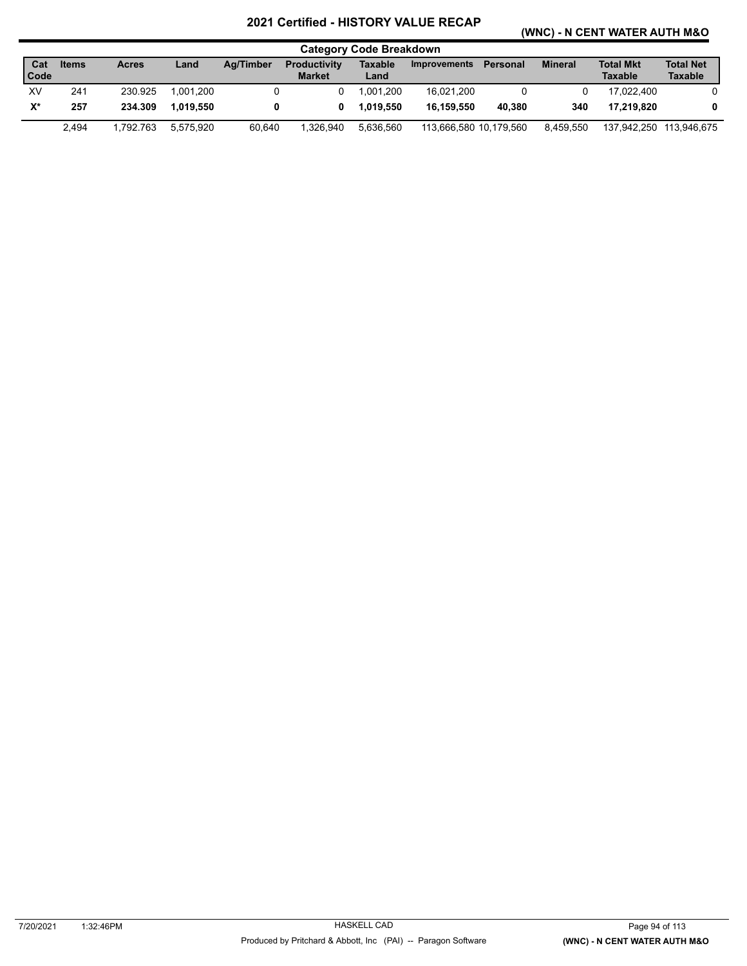#### **(WNC) - N CENT WATER AUTH M&O**

|                      |              |              |           |           |                                      | <b>Category Code Breakdown</b> |                        |          |                |                                    |                                    |
|----------------------|--------------|--------------|-----------|-----------|--------------------------------------|--------------------------------|------------------------|----------|----------------|------------------------------------|------------------------------------|
| Cat<br>Code          | <b>Items</b> | <b>Acres</b> | Land      | Ag/Timber | <b>Productivity</b><br><b>Market</b> | Taxable<br>Land                | Improvements           | Personal | <b>Mineral</b> | <b>Total Mkt</b><br><b>Taxable</b> | <b>Total Net</b><br><b>Taxable</b> |
| XV                   | 241          | 230.925      | 1.001.200 |           |                                      | 1.001.200                      | 16.021.200             |          | 0              | 17.022.400                         |                                    |
| $\mathsf{X}^{\star}$ | 257          | 234.309      | 1.019.550 |           | 0                                    | 1.019.550                      | 16.159.550             | 40.380   | 340            | 17.219.820                         | 0                                  |
|                      | 2.494        | 1.792.763    | 5.575.920 | 60.640    | 1.326.940                            | 5.636.560                      | 113.666.580 10.179.560 |          | 8.459.550      |                                    | 137,942,250 113,946,675            |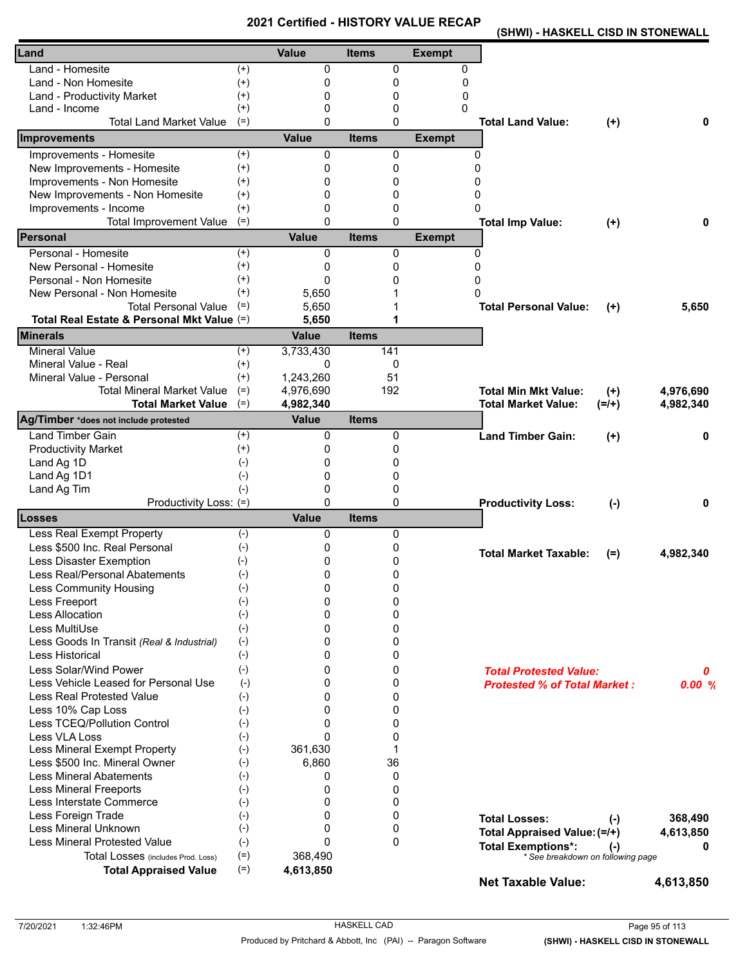**(SHWI) - HASKELL CISD IN STONEWALL** 

| Land - Homesite<br>0<br>0<br>$^{(+)}$<br>0<br>$^{(+)}$<br>Land - Non Homesite<br>0<br>0<br>0<br>$^{(+)}$<br>0<br>0<br>0<br><b>Land - Productivity Market</b><br>0<br>Land - Income<br>$^{(+)}$<br>0<br>0<br><b>Total Land Market Value</b><br>$(=)$<br>0<br>0<br><b>Total Land Value:</b><br>0<br>$(+)$<br><b>Value</b><br>Improvements<br><b>Items</b><br><b>Exempt</b><br>Improvements - Homesite<br>$(+)$<br>0<br>0<br>0<br>New Improvements - Homesite<br>$^{(+)}$<br>0<br>0<br>0<br>Improvements - Non Homesite<br>$^{(+)}$<br>0<br>0<br>0<br>New Improvements - Non Homesite<br>$^{(+)}$<br>0<br>0<br>0<br>Improvements - Income<br>$^{(+)}$<br>0<br>0<br>0<br>$(=)$<br>$\Omega$<br>$\Omega$<br><b>Total Improvement Value</b><br>0<br><b>Total Imp Value:</b><br>$(+)$<br><b>Value</b><br><b>Personal</b><br><b>Exempt</b><br><b>Items</b><br>Personal - Homesite<br>$^{(+)}$<br>0<br>0<br>0<br>$^{(+)}$<br>New Personal - Homesite<br>$\Omega$<br>0<br>0<br>Personal - Non Homesite<br>$^{(+)}$<br>$\Omega$<br>0<br>ი<br>$^{(+)}$<br>New Personal - Non Homesite<br>5,650<br>0<br>$(=)$<br><b>Total Personal Value</b><br>5,650<br><b>Total Personal Value:</b><br>5,650<br>$(+)$<br>Total Real Estate & Personal Mkt Value (=)<br>1<br>5,650<br><b>Minerals</b><br><b>Value</b><br><b>Items</b><br><b>Mineral Value</b><br>$^{(+)}$<br>3,733,430<br>141<br>Mineral Value - Real<br>0<br>$^{(+)}$<br>0<br>Mineral Value - Personal<br>$^{(+)}$<br>51<br>1,243,260<br><b>Total Mineral Market Value</b><br>4,976,690<br>192<br>$(=)$<br><b>Total Min Mkt Value:</b><br>4,976,690<br>$(+)$<br>$(=)$<br>4,982,340<br><b>Total Market Value</b><br>4,982,340<br><b>Total Market Value:</b><br>$(=/+)$<br><b>Value</b><br>Ag/Timber *does not include protested<br><b>Items</b><br><b>Land Timber Gain</b><br>0<br>0<br>$^{(+)}$<br><b>Land Timber Gain:</b><br>0<br>$(+)$<br><b>Productivity Market</b><br>$^{(+)}$<br>0<br>0<br>Land Ag 1D<br>$(-)$<br>0<br>0<br>Land Ag 1D1<br>$(-)$<br>0<br>0<br>Land Ag Tim<br>$(-)$<br>0<br>0<br>Productivity Loss: (=)<br>0<br>$\mathbf{0}$<br><b>Productivity Loss:</b><br>0<br>$(-)$<br><b>Value</b><br><b>Items</b><br><b>Losses</b><br><b>Less Real Exempt Property</b><br>$(-)$<br>0<br>0<br>Less \$500 Inc. Real Personal<br>$(-)$<br>0<br>0<br><b>Total Market Taxable:</b><br>4,982,340<br>$(=)$<br>Less Disaster Exemption<br>$(\textnormal{-})$<br>0<br>0<br>Less Real/Personal Abatements<br>$(-)$<br>0<br>0<br>0<br>$(-)$<br>0<br>Less Community Housing<br>$(-)$<br>0<br>0<br>Less Freeport<br>Less Allocation<br>$(-)$<br>0<br>0<br>Less MultiUse<br>$(-)$<br>0<br>0<br>$(-)$<br>Less Goods In Transit (Real & Industrial)<br>0<br>0<br>$(-)$<br><b>Less Historical</b><br>0<br>0<br>Less Solar/Wind Power<br>$(-)$<br>0<br>0<br><b>Total Protested Value:</b><br>0<br>Less Vehicle Leased for Personal Use<br>$\Omega$<br>0<br>$(-)$<br><b>Protested % of Total Market:</b><br><b>Less Real Protested Value</b><br>$(-)$<br>0<br>0<br>Less 10% Cap Loss<br>$(-)$<br>0<br>0<br>Less TCEQ/Pollution Control<br>0<br>$(-)$<br>0<br>Less VLA Loss<br>$(-)$<br>$\Omega$<br>0<br>Less Mineral Exempt Property<br>361,630<br>$(-)$<br>1<br>Less \$500 Inc. Mineral Owner<br>6,860<br>36<br>$(-)$<br><b>Less Mineral Abatements</b><br>0<br>$(-)$<br>0<br><b>Less Mineral Freeports</b><br>0<br>$(-)$<br>0<br>Less Interstate Commerce<br>$(-)$<br>0<br>0<br>Less Foreign Trade<br>0<br>$(-)$<br>0<br><b>Total Losses:</b><br>368,490<br>$(-)$<br>Less Mineral Unknown<br>$(-)$<br>0<br>0<br>Total Appraised Value: (=/+)<br>4,613,850<br><b>Less Mineral Protested Value</b><br>$(-)$<br>$\Omega$<br>$\mathbf{0}$<br><b>Total Exemptions*:</b><br>0<br>$(\cdot)$<br>$(=)$<br>368,490<br>Total Losses (includes Prod. Loss)<br>* See breakdown on following page<br>$(=)$<br><b>Total Appraised Value</b><br>4,613,850<br><b>Net Taxable Value:</b><br>4,613,850 | Land | <b>Value</b> | <b>Items</b> | <b>Exempt</b> |       |
|-------------------------------------------------------------------------------------------------------------------------------------------------------------------------------------------------------------------------------------------------------------------------------------------------------------------------------------------------------------------------------------------------------------------------------------------------------------------------------------------------------------------------------------------------------------------------------------------------------------------------------------------------------------------------------------------------------------------------------------------------------------------------------------------------------------------------------------------------------------------------------------------------------------------------------------------------------------------------------------------------------------------------------------------------------------------------------------------------------------------------------------------------------------------------------------------------------------------------------------------------------------------------------------------------------------------------------------------------------------------------------------------------------------------------------------------------------------------------------------------------------------------------------------------------------------------------------------------------------------------------------------------------------------------------------------------------------------------------------------------------------------------------------------------------------------------------------------------------------------------------------------------------------------------------------------------------------------------------------------------------------------------------------------------------------------------------------------------------------------------------------------------------------------------------------------------------------------------------------------------------------------------------------------------------------------------------------------------------------------------------------------------------------------------------------------------------------------------------------------------------------------------------------------------------------------------------------------------------------------------------------------------------------------------------------------------------------------------------------------------------------------------------------------------------------------------------------------------------------------------------------------------------------------------------------------------------------------------------------------------------------------------------------------------------------------------------------------------------------------------------------------------------------------------------------------------------------------------------------------------------------------------------------------------------------------------------------------------------------------------------------------------------------------------------------------------------------------------------------------------------------------------------------------------------------------------------------------------------------------------------------------------------------------------------------------------------------------------------------------------------------------------------------------------------------------------------------------------------------------------------------------------------------------------|------|--------------|--------------|---------------|-------|
|                                                                                                                                                                                                                                                                                                                                                                                                                                                                                                                                                                                                                                                                                                                                                                                                                                                                                                                                                                                                                                                                                                                                                                                                                                                                                                                                                                                                                                                                                                                                                                                                                                                                                                                                                                                                                                                                                                                                                                                                                                                                                                                                                                                                                                                                                                                                                                                                                                                                                                                                                                                                                                                                                                                                                                                                                                                                                                                                                                                                                                                                                                                                                                                                                                                                                                                                                                                                                                                                                                                                                                                                                                                                                                                                                                                                                                                                                                                   |      |              |              |               |       |
|                                                                                                                                                                                                                                                                                                                                                                                                                                                                                                                                                                                                                                                                                                                                                                                                                                                                                                                                                                                                                                                                                                                                                                                                                                                                                                                                                                                                                                                                                                                                                                                                                                                                                                                                                                                                                                                                                                                                                                                                                                                                                                                                                                                                                                                                                                                                                                                                                                                                                                                                                                                                                                                                                                                                                                                                                                                                                                                                                                                                                                                                                                                                                                                                                                                                                                                                                                                                                                                                                                                                                                                                                                                                                                                                                                                                                                                                                                                   |      |              |              |               |       |
|                                                                                                                                                                                                                                                                                                                                                                                                                                                                                                                                                                                                                                                                                                                                                                                                                                                                                                                                                                                                                                                                                                                                                                                                                                                                                                                                                                                                                                                                                                                                                                                                                                                                                                                                                                                                                                                                                                                                                                                                                                                                                                                                                                                                                                                                                                                                                                                                                                                                                                                                                                                                                                                                                                                                                                                                                                                                                                                                                                                                                                                                                                                                                                                                                                                                                                                                                                                                                                                                                                                                                                                                                                                                                                                                                                                                                                                                                                                   |      |              |              |               |       |
|                                                                                                                                                                                                                                                                                                                                                                                                                                                                                                                                                                                                                                                                                                                                                                                                                                                                                                                                                                                                                                                                                                                                                                                                                                                                                                                                                                                                                                                                                                                                                                                                                                                                                                                                                                                                                                                                                                                                                                                                                                                                                                                                                                                                                                                                                                                                                                                                                                                                                                                                                                                                                                                                                                                                                                                                                                                                                                                                                                                                                                                                                                                                                                                                                                                                                                                                                                                                                                                                                                                                                                                                                                                                                                                                                                                                                                                                                                                   |      |              |              |               |       |
|                                                                                                                                                                                                                                                                                                                                                                                                                                                                                                                                                                                                                                                                                                                                                                                                                                                                                                                                                                                                                                                                                                                                                                                                                                                                                                                                                                                                                                                                                                                                                                                                                                                                                                                                                                                                                                                                                                                                                                                                                                                                                                                                                                                                                                                                                                                                                                                                                                                                                                                                                                                                                                                                                                                                                                                                                                                                                                                                                                                                                                                                                                                                                                                                                                                                                                                                                                                                                                                                                                                                                                                                                                                                                                                                                                                                                                                                                                                   |      |              |              |               |       |
|                                                                                                                                                                                                                                                                                                                                                                                                                                                                                                                                                                                                                                                                                                                                                                                                                                                                                                                                                                                                                                                                                                                                                                                                                                                                                                                                                                                                                                                                                                                                                                                                                                                                                                                                                                                                                                                                                                                                                                                                                                                                                                                                                                                                                                                                                                                                                                                                                                                                                                                                                                                                                                                                                                                                                                                                                                                                                                                                                                                                                                                                                                                                                                                                                                                                                                                                                                                                                                                                                                                                                                                                                                                                                                                                                                                                                                                                                                                   |      |              |              |               |       |
|                                                                                                                                                                                                                                                                                                                                                                                                                                                                                                                                                                                                                                                                                                                                                                                                                                                                                                                                                                                                                                                                                                                                                                                                                                                                                                                                                                                                                                                                                                                                                                                                                                                                                                                                                                                                                                                                                                                                                                                                                                                                                                                                                                                                                                                                                                                                                                                                                                                                                                                                                                                                                                                                                                                                                                                                                                                                                                                                                                                                                                                                                                                                                                                                                                                                                                                                                                                                                                                                                                                                                                                                                                                                                                                                                                                                                                                                                                                   |      |              |              |               |       |
|                                                                                                                                                                                                                                                                                                                                                                                                                                                                                                                                                                                                                                                                                                                                                                                                                                                                                                                                                                                                                                                                                                                                                                                                                                                                                                                                                                                                                                                                                                                                                                                                                                                                                                                                                                                                                                                                                                                                                                                                                                                                                                                                                                                                                                                                                                                                                                                                                                                                                                                                                                                                                                                                                                                                                                                                                                                                                                                                                                                                                                                                                                                                                                                                                                                                                                                                                                                                                                                                                                                                                                                                                                                                                                                                                                                                                                                                                                                   |      |              |              |               |       |
|                                                                                                                                                                                                                                                                                                                                                                                                                                                                                                                                                                                                                                                                                                                                                                                                                                                                                                                                                                                                                                                                                                                                                                                                                                                                                                                                                                                                                                                                                                                                                                                                                                                                                                                                                                                                                                                                                                                                                                                                                                                                                                                                                                                                                                                                                                                                                                                                                                                                                                                                                                                                                                                                                                                                                                                                                                                                                                                                                                                                                                                                                                                                                                                                                                                                                                                                                                                                                                                                                                                                                                                                                                                                                                                                                                                                                                                                                                                   |      |              |              |               |       |
|                                                                                                                                                                                                                                                                                                                                                                                                                                                                                                                                                                                                                                                                                                                                                                                                                                                                                                                                                                                                                                                                                                                                                                                                                                                                                                                                                                                                                                                                                                                                                                                                                                                                                                                                                                                                                                                                                                                                                                                                                                                                                                                                                                                                                                                                                                                                                                                                                                                                                                                                                                                                                                                                                                                                                                                                                                                                                                                                                                                                                                                                                                                                                                                                                                                                                                                                                                                                                                                                                                                                                                                                                                                                                                                                                                                                                                                                                                                   |      |              |              |               |       |
|                                                                                                                                                                                                                                                                                                                                                                                                                                                                                                                                                                                                                                                                                                                                                                                                                                                                                                                                                                                                                                                                                                                                                                                                                                                                                                                                                                                                                                                                                                                                                                                                                                                                                                                                                                                                                                                                                                                                                                                                                                                                                                                                                                                                                                                                                                                                                                                                                                                                                                                                                                                                                                                                                                                                                                                                                                                                                                                                                                                                                                                                                                                                                                                                                                                                                                                                                                                                                                                                                                                                                                                                                                                                                                                                                                                                                                                                                                                   |      |              |              |               |       |
|                                                                                                                                                                                                                                                                                                                                                                                                                                                                                                                                                                                                                                                                                                                                                                                                                                                                                                                                                                                                                                                                                                                                                                                                                                                                                                                                                                                                                                                                                                                                                                                                                                                                                                                                                                                                                                                                                                                                                                                                                                                                                                                                                                                                                                                                                                                                                                                                                                                                                                                                                                                                                                                                                                                                                                                                                                                                                                                                                                                                                                                                                                                                                                                                                                                                                                                                                                                                                                                                                                                                                                                                                                                                                                                                                                                                                                                                                                                   |      |              |              |               |       |
|                                                                                                                                                                                                                                                                                                                                                                                                                                                                                                                                                                                                                                                                                                                                                                                                                                                                                                                                                                                                                                                                                                                                                                                                                                                                                                                                                                                                                                                                                                                                                                                                                                                                                                                                                                                                                                                                                                                                                                                                                                                                                                                                                                                                                                                                                                                                                                                                                                                                                                                                                                                                                                                                                                                                                                                                                                                                                                                                                                                                                                                                                                                                                                                                                                                                                                                                                                                                                                                                                                                                                                                                                                                                                                                                                                                                                                                                                                                   |      |              |              |               |       |
|                                                                                                                                                                                                                                                                                                                                                                                                                                                                                                                                                                                                                                                                                                                                                                                                                                                                                                                                                                                                                                                                                                                                                                                                                                                                                                                                                                                                                                                                                                                                                                                                                                                                                                                                                                                                                                                                                                                                                                                                                                                                                                                                                                                                                                                                                                                                                                                                                                                                                                                                                                                                                                                                                                                                                                                                                                                                                                                                                                                                                                                                                                                                                                                                                                                                                                                                                                                                                                                                                                                                                                                                                                                                                                                                                                                                                                                                                                                   |      |              |              |               |       |
|                                                                                                                                                                                                                                                                                                                                                                                                                                                                                                                                                                                                                                                                                                                                                                                                                                                                                                                                                                                                                                                                                                                                                                                                                                                                                                                                                                                                                                                                                                                                                                                                                                                                                                                                                                                                                                                                                                                                                                                                                                                                                                                                                                                                                                                                                                                                                                                                                                                                                                                                                                                                                                                                                                                                                                                                                                                                                                                                                                                                                                                                                                                                                                                                                                                                                                                                                                                                                                                                                                                                                                                                                                                                                                                                                                                                                                                                                                                   |      |              |              |               |       |
|                                                                                                                                                                                                                                                                                                                                                                                                                                                                                                                                                                                                                                                                                                                                                                                                                                                                                                                                                                                                                                                                                                                                                                                                                                                                                                                                                                                                                                                                                                                                                                                                                                                                                                                                                                                                                                                                                                                                                                                                                                                                                                                                                                                                                                                                                                                                                                                                                                                                                                                                                                                                                                                                                                                                                                                                                                                                                                                                                                                                                                                                                                                                                                                                                                                                                                                                                                                                                                                                                                                                                                                                                                                                                                                                                                                                                                                                                                                   |      |              |              |               |       |
|                                                                                                                                                                                                                                                                                                                                                                                                                                                                                                                                                                                                                                                                                                                                                                                                                                                                                                                                                                                                                                                                                                                                                                                                                                                                                                                                                                                                                                                                                                                                                                                                                                                                                                                                                                                                                                                                                                                                                                                                                                                                                                                                                                                                                                                                                                                                                                                                                                                                                                                                                                                                                                                                                                                                                                                                                                                                                                                                                                                                                                                                                                                                                                                                                                                                                                                                                                                                                                                                                                                                                                                                                                                                                                                                                                                                                                                                                                                   |      |              |              |               |       |
|                                                                                                                                                                                                                                                                                                                                                                                                                                                                                                                                                                                                                                                                                                                                                                                                                                                                                                                                                                                                                                                                                                                                                                                                                                                                                                                                                                                                                                                                                                                                                                                                                                                                                                                                                                                                                                                                                                                                                                                                                                                                                                                                                                                                                                                                                                                                                                                                                                                                                                                                                                                                                                                                                                                                                                                                                                                                                                                                                                                                                                                                                                                                                                                                                                                                                                                                                                                                                                                                                                                                                                                                                                                                                                                                                                                                                                                                                                                   |      |              |              |               |       |
|                                                                                                                                                                                                                                                                                                                                                                                                                                                                                                                                                                                                                                                                                                                                                                                                                                                                                                                                                                                                                                                                                                                                                                                                                                                                                                                                                                                                                                                                                                                                                                                                                                                                                                                                                                                                                                                                                                                                                                                                                                                                                                                                                                                                                                                                                                                                                                                                                                                                                                                                                                                                                                                                                                                                                                                                                                                                                                                                                                                                                                                                                                                                                                                                                                                                                                                                                                                                                                                                                                                                                                                                                                                                                                                                                                                                                                                                                                                   |      |              |              |               |       |
|                                                                                                                                                                                                                                                                                                                                                                                                                                                                                                                                                                                                                                                                                                                                                                                                                                                                                                                                                                                                                                                                                                                                                                                                                                                                                                                                                                                                                                                                                                                                                                                                                                                                                                                                                                                                                                                                                                                                                                                                                                                                                                                                                                                                                                                                                                                                                                                                                                                                                                                                                                                                                                                                                                                                                                                                                                                                                                                                                                                                                                                                                                                                                                                                                                                                                                                                                                                                                                                                                                                                                                                                                                                                                                                                                                                                                                                                                                                   |      |              |              |               |       |
|                                                                                                                                                                                                                                                                                                                                                                                                                                                                                                                                                                                                                                                                                                                                                                                                                                                                                                                                                                                                                                                                                                                                                                                                                                                                                                                                                                                                                                                                                                                                                                                                                                                                                                                                                                                                                                                                                                                                                                                                                                                                                                                                                                                                                                                                                                                                                                                                                                                                                                                                                                                                                                                                                                                                                                                                                                                                                                                                                                                                                                                                                                                                                                                                                                                                                                                                                                                                                                                                                                                                                                                                                                                                                                                                                                                                                                                                                                                   |      |              |              |               |       |
|                                                                                                                                                                                                                                                                                                                                                                                                                                                                                                                                                                                                                                                                                                                                                                                                                                                                                                                                                                                                                                                                                                                                                                                                                                                                                                                                                                                                                                                                                                                                                                                                                                                                                                                                                                                                                                                                                                                                                                                                                                                                                                                                                                                                                                                                                                                                                                                                                                                                                                                                                                                                                                                                                                                                                                                                                                                                                                                                                                                                                                                                                                                                                                                                                                                                                                                                                                                                                                                                                                                                                                                                                                                                                                                                                                                                                                                                                                                   |      |              |              |               |       |
|                                                                                                                                                                                                                                                                                                                                                                                                                                                                                                                                                                                                                                                                                                                                                                                                                                                                                                                                                                                                                                                                                                                                                                                                                                                                                                                                                                                                                                                                                                                                                                                                                                                                                                                                                                                                                                                                                                                                                                                                                                                                                                                                                                                                                                                                                                                                                                                                                                                                                                                                                                                                                                                                                                                                                                                                                                                                                                                                                                                                                                                                                                                                                                                                                                                                                                                                                                                                                                                                                                                                                                                                                                                                                                                                                                                                                                                                                                                   |      |              |              |               |       |
|                                                                                                                                                                                                                                                                                                                                                                                                                                                                                                                                                                                                                                                                                                                                                                                                                                                                                                                                                                                                                                                                                                                                                                                                                                                                                                                                                                                                                                                                                                                                                                                                                                                                                                                                                                                                                                                                                                                                                                                                                                                                                                                                                                                                                                                                                                                                                                                                                                                                                                                                                                                                                                                                                                                                                                                                                                                                                                                                                                                                                                                                                                                                                                                                                                                                                                                                                                                                                                                                                                                                                                                                                                                                                                                                                                                                                                                                                                                   |      |              |              |               |       |
|                                                                                                                                                                                                                                                                                                                                                                                                                                                                                                                                                                                                                                                                                                                                                                                                                                                                                                                                                                                                                                                                                                                                                                                                                                                                                                                                                                                                                                                                                                                                                                                                                                                                                                                                                                                                                                                                                                                                                                                                                                                                                                                                                                                                                                                                                                                                                                                                                                                                                                                                                                                                                                                                                                                                                                                                                                                                                                                                                                                                                                                                                                                                                                                                                                                                                                                                                                                                                                                                                                                                                                                                                                                                                                                                                                                                                                                                                                                   |      |              |              |               |       |
|                                                                                                                                                                                                                                                                                                                                                                                                                                                                                                                                                                                                                                                                                                                                                                                                                                                                                                                                                                                                                                                                                                                                                                                                                                                                                                                                                                                                                                                                                                                                                                                                                                                                                                                                                                                                                                                                                                                                                                                                                                                                                                                                                                                                                                                                                                                                                                                                                                                                                                                                                                                                                                                                                                                                                                                                                                                                                                                                                                                                                                                                                                                                                                                                                                                                                                                                                                                                                                                                                                                                                                                                                                                                                                                                                                                                                                                                                                                   |      |              |              |               |       |
|                                                                                                                                                                                                                                                                                                                                                                                                                                                                                                                                                                                                                                                                                                                                                                                                                                                                                                                                                                                                                                                                                                                                                                                                                                                                                                                                                                                                                                                                                                                                                                                                                                                                                                                                                                                                                                                                                                                                                                                                                                                                                                                                                                                                                                                                                                                                                                                                                                                                                                                                                                                                                                                                                                                                                                                                                                                                                                                                                                                                                                                                                                                                                                                                                                                                                                                                                                                                                                                                                                                                                                                                                                                                                                                                                                                                                                                                                                                   |      |              |              |               |       |
|                                                                                                                                                                                                                                                                                                                                                                                                                                                                                                                                                                                                                                                                                                                                                                                                                                                                                                                                                                                                                                                                                                                                                                                                                                                                                                                                                                                                                                                                                                                                                                                                                                                                                                                                                                                                                                                                                                                                                                                                                                                                                                                                                                                                                                                                                                                                                                                                                                                                                                                                                                                                                                                                                                                                                                                                                                                                                                                                                                                                                                                                                                                                                                                                                                                                                                                                                                                                                                                                                                                                                                                                                                                                                                                                                                                                                                                                                                                   |      |              |              |               |       |
|                                                                                                                                                                                                                                                                                                                                                                                                                                                                                                                                                                                                                                                                                                                                                                                                                                                                                                                                                                                                                                                                                                                                                                                                                                                                                                                                                                                                                                                                                                                                                                                                                                                                                                                                                                                                                                                                                                                                                                                                                                                                                                                                                                                                                                                                                                                                                                                                                                                                                                                                                                                                                                                                                                                                                                                                                                                                                                                                                                                                                                                                                                                                                                                                                                                                                                                                                                                                                                                                                                                                                                                                                                                                                                                                                                                                                                                                                                                   |      |              |              |               |       |
|                                                                                                                                                                                                                                                                                                                                                                                                                                                                                                                                                                                                                                                                                                                                                                                                                                                                                                                                                                                                                                                                                                                                                                                                                                                                                                                                                                                                                                                                                                                                                                                                                                                                                                                                                                                                                                                                                                                                                                                                                                                                                                                                                                                                                                                                                                                                                                                                                                                                                                                                                                                                                                                                                                                                                                                                                                                                                                                                                                                                                                                                                                                                                                                                                                                                                                                                                                                                                                                                                                                                                                                                                                                                                                                                                                                                                                                                                                                   |      |              |              |               |       |
|                                                                                                                                                                                                                                                                                                                                                                                                                                                                                                                                                                                                                                                                                                                                                                                                                                                                                                                                                                                                                                                                                                                                                                                                                                                                                                                                                                                                                                                                                                                                                                                                                                                                                                                                                                                                                                                                                                                                                                                                                                                                                                                                                                                                                                                                                                                                                                                                                                                                                                                                                                                                                                                                                                                                                                                                                                                                                                                                                                                                                                                                                                                                                                                                                                                                                                                                                                                                                                                                                                                                                                                                                                                                                                                                                                                                                                                                                                                   |      |              |              |               |       |
|                                                                                                                                                                                                                                                                                                                                                                                                                                                                                                                                                                                                                                                                                                                                                                                                                                                                                                                                                                                                                                                                                                                                                                                                                                                                                                                                                                                                                                                                                                                                                                                                                                                                                                                                                                                                                                                                                                                                                                                                                                                                                                                                                                                                                                                                                                                                                                                                                                                                                                                                                                                                                                                                                                                                                                                                                                                                                                                                                                                                                                                                                                                                                                                                                                                                                                                                                                                                                                                                                                                                                                                                                                                                                                                                                                                                                                                                                                                   |      |              |              |               |       |
|                                                                                                                                                                                                                                                                                                                                                                                                                                                                                                                                                                                                                                                                                                                                                                                                                                                                                                                                                                                                                                                                                                                                                                                                                                                                                                                                                                                                                                                                                                                                                                                                                                                                                                                                                                                                                                                                                                                                                                                                                                                                                                                                                                                                                                                                                                                                                                                                                                                                                                                                                                                                                                                                                                                                                                                                                                                                                                                                                                                                                                                                                                                                                                                                                                                                                                                                                                                                                                                                                                                                                                                                                                                                                                                                                                                                                                                                                                                   |      |              |              |               |       |
|                                                                                                                                                                                                                                                                                                                                                                                                                                                                                                                                                                                                                                                                                                                                                                                                                                                                                                                                                                                                                                                                                                                                                                                                                                                                                                                                                                                                                                                                                                                                                                                                                                                                                                                                                                                                                                                                                                                                                                                                                                                                                                                                                                                                                                                                                                                                                                                                                                                                                                                                                                                                                                                                                                                                                                                                                                                                                                                                                                                                                                                                                                                                                                                                                                                                                                                                                                                                                                                                                                                                                                                                                                                                                                                                                                                                                                                                                                                   |      |              |              |               |       |
|                                                                                                                                                                                                                                                                                                                                                                                                                                                                                                                                                                                                                                                                                                                                                                                                                                                                                                                                                                                                                                                                                                                                                                                                                                                                                                                                                                                                                                                                                                                                                                                                                                                                                                                                                                                                                                                                                                                                                                                                                                                                                                                                                                                                                                                                                                                                                                                                                                                                                                                                                                                                                                                                                                                                                                                                                                                                                                                                                                                                                                                                                                                                                                                                                                                                                                                                                                                                                                                                                                                                                                                                                                                                                                                                                                                                                                                                                                                   |      |              |              |               |       |
|                                                                                                                                                                                                                                                                                                                                                                                                                                                                                                                                                                                                                                                                                                                                                                                                                                                                                                                                                                                                                                                                                                                                                                                                                                                                                                                                                                                                                                                                                                                                                                                                                                                                                                                                                                                                                                                                                                                                                                                                                                                                                                                                                                                                                                                                                                                                                                                                                                                                                                                                                                                                                                                                                                                                                                                                                                                                                                                                                                                                                                                                                                                                                                                                                                                                                                                                                                                                                                                                                                                                                                                                                                                                                                                                                                                                                                                                                                                   |      |              |              |               |       |
|                                                                                                                                                                                                                                                                                                                                                                                                                                                                                                                                                                                                                                                                                                                                                                                                                                                                                                                                                                                                                                                                                                                                                                                                                                                                                                                                                                                                                                                                                                                                                                                                                                                                                                                                                                                                                                                                                                                                                                                                                                                                                                                                                                                                                                                                                                                                                                                                                                                                                                                                                                                                                                                                                                                                                                                                                                                                                                                                                                                                                                                                                                                                                                                                                                                                                                                                                                                                                                                                                                                                                                                                                                                                                                                                                                                                                                                                                                                   |      |              |              |               |       |
|                                                                                                                                                                                                                                                                                                                                                                                                                                                                                                                                                                                                                                                                                                                                                                                                                                                                                                                                                                                                                                                                                                                                                                                                                                                                                                                                                                                                                                                                                                                                                                                                                                                                                                                                                                                                                                                                                                                                                                                                                                                                                                                                                                                                                                                                                                                                                                                                                                                                                                                                                                                                                                                                                                                                                                                                                                                                                                                                                                                                                                                                                                                                                                                                                                                                                                                                                                                                                                                                                                                                                                                                                                                                                                                                                                                                                                                                                                                   |      |              |              |               |       |
|                                                                                                                                                                                                                                                                                                                                                                                                                                                                                                                                                                                                                                                                                                                                                                                                                                                                                                                                                                                                                                                                                                                                                                                                                                                                                                                                                                                                                                                                                                                                                                                                                                                                                                                                                                                                                                                                                                                                                                                                                                                                                                                                                                                                                                                                                                                                                                                                                                                                                                                                                                                                                                                                                                                                                                                                                                                                                                                                                                                                                                                                                                                                                                                                                                                                                                                                                                                                                                                                                                                                                                                                                                                                                                                                                                                                                                                                                                                   |      |              |              |               |       |
|                                                                                                                                                                                                                                                                                                                                                                                                                                                                                                                                                                                                                                                                                                                                                                                                                                                                                                                                                                                                                                                                                                                                                                                                                                                                                                                                                                                                                                                                                                                                                                                                                                                                                                                                                                                                                                                                                                                                                                                                                                                                                                                                                                                                                                                                                                                                                                                                                                                                                                                                                                                                                                                                                                                                                                                                                                                                                                                                                                                                                                                                                                                                                                                                                                                                                                                                                                                                                                                                                                                                                                                                                                                                                                                                                                                                                                                                                                                   |      |              |              |               |       |
|                                                                                                                                                                                                                                                                                                                                                                                                                                                                                                                                                                                                                                                                                                                                                                                                                                                                                                                                                                                                                                                                                                                                                                                                                                                                                                                                                                                                                                                                                                                                                                                                                                                                                                                                                                                                                                                                                                                                                                                                                                                                                                                                                                                                                                                                                                                                                                                                                                                                                                                                                                                                                                                                                                                                                                                                                                                                                                                                                                                                                                                                                                                                                                                                                                                                                                                                                                                                                                                                                                                                                                                                                                                                                                                                                                                                                                                                                                                   |      |              |              |               |       |
|                                                                                                                                                                                                                                                                                                                                                                                                                                                                                                                                                                                                                                                                                                                                                                                                                                                                                                                                                                                                                                                                                                                                                                                                                                                                                                                                                                                                                                                                                                                                                                                                                                                                                                                                                                                                                                                                                                                                                                                                                                                                                                                                                                                                                                                                                                                                                                                                                                                                                                                                                                                                                                                                                                                                                                                                                                                                                                                                                                                                                                                                                                                                                                                                                                                                                                                                                                                                                                                                                                                                                                                                                                                                                                                                                                                                                                                                                                                   |      |              |              |               |       |
|                                                                                                                                                                                                                                                                                                                                                                                                                                                                                                                                                                                                                                                                                                                                                                                                                                                                                                                                                                                                                                                                                                                                                                                                                                                                                                                                                                                                                                                                                                                                                                                                                                                                                                                                                                                                                                                                                                                                                                                                                                                                                                                                                                                                                                                                                                                                                                                                                                                                                                                                                                                                                                                                                                                                                                                                                                                                                                                                                                                                                                                                                                                                                                                                                                                                                                                                                                                                                                                                                                                                                                                                                                                                                                                                                                                                                                                                                                                   |      |              |              |               |       |
|                                                                                                                                                                                                                                                                                                                                                                                                                                                                                                                                                                                                                                                                                                                                                                                                                                                                                                                                                                                                                                                                                                                                                                                                                                                                                                                                                                                                                                                                                                                                                                                                                                                                                                                                                                                                                                                                                                                                                                                                                                                                                                                                                                                                                                                                                                                                                                                                                                                                                                                                                                                                                                                                                                                                                                                                                                                                                                                                                                                                                                                                                                                                                                                                                                                                                                                                                                                                                                                                                                                                                                                                                                                                                                                                                                                                                                                                                                                   |      |              |              |               | 0.00% |
|                                                                                                                                                                                                                                                                                                                                                                                                                                                                                                                                                                                                                                                                                                                                                                                                                                                                                                                                                                                                                                                                                                                                                                                                                                                                                                                                                                                                                                                                                                                                                                                                                                                                                                                                                                                                                                                                                                                                                                                                                                                                                                                                                                                                                                                                                                                                                                                                                                                                                                                                                                                                                                                                                                                                                                                                                                                                                                                                                                                                                                                                                                                                                                                                                                                                                                                                                                                                                                                                                                                                                                                                                                                                                                                                                                                                                                                                                                                   |      |              |              |               |       |
|                                                                                                                                                                                                                                                                                                                                                                                                                                                                                                                                                                                                                                                                                                                                                                                                                                                                                                                                                                                                                                                                                                                                                                                                                                                                                                                                                                                                                                                                                                                                                                                                                                                                                                                                                                                                                                                                                                                                                                                                                                                                                                                                                                                                                                                                                                                                                                                                                                                                                                                                                                                                                                                                                                                                                                                                                                                                                                                                                                                                                                                                                                                                                                                                                                                                                                                                                                                                                                                                                                                                                                                                                                                                                                                                                                                                                                                                                                                   |      |              |              |               |       |
|                                                                                                                                                                                                                                                                                                                                                                                                                                                                                                                                                                                                                                                                                                                                                                                                                                                                                                                                                                                                                                                                                                                                                                                                                                                                                                                                                                                                                                                                                                                                                                                                                                                                                                                                                                                                                                                                                                                                                                                                                                                                                                                                                                                                                                                                                                                                                                                                                                                                                                                                                                                                                                                                                                                                                                                                                                                                                                                                                                                                                                                                                                                                                                                                                                                                                                                                                                                                                                                                                                                                                                                                                                                                                                                                                                                                                                                                                                                   |      |              |              |               |       |
|                                                                                                                                                                                                                                                                                                                                                                                                                                                                                                                                                                                                                                                                                                                                                                                                                                                                                                                                                                                                                                                                                                                                                                                                                                                                                                                                                                                                                                                                                                                                                                                                                                                                                                                                                                                                                                                                                                                                                                                                                                                                                                                                                                                                                                                                                                                                                                                                                                                                                                                                                                                                                                                                                                                                                                                                                                                                                                                                                                                                                                                                                                                                                                                                                                                                                                                                                                                                                                                                                                                                                                                                                                                                                                                                                                                                                                                                                                                   |      |              |              |               |       |
|                                                                                                                                                                                                                                                                                                                                                                                                                                                                                                                                                                                                                                                                                                                                                                                                                                                                                                                                                                                                                                                                                                                                                                                                                                                                                                                                                                                                                                                                                                                                                                                                                                                                                                                                                                                                                                                                                                                                                                                                                                                                                                                                                                                                                                                                                                                                                                                                                                                                                                                                                                                                                                                                                                                                                                                                                                                                                                                                                                                                                                                                                                                                                                                                                                                                                                                                                                                                                                                                                                                                                                                                                                                                                                                                                                                                                                                                                                                   |      |              |              |               |       |
|                                                                                                                                                                                                                                                                                                                                                                                                                                                                                                                                                                                                                                                                                                                                                                                                                                                                                                                                                                                                                                                                                                                                                                                                                                                                                                                                                                                                                                                                                                                                                                                                                                                                                                                                                                                                                                                                                                                                                                                                                                                                                                                                                                                                                                                                                                                                                                                                                                                                                                                                                                                                                                                                                                                                                                                                                                                                                                                                                                                                                                                                                                                                                                                                                                                                                                                                                                                                                                                                                                                                                                                                                                                                                                                                                                                                                                                                                                                   |      |              |              |               |       |
|                                                                                                                                                                                                                                                                                                                                                                                                                                                                                                                                                                                                                                                                                                                                                                                                                                                                                                                                                                                                                                                                                                                                                                                                                                                                                                                                                                                                                                                                                                                                                                                                                                                                                                                                                                                                                                                                                                                                                                                                                                                                                                                                                                                                                                                                                                                                                                                                                                                                                                                                                                                                                                                                                                                                                                                                                                                                                                                                                                                                                                                                                                                                                                                                                                                                                                                                                                                                                                                                                                                                                                                                                                                                                                                                                                                                                                                                                                                   |      |              |              |               |       |
|                                                                                                                                                                                                                                                                                                                                                                                                                                                                                                                                                                                                                                                                                                                                                                                                                                                                                                                                                                                                                                                                                                                                                                                                                                                                                                                                                                                                                                                                                                                                                                                                                                                                                                                                                                                                                                                                                                                                                                                                                                                                                                                                                                                                                                                                                                                                                                                                                                                                                                                                                                                                                                                                                                                                                                                                                                                                                                                                                                                                                                                                                                                                                                                                                                                                                                                                                                                                                                                                                                                                                                                                                                                                                                                                                                                                                                                                                                                   |      |              |              |               |       |
|                                                                                                                                                                                                                                                                                                                                                                                                                                                                                                                                                                                                                                                                                                                                                                                                                                                                                                                                                                                                                                                                                                                                                                                                                                                                                                                                                                                                                                                                                                                                                                                                                                                                                                                                                                                                                                                                                                                                                                                                                                                                                                                                                                                                                                                                                                                                                                                                                                                                                                                                                                                                                                                                                                                                                                                                                                                                                                                                                                                                                                                                                                                                                                                                                                                                                                                                                                                                                                                                                                                                                                                                                                                                                                                                                                                                                                                                                                                   |      |              |              |               |       |
|                                                                                                                                                                                                                                                                                                                                                                                                                                                                                                                                                                                                                                                                                                                                                                                                                                                                                                                                                                                                                                                                                                                                                                                                                                                                                                                                                                                                                                                                                                                                                                                                                                                                                                                                                                                                                                                                                                                                                                                                                                                                                                                                                                                                                                                                                                                                                                                                                                                                                                                                                                                                                                                                                                                                                                                                                                                                                                                                                                                                                                                                                                                                                                                                                                                                                                                                                                                                                                                                                                                                                                                                                                                                                                                                                                                                                                                                                                                   |      |              |              |               |       |
|                                                                                                                                                                                                                                                                                                                                                                                                                                                                                                                                                                                                                                                                                                                                                                                                                                                                                                                                                                                                                                                                                                                                                                                                                                                                                                                                                                                                                                                                                                                                                                                                                                                                                                                                                                                                                                                                                                                                                                                                                                                                                                                                                                                                                                                                                                                                                                                                                                                                                                                                                                                                                                                                                                                                                                                                                                                                                                                                                                                                                                                                                                                                                                                                                                                                                                                                                                                                                                                                                                                                                                                                                                                                                                                                                                                                                                                                                                                   |      |              |              |               |       |
|                                                                                                                                                                                                                                                                                                                                                                                                                                                                                                                                                                                                                                                                                                                                                                                                                                                                                                                                                                                                                                                                                                                                                                                                                                                                                                                                                                                                                                                                                                                                                                                                                                                                                                                                                                                                                                                                                                                                                                                                                                                                                                                                                                                                                                                                                                                                                                                                                                                                                                                                                                                                                                                                                                                                                                                                                                                                                                                                                                                                                                                                                                                                                                                                                                                                                                                                                                                                                                                                                                                                                                                                                                                                                                                                                                                                                                                                                                                   |      |              |              |               |       |
|                                                                                                                                                                                                                                                                                                                                                                                                                                                                                                                                                                                                                                                                                                                                                                                                                                                                                                                                                                                                                                                                                                                                                                                                                                                                                                                                                                                                                                                                                                                                                                                                                                                                                                                                                                                                                                                                                                                                                                                                                                                                                                                                                                                                                                                                                                                                                                                                                                                                                                                                                                                                                                                                                                                                                                                                                                                                                                                                                                                                                                                                                                                                                                                                                                                                                                                                                                                                                                                                                                                                                                                                                                                                                                                                                                                                                                                                                                                   |      |              |              |               |       |
|                                                                                                                                                                                                                                                                                                                                                                                                                                                                                                                                                                                                                                                                                                                                                                                                                                                                                                                                                                                                                                                                                                                                                                                                                                                                                                                                                                                                                                                                                                                                                                                                                                                                                                                                                                                                                                                                                                                                                                                                                                                                                                                                                                                                                                                                                                                                                                                                                                                                                                                                                                                                                                                                                                                                                                                                                                                                                                                                                                                                                                                                                                                                                                                                                                                                                                                                                                                                                                                                                                                                                                                                                                                                                                                                                                                                                                                                                                                   |      |              |              |               |       |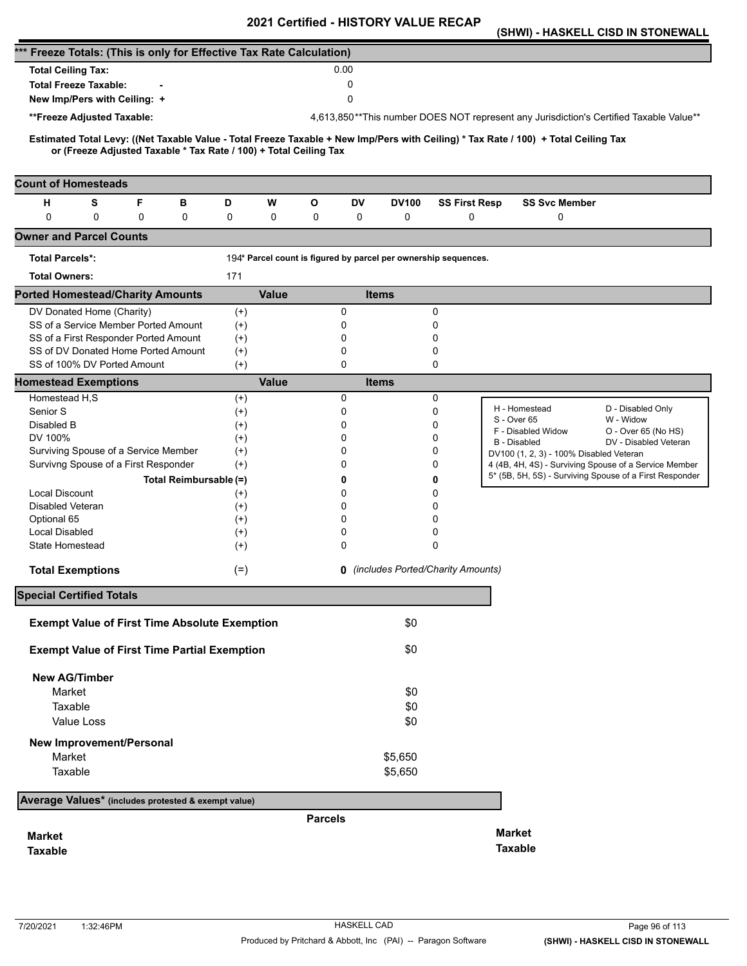|                                                                                                                                                                                                          |                   | - 1110 1                                                        | יי ויי       |                                            |                                                                                                  | (SHWI) - HASKELL CISD IN STONEWALL                                                     |
|----------------------------------------------------------------------------------------------------------------------------------------------------------------------------------------------------------|-------------------|-----------------------------------------------------------------|--------------|--------------------------------------------|--------------------------------------------------------------------------------------------------|----------------------------------------------------------------------------------------|
| *** Freeze Totals: (This is only for Effective Tax Rate Calculation)                                                                                                                                     |                   |                                                                 |              |                                            |                                                                                                  |                                                                                        |
| <b>Total Ceiling Tax:</b>                                                                                                                                                                                |                   | 0.00                                                            |              |                                            |                                                                                                  |                                                                                        |
| <b>Total Freeze Taxable:</b>                                                                                                                                                                             |                   | 0                                                               |              |                                            |                                                                                                  |                                                                                        |
| New Imp/Pers with Ceiling: +                                                                                                                                                                             |                   | 0                                                               |              |                                            |                                                                                                  |                                                                                        |
| **Freeze Adjusted Taxable:                                                                                                                                                                               |                   |                                                                 |              |                                            |                                                                                                  | 4,613,850**This number DOES NOT represent any Jurisdiction's Certified Taxable Value** |
|                                                                                                                                                                                                          |                   |                                                                 |              |                                            |                                                                                                  |                                                                                        |
| Estimated Total Levy: ((Net Taxable Value - Total Freeze Taxable + New Imp/Pers with Ceiling) * Tax Rate / 100) + Total Ceiling Tax<br>or (Freeze Adjusted Taxable * Tax Rate / 100) + Total Ceiling Tax |                   |                                                                 |              |                                            |                                                                                                  |                                                                                        |
|                                                                                                                                                                                                          |                   |                                                                 |              |                                            |                                                                                                  |                                                                                        |
| <b>Count of Homesteads</b>                                                                                                                                                                               |                   |                                                                 |              |                                            |                                                                                                  |                                                                                        |
| н<br>S<br>F<br>в                                                                                                                                                                                         | D<br>W            | O<br>DV                                                         | <b>DV100</b> | <b>SS First Resp</b>                       | <b>SS Svc Member</b>                                                                             |                                                                                        |
| 0<br>$\mathbf 0$<br>0<br>0                                                                                                                                                                               | 0<br>0            | 0<br>0                                                          | 0            | 0                                          | 0                                                                                                |                                                                                        |
| <b>Owner and Parcel Counts</b>                                                                                                                                                                           |                   |                                                                 |              |                                            |                                                                                                  |                                                                                        |
| <b>Total Parcels*:</b>                                                                                                                                                                                   |                   | 194* Parcel count is figured by parcel per ownership sequences. |              |                                            |                                                                                                  |                                                                                        |
| <b>Total Owners:</b>                                                                                                                                                                                     | 171               |                                                                 |              |                                            |                                                                                                  |                                                                                        |
| <b>Ported Homestead/Charity Amounts</b>                                                                                                                                                                  | <b>Value</b>      |                                                                 | <b>Items</b> |                                            |                                                                                                  |                                                                                        |
| DV Donated Home (Charity)                                                                                                                                                                                | $^{(+)}$          | 0                                                               |              | 0                                          |                                                                                                  |                                                                                        |
| SS of a Service Member Ported Amount                                                                                                                                                                     | $(+)$             | 0                                                               |              | 0                                          |                                                                                                  |                                                                                        |
| SS of a First Responder Ported Amount                                                                                                                                                                    | $^{(+)}$          | 0                                                               |              | 0                                          |                                                                                                  |                                                                                        |
| SS of DV Donated Home Ported Amount                                                                                                                                                                      | $^{(+)}$          | 0                                                               |              | 0                                          |                                                                                                  |                                                                                        |
| SS of 100% DV Ported Amount                                                                                                                                                                              | $(+)$             | 0                                                               |              | 0                                          |                                                                                                  |                                                                                        |
| <b>Homestead Exemptions</b>                                                                                                                                                                              | <b>Value</b>      |                                                                 | <b>Items</b> |                                            |                                                                                                  |                                                                                        |
| Homestead H,S                                                                                                                                                                                            | $^{(+)}$          | 0                                                               |              | 0                                          | H - Homestead                                                                                    | D - Disabled Only                                                                      |
| Senior S<br>Disabled B                                                                                                                                                                                   | $^{(+)}$          | 0<br>0                                                          |              | 0                                          | S - Over 65                                                                                      | W - Widow                                                                              |
| DV 100%                                                                                                                                                                                                  | $^{(+)}$<br>$(+)$ | 0                                                               |              | 0<br>0                                     | F - Disabled Widow                                                                               | O - Over 65 (No HS)                                                                    |
| Surviving Spouse of a Service Member                                                                                                                                                                     | $^{(+)}$          | 0                                                               |              | 0                                          | <b>B</b> - Disabled                                                                              | DV - Disabled Veteran                                                                  |
| Survivng Spouse of a First Responder                                                                                                                                                                     | $^{(+)}$          | 0                                                               |              | 0                                          | DV100 (1, 2, 3) - 100% Disabled Veteran<br>4 (4B, 4H, 4S) - Surviving Spouse of a Service Member |                                                                                        |
| Total Reimbursable (=)                                                                                                                                                                                   |                   | 0                                                               |              | 0                                          |                                                                                                  | 5* (5B, 5H, 5S) - Surviving Spouse of a First Responder                                |
| <b>Local Discount</b>                                                                                                                                                                                    | $^{(+)}$          | 0                                                               |              | 0                                          |                                                                                                  |                                                                                        |
| <b>Disabled Veteran</b>                                                                                                                                                                                  | $^{(+)}$          | 0                                                               |              | 0                                          |                                                                                                  |                                                                                        |
| Optional 65                                                                                                                                                                                              | $^{(+)}$          | 0                                                               |              | 0                                          |                                                                                                  |                                                                                        |
| Local Disabled                                                                                                                                                                                           | $^{(+)}$          | 0                                                               |              | 0                                          |                                                                                                  |                                                                                        |
| <b>State Homestead</b>                                                                                                                                                                                   | $(+)$             | 0                                                               |              | $\Omega$                                   |                                                                                                  |                                                                                        |
| <b>Total Exemptions</b>                                                                                                                                                                                  | $(=)$             |                                                                 |              | <b>0</b> (includes Ported/Charity Amounts) |                                                                                                  |                                                                                        |
| <b>Special Certified Totals</b>                                                                                                                                                                          |                   |                                                                 |              |                                            |                                                                                                  |                                                                                        |
|                                                                                                                                                                                                          |                   |                                                                 |              |                                            |                                                                                                  |                                                                                        |
| <b>Exempt Value of First Time Absolute Exemption</b>                                                                                                                                                     |                   |                                                                 | \$0          |                                            |                                                                                                  |                                                                                        |
| <b>Exempt Value of First Time Partial Exemption</b>                                                                                                                                                      |                   |                                                                 | \$0          |                                            |                                                                                                  |                                                                                        |
| <b>New AG/Timber</b>                                                                                                                                                                                     |                   |                                                                 |              |                                            |                                                                                                  |                                                                                        |
| Market                                                                                                                                                                                                   |                   |                                                                 | \$0          |                                            |                                                                                                  |                                                                                        |
| Taxable                                                                                                                                                                                                  |                   |                                                                 | \$0          |                                            |                                                                                                  |                                                                                        |
| <b>Value Loss</b>                                                                                                                                                                                        |                   |                                                                 | \$0          |                                            |                                                                                                  |                                                                                        |
| <b>New Improvement/Personal</b>                                                                                                                                                                          |                   |                                                                 |              |                                            |                                                                                                  |                                                                                        |
| Market                                                                                                                                                                                                   |                   |                                                                 | \$5,650      |                                            |                                                                                                  |                                                                                        |
| Taxable                                                                                                                                                                                                  |                   |                                                                 | \$5,650      |                                            |                                                                                                  |                                                                                        |
| Average Values* (includes protested & exempt value)                                                                                                                                                      |                   |                                                                 |              |                                            |                                                                                                  |                                                                                        |
|                                                                                                                                                                                                          |                   | <b>Parcels</b>                                                  |              |                                            |                                                                                                  |                                                                                        |
|                                                                                                                                                                                                          |                   |                                                                 |              |                                            | <b>Market</b>                                                                                    |                                                                                        |
| <b>Market</b>                                                                                                                                                                                            |                   |                                                                 |              |                                            | <b>Taxable</b>                                                                                   |                                                                                        |
| <b>Taxable</b>                                                                                                                                                                                           |                   |                                                                 |              |                                            |                                                                                                  |                                                                                        |
|                                                                                                                                                                                                          |                   |                                                                 |              |                                            |                                                                                                  |                                                                                        |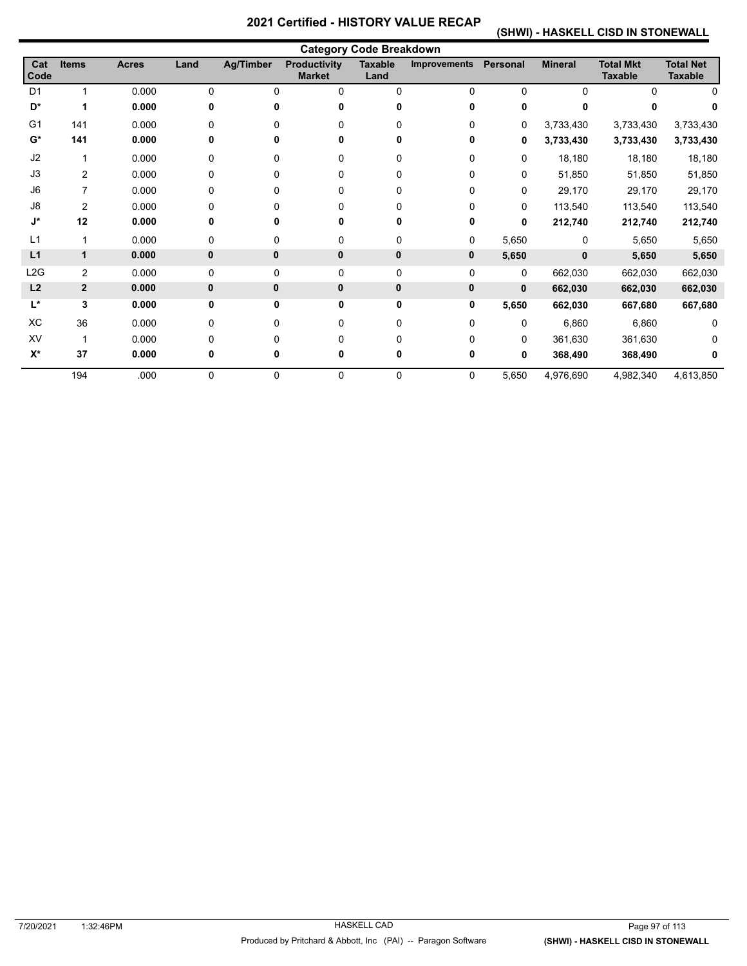### **(SHWI) - HASKELL CISD IN STONEWALL**

|                  |              |              |              |                  |                                      | <b>Category Code Breakdown</b> |                     |                 |                |                                    |                                    |
|------------------|--------------|--------------|--------------|------------------|--------------------------------------|--------------------------------|---------------------|-----------------|----------------|------------------------------------|------------------------------------|
| Cat<br>Code      | <b>Items</b> | <b>Acres</b> | Land         | <b>Ag/Timber</b> | <b>Productivity</b><br><b>Market</b> | <b>Taxable</b><br>Land         | <b>Improvements</b> | <b>Personal</b> | <b>Mineral</b> | <b>Total Mkt</b><br><b>Taxable</b> | <b>Total Net</b><br><b>Taxable</b> |
| D <sub>1</sub>   | 1            | 0.000        | 0            | 0                | 0                                    | $\Omega$                       | 0                   | $\Omega$        | $\Omega$       | $\Omega$                           |                                    |
| D*               |              | 0.000        | ŋ            | n                |                                      |                                |                     | 0               |                |                                    |                                    |
| G <sub>1</sub>   | 141          | 0.000        | <sup>0</sup> | U                |                                      |                                | 0                   | 0               | 3,733,430      | 3,733,430                          | 3,733,430                          |
| $G^*$            | 141          | 0.000        | 0            | U                |                                      |                                | 0                   | 0               | 3,733,430      | 3,733,430                          | 3,733,430                          |
| J2               |              | 0.000        | 0            | $\Omega$         | 0                                    | 0                              | 0                   | $\mathbf{0}$    | 18,180         | 18,180                             | 18,180                             |
| J3               | 2            | 0.000        | 0            | 0                | 0                                    | 0                              | 0                   | 0               | 51,850         | 51,850                             | 51,850                             |
| J <sub>6</sub>   |              | 0.000        |              |                  |                                      |                                | 0                   | $\Omega$        | 29,170         | 29,170                             | 29,170                             |
| J8               | 2            | 0.000        | 0            | U                |                                      |                                | 0                   | $\Omega$        | 113,540        | 113,540                            | 113,540                            |
| J*               | 12           | 0.000        | 0            | 0                |                                      |                                | 0                   | $\bf{0}$        | 212,740        | 212,740                            | 212,740                            |
| L1               | 1            | 0.000        | 0            | 0                | 0                                    | 0                              | 0                   | 5,650           | 0              | 5,650                              | 5,650                              |
| L1               | 1            | 0.000        | 0            | 0                | 0                                    | $\mathbf 0$                    | 0                   | 5,650           | $\mathbf{0}$   | 5,650                              | 5,650                              |
| L <sub>2</sub> G | 2            | 0.000        | 0            | 0                | 0                                    | $\mathbf 0$                    | 0                   | 0               | 662,030        | 662,030                            | 662,030                            |
| L2               | $\mathbf{2}$ | 0.000        | $\mathbf{0}$ | 0                | 0                                    | $\pmb{0}$                      | 0                   | $\mathbf{0}$    | 662,030        | 662,030                            | 662,030                            |
| L*               | 3            | 0.000        | 0            | 0                | 0                                    | 0                              | 0                   | 5,650           | 662,030        | 667,680                            | 667,680                            |
| XC               | 36           | 0.000        | 0            | 0                | 0                                    | 0                              | 0                   | $\Omega$        | 6,860          | 6,860                              |                                    |
| XV               | -1           | 0.000        | 0            | $\Omega$         | U                                    | 0                              | 0                   | $\Omega$        | 361,630        | 361,630                            |                                    |
| $X^*$            | 37           | 0.000        | 0            | 0                |                                      | 0                              | 0                   | 0               | 368,490        | 368,490                            |                                    |
|                  | 194          | .000         | 0            | 0                | 0                                    | 0                              | 0                   | 5,650           | 4,976,690      | 4,982,340                          | 4,613,850                          |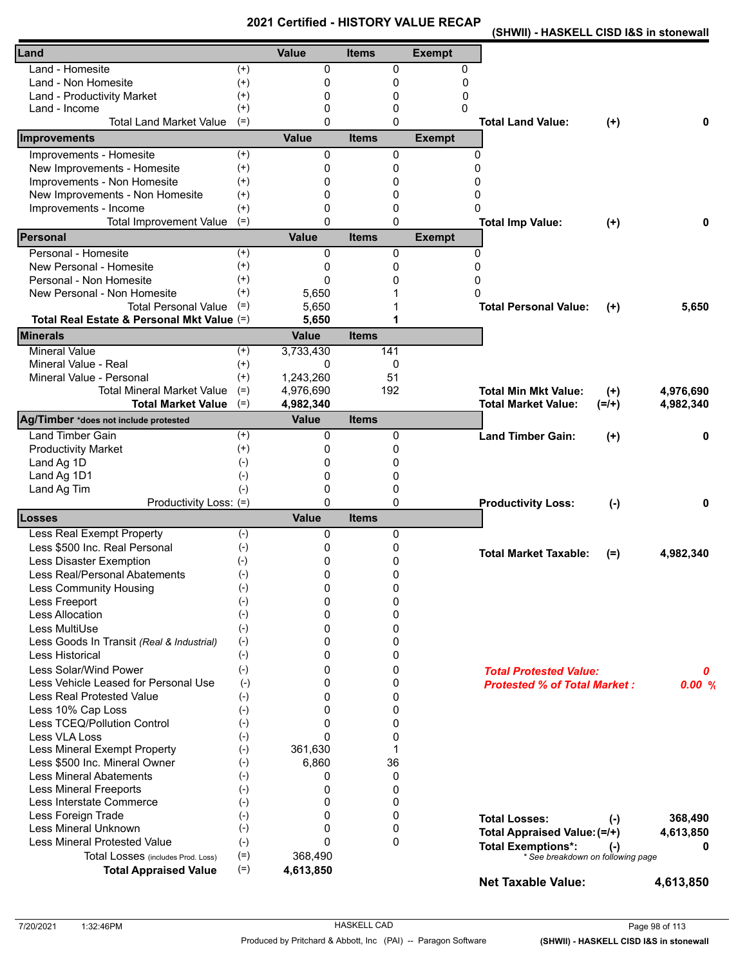**(SHWII) - HASKELL CISD I&S in stonewall** 

| Land                                       |          | <b>Value</b>             | <b>Items</b> | <b>Exempt</b> |                                         |           |
|--------------------------------------------|----------|--------------------------|--------------|---------------|-----------------------------------------|-----------|
| Land - Homesite                            | $^{(+)}$ | $\Omega$                 | 0            | 0             |                                         |           |
| Land - Non Homesite                        | $^{(+)}$ | 0                        | 0            | 0             |                                         |           |
| Land - Productivity Market                 | $^{(+)}$ | 0                        | 0            | 0             |                                         |           |
| Land - Income                              | $^{(+)}$ | 0                        | 0            | 0             |                                         |           |
| <b>Total Land Market Value</b>             | $(=)$    | $\Omega$                 | 0            |               | <b>Total Land Value:</b><br>$(+)$       | 0         |
| Improvements                               |          | <b>Value</b>             | <b>Items</b> | <b>Exempt</b> |                                         |           |
| Improvements - Homesite                    | $^{(+)}$ | $\Omega$                 | 0            | 0             |                                         |           |
| New Improvements - Homesite                | $^{(+)}$ | 0                        | 0            | 0             |                                         |           |
| Improvements - Non Homesite                | $^{(+)}$ | 0                        | 0            | 0             |                                         |           |
| New Improvements - Non Homesite            | $^{(+)}$ | 0                        | 0            | 0             |                                         |           |
| Improvements - Income                      | $^{(+)}$ | 0                        | 0            | 0             |                                         |           |
| <b>Total Improvement Value</b>             | $(=)$    | $\Omega$                 | 0            |               | <b>Total Imp Value:</b><br>$(+)$        | 0         |
| <b>Personal</b>                            |          | <b>Value</b>             | <b>Items</b> | <b>Exempt</b> |                                         |           |
| Personal - Homesite                        | $(+)$    | 0                        | 0            | 0             |                                         |           |
| New Personal - Homesite                    | $^{(+)}$ | 0                        | 0            | 0             |                                         |           |
| Personal - Non Homesite                    | $^{(+)}$ | $\mathbf{0}$             | n            | 0             |                                         |           |
| New Personal - Non Homesite                | $^{(+)}$ | 5,650                    |              | O             |                                         |           |
| <b>Total Personal Value</b>                | $(=)$    | 5,650                    |              |               | <b>Total Personal Value:</b><br>$(+)$   | 5,650     |
| Total Real Estate & Personal Mkt Value (=) |          | 5,650                    | 1            |               |                                         |           |
| <b>Minerals</b>                            |          | <b>Value</b>             | <b>Items</b> |               |                                         |           |
| <b>Mineral Value</b>                       | $^{(+)}$ | 3,733,430                | 141          |               |                                         |           |
| Mineral Value - Real                       | $^{(+)}$ | 0                        | 0            |               |                                         |           |
| Mineral Value - Personal                   | $(+)$    | 1,243,260                | 51           |               |                                         |           |
| <b>Total Mineral Market Value</b>          | $(=)$    | 4,976,690                | 192          |               | <b>Total Min Mkt Value:</b><br>$^{(+)}$ | 4,976,690 |
| <b>Total Market Value</b>                  | $(=)$    | 4,982,340                |              |               | <b>Total Market Value:</b><br>$(=/+)$   | 4,982,340 |
| Ag/Timber *does not include protested      |          | <b>Value</b>             | <b>Items</b> |               |                                         |           |
| <b>Land Timber Gain</b>                    | $^{(+)}$ | 0                        | 0            |               | <b>Land Timber Gain:</b><br>$(+)$       | 0         |
| <b>Productivity Market</b>                 | $^{(+)}$ | 0                        | 0            |               |                                         |           |
| Land Ag 1D                                 | $(-)$    | 0                        | 0            |               |                                         |           |
| Land Ag 1D1                                | $(-)$    | 0                        | 0            |               |                                         |           |
| Land Ag Tim                                | $(-)$    | $\mathbf{0}$<br>$\Omega$ | 0<br>0       |               |                                         |           |
| Productivity Loss: (=)<br>.osses           |          | <b>Value</b>             | <b>Items</b> |               | <b>Productivity Loss:</b><br>$(-)$      | 0         |
| <b>Less Real Exempt Property</b>           | $(-)$    | 0                        | 0            |               |                                         |           |
| Less \$500 Inc. Real Personal              | $(-)$    | 0                        | 0            |               |                                         |           |
| Less Disaster Exemption                    | $(-)$    | 0                        | 0            |               | <b>Total Market Taxable:</b><br>$(=)$   | 4,982,340 |
| Less Real/Personal Abatements              | $(-)$    | 0                        | 0            |               |                                         |           |
| Less Community Housing                     | $(-)$    | 0                        | 0            |               |                                         |           |
| Less Freeport                              | $(-)$    | 0                        | 0            |               |                                         |           |
| <b>Less Allocation</b>                     | $(-)$    | 0                        | 0            |               |                                         |           |
| Less MultiUse                              | $(-)$    | 0                        | 0            |               |                                         |           |
| Less Goods In Transit (Real & Industrial)  | $(-)$    | 0                        | 0            |               |                                         |           |
| Less Historical                            | $(-)$    | 0                        | 0            |               |                                         |           |
| Less Solar/Wind Power                      | $(-)$    | 0                        | 0            |               | <b>Total Protested Value:</b>           | 0         |
| Less Vehicle Leased for Personal Use       | $(-)$    | 0                        | 0            |               | <b>Protested % of Total Market:</b>     | 0.00%     |
| Less Real Protested Value                  | $(-)$    | 0                        | 0            |               |                                         |           |
| Less 10% Cap Loss                          | $(-)$    | 0                        | 0            |               |                                         |           |
| Less TCEQ/Pollution Control                | $(-)$    | $\Omega$                 | 0            |               |                                         |           |
| Less VLA Loss                              | $(-)$    | $\Omega$                 | 0            |               |                                         |           |
| Less Mineral Exempt Property               | $(-)$    | 361,630                  | 1            |               |                                         |           |
| Less \$500 Inc. Mineral Owner              | $(-)$    | 6,860                    | 36           |               |                                         |           |
| <b>Less Mineral Abatements</b>             | $(-)$    | 0                        | 0            |               |                                         |           |
| <b>Less Mineral Freeports</b>              | $(-)$    | 0                        | 0            |               |                                         |           |
| Less Interstate Commerce                   | $(-)$    | 0                        | 0            |               |                                         |           |
| Less Foreign Trade                         | $(-)$    | 0                        | 0            |               | <b>Total Losses:</b><br>$(-)$           | 368,490   |
| Less Mineral Unknown                       | $(-)$    | $\Omega$                 | 0            |               | Total Appraised Value: (=/+)            | 4,613,850 |
| <b>Less Mineral Protested Value</b>        | $(-)$    | $\Omega$                 | 0            |               | <b>Total Exemptions*:</b><br>$(\cdot)$  | 0         |
| Total Losses (includes Prod. Loss)         | $(=)$    | 368,490                  |              |               | * See breakdown on following page       |           |
| <b>Total Appraised Value</b>               | $(=)$    | 4,613,850                |              |               |                                         |           |
|                                            |          |                          |              |               | <b>Net Taxable Value:</b>               | 4,613,850 |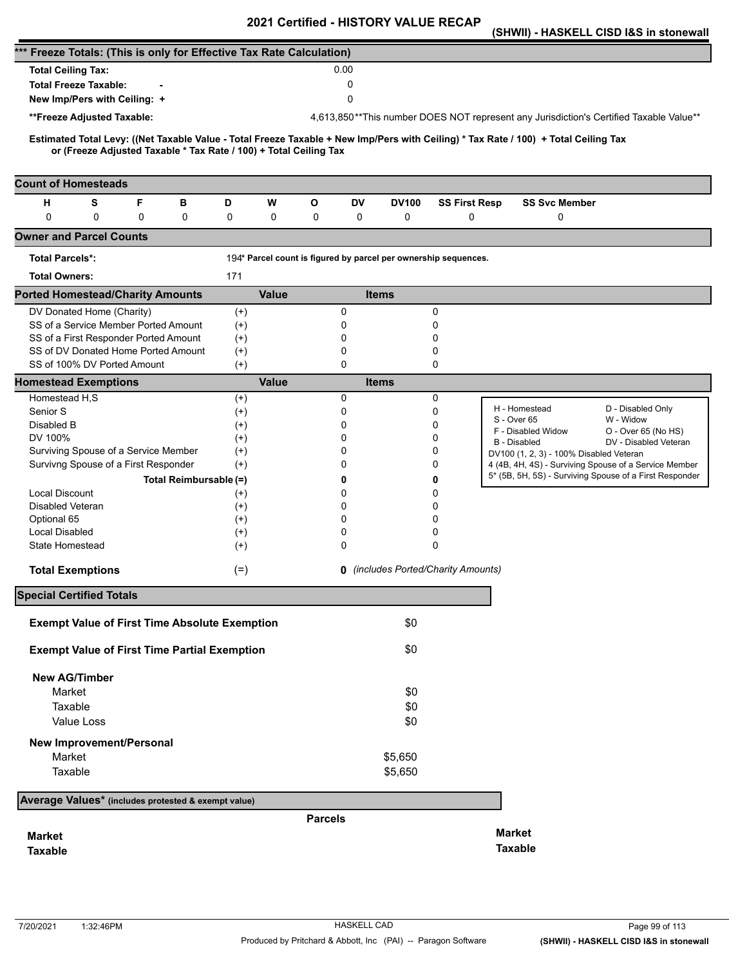|                                                                                                                                                                                                          |                | Certified - HISTONT VALUE NECAR                                 |              |                                            |                                                                                        | (SHWII) - HASKELL CISD I&S in stonewall |
|----------------------------------------------------------------------------------------------------------------------------------------------------------------------------------------------------------|----------------|-----------------------------------------------------------------|--------------|--------------------------------------------|----------------------------------------------------------------------------------------|-----------------------------------------|
| *** Freeze Totals: (This is only for Effective Tax Rate Calculation)                                                                                                                                     |                |                                                                 |              |                                            |                                                                                        |                                         |
| <b>Total Ceiling Tax:</b>                                                                                                                                                                                |                | 0.00                                                            |              |                                            |                                                                                        |                                         |
| <b>Total Freeze Taxable:</b>                                                                                                                                                                             |                | 0                                                               |              |                                            |                                                                                        |                                         |
| New Imp/Pers with Ceiling: +                                                                                                                                                                             |                | 0                                                               |              |                                            |                                                                                        |                                         |
| **Freeze Adjusted Taxable:                                                                                                                                                                               |                |                                                                 |              |                                            | 4,613,850**This number DOES NOT represent any Jurisdiction's Certified Taxable Value** |                                         |
|                                                                                                                                                                                                          |                |                                                                 |              |                                            |                                                                                        |                                         |
| Estimated Total Levy: ((Net Taxable Value - Total Freeze Taxable + New Imp/Pers with Ceiling) * Tax Rate / 100) + Total Ceiling Tax<br>or (Freeze Adjusted Taxable * Tax Rate / 100) + Total Ceiling Tax |                |                                                                 |              |                                            |                                                                                        |                                         |
|                                                                                                                                                                                                          |                |                                                                 |              |                                            |                                                                                        |                                         |
| <b>Count of Homesteads</b>                                                                                                                                                                               |                |                                                                 |              |                                            |                                                                                        |                                         |
| S<br>F<br>н<br>в                                                                                                                                                                                         | D<br>W         | O<br>DV                                                         | <b>DV100</b> | <b>SS First Resp</b>                       | <b>SS Svc Member</b>                                                                   |                                         |
| $\mathbf 0$<br>0<br>0<br>0                                                                                                                                                                               | 0<br>0         | 0<br>0                                                          | 0            | 0                                          | 0                                                                                      |                                         |
| <b>Owner and Parcel Counts</b>                                                                                                                                                                           |                |                                                                 |              |                                            |                                                                                        |                                         |
| <b>Total Parcels*:</b>                                                                                                                                                                                   |                | 194* Parcel count is figured by parcel per ownership sequences. |              |                                            |                                                                                        |                                         |
| <b>Total Owners:</b>                                                                                                                                                                                     | 171            |                                                                 |              |                                            |                                                                                        |                                         |
| <b>Ported Homestead/Charity Amounts</b>                                                                                                                                                                  | <b>Value</b>   |                                                                 | <b>Items</b> |                                            |                                                                                        |                                         |
| DV Donated Home (Charity)                                                                                                                                                                                | $^{(+)}$       | 0                                                               |              | 0                                          |                                                                                        |                                         |
| SS of a Service Member Ported Amount                                                                                                                                                                     | $^{(+)}$       | 0                                                               |              | 0                                          |                                                                                        |                                         |
| SS of a First Responder Ported Amount                                                                                                                                                                    | $^{(+)}$       | 0                                                               |              | 0                                          |                                                                                        |                                         |
| SS of DV Donated Home Ported Amount<br>SS of 100% DV Ported Amount                                                                                                                                       | $(+)$<br>$(+)$ | 0<br>$\mathbf 0$                                                |              | 0<br>0                                     |                                                                                        |                                         |
| <b>Homestead Exemptions</b>                                                                                                                                                                              | <b>Value</b>   |                                                                 | <b>Items</b> |                                            |                                                                                        |                                         |
| Homestead H,S                                                                                                                                                                                            | $^{(+)}$       | 0                                                               |              | 0                                          |                                                                                        |                                         |
| Senior S                                                                                                                                                                                                 | $^{(+)}$       | 0                                                               |              | 0                                          | H - Homestead                                                                          | D - Disabled Only                       |
| Disabled B                                                                                                                                                                                               | $^{(+)}$       | 0                                                               |              | 0                                          | S - Over 65<br>F - Disabled Widow                                                      | W - Widow<br>O - Over 65 (No HS)        |
| DV 100%                                                                                                                                                                                                  | $^{(+)}$       | $\Omega$                                                        |              | 0                                          | <b>B</b> - Disabled                                                                    | DV - Disabled Veteran                   |
| Surviving Spouse of a Service Member                                                                                                                                                                     | $^{(+)}$       | 0                                                               |              | 0                                          | DV100 (1, 2, 3) - 100% Disabled Veteran                                                |                                         |
| Survivng Spouse of a First Responder                                                                                                                                                                     | $(+)$          | 0                                                               |              | 0                                          | 4 (4B, 4H, 4S) - Surviving Spouse of a Service Member                                  |                                         |
| Total Reimbursable (=)                                                                                                                                                                                   |                | 0                                                               |              | 0                                          | 5* (5B, 5H, 5S) - Surviving Spouse of a First Responder                                |                                         |
| <b>Local Discount</b>                                                                                                                                                                                    | $^{(+)}$       | 0                                                               |              | 0                                          |                                                                                        |                                         |
| Disabled Veteran                                                                                                                                                                                         | $^{(+)}$       | 0                                                               |              | 0                                          |                                                                                        |                                         |
| Optional 65                                                                                                                                                                                              | $^{(+)}$       | $\Omega$                                                        |              | 0                                          |                                                                                        |                                         |
| Local Disabled                                                                                                                                                                                           | $^{(+)}$       | 0                                                               |              | 0                                          |                                                                                        |                                         |
| State Homestead                                                                                                                                                                                          | $^{(+)}$       | 0                                                               |              | 0                                          |                                                                                        |                                         |
| <b>Total Exemptions</b>                                                                                                                                                                                  | $(=)$          |                                                                 |              | <b>0</b> (includes Ported/Charity Amounts) |                                                                                        |                                         |
| <b>Special Certified Totals</b>                                                                                                                                                                          |                |                                                                 |              |                                            |                                                                                        |                                         |
| <b>Exempt Value of First Time Absolute Exemption</b>                                                                                                                                                     |                |                                                                 | \$0          |                                            |                                                                                        |                                         |
|                                                                                                                                                                                                          |                |                                                                 |              |                                            |                                                                                        |                                         |
| <b>Exempt Value of First Time Partial Exemption</b>                                                                                                                                                      |                |                                                                 | \$0          |                                            |                                                                                        |                                         |
| <b>New AG/Timber</b>                                                                                                                                                                                     |                |                                                                 |              |                                            |                                                                                        |                                         |
| Market                                                                                                                                                                                                   |                |                                                                 | \$0          |                                            |                                                                                        |                                         |
| Taxable                                                                                                                                                                                                  |                |                                                                 | \$0          |                                            |                                                                                        |                                         |
| Value Loss                                                                                                                                                                                               |                |                                                                 | \$0          |                                            |                                                                                        |                                         |
| <b>New Improvement/Personal</b>                                                                                                                                                                          |                |                                                                 |              |                                            |                                                                                        |                                         |
| Market                                                                                                                                                                                                   |                |                                                                 | \$5,650      |                                            |                                                                                        |                                         |
| Taxable                                                                                                                                                                                                  |                |                                                                 | \$5,650      |                                            |                                                                                        |                                         |
|                                                                                                                                                                                                          |                |                                                                 |              |                                            |                                                                                        |                                         |
| Average Values* (includes protested & exempt value)                                                                                                                                                      |                |                                                                 |              |                                            |                                                                                        |                                         |
|                                                                                                                                                                                                          |                | <b>Parcels</b>                                                  |              |                                            | <b>Market</b>                                                                          |                                         |
| <b>Market</b>                                                                                                                                                                                            |                |                                                                 |              |                                            | <b>Taxable</b>                                                                         |                                         |
| <b>Taxable</b>                                                                                                                                                                                           |                |                                                                 |              |                                            |                                                                                        |                                         |
|                                                                                                                                                                                                          |                |                                                                 |              |                                            |                                                                                        |                                         |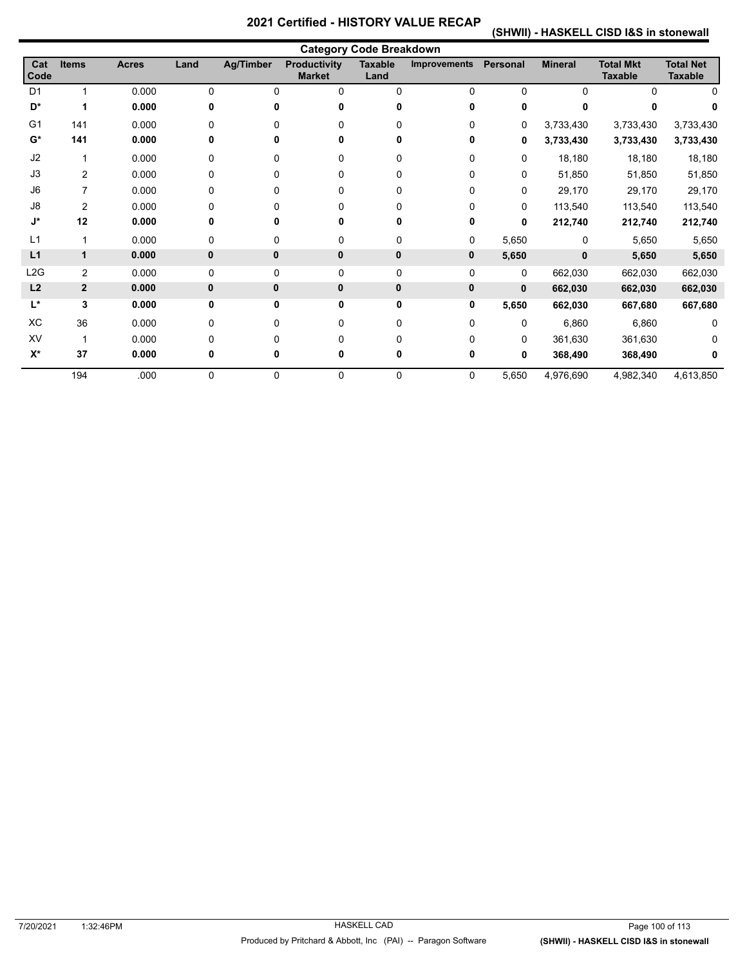**(SHWII) - HASKELL CISD I&S in stonewall** 

|                  |                |              |              |                  |                                      | <b>Category Code Breakdown</b> |                     |                 |                |                                    |                                    |
|------------------|----------------|--------------|--------------|------------------|--------------------------------------|--------------------------------|---------------------|-----------------|----------------|------------------------------------|------------------------------------|
| Cat<br>Code      | <b>Items</b>   | <b>Acres</b> | Land         | <b>Ag/Timber</b> | <b>Productivity</b><br><b>Market</b> | <b>Taxable</b><br>Land         | <b>Improvements</b> | <b>Personal</b> | <b>Mineral</b> | <b>Total Mkt</b><br><b>Taxable</b> | <b>Total Net</b><br><b>Taxable</b> |
| D <sub>1</sub>   | $\overline{1}$ | 0.000        | $\Omega$     | $\Omega$         | $\Omega$                             | 0                              | $\Omega$            | $\Omega$        | $\Omega$       | $\Omega$                           |                                    |
| D*               | 1              | 0.000        | 0            | U                |                                      |                                | 0                   | 0               |                |                                    |                                    |
| G <sub>1</sub>   | 141            | 0.000        | $\Omega$     | 0                | U                                    | 0                              | 0                   | 0               | 3,733,430      | 3,733,430                          | 3,733,430                          |
| $G^*$            | 141            | 0.000        | 0            | 0                | 0                                    |                                | 0                   | 0               | 3,733,430      | 3,733,430                          | 3,733,430                          |
| J2               |                | 0.000        | $\Omega$     | $\Omega$         | $\Omega$                             | 0                              | 0                   | $\mathbf 0$     | 18,180         | 18,180                             | 18,180                             |
| J3               | $\overline{2}$ | 0.000        | $\Omega$     | $\Omega$         | 0                                    | 0                              | 0                   | $\Omega$        | 51,850         | 51,850                             | 51,850                             |
| J6               | 7              | 0.000        | $\Omega$     | 0                |                                      | 0                              | 0                   | $\Omega$        | 29,170         | 29,170                             | 29,170                             |
| J8               | $\overline{2}$ | 0.000        | 0            | 0                | 0                                    | 0                              | 0                   | 0               | 113,540        | 113,540                            | 113,540                            |
| J*               | 12             | 0.000        | 0            | ŋ                | 0                                    |                                | 0                   | $\bf{0}$        | 212,740        | 212,740                            | 212,740                            |
| L1               | 1              | 0.000        | $\Omega$     | $\Omega$         | $\Omega$                             | 0                              | 0                   | 5,650           | 0              | 5,650                              | 5,650                              |
| L1               | 1              | 0.000        | $\mathbf{0}$ | $\mathbf{0}$     | $\mathbf{0}$                         | 0                              | 0                   | 5,650           | $\mathbf{0}$   | 5,650                              | 5,650                              |
| L <sub>2</sub> G | $\overline{2}$ | 0.000        | $\mathbf 0$  | $\mathbf 0$      | 0                                    | 0                              | 0                   | 0               | 662,030        | 662,030                            | 662,030                            |
| L2               | $\mathbf{2}$   | 0.000        | $\mathbf{0}$ | $\mathbf{0}$     | $\mathbf{0}$                         | 0                              | 0                   | $\mathbf 0$     | 662,030        | 662,030                            | 662,030                            |
| L*               | 3              | 0.000        | $\mathbf 0$  | 0                | 0                                    | 0                              | 0                   | 5,650           | 662,030        | 667,680                            | 667,680                            |
| XC               | 36             | 0.000        | $\Omega$     | 0                | $\Omega$                             | 0                              | 0                   | $\Omega$        | 6,860          | 6,860                              | 0                                  |
| XV               | 1              | 0.000        | $\Omega$     | $\Omega$         | $\Omega$                             | U                              | 0                   | $\Omega$        | 361,630        | 361,630                            |                                    |
| $X^*$            | 37             | 0.000        | 0            | 0                | 0                                    |                                | 0                   | 0               | 368,490        | 368,490                            |                                    |
|                  | 194            | .000         | $\Omega$     | $\Omega$         | $\Omega$                             | 0                              | 0                   | 5,650           | 4,976,690      | 4,982,340                          | 4,613,850                          |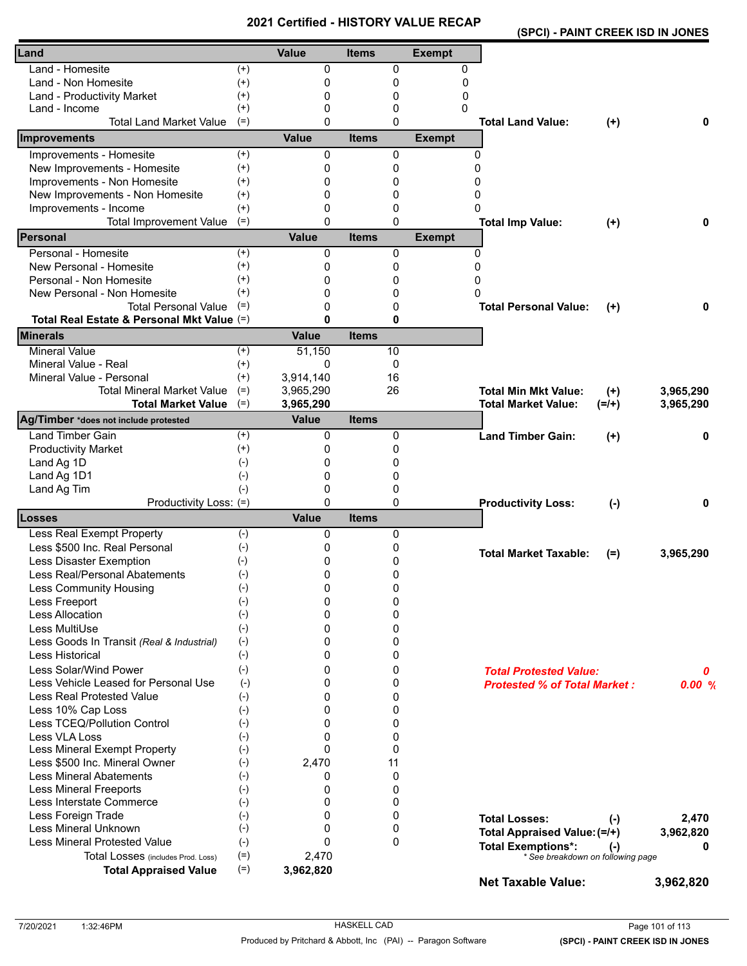|                                            |          | <b>VEILIIEU - FIIJTUNT</b> |              |              |               | (SPCI) - PAINT CREEK ISD IN JONES   |           |           |
|--------------------------------------------|----------|----------------------------|--------------|--------------|---------------|-------------------------------------|-----------|-----------|
| Land                                       |          | <b>Value</b>               | <b>Items</b> |              | <b>Exempt</b> |                                     |           |           |
| Land - Homesite                            | $^{(+)}$ | 0                          |              | 0            | 0             |                                     |           |           |
| Land - Non Homesite                        | $^{(+)}$ | 0                          |              | 0            | 0             |                                     |           |           |
| Land - Productivity Market                 | $^{(+)}$ | 0                          |              | 0            | 0             |                                     |           |           |
| Land - Income                              | $^{(+)}$ | $\Omega$                   |              | 0            | 0             |                                     |           |           |
| <b>Total Land Market Value</b>             | $(=)$    | $\Omega$                   |              | 0            |               | <b>Total Land Value:</b>            | $(+)$     | 0         |
| Improvements                               |          | <b>Value</b>               | <b>Items</b> |              | <b>Exempt</b> |                                     |           |           |
| Improvements - Homesite                    | $(+)$    | 0                          |              | 0            | 0             |                                     |           |           |
| New Improvements - Homesite                | $(+)$    | 0                          |              | 0            | $\Omega$      |                                     |           |           |
| Improvements - Non Homesite                | $^{(+)}$ | $\Omega$                   |              | 0            | 0             |                                     |           |           |
| New Improvements - Non Homesite            | $^{(+)}$ | 0                          |              | 0            | 0             |                                     |           |           |
| Improvements - Income                      | $^{(+)}$ | 0                          |              | 0            | 0             |                                     |           |           |
| <b>Total Improvement Value</b>             | $(=)$    | 0                          |              | $\mathbf{0}$ |               | <b>Total Imp Value:</b>             | $(+)$     | 0         |
| Personal                                   |          | <b>Value</b>               | <b>Items</b> |              | <b>Exempt</b> |                                     |           |           |
| Personal - Homesite                        | $^{(+)}$ | 0                          |              | 0            | $\mathbf{0}$  |                                     |           |           |
| New Personal - Homesite                    | $^{(+)}$ | 0                          |              | 0            | $\Omega$      |                                     |           |           |
| Personal - Non Homesite                    | $^{(+)}$ | 0                          |              | 0            | 0             |                                     |           |           |
| New Personal - Non Homesite                | $^{(+)}$ | 0                          |              | 0            | $\Omega$      |                                     |           |           |
| <b>Total Personal Value</b>                | $(=)$    | $\Omega$                   |              | 0            |               | <b>Total Personal Value:</b>        | $^{(+)}$  | 0         |
| Total Real Estate & Personal Mkt Value (=) |          | $\mathbf{0}$               |              | 0            |               |                                     |           |           |
| <b>Minerals</b>                            |          | <b>Value</b>               | <b>Items</b> |              |               |                                     |           |           |
| <b>Mineral Value</b>                       | $(+)$    | 51,150                     |              | 10           |               |                                     |           |           |
| Mineral Value - Real                       | $^{(+)}$ | $\Omega$                   |              | 0            |               |                                     |           |           |
| Mineral Value - Personal                   | $^{(+)}$ | 3,914,140                  |              | 16           |               |                                     |           |           |
| <b>Total Mineral Market Value</b>          | $(=)$    | 3,965,290                  |              | 26           |               | <b>Total Min Mkt Value:</b>         | $(+)$     | 3,965,290 |
| <b>Total Market Value</b>                  | $(=)$    | 3,965,290                  |              |              |               | <b>Total Market Value:</b>          | $(=/+)$   | 3,965,290 |
| Ag/Timber *does not include protested      |          | <b>Value</b>               | <b>Items</b> |              |               |                                     |           |           |
| <b>Land Timber Gain</b>                    | $^{(+)}$ | 0                          |              | 0            |               | <b>Land Timber Gain:</b>            | $^{(+)}$  | 0         |
| <b>Productivity Market</b>                 | $^{(+)}$ | 0                          |              | 0            |               |                                     |           |           |
| Land Ag 1D                                 | $(-)$    | 0                          |              | 0            |               |                                     |           |           |
| Land Ag 1D1                                | $(-)$    | $\Omega$                   |              | 0            |               |                                     |           |           |
| Land Ag Tim                                | $(-)$    | 0                          |              | 0            |               |                                     |           |           |
| Productivity Loss: (=)                     |          | $\mathbf{0}$               |              | 0            |               | <b>Productivity Loss:</b>           | $(-)$     | 0         |
| Losses                                     |          | <b>Value</b>               | <b>Items</b> |              |               |                                     |           |           |
| Less Real Exempt Property                  | $(-)$    | 0                          |              | 0            |               |                                     |           |           |
| Less \$500 Inc. Real Personal              | $(-)$    | 0                          |              | 0            |               | <b>Total Market Taxable:</b>        | $(=)$     | 3,965,290 |
| Less Disaster Exemption                    | $(-)$    | 0                          |              | 0            |               |                                     |           |           |
| Less Real/Personal Abatements              | $(-)$    | 0                          |              | 0            |               |                                     |           |           |
| Less Community Housing                     | $(-)$    | 0                          |              | 0            |               |                                     |           |           |
| Less Freeport                              | $(-)$    | 0                          |              | 0            |               |                                     |           |           |
| Less Allocation                            | $(-)$    | $\Omega$                   |              | 0            |               |                                     |           |           |
| Less MultiUse                              | $(-)$    | $\Omega$                   |              | 0            |               |                                     |           |           |
| Less Goods In Transit (Real & Industrial)  | $(-)$    | 0                          |              | 0            |               |                                     |           |           |
| Less Historical                            | $(-)$    | 0                          |              | 0            |               |                                     |           |           |
| Less Solar/Wind Power                      | $(-)$    | 0                          |              | 0            |               | <b>Total Protested Value:</b>       |           | 0         |
| Less Vehicle Leased for Personal Use       | $(-)$    | 0                          |              | 0            |               | <b>Protested % of Total Market:</b> |           | 0.00%     |
| <b>Less Real Protested Value</b>           | $(-)$    | 0                          |              | 0            |               |                                     |           |           |
| Less 10% Cap Loss                          | $(-)$    | $\Omega$                   |              | 0            |               |                                     |           |           |
| Less TCEQ/Pollution Control                | $(-)$    | $\Omega$                   |              | 0            |               |                                     |           |           |
| Less VLA Loss                              | $(-)$    | 0                          |              | 0            |               |                                     |           |           |
| Less Mineral Exempt Property               | $(-)$    | $\Omega$                   |              | 0            |               |                                     |           |           |
| Less \$500 Inc. Mineral Owner              | $(-)$    | 2,470                      |              | 11           |               |                                     |           |           |
| <b>Less Mineral Abatements</b>             | $(-)$    | 0                          |              | 0            |               |                                     |           |           |
| <b>Less Mineral Freeports</b>              | $(-)$    | 0                          |              | 0            |               |                                     |           |           |
| Less Interstate Commerce                   | $(-)$    | 0                          |              | 0            |               |                                     |           |           |
| Less Foreign Trade                         | $(-)$    | $\Omega$                   |              | 0            |               | <b>Total Losses:</b>                | $(\cdot)$ | 2,470     |
| Less Mineral Unknown                       | $(-)$    | 0                          |              | 0            |               | Total Appraised Value: (=/+)        |           | 3,962,820 |
| <b>Less Mineral Protested Value</b>        | $(-)$    | $\Omega$                   |              | $\mathbf{0}$ |               | <b>Total Exemptions*:</b>           |           |           |
| Total Losses (includes Prod. Loss)         | $(=)$    | 2,470                      |              |              |               | * See breakdown on following page   | $(\cdot)$ |           |
| <b>Total Appraised Value</b>               | $(=)$    | 3,962,820                  |              |              |               |                                     |           |           |
|                                            |          |                            |              |              |               | <b>Net Taxable Value:</b>           |           | 3,962,820 |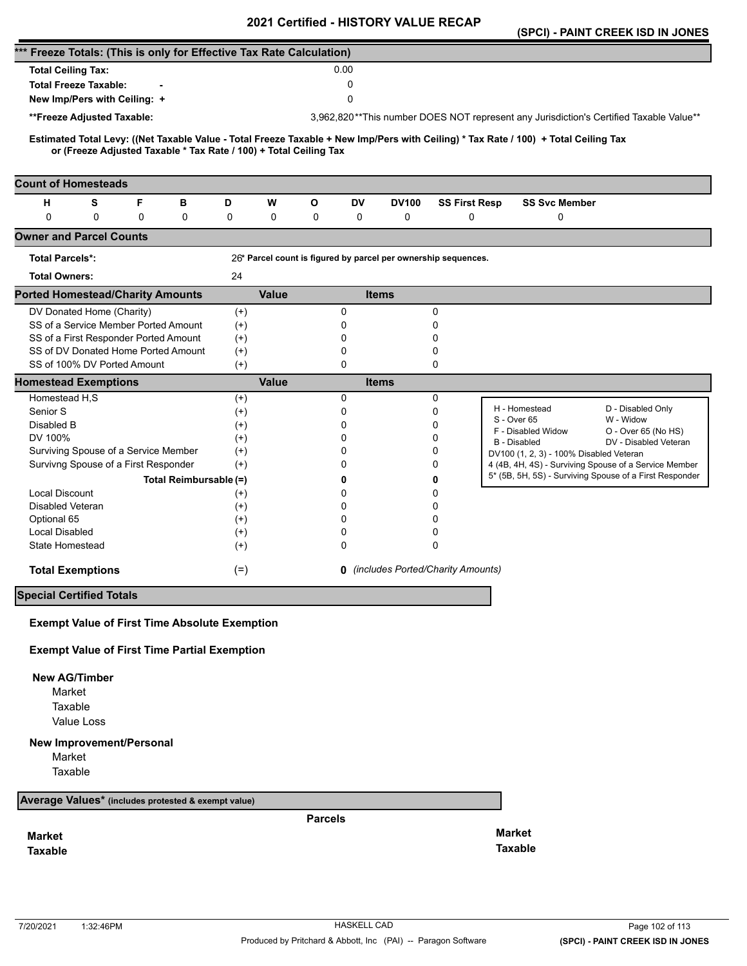|                                                                      |                                                                   |   |                        |                      |              |                |             |              | 2021 Certified - HISTORT VALUE RECAP                           |                                                                                                                                     | (SPCI) - PAINT CREEK ISD IN JONES                                                      |
|----------------------------------------------------------------------|-------------------------------------------------------------------|---|------------------------|----------------------|--------------|----------------|-------------|--------------|----------------------------------------------------------------|-------------------------------------------------------------------------------------------------------------------------------------|----------------------------------------------------------------------------------------|
| *** Freeze Totals: (This is only for Effective Tax Rate Calculation) |                                                                   |   |                        |                      |              |                |             |              |                                                                |                                                                                                                                     |                                                                                        |
| <b>Total Ceiling Tax:</b>                                            |                                                                   |   |                        |                      |              |                | 0.00        |              |                                                                |                                                                                                                                     |                                                                                        |
| <b>Total Freeze Taxable:</b>                                         |                                                                   |   |                        |                      |              |                | $\Omega$    |              |                                                                |                                                                                                                                     |                                                                                        |
| New Imp/Pers with Ceiling: +                                         |                                                                   |   |                        |                      |              |                | $\mathbf 0$ |              |                                                                |                                                                                                                                     |                                                                                        |
| **Freeze Adjusted Taxable:                                           |                                                                   |   |                        |                      |              |                |             |              |                                                                |                                                                                                                                     | 3,962,820**This number DOES NOT represent any Jurisdiction's Certified Taxable Value** |
|                                                                      |                                                                   |   |                        |                      |              |                |             |              |                                                                |                                                                                                                                     |                                                                                        |
|                                                                      | or (Freeze Adjusted Taxable * Tax Rate / 100) + Total Ceiling Tax |   |                        |                      |              |                |             |              |                                                                | Estimated Total Levy: ((Net Taxable Value - Total Freeze Taxable + New Imp/Pers with Ceiling) * Tax Rate / 100) + Total Ceiling Tax |                                                                                        |
| <b>Count of Homesteads</b>                                           |                                                                   |   |                        |                      |              |                |             |              |                                                                |                                                                                                                                     |                                                                                        |
| н                                                                    | s                                                                 | F | в                      | D                    | W            | O              | <b>DV</b>   | <b>DV100</b> | <b>SS First Resp</b>                                           | <b>SS Svc Member</b>                                                                                                                |                                                                                        |
| 0                                                                    | 0                                                                 | 0 | 0                      | 0                    | 0            | 0              | 0           | 0            | 0                                                              | 0                                                                                                                                   |                                                                                        |
| <b>Owner and Parcel Counts</b>                                       |                                                                   |   |                        |                      |              |                |             |              |                                                                |                                                                                                                                     |                                                                                        |
| <b>Total Parcels*:</b>                                               |                                                                   |   |                        |                      |              |                |             |              | 26* Parcel count is figured by parcel per ownership sequences. |                                                                                                                                     |                                                                                        |
| <b>Total Owners:</b>                                                 |                                                                   |   |                        | 24                   |              |                |             |              |                                                                |                                                                                                                                     |                                                                                        |
| <b>Ported Homestead/Charity Amounts</b>                              |                                                                   |   |                        |                      | <b>Value</b> |                |             | <b>Items</b> |                                                                |                                                                                                                                     |                                                                                        |
| DV Donated Home (Charity)                                            |                                                                   |   |                        | $^{(+)}$             |              |                | 0           |              | 0                                                              |                                                                                                                                     |                                                                                        |
| SS of a Service Member Ported Amount                                 |                                                                   |   |                        | $^{(+)}$             |              |                | 0           |              | 0                                                              |                                                                                                                                     |                                                                                        |
| SS of a First Responder Ported Amount                                |                                                                   |   |                        | $(+)$                |              |                | 0           |              | 0                                                              |                                                                                                                                     |                                                                                        |
| SS of DV Donated Home Ported Amount<br>SS of 100% DV Ported Amount   |                                                                   |   |                        | $^{(+)}$<br>$(+)$    |              |                | 0<br>0      |              | 0<br>0                                                         |                                                                                                                                     |                                                                                        |
| <b>Homestead Exemptions</b>                                          |                                                                   |   |                        |                      | <b>Value</b> |                |             | <b>Items</b> |                                                                |                                                                                                                                     |                                                                                        |
| Homestead H,S                                                        |                                                                   |   |                        | $^{(+)}$             |              |                | 0           |              | 0                                                              |                                                                                                                                     |                                                                                        |
| Senior S                                                             |                                                                   |   |                        | $^{(+)}$             |              |                | 0           |              | 0                                                              | H - Homestead                                                                                                                       | D - Disabled Only                                                                      |
| Disabled B                                                           |                                                                   |   |                        | $^{(+)}$             |              |                | 0           |              | 0                                                              | S - Over 65<br>F - Disabled Widow                                                                                                   | W - Widow<br>O - Over 65 (No HS)                                                       |
| DV 100%                                                              |                                                                   |   |                        | $^{(+)}$             |              |                | 0           |              | 0                                                              | <b>B</b> - Disabled                                                                                                                 | DV - Disabled Veteran                                                                  |
| Surviving Spouse of a Service Member                                 |                                                                   |   |                        | $(+)$                |              |                | 0           |              | 0                                                              | DV100 (1, 2, 3) - 100% Disabled Veteran                                                                                             |                                                                                        |
| Survivng Spouse of a First Responder                                 |                                                                   |   |                        | $(+)$                |              |                | 0           |              | 0                                                              |                                                                                                                                     | 4 (4B, 4H, 4S) - Surviving Spouse of a Service Member                                  |
|                                                                      |                                                                   |   | Total Reimbursable (=) |                      |              |                | 0           |              | 0                                                              |                                                                                                                                     | 5* (5B, 5H, 5S) - Surviving Spouse of a First Responder                                |
| <b>Local Discount</b>                                                |                                                                   |   |                        | $^{(+)}$             |              |                | 0           |              | 0                                                              |                                                                                                                                     |                                                                                        |
| <b>Disabled Veteran</b>                                              |                                                                   |   |                        | $(+)$                |              |                | 0<br>0      |              | 0<br>0                                                         |                                                                                                                                     |                                                                                        |
| Optional 65<br>Local Disabled                                        |                                                                   |   |                        | $^{(+)}$<br>$^{(+)}$ |              |                | 0           |              | 0                                                              |                                                                                                                                     |                                                                                        |
| <b>State Homestead</b>                                               |                                                                   |   |                        | $^{(+)}$             |              |                | 0           |              | 0                                                              |                                                                                                                                     |                                                                                        |
| <b>Total Exemptions</b>                                              |                                                                   |   |                        | $(=)$                |              |                |             |              | <b>0</b> (includes Ported/Charity Amounts)                     |                                                                                                                                     |                                                                                        |
| <b>Special Certified Totals</b>                                      |                                                                   |   |                        |                      |              |                |             |              |                                                                |                                                                                                                                     |                                                                                        |
|                                                                      |                                                                   |   |                        |                      |              |                |             |              |                                                                |                                                                                                                                     |                                                                                        |
| <b>Exempt Value of First Time Absolute Exemption</b>                 |                                                                   |   |                        |                      |              |                |             |              |                                                                |                                                                                                                                     |                                                                                        |
| <b>Exempt Value of First Time Partial Exemption</b>                  |                                                                   |   |                        |                      |              |                |             |              |                                                                |                                                                                                                                     |                                                                                        |
| <b>New AG/Timber</b>                                                 |                                                                   |   |                        |                      |              |                |             |              |                                                                |                                                                                                                                     |                                                                                        |
| Market                                                               |                                                                   |   |                        |                      |              |                |             |              |                                                                |                                                                                                                                     |                                                                                        |
| Taxable                                                              |                                                                   |   |                        |                      |              |                |             |              |                                                                |                                                                                                                                     |                                                                                        |
| Value Loss                                                           |                                                                   |   |                        |                      |              |                |             |              |                                                                |                                                                                                                                     |                                                                                        |
| <b>New Improvement/Personal</b>                                      |                                                                   |   |                        |                      |              |                |             |              |                                                                |                                                                                                                                     |                                                                                        |
| Market                                                               |                                                                   |   |                        |                      |              |                |             |              |                                                                |                                                                                                                                     |                                                                                        |
| Taxable                                                              |                                                                   |   |                        |                      |              |                |             |              |                                                                |                                                                                                                                     |                                                                                        |
| Average Values* (includes protested & exempt value)                  |                                                                   |   |                        |                      |              |                |             |              |                                                                |                                                                                                                                     |                                                                                        |
|                                                                      |                                                                   |   |                        |                      |              | <b>Parcels</b> |             |              |                                                                |                                                                                                                                     |                                                                                        |
| <b>Market</b>                                                        |                                                                   |   |                        |                      |              |                |             |              |                                                                | <b>Market</b>                                                                                                                       |                                                                                        |
| <b>Taxable</b>                                                       |                                                                   |   |                        |                      |              |                |             |              |                                                                | <b>Taxable</b>                                                                                                                      |                                                                                        |
|                                                                      |                                                                   |   |                        |                      |              |                |             |              |                                                                |                                                                                                                                     |                                                                                        |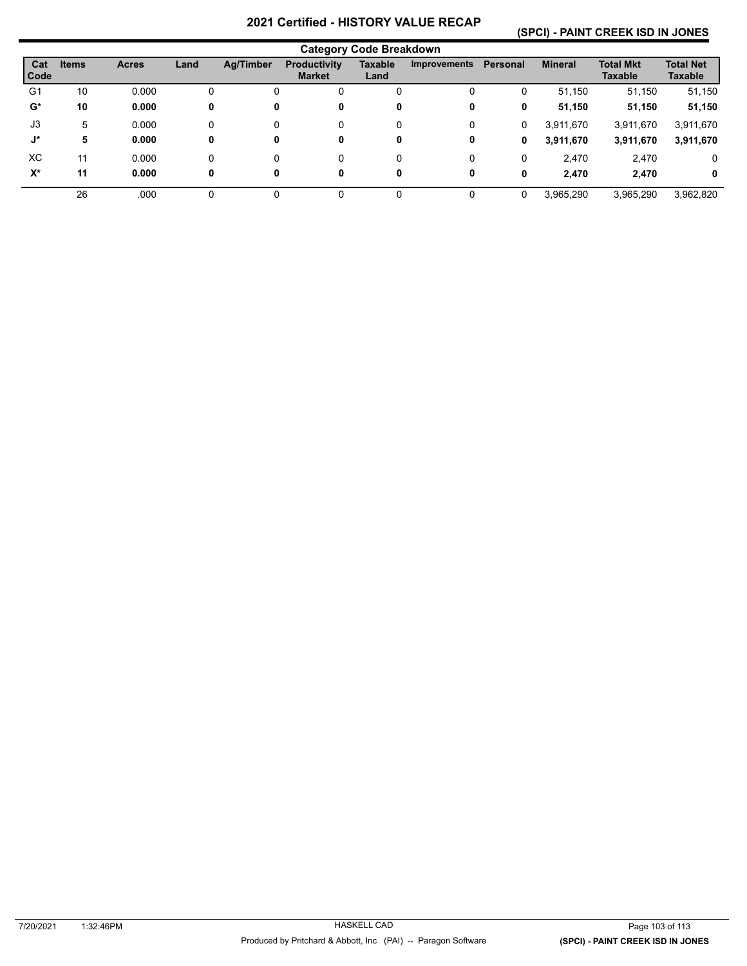#### **(SPCI) - PAINT CREEK ISD IN JONES**

|             |              |              |      |           |                                      | <b>Category Code Breakdown</b> |                     |          |                |                                    |                             |
|-------------|--------------|--------------|------|-----------|--------------------------------------|--------------------------------|---------------------|----------|----------------|------------------------------------|-----------------------------|
| Cat<br>Code | <b>Items</b> | <b>Acres</b> | Land | Ag/Timber | <b>Productivity</b><br><b>Market</b> | Taxable<br>Land                | <b>Improvements</b> | Personal | <b>Mineral</b> | <b>Total Mkt</b><br><b>Taxable</b> | <b>Total Net</b><br>Taxable |
| G1          | 10           | 0.000        | 0    | υ         | Ü                                    | 0                              | 0                   | 0        | 51,150         | 51,150                             | 51,150                      |
| $G^*$       | 10           | 0.000        | 0    | 0         | 0                                    | 0                              | 0                   | 0        | 51,150         | 51,150                             | 51,150                      |
| J3          | 5            | 0.000        | 0    | $\Omega$  | 0                                    | 0                              | 0                   | 0        | 3,911,670      | 3,911,670                          | 3,911,670                   |
| J*          | 5            | 0.000        | 0    | 0         | 0                                    | 0                              | 0                   | 0        | 3,911,670      | 3,911,670                          | 3,911,670                   |
| XC.         | 11           | 0.000        | 0    | $\Omega$  | 0                                    | 0                              | 0                   | 0        | 2,470          | 2,470                              | 0                           |
| $X^*$       | 11           | 0.000        | 0    | 0         | 0                                    | 0                              | 0                   | 0        | 2.470          | 2,470                              | 0                           |
|             | 26           | .000         |      | 0         |                                      | 0                              | 0                   | $\Omega$ | 3,965,290      | 3,965,290                          | 3,962,820                   |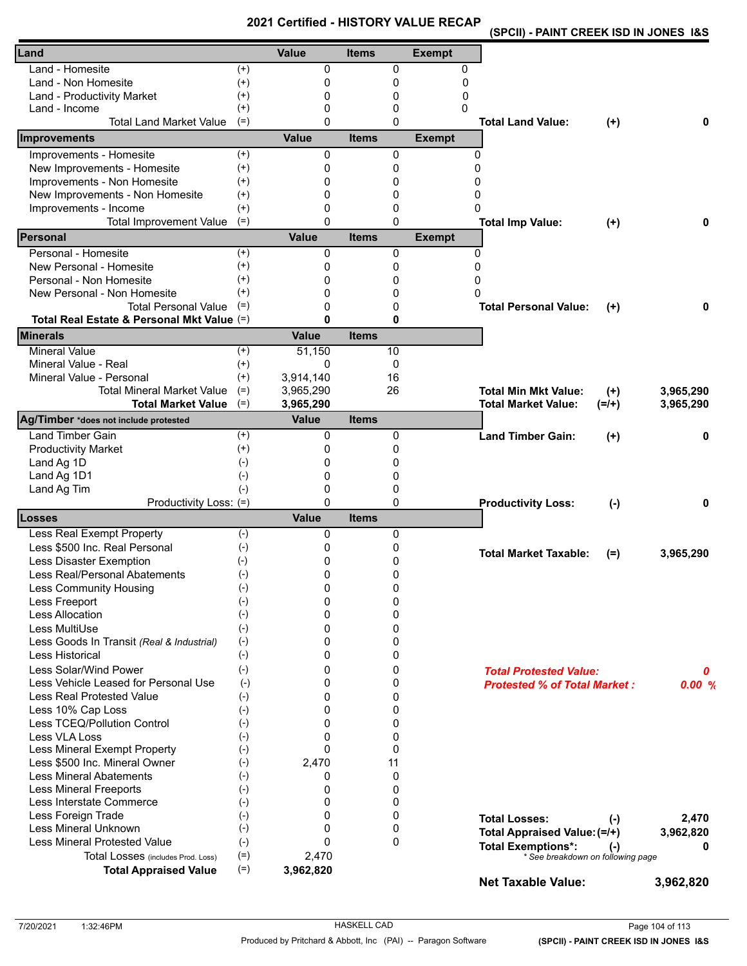| (SPCII) - PAINT CREEK ISD IN JONES 1&S |
|----------------------------------------|
|----------------------------------------|

| Land                                                               |                   | <b>Value</b>              | <b>Items</b> |              | <b>Exempt</b> |                                        |           |
|--------------------------------------------------------------------|-------------------|---------------------------|--------------|--------------|---------------|----------------------------------------|-----------|
| Land - Homesite                                                    | $^{(+)}$          | 0                         |              | $\mathbf 0$  | 0             |                                        |           |
| Land - Non Homesite                                                | $^{(+)}$          | 0                         |              | 0            | $\mathbf{0}$  |                                        |           |
| Land - Productivity Market                                         | $^{(+)}$          | 0                         |              | 0            | 0             |                                        |           |
| Land - Income                                                      | $^{(+)}$          | 0                         |              | 0            | 0             |                                        |           |
| <b>Total Land Market Value</b>                                     | $(=)$             | $\Omega$                  |              | $\Omega$     |               | <b>Total Land Value:</b><br>$(+)$      | 0         |
| Improvements                                                       |                   | Value                     | <b>Items</b> |              | <b>Exempt</b> |                                        |           |
| Improvements - Homesite                                            | $^{(+)}$          | 0                         |              | 0            | 0             |                                        |           |
| New Improvements - Homesite                                        | $(+)$             | 0                         |              | 0            | $\Omega$      |                                        |           |
| Improvements - Non Homesite                                        | $^{(+)}$          | 0                         |              | 0            | 0             |                                        |           |
| New Improvements - Non Homesite                                    | $^{(+)}$          | $\Omega$                  |              | 0            | $\Omega$      |                                        |           |
| Improvements - Income                                              | $^{(+)}$          | $\Omega$                  |              | 0            | <sup>0</sup>  |                                        |           |
| <b>Total Improvement Value</b>                                     | $(=)$             | $\Omega$                  |              | 0            |               | <b>Total Imp Value:</b><br>$(+)$       | 0         |
| Personal                                                           |                   | <b>Value</b>              | <b>Items</b> |              | <b>Exempt</b> |                                        |           |
| Personal - Homesite                                                | $(+)$             | 0                         |              | 0            | 0             |                                        |           |
| New Personal - Homesite                                            | $^{(+)}$          | 0                         |              | 0            | $\Omega$      |                                        |           |
| Personal - Non Homesite                                            | $^{(+)}$          | 0                         |              | 0            | 0             |                                        |           |
| New Personal - Non Homesite                                        | $(+)$             | $\Omega$                  |              | 0            | 0             |                                        |           |
| <b>Total Personal Value</b>                                        | $(=)$             | $\Omega$                  |              | 0            |               | <b>Total Personal Value:</b><br>$(+)$  | 0         |
| Total Real Estate & Personal Mkt Value (=)                         |                   | $\bf{0}$                  |              | 0            |               |                                        |           |
| <b>Minerals</b>                                                    |                   | Value                     | <b>Items</b> |              |               |                                        |           |
| <b>Mineral Value</b>                                               | $^{(+)}$          | 51,150                    |              | 10           |               |                                        |           |
| Mineral Value - Real                                               | $(+)$             | $\Omega$                  |              | 0            |               |                                        |           |
| Mineral Value - Personal                                           | $^{(+)}$          | 3,914,140                 |              | 16           |               |                                        |           |
| <b>Total Mineral Market Value</b>                                  | $(=)$             | 3,965,290                 |              | 26           |               | <b>Total Min Mkt Value:</b><br>$(+)$   | 3,965,290 |
| <b>Total Market Value</b><br>Ag/Timber *does not include protested | $(=)$             | 3,965,290<br><b>Value</b> | <b>Items</b> |              |               | <b>Total Market Value:</b><br>$(=/+)$  | 3,965,290 |
| <b>Land Timber Gain</b>                                            |                   |                           |              |              |               |                                        |           |
|                                                                    | $(+)$             | 0<br>0                    |              | 0<br>0       |               | <b>Land Timber Gain:</b><br>$^{(+)}$   | 0         |
| <b>Productivity Market</b><br>Land Ag 1D                           | $^{(+)}$<br>$(-)$ | 0                         |              | 0            |               |                                        |           |
| Land Ag 1D1                                                        | $(-)$             | 0                         |              | 0            |               |                                        |           |
| Land Ag Tim                                                        | $(-)$             | 0                         |              | 0            |               |                                        |           |
| Productivity Loss: (=)                                             |                   | $\mathbf{0}$              |              | $\mathbf{0}$ |               | <b>Productivity Loss:</b><br>$(-)$     | 0         |
| <b>Losses</b>                                                      |                   | Value                     | <b>Items</b> |              |               |                                        |           |
| Less Real Exempt Property                                          | $(-)$             | 0                         |              | 0            |               |                                        |           |
| Less \$500 Inc. Real Personal                                      | $(-)$             | 0                         |              | 0            |               |                                        |           |
| Less Disaster Exemption                                            | $(-)$             | 0                         |              | 0            |               | <b>Total Market Taxable:</b><br>$(=)$  | 3,965,290 |
| Less Real/Personal Abatements                                      | $(-)$             | $\Omega$                  |              | 0            |               |                                        |           |
| <b>Less Community Housing</b>                                      | $(-)$             | 0                         |              | 0            |               |                                        |           |
| Less Freeport                                                      | $(-)$             | $\Omega$                  |              | 0            |               |                                        |           |
| <b>Less Allocation</b>                                             | $(-)$             | 0                         |              | 0            |               |                                        |           |
| Less MultiUse                                                      | $(-)$             | 0                         |              | 0            |               |                                        |           |
| Less Goods In Transit (Real & Industrial)                          | $(-)$             | $\Omega$                  |              | 0            |               |                                        |           |
| Less Historical                                                    | $(-)$             | $\Omega$                  |              | 0            |               |                                        |           |
| Less Solar/Wind Power                                              | $(-)$             | $\Omega$                  |              | 0            |               | <b>Total Protested Value:</b>          | 0         |
| Less Vehicle Leased for Personal Use                               | $(-)$             | $\Omega$                  |              | 0            |               | <b>Protested % of Total Market:</b>    | 0.00%     |
| <b>Less Real Protested Value</b>                                   | $(-)$             | 0                         |              | 0            |               |                                        |           |
| Less 10% Cap Loss                                                  | $(-)$             | $\Omega$                  |              | 0            |               |                                        |           |
| Less TCEQ/Pollution Control                                        | $(-)$             | $\Omega$                  |              | 0            |               |                                        |           |
| Less VLA Loss                                                      | $(-)$             | $\Omega$                  |              | 0            |               |                                        |           |
| Less Mineral Exempt Property                                       | $(-)$             | $\Omega$                  |              | $\mathbf{0}$ |               |                                        |           |
| Less \$500 Inc. Mineral Owner                                      | $(-)$             | 2,470                     |              | 11           |               |                                        |           |
| <b>Less Mineral Abatements</b>                                     | $(-)$             | 0                         |              | 0            |               |                                        |           |
| <b>Less Mineral Freeports</b>                                      | $(-)$             | 0                         |              | 0            |               |                                        |           |
| Less Interstate Commerce                                           | $(-)$             | $\Omega$                  |              | 0            |               |                                        |           |
| Less Foreign Trade                                                 | $(-)$             | $\Omega$                  |              | 0            |               | <b>Total Losses:</b><br>$(\cdot)$      | 2,470     |
| Less Mineral Unknown                                               | $(-)$             | $\Omega$                  |              | 0            |               | Total Appraised Value: (=/+)           | 3,962,820 |
| Less Mineral Protested Value                                       | $(-)$             | 0                         |              | $\mathbf{0}$ |               | <b>Total Exemptions*:</b><br>$(\cdot)$ | 0         |
| Total Losses (includes Prod. Loss)                                 | $(=)$             | 2,470                     |              |              |               | * See breakdown on following page      |           |
| <b>Total Appraised Value</b>                                       | $(=)$             | 3,962,820                 |              |              |               | <b>Net Taxable Value:</b>              | 3,962,820 |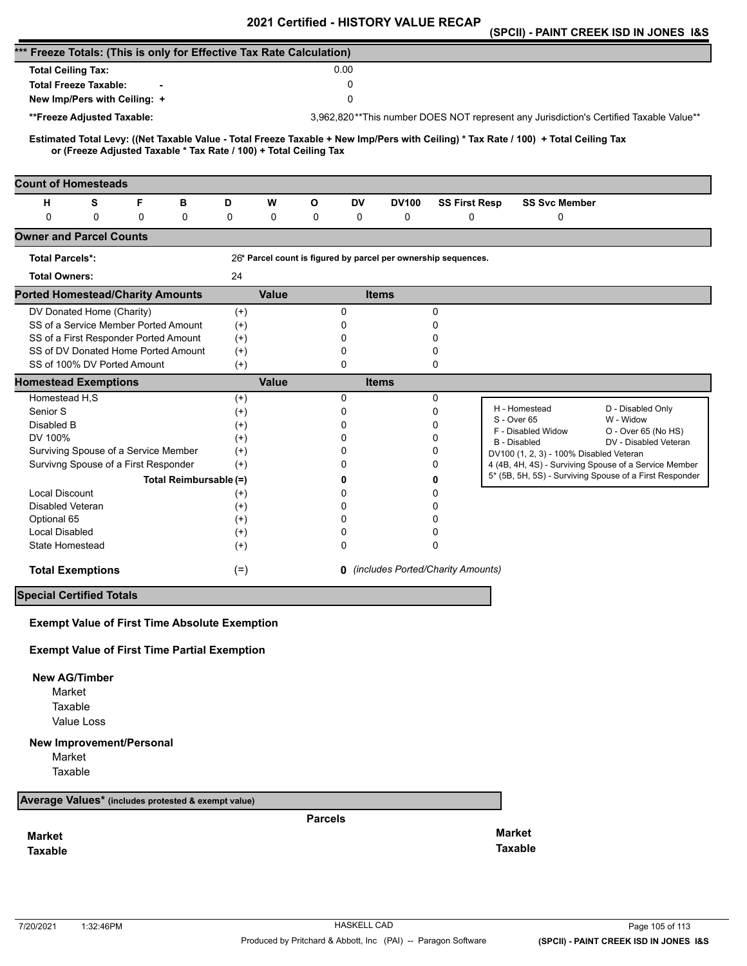|                                                                      |            |                                     |                                                                   |                                                     |              |                |          | 2021 Certified - HISTORY VALUE RECAP                           |                      |                                                                                                                                     | (SPCII) - PAINT CREEK ISD IN JONES 1&S                                                 |
|----------------------------------------------------------------------|------------|-------------------------------------|-------------------------------------------------------------------|-----------------------------------------------------|--------------|----------------|----------|----------------------------------------------------------------|----------------------|-------------------------------------------------------------------------------------------------------------------------------------|----------------------------------------------------------------------------------------|
| *** Freeze Totals: (This is only for Effective Tax Rate Calculation) |            |                                     |                                                                   |                                                     |              |                |          |                                                                |                      |                                                                                                                                     |                                                                                        |
| <b>Total Ceiling Tax:</b>                                            |            |                                     |                                                                   |                                                     |              |                | 0.00     |                                                                |                      |                                                                                                                                     |                                                                                        |
| <b>Total Freeze Taxable:</b>                                         |            |                                     |                                                                   |                                                     |              |                | 0        |                                                                |                      |                                                                                                                                     |                                                                                        |
| 0<br>New Imp/Pers with Ceiling: +                                    |            |                                     |                                                                   |                                                     |              |                |          |                                                                |                      |                                                                                                                                     |                                                                                        |
| **Freeze Adjusted Taxable:                                           |            |                                     |                                                                   |                                                     |              |                |          |                                                                |                      |                                                                                                                                     | 3,962,820**This number DOES NOT represent any Jurisdiction's Certified Taxable Value** |
|                                                                      |            |                                     |                                                                   |                                                     |              |                |          |                                                                |                      |                                                                                                                                     |                                                                                        |
|                                                                      |            |                                     | or (Freeze Adjusted Taxable * Tax Rate / 100) + Total Ceiling Tax |                                                     |              |                |          |                                                                |                      | Estimated Total Levy: ((Net Taxable Value - Total Freeze Taxable + New Imp/Pers with Ceiling) * Tax Rate / 100) + Total Ceiling Tax |                                                                                        |
| <b>Count of Homesteads</b>                                           |            |                                     |                                                                   |                                                     |              |                |          |                                                                |                      |                                                                                                                                     |                                                                                        |
| н                                                                    | S          | F                                   | в                                                                 | D                                                   | W            | О              | DV       | <b>DV100</b>                                                   | <b>SS First Resp</b> | <b>SS Svc Member</b>                                                                                                                |                                                                                        |
| $\Omega$                                                             | 0          | 0                                   | 0                                                                 | 0                                                   | 0            | 0              | 0        | 0                                                              | 0                    | 0                                                                                                                                   |                                                                                        |
| <b>Owner and Parcel Counts</b>                                       |            |                                     |                                                                   |                                                     |              |                |          |                                                                |                      |                                                                                                                                     |                                                                                        |
| <b>Total Parcels*:</b>                                               |            |                                     |                                                                   |                                                     |              |                |          | 26* Parcel count is figured by parcel per ownership sequences. |                      |                                                                                                                                     |                                                                                        |
| <b>Total Owners:</b>                                                 |            |                                     |                                                                   | 24                                                  |              |                |          |                                                                |                      |                                                                                                                                     |                                                                                        |
| <b>Ported Homestead/Charity Amounts</b>                              |            |                                     |                                                                   |                                                     | <b>Value</b> |                |          | <b>Items</b>                                                   |                      |                                                                                                                                     |                                                                                        |
| DV Donated Home (Charity)                                            |            |                                     |                                                                   | $^{(+)}$                                            |              |                | 0        |                                                                | 0                    |                                                                                                                                     |                                                                                        |
| SS of a Service Member Ported Amount                                 |            |                                     |                                                                   | $^{(+)}$                                            |              |                | 0        |                                                                | 0                    |                                                                                                                                     |                                                                                        |
| SS of a First Responder Ported Amount                                |            |                                     |                                                                   | $^{(+)}$                                            |              |                | 0        |                                                                | 0                    |                                                                                                                                     |                                                                                        |
|                                                                      |            | SS of DV Donated Home Ported Amount |                                                                   | $(+)$                                               |              |                | 0        |                                                                | 0                    |                                                                                                                                     |                                                                                        |
|                                                                      |            | SS of 100% DV Ported Amount         |                                                                   | $(+)$                                               |              |                | 0        |                                                                | 0                    |                                                                                                                                     |                                                                                        |
| <b>Homestead Exemptions</b>                                          |            |                                     |                                                                   |                                                     | <b>Value</b> |                |          | <b>Items</b>                                                   |                      |                                                                                                                                     |                                                                                        |
| Homestead H,S                                                        |            |                                     |                                                                   | $^{(+)}$                                            |              |                | 0        |                                                                | 0                    | H - Homestead                                                                                                                       | D - Disabled Only                                                                      |
| Senior S                                                             |            |                                     |                                                                   | $^{(+)}$                                            |              |                | 0        |                                                                | $\mathbf 0$          | S - Over 65                                                                                                                         | W - Widow                                                                              |
| Disabled B<br>DV 100%                                                |            |                                     |                                                                   | $^{(+)}$                                            |              |                | 0<br>0   |                                                                | 0<br>0               | F - Disabled Widow                                                                                                                  | O - Over 65 (No HS)                                                                    |
| Surviving Spouse of a Service Member                                 |            |                                     |                                                                   | $^{(+)}$<br>$^{(+)}$                                |              |                | 0        |                                                                | 0                    | <b>B</b> - Disabled                                                                                                                 | DV - Disabled Veteran                                                                  |
| Survivng Spouse of a First Responder                                 |            |                                     |                                                                   | $(+)$                                               |              |                | 0        |                                                                | 0                    | DV100 (1, 2, 3) - 100% Disabled Veteran                                                                                             | 4 (4B, 4H, 4S) - Surviving Spouse of a Service Member                                  |
|                                                                      |            |                                     | Total Reimbursable (=)                                            |                                                     |              |                | 0        |                                                                | 0                    |                                                                                                                                     | 5* (5B, 5H, 5S) - Surviving Spouse of a First Responder                                |
| <b>Local Discount</b>                                                |            |                                     |                                                                   | $^{(+)}$                                            |              |                | 0        |                                                                | 0                    |                                                                                                                                     |                                                                                        |
| Disabled Veteran                                                     |            |                                     |                                                                   | $^{(+)}$                                            |              |                | 0        |                                                                | 0                    |                                                                                                                                     |                                                                                        |
| Optional 65                                                          |            |                                     |                                                                   | $^{(+)}$                                            |              |                | $\Omega$ |                                                                | 0                    |                                                                                                                                     |                                                                                        |
| <b>Local Disabled</b>                                                |            |                                     |                                                                   | $^{(+)}$                                            |              |                | 0        |                                                                | 0                    |                                                                                                                                     |                                                                                        |
| State Homestead                                                      |            |                                     |                                                                   | $(+)$                                               |              |                | 0        |                                                                | 0                    |                                                                                                                                     |                                                                                        |
| <b>Total Exemptions</b>                                              |            |                                     |                                                                   | <b>0</b> (includes Ported/Charity Amounts)<br>$(=)$ |              |                |          |                                                                |                      |                                                                                                                                     |                                                                                        |
| <b>Special Certified Totals</b>                                      |            |                                     |                                                                   |                                                     |              |                |          |                                                                |                      |                                                                                                                                     |                                                                                        |
| <b>Exempt Value of First Time Absolute Exemption</b>                 |            |                                     |                                                                   |                                                     |              |                |          |                                                                |                      |                                                                                                                                     |                                                                                        |
| <b>Exempt Value of First Time Partial Exemption</b>                  |            |                                     |                                                                   |                                                     |              |                |          |                                                                |                      |                                                                                                                                     |                                                                                        |
|                                                                      |            |                                     |                                                                   |                                                     |              |                |          |                                                                |                      |                                                                                                                                     |                                                                                        |
| <b>New AG/Timber</b><br>Market                                       |            |                                     |                                                                   |                                                     |              |                |          |                                                                |                      |                                                                                                                                     |                                                                                        |
| Taxable                                                              |            |                                     |                                                                   |                                                     |              |                |          |                                                                |                      |                                                                                                                                     |                                                                                        |
|                                                                      | Value Loss |                                     |                                                                   |                                                     |              |                |          |                                                                |                      |                                                                                                                                     |                                                                                        |
|                                                                      |            |                                     |                                                                   |                                                     |              |                |          |                                                                |                      |                                                                                                                                     |                                                                                        |
| <b>New Improvement/Personal</b>                                      |            |                                     |                                                                   |                                                     |              |                |          |                                                                |                      |                                                                                                                                     |                                                                                        |
| Market<br>Taxable                                                    |            |                                     |                                                                   |                                                     |              |                |          |                                                                |                      |                                                                                                                                     |                                                                                        |
| Average Values* (includes protested & exempt value)                  |            |                                     |                                                                   |                                                     |              |                |          |                                                                |                      |                                                                                                                                     |                                                                                        |
|                                                                      |            |                                     |                                                                   |                                                     |              |                |          |                                                                |                      |                                                                                                                                     |                                                                                        |
|                                                                      |            |                                     |                                                                   |                                                     |              | <b>Parcels</b> |          |                                                                |                      | <b>Market</b>                                                                                                                       |                                                                                        |
| <b>Market</b>                                                        |            |                                     |                                                                   |                                                     |              |                |          |                                                                |                      | <b>Taxable</b>                                                                                                                      |                                                                                        |
| <b>Taxable</b>                                                       |            |                                     |                                                                   |                                                     |              |                |          |                                                                |                      |                                                                                                                                     |                                                                                        |
|                                                                      |            |                                     |                                                                   |                                                     |              |                |          |                                                                |                      |                                                                                                                                     |                                                                                        |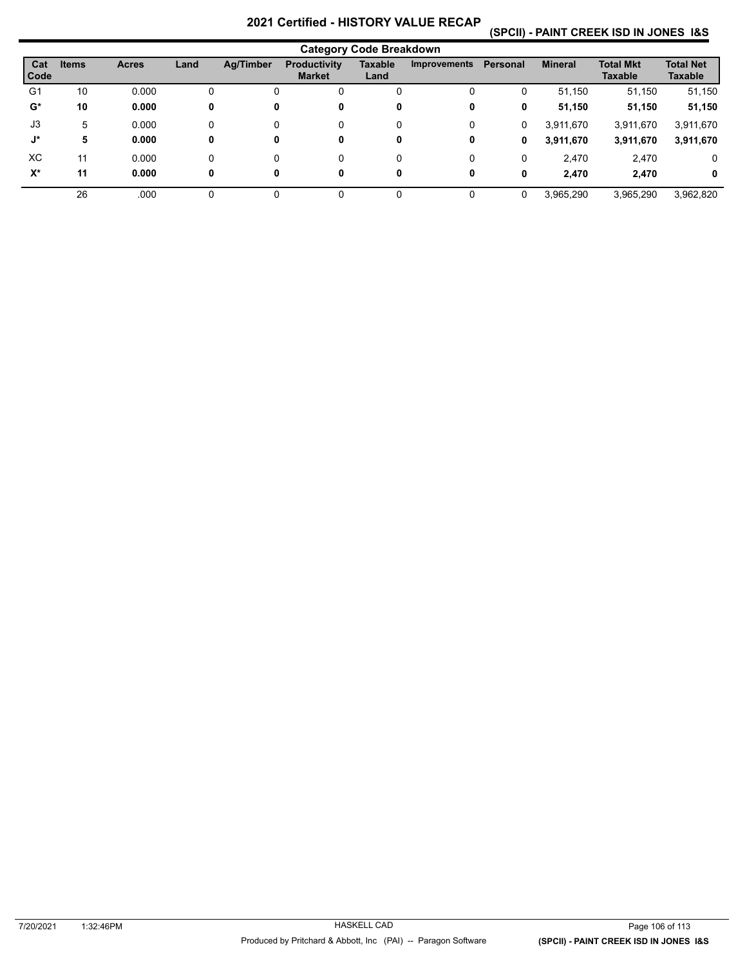# **(SPCII) - PAINT CREEK ISD IN JONES I&S**

| <b>Category Code Breakdown</b> |              |              |      |           |                                      |                        |                     |          |                |                                    |                                    |
|--------------------------------|--------------|--------------|------|-----------|--------------------------------------|------------------------|---------------------|----------|----------------|------------------------------------|------------------------------------|
| Cat<br>Code                    | <b>Items</b> | <b>Acres</b> | Land | Ag/Timber | <b>Productivity</b><br><b>Market</b> | <b>Taxable</b><br>Land | <b>Improvements</b> | Personal | <b>Mineral</b> | <b>Total Mkt</b><br><b>Taxable</b> | <b>Total Net</b><br><b>Taxable</b> |
| G1                             | 10           | 0.000        | 0    |           | 0                                    | 0                      | 0                   | 0        | 51,150         | 51,150                             | 51,150                             |
| $G^*$                          | 10           | 0.000        | 0    | 0         | 0                                    | 0                      | 0                   | 0        | 51,150         | 51,150                             | 51,150                             |
| J3                             | 5            | 0.000        | 0    |           | 0                                    | 0                      | 0                   | 0        | 3,911,670      | 3,911,670                          | 3,911,670                          |
| J*                             | 5            | 0.000        | 0    | 0         | 0                                    | 0                      | 0                   | 0        | 3,911,670      | 3,911,670                          | 3,911,670                          |
| XC                             | 11           | 0.000        | 0    |           | 0                                    | 0                      | 0                   | 0        | 2.470          | 2,470                              | 0                                  |
| $X^*$                          | 11           | 0.000        | 0    | 0         | 0                                    | 0                      | 0                   | 0        | 2.470          | 2.470                              | 0                                  |
|                                | 26           | .000         |      |           | 0                                    | $\Omega$               | 0                   | 0        | 3,965,290      | 3,965,290                          | 3,962,820                          |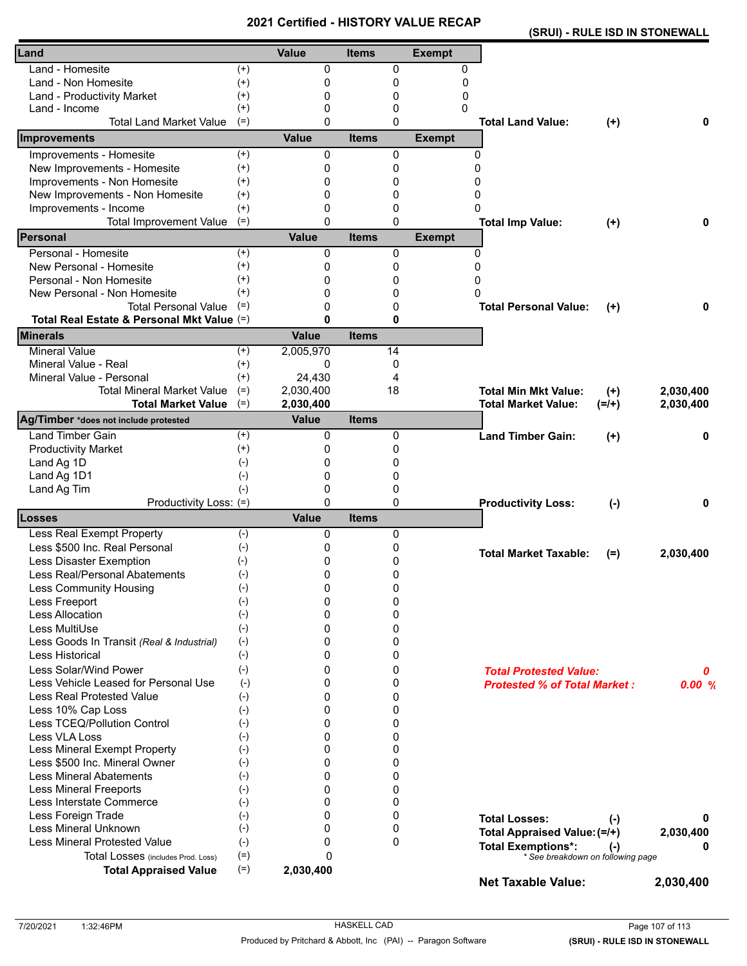|                                                               |                |                          | - 1110       | 11 YAL      |               | (SRUI) - RULE ISD IN STONEWALL                                 |           |           |
|---------------------------------------------------------------|----------------|--------------------------|--------------|-------------|---------------|----------------------------------------------------------------|-----------|-----------|
| Land                                                          |                | <b>Value</b>             | <b>Items</b> |             | <b>Exempt</b> |                                                                |           |           |
| Land - Homesite                                               | $(+)$          | 0                        |              | 0           | 0             |                                                                |           |           |
| Land - Non Homesite                                           | $(+)$          | 0                        |              | 0           | 0             |                                                                |           |           |
| Land - Productivity Market                                    | $^{(+)}$       | 0                        |              | 0           | 0             |                                                                |           |           |
| Land - Income                                                 | $^{(+)}$       | $\Omega$                 |              | 0           | 0             |                                                                |           |           |
| <b>Total Land Market Value</b>                                | $(=)$          | $\Omega$                 |              | 0           |               | <b>Total Land Value:</b>                                       | $(+)$     | 0         |
| Improvements                                                  |                | <b>Value</b>             | <b>Items</b> |             | <b>Exempt</b> |                                                                |           |           |
| Improvements - Homesite                                       | $(+)$          | $\Omega$                 |              | 0           | 0             |                                                                |           |           |
| New Improvements - Homesite                                   | $(+)$          | 0                        |              | 0           | $\Omega$      |                                                                |           |           |
| Improvements - Non Homesite                                   | $^{(+)}$       | 0                        |              | 0           | 0             |                                                                |           |           |
| New Improvements - Non Homesite                               | $^{(+)}$       | $\Omega$                 |              | 0           | 0             |                                                                |           |           |
| Improvements - Income                                         | $(+)$          | 0                        |              | 0           | 0             |                                                                |           |           |
| <b>Total Improvement Value</b>                                | $(=)$          | $\Omega$                 |              | 0           |               | <b>Total Imp Value:</b>                                        | $(+)$     | 0         |
| <b>Personal</b>                                               |                | Value                    | <b>Items</b> |             | <b>Exempt</b> |                                                                |           |           |
| Personal - Homesite                                           | $^{(+)}$       | 0                        |              | 0           | 0             |                                                                |           |           |
| New Personal - Homesite                                       | $^{(+)}$       | 0                        |              | 0           | $\Omega$      |                                                                |           |           |
| Personal - Non Homesite                                       | $^{(+)}$       | 0                        |              | 0           | 0             |                                                                |           |           |
| New Personal - Non Homesite                                   | $^{(+)}$       | 0                        |              | 0           | O             |                                                                |           |           |
| <b>Total Personal Value</b>                                   | $(=)$          | 0                        |              | 0           |               | <b>Total Personal Value:</b>                                   | $(+)$     | 0         |
| Total Real Estate & Personal Mkt Value (=)                    |                | 0                        |              | 0           |               |                                                                |           |           |
| <b>Minerals</b>                                               |                | <b>Value</b>             | <b>Items</b> |             |               |                                                                |           |           |
| <b>Mineral Value</b>                                          | $^{(+)}$       | 2,005,970                |              | 14          |               |                                                                |           |           |
| Mineral Value - Real                                          | $^{(+)}$       | 0                        |              | 0           |               |                                                                |           |           |
| Mineral Value - Personal                                      | $^{(+)}$       | 24.430                   |              | 4           |               |                                                                |           |           |
| <b>Total Mineral Market Value</b>                             | $(=)$          | 2,030,400                |              | 18          |               | <b>Total Min Mkt Value:</b>                                    | $(+)$     | 2,030,400 |
| <b>Total Market Value</b>                                     | $(=)$          | 2,030,400                |              |             |               | <b>Total Market Value:</b>                                     | $(=/+)$   | 2,030,400 |
| Ag/Timber *does not include protested                         |                | <b>Value</b>             | <b>Items</b> |             |               |                                                                |           |           |
| <b>Land Timber Gain</b>                                       | $^{(+)}$       | 0                        |              | 0           |               | <b>Land Timber Gain:</b>                                       | $^{(+)}$  | 0         |
| <b>Productivity Market</b>                                    | $^{(+)}$       | 0                        |              | 0           |               |                                                                |           |           |
| Land Ag 1D                                                    | $(-)$          | 0                        |              | 0           |               |                                                                |           |           |
| Land Ag 1D1                                                   | $(-)$          | 0                        |              | 0           |               |                                                                |           |           |
| Land Ag Tim                                                   | $(-)$          | 0                        |              | 0           |               |                                                                |           |           |
| Productivity Loss: (=)<br>Losses                              |                | $\Omega$<br><b>Value</b> | <b>Items</b> | 0           |               | <b>Productivity Loss:</b>                                      | $(-)$     | 0         |
| Less Real Exempt Property                                     | $(-)$          | 0                        |              | 0           |               |                                                                |           |           |
| Less \$500 Inc. Real Personal                                 |                |                          |              |             |               |                                                                |           |           |
|                                                               | $(-)$          | 0                        |              | 0           |               | <b>Total Market Taxable:</b>                                   | $(=)$     | 2,030,400 |
| Less Disaster Exemption                                       | $(-)$          | 0                        |              | 0           |               |                                                                |           |           |
| Less Real/Personal Abatements                                 | $(-)$          | 0                        |              | 0           |               |                                                                |           |           |
| <b>Less Community Housing</b>                                 | $(-)$          | 0                        |              | 0           |               |                                                                |           |           |
| Less Freeport<br>Less Allocation                              | $(-)$          | 0<br>0                   |              | 0<br>0      |               |                                                                |           |           |
| Less MultiUse                                                 | $(-)$          |                          |              |             |               |                                                                |           |           |
|                                                               | $(-)$          | 0<br>0                   |              | 0<br>0      |               |                                                                |           |           |
| Less Goods In Transit (Real & Industrial)<br>Less Historical  | $(-)$          | 0                        |              | 0           |               |                                                                |           |           |
|                                                               | $(-)$          |                          |              |             |               |                                                                |           |           |
| Less Solar/Wind Power                                         | $(-)$          | 0                        |              | 0           |               | <b>Total Protested Value:</b>                                  |           | 0         |
| Less Vehicle Leased for Personal Use                          | $(-)$          | 0                        |              | 0           |               | <b>Protested % of Total Market:</b>                            |           | 0.00%     |
| Less Real Protested Value                                     | $(-)$          | 0                        |              | 0           |               |                                                                |           |           |
| Less 10% Cap Loss<br>Less TCEQ/Pollution Control              | $(-)$          | 0<br>0                   |              | 0<br>0      |               |                                                                |           |           |
| Less VLA Loss                                                 | $(-)$          |                          |              |             |               |                                                                |           |           |
|                                                               | $(-)$          | 0<br>0                   |              | 0<br>0      |               |                                                                |           |           |
| Less Mineral Exempt Property<br>Less \$500 Inc. Mineral Owner | $(-)$<br>$(-)$ | 0                        |              | 0           |               |                                                                |           |           |
| <b>Less Mineral Abatements</b>                                | $(-)$          | 0                        |              | 0           |               |                                                                |           |           |
| <b>Less Mineral Freeports</b>                                 | $(-)$          | 0                        |              | 0           |               |                                                                |           |           |
| Less Interstate Commerce                                      | $(-)$          | 0                        |              | 0           |               |                                                                |           |           |
| Less Foreign Trade                                            | $(-)$          | 0                        |              | 0           |               |                                                                |           |           |
| Less Mineral Unknown                                          | $(-)$          | 0                        |              | 0           |               | <b>Total Losses:</b>                                           | $(\cdot)$ | 0         |
| <b>Less Mineral Protested Value</b>                           | $(-)$          | 0                        |              | $\mathbf 0$ |               | Total Appraised Value: (=/+)                                   |           | 2,030,400 |
| Total Losses (includes Prod. Loss)                            | $(=)$          | 0                        |              |             |               | <b>Total Exemptions*:</b><br>* See breakdown on following page | $(-)$     | o         |
| <b>Total Appraised Value</b>                                  | $(=)$          | 2,030,400                |              |             |               |                                                                |           |           |
|                                                               |                |                          |              |             |               | <b>Net Taxable Value:</b>                                      |           | 2,030,400 |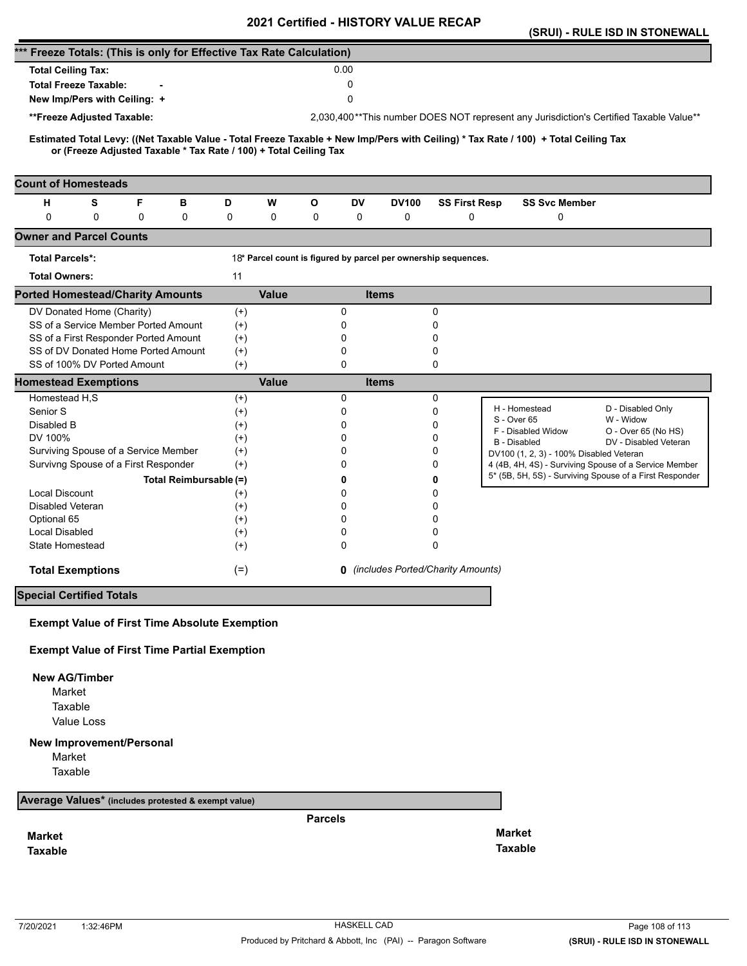|                                                                                                                                                                                                          |                       | <b>VEILIIIEU - FIIJTUNT VALUE</b> |                                                                |                                                                                        | (SRUI) - RULE ISD IN STONEWALL               |
|----------------------------------------------------------------------------------------------------------------------------------------------------------------------------------------------------------|-----------------------|-----------------------------------|----------------------------------------------------------------|----------------------------------------------------------------------------------------|----------------------------------------------|
| *** Freeze Totals: (This is only for Effective Tax Rate Calculation)                                                                                                                                     |                       |                                   |                                                                |                                                                                        |                                              |
| <b>Total Ceiling Tax:</b>                                                                                                                                                                                |                       | 0.00                              |                                                                |                                                                                        |                                              |
| <b>Total Freeze Taxable:</b>                                                                                                                                                                             |                       | 0                                 |                                                                |                                                                                        |                                              |
| New Imp/Pers with Ceiling: +                                                                                                                                                                             |                       | 0                                 |                                                                |                                                                                        |                                              |
| **Freeze Adjusted Taxable:                                                                                                                                                                               |                       |                                   |                                                                | 2,030,400**This number DOES NOT represent any Jurisdiction's Certified Taxable Value** |                                              |
|                                                                                                                                                                                                          |                       |                                   |                                                                |                                                                                        |                                              |
| Estimated Total Levy: ((Net Taxable Value - Total Freeze Taxable + New Imp/Pers with Ceiling) * Tax Rate / 100) + Total Ceiling Tax<br>or (Freeze Adjusted Taxable * Tax Rate / 100) + Total Ceiling Tax |                       |                                   |                                                                |                                                                                        |                                              |
|                                                                                                                                                                                                          |                       |                                   |                                                                |                                                                                        |                                              |
| <b>Count of Homesteads</b>                                                                                                                                                                               |                       |                                   |                                                                |                                                                                        |                                              |
| S<br>F<br>н<br>в<br>$\mathbf 0$<br>0<br>0<br>0                                                                                                                                                           | D<br>W<br>0<br>0      | О<br>DV<br>0<br>0                 | <b>DV100</b><br>0                                              | <b>SS First Resp</b><br><b>SS Svc Member</b><br>0<br>0                                 |                                              |
| <b>Owner and Parcel Counts</b>                                                                                                                                                                           |                       |                                   |                                                                |                                                                                        |                                              |
| <b>Total Parcels*:</b>                                                                                                                                                                                   |                       |                                   | 18* Parcel count is figured by parcel per ownership sequences. |                                                                                        |                                              |
| <b>Total Owners:</b>                                                                                                                                                                                     | 11                    |                                   |                                                                |                                                                                        |                                              |
| <b>Ported Homestead/Charity Amounts</b>                                                                                                                                                                  | <b>Value</b>          |                                   | <b>Items</b>                                                   |                                                                                        |                                              |
| DV Donated Home (Charity)                                                                                                                                                                                | $^{(+)}$              | 0                                 | 0                                                              |                                                                                        |                                              |
| SS of a Service Member Ported Amount                                                                                                                                                                     | $^{(+)}$              | 0                                 | 0                                                              |                                                                                        |                                              |
| SS of a First Responder Ported Amount                                                                                                                                                                    | $^{(+)}$              | 0                                 | 0                                                              |                                                                                        |                                              |
| SS of DV Donated Home Ported Amount<br>SS of 100% DV Ported Amount                                                                                                                                       | $(+)$                 | 0<br>0                            | 0<br>$\Omega$                                                  |                                                                                        |                                              |
| <b>Homestead Exemptions</b>                                                                                                                                                                              | $(+)$<br><b>Value</b> |                                   | <b>Items</b>                                                   |                                                                                        |                                              |
| Homestead H,S                                                                                                                                                                                            | $^{(+)}$              | 0                                 | 0                                                              |                                                                                        |                                              |
| Senior S                                                                                                                                                                                                 | $^{(+)}$              | 0                                 | $\mathbf 0$                                                    | H - Homestead                                                                          | D - Disabled Only                            |
| Disabled B                                                                                                                                                                                               | $^{(+)}$              | $\Omega$                          | 0                                                              | S - Over 65<br>F - Disabled Widow                                                      | W - Widow                                    |
| DV 100%                                                                                                                                                                                                  | $^{(+)}$              | 0                                 | 0                                                              | <b>B</b> - Disabled                                                                    | O - Over 65 (No HS)<br>DV - Disabled Veteran |
| Surviving Spouse of a Service Member                                                                                                                                                                     | $(+)$                 | 0                                 | 0                                                              | DV100 (1, 2, 3) - 100% Disabled Veteran                                                |                                              |
| Survivng Spouse of a First Responder                                                                                                                                                                     | $(+)$                 | 0                                 | 0                                                              | 4 (4B, 4H, 4S) - Surviving Spouse of a Service Member                                  |                                              |
| Total Reimbursable (=)                                                                                                                                                                                   |                       | 0                                 | 0                                                              | 5* (5B, 5H, 5S) - Surviving Spouse of a First Responder                                |                                              |
| <b>Local Discount</b>                                                                                                                                                                                    | $^{(+)}$              | 0                                 | 0                                                              |                                                                                        |                                              |
| Disabled Veteran                                                                                                                                                                                         | $^{(+)}$              | 0                                 | 0                                                              |                                                                                        |                                              |
| Optional 65                                                                                                                                                                                              | $^{(+)}$              | $\Omega$                          | 0                                                              |                                                                                        |                                              |
| Local Disabled<br>State Homestead                                                                                                                                                                        | $^{(+)}$<br>$^{(+)}$  | 0<br>0                            | 0<br>$\Omega$                                                  |                                                                                        |                                              |
|                                                                                                                                                                                                          |                       |                                   |                                                                |                                                                                        |                                              |
| <b>Total Exemptions</b>                                                                                                                                                                                  | $(=)$                 |                                   | <b>0</b> (includes Ported/Charity Amounts)                     |                                                                                        |                                              |
| <b>Special Certified Totals</b>                                                                                                                                                                          |                       |                                   |                                                                |                                                                                        |                                              |
| <b>Exempt Value of First Time Absolute Exemption</b>                                                                                                                                                     |                       |                                   |                                                                |                                                                                        |                                              |
| <b>Exempt Value of First Time Partial Exemption</b>                                                                                                                                                      |                       |                                   |                                                                |                                                                                        |                                              |
| <b>New AG/Timber</b>                                                                                                                                                                                     |                       |                                   |                                                                |                                                                                        |                                              |
| Market                                                                                                                                                                                                   |                       |                                   |                                                                |                                                                                        |                                              |
| Taxable                                                                                                                                                                                                  |                       |                                   |                                                                |                                                                                        |                                              |
| Value Loss                                                                                                                                                                                               |                       |                                   |                                                                |                                                                                        |                                              |
| New Improvement/Personal                                                                                                                                                                                 |                       |                                   |                                                                |                                                                                        |                                              |
| Market                                                                                                                                                                                                   |                       |                                   |                                                                |                                                                                        |                                              |
| Taxable                                                                                                                                                                                                  |                       |                                   |                                                                |                                                                                        |                                              |
| Average Values* (includes protested & exempt value)                                                                                                                                                      |                       |                                   |                                                                |                                                                                        |                                              |
|                                                                                                                                                                                                          |                       | <b>Parcels</b>                    |                                                                |                                                                                        |                                              |
| <b>Market</b>                                                                                                                                                                                            |                       |                                   |                                                                | <b>Market</b>                                                                          |                                              |
| <b>Taxable</b>                                                                                                                                                                                           |                       |                                   |                                                                | <b>Taxable</b>                                                                         |                                              |
|                                                                                                                                                                                                          |                       |                                   |                                                                |                                                                                        |                                              |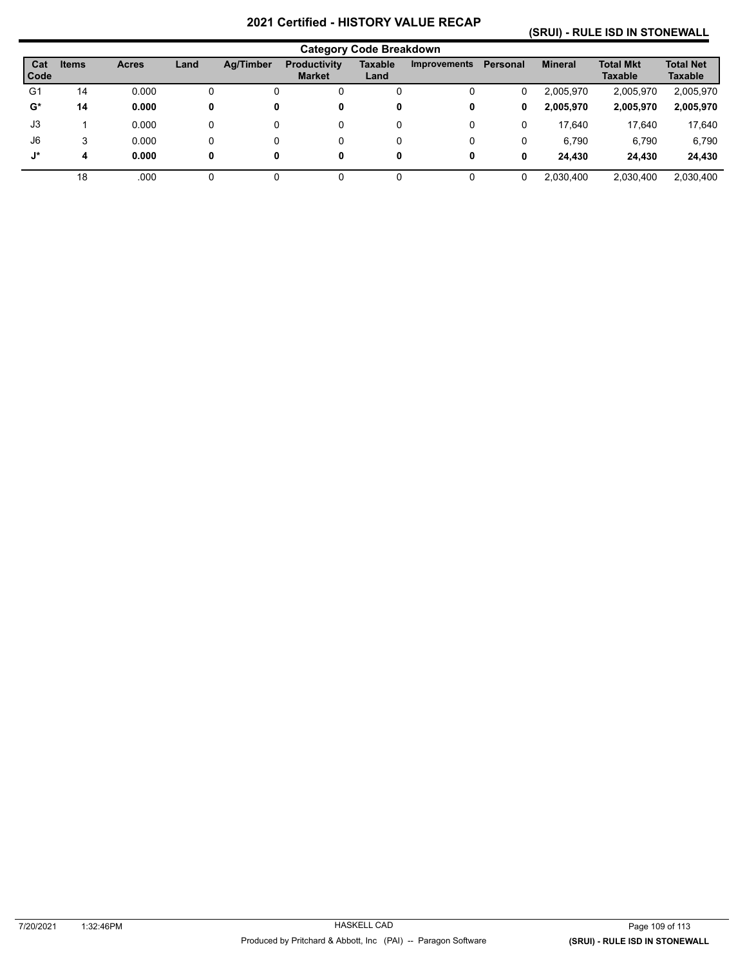## **(SRUI) - RULE ISD IN STONEWALL**

|                |              |              |      |                  |                                      | <b>Category Code Breakdown</b> |                     |          |                |                                    |                             |
|----------------|--------------|--------------|------|------------------|--------------------------------------|--------------------------------|---------------------|----------|----------------|------------------------------------|-----------------------------|
| Cat<br>Code    | <b>Items</b> | <b>Acres</b> | Land | <b>Ag/Timber</b> | <b>Productivity</b><br><b>Market</b> | Taxable<br>Land                | <b>Improvements</b> | Personal | <b>Mineral</b> | <b>Total Mkt</b><br><b>Taxable</b> | <b>Total Net</b><br>Taxable |
| G <sub>1</sub> | 14           | 0.000        | 0    |                  |                                      | 0                              | 0                   | 0        | 2,005,970      | 2,005,970                          | 2,005,970                   |
| $\mathbf{G}^*$ | 14           | 0.000        | 0    | 0                | 0                                    | 0                              | 0                   | 0        | 2,005,970      | 2,005,970                          | 2,005,970                   |
| J3             |              | 0.000        | 0    | 0                | 0                                    | 0                              | 0                   | 0        | 17,640         | 17,640                             | 17,640                      |
| J6             | 3            | 0.000        | 0    | 0                | 0                                    | 0                              | 0                   | 0        | 6.790          | 6,790                              | 6,790                       |
| J*             | 4            | 0.000        | 0    | 0                | 0                                    | 0                              | 0                   | 0        | 24.430         | 24,430                             | 24,430                      |
|                | 18           | .000         |      |                  |                                      |                                |                     | 0        | 2,030,400      | 2,030,400                          | 2,030,400                   |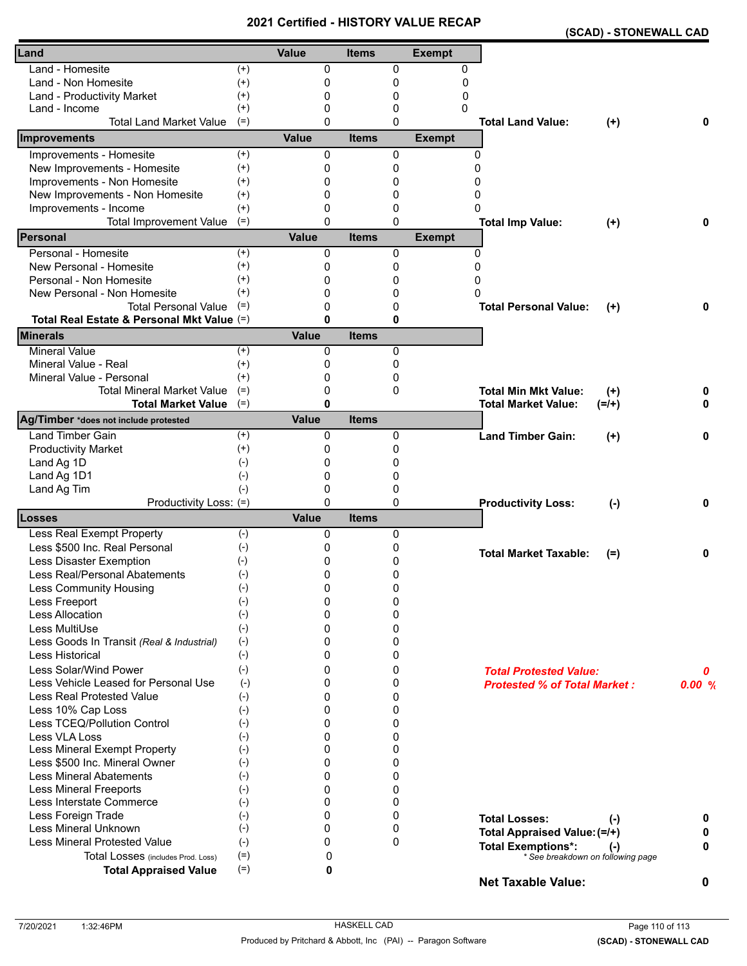|                                            |                          |              |              |              |               | (SCAD) - STONEWALL CAD                  |       |
|--------------------------------------------|--------------------------|--------------|--------------|--------------|---------------|-----------------------------------------|-------|
| Land                                       |                          | <b>Value</b> | <b>Items</b> |              | <b>Exempt</b> |                                         |       |
| Land - Homesite                            | $^{(+)}$                 | 0            |              | 0            | 0             |                                         |       |
| Land - Non Homesite                        | $^{(+)}$                 | 0            |              | 0            | 0             |                                         |       |
| Land - Productivity Market                 | $^{(+)}$                 | 0            |              | 0            | 0             |                                         |       |
| Land - Income                              | $^{(+)}$                 | 0            |              | 0            | 0             |                                         |       |
| <b>Total Land Market Value</b>             | $(=)$                    | 0            |              | 0            |               | <b>Total Land Value:</b><br>$(+)$       | 0     |
| Improvements                               |                          | <b>Value</b> | <b>Items</b> |              | <b>Exempt</b> |                                         |       |
| Improvements - Homesite                    | $(+)$                    | 0            |              | 0            |               | $\Omega$                                |       |
| New Improvements - Homesite                | $^{(+)}$                 | 0            |              | $\mathbf{0}$ | $\Omega$      |                                         |       |
| Improvements - Non Homesite                | $^{(+)}$                 | 0            |              | 0            | 0             |                                         |       |
| New Improvements - Non Homesite            | $^{(+)}$                 | 0            |              | 0            | 0             |                                         |       |
| Improvements - Income                      | $^{(+)}$                 | 0            |              | 0            | 0             |                                         |       |
| <b>Total Improvement Value</b>             | $(=)$                    | $\mathbf{0}$ |              | $\Omega$     |               | <b>Total Imp Value:</b><br>$(+)$        | 0     |
| Personal                                   |                          | <b>Value</b> | <b>Items</b> |              | <b>Exempt</b> |                                         |       |
| Personal - Homesite                        | $(+)$                    | 0            |              | 0            |               | 0                                       |       |
| New Personal - Homesite                    | $^{(+)}$                 | 0            |              | 0            | $\Omega$      |                                         |       |
| Personal - Non Homesite                    | $^{(+)}$                 | 0            |              | 0            | 0             |                                         |       |
| New Personal - Non Homesite                | $^{(+)}$                 | 0            |              | 0            | O             |                                         |       |
| <b>Total Personal Value</b>                | $(=)$                    | 0            |              | 0            |               | <b>Total Personal Value:</b><br>$(+)$   | 0     |
| Total Real Estate & Personal Mkt Value (=) |                          | 0            |              | 0            |               |                                         |       |
| <b>Minerals</b>                            |                          | <b>Value</b> | <b>Items</b> |              |               |                                         |       |
| <b>Mineral Value</b>                       | $(+)$                    | 0            |              | $\mathbf{0}$ |               |                                         |       |
| Mineral Value - Real                       | $^{(+)}$                 | 0            |              | 0            |               |                                         |       |
| Mineral Value - Personal                   | $^{(+)}$                 | 0            |              | 0            |               |                                         |       |
| <b>Total Mineral Market Value</b>          | $(=)$                    | 0            |              | 0            |               | <b>Total Min Mkt Value:</b><br>$^{(+)}$ | 0     |
| <b>Total Market Value</b>                  | $(=)$                    | 0            |              |              |               | <b>Total Market Value:</b><br>$(=/+)$   | 0     |
| Ag/Timber *does not include protested      |                          | <b>Value</b> | <b>Items</b> |              |               |                                         |       |
| <b>Land Timber Gain</b>                    | $(+)$                    | 0            |              | 0            |               | <b>Land Timber Gain:</b><br>$(+)$       | 0     |
| <b>Productivity Market</b>                 | $^{(+)}$                 | 0            |              | 0            |               |                                         |       |
| Land Ag 1D                                 | $(-)$                    | 0            |              | 0            |               |                                         |       |
| Land Ag 1D1                                | $(-)$                    | $\Omega$     |              | 0            |               |                                         |       |
| Land Ag Tim                                | $(-)$                    | $\Omega$     |              | 0            |               |                                         |       |
| Productivity Loss: (=)                     |                          | $\Omega$     |              | $\mathbf{0}$ |               | <b>Productivity Loss:</b><br>$(-)$      | 0     |
| Losses                                     |                          | <b>Value</b> | <b>Items</b> |              |               |                                         |       |
| <b>Less Real Exempt Property</b>           | $(-)$                    | 0            |              | 0            |               |                                         |       |
| Less \$500 Inc. Real Personal              | $(-)$                    | 0            |              | 0            |               | <b>Total Market Taxable:</b><br>$(=)$   | 0     |
| Less Disaster Exemption                    | $(-)$                    | 0            |              | 0            |               |                                         |       |
| Less Real/Personal Abatements              | $\left( \text{-}\right)$ | 0            |              | 0            |               |                                         |       |
| <b>Less Community Housing</b>              | $(-)$                    | 0            |              | 0            |               |                                         |       |
| Less Freeport                              | $(-)$                    | 0            |              | 0            |               |                                         |       |
| Less Allocation                            | $(-)$                    | $\Omega$     |              | 0            |               |                                         |       |
| Less MultiUse                              | $(-)$                    | 0            |              | 0            |               |                                         |       |
| Less Goods In Transit (Real & Industrial)  | $(-)$                    | 0            |              | 0            |               |                                         |       |
| <b>Less Historical</b>                     | $(-)$                    | 0            |              | 0            |               |                                         |       |
| Less Solar/Wind Power                      | $(-)$                    | 0            |              | 0            |               | <b>Total Protested Value:</b>           | 0     |
| Less Vehicle Leased for Personal Use       | $(-)$                    | 0            |              | 0            |               | <b>Protested % of Total Market:</b>     | 0.00% |
| <b>Less Real Protested Value</b>           | $(-)$                    | $\Omega$     |              | 0            |               |                                         |       |
| Less 10% Cap Loss                          | $(-)$                    | $\Omega$     |              | 0            |               |                                         |       |
| Less TCEQ/Pollution Control                | $(-)$                    | 0            |              | 0            |               |                                         |       |
| Less VLA Loss                              | $(-)$                    | 0            |              | 0            |               |                                         |       |
| Less Mineral Exempt Property               | $(-)$                    | 0            |              | 0            |               |                                         |       |
| Less \$500 Inc. Mineral Owner              | $(-)$                    | $\Omega$     |              | 0            |               |                                         |       |
| <b>Less Mineral Abatements</b>             | $(-)$                    | $\Omega$     |              | 0            |               |                                         |       |
| <b>Less Mineral Freeports</b>              | $(-)$                    | 0            |              | 0            |               |                                         |       |
| Less Interstate Commerce                   | $(-)$                    | 0            |              | 0            |               |                                         |       |
| Less Foreign Trade                         | $(-)$                    | 0            |              | 0            |               | <b>Total Losses:</b><br>$(-)$           | 0     |
| Less Mineral Unknown                       | $(-)$                    | $\Omega$     |              | 0            |               | Total Appraised Value: (=/+)            | 0     |
| <b>Less Mineral Protested Value</b>        | $(-)$                    | 0            |              | 0            |               | <b>Total Exemptions*:</b><br>$(\cdot)$  | 0     |
| Total Losses (includes Prod. Loss)         | $(=)$                    | 0            |              |              |               | * See breakdown on following page       |       |
| <b>Total Appraised Value</b>               | $(=)$                    | 0            |              |              |               | <b>Net Taxable Value:</b>               | 0     |
|                                            |                          |              |              |              |               |                                         |       |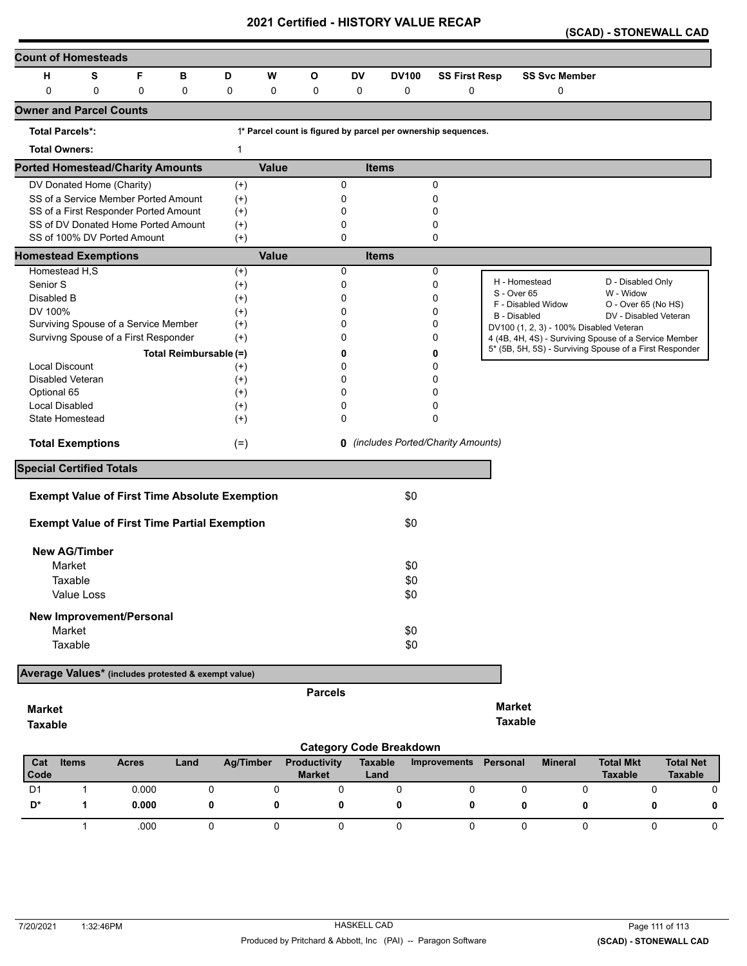|  | (SCAD) - STONEWALL CAD |  |
|--|------------------------|--|
|--|------------------------|--|

| <b>Count of Homesteads</b>                          |            |              |   |                        |                                                      |              |                |                |                                |                                                               |                     |                                         |                                                         |                  |
|-----------------------------------------------------|------------|--------------|---|------------------------|------------------------------------------------------|--------------|----------------|----------------|--------------------------------|---------------------------------------------------------------|---------------------|-----------------------------------------|---------------------------------------------------------|------------------|
| S<br>F<br>н<br>В<br>D                               |            |              |   |                        |                                                      | w            | О              | DV             | <b>DV100</b>                   | <b>SS First Resp</b>                                          |                     | <b>SS Svc Member</b>                    |                                                         |                  |
| 0                                                   | 0          |              | 0 | 0                      | 0                                                    | 0            | 0              | 0              | 0                              | 0                                                             |                     | 0                                       |                                                         |                  |
| <b>Owner and Parcel Counts</b>                      |            |              |   |                        |                                                      |              |                |                |                                |                                                               |                     |                                         |                                                         |                  |
| <b>Total Parcels*:</b>                              |            |              |   |                        |                                                      |              |                |                |                                | 1* Parcel count is figured by parcel per ownership sequences. |                     |                                         |                                                         |                  |
| <b>Total Owners:</b>                                |            |              |   |                        | $\mathbf 1$                                          |              |                |                |                                |                                                               |                     |                                         |                                                         |                  |
| <b>Ported Homestead/Charity Amounts</b>             |            |              |   |                        |                                                      | <b>Value</b> |                |                | <b>Items</b>                   |                                                               |                     |                                         |                                                         |                  |
| DV Donated Home (Charity)                           |            |              |   |                        | $^{(+)}$                                             |              |                | 0              |                                | 0                                                             |                     |                                         |                                                         |                  |
| SS of a Service Member Ported Amount                |            |              |   |                        | $^{(+)}$                                             |              |                | 0              |                                | 0                                                             |                     |                                         |                                                         |                  |
| SS of a First Responder Ported Amount               |            |              |   |                        | $^{(+)}$                                             |              |                | 0              |                                | 0                                                             |                     |                                         |                                                         |                  |
| SS of DV Donated Home Ported Amount                 |            |              |   |                        | $^{(+)}$                                             |              |                | 0              |                                | 0                                                             |                     |                                         |                                                         |                  |
| SS of 100% DV Ported Amount                         |            |              |   |                        | $^{(+)}$                                             |              |                | 0              |                                | 0                                                             |                     |                                         |                                                         |                  |
| <b>Homestead Exemptions</b>                         |            |              |   |                        |                                                      | <b>Value</b> |                |                | <b>Items</b>                   |                                                               |                     |                                         |                                                         |                  |
| Homestead H,S                                       |            |              |   |                        | $(+)$                                                |              |                | 0              |                                | 0                                                             |                     |                                         |                                                         |                  |
| Senior S                                            |            |              |   |                        | $^{(+)}$                                             |              |                | 0              |                                | 0                                                             | H - Homestead       |                                         | D - Disabled Only                                       |                  |
| Disabled B                                          |            |              |   |                        | $^{(+)}$                                             |              |                | 0              |                                | 0                                                             | S - Over 65         | F - Disabled Widow                      | W - Widow<br>O - Over 65 (No HS)                        |                  |
| DV 100%                                             |            |              |   |                        | $^{(+)}$                                             |              |                | 0              |                                | 0                                                             | <b>B</b> - Disabled |                                         | DV - Disabled Veteran                                   |                  |
| Surviving Spouse of a Service Member                |            |              |   |                        | $^{(+)}$                                             |              |                | 0              |                                | 0                                                             |                     | DV100 (1, 2, 3) - 100% Disabled Veteran |                                                         |                  |
| Survivng Spouse of a First Responder                |            |              |   |                        | $^{(+)}$                                             |              |                | 0              |                                | 0                                                             |                     |                                         | 4 (4B, 4H, 4S) - Surviving Spouse of a Service Member   |                  |
|                                                     |            |              |   | Total Reimbursable (=) |                                                      |              |                | 0              |                                | 0                                                             |                     |                                         | 5* (5B, 5H, 5S) - Surviving Spouse of a First Responder |                  |
| <b>Local Discount</b>                               |            |              |   |                        | $^{(+)}$                                             |              |                | 0              |                                | 0                                                             |                     |                                         |                                                         |                  |
| <b>Disabled Veteran</b>                             |            |              |   |                        | $^{(+)}$                                             |              |                | 0              |                                | 0                                                             |                     |                                         |                                                         |                  |
| Optional 65                                         |            |              |   |                        | $^{(+)}$                                             |              |                | 0              |                                | 0                                                             |                     |                                         |                                                         |                  |
| Local Disabled                                      |            |              |   |                        | $^{(+)}$                                             |              |                | 0              |                                | 0                                                             |                     |                                         |                                                         |                  |
| <b>State Homestead</b>                              |            |              |   |                        | $^{(+)}$                                             |              |                | 0              |                                | 0                                                             |                     |                                         |                                                         |                  |
| <b>Total Exemptions</b>                             |            |              |   |                        | $(=)$                                                |              |                |                |                                | <b>0</b> (includes Ported/Charity Amounts)                    |                     |                                         |                                                         |                  |
| <b>Special Certified Totals</b>                     |            |              |   |                        |                                                      |              |                |                |                                |                                                               |                     |                                         |                                                         |                  |
|                                                     |            |              |   |                        | <b>Exempt Value of First Time Absolute Exemption</b> |              |                |                | \$0                            |                                                               |                     |                                         |                                                         |                  |
|                                                     |            |              |   |                        |                                                      |              |                |                |                                |                                                               |                     |                                         |                                                         |                  |
|                                                     |            |              |   |                        | <b>Exempt Value of First Time Partial Exemption</b>  |              |                |                | \$0                            |                                                               |                     |                                         |                                                         |                  |
| <b>New AG/Timber</b>                                |            |              |   |                        |                                                      |              |                |                |                                |                                                               |                     |                                         |                                                         |                  |
| Market                                              |            |              |   |                        |                                                      |              |                |                | \$0                            |                                                               |                     |                                         |                                                         |                  |
| Taxable                                             |            |              |   |                        |                                                      |              |                |                | \$0                            |                                                               |                     |                                         |                                                         |                  |
|                                                     | Value Loss |              |   |                        |                                                      |              |                |                | \$0                            |                                                               |                     |                                         |                                                         |                  |
| <b>New Improvement/Personal</b>                     |            |              |   |                        |                                                      |              |                |                |                                |                                                               |                     |                                         |                                                         |                  |
| Market                                              |            |              |   |                        |                                                      |              |                |                | \$0                            |                                                               |                     |                                         |                                                         |                  |
|                                                     |            |              |   |                        |                                                      |              |                |                |                                |                                                               |                     |                                         |                                                         |                  |
| Taxable                                             |            |              |   |                        |                                                      |              |                |                | \$0                            |                                                               |                     |                                         |                                                         |                  |
| Average Values* (includes protested & exempt value) |            |              |   |                        |                                                      |              |                |                |                                |                                                               |                     |                                         |                                                         |                  |
|                                                     |            |              |   |                        |                                                      |              | <b>Parcels</b> |                |                                |                                                               |                     |                                         |                                                         |                  |
| <b>Market</b>                                       |            |              |   |                        |                                                      |              |                |                |                                |                                                               | <b>Market</b>       |                                         |                                                         |                  |
|                                                     |            |              |   |                        |                                                      |              |                |                |                                |                                                               | <b>Taxable</b>      |                                         |                                                         |                  |
| <b>Taxable</b>                                      |            |              |   |                        |                                                      |              |                |                |                                |                                                               |                     |                                         |                                                         |                  |
|                                                     |            |              |   |                        |                                                      |              |                |                | <b>Category Code Breakdown</b> |                                                               |                     |                                         |                                                         |                  |
| Cat                                                 | Items      | <b>Acres</b> |   | Land                   | <b>Ag/Timber</b>                                     |              | Productivity   | <b>Taxable</b> |                                | Improvements                                                  | Personal            | <b>Mineral</b>                          | <b>Total Mkt</b>                                        | <b>Total Net</b> |

| Cat            | <b>Items</b> | <b>Acres</b> | Land | Ag/Timber | <b>Productivity</b> | Taxable | Improvements | Personal | <b>Mineral</b> | <b>Total Mkt</b> | <b>Total Net</b> |
|----------------|--------------|--------------|------|-----------|---------------------|---------|--------------|----------|----------------|------------------|------------------|
| Code           |              |              |      |           | <b>Market</b>       | Land    |              |          |                | <b>Taxable</b>   | <b>Taxable</b>   |
| D <sub>1</sub> |              | 0.000        |      |           |                     |         |              |          |                |                  |                  |
| D*             |              | 0.000        |      |           |                     |         |              |          |                |                  | 0                |
|                |              |              |      |           |                     |         |              |          |                |                  |                  |
|                |              | .000         |      |           |                     |         |              |          |                |                  |                  |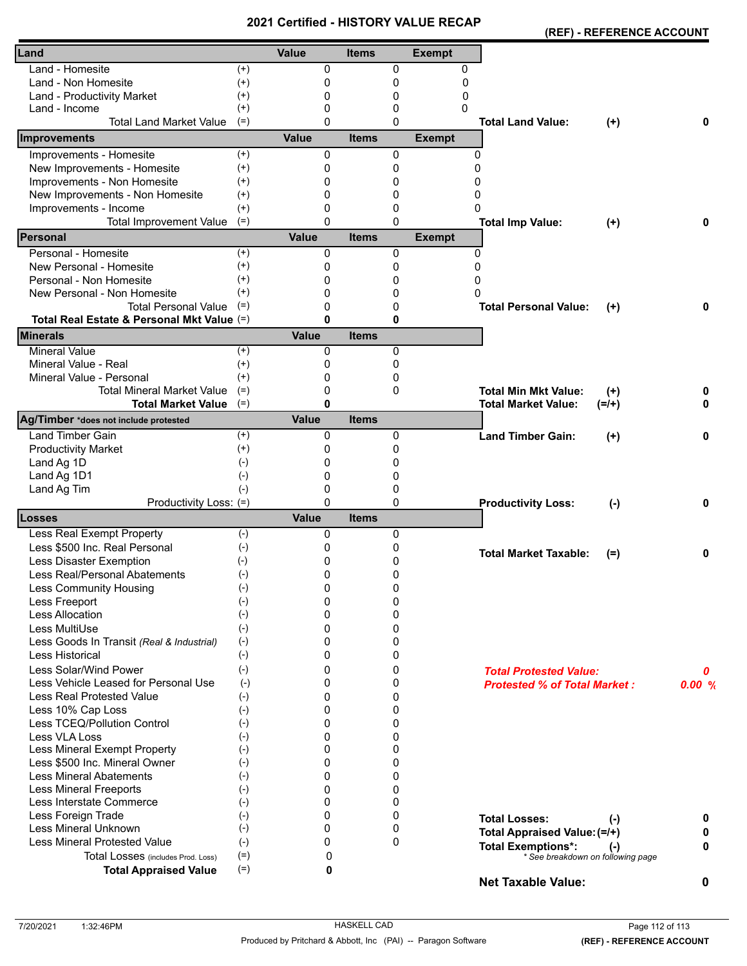| Land<br>Value<br><b>Exempt</b><br><b>Items</b><br>Land - Homesite<br>0<br>0<br>$^{(+)}$<br>0<br>$(+)$<br>Land - Non Homesite<br>0<br>0<br>0<br>0<br>$^{(+)}$<br>0<br>0<br>Land - Productivity Market<br>$^{(+)}$<br>$\Omega$<br>0<br>Land - Income<br>0<br><b>Total Land Market Value</b><br>$\Omega$<br>0<br>$(=)$<br><b>Total Land Value:</b><br>$(+)$<br>0<br><b>Value</b><br><b>Exempt</b><br>Improvements<br><b>Items</b><br>Improvements - Homesite<br>$(+)$<br>0<br>0<br>0<br>New Improvements - Homesite<br>$(+)$<br>0<br>0<br>$\Omega$<br>Improvements - Non Homesite<br>$^{(+)}$<br>0<br>0<br>0<br>New Improvements - Non Homesite<br>$\mathbf{0}$<br>$^{(+)}$<br>0<br>0<br>0<br>Improvements - Income<br>$^{(+)}$<br>0<br>0<br>$(=)$<br><b>Total Improvement Value</b><br>$\Omega$<br>0<br>0<br><b>Total Imp Value:</b><br>$(+)$<br>Personal<br><b>Value</b><br><b>Items</b><br><b>Exempt</b><br>Personal - Homesite<br>$(+)$<br>0<br>0<br>0<br>$^{(+)}$<br>New Personal - Homesite<br>0<br>0<br>0<br>Personal - Non Homesite<br>$^{(+)}$<br>0<br>0<br>0<br>$^{(+)}$<br>New Personal - Non Homesite<br>0<br>0<br>$\Omega$<br><b>Total Personal Value</b><br>$(=)$<br>0<br>0<br><b>Total Personal Value:</b><br>0<br>$(+)$<br>$\bf{0}$<br>0<br>Total Real Estate & Personal Mkt Value (=)<br><b>Minerals</b><br><b>Value</b><br><b>Items</b><br><b>Mineral Value</b><br>$(+)$<br>0<br>0<br>Mineral Value - Real<br>$^{(+)}$<br>0<br>0<br>Mineral Value - Personal<br>$^{(+)}$<br>0<br>0<br><b>Total Mineral Market Value</b><br>$(=)$<br>0<br>0<br><b>Total Min Mkt Value:</b><br>$^{(+)}$<br>0<br>$\bf{0}$<br>$(=)$<br>0<br><b>Total Market Value</b><br><b>Total Market Value:</b><br>$(=/+)$<br>Value<br>Ag/Timber *does not include protested<br><b>Items</b><br><b>Land Timber Gain</b><br>$^{(+)}$<br>0<br>0<br><b>Land Timber Gain:</b><br>0<br>$^{(+)}$<br><b>Productivity Market</b><br>$^{(+)}$<br>0<br>0<br>Land Ag 1D<br>$(-)$<br>0<br>0<br>Land Ag 1D1<br>0<br>$(-)$<br>0<br>Land Ag Tim<br>$(-)$<br>0<br>0<br>$\Omega$<br>Productivity Loss: (=)<br>0<br>0<br><b>Productivity Loss:</b><br>$(-)$<br><b>Value</b><br>Losses<br><b>Items</b><br>Less Real Exempt Property<br>$(-)$<br>0<br>0<br>$(-)$<br>Less \$500 Inc. Real Personal<br>0<br>0<br><b>Total Market Taxable:</b><br>0<br>$(=)$<br>0<br>0<br>Less Disaster Exemption<br>$(-)$<br>Less Real/Personal Abatements<br>0<br>0<br>$(-)$<br>0<br>Less Community Housing<br>$(-)$<br>0<br>$(-)$<br>0<br>0<br>Less Freeport<br>Less Allocation<br>$(-)$<br>0<br>0<br>Less MultiUse<br>$(-)$<br>0<br>0<br>$(-)$<br>0<br>0<br>Less Goods In Transit (Real & Industrial)<br>$(-)$<br>Less Historical<br>0<br>0<br>Less Solar/Wind Power<br>$(-)$<br>0<br>0<br><b>Total Protested Value:</b><br>0<br>Less Vehicle Leased for Personal Use<br>$(-)$<br>0<br>0<br>0.00%<br><b>Protested % of Total Market:</b><br><b>Less Real Protested Value</b><br>$(-)$<br>0<br>0<br>Less 10% Cap Loss<br>$(-)$<br>0<br>0<br>Less TCEQ/Pollution Control<br>$(-)$<br>0<br>0<br>Less VLA Loss<br>$(-)$<br>0<br>0<br>Less Mineral Exempt Property<br>$(-)$<br>0<br>0<br>Less \$500 Inc. Mineral Owner<br>0<br>0<br>$(-)$<br><b>Less Mineral Abatements</b><br>0<br>0<br>$(\textnormal{-})$<br><b>Less Mineral Freeports</b><br>$(-)$<br>0<br>0<br>Less Interstate Commerce<br>0<br>$(-)$<br>0<br>Less Foreign Trade<br>$\Omega$<br>$(-)$<br>0<br><b>Total Losses:</b><br>$(\cdot)$<br>0 |                      |       | Gerunea - Fijo I OKT VALO |  | (REF) - REFERENCE ACCOUNT |  |
|-------------------------------------------------------------------------------------------------------------------------------------------------------------------------------------------------------------------------------------------------------------------------------------------------------------------------------------------------------------------------------------------------------------------------------------------------------------------------------------------------------------------------------------------------------------------------------------------------------------------------------------------------------------------------------------------------------------------------------------------------------------------------------------------------------------------------------------------------------------------------------------------------------------------------------------------------------------------------------------------------------------------------------------------------------------------------------------------------------------------------------------------------------------------------------------------------------------------------------------------------------------------------------------------------------------------------------------------------------------------------------------------------------------------------------------------------------------------------------------------------------------------------------------------------------------------------------------------------------------------------------------------------------------------------------------------------------------------------------------------------------------------------------------------------------------------------------------------------------------------------------------------------------------------------------------------------------------------------------------------------------------------------------------------------------------------------------------------------------------------------------------------------------------------------------------------------------------------------------------------------------------------------------------------------------------------------------------------------------------------------------------------------------------------------------------------------------------------------------------------------------------------------------------------------------------------------------------------------------------------------------------------------------------------------------------------------------------------------------------------------------------------------------------------------------------------------------------------------------------------------------------------------------------------------------------------------------------------------------------------------------------------------------------------------------------------------------------------------------------------------------------------------------------------------------------------------------------------------------------------------------------------------------------------------------------------------------------------------------------------------------------------------------------------------------------------------|----------------------|-------|---------------------------|--|---------------------------|--|
|                                                                                                                                                                                                                                                                                                                                                                                                                                                                                                                                                                                                                                                                                                                                                                                                                                                                                                                                                                                                                                                                                                                                                                                                                                                                                                                                                                                                                                                                                                                                                                                                                                                                                                                                                                                                                                                                                                                                                                                                                                                                                                                                                                                                                                                                                                                                                                                                                                                                                                                                                                                                                                                                                                                                                                                                                                                                                                                                                                                                                                                                                                                                                                                                                                                                                                                                                                                                                                                 |                      |       |                           |  |                           |  |
|                                                                                                                                                                                                                                                                                                                                                                                                                                                                                                                                                                                                                                                                                                                                                                                                                                                                                                                                                                                                                                                                                                                                                                                                                                                                                                                                                                                                                                                                                                                                                                                                                                                                                                                                                                                                                                                                                                                                                                                                                                                                                                                                                                                                                                                                                                                                                                                                                                                                                                                                                                                                                                                                                                                                                                                                                                                                                                                                                                                                                                                                                                                                                                                                                                                                                                                                                                                                                                                 |                      |       |                           |  |                           |  |
|                                                                                                                                                                                                                                                                                                                                                                                                                                                                                                                                                                                                                                                                                                                                                                                                                                                                                                                                                                                                                                                                                                                                                                                                                                                                                                                                                                                                                                                                                                                                                                                                                                                                                                                                                                                                                                                                                                                                                                                                                                                                                                                                                                                                                                                                                                                                                                                                                                                                                                                                                                                                                                                                                                                                                                                                                                                                                                                                                                                                                                                                                                                                                                                                                                                                                                                                                                                                                                                 |                      |       |                           |  |                           |  |
|                                                                                                                                                                                                                                                                                                                                                                                                                                                                                                                                                                                                                                                                                                                                                                                                                                                                                                                                                                                                                                                                                                                                                                                                                                                                                                                                                                                                                                                                                                                                                                                                                                                                                                                                                                                                                                                                                                                                                                                                                                                                                                                                                                                                                                                                                                                                                                                                                                                                                                                                                                                                                                                                                                                                                                                                                                                                                                                                                                                                                                                                                                                                                                                                                                                                                                                                                                                                                                                 |                      |       |                           |  |                           |  |
|                                                                                                                                                                                                                                                                                                                                                                                                                                                                                                                                                                                                                                                                                                                                                                                                                                                                                                                                                                                                                                                                                                                                                                                                                                                                                                                                                                                                                                                                                                                                                                                                                                                                                                                                                                                                                                                                                                                                                                                                                                                                                                                                                                                                                                                                                                                                                                                                                                                                                                                                                                                                                                                                                                                                                                                                                                                                                                                                                                                                                                                                                                                                                                                                                                                                                                                                                                                                                                                 |                      |       |                           |  |                           |  |
|                                                                                                                                                                                                                                                                                                                                                                                                                                                                                                                                                                                                                                                                                                                                                                                                                                                                                                                                                                                                                                                                                                                                                                                                                                                                                                                                                                                                                                                                                                                                                                                                                                                                                                                                                                                                                                                                                                                                                                                                                                                                                                                                                                                                                                                                                                                                                                                                                                                                                                                                                                                                                                                                                                                                                                                                                                                                                                                                                                                                                                                                                                                                                                                                                                                                                                                                                                                                                                                 |                      |       |                           |  |                           |  |
|                                                                                                                                                                                                                                                                                                                                                                                                                                                                                                                                                                                                                                                                                                                                                                                                                                                                                                                                                                                                                                                                                                                                                                                                                                                                                                                                                                                                                                                                                                                                                                                                                                                                                                                                                                                                                                                                                                                                                                                                                                                                                                                                                                                                                                                                                                                                                                                                                                                                                                                                                                                                                                                                                                                                                                                                                                                                                                                                                                                                                                                                                                                                                                                                                                                                                                                                                                                                                                                 |                      |       |                           |  |                           |  |
|                                                                                                                                                                                                                                                                                                                                                                                                                                                                                                                                                                                                                                                                                                                                                                                                                                                                                                                                                                                                                                                                                                                                                                                                                                                                                                                                                                                                                                                                                                                                                                                                                                                                                                                                                                                                                                                                                                                                                                                                                                                                                                                                                                                                                                                                                                                                                                                                                                                                                                                                                                                                                                                                                                                                                                                                                                                                                                                                                                                                                                                                                                                                                                                                                                                                                                                                                                                                                                                 |                      |       |                           |  |                           |  |
|                                                                                                                                                                                                                                                                                                                                                                                                                                                                                                                                                                                                                                                                                                                                                                                                                                                                                                                                                                                                                                                                                                                                                                                                                                                                                                                                                                                                                                                                                                                                                                                                                                                                                                                                                                                                                                                                                                                                                                                                                                                                                                                                                                                                                                                                                                                                                                                                                                                                                                                                                                                                                                                                                                                                                                                                                                                                                                                                                                                                                                                                                                                                                                                                                                                                                                                                                                                                                                                 |                      |       |                           |  |                           |  |
|                                                                                                                                                                                                                                                                                                                                                                                                                                                                                                                                                                                                                                                                                                                                                                                                                                                                                                                                                                                                                                                                                                                                                                                                                                                                                                                                                                                                                                                                                                                                                                                                                                                                                                                                                                                                                                                                                                                                                                                                                                                                                                                                                                                                                                                                                                                                                                                                                                                                                                                                                                                                                                                                                                                                                                                                                                                                                                                                                                                                                                                                                                                                                                                                                                                                                                                                                                                                                                                 |                      |       |                           |  |                           |  |
|                                                                                                                                                                                                                                                                                                                                                                                                                                                                                                                                                                                                                                                                                                                                                                                                                                                                                                                                                                                                                                                                                                                                                                                                                                                                                                                                                                                                                                                                                                                                                                                                                                                                                                                                                                                                                                                                                                                                                                                                                                                                                                                                                                                                                                                                                                                                                                                                                                                                                                                                                                                                                                                                                                                                                                                                                                                                                                                                                                                                                                                                                                                                                                                                                                                                                                                                                                                                                                                 |                      |       |                           |  |                           |  |
|                                                                                                                                                                                                                                                                                                                                                                                                                                                                                                                                                                                                                                                                                                                                                                                                                                                                                                                                                                                                                                                                                                                                                                                                                                                                                                                                                                                                                                                                                                                                                                                                                                                                                                                                                                                                                                                                                                                                                                                                                                                                                                                                                                                                                                                                                                                                                                                                                                                                                                                                                                                                                                                                                                                                                                                                                                                                                                                                                                                                                                                                                                                                                                                                                                                                                                                                                                                                                                                 |                      |       |                           |  |                           |  |
|                                                                                                                                                                                                                                                                                                                                                                                                                                                                                                                                                                                                                                                                                                                                                                                                                                                                                                                                                                                                                                                                                                                                                                                                                                                                                                                                                                                                                                                                                                                                                                                                                                                                                                                                                                                                                                                                                                                                                                                                                                                                                                                                                                                                                                                                                                                                                                                                                                                                                                                                                                                                                                                                                                                                                                                                                                                                                                                                                                                                                                                                                                                                                                                                                                                                                                                                                                                                                                                 |                      |       |                           |  |                           |  |
|                                                                                                                                                                                                                                                                                                                                                                                                                                                                                                                                                                                                                                                                                                                                                                                                                                                                                                                                                                                                                                                                                                                                                                                                                                                                                                                                                                                                                                                                                                                                                                                                                                                                                                                                                                                                                                                                                                                                                                                                                                                                                                                                                                                                                                                                                                                                                                                                                                                                                                                                                                                                                                                                                                                                                                                                                                                                                                                                                                                                                                                                                                                                                                                                                                                                                                                                                                                                                                                 |                      |       |                           |  |                           |  |
|                                                                                                                                                                                                                                                                                                                                                                                                                                                                                                                                                                                                                                                                                                                                                                                                                                                                                                                                                                                                                                                                                                                                                                                                                                                                                                                                                                                                                                                                                                                                                                                                                                                                                                                                                                                                                                                                                                                                                                                                                                                                                                                                                                                                                                                                                                                                                                                                                                                                                                                                                                                                                                                                                                                                                                                                                                                                                                                                                                                                                                                                                                                                                                                                                                                                                                                                                                                                                                                 |                      |       |                           |  |                           |  |
|                                                                                                                                                                                                                                                                                                                                                                                                                                                                                                                                                                                                                                                                                                                                                                                                                                                                                                                                                                                                                                                                                                                                                                                                                                                                                                                                                                                                                                                                                                                                                                                                                                                                                                                                                                                                                                                                                                                                                                                                                                                                                                                                                                                                                                                                                                                                                                                                                                                                                                                                                                                                                                                                                                                                                                                                                                                                                                                                                                                                                                                                                                                                                                                                                                                                                                                                                                                                                                                 |                      |       |                           |  |                           |  |
|                                                                                                                                                                                                                                                                                                                                                                                                                                                                                                                                                                                                                                                                                                                                                                                                                                                                                                                                                                                                                                                                                                                                                                                                                                                                                                                                                                                                                                                                                                                                                                                                                                                                                                                                                                                                                                                                                                                                                                                                                                                                                                                                                                                                                                                                                                                                                                                                                                                                                                                                                                                                                                                                                                                                                                                                                                                                                                                                                                                                                                                                                                                                                                                                                                                                                                                                                                                                                                                 |                      |       |                           |  |                           |  |
|                                                                                                                                                                                                                                                                                                                                                                                                                                                                                                                                                                                                                                                                                                                                                                                                                                                                                                                                                                                                                                                                                                                                                                                                                                                                                                                                                                                                                                                                                                                                                                                                                                                                                                                                                                                                                                                                                                                                                                                                                                                                                                                                                                                                                                                                                                                                                                                                                                                                                                                                                                                                                                                                                                                                                                                                                                                                                                                                                                                                                                                                                                                                                                                                                                                                                                                                                                                                                                                 |                      |       |                           |  |                           |  |
|                                                                                                                                                                                                                                                                                                                                                                                                                                                                                                                                                                                                                                                                                                                                                                                                                                                                                                                                                                                                                                                                                                                                                                                                                                                                                                                                                                                                                                                                                                                                                                                                                                                                                                                                                                                                                                                                                                                                                                                                                                                                                                                                                                                                                                                                                                                                                                                                                                                                                                                                                                                                                                                                                                                                                                                                                                                                                                                                                                                                                                                                                                                                                                                                                                                                                                                                                                                                                                                 |                      |       |                           |  |                           |  |
|                                                                                                                                                                                                                                                                                                                                                                                                                                                                                                                                                                                                                                                                                                                                                                                                                                                                                                                                                                                                                                                                                                                                                                                                                                                                                                                                                                                                                                                                                                                                                                                                                                                                                                                                                                                                                                                                                                                                                                                                                                                                                                                                                                                                                                                                                                                                                                                                                                                                                                                                                                                                                                                                                                                                                                                                                                                                                                                                                                                                                                                                                                                                                                                                                                                                                                                                                                                                                                                 |                      |       |                           |  |                           |  |
|                                                                                                                                                                                                                                                                                                                                                                                                                                                                                                                                                                                                                                                                                                                                                                                                                                                                                                                                                                                                                                                                                                                                                                                                                                                                                                                                                                                                                                                                                                                                                                                                                                                                                                                                                                                                                                                                                                                                                                                                                                                                                                                                                                                                                                                                                                                                                                                                                                                                                                                                                                                                                                                                                                                                                                                                                                                                                                                                                                                                                                                                                                                                                                                                                                                                                                                                                                                                                                                 |                      |       |                           |  |                           |  |
|                                                                                                                                                                                                                                                                                                                                                                                                                                                                                                                                                                                                                                                                                                                                                                                                                                                                                                                                                                                                                                                                                                                                                                                                                                                                                                                                                                                                                                                                                                                                                                                                                                                                                                                                                                                                                                                                                                                                                                                                                                                                                                                                                                                                                                                                                                                                                                                                                                                                                                                                                                                                                                                                                                                                                                                                                                                                                                                                                                                                                                                                                                                                                                                                                                                                                                                                                                                                                                                 |                      |       |                           |  |                           |  |
|                                                                                                                                                                                                                                                                                                                                                                                                                                                                                                                                                                                                                                                                                                                                                                                                                                                                                                                                                                                                                                                                                                                                                                                                                                                                                                                                                                                                                                                                                                                                                                                                                                                                                                                                                                                                                                                                                                                                                                                                                                                                                                                                                                                                                                                                                                                                                                                                                                                                                                                                                                                                                                                                                                                                                                                                                                                                                                                                                                                                                                                                                                                                                                                                                                                                                                                                                                                                                                                 |                      |       |                           |  |                           |  |
|                                                                                                                                                                                                                                                                                                                                                                                                                                                                                                                                                                                                                                                                                                                                                                                                                                                                                                                                                                                                                                                                                                                                                                                                                                                                                                                                                                                                                                                                                                                                                                                                                                                                                                                                                                                                                                                                                                                                                                                                                                                                                                                                                                                                                                                                                                                                                                                                                                                                                                                                                                                                                                                                                                                                                                                                                                                                                                                                                                                                                                                                                                                                                                                                                                                                                                                                                                                                                                                 |                      |       |                           |  |                           |  |
|                                                                                                                                                                                                                                                                                                                                                                                                                                                                                                                                                                                                                                                                                                                                                                                                                                                                                                                                                                                                                                                                                                                                                                                                                                                                                                                                                                                                                                                                                                                                                                                                                                                                                                                                                                                                                                                                                                                                                                                                                                                                                                                                                                                                                                                                                                                                                                                                                                                                                                                                                                                                                                                                                                                                                                                                                                                                                                                                                                                                                                                                                                                                                                                                                                                                                                                                                                                                                                                 |                      |       |                           |  |                           |  |
|                                                                                                                                                                                                                                                                                                                                                                                                                                                                                                                                                                                                                                                                                                                                                                                                                                                                                                                                                                                                                                                                                                                                                                                                                                                                                                                                                                                                                                                                                                                                                                                                                                                                                                                                                                                                                                                                                                                                                                                                                                                                                                                                                                                                                                                                                                                                                                                                                                                                                                                                                                                                                                                                                                                                                                                                                                                                                                                                                                                                                                                                                                                                                                                                                                                                                                                                                                                                                                                 |                      |       |                           |  |                           |  |
|                                                                                                                                                                                                                                                                                                                                                                                                                                                                                                                                                                                                                                                                                                                                                                                                                                                                                                                                                                                                                                                                                                                                                                                                                                                                                                                                                                                                                                                                                                                                                                                                                                                                                                                                                                                                                                                                                                                                                                                                                                                                                                                                                                                                                                                                                                                                                                                                                                                                                                                                                                                                                                                                                                                                                                                                                                                                                                                                                                                                                                                                                                                                                                                                                                                                                                                                                                                                                                                 |                      |       |                           |  |                           |  |
|                                                                                                                                                                                                                                                                                                                                                                                                                                                                                                                                                                                                                                                                                                                                                                                                                                                                                                                                                                                                                                                                                                                                                                                                                                                                                                                                                                                                                                                                                                                                                                                                                                                                                                                                                                                                                                                                                                                                                                                                                                                                                                                                                                                                                                                                                                                                                                                                                                                                                                                                                                                                                                                                                                                                                                                                                                                                                                                                                                                                                                                                                                                                                                                                                                                                                                                                                                                                                                                 |                      |       |                           |  |                           |  |
|                                                                                                                                                                                                                                                                                                                                                                                                                                                                                                                                                                                                                                                                                                                                                                                                                                                                                                                                                                                                                                                                                                                                                                                                                                                                                                                                                                                                                                                                                                                                                                                                                                                                                                                                                                                                                                                                                                                                                                                                                                                                                                                                                                                                                                                                                                                                                                                                                                                                                                                                                                                                                                                                                                                                                                                                                                                                                                                                                                                                                                                                                                                                                                                                                                                                                                                                                                                                                                                 |                      |       |                           |  |                           |  |
|                                                                                                                                                                                                                                                                                                                                                                                                                                                                                                                                                                                                                                                                                                                                                                                                                                                                                                                                                                                                                                                                                                                                                                                                                                                                                                                                                                                                                                                                                                                                                                                                                                                                                                                                                                                                                                                                                                                                                                                                                                                                                                                                                                                                                                                                                                                                                                                                                                                                                                                                                                                                                                                                                                                                                                                                                                                                                                                                                                                                                                                                                                                                                                                                                                                                                                                                                                                                                                                 |                      |       |                           |  |                           |  |
|                                                                                                                                                                                                                                                                                                                                                                                                                                                                                                                                                                                                                                                                                                                                                                                                                                                                                                                                                                                                                                                                                                                                                                                                                                                                                                                                                                                                                                                                                                                                                                                                                                                                                                                                                                                                                                                                                                                                                                                                                                                                                                                                                                                                                                                                                                                                                                                                                                                                                                                                                                                                                                                                                                                                                                                                                                                                                                                                                                                                                                                                                                                                                                                                                                                                                                                                                                                                                                                 |                      |       |                           |  |                           |  |
|                                                                                                                                                                                                                                                                                                                                                                                                                                                                                                                                                                                                                                                                                                                                                                                                                                                                                                                                                                                                                                                                                                                                                                                                                                                                                                                                                                                                                                                                                                                                                                                                                                                                                                                                                                                                                                                                                                                                                                                                                                                                                                                                                                                                                                                                                                                                                                                                                                                                                                                                                                                                                                                                                                                                                                                                                                                                                                                                                                                                                                                                                                                                                                                                                                                                                                                                                                                                                                                 |                      |       |                           |  |                           |  |
|                                                                                                                                                                                                                                                                                                                                                                                                                                                                                                                                                                                                                                                                                                                                                                                                                                                                                                                                                                                                                                                                                                                                                                                                                                                                                                                                                                                                                                                                                                                                                                                                                                                                                                                                                                                                                                                                                                                                                                                                                                                                                                                                                                                                                                                                                                                                                                                                                                                                                                                                                                                                                                                                                                                                                                                                                                                                                                                                                                                                                                                                                                                                                                                                                                                                                                                                                                                                                                                 |                      |       |                           |  |                           |  |
|                                                                                                                                                                                                                                                                                                                                                                                                                                                                                                                                                                                                                                                                                                                                                                                                                                                                                                                                                                                                                                                                                                                                                                                                                                                                                                                                                                                                                                                                                                                                                                                                                                                                                                                                                                                                                                                                                                                                                                                                                                                                                                                                                                                                                                                                                                                                                                                                                                                                                                                                                                                                                                                                                                                                                                                                                                                                                                                                                                                                                                                                                                                                                                                                                                                                                                                                                                                                                                                 |                      |       |                           |  |                           |  |
|                                                                                                                                                                                                                                                                                                                                                                                                                                                                                                                                                                                                                                                                                                                                                                                                                                                                                                                                                                                                                                                                                                                                                                                                                                                                                                                                                                                                                                                                                                                                                                                                                                                                                                                                                                                                                                                                                                                                                                                                                                                                                                                                                                                                                                                                                                                                                                                                                                                                                                                                                                                                                                                                                                                                                                                                                                                                                                                                                                                                                                                                                                                                                                                                                                                                                                                                                                                                                                                 |                      |       |                           |  |                           |  |
|                                                                                                                                                                                                                                                                                                                                                                                                                                                                                                                                                                                                                                                                                                                                                                                                                                                                                                                                                                                                                                                                                                                                                                                                                                                                                                                                                                                                                                                                                                                                                                                                                                                                                                                                                                                                                                                                                                                                                                                                                                                                                                                                                                                                                                                                                                                                                                                                                                                                                                                                                                                                                                                                                                                                                                                                                                                                                                                                                                                                                                                                                                                                                                                                                                                                                                                                                                                                                                                 |                      |       |                           |  |                           |  |
|                                                                                                                                                                                                                                                                                                                                                                                                                                                                                                                                                                                                                                                                                                                                                                                                                                                                                                                                                                                                                                                                                                                                                                                                                                                                                                                                                                                                                                                                                                                                                                                                                                                                                                                                                                                                                                                                                                                                                                                                                                                                                                                                                                                                                                                                                                                                                                                                                                                                                                                                                                                                                                                                                                                                                                                                                                                                                                                                                                                                                                                                                                                                                                                                                                                                                                                                                                                                                                                 |                      |       |                           |  |                           |  |
|                                                                                                                                                                                                                                                                                                                                                                                                                                                                                                                                                                                                                                                                                                                                                                                                                                                                                                                                                                                                                                                                                                                                                                                                                                                                                                                                                                                                                                                                                                                                                                                                                                                                                                                                                                                                                                                                                                                                                                                                                                                                                                                                                                                                                                                                                                                                                                                                                                                                                                                                                                                                                                                                                                                                                                                                                                                                                                                                                                                                                                                                                                                                                                                                                                                                                                                                                                                                                                                 |                      |       |                           |  |                           |  |
|                                                                                                                                                                                                                                                                                                                                                                                                                                                                                                                                                                                                                                                                                                                                                                                                                                                                                                                                                                                                                                                                                                                                                                                                                                                                                                                                                                                                                                                                                                                                                                                                                                                                                                                                                                                                                                                                                                                                                                                                                                                                                                                                                                                                                                                                                                                                                                                                                                                                                                                                                                                                                                                                                                                                                                                                                                                                                                                                                                                                                                                                                                                                                                                                                                                                                                                                                                                                                                                 |                      |       |                           |  |                           |  |
|                                                                                                                                                                                                                                                                                                                                                                                                                                                                                                                                                                                                                                                                                                                                                                                                                                                                                                                                                                                                                                                                                                                                                                                                                                                                                                                                                                                                                                                                                                                                                                                                                                                                                                                                                                                                                                                                                                                                                                                                                                                                                                                                                                                                                                                                                                                                                                                                                                                                                                                                                                                                                                                                                                                                                                                                                                                                                                                                                                                                                                                                                                                                                                                                                                                                                                                                                                                                                                                 |                      |       |                           |  |                           |  |
|                                                                                                                                                                                                                                                                                                                                                                                                                                                                                                                                                                                                                                                                                                                                                                                                                                                                                                                                                                                                                                                                                                                                                                                                                                                                                                                                                                                                                                                                                                                                                                                                                                                                                                                                                                                                                                                                                                                                                                                                                                                                                                                                                                                                                                                                                                                                                                                                                                                                                                                                                                                                                                                                                                                                                                                                                                                                                                                                                                                                                                                                                                                                                                                                                                                                                                                                                                                                                                                 |                      |       |                           |  |                           |  |
|                                                                                                                                                                                                                                                                                                                                                                                                                                                                                                                                                                                                                                                                                                                                                                                                                                                                                                                                                                                                                                                                                                                                                                                                                                                                                                                                                                                                                                                                                                                                                                                                                                                                                                                                                                                                                                                                                                                                                                                                                                                                                                                                                                                                                                                                                                                                                                                                                                                                                                                                                                                                                                                                                                                                                                                                                                                                                                                                                                                                                                                                                                                                                                                                                                                                                                                                                                                                                                                 |                      |       |                           |  |                           |  |
|                                                                                                                                                                                                                                                                                                                                                                                                                                                                                                                                                                                                                                                                                                                                                                                                                                                                                                                                                                                                                                                                                                                                                                                                                                                                                                                                                                                                                                                                                                                                                                                                                                                                                                                                                                                                                                                                                                                                                                                                                                                                                                                                                                                                                                                                                                                                                                                                                                                                                                                                                                                                                                                                                                                                                                                                                                                                                                                                                                                                                                                                                                                                                                                                                                                                                                                                                                                                                                                 |                      |       |                           |  |                           |  |
|                                                                                                                                                                                                                                                                                                                                                                                                                                                                                                                                                                                                                                                                                                                                                                                                                                                                                                                                                                                                                                                                                                                                                                                                                                                                                                                                                                                                                                                                                                                                                                                                                                                                                                                                                                                                                                                                                                                                                                                                                                                                                                                                                                                                                                                                                                                                                                                                                                                                                                                                                                                                                                                                                                                                                                                                                                                                                                                                                                                                                                                                                                                                                                                                                                                                                                                                                                                                                                                 |                      |       |                           |  |                           |  |
|                                                                                                                                                                                                                                                                                                                                                                                                                                                                                                                                                                                                                                                                                                                                                                                                                                                                                                                                                                                                                                                                                                                                                                                                                                                                                                                                                                                                                                                                                                                                                                                                                                                                                                                                                                                                                                                                                                                                                                                                                                                                                                                                                                                                                                                                                                                                                                                                                                                                                                                                                                                                                                                                                                                                                                                                                                                                                                                                                                                                                                                                                                                                                                                                                                                                                                                                                                                                                                                 |                      |       |                           |  |                           |  |
|                                                                                                                                                                                                                                                                                                                                                                                                                                                                                                                                                                                                                                                                                                                                                                                                                                                                                                                                                                                                                                                                                                                                                                                                                                                                                                                                                                                                                                                                                                                                                                                                                                                                                                                                                                                                                                                                                                                                                                                                                                                                                                                                                                                                                                                                                                                                                                                                                                                                                                                                                                                                                                                                                                                                                                                                                                                                                                                                                                                                                                                                                                                                                                                                                                                                                                                                                                                                                                                 |                      |       |                           |  |                           |  |
|                                                                                                                                                                                                                                                                                                                                                                                                                                                                                                                                                                                                                                                                                                                                                                                                                                                                                                                                                                                                                                                                                                                                                                                                                                                                                                                                                                                                                                                                                                                                                                                                                                                                                                                                                                                                                                                                                                                                                                                                                                                                                                                                                                                                                                                                                                                                                                                                                                                                                                                                                                                                                                                                                                                                                                                                                                                                                                                                                                                                                                                                                                                                                                                                                                                                                                                                                                                                                                                 |                      |       |                           |  |                           |  |
|                                                                                                                                                                                                                                                                                                                                                                                                                                                                                                                                                                                                                                                                                                                                                                                                                                                                                                                                                                                                                                                                                                                                                                                                                                                                                                                                                                                                                                                                                                                                                                                                                                                                                                                                                                                                                                                                                                                                                                                                                                                                                                                                                                                                                                                                                                                                                                                                                                                                                                                                                                                                                                                                                                                                                                                                                                                                                                                                                                                                                                                                                                                                                                                                                                                                                                                                                                                                                                                 |                      |       |                           |  |                           |  |
|                                                                                                                                                                                                                                                                                                                                                                                                                                                                                                                                                                                                                                                                                                                                                                                                                                                                                                                                                                                                                                                                                                                                                                                                                                                                                                                                                                                                                                                                                                                                                                                                                                                                                                                                                                                                                                                                                                                                                                                                                                                                                                                                                                                                                                                                                                                                                                                                                                                                                                                                                                                                                                                                                                                                                                                                                                                                                                                                                                                                                                                                                                                                                                                                                                                                                                                                                                                                                                                 |                      |       |                           |  |                           |  |
|                                                                                                                                                                                                                                                                                                                                                                                                                                                                                                                                                                                                                                                                                                                                                                                                                                                                                                                                                                                                                                                                                                                                                                                                                                                                                                                                                                                                                                                                                                                                                                                                                                                                                                                                                                                                                                                                                                                                                                                                                                                                                                                                                                                                                                                                                                                                                                                                                                                                                                                                                                                                                                                                                                                                                                                                                                                                                                                                                                                                                                                                                                                                                                                                                                                                                                                                                                                                                                                 |                      |       |                           |  |                           |  |
|                                                                                                                                                                                                                                                                                                                                                                                                                                                                                                                                                                                                                                                                                                                                                                                                                                                                                                                                                                                                                                                                                                                                                                                                                                                                                                                                                                                                                                                                                                                                                                                                                                                                                                                                                                                                                                                                                                                                                                                                                                                                                                                                                                                                                                                                                                                                                                                                                                                                                                                                                                                                                                                                                                                                                                                                                                                                                                                                                                                                                                                                                                                                                                                                                                                                                                                                                                                                                                                 |                      |       |                           |  |                           |  |
|                                                                                                                                                                                                                                                                                                                                                                                                                                                                                                                                                                                                                                                                                                                                                                                                                                                                                                                                                                                                                                                                                                                                                                                                                                                                                                                                                                                                                                                                                                                                                                                                                                                                                                                                                                                                                                                                                                                                                                                                                                                                                                                                                                                                                                                                                                                                                                                                                                                                                                                                                                                                                                                                                                                                                                                                                                                                                                                                                                                                                                                                                                                                                                                                                                                                                                                                                                                                                                                 |                      |       |                           |  |                           |  |
|                                                                                                                                                                                                                                                                                                                                                                                                                                                                                                                                                                                                                                                                                                                                                                                                                                                                                                                                                                                                                                                                                                                                                                                                                                                                                                                                                                                                                                                                                                                                                                                                                                                                                                                                                                                                                                                                                                                                                                                                                                                                                                                                                                                                                                                                                                                                                                                                                                                                                                                                                                                                                                                                                                                                                                                                                                                                                                                                                                                                                                                                                                                                                                                                                                                                                                                                                                                                                                                 |                      |       |                           |  |                           |  |
|                                                                                                                                                                                                                                                                                                                                                                                                                                                                                                                                                                                                                                                                                                                                                                                                                                                                                                                                                                                                                                                                                                                                                                                                                                                                                                                                                                                                                                                                                                                                                                                                                                                                                                                                                                                                                                                                                                                                                                                                                                                                                                                                                                                                                                                                                                                                                                                                                                                                                                                                                                                                                                                                                                                                                                                                                                                                                                                                                                                                                                                                                                                                                                                                                                                                                                                                                                                                                                                 |                      |       |                           |  |                           |  |
|                                                                                                                                                                                                                                                                                                                                                                                                                                                                                                                                                                                                                                                                                                                                                                                                                                                                                                                                                                                                                                                                                                                                                                                                                                                                                                                                                                                                                                                                                                                                                                                                                                                                                                                                                                                                                                                                                                                                                                                                                                                                                                                                                                                                                                                                                                                                                                                                                                                                                                                                                                                                                                                                                                                                                                                                                                                                                                                                                                                                                                                                                                                                                                                                                                                                                                                                                                                                                                                 |                      |       |                           |  |                           |  |
| 0<br>Total Appraised Value: (=/+)<br>0                                                                                                                                                                                                                                                                                                                                                                                                                                                                                                                                                                                                                                                                                                                                                                                                                                                                                                                                                                                                                                                                                                                                                                                                                                                                                                                                                                                                                                                                                                                                                                                                                                                                                                                                                                                                                                                                                                                                                                                                                                                                                                                                                                                                                                                                                                                                                                                                                                                                                                                                                                                                                                                                                                                                                                                                                                                                                                                                                                                                                                                                                                                                                                                                                                                                                                                                                                                                          | Less Mineral Unknown | $(-)$ | 0                         |  |                           |  |
| 0<br><b>Less Mineral Protested Value</b><br>$(-)$<br>0<br><b>Total Exemptions*:</b><br>0                                                                                                                                                                                                                                                                                                                                                                                                                                                                                                                                                                                                                                                                                                                                                                                                                                                                                                                                                                                                                                                                                                                                                                                                                                                                                                                                                                                                                                                                                                                                                                                                                                                                                                                                                                                                                                                                                                                                                                                                                                                                                                                                                                                                                                                                                                                                                                                                                                                                                                                                                                                                                                                                                                                                                                                                                                                                                                                                                                                                                                                                                                                                                                                                                                                                                                                                                        |                      |       |                           |  |                           |  |
| $(\cdot)$<br>$(=)$<br>0<br>Total Losses (includes Prod. Loss)<br>* See breakdown on following page                                                                                                                                                                                                                                                                                                                                                                                                                                                                                                                                                                                                                                                                                                                                                                                                                                                                                                                                                                                                                                                                                                                                                                                                                                                                                                                                                                                                                                                                                                                                                                                                                                                                                                                                                                                                                                                                                                                                                                                                                                                                                                                                                                                                                                                                                                                                                                                                                                                                                                                                                                                                                                                                                                                                                                                                                                                                                                                                                                                                                                                                                                                                                                                                                                                                                                                                              |                      |       |                           |  |                           |  |
| $(=)$<br>0<br><b>Total Appraised Value</b><br><b>Net Taxable Value:</b><br>$\bf{0}$                                                                                                                                                                                                                                                                                                                                                                                                                                                                                                                                                                                                                                                                                                                                                                                                                                                                                                                                                                                                                                                                                                                                                                                                                                                                                                                                                                                                                                                                                                                                                                                                                                                                                                                                                                                                                                                                                                                                                                                                                                                                                                                                                                                                                                                                                                                                                                                                                                                                                                                                                                                                                                                                                                                                                                                                                                                                                                                                                                                                                                                                                                                                                                                                                                                                                                                                                             |                      |       |                           |  |                           |  |